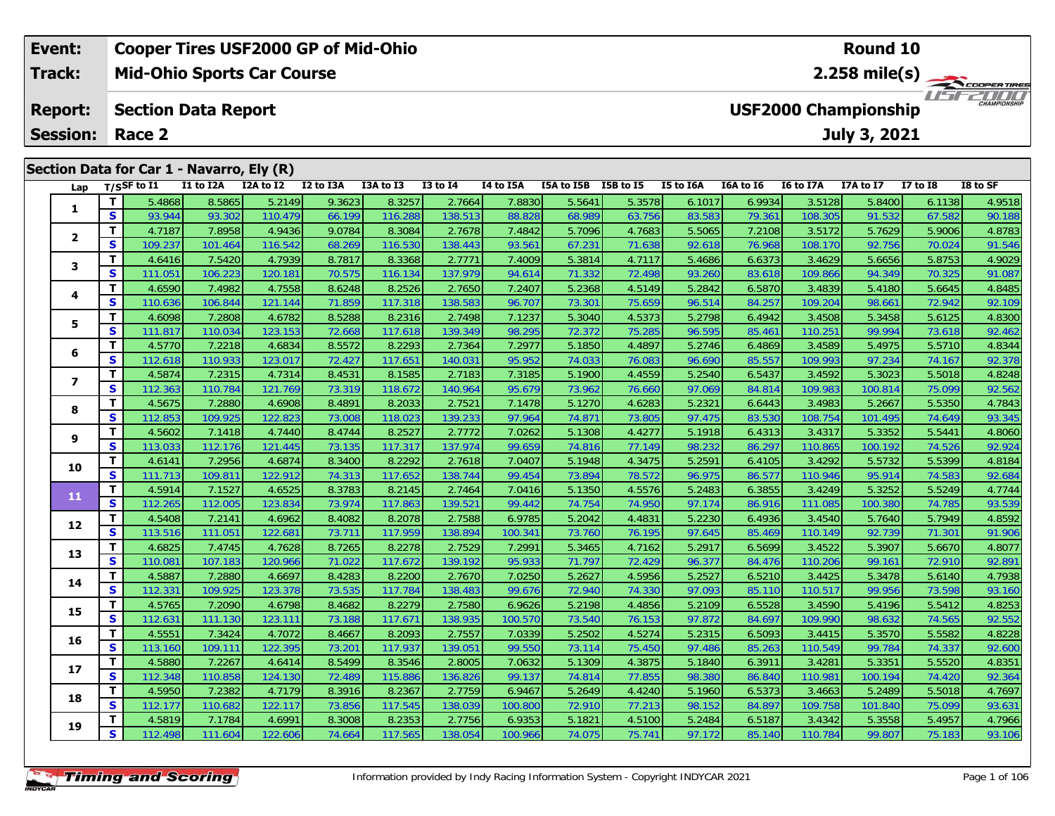| Event:          |     |                                           |              | <b>Cooper Tires USF2000 GP of Mid-Ohio</b> |                                           |                                           |              |                     |            |              |           |             |           | Round 10                    |              |                         |
|-----------------|-----|-------------------------------------------|--------------|--------------------------------------------|-------------------------------------------|-------------------------------------------|--------------|---------------------|------------|--------------|-----------|-------------|-----------|-----------------------------|--------------|-------------------------|
| <b>Track:</b>   |     |                                           |              | <b>Mid-Ohio Sports Car Course</b>          |                                           |                                           |              |                     |            |              |           |             |           |                             |              | $2.258 \text{ mile(s)}$ |
| <b>Report:</b>  |     | <b>Section Data Report</b>                |              |                                            |                                           |                                           |              |                     |            |              |           |             |           | <b>USF2000 Championship</b> |              | <b>CHAMPIONSHIP</b>     |
| <b>Session:</b> |     | Race 2                                    |              |                                            |                                           |                                           |              |                     |            |              |           |             |           | July 3, 2021                |              |                         |
|                 |     | Section Data for Car 1 - Navarro, Ely (R) |              |                                            |                                           |                                           |              |                     |            |              |           |             |           |                             |              |                         |
| Lap             |     | $T/S$ SF to $I1$                          | I1 to I2A    | I2A to I2                                  | I2 to I3A                                 | I3A to I3                                 | $I3$ to $I4$ | I4 to I5A           | I5A to I5B | I5B to I5    | I5 to I6A | I6A to I6   | I6 to I7A | <b>I7A to I7</b>            | $I7$ to $I8$ | I8 to SF                |
|                 |     | 5.4868                                    | 8.5865       | 5.2149                                     | 9.3623                                    | 8.3257                                    | 2.7664       | 7.8830              | 5.5641     | 5.3578       | 6.1017    | 6.9934      | 3.5128    | 5.8400                      | 6.1138       | 4.9518                  |
|                 | S.  | 93.944                                    | 93.302       | 110.479                                    | 66.199                                    | 116.288                                   | 138.513      | 88.828              | 68.989     | 63.756       | 83.583    | 79.361      | 108.305   | 91.532                      | 67.582       | 90.188                  |
|                 |     | 4.7187                                    | 7.8958       | 4.9436                                     | 9.0784                                    | 8.3084                                    | 2.7678       | 7.4842              | 5.7096     | 4.7683       | 5.5065    | 7.2108      | 3.5172    | 5.7629                      | 5.9006       | 4.8783                  |
|                 | S.  | 109.237                                   | 101.464      | 116.542                                    | 68.269                                    | 116.530                                   | 138.443      | 93.561              | 67.231     | 71.638       | 92.618    | 76.968      | 108.170   | 92.756                      | 70.024       | 91.546                  |
| 3               |     | 4.6416                                    | 7.5420       | 4.7939                                     | 8.7817                                    | 8.3368                                    | 2.7771       | 7.4009              | 5.3814     | 4.7117       | 5.4686    | 6.6373      | 3.4629    | 5.6656                      | 5.8753       | 4.9029                  |
|                 | S.  | 111.051                                   | 106.223      | 120.181                                    | 70.575                                    | 116.134                                   | 137.979      | 94.614              | 71.332     | 72.498       | 93.260    | 83.618      | 109.866   | 94.349                      | 70.325       | 91.087                  |
|                 | - 1 | 1.750                                     | $\sim$ 10001 | 1.7758                                     | $\sim$ $\sim$ $\sim$ $\sim$ $\sim$ $\sim$ | $\sim$ $\sim$ $\sim$ $\sim$ $\sim$ $\sim$ | 2.7.7        | $\sim$ 0.000 $\sim$ | r oozol    | $1 - 2 - 10$ | - 00101   | $1 - 2 - 1$ | 0.1000    | - 11001                     | a contratto  | 10010 <sub>z</sub>      |

|                         | T.           | 4.7187            | 7.8958            | 4.9436            | 9.0784           | 8.3084           | 2.7678            | 7.4842            | 5.7096           | 4.7683           | 5.5065           | 7.2108           | 3.5172            | 5.7629           | 5.9006           | 4.8783           |
|-------------------------|--------------|-------------------|-------------------|-------------------|------------------|------------------|-------------------|-------------------|------------------|------------------|------------------|------------------|-------------------|------------------|------------------|------------------|
| $\mathbf{2}$            | S            | 109.237           | 101.464           | 116.542           | 68.269           | 116.530          | 138.443           | 93.561            | 67.231           | 71.638           | 92.618           | 76.968           | 108.170           | 92.756           | 70.024           | 91.546           |
|                         | $\mathbf{T}$ | 4.6416            | 7.5420            | 4.7939            | 8.7817           | 8.3368           | 2.7771            | 7.4009            | 5.3814           | 4.7117           | 5.4686           | 6.6373           | 3.4629            | 5.6656           | 5.8753           | 4.9029           |
| 3                       | S            | 111.051           | 106.223           | 120.181           | 70.575           | 116.134          | 137.979           | 94.614            | 71.332           | 72.498           | 93.260           | 83.618           | 109.866           | 94.349           | 70.325           | 91.087           |
|                         | T.           | 4.6590            | 7.4982            | 4.7558            | 8.6248           | 8.2526           | 2.7650            | 7.2407            | 5.2368           | 4.5149           | 5.2842           | 6.5870           | 3.4839            | 5.4180           | 5.6645           | 4.8485           |
| 4                       | S            | 110.636           | 106.844           | 121.144           | 71.859           | 117.318          | 138.583           | 96.707            | 73.301           | 75.659           | 96.514           | 84.257           | 109.204           | 98.661           | 72.942           | 92.109           |
| 5                       | T.           | 4.6098            | 7.2808            | 4.6782            | 8.5288           | 8.2316           | 2.7498            | 7.1237            | 5.3040           | 4.5373           | 5.2798           | 6.4942           | 3.4508            | 5.3458           | 5.6125           | 4.8300           |
|                         | S            | 111.817           | 110.034           | 123.153           | 72.668           | 117.618          | 139.349           | 98.295            | 72.372           | 75.285           | 96.595           | 85.461           | 110.251           | 99.994           | 73.618           | 92.462           |
| 6                       | T.           | 4.5770            | 7.2218            | 4.6834            | 8.5572           | 8.2293           | 2.7364            | 7.2977            | 5.1850           | 4.4897           | 5.2746           | 6.4869           | 3.4589            | 5.4975           | 5.5710           | 4.8344           |
|                         | S            | 112.618           | 110.933           | 123.017           | 72.427           | 117.651          | 140.031           | 95.952            | 74.033           | 76.083           | 96.690           | 85.557           | 109.993           | 97.234           | 74.167           | 92.378           |
| $\overline{\mathbf{z}}$ | T            | 4.5874            | 7.2315            | 4.7314            | 8.4531           | 8.1585           | 2.7183            | 7.3185            | 5.1900           | 4.4559           | 5.2540           | 6.5437           | 3.4592            | 5.3023           | 5.5018           | 4.8248           |
|                         | S            | 112.363           | 110.784           | 121.769           | 73.319           | 118.672          | 140.964           | 95.679            | 73.962           | 76.660           | 97.069           | 84.814           | 109.983           | 100.814          | 75.099           | 92.562           |
| 8                       | $\mathbf{T}$ | 4.5675            | 7.2880            | 4.6908            | 8.4891           | 8.2033           | 2.7521            | 7.1478            | 5.1270           | 4.6283           | 5.2321           | 6.6443           | 3.4983            | 5.2667           | 5.5350           | 4.7843           |
|                         | S            | 112.853           | 109.925           | 122.823           | 73.008           | 118.023          | 139.233           | 97.964            | 74.871           | 73.805           | 97.475           | 83.530           | 108.754           | 101.495          | 74.649           | 93.345           |
| 9                       | Т            | 4.5602            | 7.1418            | 4.7440            | 8.4744           | 8.2527           | 2.7772            | 7.0262            | 5.1308           | 4.4277           | 5.1918           | 6.4313           | 3.4317            | 5.3352           | 5.5441           | 4.8060           |
|                         | S            | 113.033           | 112.176           | 121.445           | 73.135           | 117.317          | 137.974           | 99.659            | 74.816           | 77.149           | 98.232           | 86.297           | 110.865           | 100.192          | 74.526           | 92.924           |
| 10                      | T.           | 4.6141            | 7.2956            | 4.6874            | 8.3400           | 8.2292           | 2.7618            | 7.0407            | 5.1948           | 4.3475           | 5.2591           | 6.4105           | 3.4292            | 5.5732           | 5.5399           | 4.8184           |
|                         | S            | 111.713           | 109.811           | 122.912           | 74.313           | 117.652          | 138.744           | 99.454            | 73.894           | 78.572           | 96.975           | 86.577           | 110.946           | 95.914           | 74.583           | 92.684           |
| 11                      | Т            | 4.5914            | 7.1527            | 4.6525            | 8.3783           | 8.2145           | 2.7464            | 7.0416            | 5.1350           | 4.5576           | 5.2483           | 6.3855           | 3.4249            | 5.3252           | 5.5249           | 4.7744           |
|                         | S            | 112.265           | 112.005           | 123.834           | 73.974           | 117.863          | 139.521           | 99.442            | 74.754           | 74.950           | 97.174           | 86.916           | 111.085           | 100.380          | 74.785           | 93.539           |
| 12                      | T.           | 4.5408            | 7.2141            | 4.6962            | 8.4082           | 8.2078           | 2.7588            | 6.9785            | 5.2042           | 4.4831           | 5.2230           | 6.4936           | 3.4540            | 5.7640           | 5.7949           | 4.8592           |
|                         | S            | 113.516           | 111.051           | 122.681           | 73.71'           | 117.959          | 138.894           | 100.341           | 73.760           | 76.195           | 97.645           | 85.469           | 110.149           | 92.739           | 71.301           | 91.906           |
| 13                      | T.           | 4.6825            | 7.4745            | 4.7628            | 8.7265           | 8.2278           | 2.7529            | 7.2991            | 5.3465           | 4.7162           | 5.2917           | 6.5699           | 3.4522            | 5.3907           | 5.6670           | 4.8077           |
|                         | S            | 110.081           | 107.183           | 120.966           | 71.022           | 117.672          | 139.192           | 95.933            | 71.797           | 72.429           | 96.377           | 84.476           | 110.206           | 99.161           | 72.910           | 92.89            |
| 14                      | T<br>S       | 4.5887            | 7.2880            | 4.6697            | 8.4283           | 8.2200           | 2.7670            | 7.0250            | 5.2627           | 4.5956           | 5.2527           | 6.5210           | 3.4425            | 5.3478           | 5.6140           | 4.7938           |
|                         | $\mathbf{T}$ | 112.331           | 109.925<br>7.2090 | 123.378           | 73.535<br>8.4682 | 117.784          | 138.483           | 99.676            | 72.940           | 74.330           | 97.093           | 85.110           | 110.517           | 99.956           | 73.598           | 93.160<br>4.8253 |
| 15                      | S            | 4.5765<br>112.631 | 111.130           | 4.6798<br>123.111 | 73.188           | 8.2279<br>117.67 | 2.7580<br>138.935 | 6.9626<br>100.570 | 5.2198<br>73.540 | 4.4856<br>76.153 | 5.2109<br>97.872 | 6.5528<br>84.697 | 3.4590<br>109.990 | 5.4196<br>98.632 | 5.5412<br>74.565 | 92.552           |
|                         | T.           | 4.5551            | 7.3424            | 4.7072            | 8.4667           | 8.2093           | 2.7557            | 7.0339            | 5.2502           | 4.5274           | 5.2315           | 6.5093           | 3.4415            | 5.3570           | 5.5582           | 4.8228           |
| 16                      | S            | 113.160           | 109.111           | 122.395           | $73.20^{\circ}$  | 117.937          | 139.051           | 99.550            | 73.114           | 75.450           | 97.486           | 85.263           | 110.549           | 99.784           | 74.337           | 92.600           |
|                         | T.           | 4.5880            | 7.2267            | 4.6414            | 8.5499           | 8.3546           | 2.8005            | 7.0632            | 5.1309           | 4.3875           | 5.1840           | 6.3911           | 3.4281            | 5.3351           | 5.5520           | 4.835            |
| 17                      | S            | 112.348           | 110.858           | 124.130           | 72.489           | 115.886          | 136.826           | 99.137            | 74.814           | 77.855           | 98.380           | 86.840           | 110.981           | 100.194          | 74.420           | 92.364           |
|                         | $\mathbf{T}$ | 4.5950            | 7.2382            | 4.7179            | 8.3916           | 8.2367           | 2.7759            | 6.9467            | 5.2649           | 4.4240           | 5.1960           | 6.5373           | 3.4663            | 5.2489           | 5.5018           | 4.7697           |
| 18                      | S            | 112.177           | 110.682           | 122.117           | 73.856           | 117.545          | 138.039           | 100.800           | 72.910           | 77.213           | 98.152           | 84.897           | 109.758           | 101.840          | 75.099           | 93.631           |
|                         | T.           | 4.5819            | 7.1784            | 4.6991            | 8.3008           | 8.2353           | 2.7756            | 6.9353            | 5.1821           | 4.5100           | 5.2484           | 6.5187           | 3.4342            | 5.3558           | 5.4957           | 4.7966           |
| 19                      | S            | 112.498           | 111.604           | 122.606           | 74.664           | 117.565          | 138.054           | 100.966           | 74.075           | 75.741           | 97.172           | 85.140           | 110.784           | 99.807           | 75.183           | 93.106           |
|                         |              |                   |                   |                   |                  |                  |                   |                   |                  |                  |                  |                  |                   |                  |                  |                  |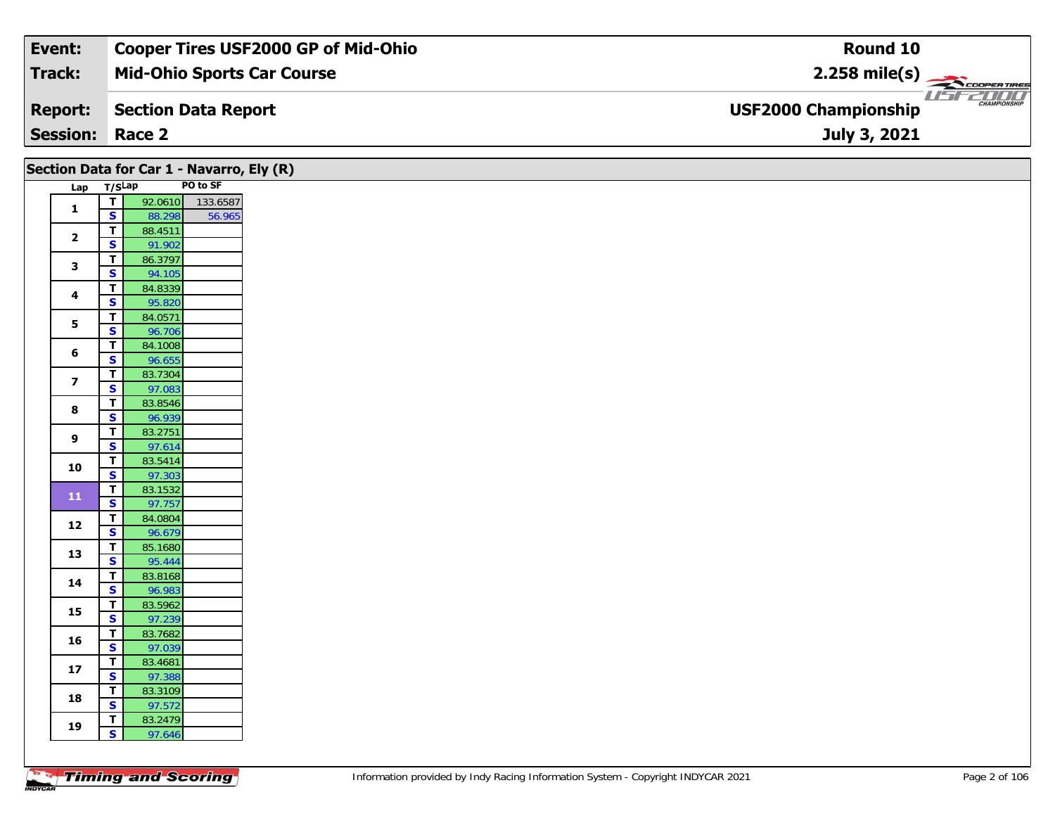| Event:                 | <b>Cooper Tires USF2000 GP of Mid-Ohio</b> | Round 10                                           |
|------------------------|--------------------------------------------|----------------------------------------------------|
| Track:                 | <b>Mid-Ohio Sports Car Course</b>          | $2.258$ mile(s)                                    |
| <b>Report:</b>         | Section Data Report                        | <b>CHAMPIONSHIP</b><br><b>USF2000 Championship</b> |
| <b>Session: Race 2</b> |                                            | July 3, 2021                                       |

|                         |                                                    |                   | Section Data for Car 1 - Navarro, Ely (R) |
|-------------------------|----------------------------------------------------|-------------------|-------------------------------------------|
|                         | Lap T/SLap                                         |                   | PO to SF                                  |
| $\mathbf{1}$            | $\overline{1}$                                     |                   | 92.0610 133.6587                          |
|                         | $\mathbf{s}$                                       | 88.298            | 56.965                                    |
| $\mathbf{2}$            | T<br>$\overline{\mathbf{s}}$                       | 88.4511<br>91.902 |                                           |
|                         | T                                                  | 86.3797           |                                           |
| $\mathbf{3}$            | $\overline{\mathbf{s}}$                            | 94.105            |                                           |
|                         | T                                                  | 84.8339           |                                           |
| 4                       | $\mathbf{s}$                                       | 95.820            |                                           |
|                         | $\mathbf T$                                        | 84.0571           |                                           |
| 5                       | $\overline{\mathbf{s}}$                            | 96.706            |                                           |
| 6                       | $\mathbf T$                                        | 84.1008           |                                           |
|                         | $\overline{\mathbf{s}}$                            | 96.655            |                                           |
| $\overline{\mathbf{z}}$ | $\overline{\mathbf{T}}$                            | 83.7304           |                                           |
|                         | $\overline{\mathbf{s}}$<br>$\overline{\mathsf{T}}$ | 97.083            |                                           |
| 8                       | $\overline{\mathbf{s}}$                            | 83.8546<br>96.939 |                                           |
|                         | $\mathbf T$                                        | 83.2751           |                                           |
| 9                       | S                                                  | 97.614            |                                           |
|                         | T                                                  | 83.5414           |                                           |
| 10                      | $\overline{\mathbf{s}}$                            | 97.303            |                                           |
|                         | T                                                  | 83.1532           |                                           |
| ${\bf 11}$              | $\overline{\mathbf{s}}$                            | 97.757            |                                           |
| 12                      | T                                                  | 84.0804           |                                           |
|                         | $\mathbf{s}$                                       | 96.679            |                                           |
| 13                      | T                                                  | 85.1680           |                                           |
|                         | $\overline{\mathbf{s}}$                            | 95.444            |                                           |
| 14                      | $\mathbf T$                                        | 83.8168           |                                           |
|                         | $\mathbf{s}$<br>T                                  | 96.983            |                                           |
| 15                      | $\overline{\mathbf{s}}$                            | 83.5962<br>97.239 |                                           |
|                         | $\mathbf T$                                        | 83.7682           |                                           |
| 16                      | $\overline{\mathbf{s}}$                            | 97.039            |                                           |
|                         | T                                                  | 83.4681           |                                           |
| ${\bf 17}$              | $\overline{\mathbf{s}}$                            | 97.388            |                                           |
| 18                      | T                                                  | 83.3109           |                                           |
|                         | $\overline{\mathbf{s}}$                            | 97.572            |                                           |
| 19                      | T                                                  | 83.2479           |                                           |
|                         | $\overline{\mathbf{s}}$                            | 97.646            |                                           |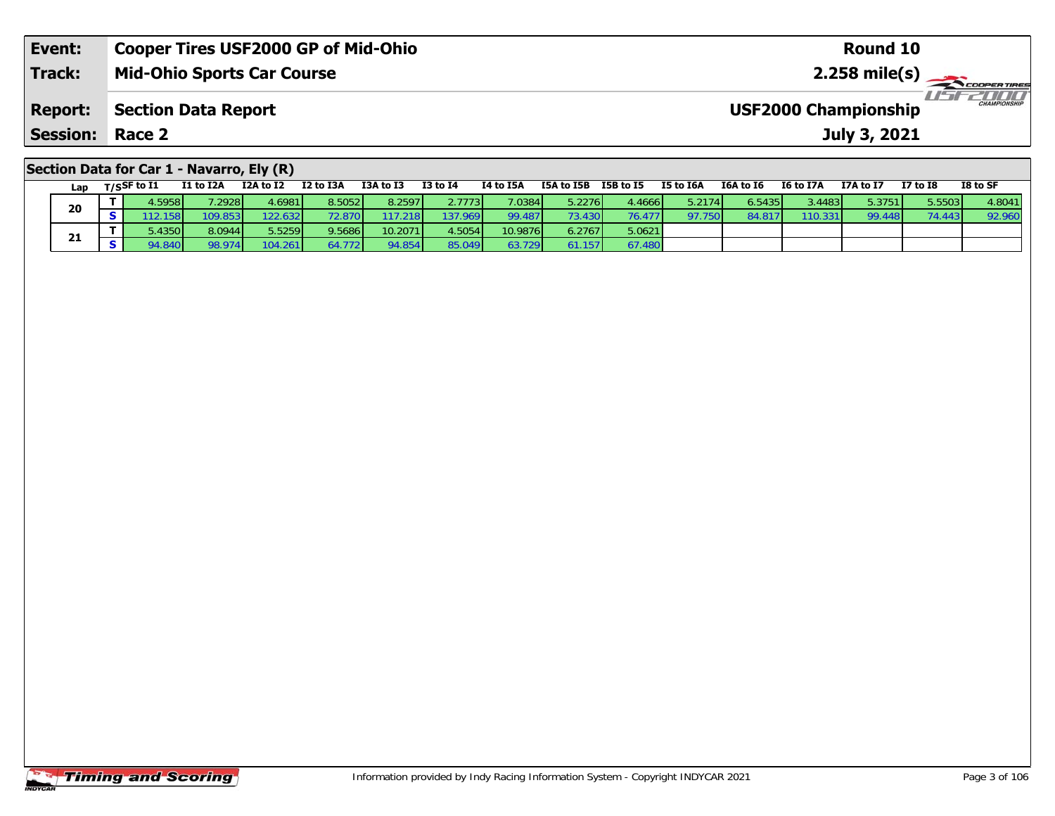| Event:                                    | <b>Cooper Tires USF2000 GP of Mid-Ohio</b> | Round 10                                           |  |  |  |  |  |  |  |  |
|-------------------------------------------|--------------------------------------------|----------------------------------------------------|--|--|--|--|--|--|--|--|
| <b>Track:</b>                             | <b>Mid-Ohio Sports Car Course</b>          | $2.258 \text{ mile(s)}$                            |  |  |  |  |  |  |  |  |
| <b>Report:</b>                            | Section Data Report                        | <b>CHAMPIONSHIP</b><br><b>USF2000 Championship</b> |  |  |  |  |  |  |  |  |
| <b>Session: Race 2</b>                    |                                            | July 3, 2021                                       |  |  |  |  |  |  |  |  |
| Section Data for Car 1 - Navarro, Ely (R) |                                            |                                                    |  |  |  |  |  |  |  |  |

| Lap | $T/S$ SF to I1 | I1 to I2A | I2A to I2 | I2 to I3A | I3A to I3       | <b>I3 to I4</b> | <b>I4 to I5A</b> | I5A to I5B      | I5B to I5 | I5 to I6A | I6A to I6 | I6 to I7A | I7A to I7 | <b>I7 to I8</b> | I8 to SF |
|-----|----------------|-----------|-----------|-----------|-----------------|-----------------|------------------|-----------------|-----------|-----------|-----------|-----------|-----------|-----------------|----------|
| 20  | .5958 <b>I</b> | 2928      | 4.6981    | 8.5052    | 8.2597          | 2.7773          | 7.0384           | 5.2276          | 4.4666    | 5.2174    | 6.5435    | 3.4483    | 5.3751    | 5.5503          | 4.8041   |
|     | 12.158         | '09.853.  | 22.632    |           | 17.218 <b>1</b> | 137.969         | 99.487           | 73.430 <b>I</b> | 76.477    | 97.750    | 84.81     | 110.331   | 99.448    | 74 113          | 92.960   |
|     | 5.4350         | 8.0944    | 5.5259    | 9.5686    | 10.2071         | 1.5054          | 10.9876          | 6.2767          | 5.0621    |           |           |           |           |                 |          |
| 21  | 94.840         | 98.974    | 104.261   | 4.772 I   | 94.854          | 85.049          | 63.729           | .157            | 67.480    |           |           |           |           |                 |          |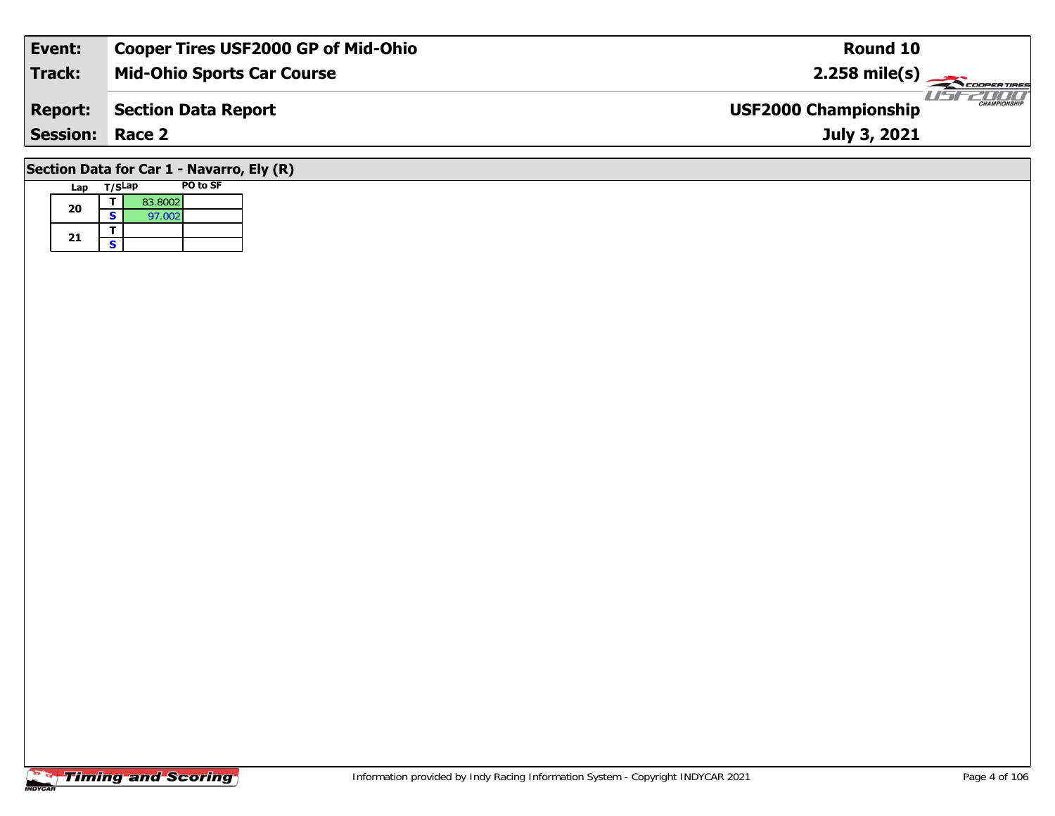| Event:                                                         | <b>Cooper Tires USF2000 GP of Mid-Ohio</b> | Round 10                                           |  |  |  |  |  |  |  |
|----------------------------------------------------------------|--------------------------------------------|----------------------------------------------------|--|--|--|--|--|--|--|
| Track:                                                         | <b>Mid-Ohio Sports Car Course</b>          | $2.258 \text{ mile(s)}$                            |  |  |  |  |  |  |  |
| <b>Report:</b>                                                 | Section Data Report                        | <b>CHAMPIONSHIP</b><br><b>USF2000 Championship</b> |  |  |  |  |  |  |  |
| <b>Session:</b>                                                | Race 2                                     | July 3, 2021                                       |  |  |  |  |  |  |  |
| $0.4$ at $0.4$ $0.4$ $0.4$ $0.4$ $0.4$ $0.4$ $0.4$ $0.4$ $0.4$ |                                            |                                                    |  |  |  |  |  |  |  |

### **Section Data for Car 1 - Navarro, Ely (R)**

| Lap | T/SLap |         | PO to SF |
|-----|--------|---------|----------|
| 20  |        | 83.8002 |          |
|     | S      | 97.002  |          |
| 21  |        |         |          |
|     | S      |         |          |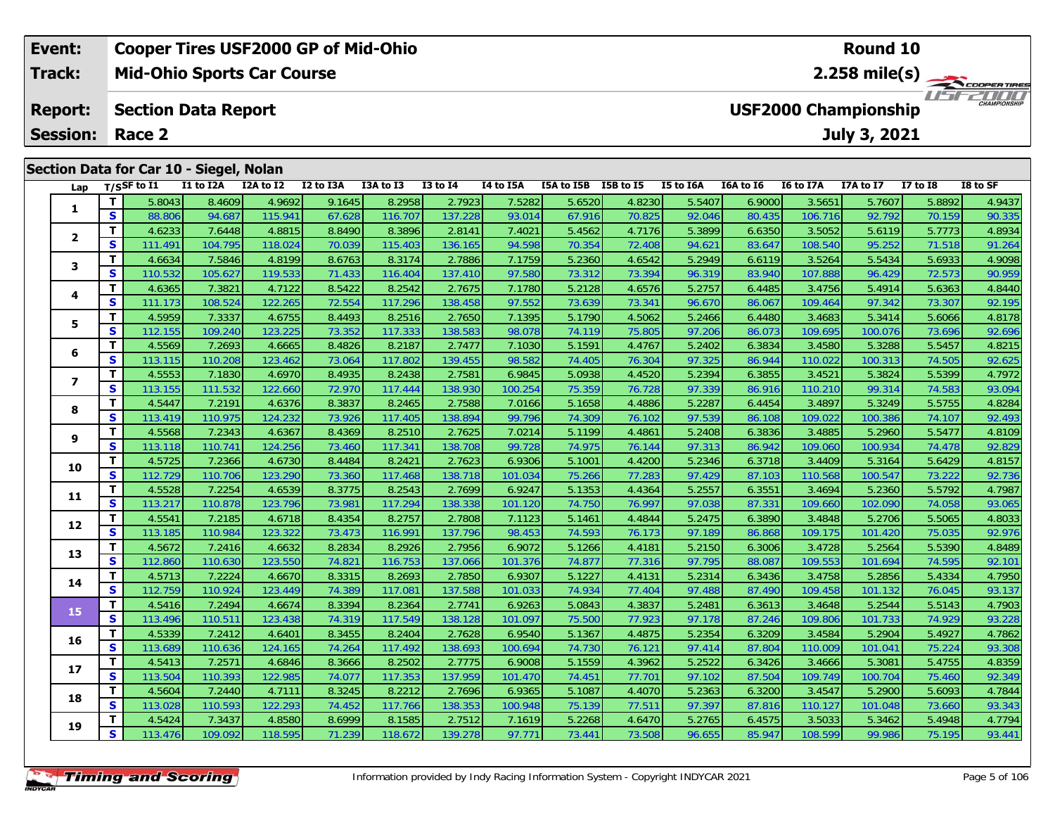### **Event: Cooper Tires USF2000 GP of Mid-Ohio Round 102.258 mile(s) Mid-Ohio Sports Car Course Track:** THE COOPER TIRES **Section Data Report Report: USF2000 Championship July 3, 2021 Session: Race 2 Section Data for Car 10 - Siegel, Nolan Lap T/SSF to I1 I1 to I2A I2A to I2 I2 to I3A I3A to I3 I3 to I4 I4 to I5A I5A to I5B I5B to I5 I5 to I6A I6A to I6 I6 to I7A I7A to I7 I7 to I8 I8 to SF**

| Lap                     |              | T/SSF to I1       | I1 to I2A         | I2A to I2         | I2 to I3A        | I3A to I3         | <b>I3 to I4</b>   | I4 to I5A         | I5A to I5B I5B to I5 |                  | I5 to I6A        | I6A to I6        | I6 to I7A         | I7A to I7         | <b>I7 to I8</b>  | I8 to SF         |
|-------------------------|--------------|-------------------|-------------------|-------------------|------------------|-------------------|-------------------|-------------------|----------------------|------------------|------------------|------------------|-------------------|-------------------|------------------|------------------|
| 1                       | т            | 5.8043            | 8.4609            | 4.9692            | 9.1645           | 8.2958            | 2.7923            | 7.5282            | 5.6520               | 4.8230           | 5.5407           | 6.9000           | 3.5651            | 5.7607            | 5.8892           | 4.9437           |
|                         | S            | 88.806            | 94.687            | 115.941           | 67.628           | 116.707           | 137.228           | 93.014            | 67.916               | 70.825           | 92.046           | 80.435           | 106.716           | 92.792            | 70.159           | 90.335           |
| $\overline{\mathbf{2}}$ | т            | 4.6233            | 7.6448            | 4.8815            | 8.8490           | 8.3896            | 2.8141            | 7.4021            | 5.4562               | 4.7176           | 5.3899           | 6.6350           | 3.5052            | 5.6119            | 5.7773           | 4.8934           |
|                         | S            | 111.491           | 104.795           | 118.024           | 70.039           | 115.403           | 136.165           | 94.598            | 70.354               | 72.408           | 94.621           | 83.647           | 108.540           | 95.252            | 71.518           | 91.264           |
| 3                       | т            | 4.6634            | 7.5846            | 4.8199            | 8.6763           | 8.3174            | 2.7886            | 7.1759            | 5.2360               | 4.6542           | 5.2949           | 6.6119           | 3.5264            | 5.5434            | 5.6933           | 4.9098           |
|                         | S            | 110.532           | 105.627           | 119.533           | 71.433           | 116.404           | 137.410           | 97.580            | 73.312               | 73.394           | 96.319           | 83.940           | 107.888           | 96.429            | 72.573           | 90.959           |
| 4                       | т            | 4.6365            | 7.3821            | 4.7122            | 8.5422           | 8.2542            | 2.7675            | 7.1780            | 5.2128               | 4.6576           | 5.2757           | 6.4485           | 3.4756            | 5.4914            | 5.6363           | 4.8440           |
|                         | S            | 111.173           | 108.524           | 122.265           | 72.554           | 117.296           | 138.458           | 97.552            | 73.639               | 73.341           | 96.670           | 86.067           | 109.464           | 97.342            | 73.307           | 92.195           |
| 5                       | т            | 4.5959            | 7.3337            | 4.6755            | 8.4493           | 8.2516            | 2.7650            | 7.1395            | 5.1790               | 4.5062           | 5.2466           | 6.4480           | 3.4683            | 5.3414            | 5.6066           | 4.8178           |
|                         | S            | 112.155           | 109.240           | 123.225           | 73.352           | 117.333           | 138.583           | 98.078            | 74.119               | 75.805           | 97.206           | 86.073           | 109.695           | 100.076           | 73.696           | 92.696           |
| 6                       | T            | 4.5569            | 7.2693            | 4.6665            | 8.4826           | 8.2187            | 2.7477            | 7.1030            | 5.1591               | 4.4767           | 5.2402           | 6.3834           | 3.4580            | 5.3288            | 5.5457           | 4.8215           |
|                         | S            | 113.115           | 110.208           | 123.462           | 73.064           | 117.802           | 139.455           | 98.582            | 74.405               | 76.304           | 97.325           | 86.944           | 110.022           | 100.313           | 74.505           | 92.625           |
| $\overline{\mathbf{z}}$ | T            | 4.5553            | 7.1830            | 4.6970            | 8.4935           | 8.2438            | 2.7581            | 6.9845            | 5.0938               | 4.4520           | 5.2394           | 6.3855           | 3.4521            | 5.3824            | 5.5399           | 4.7972           |
|                         | S            | 113.155           | 111.532           | 122.660           | 72.970           | 117.444           | 138.930           | 100.254           | 75.359               | 76.728           | 97.339           | 86.916           | 110.210           | 99.314            | 74.583           | 93.094           |
| 8                       | т            | 4.5447            | 7.2191            | 4.6376            | 8.3837           | 8.2465            | 2.7588            | 7.0166            | 5.1658               | 4.4886           | 5.2287           | 6.4454           | 3.4897            | 5.3249            | 5.5755           | 4.8284           |
|                         | S            | 113.419           | 110.975           | 124.232           | 73.926           | 117.405           | 138.894           | 99.796            | 74.309               | 76.102           | 97.539           | 86.108           | 109.022           | 100.386           | 74.107           | 92.493           |
| 9                       | т            | 4.5568            | 7.2343            | 4.6367            | 8.4369           | 8.2510            | 2.7625            | 7.0214            | 5.1199               | 4.4861           | 5.2408           | 6.3836           | 3.4885            | 5.2960            | 5.5477           | 4.8109           |
|                         | S            | 113.118           | 110.741           | 124.256           | 73.460           | 117.341           | 138.708           | 99.728            | 74.975               | 76.144           | 97.313           | 86.942           | 109.060           | 100.934           | 74.478           | 92.829           |
| 10                      | т            | 4.5725            | 7.2366            | 4.6730            | 8.4484           | 8.2421            | 2.7623            | 6.9306            | 5.1001               | 4.4200           | 5.2346           | 6.3718           | 3.4409            | 5.3164            | 5.6429           | 4.8157           |
|                         | S            | 112.729           | 110.706           | 123.290           | 73.360           | 117.468           | 138.718           | 101.034           | 75.266               | 77.283           | 97.429           | 87.103           | 110.568           | 100.547           | 73.222           | 92.736           |
| 11                      | т            | 4.5528            | 7.2254            | 4.6539            | 8.3775           | 8.2543            | 2.7699            | 6.9247            | 5.1353               | 4.4364           | 5.2557           | 6.3551           | 3.4694            | 5.2360            | 5.5792           | 4.7987           |
|                         | $\mathbf{s}$ | 113.217           | 110.878           | 123.796           | 73.981           | 117.294           | 138.338           | 101.120           | 74.750               | 76.997           | 97.038           | 87.331           | 109.660           | 102.090           | 74.058           | 93.065           |
| 12                      | т            | 4.5541            | 7.2185            | 4.6718            | 8.4354           | 8.2757            | 2.7808            | 7.1123            | 5.1461               | 4.4844           | 5.2475           | 6.3890           | 3.4848            | 5.2706            | 5.5065           | 4.8033           |
|                         | S            | 113.185           | 110.984           | 123.322           | 73.473           | 116.991           | 137.796           | 98.453            | 74.593               | 76.173           | 97.189           | 86.868           | 109.175           | 101.420           | 75.035           | 92.976           |
| 13                      | т            | 4.5672            | 7.2416            | 4.6632            | 8.2834           | 8.2926            | 2.7956            | 6.9072            | 5.1266               | 4.4181           | 5.2150           | 6.3006           | 3.4728            | 5.2564            | 5.5390           | 4.8489           |
|                         | S            | 112.860           | 110.630           | 123.550           | 74.821           | 116.753           | 137.066           | 101.376           | 74.877               | 77.316           | 97.795           | 88.087           | 109.553           | 101.694           | 74.595           | 92.101           |
| 14                      | т            | 4.5713            | 7.2224            | 4.6670            | 8.3315           | 8.2693            | 2.7850            | 6.9307            | 5.1227               | 4.4131           | 5.2314           | 6.3436           | 3.4758            | 5.2856            | 5.4334           | 4.7950           |
|                         | S            | 112.759           | 110.924           | 123.449           | 74.389           | 117.081           | 137.588           | 101.033           | 74.934               | 77.404           | 97.488           | 87.490           | 109.458           | 101.132           | 76.045           | 93.137           |
| 15                      | т<br>S       | 4.5416            | 7.2494            | 4.6674            | 8.3394           | 8.2364            | 2.7741            | 6.9263            | 5.0843               | 4.3837           | 5.2481           | 6.3613           | 3.4648            | 5.2544            | 5.5143           | 4.7903           |
|                         | т            | 113.496           | 110.511           | 123.438           | 74.319           | 117.549           | 138.128           | 101.097           | 75.500               | 77.923           | 97.178           | 87.246           | 109.806           | 101.733           | 74.929           | 93.228           |
| 16                      | S            | 4.5339<br>113.689 | 7.2412<br>110.636 | 4.6401<br>124.165 | 8.3455<br>74.264 | 8.2404<br>117.492 | 2.7628<br>138.693 | 6.9540<br>100.694 | 5.1367<br>74.730     | 4.4875<br>76.121 | 5.2354<br>97.414 | 6.3209<br>87.804 | 3.4584<br>110.009 | 5.2904<br>101.041 | 5.4927<br>75.224 | 4.7862<br>93.308 |
|                         | т            | 4.5413            | 7.2571            | 4.6846            | 8.3666           | 8.2502            | 2.7775            | 6.9008            | 5.1559               | 4.3962           | 5.2522           | 6.3426           | 3.4666            | 5.3081            | 5.4755           | 4.8359           |
| 17                      | S            | 113.504           | 110.393           | 122.985           | 74.077           | 117.353           | 137.959           | 101.470           | 74.451               | 77.701           | 97.102           | 87.504           | 109.749           | 100.704           | 75.460           | 92.349           |
|                         | т            | 4.5604            | 7.2440            | 4.7111            | 8.3245           | 8.2212            | 2.7696            | 6.9365            | 5.1087               | 4.4070           | 5.2363           | 6.3200           | 3.4547            | 5.2900            | 5.6093           | 4.7844           |
| 18                      | S            | 113.028           | 110.593           | 122.293           | 74.452           | 117.766           | 138.353           | 100.948           | 75.139               | 77.511           | 97.397           | 87.816           | 110.127           | 101.048           | 73.660           | 93.343           |
|                         | т            | 4.5424            | 7.3437            | 4.8580            | 8.6999           | 8.1585            | 2.7512            | 7.1619            | 5.2268               | 4.6470           | 5.2765           | 6.4575           | 3.5033            | 5.3462            | 5.4948           | 4.7794           |
| 19                      | S            | 113.476           | 109.092           |                   | 71.239           | 118.672           |                   | 97.771            | 73.441               | 73.508           | 96.655           | 85.947           | 108.599           | 99.986            | 75.195           | 93.441           |
|                         |              |                   |                   | 118.595           |                  |                   | 139.278           |                   |                      |                  |                  |                  |                   |                   |                  |                  |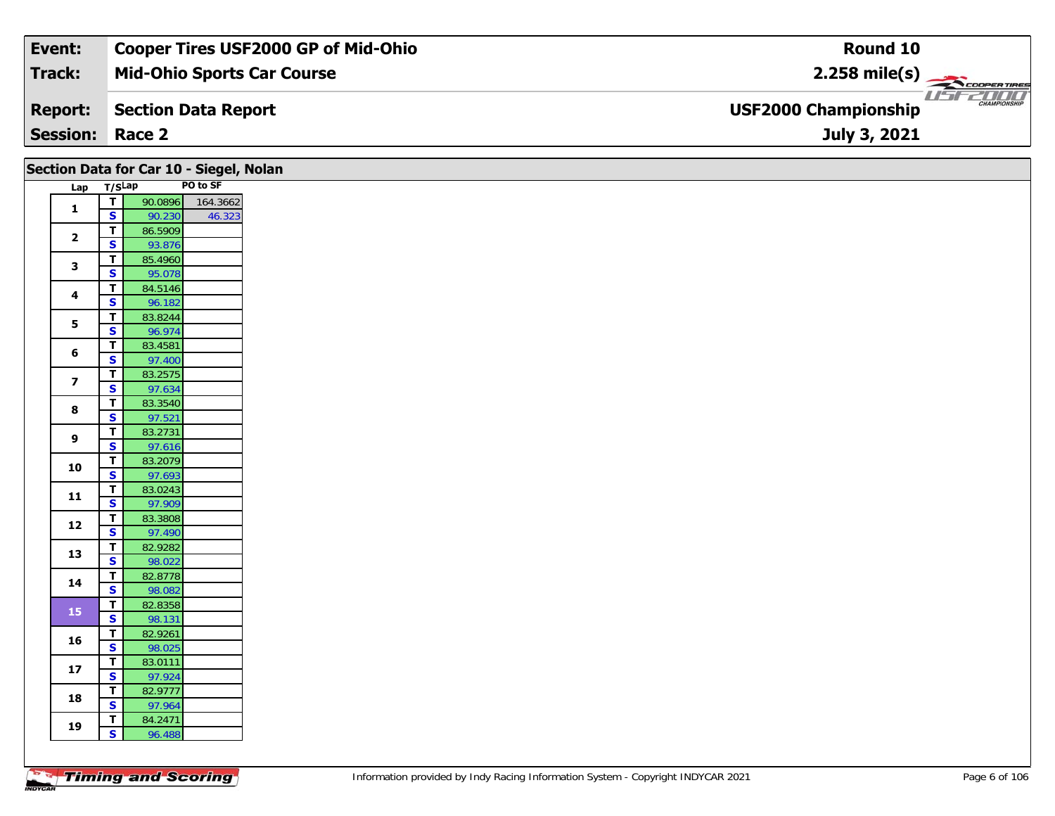| Event:                 | <b>Cooper Tires USF2000 GP of Mid-Ohio</b> | Round 10                                           |
|------------------------|--------------------------------------------|----------------------------------------------------|
| Track:                 | <b>Mid-Ohio Sports Car Course</b>          | $2.258$ mile(s)                                    |
| <b>Report:</b>         | Section Data Report                        | <b>CHAMPIONSHIP</b><br><b>USF2000 Championship</b> |
| <b>Session: Race 2</b> |                                            | July 3, 2021                                       |

|                         |                                                    | Section Data for Car 10 - Siegel, Nolan |  |
|-------------------------|----------------------------------------------------|-----------------------------------------|--|
|                         | Lap T/SLap                                         | PO to SF                                |  |
| $\mathbf{1}$            | $\overline{\mathsf{T}}$                            | 90.0896<br>164.3662                     |  |
|                         | $\mathsf{s}$                                       | 46.323<br>90.230                        |  |
| $\mathbf{2}$            | $\overline{\mathbf{r}}$                            | 86.5909                                 |  |
|                         | $\mathbf{s}$                                       | 93.876                                  |  |
| $\mathbf{3}$            | T                                                  | 85.4960                                 |  |
|                         | $\mathbf{s}$                                       | 95.078                                  |  |
| 4                       | $\mathbf T$                                        | 84.5146                                 |  |
|                         | $\overline{\mathbf{s}}$<br>$\overline{\mathbf{I}}$ | 96.182                                  |  |
| 5                       | $\overline{\mathbf{s}}$                            | 83.8244<br>96.974                       |  |
|                         | $\mathbf{T}$                                       | 83.4581                                 |  |
| 6                       | $\mathbf{s}$                                       | 97.400                                  |  |
|                         | $\mathbf T$                                        | 83.2575                                 |  |
| $\overline{\mathbf{z}}$ | $\mathbf{s}$                                       | 97.634                                  |  |
|                         | $\overline{\mathbf{T}}$                            | 83.3540                                 |  |
| 8                       | $\overline{\mathbf{s}}$                            | 97.521                                  |  |
| 9                       | $\overline{t}$                                     | 83.2731                                 |  |
|                         | S                                                  | 97.616                                  |  |
| 10                      | $\mathbf T$                                        | 83.2079                                 |  |
|                         | $\overline{\mathbf{s}}$                            | 97.693                                  |  |
| $11$                    | T                                                  | 83.0243                                 |  |
|                         | $\overline{\mathbf{s}}$<br>$\overline{\mathsf{r}}$ | 97.909                                  |  |
| $12$                    | S                                                  | 83.3808<br>97.490                       |  |
|                         | $\mathbf T$                                        | 82.9282                                 |  |
| 13                      | $\overline{\mathbf{s}}$                            | 98.022                                  |  |
|                         | $\overline{\mathbf{r}}$                            | 82.8778                                 |  |
| 14                      | $\mathsf{s}$                                       | 98.082                                  |  |
|                         | $\overline{f}$                                     | 82.8358                                 |  |
| 15                      | $\overline{\mathbf{s}}$                            | 98.131                                  |  |
| 16                      | $\mathbf T$                                        | 82.9261                                 |  |
|                         | $\mathbf{s}$                                       | 98.025                                  |  |
| $17$                    | $\mathbf T$                                        | 83.0111                                 |  |
|                         | $\mathbf{s}$                                       | 97.924                                  |  |
| 18                      | $\mathbf T$                                        | 82.9777                                 |  |
|                         | $\overline{\mathbf{s}}$                            | 97.964                                  |  |
| 19                      | T.<br>S                                            | 84.2471                                 |  |
|                         |                                                    | 96.488                                  |  |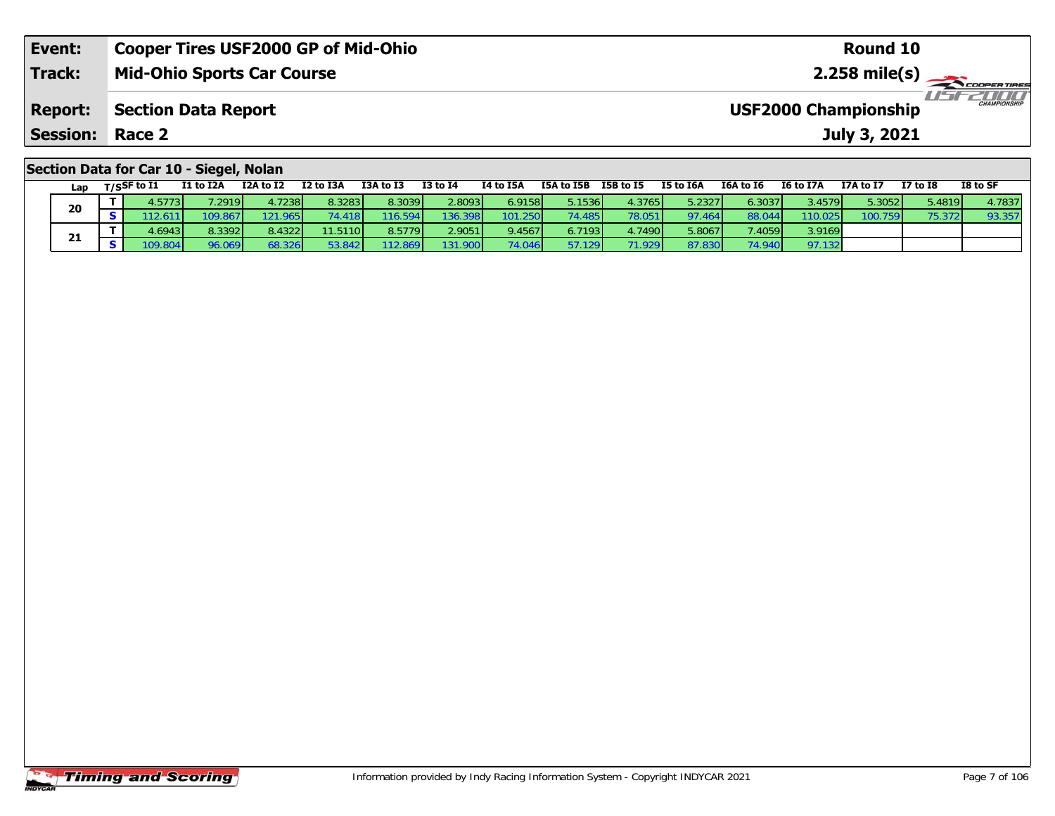| Event:                                  | <b>Cooper Tires USF2000 GP of Mid-Ohio</b> | Round 10                                           |  |  |  |  |  |  |  |
|-----------------------------------------|--------------------------------------------|----------------------------------------------------|--|--|--|--|--|--|--|
| <b>Track:</b>                           | <b>Mid-Ohio Sports Car Course</b>          |                                                    |  |  |  |  |  |  |  |
| <b>Report:</b>                          | Section Data Report                        | <b>CHAMPIONSHIP</b><br><b>USF2000 Championship</b> |  |  |  |  |  |  |  |
| <b>Session: Race 2</b>                  |                                            | July 3, 2021                                       |  |  |  |  |  |  |  |
| Section Data for Car 10 - Siegel, Nolan |                                            |                                                    |  |  |  |  |  |  |  |

| Lan | $T/S$ SF to $I1$ | I1 to I2A        | I2A to I2 | I2 to I3A | I3A to I3 | <b>I3 to I4</b> | I4 to I5A        | I5A to I5B | I5B to I5       | I5 to I6A | I6A to I6      | <b>I6 to I7A</b> | I7A to I7 | <b>I7 to I8</b> | I8 to SF |
|-----|------------------|------------------|-----------|-----------|-----------|-----------------|------------------|------------|-----------------|-----------|----------------|------------------|-----------|-----------------|----------|
| 20  | 4.5773V          | 7.2919           | 4.7238l   | 8.3283    | 8.3039    | 2.8093          | 6.9158           | 5.1536     | 4.3765          | 5.2327    | 6.3037         | 3.4579           | 5.3052    | 5.4819          | 4.7837   |
|     | .611             | 109.867 <b>1</b> | 121.965   | 74.418    | 116.594   | 136.398         | 101.250 <b>1</b> | 74.485     | 78.051          | 97.464    | 88.044         | 110.025          | 100.759   | 75.372          | 93.357   |
|     | 4.6943           | 8.3392           | 8.4322    | 11.5110   | 8.5779    | 2.9051          | 9.4567           | 6.7193     | 1.7490 <b>l</b> | 5.8067    | 7.4059         | 3.9169           |           |                 |          |
| 21  | 109.804          | 96.069           | 68.326    | 53.842    | 112.869   | 131.900         | 74.046           | 57.129     | 71.929          | 87.830    | <b>74 9401</b> | 97.132           |           |                 |          |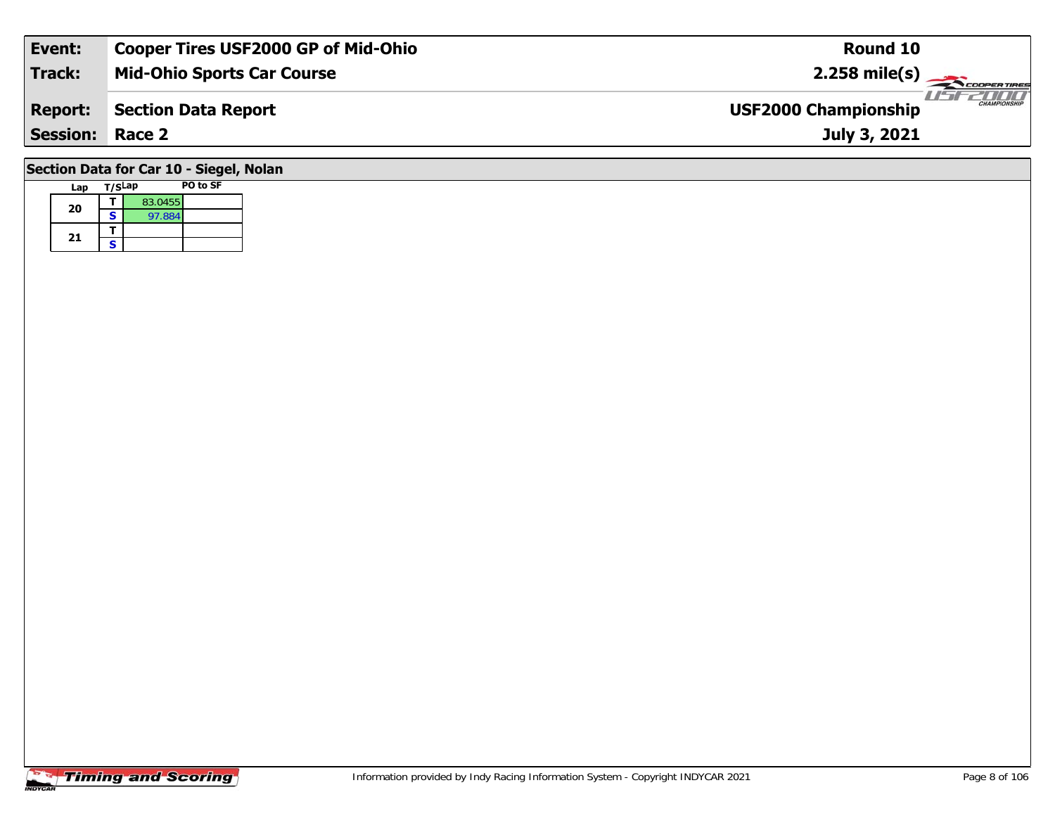| Event:                                  | <b>Cooper Tires USF2000 GP of Mid-Ohio</b> | Round 10                                           |  |  |  |  |  |  |  |
|-----------------------------------------|--------------------------------------------|----------------------------------------------------|--|--|--|--|--|--|--|
| <b>Track:</b>                           | <b>Mid-Ohio Sports Car Course</b>          | $2.258$ mile(s)                                    |  |  |  |  |  |  |  |
| <b>Report:</b>                          | <b>Section Data Report</b>                 | <b>CHAMPIONSHIP</b><br><b>USF2000 Championship</b> |  |  |  |  |  |  |  |
| <b>Session:</b>                         | Race 2                                     | July 3, 2021                                       |  |  |  |  |  |  |  |
| Section Data for Car 10 - Siegel, Nolan |                                            |                                                    |  |  |  |  |  |  |  |

## **Timing and Scoring**

**Lap T/SLap PO to SF** 

**<sup>T</sup>** 83.0455 **<sup>S</sup>** 97.884

**20**

21  $\frac{1}{s}$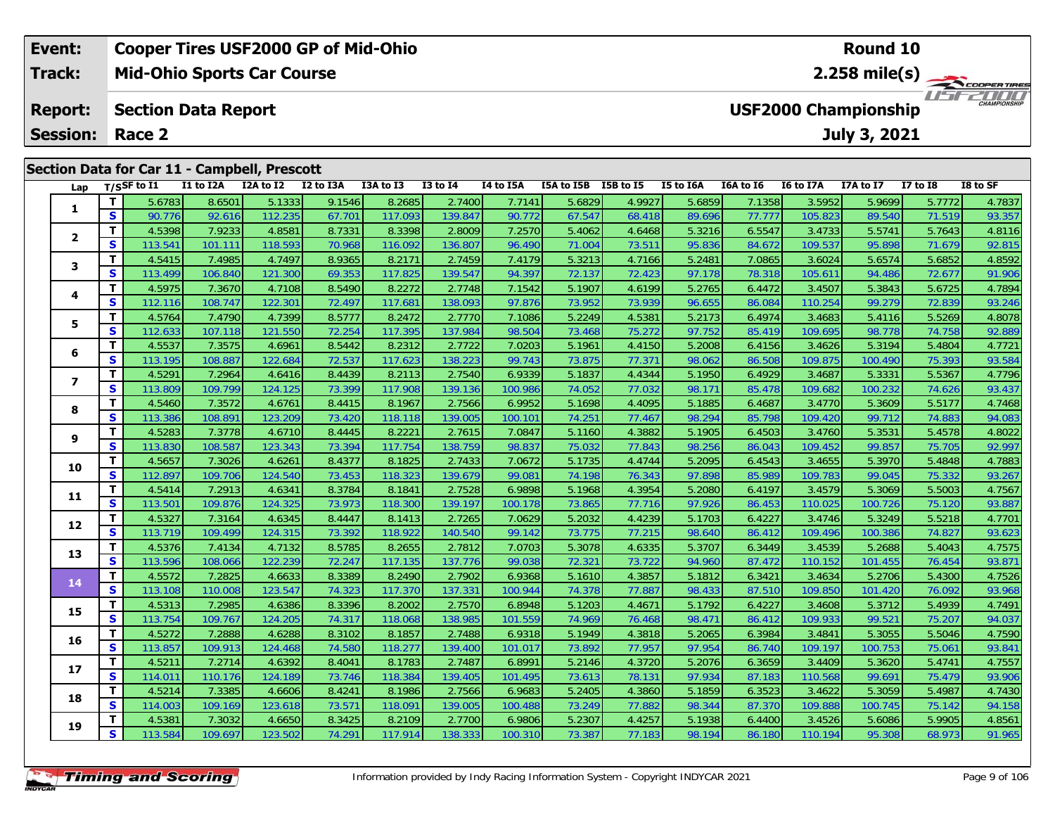|                                                                           | <b>Cooper Tires USF2000 GP of Mid-Ohio</b><br><b>Round 10</b><br>Event: |    |                       |           |                                              |           |           |                 |                                   |            |                                             |           |                             |                  |                  |            |          |
|---------------------------------------------------------------------------|-------------------------------------------------------------------------|----|-----------------------|-----------|----------------------------------------------|-----------|-----------|-----------------|-----------------------------------|------------|---------------------------------------------|-----------|-----------------------------|------------------|------------------|------------|----------|
|                                                                           | <b>Track:</b>                                                           |    |                       |           | <b>Mid-Ohio Sports Car Course</b>            |           |           |                 | 2.258 mile(s) $-$<br>COOPER TIRES |            |                                             |           |                             |                  |                  |            |          |
| <b>Section Data Report</b><br><b>Report:</b><br><b>Session:</b><br>Race 2 |                                                                         |    |                       |           |                                              |           |           |                 |                                   |            | <b>USF2000 Championship</b><br>July 3, 2021 |           | 2000<br><b>CHAMPIONSHIP</b> |                  |                  |            |          |
|                                                                           |                                                                         |    |                       |           | Section Data for Car 11 - Campbell, Prescott |           |           |                 |                                   |            |                                             |           |                             |                  |                  |            |          |
|                                                                           | Lap                                                                     |    | $_{\rm T/SS}$ F to I1 | I1 to I2A | I2A to I2                                    | I2 to I3A | I3A to I3 | <b>I3 to I4</b> | I4 to I5A                         | I5A to I5B | I5B to I5                                   | I5 to I6A | I6A to I6                   | <b>I6 to I7A</b> | <b>I7A to I7</b> | I7 to $I8$ | I8 to SF |
|                                                                           |                                                                         |    | 5.6783                | 8.6501    | 5.1333                                       | 9.1546    | 8.2685    | 2.7400          | 7.7141                            | 5.6829     | 4.9927                                      | 5.6859    | 7.1358                      | 3.5952           | 5.9699           | 5.7772     | 4.7837   |
|                                                                           |                                                                         | S. | 90.776                | 92.616    | 112.235                                      | 67.701    | 117.093   | 139.847         | 90.7721                           | 67.547     | 68.418                                      | 89.696    | 77.7771                     | 105.823          | 89.540           | 71.519     | 93.357   |

| $\overline{2}$   | т            | 4.5398  | 7.9233  | 4.8581  | 8.7331 | 8.3398  | 2.8009  | 7.2570  | 5.4062 | 4.6468 | 5.3216 | 6.5547 | 3.4733  | 5.5741  | 5.7643 | 4.8116 |
|------------------|--------------|---------|---------|---------|--------|---------|---------|---------|--------|--------|--------|--------|---------|---------|--------|--------|
|                  | S            | 113.541 | 101.111 | 118.593 | 70.968 | 116.092 | 136.807 | 96.490  | 71.004 | 73.511 | 95.836 | 84.672 | 109.537 | 95.898  | 71.679 | 92.815 |
| 3                | T            | 4.5415  | 7.4985  | 4.7497  | 8.9365 | 8.2171  | 2.7459  | 7.4179  | 5.3213 | 4.7166 | 5.2481 | 7.0865 | 3.6024  | 5.6574  | 5.6852 | 4.8592 |
|                  | S            | 113.499 | 106.840 | 121.300 | 69.353 | 117.825 | 139.547 | 94.397  | 72.137 | 72.423 | 97.178 | 78.318 | 105.611 | 94.486  | 72.677 | 91.906 |
| 4                | т            | 4.5975  | 7.3670  | 4.7108  | 8.5490 | 8.2272  | 2.7748  | 7.1542  | 5.1907 | 4.6199 | 5.2765 | 6.4472 | 3.4507  | 5.3843  | 5.6725 | 4.7894 |
|                  | S            | 112.116 | 108.747 | 122.301 | 72.497 | 117.681 | 138.093 | 97.876  | 73.952 | 73.939 | 96.655 | 86.084 | 110.254 | 99.279  | 72.839 | 93.246 |
| 5                | т            | 4.5764  | 7.4790  | 4.7399  | 8.5777 | 8.2472  | 2.7770  | 7.1086  | 5.2249 | 4.5381 | 5.2173 | 6.4974 | 3.4683  | 5.4116  | 5.5269 | 4.8078 |
|                  | S            | 112.633 | 107.118 | 121.550 | 72.254 | 117.395 | 137.984 | 98.504  | 73.468 | 75.272 | 97.752 | 85.419 | 109.695 | 98.778  | 74.758 | 92.889 |
| 6                | т            | 4.5537  | 7.3575  | 4.6961  | 8.5442 | 8.2312  | 2.7722  | 7.0203  | 5.1961 | 4.4150 | 5.2008 | 6.4156 | 3.4626  | 5.3194  | 5.4804 | 4.7721 |
|                  | S            | 113.195 | 108.887 | 122.684 | 72.537 | 117.623 | 138.223 | 99.743  | 73.875 | 77.371 | 98.062 | 86.508 | 109.875 | 100.490 | 75.393 | 93.584 |
| $\boldsymbol{7}$ | T            | 4.5291  | 7.2964  | 4.6416  | 8.4439 | 8.2113  | 2.7540  | 6.9339  | 5.1837 | 4.4344 | 5.1950 | 6.4929 | 3.4687  | 5.3331  | 5.5367 | 4.7796 |
|                  | S            | 113.809 | 109.799 | 124.125 | 73.399 | 117.908 | 139.136 | 100.986 | 74.052 | 77.032 | 98.171 | 85.478 | 109.682 | 100.232 | 74.626 | 93.437 |
| 8                | т            | 4.5460  | 7.3572  | 4.6761  | 8.4415 | 8.1967  | 2.7566  | 6.9952  | 5.1698 | 4.4095 | 5.1885 | 6.4687 | 3.4770  | 5.3609  | 5.5177 | 4.7468 |
|                  | S            | 113.386 | 108.891 | 123.209 | 73.420 | 118.118 | 139.005 | 100.101 | 74.251 | 77.467 | 98.294 | 85.798 | 109.420 | 99.712  | 74.883 | 94.083 |
| 9                | т            | 4.5283  | 7.3778  | 4.6710  | 8.4445 | 8.2221  | 2.7615  | 7.0847  | 5.1160 | 4.3882 | 5.1905 | 6.4503 | 3.4760  | 5.3531  | 5.4578 | 4.8022 |
|                  | $\mathbf s$  | 113.830 | 108.587 | 123.343 | 73.394 | 117.754 | 138.759 | 98.837  | 75.032 | 77.843 | 98.256 | 86.043 | 109.452 | 99.857  | 75.705 | 92.997 |
| 10               | т            | 4.5657  | 7.3026  | 4.6261  | 8.4377 | 8.1825  | 2.7433  | 7.0672  | 5.1735 | 4.4744 | 5.2095 | 6.4543 | 3.4655  | 5.3970  | 5.4848 | 4.7883 |
|                  | S            | 112.897 | 109.706 | 124.540 | 73.453 | 118.323 | 139.679 | 99.081  | 74.198 | 76.343 | 97.898 | 85.989 | 109.783 | 99.045  | 75.332 | 93.267 |
| 11               | т            | 4.5414  | 7.2913  | 4.6341  | 8.3784 | 8.1841  | 2.7528  | 6.9898  | 5.1968 | 4.3954 | 5.2080 | 6.4197 | 3.4579  | 5.3069  | 5.5003 | 4.7567 |
|                  | S            | 113.501 | 109.876 | 124.325 | 73.973 | 118.300 | 139.197 | 100.178 | 73.865 | 77.716 | 97.926 | 86.453 | 110.025 | 100.726 | 75.120 | 93.887 |
| 12               | т            | 4.5327  | 7.3164  | 4.6345  | 8.4447 | 8.1413  | 2.7265  | 7.0629  | 5.2032 | 4.4239 | 5.1703 | 6.4227 | 3.4746  | 5.3249  | 5.5218 | 4.7701 |
|                  | S            | 113.719 | 109.499 | 124.315 | 73.392 | 118.922 | 140.540 | 99.142  | 73.775 | 77.215 | 98.640 | 86.412 | 109.496 | 100.386 | 74.827 | 93.623 |
| 13               | т            | 4.5376  | 7.4134  | 4.7132  | 8.5785 | 8.2655  | 2.7812  | 7.0703  | 5.3078 | 4.6335 | 5.3707 | 6.3449 | 3.4539  | 5.2688  | 5.4043 | 4.7575 |
|                  | $\mathbf{s}$ | 113.596 | 108.066 | 122.239 | 72.247 | 117.135 | 137.776 | 99.038  | 72.321 | 73.722 | 94.960 | 87.472 | 110.152 | 101.455 | 76.454 | 93.871 |
| 14               | $\mathbf T$  | 4.5572  | 7.2825  | 4.6633  | 8.3389 | 8.2490  | 2.7902  | 6.9368  | 5.1610 | 4.3857 | 5.1812 | 6.3421 | 3.4634  | 5.2706  | 5.4300 | 4.7526 |
|                  | S            | 113.108 | 110.008 | 123.547 | 74.323 | 117.370 | 137.331 | 100.944 | 74.378 | 77.887 | 98.433 | 87.510 | 109.850 | 101.420 | 76.092 | 93.968 |
| 15               | т            | 4.5313  | 7.2985  | 4.6386  | 8.3396 | 8.2002  | 2.7570  | 6.8948  | 5.1203 | 4.4671 | 5.1792 | 6.4227 | 3.4608  | 5.3712  | 5.4939 | 4.7491 |
|                  | S            | 113.754 | 109.767 | 124.205 | 74.317 | 118.068 | 138.985 | 101.559 | 74.969 | 76.468 | 98.471 | 86.412 | 109.933 | 99.521  | 75.207 | 94.037 |
| 16               | т            | 4.5272  | 7.2888  | 4.6288  | 8.3102 | 8.1857  | 2.7488  | 6.9318  | 5.1949 | 4.3818 | 5.2065 | 6.3984 | 3.4841  | 5.3055  | 5.5046 | 4.7590 |
|                  | $\mathbf{s}$ | 113.857 | 109.913 | 124.468 | 74.580 | 118.277 | 139.400 | 101.017 | 73.892 | 77.957 | 97.954 | 86.740 | 109.197 | 100.753 | 75.061 | 93.841 |
| 17               | т            | 4.5211  | 7.2714  | 4.6392  | 8.4041 | 8.1783  | 2.7487  | 6.8991  | 5.2146 | 4.3720 | 5.2076 | 6.3659 | 3.4409  | 5.3620  | 5.4741 | 4.7557 |
|                  | S            | 114.011 | 110.176 | 124.189 | 73.746 | 118.384 | 139.405 | 101.495 | 73.613 | 78.131 | 97.934 | 87.183 | 110.568 | 99.691  | 75.479 | 93.906 |
| 18               | т            | 4.5214  | 7.3385  | 4.6606  | 8.4241 | 8.1986  | 2.7566  | 6.9683  | 5.2405 | 4.3860 | 5.1859 | 6.3523 | 3.4622  | 5.3059  | 5.4987 | 4.7430 |
|                  | S            | 114.003 | 109.169 | 123.618 | 73.571 | 118.091 | 139.005 | 100.488 | 73.249 | 77.882 | 98.344 | 87.370 | 109.888 | 100.745 | 75.142 | 94.158 |
| 19               | т            | 4.5381  | 7.3032  | 4.6650  | 8.3425 | 8.2109  | 2.7700  | 6.9806  | 5.2307 | 4.4257 | 5.1938 | 6.4400 | 3.4526  | 5.6086  | 5.9905 | 4.8561 |
|                  | S            | 113.584 | 109.697 | 123.502 | 74.291 | 117.914 | 138.333 | 100.310 | 73.387 | 77.183 | 98.194 | 86.180 | 110.194 | 95.308  | 68.973 | 91.965 |
|                  |              |         |         |         |        |         |         |         |        |        |        |        |         |         |        |        |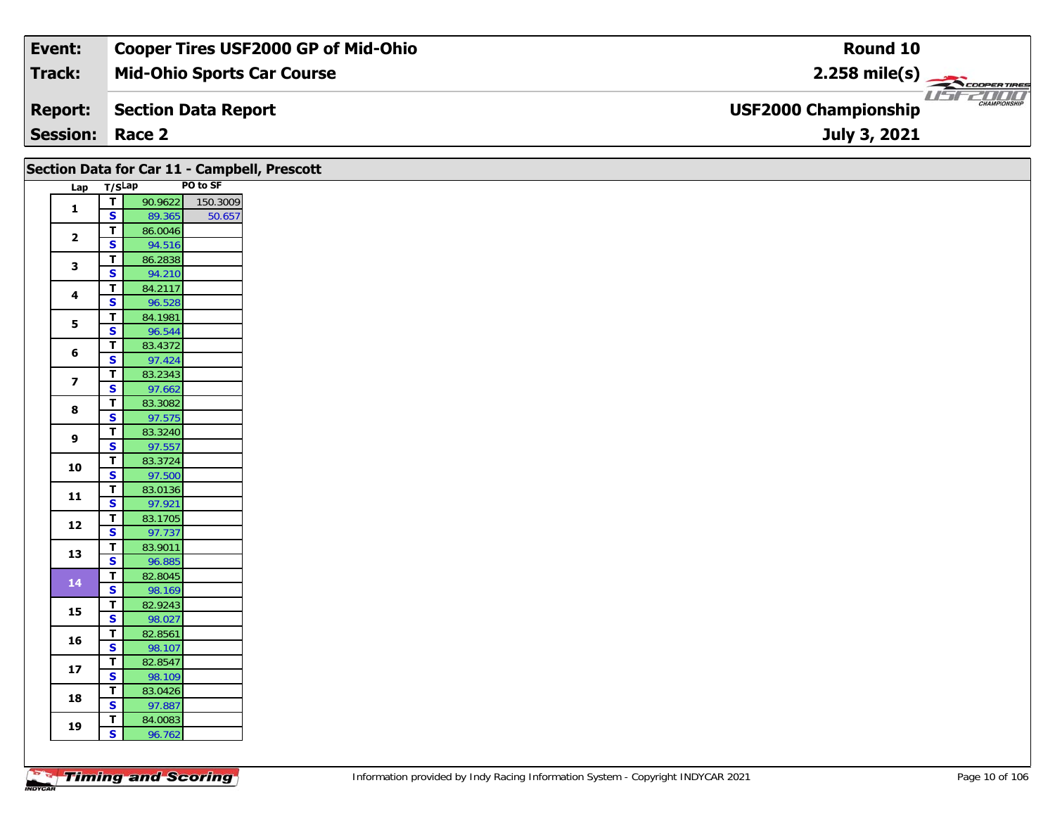| Event:                 | <b>Cooper Tires USF2000 GP of Mid-Ohio</b> | Round 10                                                      |
|------------------------|--------------------------------------------|---------------------------------------------------------------|
| Track:                 | <b>Mid-Ohio Sports Car Course</b>          | $2.258$ mile(s)                                               |
| <b>Report:</b>         | Section Data Report                        | USFZDOO<br><b>CHAMPIONSHIP</b><br><b>USF2000 Championship</b> |
| <b>Session: Race 2</b> |                                            | July 3, 2021                                                  |

|                         |                                                    |                   |          | Section Data for Car 11 - Campbell, Prescott |
|-------------------------|----------------------------------------------------|-------------------|----------|----------------------------------------------|
| Lap T/SLap              |                                                    |                   | PO to SF |                                              |
| $\mathbf{1}$            | $\overline{t}$                                     | 90.9622           | 150.3009 |                                              |
|                         | $\overline{\mathbf{s}}$                            | 89.365            | 50.657   |                                              |
| $\mathbf{2}$            | $\overline{\mathbf{T}}$                            | 86.0046           |          |                                              |
|                         | $\overline{\mathbf{s}}$                            | 94.516            |          |                                              |
| 3                       | T                                                  | 86.2838           |          |                                              |
|                         | $\overline{\mathbf{s}}$                            | 94.210            |          |                                              |
| $\overline{\mathbf{4}}$ | $\mathbf T$                                        | 84.2117           |          |                                              |
|                         | $\mathbf{s}$                                       | 96.528            |          |                                              |
| 5                       | $\mathbf T$                                        | 84.1981           |          |                                              |
|                         | $\overline{\mathbf{s}}$                            | 96.544            |          |                                              |
| 6                       | T                                                  | 83.4372           |          |                                              |
|                         | $\overline{\mathbf{s}}$                            | 97.424            |          |                                              |
| $\overline{\mathbf{z}}$ | $\mathbf T$                                        | 83.2343           |          |                                              |
|                         | $\overline{\mathbf{s}}$                            | 97.662            |          |                                              |
| 8                       | $\overline{\mathbf{T}}$                            | 83.3082           |          |                                              |
|                         | S                                                  | 97.575            |          |                                              |
| 9                       | T                                                  | 83.3240           |          |                                              |
|                         | $\mathbf{s}$                                       | 97.557            |          |                                              |
| 10                      | $\mathbf T$                                        | 83.3724           |          |                                              |
|                         | $\overline{\mathbf{s}}$                            | 97.500            |          |                                              |
| $\mathbf{11}$           | $\overline{\mathbf{T}}$                            | 83.0136           |          |                                              |
|                         | $\mathbf{s}$                                       | 97.921            |          |                                              |
| 12                      | $\overline{t}$                                     | 83.1705           |          |                                              |
|                         | $\overline{\mathbf{s}}$                            | 97.737            |          |                                              |
| 13                      | $\mathbf T$                                        | 83.9011           |          |                                              |
|                         | $\overline{\mathbf{s}}$                            | 96.885            |          |                                              |
| $14$                    | $\overline{\mathsf{r}}$                            | 82.8045           |          |                                              |
|                         | $\overline{\mathbf{s}}$                            | 98.169            |          |                                              |
| 15                      | $\overline{\mathbf{r}}$<br>$\overline{\mathbf{s}}$ | 82.9243           |          |                                              |
|                         |                                                    | 98.027            |          |                                              |
| 16                      | T<br>$\mathbf{s}$                                  | 82.8561<br>98.107 |          |                                              |
|                         | $\overline{\mathbf{r}}$                            | 82.8547           |          |                                              |
| ${\bf 17}$              | $\overline{\mathbf{s}}$                            | 98.109            |          |                                              |
|                         | $\overline{\mathbf{T}}$                            | 83.0426           |          |                                              |
| 18                      | $\mathbf{s}$                                       | 97.887            |          |                                              |
|                         | T                                                  | 84.0083           |          |                                              |
| 19                      | $\mathbf{s}$                                       | 96.762            |          |                                              |
|                         |                                                    |                   |          |                                              |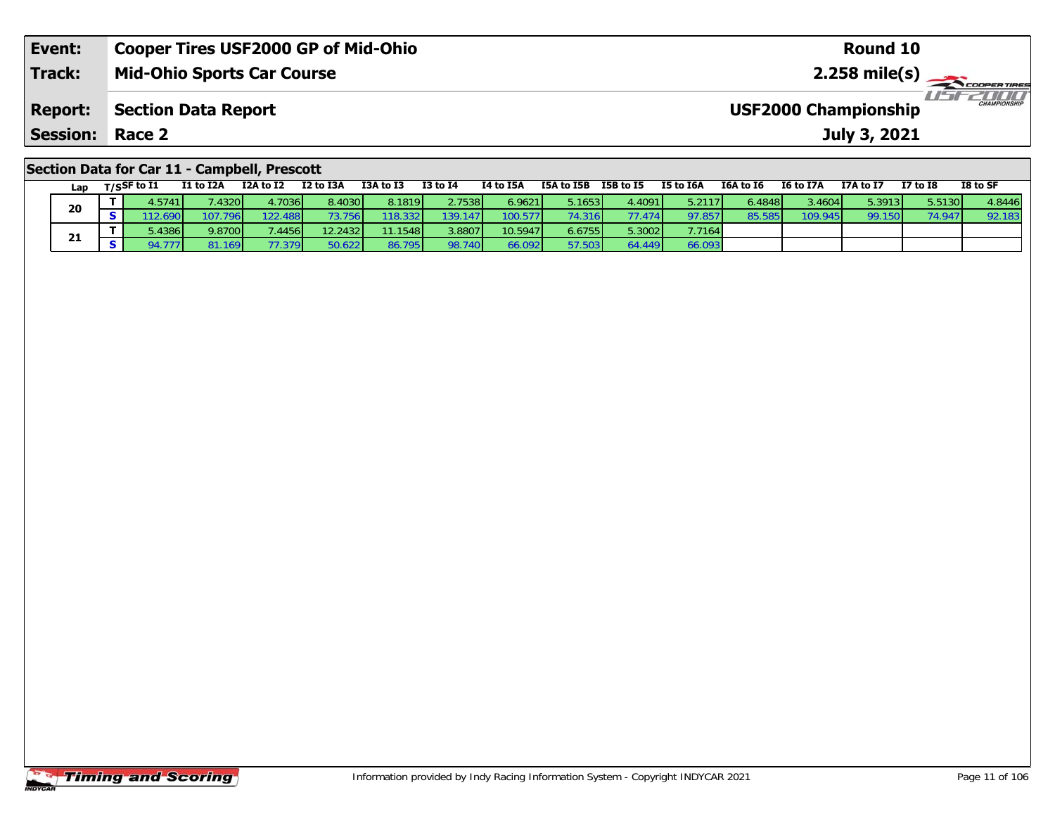| Event:                                       | <b>Cooper Tires USF2000 GP of Mid-Ohio</b> | Round 10                                           |  |  |  |  |  |  |
|----------------------------------------------|--------------------------------------------|----------------------------------------------------|--|--|--|--|--|--|
| <b>Track:</b>                                | <b>Mid-Ohio Sports Car Course</b>          |                                                    |  |  |  |  |  |  |
| <b>Report:</b>                               | Section Data Report                        | <b>CHAMPIONSHIP</b><br><b>USF2000 Championship</b> |  |  |  |  |  |  |
| <b>Session: Race 2</b>                       |                                            | July 3, 2021                                       |  |  |  |  |  |  |
| Section Data for Car 11 - Campbell, Prescott |                                            |                                                    |  |  |  |  |  |  |

| Lap | $T/S$ SF to $I1$ | I1 to I2A    | I2A to I2       | I2 to I3A       | I3A to I3 | <b>I3 to I4</b> | I4 to I5A | I5A to I5B      | I5B to I5               | <b>I5 to I6A</b> | I6A to I6               | I6 to I7A | I7A to I7 | <b>I7 to I8</b> | I8 to SF |
|-----|------------------|--------------|-----------------|-----------------|-----------|-----------------|-----------|-----------------|-------------------------|------------------|-------------------------|-----------|-----------|-----------------|----------|
|     | 1.5741           | .4320        | 4.7036 <b>1</b> | 8.4030          | 8.1819    | 2.7538          | 6.9621    | 5.1653 <b>l</b> |                         | 5.2117           | $5.4848$ $\blacksquare$ | 3.4604    | 5.3913    | 5.5130          | 4.8446   |
| 20  | .6901            | 107.796      | 122.488         | 73.756 <b>I</b> | 18.332    | 139.147         |           | 74.316          | 77.474                  | 97.857           | 85.585                  | 109.945   | 99.150    | 74.947          | 92.183   |
|     | .4386            | 9.8700       | '.4456 l        | 12.2432         | 11.1548   | .8807           | 10.5947   | 6.6755          | $5.3002$ $\blacksquare$ | 7.7164           |                         |           |           |                 |          |
| 21  |                  | .169 I<br>81 | 77.379          | 50.622 <b>1</b> | 86.795    | 98.740          | 6.092     | 57.503          | 54.449 L                | 66.093           |                         |           |           |                 |          |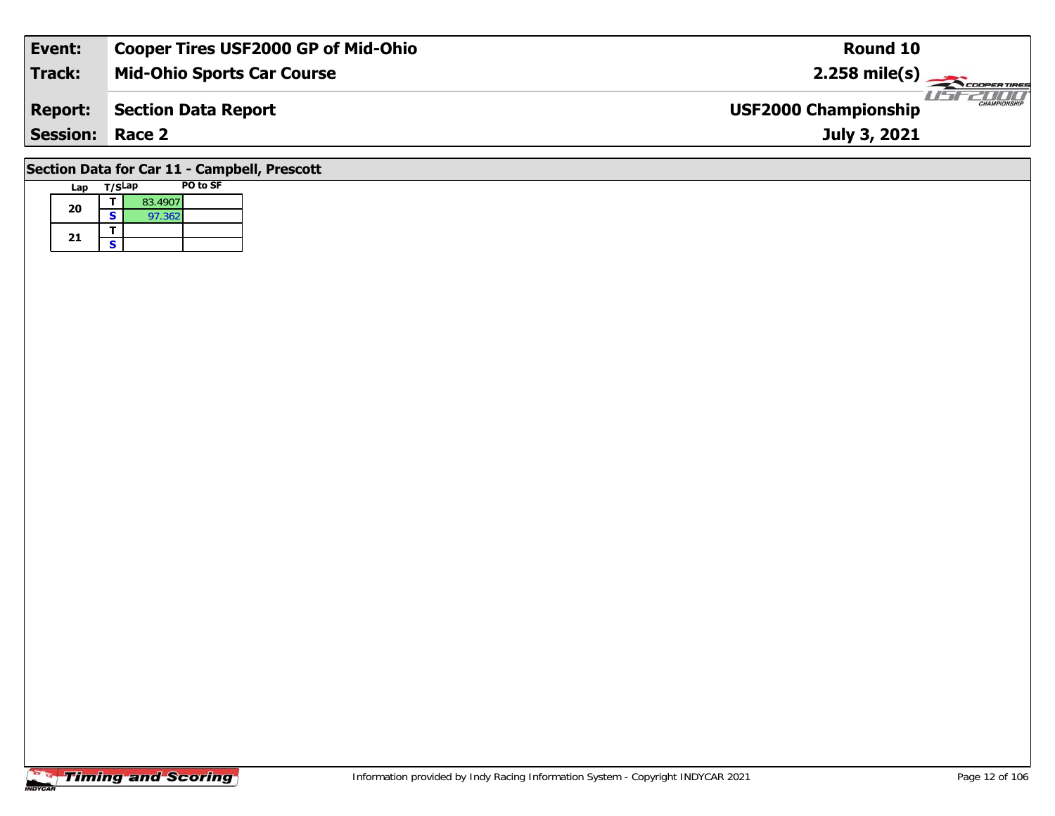| Event:                                                                                                               | <b>Cooper Tires USF2000 GP of Mid-Ohio</b> | Round 10                                           |  |  |  |  |  |  |  |
|----------------------------------------------------------------------------------------------------------------------|--------------------------------------------|----------------------------------------------------|--|--|--|--|--|--|--|
| Track:                                                                                                               | <b>Mid-Ohio Sports Car Course</b>          | $2.258 \text{ mile(s)}$                            |  |  |  |  |  |  |  |
| <b>Report:</b>                                                                                                       | <b>Section Data Report</b>                 | <b>CHAMPIONSHIP</b><br><b>USF2000 Championship</b> |  |  |  |  |  |  |  |
| <b>Session: Race 2</b>                                                                                               |                                            | July 3, 2021                                       |  |  |  |  |  |  |  |
| $\overline{a}$ . $\overline{a}$ . $\overline{a}$ . $\overline{a}$ . $\overline{a}$ . $\overline{a}$ . $\overline{a}$ |                                            |                                                    |  |  |  |  |  |  |  |

## **Section Data for Car 11 - Campbell, Prescott**

| Lap | T/SLap |         | PO to SF |
|-----|--------|---------|----------|
| 20  |        | 83.4907 |          |
|     | S      | 97.362  |          |
|     |        |         |          |
| 21  | S      |         |          |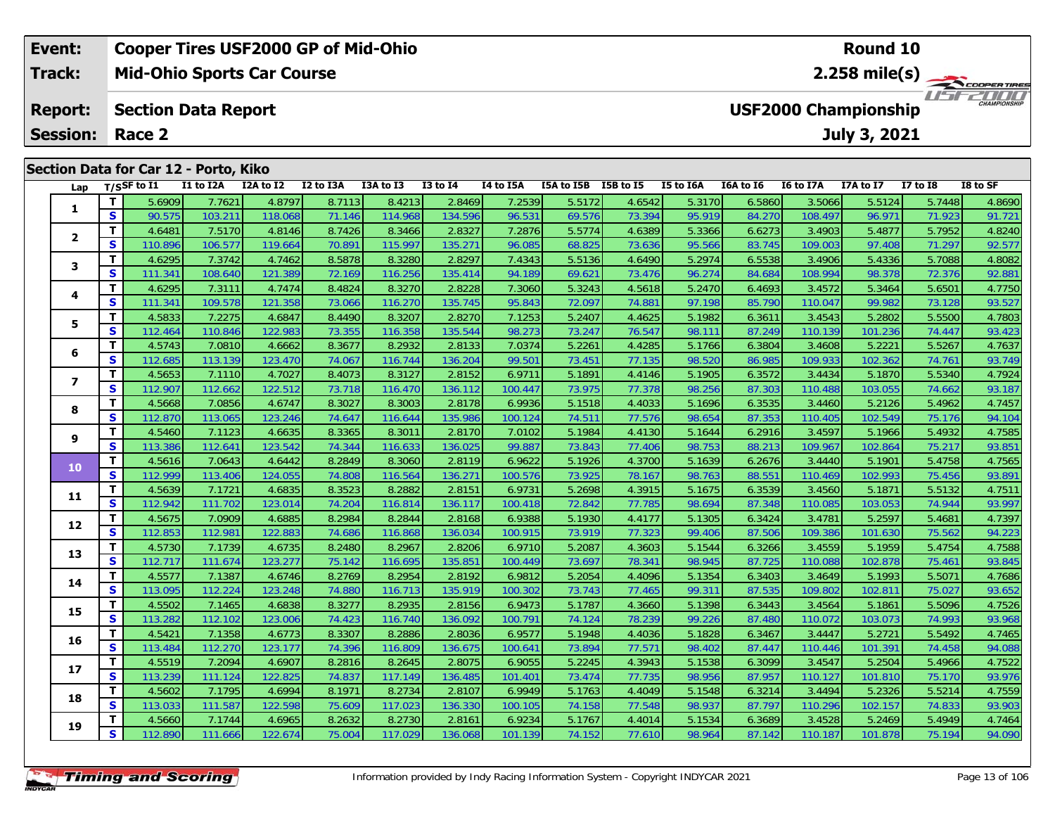### **Event: Cooper Tires USF2000 GP of Mid-Ohio Round 10Track:Mid-Ohio Sports Car Course 2.258 mile(s)** USF2000 **Section Data Report Report: USF2000 Championship July 3, 2021 Session: Race 2 Section Data for Car 12 - Porto, Kiko Lap T/SSF to I1 I1 to I2A I2A to I2 I2 to I3A I3A to I3 I3 to I4 I4 to I5A I5A to I5B I5B to I5 I5 to I6A I6A to I6 I6 to I7A I7A to I7 I7 to I8 I8 to SF**

| Lap                      |              | T/S>r to 11 | <b>II TO LZA</b> | <b>IZA TO IZ</b> | <b>IZ TO ISA</b> | <b>LSA TO LS</b> | 13 TO 14 | 14 TO 15A | <b>15A TO 15B</b> | 12R 10 12 | <b>12 LO TPU</b> | <b>IDA TO TP</b> | 10 TO 1/A | 1/A to 1/ | 17 10 18 | 18 TO 51 |
|--------------------------|--------------|-------------|------------------|------------------|------------------|------------------|----------|-----------|-------------------|-----------|------------------|------------------|-----------|-----------|----------|----------|
| 1                        | T            | 5.6909      | 7.7621           | 4.8797           | 8.7113           | 8.4213           | 2.8469   | 7.2539    | 5.5172            | 4.6542    | 5.3170           | 6.5860           | 3.5066    | 5.5124    | 5.7448   | 4.8690   |
|                          | S            | 90.575      | 103.21           | 118.068          | 71.146           | 114.968          | 134.596  | 96.531    | 69.576            | 73.394    | 95.919           | 84.270           | 108.497   | 96.971    | 71.923   | 91.721   |
| $\overline{2}$           | $\mathbf{T}$ | 4.6481      | 7.5170           | 4.8146           | 8.7426           | 8.3466           | 2.8327   | 7.2876    | 5.5774            | 4.6389    | 5.3366           | 6.6273           | 3.4903    | 5.4877    | 5.7952   | 4.8240   |
|                          | $\mathbf{s}$ | 110.896     | 106.577          | 119.664          | 70.891           | 115.997          | 135.271  | 96.085    | 68.825            | 73.636    | 95.566           | 83.745           | 109.003   | 97.408    | 71.297   | 92.577   |
| 3                        | $\mathbf T$  | 4.6295      | 7.3742           | 4.7462           | 8.5878           | 8.3280           | 2.8297   | 7.4343    | 5.5136            | 4.6490    | 5.2974           | 6.5538           | 3.4906    | 5.4336    | 5.7088   | 4.8082   |
|                          | S            | 111.341     | 108.640          | 121.389          | 72.169           | 116.256          | 135.414  | 94.189    | $69.62^{\circ}$   | 73.476    | 96.274           | 84.684           | 108.994   | 98.378    | 72.376   | 92.881   |
| 4                        | T            | 4.6295      | 7.3111           | 4.7474           | 8.4824           | 8.3270           | 2.8228   | 7.3060    | 5.3243            | 4.5618    | 5.2470           | 6.4693           | 3.4572    | 5.3464    | 5.6501   | 4.7750   |
|                          | S            | 111.341     | 109.578          | 121.358          | 73.066           | 116.270          | 135.745  | 95.843    | 72.097            | 74.881    | 97.198           | 85.790           | 110.047   | 99.982    | 73.128   | 93.527   |
| 5                        | $\mathbf{T}$ | 4.5833      | 7.2275           | 4.6847           | 8.4490           | 8.3207           | 2.8270   | 7.1253    | 5.2407            | 4.4625    | 5.1982           | 6.3611           | 3.4543    | 5.2802    | 5.5500   | 4.7803   |
|                          | $\mathbf{s}$ | 112.464     | 110.846          | 122.983          | 73.355           | 116.358          | 135.544  | 98.273    | 73.247            | 76.547    | 98.111           | 87.249           | 110.139   | 101.236   | 74.447   | 93.423   |
| 6                        | $\mathbf{T}$ | 4.5743      | 7.0810           | 4.6662           | 8.3677           | 8.2932           | 2.8133   | 7.0374    | 5.2261            | 4.4285    | 5.1766           | 6.3804           | 3.4608    | 5.2221    | 5.5267   | 4.7637   |
|                          | S            | 112.685     | 113.139          | 123.470          | 74.067           | 116.744          | 136.204  | 99.501    | 73.45'            | 77.135    | 98.520           | 86.985           | 109.933   | 102.362   | 74.761   | 93.749   |
| $\overline{\phantom{a}}$ | Т            | 4.5653      | 7.1110           | 4.7027           | 8.4073           | 8.3127           | 2.8152   | 6.9711    | 5.1891            | 4.4146    | 5.1905           | 6.3572           | 3.4434    | 5.1870    | 5.5340   | 4.7924   |
|                          | S            | 112.907     | 112.662          | 122.512          | 73.718           | 116.470          | 136.112  | 100.447   | 73.975            | 77.378    | 98.256           | 87.303           | 110.488   | 103.055   | 74.662   | 93.187   |
| 8                        | T            | 4.5668      | 7.0856           | 4.6747           | 8.3027           | 8.3003           | 2.8178   | 6.9936    | 5.1518            | 4.4033    | 5.1696           | 6.3535           | 3.4460    | 5.2126    | 5.4962   | 4.7457   |
|                          | $\mathbf{s}$ | 112.870     | 113.065          | 123.246          | 74.647           | 116.644          | 135.986  | 100.124   | 74.511            | 77.576    | 98.654           | 87.353           | 110.405   | 102.549   | 75.176   | 94.104   |
| 9                        | $\mathbf T$  | 4.5460      | 7.1123           | 4.6635           | 8.3365           | 8.3011           | 2.8170   | 7.0102    | 5.1984            | 4.4130    | 5.1644           | 6.2916           | 3.4597    | 5.1966    | 5.4932   | 4.7585   |
|                          | S            | 113.386     | 112.641          | 123.542          | 74.344           | 116.633          | 136.025  | 99.887    | 73.843            | 77.406    | 98.753           | 88.213           | 109.967   | 102.864   | 75.217   | 93.851   |
| 10                       | T            | 4.5616      | 7.0643           | 4.6442           | 8.2849           | 8.3060           | 2.8119   | 6.9622    | 5.1926            | 4.3700    | 5.1639           | 6.2676           | 3.4440    | 5.1901    | 5.4758   | 4.7565   |
|                          | S            | 112.999     | 113.406          | 124.055          | 74.808           | 116.564          | 136.271  | 100.576   | 73.925            | 78.167    | 98.763           | 88.551           | 110.469   | 102.993   | 75.456   | 93.891   |
| 11                       | $\mathbf{T}$ | 4.5639      | 7.1721           | 4.6835           | 8.3523           | 8.2882           | 2.8151   | 6.9731    | 5.2698            | 4.3915    | 5.1675           | 6.3539           | 3.4560    | 5.1871    | 5.5132   | 4.7511   |
|                          | S            | 112.942     | 111.702          | 123.014          | 74.204           | 116.814          | 136.117  | 100.418   | 72.842            | 77.785    | 98.694           | 87.348           | 110.085   | 103.053   | 74.944   | 93.997   |
| 12                       | $\mathbf{T}$ | 4.5675      | 7.0909           | 4.6885           | 8.2984           | 8.2844           | 2.8168   | 6.9388    | 5.1930            | 4.4177    | 5.1305           | 6.3424           | 3.4781    | 5.2597    | 5.4681   | 4.7397   |
|                          | S            | 112.853     | 112.981          | 122.883          | 74.686           | 116.868          | 136.034  | 100.915   | 73.919            | 77.323    | 99.406           | 87.506           | 109.386   | 101.630   | 75.562   | 94.223   |
| 13                       | T            | 4.5730      | 7.1739           | 4.6735           | 8.2480           | 8.2967           | 2.8206   | 6.9710    | 5.2087            | 4.3603    | 5.1544           | 6.3266           | 3.4559    | 5.1959    | 5.4754   | 4.7588   |
|                          | S            | 112.717     | 111.674          | 123.277          | 75.142           | 116.695          | 135.851  | 100.449   | 73.697            | 78.341    | 98.945           | 87.725           | 110.088   | 102.878   | 75.461   | 93.845   |
| 14                       | T            | 4.5577      | 7.1387           | 4.6746           | 8.2769           | 8.2954           | 2.8192   | 6.9812    | 5.2054            | 4.4096    | 5.1354           | 6.3403           | 3.4649    | 5.1993    | 5.5071   | 4.7686   |
|                          | $\mathbf{s}$ | 113.095     | 112.224          | 123.248          | 74.880           | 116.713          | 135.919  | 100.302   | 73.743            | 77.465    | 99.311           | 87.535           | 109.802   | 102.811   | 75.027   | 93.652   |
| 15                       | T            | 4.5502      | 7.1465           | 4.6838           | 8.3277           | 8.2935           | 2.8156   | 6.9473    | 5.1787            | 4.3660    | 5.1398           | 6.3443           | 3.4564    | 5.1861    | 5.5096   | 4.7526   |
|                          | S            | 113.282     | 112.102          | 123.006          | 74.423           | 116.740          | 136.092  | 100.791   | 74.124            | 78.239    | 99.226           | 87.480           | 110.072   | 103.073   | 74.993   | 93.968   |
| 16                       | $\mathbf T$  | 4.5421      | 7.1358           | 4.6773           | 8.3307           | 8.2886           | 2.8036   | 6.9577    | 5.1948            | 4.4036    | 5.1828           | 6.3467           | 3.4447    | 5.2721    | 5.5492   | 4.7465   |
|                          | S            | 113.484     | 112.270          | 123.177          | 74.396           | 116.809          | 136.675  | 100.641   | 73.894            | 77.571    | 98.402           | 87.447           | 110.446   | 101.391   | 74.458   | 94.088   |
| 17                       | $\mathbf{T}$ | 4.5519      | 7.2094           | 4.6907           | 8.2816           | 8.2645           | 2.8075   | 6.9055    | 5.2245            | 4.3943    | 5.1538           | 6.3099           | 3.4547    | 5.2504    | 5.4966   | 4.7522   |
|                          | S            | 113.239     | 111.124          | 122.825          | 74.837           | 117.149          | 136.485  | 101.401   | 73.474            | 77.735    | 98.956           | 87.957           | 110.127   | 101.810   | 75.170   | 93.976   |
| 18                       | T            | 4.5602      | 7.1795           | 4.6994           | 8.1971           | 8.2734           | 2.8107   | 6.9949    | 5.1763            | 4.4049    | 5.1548           | 6.3214           | 3.4494    | 5.2326    | 5.5214   | 4.7559   |
|                          | S            | 113.033     | 111.587          | 122.598          | 75.609           | 117.023          | 136.330  | 100.105   | 74.158            | 77.548    | 98.937           | 87.797           | 110.296   | 102.157   | 74.833   | 93.903   |
| 19                       | T            | 4.5660      | 7.1744           | 4.6965           | 8.2632           | 8.2730           | 2.8161   | 6.9234    | 5.1767            | 4.4014    | 5.1534           | 6.3689           | 3.4528    | 5.2469    | 5.4949   | 4.7464   |
|                          | $\mathbf{s}$ | 112.890     | 111.666          | 122.674          | 75.004           | 117.029          | 136.068  | 101.139   | 74.152            | 77.610    | 98.964           | 87.142           | 110.187   | 101.878   | 75.194   | 94.090   |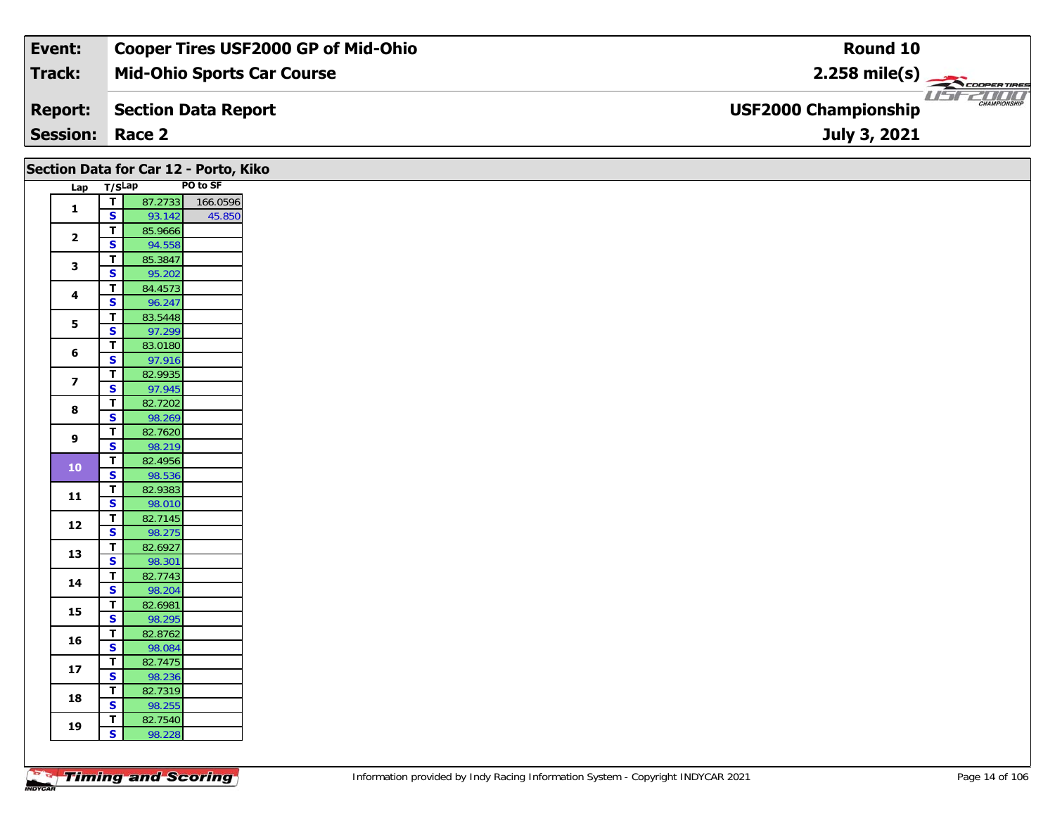| Event:                 | <b>Cooper Tires USF2000 GP of Mid-Ohio</b> | Round 10                                           |
|------------------------|--------------------------------------------|----------------------------------------------------|
| Track:                 | <b>Mid-Ohio Sports Car Course</b>          |                                                    |
| <b>Report:</b>         | Section Data Report                        | <b>CHAMPIONSHIP</b><br><b>USF2000 Championship</b> |
| <b>Session: Race 2</b> |                                            | July 3, 2021                                       |

| PO to SF<br>Lap T/SLap<br>T<br>87.2733 166.0596<br>$\mathbf{1}$<br>$\mathsf{s}$<br>45.850<br>93.142<br>$\overline{1}$<br>85.9666<br>$\overline{2}$<br>$\overline{\mathbf{s}}$<br>94.558<br>$\mathbf{T}$<br>85.3847<br>$\mathbf{3}$<br>$\mathbf{s}$<br>95.202<br>84.4573<br>$\mathbf{T}$<br>4<br>$\mathbf{s}$<br>96.247<br>$\overline{t}$<br>83.5448<br>5<br>$\overline{\mathbf{s}}$<br>97.299<br>$\mathbf{T}$<br>83.0180<br>$\bf 6$<br>$\mathbf{s}$<br>97.916<br>$\overline{1}$<br>82.9935<br>$\overline{\mathbf{z}}$<br>$\overline{\mathbf{s}}$<br>97.945<br>82.7202<br>$\overline{T}$<br>8<br>$\overline{\mathbf{s}}$<br>98.269<br>82.7620<br>$\mathbf{T}$<br>9<br>$\mathsf{s}$<br>98.219<br>$\mathbf{T}$<br>82.4956<br>${\bf 10}$<br>$\overline{\mathbf{s}}$<br>98.536<br>82.9383<br>$\mathbf{T}$<br>11<br>$\mathbf{s}$<br>98.010<br>$\overline{\mathsf{r}}$<br>82.7145<br>12<br>$\mathbf{s}$<br>98.275<br>82.6927<br>$\mathbf{T}$<br>13<br>$\overline{\mathbf{s}}$<br>98.301<br>82.7743<br>$\mathbf{T}$<br>14<br>$\mathsf{s}$<br>98.204<br>$\mathbf{T}$<br>82.6981<br>15<br>$\overline{\mathbf{s}}$<br>98.295<br>82.8762<br>$\mathbf{T}$<br>16<br>$\mathbf{s}$<br>98.084<br>82.7475<br>$\overline{1}$<br>$17$<br>$\mathbf{s}$<br>98.236<br>T<br>82.7319<br>18<br>$\overline{\mathbf{s}}$<br>98.255<br>82.7540<br>$\mathbf{T}$<br>19<br>$\mathbf{s}$<br>98.228 |  | Section Data for Car 12 - Porto, Kiko |  |
|-------------------------------------------------------------------------------------------------------------------------------------------------------------------------------------------------------------------------------------------------------------------------------------------------------------------------------------------------------------------------------------------------------------------------------------------------------------------------------------------------------------------------------------------------------------------------------------------------------------------------------------------------------------------------------------------------------------------------------------------------------------------------------------------------------------------------------------------------------------------------------------------------------------------------------------------------------------------------------------------------------------------------------------------------------------------------------------------------------------------------------------------------------------------------------------------------------------------------------------------------------------------------------------------------------------------------------------------------------------------|--|---------------------------------------|--|
|                                                                                                                                                                                                                                                                                                                                                                                                                                                                                                                                                                                                                                                                                                                                                                                                                                                                                                                                                                                                                                                                                                                                                                                                                                                                                                                                                                   |  |                                       |  |
|                                                                                                                                                                                                                                                                                                                                                                                                                                                                                                                                                                                                                                                                                                                                                                                                                                                                                                                                                                                                                                                                                                                                                                                                                                                                                                                                                                   |  |                                       |  |
|                                                                                                                                                                                                                                                                                                                                                                                                                                                                                                                                                                                                                                                                                                                                                                                                                                                                                                                                                                                                                                                                                                                                                                                                                                                                                                                                                                   |  |                                       |  |
|                                                                                                                                                                                                                                                                                                                                                                                                                                                                                                                                                                                                                                                                                                                                                                                                                                                                                                                                                                                                                                                                                                                                                                                                                                                                                                                                                                   |  |                                       |  |
|                                                                                                                                                                                                                                                                                                                                                                                                                                                                                                                                                                                                                                                                                                                                                                                                                                                                                                                                                                                                                                                                                                                                                                                                                                                                                                                                                                   |  |                                       |  |
|                                                                                                                                                                                                                                                                                                                                                                                                                                                                                                                                                                                                                                                                                                                                                                                                                                                                                                                                                                                                                                                                                                                                                                                                                                                                                                                                                                   |  |                                       |  |
|                                                                                                                                                                                                                                                                                                                                                                                                                                                                                                                                                                                                                                                                                                                                                                                                                                                                                                                                                                                                                                                                                                                                                                                                                                                                                                                                                                   |  |                                       |  |
|                                                                                                                                                                                                                                                                                                                                                                                                                                                                                                                                                                                                                                                                                                                                                                                                                                                                                                                                                                                                                                                                                                                                                                                                                                                                                                                                                                   |  |                                       |  |
|                                                                                                                                                                                                                                                                                                                                                                                                                                                                                                                                                                                                                                                                                                                                                                                                                                                                                                                                                                                                                                                                                                                                                                                                                                                                                                                                                                   |  |                                       |  |
|                                                                                                                                                                                                                                                                                                                                                                                                                                                                                                                                                                                                                                                                                                                                                                                                                                                                                                                                                                                                                                                                                                                                                                                                                                                                                                                                                                   |  |                                       |  |
|                                                                                                                                                                                                                                                                                                                                                                                                                                                                                                                                                                                                                                                                                                                                                                                                                                                                                                                                                                                                                                                                                                                                                                                                                                                                                                                                                                   |  |                                       |  |
|                                                                                                                                                                                                                                                                                                                                                                                                                                                                                                                                                                                                                                                                                                                                                                                                                                                                                                                                                                                                                                                                                                                                                                                                                                                                                                                                                                   |  |                                       |  |
|                                                                                                                                                                                                                                                                                                                                                                                                                                                                                                                                                                                                                                                                                                                                                                                                                                                                                                                                                                                                                                                                                                                                                                                                                                                                                                                                                                   |  |                                       |  |
|                                                                                                                                                                                                                                                                                                                                                                                                                                                                                                                                                                                                                                                                                                                                                                                                                                                                                                                                                                                                                                                                                                                                                                                                                                                                                                                                                                   |  |                                       |  |
|                                                                                                                                                                                                                                                                                                                                                                                                                                                                                                                                                                                                                                                                                                                                                                                                                                                                                                                                                                                                                                                                                                                                                                                                                                                                                                                                                                   |  |                                       |  |
|                                                                                                                                                                                                                                                                                                                                                                                                                                                                                                                                                                                                                                                                                                                                                                                                                                                                                                                                                                                                                                                                                                                                                                                                                                                                                                                                                                   |  |                                       |  |
|                                                                                                                                                                                                                                                                                                                                                                                                                                                                                                                                                                                                                                                                                                                                                                                                                                                                                                                                                                                                                                                                                                                                                                                                                                                                                                                                                                   |  |                                       |  |
|                                                                                                                                                                                                                                                                                                                                                                                                                                                                                                                                                                                                                                                                                                                                                                                                                                                                                                                                                                                                                                                                                                                                                                                                                                                                                                                                                                   |  |                                       |  |
|                                                                                                                                                                                                                                                                                                                                                                                                                                                                                                                                                                                                                                                                                                                                                                                                                                                                                                                                                                                                                                                                                                                                                                                                                                                                                                                                                                   |  |                                       |  |
|                                                                                                                                                                                                                                                                                                                                                                                                                                                                                                                                                                                                                                                                                                                                                                                                                                                                                                                                                                                                                                                                                                                                                                                                                                                                                                                                                                   |  |                                       |  |
|                                                                                                                                                                                                                                                                                                                                                                                                                                                                                                                                                                                                                                                                                                                                                                                                                                                                                                                                                                                                                                                                                                                                                                                                                                                                                                                                                                   |  |                                       |  |
|                                                                                                                                                                                                                                                                                                                                                                                                                                                                                                                                                                                                                                                                                                                                                                                                                                                                                                                                                                                                                                                                                                                                                                                                                                                                                                                                                                   |  |                                       |  |
|                                                                                                                                                                                                                                                                                                                                                                                                                                                                                                                                                                                                                                                                                                                                                                                                                                                                                                                                                                                                                                                                                                                                                                                                                                                                                                                                                                   |  |                                       |  |
|                                                                                                                                                                                                                                                                                                                                                                                                                                                                                                                                                                                                                                                                                                                                                                                                                                                                                                                                                                                                                                                                                                                                                                                                                                                                                                                                                                   |  |                                       |  |
|                                                                                                                                                                                                                                                                                                                                                                                                                                                                                                                                                                                                                                                                                                                                                                                                                                                                                                                                                                                                                                                                                                                                                                                                                                                                                                                                                                   |  |                                       |  |
|                                                                                                                                                                                                                                                                                                                                                                                                                                                                                                                                                                                                                                                                                                                                                                                                                                                                                                                                                                                                                                                                                                                                                                                                                                                                                                                                                                   |  |                                       |  |
|                                                                                                                                                                                                                                                                                                                                                                                                                                                                                                                                                                                                                                                                                                                                                                                                                                                                                                                                                                                                                                                                                                                                                                                                                                                                                                                                                                   |  |                                       |  |
|                                                                                                                                                                                                                                                                                                                                                                                                                                                                                                                                                                                                                                                                                                                                                                                                                                                                                                                                                                                                                                                                                                                                                                                                                                                                                                                                                                   |  |                                       |  |
|                                                                                                                                                                                                                                                                                                                                                                                                                                                                                                                                                                                                                                                                                                                                                                                                                                                                                                                                                                                                                                                                                                                                                                                                                                                                                                                                                                   |  |                                       |  |
|                                                                                                                                                                                                                                                                                                                                                                                                                                                                                                                                                                                                                                                                                                                                                                                                                                                                                                                                                                                                                                                                                                                                                                                                                                                                                                                                                                   |  |                                       |  |
|                                                                                                                                                                                                                                                                                                                                                                                                                                                                                                                                                                                                                                                                                                                                                                                                                                                                                                                                                                                                                                                                                                                                                                                                                                                                                                                                                                   |  |                                       |  |
|                                                                                                                                                                                                                                                                                                                                                                                                                                                                                                                                                                                                                                                                                                                                                                                                                                                                                                                                                                                                                                                                                                                                                                                                                                                                                                                                                                   |  |                                       |  |
|                                                                                                                                                                                                                                                                                                                                                                                                                                                                                                                                                                                                                                                                                                                                                                                                                                                                                                                                                                                                                                                                                                                                                                                                                                                                                                                                                                   |  |                                       |  |
|                                                                                                                                                                                                                                                                                                                                                                                                                                                                                                                                                                                                                                                                                                                                                                                                                                                                                                                                                                                                                                                                                                                                                                                                                                                                                                                                                                   |  |                                       |  |
|                                                                                                                                                                                                                                                                                                                                                                                                                                                                                                                                                                                                                                                                                                                                                                                                                                                                                                                                                                                                                                                                                                                                                                                                                                                                                                                                                                   |  |                                       |  |
|                                                                                                                                                                                                                                                                                                                                                                                                                                                                                                                                                                                                                                                                                                                                                                                                                                                                                                                                                                                                                                                                                                                                                                                                                                                                                                                                                                   |  |                                       |  |
|                                                                                                                                                                                                                                                                                                                                                                                                                                                                                                                                                                                                                                                                                                                                                                                                                                                                                                                                                                                                                                                                                                                                                                                                                                                                                                                                                                   |  |                                       |  |
|                                                                                                                                                                                                                                                                                                                                                                                                                                                                                                                                                                                                                                                                                                                                                                                                                                                                                                                                                                                                                                                                                                                                                                                                                                                                                                                                                                   |  |                                       |  |
|                                                                                                                                                                                                                                                                                                                                                                                                                                                                                                                                                                                                                                                                                                                                                                                                                                                                                                                                                                                                                                                                                                                                                                                                                                                                                                                                                                   |  |                                       |  |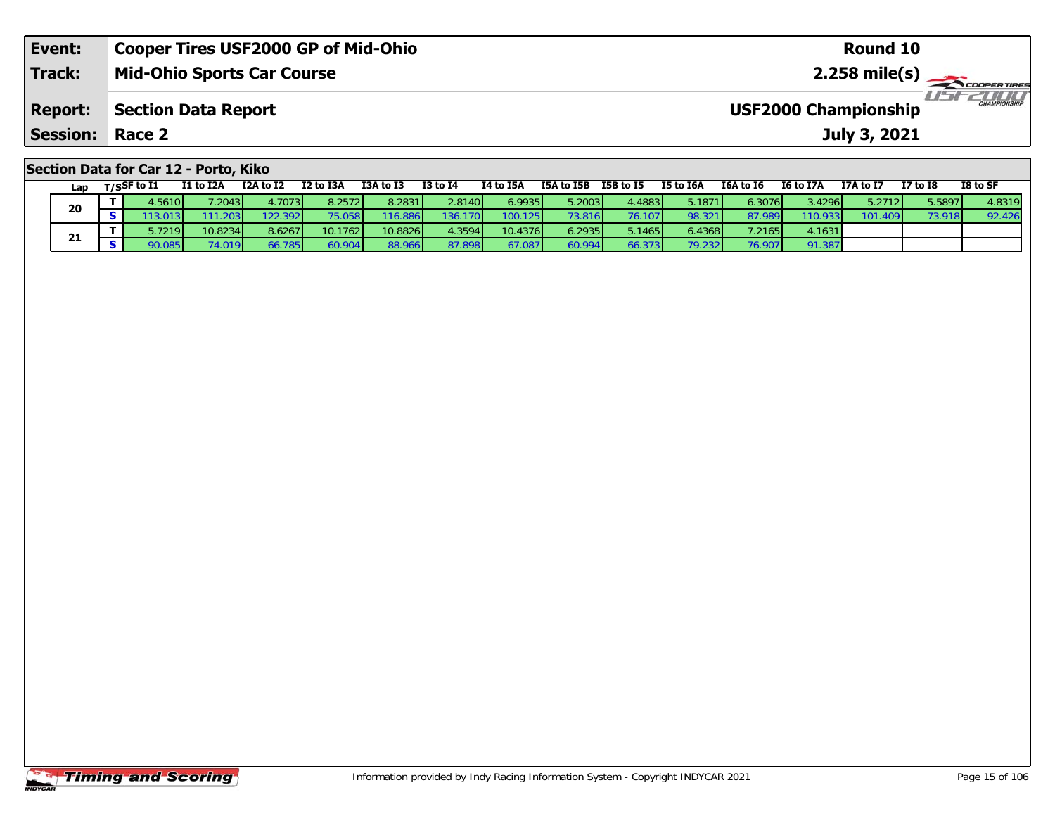| Event:                                | <b>Cooper Tires USF2000 GP of Mid-Ohio</b> | Round 10                                           |  |  |  |  |  |  |  |
|---------------------------------------|--------------------------------------------|----------------------------------------------------|--|--|--|--|--|--|--|
| <b>Track:</b>                         | <b>Mid-Ohio Sports Car Course</b>          |                                                    |  |  |  |  |  |  |  |
| <b>Report:</b>                        | <b>Section Data Report</b>                 | <b>CHAMPIONSHIP</b><br><b>USF2000 Championship</b> |  |  |  |  |  |  |  |
| <b>Session:</b>                       | Race 2                                     | July 3, 2021                                       |  |  |  |  |  |  |  |
| Section Data for Car 12 - Porto, Kiko |                                            |                                                    |  |  |  |  |  |  |  |

| Lan | $_{\rm T/SS}$ F to I1   | I1 to I2A          | I2A to I2       | I2 to I3A | I3A to I3 | <b>I3 to I4</b> | I4 to I5A | I5A to I5B | I5B to I5 | I5 to I6A | I6A to I6       | I6 to I7A | I7A to I7 | <b>I7 to I8</b> | I8 to SF |
|-----|-------------------------|--------------------|-----------------|-----------|-----------|-----------------|-----------|------------|-----------|-----------|-----------------|-----------|-----------|-----------------|----------|
| 20  | 4.5610V                 | $^{\prime}$ .2043] | 4.7073 <b>1</b> | 8.25721   | 8.2831    | 2.8140          | 6.9935    | 5.2003     | 4.4883 I  | 5.1871    | 6.3076 <b>1</b> | 3.4296 l  | 5.2712    | 5.5897          | 4.8319   |
|     | 3.013                   | 203                | 122.392         | 75.058    | 116.886   | 136.170         | 100.125   | 73.816     | 76.107    | 98.321    | 97.989          | 110.933   | 101.409   | 73.918          | 92.426   |
| 21  | $5.7219$ $\blacksquare$ | 10.8234            | 8.6267          | 10.1762   | 10.8826   | 4.3594          | 10.4376   | 6.2935     | 5.1465    | 6.4368    | 7.2165          | 4.1631    |           |                 |          |
|     | 90.085                  | 74.019             | 66.785          | 60.904    | 88.966    | 87.898          | 67.087    |            | ا36.373   | 79.232    | 76.90.          | 91.387    |           |                 |          |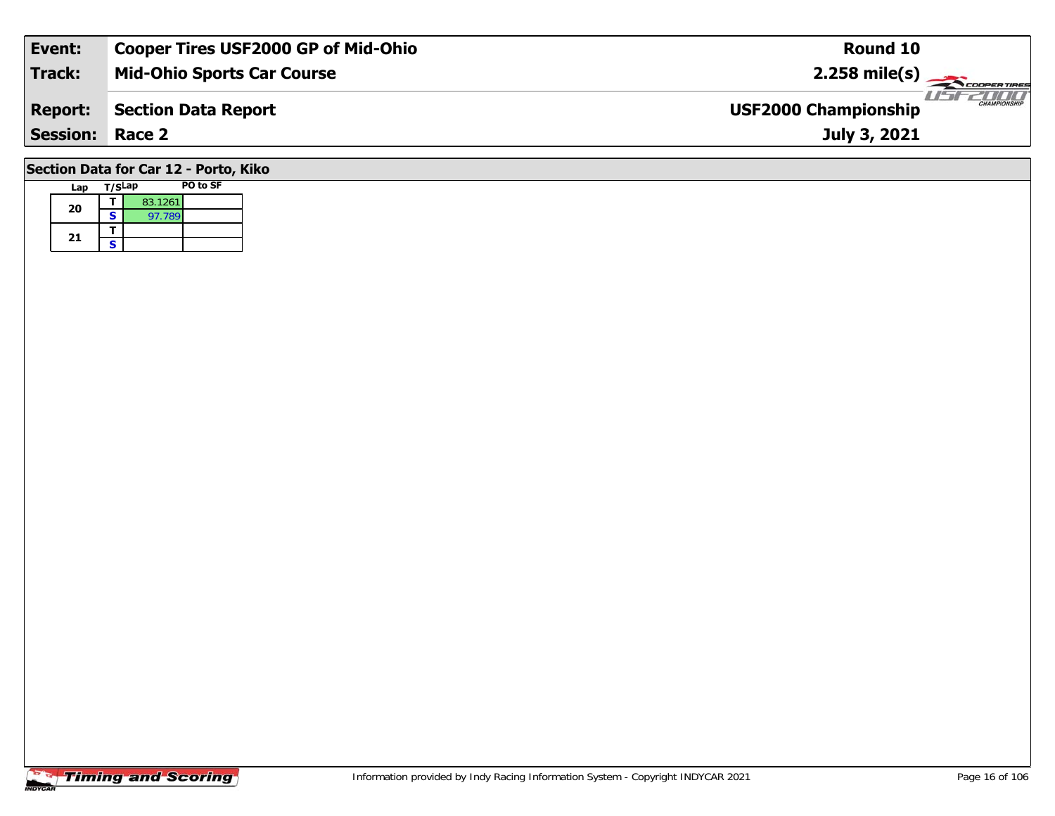| Event:                                | <b>Cooper Tires USF2000 GP of Mid-Ohio</b> | Round 10                                           |  |  |  |  |  |  |  |
|---------------------------------------|--------------------------------------------|----------------------------------------------------|--|--|--|--|--|--|--|
| <b>Track:</b>                         | <b>Mid-Ohio Sports Car Course</b>          | $2.258$ mile(s)                                    |  |  |  |  |  |  |  |
| <b>Report:</b>                        | <b>Section Data Report</b>                 | <b>CHAMPIONSHIP</b><br><b>USF2000 Championship</b> |  |  |  |  |  |  |  |
| <b>Session:</b>                       | Race 2                                     | July 3, 2021                                       |  |  |  |  |  |  |  |
| Section Data for Car 12 - Porto, Kiko |                                            |                                                    |  |  |  |  |  |  |  |

**Lap T/SLap PO to SF** 

**a**  $\begin{array}{|c|c|c|}\n\hline\n\textbf{S} & \textbf{83.1261} \\
\hline\n\textbf{S} & \textbf{97.789}\n\hline\n\end{array}$ 

 $\overline{\mathbf{I}}$  $\mathsf{s}$ 

**20**

**21**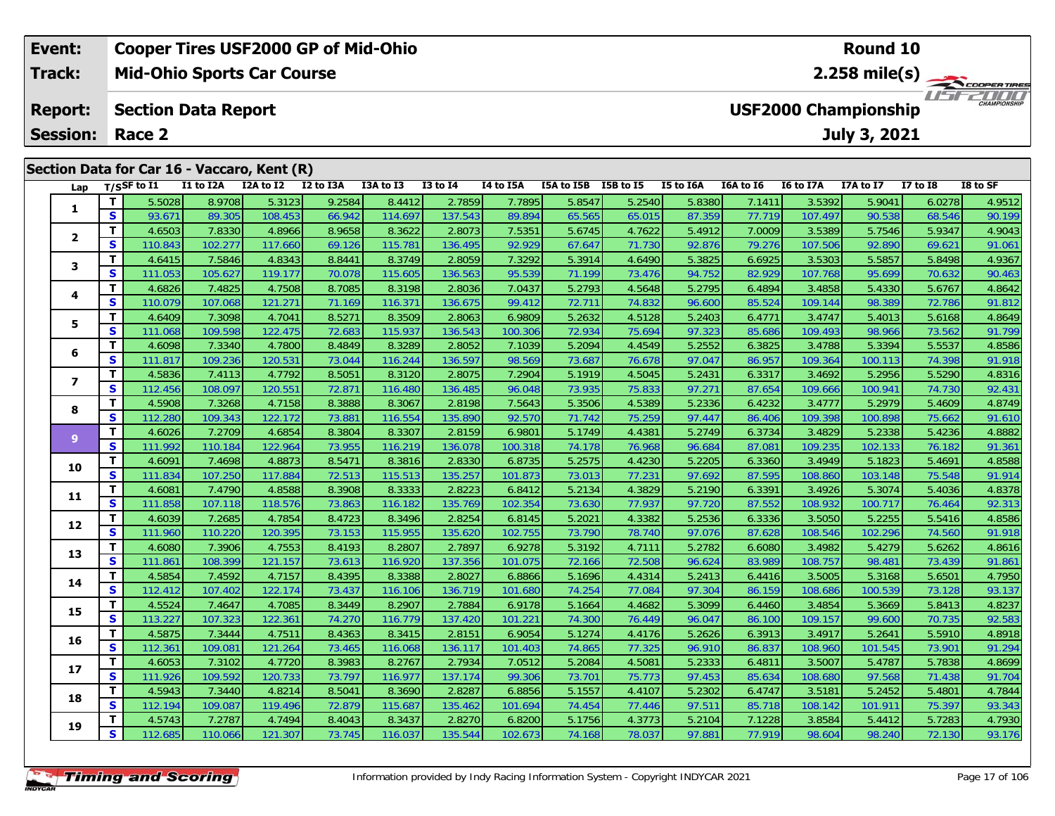|                 | Event:         |          |                                   |                            | <b>Cooper Tires USF2000 GP of Mid-Ohio</b>  |           |           |              |                  |            |           |           |                                       |                             | <b>Round 10</b>     |                 |                     |  |  |
|-----------------|----------------|----------|-----------------------------------|----------------------------|---------------------------------------------|-----------|-----------|--------------|------------------|------------|-----------|-----------|---------------------------------------|-----------------------------|---------------------|-----------------|---------------------|--|--|
|                 | Track:         |          | <b>Mid-Ohio Sports Car Course</b> |                            |                                             |           |           |              |                  |            |           |           | $2.258$ mile(s)<br><b>COOPERTIRES</b> |                             |                     |                 |                     |  |  |
|                 | <b>Report:</b> |          |                                   | <b>Section Data Report</b> |                                             |           |           |              |                  |            |           |           |                                       | <b>USF2000 Championship</b> |                     |                 | <b>CHAMPIONSHIP</b> |  |  |
| <b>Session:</b> |                |          | Race 2                            |                            |                                             |           |           |              |                  |            |           |           |                                       |                             | <b>July 3, 2021</b> |                 |                     |  |  |
|                 |                |          |                                   |                            | Section Data for Car 16 - Vaccaro, Kent (R) |           |           |              |                  |            |           |           |                                       |                             |                     |                 |                     |  |  |
|                 | Lap            |          | T/SSF to I1                       | I1 to I2A                  | I2A to I2                                   | I2 to I3A | I3A to I3 | $I3$ to $I4$ | <b>14 to 15A</b> | I5A to I5B | I5B to I5 | I5 to I6A | I6A to I6                             | <b>I6 to I7A</b>            | I7A to I7           | <b>I7 to I8</b> | I8 to SF            |  |  |
|                 |                |          | 5.5028                            | 8.9708                     | 5.3123                                      | 9.2584    | 8.4412    | 2.7859       | 7.7895           | 5.8547     | 5.2540    | 5.8380    | 7.1411                                | 3.5392                      | 5.9041              | 6.0278          | 4.9512              |  |  |
|                 |                | <b>S</b> | 93.671                            | 89.305                     | 108.453                                     | 66.942    | 114.697   | 137.543      | 89.894           | 65.565     | 65.015    | 87.359    | 77.719                                | 107.497                     | 90.538              | 68.546          | 90.199              |  |  |
|                 |                |          | 4.6503                            | 7.8330                     | 4.8966                                      | 8.9658    | 8.3622    | 2.8073       | 7.5351           | 5.6745     | 4.7622    | 5.4912    | 7.0009                                | 3.5389                      | 5.7546              | 5.9347          | 4.9043              |  |  |

|                          | $\bullet$ | 93.OT I | 89.305  | <u>108.453</u> | 00.Y42 | <u> 14.697</u> | 137.943 | 89.894  | 05.505 | <b>00.UID</b> | 87.359 | 77.719 | 107.497 | 90.538  | 08.540 | 90. 199 |
|--------------------------|-----------|---------|---------|----------------|--------|----------------|---------|---------|--------|---------------|--------|--------|---------|---------|--------|---------|
| $\mathbf{2}$             | т         | 4.6503  | 7.8330  | 4.8966         | 8.9658 | 8.3622         | 2.8073  | 7.5351  | 5.6745 | 4.7622        | 5.4912 | 7.0009 | 3.5389  | 5.7546  | 5.9347 | 4.9043  |
|                          | S         | 110.843 | 102.277 | 117.660        | 69.126 | 115.781        | 136.495 | 92.929  | 67.647 | 71.730        | 92.876 | 79.276 | 107.506 | 92.890  | 69.621 | 91.061  |
| 3                        | т         | 4.6415  | 7.5846  | 4.8343         | 8.8441 | 8.3749         | 2.8059  | 7.3292  | 5.3914 | 4.6490        | 5.3825 | 6.6925 | 3.5303  | 5.5857  | 5.8498 | 4.9367  |
|                          | S         | 111.053 | 105.627 | 119.177        | 70.078 | 115.605        | 136.563 | 95.539  | 71.199 | 73.476        | 94.752 | 82.929 | 107.768 | 95.699  | 70.632 | 90.463  |
|                          | т         | 4.6826  | 7.4825  | 4.7508         | 8.7085 | 8.3198         | 2.8036  | 7.0437  | 5.2793 | 4.5648        | 5.2795 | 6.4894 | 3.4858  | 5.4330  | 5.6767 | 4.8642  |
| 4                        | S         | 110.079 | 107.068 | 121.271        | 71.169 | 116.371        | 136.675 | 99.412  | 72.711 | 74.832        | 96.600 | 85.524 | 109.144 | 98.389  | 72.786 | 91.812  |
| 5                        | т         | 4.6409  | 7.3098  | 4.7041         | 8.5271 | 8.3509         | 2.8063  | 6.9809  | 5.2632 | 4.5128        | 5.2403 | 6.4771 | 3.4747  | 5.4013  | 5.6168 | 4.8649  |
|                          | S         | 111.068 | 109.598 | 122.475        | 72.683 | 115.937        | 136.543 | 100.306 | 72.934 | 75.694        | 97.323 | 85.686 | 109.493 | 98.966  | 73.562 | 91.799  |
|                          | T.        | 4.6098  | 7.3340  | 4.7800         | 8.4849 | 8.3289         | 2.8052  | 7.1039  | 5.2094 | 4.4549        | 5.2552 | 6.3825 | 3.4788  | 5.3394  | 5.5537 | 4.8586  |
| 6                        | S         | 111.817 | 109.236 | 120.531        | 73.044 | 116.244        | 136.597 | 98.569  | 73.687 | 76.678        | 97.047 | 86.957 | 109.364 | 100.113 | 74.398 | 91.918  |
| $\overline{\phantom{a}}$ | т         | 4.5836  | 7.4113  | 4.7792         | 8.5051 | 8.3120         | 2.8075  | 7.2904  | 5.1919 | 4.5045        | 5.2431 | 6.3317 | 3.4692  | 5.2956  | 5.5290 | 4.8316  |
|                          | S         | 112.456 | 108.097 | 120.551        | 72.871 | 116.480        | 136.485 | 96.048  | 73.935 | 75.833        | 97.271 | 87.654 | 109.666 | 100.941 | 74.730 | 92.431  |
|                          | т         | 4.5908  | 7.3268  | 4.7158         | 8.3888 | 8.3067         | 2.8198  | 7.5643  | 5.3506 | 4.5389        | 5.2336 | 6.4232 | 3.4777  | 5.2979  | 5.4609 | 4.8749  |
| 8                        | S         | 112.280 | 109.343 | 122.172        | 73.881 | 116.554        | 135.890 | 92.570  | 71.742 | 75.259        | 97.447 | 86.406 | 109.398 | 100.898 | 75.662 | 91.610  |
| $\overline{9}$           | T.        | 4.6026  | 7.2709  | 4.6854         | 8.3804 | 8.3307         | 2.8159  | 6.9801  | 5.1749 | 4.4381        | 5.2749 | 6.3734 | 3.4829  | 5.2338  | 5.4236 | 4.8882  |
|                          | <b>S</b>  | 111.992 | 110.184 | 122.964        | 73.955 | 116.219        | 136.078 | 100.318 | 74.178 | 76.968        | 96.684 | 87.081 | 109.235 | 102.133 | 76.182 | 91.361  |
| 10                       | т         | 4.6091  | 7.4698  | 4.8873         | 8.5471 | 8.3816         | 2.8330  | 6.8735  | 5.2575 | 4.4230        | 5.2205 | 6.3360 | 3.4949  | 5.1823  | 5.4691 | 4.8588  |
|                          | S         | 111.834 | 107.250 | 117.884        | 72.513 | 115.513        | 135.257 | 101.873 | 73.013 | 77.231        | 97.692 | 87.595 | 108.860 | 103.148 | 75.548 | 91.914  |
| 11                       | т         | 4.6081  | 7.4790  | 4.8588         | 8.3908 | 8.3333         | 2.8223  | 6.8412  | 5.2134 | 4.3829        | 5.2190 | 6.3391 | 3.4926  | 5.3074  | 5.4036 | 4.8378  |
|                          | S         | 111.858 | 107.118 | 118.576        | 73.863 | 116.182        | 135.769 | 102.354 | 73.630 | 77.937        | 97.720 | 87.552 | 108.932 | 100.717 | 76.464 | 92.313  |
| 12                       | т         | 4.6039  | 7.2685  | 4.7854         | 8.4723 | 8.3496         | 2.8254  | 6.8145  | 5.2021 | 4.3382        | 5.2536 | 6.3336 | 3.5050  | 5.2255  | 5.5416 | 4.8586  |
|                          | S         | 111.960 | 110.220 | 120.395        | 73.153 | 115.955        | 135.620 | 102.755 | 73.790 | 78.740        | 97.076 | 87.628 | 108.546 | 102.296 | 74.560 | 91.918  |
| 13                       | т         | 4.6080  | 7.3906  | 4.7553         | 8.4193 | 8.2807         | 2.7897  | 6.9278  | 5.3192 | 4.7111        | 5.2782 | 6.6080 | 3.4982  | 5.4279  | 5.6262 | 4.8616  |
|                          | S         | 111.861 | 108.399 | 121.157        | 73.613 | 116.920        | 137.356 | 101.075 | 72.166 | 72.508        | 96.624 | 83.989 | 108.757 | 98.481  | 73.439 | 91.861  |
| 14                       | T.        | 4.5854  | 7.4592  | 4.7157         | 8.4395 | 8.3388         | 2.8027  | 6.8866  | 5.1696 | 4.4314        | 5.2413 | 6.4416 | 3.5005  | 5.3168  | 5.6501 | 4.7950  |
|                          | S         | 112.412 | 107.402 | 122.174        | 73.437 | 116.106        | 136.719 | 101.680 | 74.254 | 77.084        | 97.304 | 86.159 | 108.686 | 100.539 | 73.128 | 93.137  |
| 15                       | т         | 4.5524  | 7.4647  | 4.7085         | 8.3449 | 8.2907         | 2.7884  | 6.9178  | 5.1664 | 4.4682        | 5.3099 | 6.4460 | 3.4854  | 5.3669  | 5.8413 | 4.8237  |
|                          | S         | 113.227 | 107.323 | 122.361        | 74.270 | 116.779        | 137.420 | 101.221 | 74.300 | 76.449        | 96.047 | 86.100 | 109.157 | 99.600  | 70.735 | 92.583  |
| 16                       | т         | 4.5875  | 7.3444  | 4.7511         | 8.4363 | 8.3415         | 2.8151  | 6.9054  | 5.1274 | 4.4176        | 5.2626 | 6.3913 | 3.4917  | 5.2641  | 5.5910 | 4.8918  |
|                          | S         | 112.361 | 109.081 | 121.264        | 73.465 | 116.068        | 136.117 | 101.403 | 74.865 | 77.325        | 96.910 | 86.837 | 108.960 | 101.545 | 73.901 | 91.294  |
| 17                       | т         | 4.6053  | 7.3102  | 4.7720         | 8.3983 | 8.2767         | 2.7934  | 7.0512  | 5.2084 | 4.5081        | 5.2333 | 6.4811 | 3.5007  | 5.4787  | 5.7838 | 4.8699  |
|                          | S         | 111.926 | 109.592 | 120.733        | 73.797 | 116.977        | 137.174 | 99.306  | 73.701 | 75.773        | 97.453 | 85.634 | 108.680 | 97.568  | 71.438 | 91.704  |
| 18                       | т         | 4.5943  | 7.3440  | 4.8214         | 8.5041 | 8.3690         | 2.8287  | 6.8856  | 5.1557 | 4.4107        | 5.2302 | 6.4747 | 3.5181  | 5.2452  | 5.4801 | 4.7844  |
|                          | S         | 112.194 | 109.087 | 119.496        | 72.879 | 115.687        | 135.462 | 101.694 | 74.454 | 77.446        | 97.511 | 85.718 | 108.142 | 101.911 | 75.397 | 93.343  |
| 19                       | т         | 4.5743  | 7.2787  | 4.7494         | 8.4043 | 8.3437         | 2.8270  | 6.8200  | 5.1756 | 4.3773        | 5.2104 | 7.1228 | 3.8584  | 5.4412  | 5.7283 | 4.7930  |
|                          | S         | 112.685 | 110.066 | 121.307        | 73.745 | 116.037        | 135.544 | 102.673 | 74.168 | 78.037        | 97.881 | 77.919 | 98.604  | 98.240  | 72.130 | 93.176  |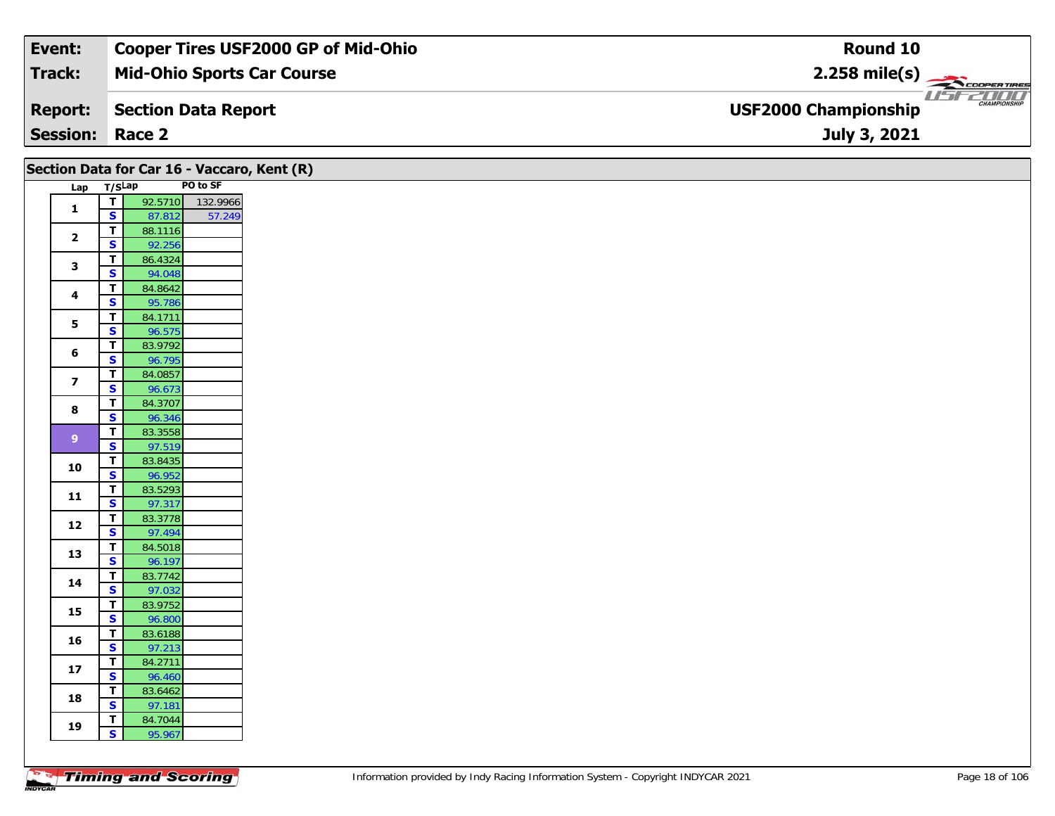| Event:                 | <b>Cooper Tires USF2000 GP of Mid-Ohio</b> | Round 10                                                      |
|------------------------|--------------------------------------------|---------------------------------------------------------------|
| Track:                 | <b>Mid-Ohio Sports Car Course</b>          | $2.258$ mile(s)                                               |
| <b>Report:</b>         | Section Data Report                        | USFZOOO<br><b>CHAMPIONSHIP</b><br><b>USF2000 Championship</b> |
| <b>Session: Race 2</b> |                                            | July 3, 2021                                                  |

| Lap T/SLap<br>92.5710 132.9966<br>$\overline{t}$<br>$\mathbf{1}$<br>$\overline{\mathbf{s}}$<br>57.249<br>87.812<br>$\mathbf T$<br>88.1116<br>$\overline{2}$<br>$\overline{\mathbf{s}}$<br>92.256<br>86.4324<br>$\mathbf T$<br>3<br>$\overline{\mathbf{s}}$<br>94.048<br>$\mathbf T$<br>84.8642<br>4<br>$\overline{\mathbf{s}}$<br>95.786<br>$\mathbf T$<br>84.1711<br>$\overline{\mathbf{5}}$<br>$\overline{\mathbf{s}}$<br>96.575<br>83.9792<br>T<br>$\bf 6$<br>S<br>96.795<br>$\mathbf T$<br>84.0857<br>$\overline{\mathbf{z}}$<br>$\overline{\mathbf{s}}$<br>96.673<br>$\overline{\mathbf{T}}$<br>84.3707<br>8<br>$\overline{\mathbf{s}}$<br>96.346<br>83.3558<br>$\overline{\mathbf{I}}$<br>$\boldsymbol{9}$<br>97.519<br>$\overline{\mathbf{s}}$<br>$\overline{\mathbf{r}}$<br>83.8435<br>10<br>$\overline{\mathbf{s}}$<br>96.952<br>$\mathbf T$<br>83.5293<br>11<br>$\mathbf{s}$<br>97.317<br>$\mathbf T$<br>83.3778<br>12<br>$\overline{\mathbf{s}}$<br>97.494<br>84.5018<br>$\overline{\mathbf{T}}$<br>13<br>$\overline{\mathbf{s}}$<br>96.197<br>$\mathbf T$<br>83.7742<br>14<br>$\overline{\mathbf{s}}$<br>97.032<br>83.9752<br>$\mathbf T$<br>15<br>$\overline{\mathbf{s}}$<br>96.800<br>$\mathbf T$<br>83.6188<br>16<br>$\overline{\mathbf{s}}$<br>97.213<br>$\overline{\mathbf{I}}$<br>84.2711<br>17<br>$\overline{\mathbf{s}}$<br>96.460<br>$\mathbf T$<br>83.6462<br>18<br>$\overline{\mathbf{s}}$<br>97.181<br>$\mathbf T$<br>84.7044<br>19<br>$\mathbf{s}$<br>95.967 |  | Section Data for Car 16 - Vaccaro, Kent (R) |
|---------------------------------------------------------------------------------------------------------------------------------------------------------------------------------------------------------------------------------------------------------------------------------------------------------------------------------------------------------------------------------------------------------------------------------------------------------------------------------------------------------------------------------------------------------------------------------------------------------------------------------------------------------------------------------------------------------------------------------------------------------------------------------------------------------------------------------------------------------------------------------------------------------------------------------------------------------------------------------------------------------------------------------------------------------------------------------------------------------------------------------------------------------------------------------------------------------------------------------------------------------------------------------------------------------------------------------------------------------------------------------------------------------------------------------------------------------------------------------------|--|---------------------------------------------|
|                                                                                                                                                                                                                                                                                                                                                                                                                                                                                                                                                                                                                                                                                                                                                                                                                                                                                                                                                                                                                                                                                                                                                                                                                                                                                                                                                                                                                                                                                       |  | PO to SF                                    |
|                                                                                                                                                                                                                                                                                                                                                                                                                                                                                                                                                                                                                                                                                                                                                                                                                                                                                                                                                                                                                                                                                                                                                                                                                                                                                                                                                                                                                                                                                       |  |                                             |
|                                                                                                                                                                                                                                                                                                                                                                                                                                                                                                                                                                                                                                                                                                                                                                                                                                                                                                                                                                                                                                                                                                                                                                                                                                                                                                                                                                                                                                                                                       |  |                                             |
|                                                                                                                                                                                                                                                                                                                                                                                                                                                                                                                                                                                                                                                                                                                                                                                                                                                                                                                                                                                                                                                                                                                                                                                                                                                                                                                                                                                                                                                                                       |  |                                             |
|                                                                                                                                                                                                                                                                                                                                                                                                                                                                                                                                                                                                                                                                                                                                                                                                                                                                                                                                                                                                                                                                                                                                                                                                                                                                                                                                                                                                                                                                                       |  |                                             |
|                                                                                                                                                                                                                                                                                                                                                                                                                                                                                                                                                                                                                                                                                                                                                                                                                                                                                                                                                                                                                                                                                                                                                                                                                                                                                                                                                                                                                                                                                       |  |                                             |
|                                                                                                                                                                                                                                                                                                                                                                                                                                                                                                                                                                                                                                                                                                                                                                                                                                                                                                                                                                                                                                                                                                                                                                                                                                                                                                                                                                                                                                                                                       |  |                                             |
|                                                                                                                                                                                                                                                                                                                                                                                                                                                                                                                                                                                                                                                                                                                                                                                                                                                                                                                                                                                                                                                                                                                                                                                                                                                                                                                                                                                                                                                                                       |  |                                             |
|                                                                                                                                                                                                                                                                                                                                                                                                                                                                                                                                                                                                                                                                                                                                                                                                                                                                                                                                                                                                                                                                                                                                                                                                                                                                                                                                                                                                                                                                                       |  |                                             |
|                                                                                                                                                                                                                                                                                                                                                                                                                                                                                                                                                                                                                                                                                                                                                                                                                                                                                                                                                                                                                                                                                                                                                                                                                                                                                                                                                                                                                                                                                       |  |                                             |
|                                                                                                                                                                                                                                                                                                                                                                                                                                                                                                                                                                                                                                                                                                                                                                                                                                                                                                                                                                                                                                                                                                                                                                                                                                                                                                                                                                                                                                                                                       |  |                                             |
|                                                                                                                                                                                                                                                                                                                                                                                                                                                                                                                                                                                                                                                                                                                                                                                                                                                                                                                                                                                                                                                                                                                                                                                                                                                                                                                                                                                                                                                                                       |  |                                             |
|                                                                                                                                                                                                                                                                                                                                                                                                                                                                                                                                                                                                                                                                                                                                                                                                                                                                                                                                                                                                                                                                                                                                                                                                                                                                                                                                                                                                                                                                                       |  |                                             |
|                                                                                                                                                                                                                                                                                                                                                                                                                                                                                                                                                                                                                                                                                                                                                                                                                                                                                                                                                                                                                                                                                                                                                                                                                                                                                                                                                                                                                                                                                       |  |                                             |
|                                                                                                                                                                                                                                                                                                                                                                                                                                                                                                                                                                                                                                                                                                                                                                                                                                                                                                                                                                                                                                                                                                                                                                                                                                                                                                                                                                                                                                                                                       |  |                                             |
|                                                                                                                                                                                                                                                                                                                                                                                                                                                                                                                                                                                                                                                                                                                                                                                                                                                                                                                                                                                                                                                                                                                                                                                                                                                                                                                                                                                                                                                                                       |  |                                             |
|                                                                                                                                                                                                                                                                                                                                                                                                                                                                                                                                                                                                                                                                                                                                                                                                                                                                                                                                                                                                                                                                                                                                                                                                                                                                                                                                                                                                                                                                                       |  |                                             |
|                                                                                                                                                                                                                                                                                                                                                                                                                                                                                                                                                                                                                                                                                                                                                                                                                                                                                                                                                                                                                                                                                                                                                                                                                                                                                                                                                                                                                                                                                       |  |                                             |
|                                                                                                                                                                                                                                                                                                                                                                                                                                                                                                                                                                                                                                                                                                                                                                                                                                                                                                                                                                                                                                                                                                                                                                                                                                                                                                                                                                                                                                                                                       |  |                                             |
|                                                                                                                                                                                                                                                                                                                                                                                                                                                                                                                                                                                                                                                                                                                                                                                                                                                                                                                                                                                                                                                                                                                                                                                                                                                                                                                                                                                                                                                                                       |  |                                             |
|                                                                                                                                                                                                                                                                                                                                                                                                                                                                                                                                                                                                                                                                                                                                                                                                                                                                                                                                                                                                                                                                                                                                                                                                                                                                                                                                                                                                                                                                                       |  |                                             |
|                                                                                                                                                                                                                                                                                                                                                                                                                                                                                                                                                                                                                                                                                                                                                                                                                                                                                                                                                                                                                                                                                                                                                                                                                                                                                                                                                                                                                                                                                       |  |                                             |
|                                                                                                                                                                                                                                                                                                                                                                                                                                                                                                                                                                                                                                                                                                                                                                                                                                                                                                                                                                                                                                                                                                                                                                                                                                                                                                                                                                                                                                                                                       |  |                                             |
|                                                                                                                                                                                                                                                                                                                                                                                                                                                                                                                                                                                                                                                                                                                                                                                                                                                                                                                                                                                                                                                                                                                                                                                                                                                                                                                                                                                                                                                                                       |  |                                             |
|                                                                                                                                                                                                                                                                                                                                                                                                                                                                                                                                                                                                                                                                                                                                                                                                                                                                                                                                                                                                                                                                                                                                                                                                                                                                                                                                                                                                                                                                                       |  |                                             |
|                                                                                                                                                                                                                                                                                                                                                                                                                                                                                                                                                                                                                                                                                                                                                                                                                                                                                                                                                                                                                                                                                                                                                                                                                                                                                                                                                                                                                                                                                       |  |                                             |
|                                                                                                                                                                                                                                                                                                                                                                                                                                                                                                                                                                                                                                                                                                                                                                                                                                                                                                                                                                                                                                                                                                                                                                                                                                                                                                                                                                                                                                                                                       |  |                                             |
|                                                                                                                                                                                                                                                                                                                                                                                                                                                                                                                                                                                                                                                                                                                                                                                                                                                                                                                                                                                                                                                                                                                                                                                                                                                                                                                                                                                                                                                                                       |  |                                             |
|                                                                                                                                                                                                                                                                                                                                                                                                                                                                                                                                                                                                                                                                                                                                                                                                                                                                                                                                                                                                                                                                                                                                                                                                                                                                                                                                                                                                                                                                                       |  |                                             |
|                                                                                                                                                                                                                                                                                                                                                                                                                                                                                                                                                                                                                                                                                                                                                                                                                                                                                                                                                                                                                                                                                                                                                                                                                                                                                                                                                                                                                                                                                       |  |                                             |
|                                                                                                                                                                                                                                                                                                                                                                                                                                                                                                                                                                                                                                                                                                                                                                                                                                                                                                                                                                                                                                                                                                                                                                                                                                                                                                                                                                                                                                                                                       |  |                                             |
|                                                                                                                                                                                                                                                                                                                                                                                                                                                                                                                                                                                                                                                                                                                                                                                                                                                                                                                                                                                                                                                                                                                                                                                                                                                                                                                                                                                                                                                                                       |  |                                             |
|                                                                                                                                                                                                                                                                                                                                                                                                                                                                                                                                                                                                                                                                                                                                                                                                                                                                                                                                                                                                                                                                                                                                                                                                                                                                                                                                                                                                                                                                                       |  |                                             |
|                                                                                                                                                                                                                                                                                                                                                                                                                                                                                                                                                                                                                                                                                                                                                                                                                                                                                                                                                                                                                                                                                                                                                                                                                                                                                                                                                                                                                                                                                       |  |                                             |
|                                                                                                                                                                                                                                                                                                                                                                                                                                                                                                                                                                                                                                                                                                                                                                                                                                                                                                                                                                                                                                                                                                                                                                                                                                                                                                                                                                                                                                                                                       |  |                                             |
|                                                                                                                                                                                                                                                                                                                                                                                                                                                                                                                                                                                                                                                                                                                                                                                                                                                                                                                                                                                                                                                                                                                                                                                                                                                                                                                                                                                                                                                                                       |  |                                             |
|                                                                                                                                                                                                                                                                                                                                                                                                                                                                                                                                                                                                                                                                                                                                                                                                                                                                                                                                                                                                                                                                                                                                                                                                                                                                                                                                                                                                                                                                                       |  |                                             |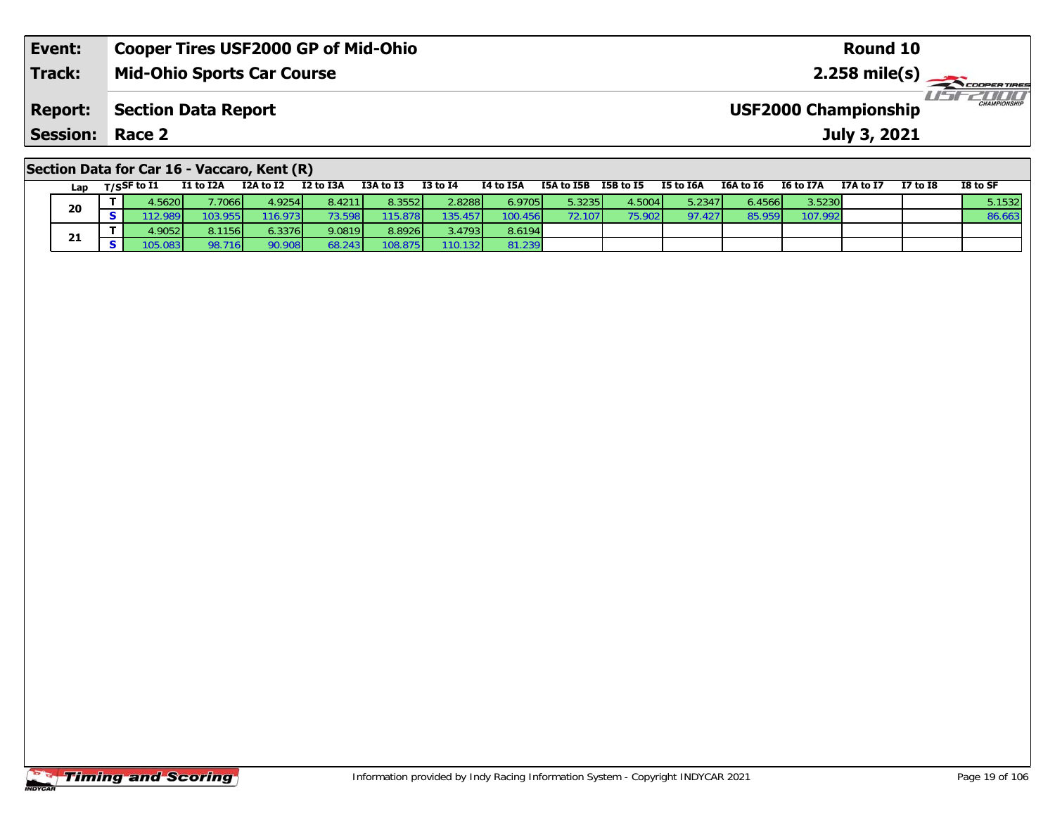| Event:                                      | <b>Cooper Tires USF2000 GP of Mid-Ohio</b> | Round 10                                           |  |  |  |  |  |  |  |
|---------------------------------------------|--------------------------------------------|----------------------------------------------------|--|--|--|--|--|--|--|
| <b>Track:</b>                               | <b>Mid-Ohio Sports Car Course</b>          |                                                    |  |  |  |  |  |  |  |
| <b>Report:</b>                              | Section Data Report                        | <b>CHAMPIONSHIP</b><br><b>USF2000 Championship</b> |  |  |  |  |  |  |  |
| <b>Session: Race 2</b>                      |                                            | July 3, 2021                                       |  |  |  |  |  |  |  |
| Section Data for Car 16 - Vaccaro, Kent (R) |                                            |                                                    |  |  |  |  |  |  |  |

|     | <u>saan saan isi sal so</u> |           | $\cdots$  |           |           |                 |           |                      |        |           |           |           |           |          |          |
|-----|-----------------------------|-----------|-----------|-----------|-----------|-----------------|-----------|----------------------|--------|-----------|-----------|-----------|-----------|----------|----------|
| Lan | $T/S$ SF to $I1$            | I1 to I2A | I2A to I2 | I2 to I3A | I3A to I3 | <b>I3 to I4</b> | I4 to I5A | I5A to I5B I5B to I5 |        | I5 to I6A | I6A to I6 | I6 to I7A | I7A to I7 | I7 to I8 | I8 to SF |
| 20  | 4.5620                      | 7.7066    | 4.9254    | 8.4211    | 8.3552    | 2.8288          | 6.9705    | 5.3235               | 4.5004 | 5.2347    | 6.4566    | 3.5230    |           |          | 5.1532   |
|     | 12.989                      | 103.955   | 116.973   | 73.598 I  | 115.878   | 135.457         | 100.456   | 72.107               | 75.902 | 97.427    | 85.959    | 107.9921  |           |          | 86.663   |
| 21  | 4.9052                      | 8.1156    | 6.3376    | 9.0819    | 8.8926    | 3.4793          | 8.6194    |                      |        |           |           |           |           |          |          |
|     | 105.083                     | 98.716    | 90.908    | 68.243    | 108.875   | 110.132         | 81.239    |                      |        |           |           |           |           |          |          |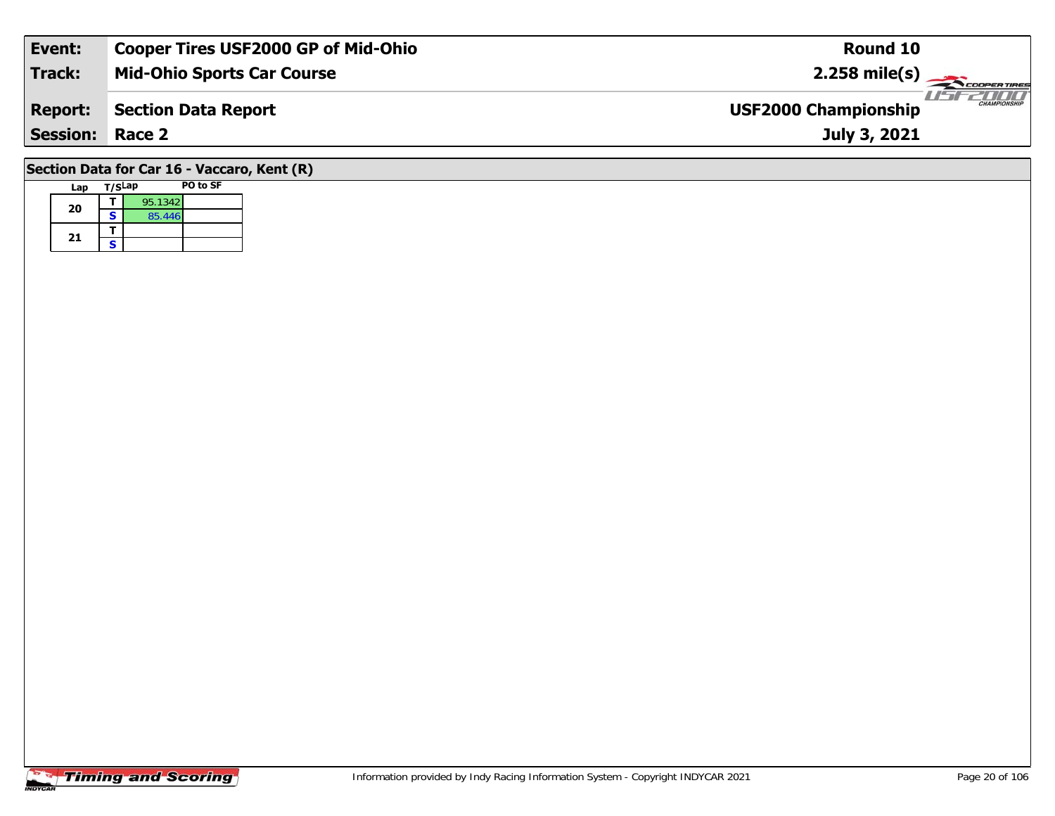| Event:                 | <b>Cooper Tires USF2000 GP of Mid-Ohio</b>                                                                     | Round 10                                           |
|------------------------|----------------------------------------------------------------------------------------------------------------|----------------------------------------------------|
| Track:                 | <b>Mid-Ohio Sports Car Course</b>                                                                              | $2.258 \text{ mile(s)}$                            |
| <b>Report:</b>         | <b>Section Data Report</b>                                                                                     | <b>CHAMPIONSHIP</b><br><b>USF2000 Championship</b> |
| <b>Session: Race 2</b> |                                                                                                                | July 3, 2021                                       |
|                        | $\overline{a}$ $\cdots$ $\overline{a}$ $\cdots$ $\overline{a}$ $\cdots$ $\overline{a}$ $\cdots$ $\overline{a}$ |                                                    |

## **Section Data for Car 16 - Vaccaro, Kent (R)**

| Lap | T/SLap |         | PO to SF |
|-----|--------|---------|----------|
| 20  |        | 95.1342 |          |
|     | S      | 85.446  |          |
| 21  |        |         |          |
|     | S      |         |          |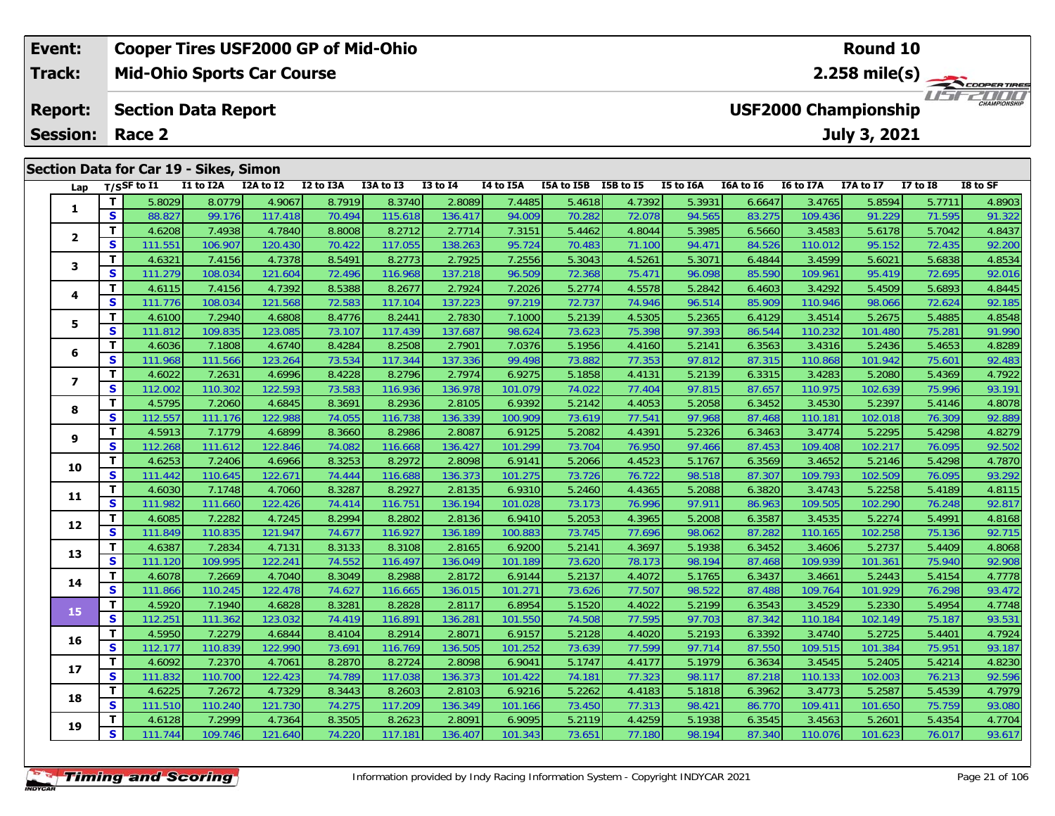### **Event: Cooper Tires USF2000 GP of Mid-Ohio Round 102.258 mile(s) Mid-Ohio Sports Car Course Track:** COOPER TIRES **Report: Section Data Report USF2000 Championship July 3, 2021 Session: Race 2 Section Data for Car 19 - Sikes, Simon Lap T/SSF to I1 I1 to I2A I2A to I2 I2 to I3A I3A to I3 I3 to I4 I4 to I5A I5A to I5B I5B to I5 I5 to I6A I6A to I6 I6 to I7A I7A to I7 I7 to I8 I8 to SF**

| Lap              |              | T/SSF to I1 | I1 to I2A | I2A to I2 | I2 to I3A | I3A to I3 | <b>I3 to I4</b> | I4 to I5A | I5A to I5B I5B to I5 |        | I5 to I6A | I6A to I6 | <b>I6 to I7A</b> | I7A to I7 | <b>I7 to I8</b> | I8 to SF |
|------------------|--------------|-------------|-----------|-----------|-----------|-----------|-----------------|-----------|----------------------|--------|-----------|-----------|------------------|-----------|-----------------|----------|
| 1                | т            | 5.8029      | 8.0779    | 4.9067    | 8.7919    | 8.3740    | 2.8089          | 7.4485    | 5.4618               | 4.7392 | 5.3931    | 6.6647    | 3.4765           | 5.8594    | 5.7711          | 4.8903   |
|                  | $\mathbf{s}$ | 88.827      | 99.176    | 117.418   | 70.494    | 115.618   | 136.417         | 94.009    | 70.282               | 72.078 | 94.565    | 83.275    | 109.436          | 91.229    | 71.595          | 91.322   |
| $\overline{2}$   | т            | 4.6208      | 7.4938    | 4.7840    | 8.8008    | 8.2712    | 2.7714          | 7.3151    | 5.4462               | 4.8044 | 5.3985    | 6.5660    | 3.4583           | 5.6178    | 5.7042          | 4.8437   |
|                  | S            | 111.551     | 106.907   | 120.430   | 70.422    | 117.055   | 138.263         | 95.724    | 70.483               | 71.100 | 94.471    | 84.526    | 110.012          | 95.152    | 72.435          | 92.200   |
| 3                | т            | 4.6321      | 7.4156    | 4.7378    | 8.5491    | 8.2773    | 2.7925          | 7.2556    | 5.3043               | 4.5261 | 5.3071    | 6.4844    | 3.4599           | 5.6021    | 5.6838          | 4.8534   |
|                  | $\mathbf s$  | 111.279     | 108.034   | 121.604   | 72.496    | 116.968   | 137.218         | 96.509    | 72.368               | 75.471 | 96.098    | 85.590    | 109.961          | 95.419    | 72.695          | 92.016   |
| 4                | т            | 4.6115      | 7.4156    | 4.7392    | 8.5388    | 8.2677    | 2.7924          | 7.2026    | 5.2774               | 4.5578 | 5.2842    | 6.4603    | 3.4292           | 5.4509    | 5.6893          | 4.8445   |
|                  | S            | 111.776     | 108.034   | 121.568   | 72.583    | 117.104   | 137.223         | 97.219    | 72.737               | 74.946 | 96.514    | 85.909    | 110.946          | 98.066    | 72.624          | 92.185   |
| 5                | T            | 4.6100      | 7.2940    | 4.6808    | 8.4776    | 8.2441    | 2.7830          | 7.1000    | 5.2139               | 4.5305 | 5.2365    | 6.4129    | 3.4514           | 5.2675    | 5.4885          | 4.8548   |
|                  | S            | 111.812     | 109.835   | 123.085   | 73.107    | 117.439   | 137.687         | 98.624    | 73.623               | 75.398 | 97.393    | 86.544    | 110.232          | 101.480   | 75.281          | 91.990   |
| 6                | T            | 4.6036      | 7.1808    | 4.6740    | 8.4284    | 8.2508    | 2.7901          | 7.0376    | 5.1956               | 4.4160 | 5.2141    | 6.3563    | 3.4316           | 5.2436    | 5.4653          | 4.8289   |
|                  | S            | 111.968     | 111.566   | 123.264   | 73.534    | 117.344   | 137.336         | 99.498    | 73.882               | 77.353 | 97.812    | 87.315    | 110.868          | 101.942   | 75.601          | 92.483   |
| $\boldsymbol{7}$ | T            | 4.6022      | 7.2631    | 4.6996    | 8.4228    | 8.2796    | 2.7974          | 6.9275    | 5.1858               | 4.4131 | 5.2139    | 6.3315    | 3.4283           | 5.2080    | 5.4369          | 4.7922   |
|                  | $\mathbf{s}$ | 112.002     | 110.302   | 122.593   | 73.583    | 116.936   | 136.978         | 101.079   | 74.022               | 77.404 | 97.815    | 87.657    | 110.975          | 102.639   | 75.996          | 93.191   |
| 8                | т            | 4.5795      | 7.2060    | 4.6845    | 8.3691    | 8.2936    | 2.8105          | 6.9392    | 5.2142               | 4.4053 | 5.2058    | 6.3452    | 3.4530           | 5.2397    | 5.4146          | 4.8078   |
|                  | $\mathbf s$  | 112.557     | 111.176   | 122.988   | 74.055    | 116.738   | 136.339         | 100.909   | 73.619               | 77.541 | 97.968    | 87.468    | 110.181          | 102.018   | 76.309          | 92.889   |
| 9                | т            | 4.5913      | 7.1779    | 4.6899    | 8.3660    | 8.2986    | 2.8087          | 6.9125    | 5.2082               | 4.4391 | 5.2326    | 6.3463    | 3.4774           | 5.2295    | 5.4298          | 4.8279   |
|                  | S            | 112.268     | 111.612   | 122.846   | 74.082    | 116.668   | 136.427         | 101.299   | 73.704               | 76.950 | 97.466    | 87.453    | 109.408          | 102.217   | 76.095          | 92.502   |
| 10               | т            | 4.6253      | 7.2406    | 4.6966    | 8.3253    | 8.2972    | 2.8098          | 6.9141    | 5.2066               | 4.4523 | 5.1767    | 6.3569    | 3.4652           | 5.2146    | 5.4298          | 4.7870   |
|                  | $\mathbf{s}$ | 111.442     | 110.645   | 122.671   | 74.444    | 116.688   | 136.373         | 101.275   | 73.726               | 76.722 | 98.518    | 87.307    | 109.793          | 102.509   | 76.095          | 93.292   |
| 11               | т            | 4.6030      | 7.1748    | 4.7060    | 8.3287    | 8.2927    | 2.8135          | 6.9310    | 5.2460               | 4.4365 | 5.2088    | 6.3820    | 3.4743           | 5.2258    | 5.4189          | 4.8115   |
|                  | S            | 111.982     | 111.660   | 122.426   | 74.414    | 116.751   | 136.194         | 101.028   | 73.173               | 76.996 | 97.911    | 86.963    | 109.505          | 102.290   | 76.248          | 92.817   |
| 12               | т            | 4.6085      | 7.2282    | 4.7245    | 8.2994    | 8.2802    | 2.8136          | 6.9410    | 5.2053               | 4.3965 | 5.2008    | 6.3587    | 3.4535           | 5.2274    | 5.4991          | 4.8168   |
|                  | $\mathbf{s}$ | 111.849     | 110.835   | 121.947   | 74.677    | 116.927   | 136.189         | 100.883   | 73.745               | 77.696 | 98.062    | 87.282    | 110.165          | 102.258   | 75.136          | 92.715   |
| 13               | т            | 4.6387      | 7.2834    | 4.7131    | 8.3133    | 8.3108    | 2.8165          | 6.9200    | 5.2141               | 4.3697 | 5.1938    | 6.3452    | 3.4606           | 5.2737    | 5.4409          | 4.8068   |
|                  | S            | 111.120     | 109.995   | 122.241   | 74.552    | 116.497   | 136.049         | 101.189   | 73.620               | 78.173 | 98.194    | 87.468    | 109.939          | 101.361   | 75.940          | 92.908   |
| 14               | т            | 4.6078      | 7.2669    | 4.7040    | 8.3049    | 8.2988    | 2.8172          | 6.9144    | 5.2137               | 4.4072 | 5.1765    | 6.3437    | 3.4661           | 5.2443    | 5.4154          | 4.7778   |
|                  | S            | 111.866     | 110.245   | 122.478   | 74.627    | 116.665   | 136.015         | 101.271   | 73.626               | 77.507 | 98.522    | 87.488    | 109.764          | 101.929   | 76.298          | 93.472   |
| 15               | T            | 4.5920      | 7.1940    | 4.6828    | 8.3281    | 8.2828    | 2.8117          | 6.8954    | 5.1520               | 4.4022 | 5.2199    | 6.3543    | 3.4529           | 5.2330    | 5.4954          | 4.7748   |
|                  | $\mathbf{s}$ | 112.251     | 111.362   | 123.032   | 74.419    | 116.891   | 136.281         | 101.550   | 74.508               | 77.595 | 97.703    | 87.342    | 110.184          | 102.149   | 75.187          | 93.531   |
| 16               | т            | 4.5950      | 7.2279    | 4.6844    | 8.4104    | 8.2914    | 2.8071          | 6.9157    | 5.2128               | 4.4020 | 5.2193    | 6.3392    | 3.4740           | 5.2725    | 5.4401          | 4.7924   |
|                  | $\mathbf{s}$ | 112.177     | 110.839   | 122.990   | 73.691    | 116.769   | 136.505         | 101.252   | 73.639               | 77.599 | 97.714    | 87.550    | 109.515          | 101.384   | 75.951          | 93.187   |
| 17               | т            | 4.6092      | 7.2370    | 4.7061    | 8.2870    | 8.2724    | 2.8098          | 6.9041    | 5.1747               | 4.4177 | 5.1979    | 6.3634    | 3.4545           | 5.2405    | 5.4214          | 4.8230   |
|                  | $\mathbf{s}$ | 111.832     | 110.700   | 122.423   | 74.789    | 117.038   | 136.373         | 101.422   | 74.181               | 77.323 | 98.117    | 87.218    | 110.133          | 102.003   | 76.213          | 92.596   |
| 18               | т            | 4.6225      | 7.2672    | 4.7329    | 8.3443    | 8.2603    | 2.8103          | 6.9216    | 5.2262               | 4.4183 | 5.1818    | 6.3962    | 3.4773           | 5.2587    | 5.4539          | 4.7979   |
|                  | S            | 111.510     | 110.240   | 121.730   | 74.275    | 117.209   | 136.349         | 101.166   | 73.450               | 77.313 | 98.421    | 86.770    | 109.411          | 101.650   | 75.759          | 93.080   |
| 19               | т            | 4.6128      | 7.2999    | 4.7364    | 8.3505    | 8.2623    | 2.8091          | 6.9095    | 5.2119               | 4.4259 | 5.1938    | 6.3545    | 3.4563           | 5.2601    | 5.4354          | 4.7704   |
|                  | S            | 111.744     | 109.746   | 121.640   | 74.220    | 117.181   | 136.407         | 101.343   | 73.651               | 77.180 | 98.194    | 87.340    | 110.076          | 101.623   | 76.017          | 93.617   |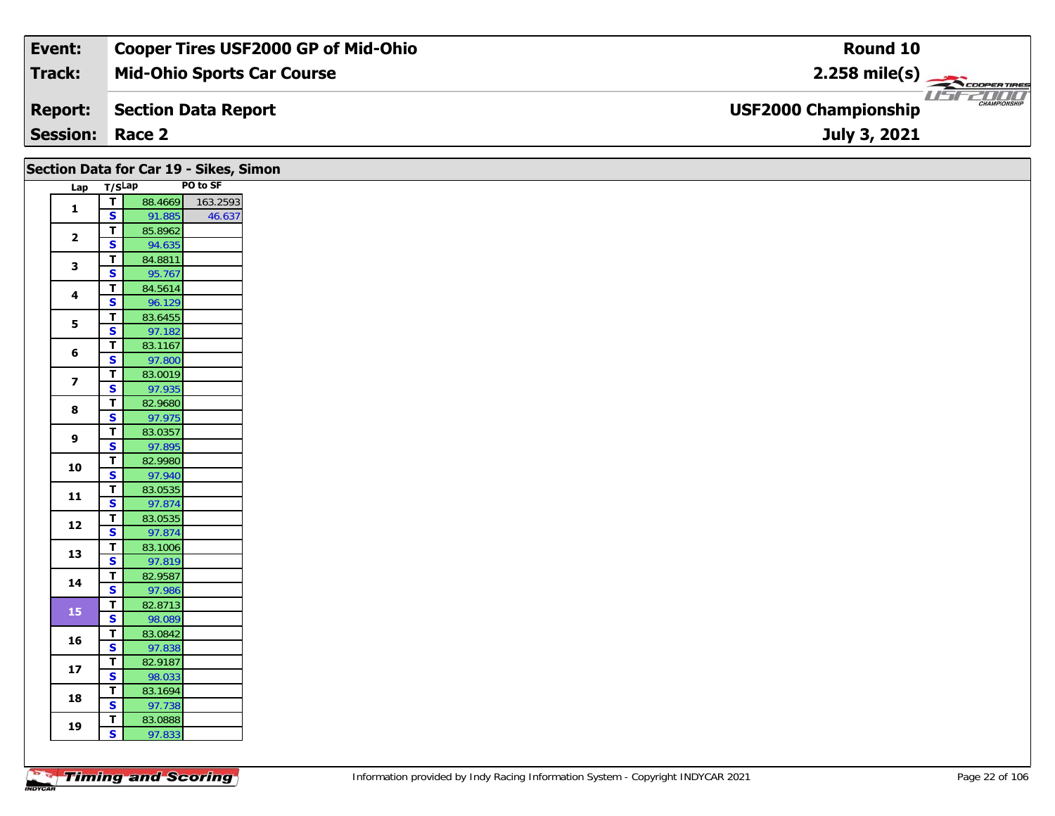| Event:                 | <b>Cooper Tires USF2000 GP of Mid-Ohio</b> | Round 10                                           |
|------------------------|--------------------------------------------|----------------------------------------------------|
| Track:                 | <b>Mid-Ohio Sports Car Course</b>          | $2.258$ mile(s)                                    |
| <b>Report:</b>         | Section Data Report                        | <b>CHAMPIONSHIP</b><br><b>USF2000 Championship</b> |
| <b>Session: Race 2</b> |                                            | July 3, 2021                                       |

| PO to SF<br>Lap T/SLap<br>88.4669<br>163.2593<br>$\overline{1}$<br>$\mathbf{1}$<br>$\mathsf{s}$<br>91.885<br>46.637<br>85.8962<br>$\mathbf{T}$<br>$\overline{\mathbf{2}}$<br>$\overline{\mathbf{s}}$<br>94.635<br>84.8811<br>$\mathbf T$<br>3<br>$\mathbf{s}$<br>95.767<br>$\overline{\mathsf{r}}$<br>84.5614<br>$\overline{\mathbf{4}}$<br>$\mathbf{s}$<br>96.129<br>83.6455<br>$\overline{t}$<br>5<br>$\overline{\mathbf{s}}$<br>97.182<br>$\mathbf{T}$<br>83.1167<br>6<br>$\overline{\mathbf{s}}$<br>97.800<br>$\mathbf{T}$<br>83.0019<br>$\overline{\mathbf{z}}$<br>$\overline{\mathbf{s}}$<br>97.935<br>82.9680<br>$\overline{\mathsf{T}}$<br>8<br>$\overline{\mathbf{s}}$<br>97.975<br>83.0357<br>$\mathbf{T}$<br>9<br>S<br>97.895<br>82.9980<br>$\mathbf{T}$<br>10<br>$\overline{\mathbf{s}}$<br>97.940<br>$\mathbf{T}$<br>83.0535<br>$11$<br>$\mathsf{s}$<br>97.874<br>$\mathbf{T}$<br>83.0535<br>12<br>$\mathsf{s}$<br>97.874<br>$\overline{I}$<br>83.1006<br>13<br>$\overline{\mathbf{s}}$<br>97.819<br>$\overline{\mathbf{r}}$<br>82.9587<br>14<br>$\overline{\mathbf{s}}$<br>97.986<br>$\mathbf T$<br>82.8713<br>15<br>$\overline{\mathbf{s}}$<br>98.089<br>$\mathbf{T}$<br>83.0842<br>16<br>$\overline{\mathbf{s}}$<br>97.838<br>$\overline{t}$<br>82.9187<br>$17$<br>$\overline{\mathbf{s}}$<br>98.033<br>$\overline{\mathsf{T}}$<br>83.1694<br>18<br>$\overline{\mathbf{s}}$<br>97.738<br>$\overline{t}$<br>83.0888<br>19<br>$\mathsf{s}$<br>97.833 |  | Section Data for Car 19 - Sikes, Simon |  |
|--------------------------------------------------------------------------------------------------------------------------------------------------------------------------------------------------------------------------------------------------------------------------------------------------------------------------------------------------------------------------------------------------------------------------------------------------------------------------------------------------------------------------------------------------------------------------------------------------------------------------------------------------------------------------------------------------------------------------------------------------------------------------------------------------------------------------------------------------------------------------------------------------------------------------------------------------------------------------------------------------------------------------------------------------------------------------------------------------------------------------------------------------------------------------------------------------------------------------------------------------------------------------------------------------------------------------------------------------------------------------------------------------------------------------------------------------------------------|--|----------------------------------------|--|
|                                                                                                                                                                                                                                                                                                                                                                                                                                                                                                                                                                                                                                                                                                                                                                                                                                                                                                                                                                                                                                                                                                                                                                                                                                                                                                                                                                                                                                                                    |  |                                        |  |
|                                                                                                                                                                                                                                                                                                                                                                                                                                                                                                                                                                                                                                                                                                                                                                                                                                                                                                                                                                                                                                                                                                                                                                                                                                                                                                                                                                                                                                                                    |  |                                        |  |
|                                                                                                                                                                                                                                                                                                                                                                                                                                                                                                                                                                                                                                                                                                                                                                                                                                                                                                                                                                                                                                                                                                                                                                                                                                                                                                                                                                                                                                                                    |  |                                        |  |
|                                                                                                                                                                                                                                                                                                                                                                                                                                                                                                                                                                                                                                                                                                                                                                                                                                                                                                                                                                                                                                                                                                                                                                                                                                                                                                                                                                                                                                                                    |  |                                        |  |
|                                                                                                                                                                                                                                                                                                                                                                                                                                                                                                                                                                                                                                                                                                                                                                                                                                                                                                                                                                                                                                                                                                                                                                                                                                                                                                                                                                                                                                                                    |  |                                        |  |
|                                                                                                                                                                                                                                                                                                                                                                                                                                                                                                                                                                                                                                                                                                                                                                                                                                                                                                                                                                                                                                                                                                                                                                                                                                                                                                                                                                                                                                                                    |  |                                        |  |
|                                                                                                                                                                                                                                                                                                                                                                                                                                                                                                                                                                                                                                                                                                                                                                                                                                                                                                                                                                                                                                                                                                                                                                                                                                                                                                                                                                                                                                                                    |  |                                        |  |
|                                                                                                                                                                                                                                                                                                                                                                                                                                                                                                                                                                                                                                                                                                                                                                                                                                                                                                                                                                                                                                                                                                                                                                                                                                                                                                                                                                                                                                                                    |  |                                        |  |
|                                                                                                                                                                                                                                                                                                                                                                                                                                                                                                                                                                                                                                                                                                                                                                                                                                                                                                                                                                                                                                                                                                                                                                                                                                                                                                                                                                                                                                                                    |  |                                        |  |
|                                                                                                                                                                                                                                                                                                                                                                                                                                                                                                                                                                                                                                                                                                                                                                                                                                                                                                                                                                                                                                                                                                                                                                                                                                                                                                                                                                                                                                                                    |  |                                        |  |
|                                                                                                                                                                                                                                                                                                                                                                                                                                                                                                                                                                                                                                                                                                                                                                                                                                                                                                                                                                                                                                                                                                                                                                                                                                                                                                                                                                                                                                                                    |  |                                        |  |
|                                                                                                                                                                                                                                                                                                                                                                                                                                                                                                                                                                                                                                                                                                                                                                                                                                                                                                                                                                                                                                                                                                                                                                                                                                                                                                                                                                                                                                                                    |  |                                        |  |
|                                                                                                                                                                                                                                                                                                                                                                                                                                                                                                                                                                                                                                                                                                                                                                                                                                                                                                                                                                                                                                                                                                                                                                                                                                                                                                                                                                                                                                                                    |  |                                        |  |
|                                                                                                                                                                                                                                                                                                                                                                                                                                                                                                                                                                                                                                                                                                                                                                                                                                                                                                                                                                                                                                                                                                                                                                                                                                                                                                                                                                                                                                                                    |  |                                        |  |
|                                                                                                                                                                                                                                                                                                                                                                                                                                                                                                                                                                                                                                                                                                                                                                                                                                                                                                                                                                                                                                                                                                                                                                                                                                                                                                                                                                                                                                                                    |  |                                        |  |
|                                                                                                                                                                                                                                                                                                                                                                                                                                                                                                                                                                                                                                                                                                                                                                                                                                                                                                                                                                                                                                                                                                                                                                                                                                                                                                                                                                                                                                                                    |  |                                        |  |
|                                                                                                                                                                                                                                                                                                                                                                                                                                                                                                                                                                                                                                                                                                                                                                                                                                                                                                                                                                                                                                                                                                                                                                                                                                                                                                                                                                                                                                                                    |  |                                        |  |
|                                                                                                                                                                                                                                                                                                                                                                                                                                                                                                                                                                                                                                                                                                                                                                                                                                                                                                                                                                                                                                                                                                                                                                                                                                                                                                                                                                                                                                                                    |  |                                        |  |
|                                                                                                                                                                                                                                                                                                                                                                                                                                                                                                                                                                                                                                                                                                                                                                                                                                                                                                                                                                                                                                                                                                                                                                                                                                                                                                                                                                                                                                                                    |  |                                        |  |
|                                                                                                                                                                                                                                                                                                                                                                                                                                                                                                                                                                                                                                                                                                                                                                                                                                                                                                                                                                                                                                                                                                                                                                                                                                                                                                                                                                                                                                                                    |  |                                        |  |
|                                                                                                                                                                                                                                                                                                                                                                                                                                                                                                                                                                                                                                                                                                                                                                                                                                                                                                                                                                                                                                                                                                                                                                                                                                                                                                                                                                                                                                                                    |  |                                        |  |
|                                                                                                                                                                                                                                                                                                                                                                                                                                                                                                                                                                                                                                                                                                                                                                                                                                                                                                                                                                                                                                                                                                                                                                                                                                                                                                                                                                                                                                                                    |  |                                        |  |
|                                                                                                                                                                                                                                                                                                                                                                                                                                                                                                                                                                                                                                                                                                                                                                                                                                                                                                                                                                                                                                                                                                                                                                                                                                                                                                                                                                                                                                                                    |  |                                        |  |
|                                                                                                                                                                                                                                                                                                                                                                                                                                                                                                                                                                                                                                                                                                                                                                                                                                                                                                                                                                                                                                                                                                                                                                                                                                                                                                                                                                                                                                                                    |  |                                        |  |
|                                                                                                                                                                                                                                                                                                                                                                                                                                                                                                                                                                                                                                                                                                                                                                                                                                                                                                                                                                                                                                                                                                                                                                                                                                                                                                                                                                                                                                                                    |  |                                        |  |
|                                                                                                                                                                                                                                                                                                                                                                                                                                                                                                                                                                                                                                                                                                                                                                                                                                                                                                                                                                                                                                                                                                                                                                                                                                                                                                                                                                                                                                                                    |  |                                        |  |
|                                                                                                                                                                                                                                                                                                                                                                                                                                                                                                                                                                                                                                                                                                                                                                                                                                                                                                                                                                                                                                                                                                                                                                                                                                                                                                                                                                                                                                                                    |  |                                        |  |
|                                                                                                                                                                                                                                                                                                                                                                                                                                                                                                                                                                                                                                                                                                                                                                                                                                                                                                                                                                                                                                                                                                                                                                                                                                                                                                                                                                                                                                                                    |  |                                        |  |
|                                                                                                                                                                                                                                                                                                                                                                                                                                                                                                                                                                                                                                                                                                                                                                                                                                                                                                                                                                                                                                                                                                                                                                                                                                                                                                                                                                                                                                                                    |  |                                        |  |
|                                                                                                                                                                                                                                                                                                                                                                                                                                                                                                                                                                                                                                                                                                                                                                                                                                                                                                                                                                                                                                                                                                                                                                                                                                                                                                                                                                                                                                                                    |  |                                        |  |
|                                                                                                                                                                                                                                                                                                                                                                                                                                                                                                                                                                                                                                                                                                                                                                                                                                                                                                                                                                                                                                                                                                                                                                                                                                                                                                                                                                                                                                                                    |  |                                        |  |
|                                                                                                                                                                                                                                                                                                                                                                                                                                                                                                                                                                                                                                                                                                                                                                                                                                                                                                                                                                                                                                                                                                                                                                                                                                                                                                                                                                                                                                                                    |  |                                        |  |
|                                                                                                                                                                                                                                                                                                                                                                                                                                                                                                                                                                                                                                                                                                                                                                                                                                                                                                                                                                                                                                                                                                                                                                                                                                                                                                                                                                                                                                                                    |  |                                        |  |
|                                                                                                                                                                                                                                                                                                                                                                                                                                                                                                                                                                                                                                                                                                                                                                                                                                                                                                                                                                                                                                                                                                                                                                                                                                                                                                                                                                                                                                                                    |  |                                        |  |
|                                                                                                                                                                                                                                                                                                                                                                                                                                                                                                                                                                                                                                                                                                                                                                                                                                                                                                                                                                                                                                                                                                                                                                                                                                                                                                                                                                                                                                                                    |  |                                        |  |
|                                                                                                                                                                                                                                                                                                                                                                                                                                                                                                                                                                                                                                                                                                                                                                                                                                                                                                                                                                                                                                                                                                                                                                                                                                                                                                                                                                                                                                                                    |  |                                        |  |
|                                                                                                                                                                                                                                                                                                                                                                                                                                                                                                                                                                                                                                                                                                                                                                                                                                                                                                                                                                                                                                                                                                                                                                                                                                                                                                                                                                                                                                                                    |  |                                        |  |
|                                                                                                                                                                                                                                                                                                                                                                                                                                                                                                                                                                                                                                                                                                                                                                                                                                                                                                                                                                                                                                                                                                                                                                                                                                                                                                                                                                                                                                                                    |  |                                        |  |
|                                                                                                                                                                                                                                                                                                                                                                                                                                                                                                                                                                                                                                                                                                                                                                                                                                                                                                                                                                                                                                                                                                                                                                                                                                                                                                                                                                                                                                                                    |  |                                        |  |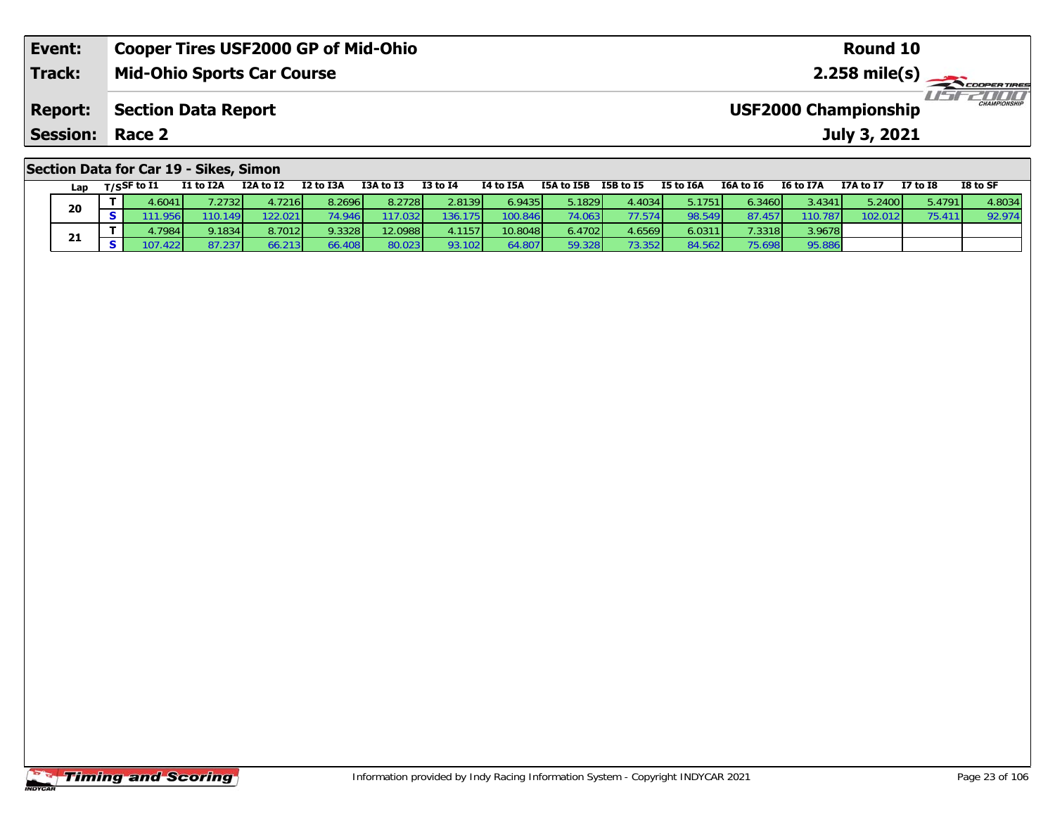| Event:                                 | <b>Cooper Tires USF2000 GP of Mid-Ohio</b> | Round 10                                           |  |  |  |  |  |  |  |
|----------------------------------------|--------------------------------------------|----------------------------------------------------|--|--|--|--|--|--|--|
| <b>Track:</b>                          | <b>Mid-Ohio Sports Car Course</b>          |                                                    |  |  |  |  |  |  |  |
| <b>Report:</b>                         | <b>Section Data Report</b>                 | <b>CHAMPIONSHIP</b><br><b>USF2000 Championship</b> |  |  |  |  |  |  |  |
| <b>Session:</b>                        | Race 2                                     | July 3, 2021                                       |  |  |  |  |  |  |  |
| Section Data for Car 19 - Sikes, Simon |                                            |                                                    |  |  |  |  |  |  |  |

| Lap | $T/S$ SF to $I1$ | <b>I1 to I2A</b> | I2A to I2 | I2 to I3A | I3A to I3 | <b>I3 to I4</b> | I4 to I5A | I5A to I5B | I5B to I5 | I5 to I6A | I6A to I6 | I6 to I7A | I7A to I7 | <b>I7 to I8</b> | I8 to SF |
|-----|------------------|------------------|-----------|-----------|-----------|-----------------|-----------|------------|-----------|-----------|-----------|-----------|-----------|-----------------|----------|
| 20  | 4.6041           | 7.27321          | 4.7216    | 8.2696    | 8.2728    | 2.8139          | 6.9435    | 5.1829     | 4.4034    | 5.1751    | 6.3460    | 3.4341    | 5.2400    | 5.4791          | 4.8034   |
|     | 1.956            | 110.149          | 122.021   | 74946     | 117.032   | 136.175         | 100.846   | 74.063     | 77.574    | 98.549    |           | 110.787   | 102.012   |                 | 92.974   |
| 21  | .7984            | 9.1834           | 8.7012    | 9.3328    | 12.0988   | 4.1157 <b>1</b> | 10.8048   | 6.4702     | 4.6569    | 6.0311'   | 7.3318    | 3.9678    |           |                 |          |
|     |                  | 87.237           | 66.213    | 66.408    | 80.023    | 93.102          | 54.807    | 59.328     | 73.352    | 84.562    | 75.698    | 95.886    |           |                 |          |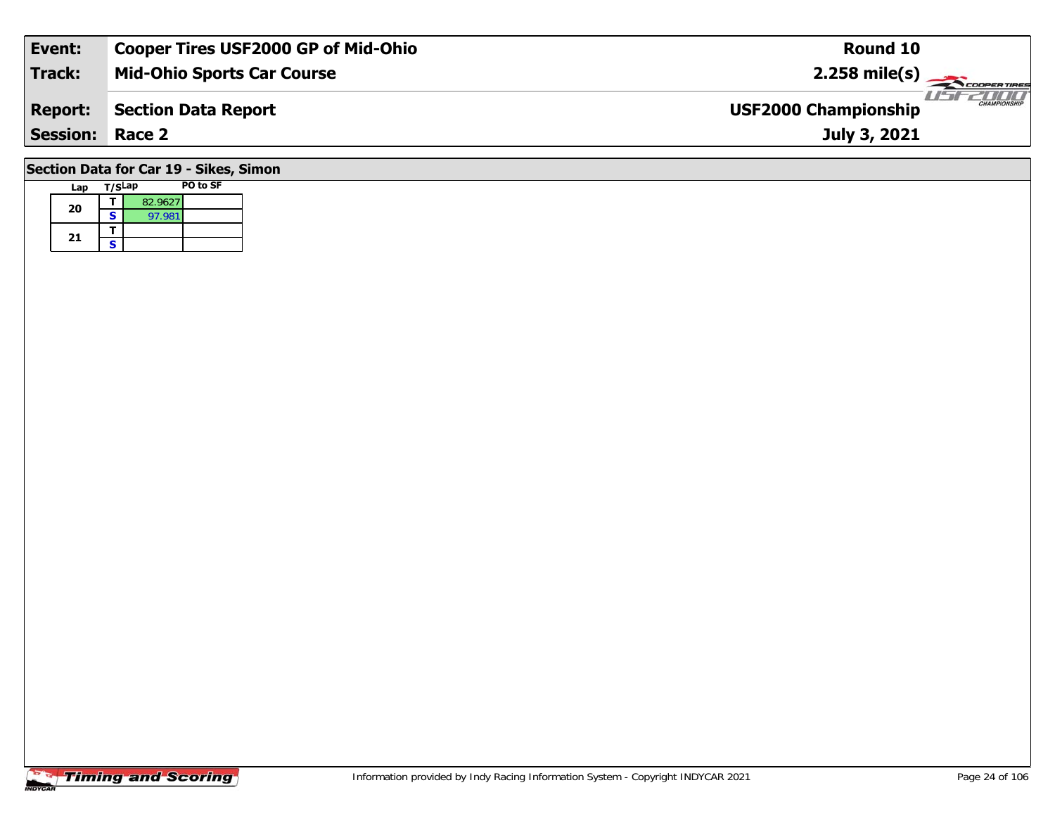| Event:                                 | <b>Cooper Tires USF2000 GP of Mid-Ohio</b> | Round 10                                    |  |  |  |  |  |  |  |
|----------------------------------------|--------------------------------------------|---------------------------------------------|--|--|--|--|--|--|--|
| <b>Track:</b>                          | <b>Mid-Ohio Sports Car Course</b>          | $2.258$ mile(s)                             |  |  |  |  |  |  |  |
| <b>Report:</b>                         | <b>Section Data Report</b>                 | CHAMPIONSHIP<br><b>USF2000 Championship</b> |  |  |  |  |  |  |  |
| <b>Session:</b>                        | Race 2                                     | July 3, 2021                                |  |  |  |  |  |  |  |
| Section Data for Car 19 - Sikes, Simon |                                            |                                             |  |  |  |  |  |  |  |

# **Timing and Scoring**

**Lap T/SLap PO to SF** 

**a**  $\begin{array}{|c|c|c|}\n\hline\n\textbf{s} & \textbf{82.9627} \\
\hline\n\textbf{s} & \textbf{97.981}\n\hline\n\end{array}$ 

**20**

21  $\frac{1}{s}$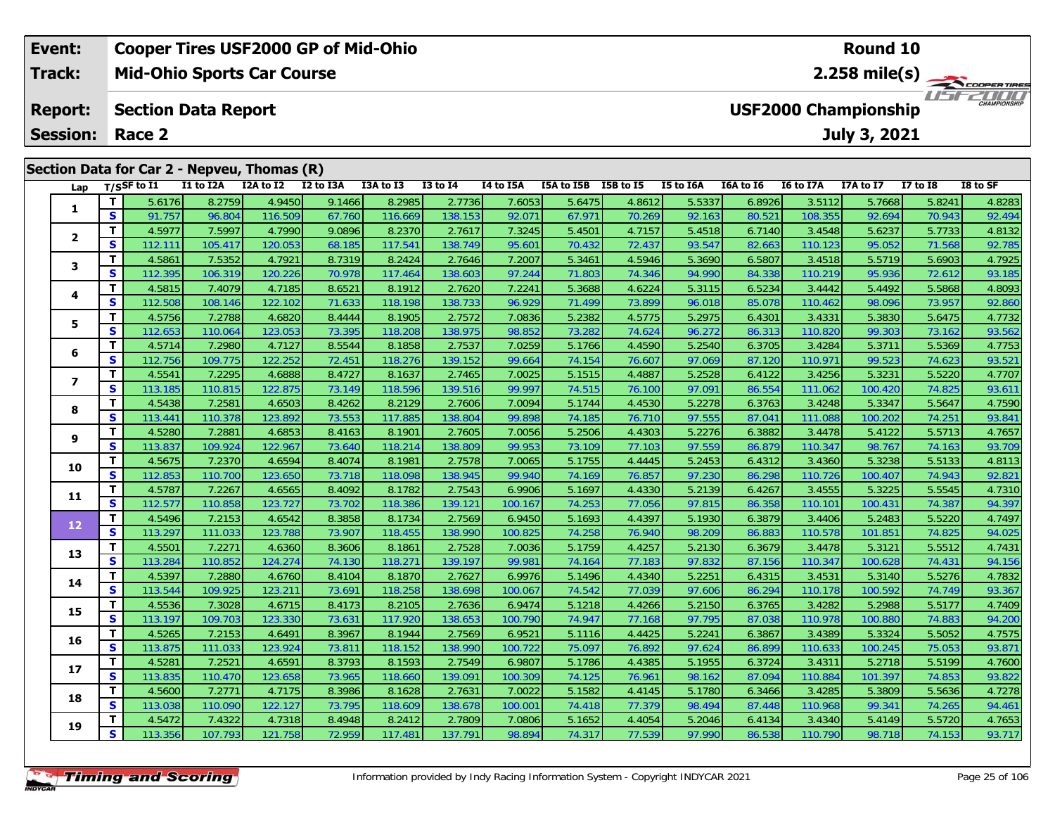| Event:                  |     |                        |                            | <b>Cooper Tires USF2000 GP of Mid-Ohio</b>  |           |           |                 |           |            |           |           |           |                             | Round 10     |            |                         |
|-------------------------|-----|------------------------|----------------------------|---------------------------------------------|-----------|-----------|-----------------|-----------|------------|-----------|-----------|-----------|-----------------------------|--------------|------------|-------------------------|
| <b>Track:</b>           |     |                        |                            | <b>Mid-Ohio Sports Car Course</b>           |           |           |                 |           |            |           |           |           |                             |              |            | $2.258 \text{ mile(s)}$ |
| <b>Report:</b>          |     |                        | <b>Section Data Report</b> |                                             |           |           |                 |           |            |           |           |           | <b>USF2000 Championship</b> |              |            | <b>CHAMPIONSHIP</b>     |
|                         |     | <b>Session: Race 2</b> |                            |                                             |           |           |                 |           |            |           |           |           |                             | July 3, 2021 |            |                         |
|                         |     |                        |                            | Section Data for Car 2 - Nepveu, Thomas (R) |           |           |                 |           |            |           |           |           |                             |              |            |                         |
|                         |     | Lap $T/SSF$ to I1      | I1 to I2A                  | I2A to I2                                   | I2 to I3A | I3A to I3 | <b>I3 to I4</b> | I4 to I5A | I5A to I5B | I5B to I5 | I5 to I6A | I6A to I6 | I6 to I7A                   | I7A to I7    | I7 to $I8$ | I8 to SF                |
|                         |     | 5.6176                 | 8.2759                     | 4.9450                                      | 9.1466    | 8.2985    | 2.7736          | 7.60531   | 5.6475     | 4.8612    | 5.5337    | 6.8926    | 3.5112                      | 5.7668       | 5.8241     | 4.8283                  |
|                         | S I | 91.757                 | 96.804                     | 116.509                                     | 67.760    | 116.669   | 138.153         | 92.071    | 67.971     | 70.269    | 92.163    | 80.521    | 108.355                     | 92.694       | 70.943     | 92.494                  |
|                         |     | 4.5977                 | 7.5997                     | 4.7990                                      | 9.0896    | 8.2370    | 2.7617          | 7.3245    | 5.4501     | 4.7157    | 5.4518    | 6.7140    | 3.4548                      | 5.6237       | 5.7733     | 4.8132                  |
| $\overline{\mathbf{2}}$ | S   | 112.111                | 105.417                    | 120.0531                                    | 68.185    | 117.541   | 138.749         | 95.601    | 70.432     | 72.437    | 93.547    | 82.663    | 110.123                     | 95.052       | 71.568     | 92.785                  |

3 T 4.5861 7.5352 4.7921 8.7319 8.2424 2.7646 7.2007 5.3461 4.5946 5.3690 6.5807 3.4518 5.5719 5.6903 4.7925<br>S 112.395 106.319 120.226 70.978 117.464 138.603 97.244 71.803 74.346 94.990 84.338 110.219 95.936 72.612 93.185

4 T 4.5815 7.4079 4.7185 8.6521 8.1912 2.7620 7.2241 5.3688 4.6224 5.3115 6.5234 3.4442 5.4492 5.5868 4.8093<br>S 112.508 108.146 122.102 71.633 118.198 138.733 96.929 71.499 73.899 96.018 85.078 110.462 98.096 73.957 92.860

**<sup>T</sup>** 4.5756 7.2788 4.6820 8.4444 8.1905 2.7572 7.0836 5.2382 4.5775 5.2975 6.4301 3.4331 5.3830 5.6475 4.7732 **<sup>S</sup>** 112.653 110.064 123.053 73.395 118.208 138.975 98.852 73.282 74.624 96.272 86.313 110.820 99.303 73.162 93.562

**<sup>T</sup>** 4.5714 7.2980 4.7127 8.5544 8.1858 2.7537 7.0259 5.1766 4.4590 5.2540 6.3705 3.4284 5.3711 5.5369 4.7753 **<sup>S</sup>** 112.756 109.775 122.252 72.451 118.276 139.152 99.664 74.154 76.607 97.069 87.120 110.971 99.523 74.623 93.521

7 | T | 4.5541 | 7.2295 | 4.6888 | 8.4727 | 8.1637 | 2.7465 | 7.0025 | 5.1515 | 4.4887 | 5.2528 | 6.4122 | 3.4256 | 5.3231 | 5.5220 | 4.7707<br>7 | S | 113.185 | 110.815 | 122.875 | 73.149 | 118.596 | 139.516 | 99.997 | 74.51

8 T 4.5438 7.2581 4.6503 8.4262 8.2129 2.7606 7.0094 5.1744 4.4530 5.2278 6.3763 3.4248 5.3347 5.5647 4.7590<br>8 S 113.441 110.378 123.892 73.553 117.885 138.804 99.898 74.185 76.710 97.555 87.041 111.088 100.202 74.251 93.8

5.5713| 1.2881| 1.2881| 4.6853| 8.4163| 8.1901| 2.7605| 7.0056| 5.2506| 4.4303| 5.2276| 6.3882| 3.4478| 5.4122| 5.5713| 4.7657<br>| S | 113.837| 109.924| 122.967| 73.640| 118.214| 138.809| 99.953| 73.109| 77.103| 97.559| 86.

0 T 4.5675 7.2370 4.6594 8.4074 8.1981 2.7578 7.0065 5.1755 4.4445 5.2453 6.4312 3.4360 5.3238 5.5133 4.8113<br>S 112.853 110.700 123.650 73.718 118.098 138.945 99.940 74.169 76.857 97.230 86.298 110.726 100.407 74.943 92.821

**<sup>T</sup>** 4.5787 7.2267 4.6565 8.4092 8.1782 2.7543 6.9906 5.1697 4.4330 5.2139 6.4267 3.4555 5.3225 5.5545 4.7310 **<sup>S</sup>** 112.577 110.858 123.727 73.702 118.386 139.121 100.167 74.253 77.056 97.815 86.358 110.101 100.431 74.387 94.397

2 T 4.5496 7.2153 4.6542 8.3858 8.1734 2.7569 6.9450 5.1693 4.4397 5.1930 6.3879 3.4406 5.2483 5.5220 4.7497<br>2 S 113.297 111.033 123.788 73.907 118.455 138.990 100.825 74.258 76.940 98.209 86.883 110.578 101.851 74.825 94.

3 T 4.5501 7.2271 4.6360 8.3606 8.1861 2.7528 7.0036 5.1759 4.4257 5.2130 6.3679 3.4478 5.3121 5.5512 4.7431<br>S 113.284 110.852 124.274 74.130 118.271 139.197 99.981 74.164 77.183 97.832 87.156 110.347 100.628 74.431 94.156

4 T 4.5397 7.2880 4.6760 8.4104 8.1870 2.7627 6.9976 5.1496 4.4340 5.2251 6.4315 3.4531 5.3140 5.5276 4.7832<br>S 113.544 109.925 123.211 73.691 118.258 138.698 100.067 74.542 77.039 97.606 86.294 110.178 100.592 74.749 93.36

**<sup>T</sup>** 4.5536 7.3028 4.6715 8.4173 8.2105 2.7636 6.9474 5.1218 4.4266 5.2150 6.3765 3.4282 5.2988 5.5177 4.7409 **<sup>S</sup>** 113.197 109.703 123.330 73.631 117.920 138.653 100.790 74.947 77.168 97.795 87.038 110.978 100.880 74.883 94.200

**<sup>T</sup>** 4.5265 7.2153 4.6491 8.3967 8.1944 2.7569 6.9521 5.1116 4.4425 5.2241 6.3867 3.4389 5.3324 5.5052 4.7575 **<sup>S</sup>** 113.875 111.033 123.924 73.811 118.152 138.990 100.722 75.097 76.892 97.624 86.899 110.633 100.245 75.053 93.871

7 T 4.5281 7.2521 4.6591 8.3793 8.1593 2.7549 6.9807 5.1786 4.4385 5.1955 6.3724 3.4311 5.2718 5.5199 4.7600<br>7 S 113.835 110.470 123.658 73.965 118.660 139.091 100.309 74.125 76.961 98.162 87.094 110.884 101.397 74.853 93.

8 T 4.5600 7.2771 4.7175 8.3986 8.1628 2.7631 7.0022 5.1582 4.4145 5.1780 6.3466 3.4285 5.3809 5.5636 4.7278<br>S 113.038 110.090 122.127 73.795 118.609 138.678 100.001 74.418 77.379 98.494 87.448 110.968 99.341 74.265 94.461

5.5720 7.4322 7.4322 4.7318 8.4948 8.2412 2.7809 7.0806 5.1652 4.4054 5.2046 6.4134 3.4340 5.4149 5.5720 4.7653<br>S 113.356 107.793 121.758 72.959 117.481 137.791 98.894 74.317 77.539 97.990 86.538 110.790 98.718 74.153 93.

### **Timing and Scoring**

**3**

**4**

**5**

**6**

**7**

**8**

**9**

**10**

**11**

**12**

**13**

**14**

**15**

**16**

**17**

**18**

**19**

92.86

93.61

93.709

93.367

93.822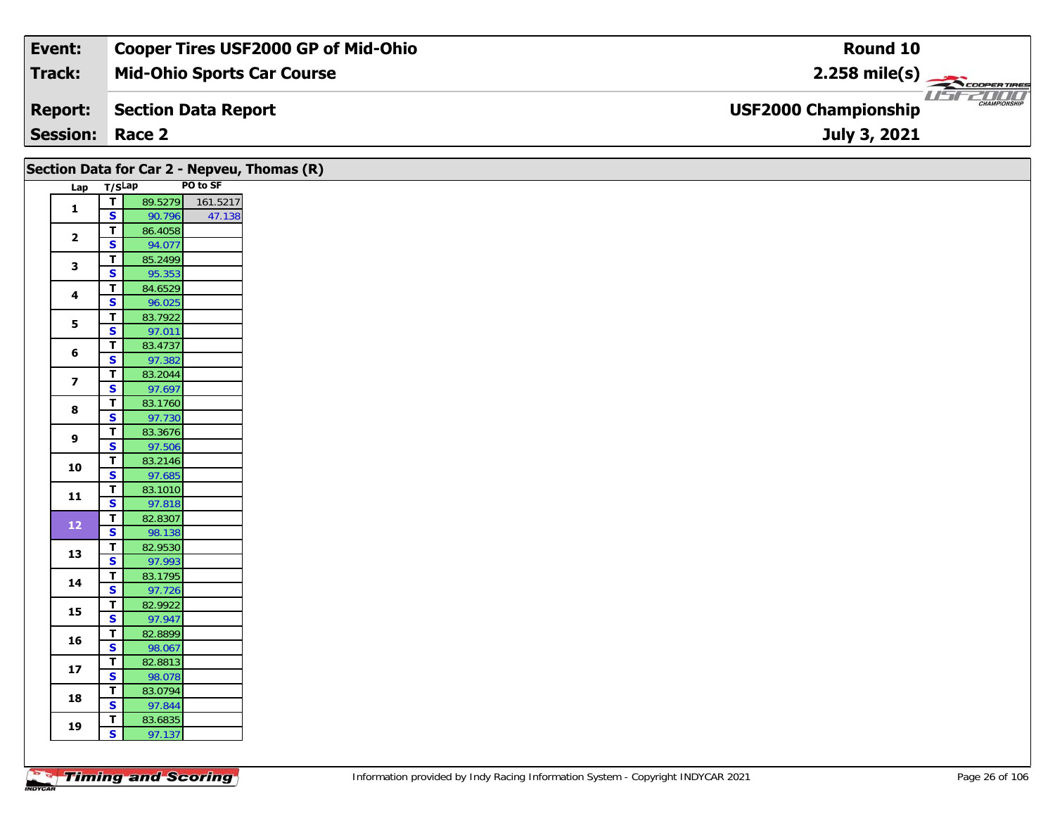| Event:                 | <b>Cooper Tires USF2000 GP of Mid-Ohio</b> | Round 10                                     |
|------------------------|--------------------------------------------|----------------------------------------------|
| Track:                 | <b>Mid-Ohio Sports Car Course</b>          | $2.258$ mile(s)                              |
| <b>Report:</b>         | Section Data Report                        | $\frac{1}{1}$<br><b>USF2000 Championship</b> |
| <b>Session: Race 2</b> |                                            | July 3, 2021                                 |

| Lap T/SLap<br>$\mathbf{1}$ | $\overline{I}$                         |                   | PO to SF |
|----------------------------|----------------------------------------|-------------------|----------|
|                            |                                        |                   |          |
|                            |                                        | 89.5279           | 161.5217 |
|                            | $\overline{\mathbf{s}}$<br>$\mathbf T$ | 90.796<br>86.4058 | 47.138   |
| $\mathbf{2}$               | $\mathbf{s}$                           | 94.077            |          |
|                            | $\mathbf T$                            | 85.2499           |          |
| 3                          | $\overline{\mathbf{s}}$                | 95.353            |          |
| $\overline{\mathbf{4}}$    | $\mathbf T$                            | 84.6529           |          |
|                            | S                                      | 96.025            |          |
| 5                          | $\overline{\mathbf{T}}$                | 83.7922           |          |
|                            | $\overline{\mathbf{s}}$                | 97.011            |          |
| 6                          | $\mathbf T$<br>$\mathbf{s}$            | 83.4737<br>97.382 |          |
|                            | $\mathbf{T}$                           | 83.2044           |          |
| $\overline{\mathbf{z}}$    | S                                      | 97.697            |          |
| 8                          | $\mathbf T$                            | 83.1760           |          |
|                            | $\overline{\mathbf{s}}$                | 97.730            |          |
| 9                          | $\overline{\mathbf{T}}$                | 83.3676           |          |
|                            | $\overline{\mathbf{s}}$                | 97.506            |          |
| 10                         | $\mathbf T$<br>$\overline{\mathbf{s}}$ | 83.2146<br>97.685 |          |
|                            | T                                      | 83.1010           |          |
| $\mathbf{11}$              | $\overline{\mathbf{s}}$                | 97.818            |          |
|                            | $\mathbf T$                            | 82.8307           |          |
| $12$                       | $\mathbf{s}$                           | 98.138            |          |
| 13                         | $\overline{\mathbf{T}}$                | 82.9530           |          |
|                            | $\mathbf{s}$                           | 97.993            |          |
| 14                         | T<br>$\overline{\mathbf{s}}$           | 83.1795<br>97.726 |          |
|                            | $\mathbf T$                            | 82.9922           |          |
| 15                         | $\overline{\mathbf{s}}$                | 97.947            |          |
| 16                         | T                                      | 82.8899           |          |
|                            | $\mathbf{s}$                           | 98.067            |          |
| $17$                       | $\overline{\mathsf{r}}$                | 82.8813           |          |
|                            | S                                      | 98.078            |          |
| 18                         | T<br>$\overline{\mathbf{s}}$           | 83.0794<br>97.844 |          |
|                            | T                                      | 83.6835           |          |
| 19                         | $\mathbf{s}$                           | 97.137            |          |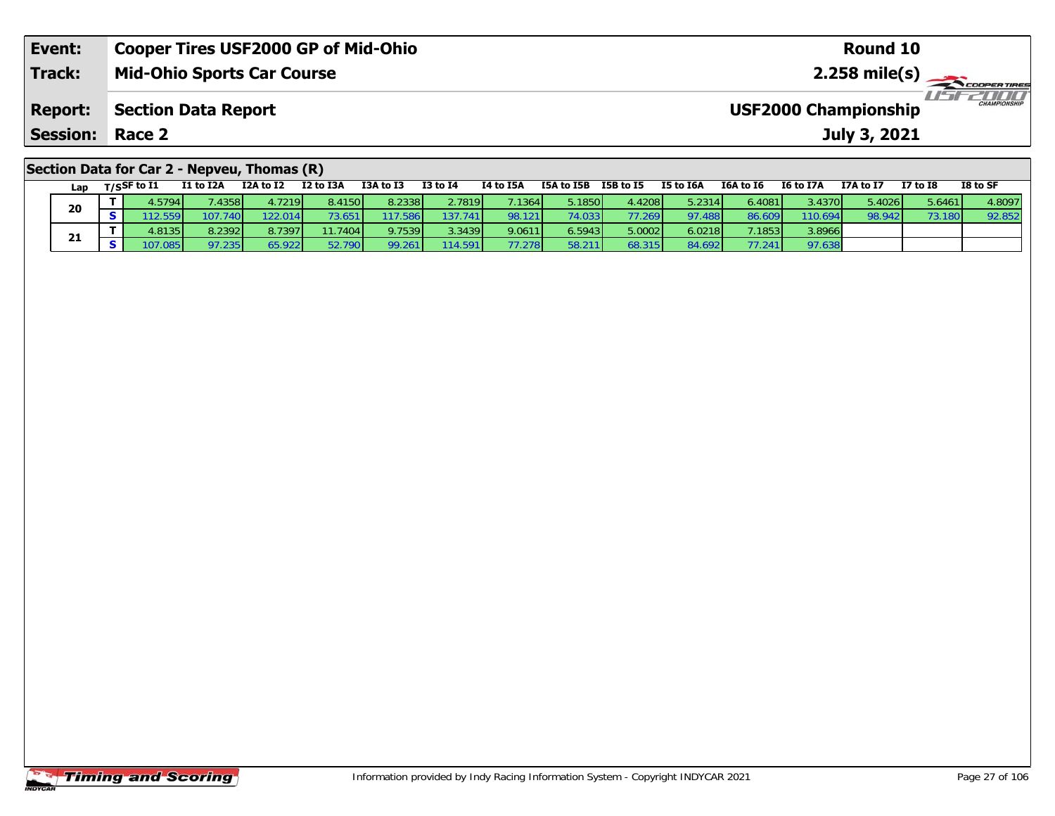| Event:                                      | <b>Cooper Tires USF2000 GP of Mid-Ohio</b> | Round 10                                           |  |  |  |  |  |  |  |
|---------------------------------------------|--------------------------------------------|----------------------------------------------------|--|--|--|--|--|--|--|
| Track:                                      | <b>Mid-Ohio Sports Car Course</b>          | $2.258$ mile(s)                                    |  |  |  |  |  |  |  |
| <b>Report:</b>                              | Section Data Report                        | <b>CHAMPIONSHIP</b><br><b>USF2000 Championship</b> |  |  |  |  |  |  |  |
| <b>Session: Race 2</b><br>July 3, 2021      |                                            |                                                    |  |  |  |  |  |  |  |
| Section Data for Car 2 - Nepveu, Thomas (R) |                                            |                                                    |  |  |  |  |  |  |  |

| Lap | T/SSF to I1 | <b>I1 to I2A</b> | I2A to I2 | I2 to I3A | I3A to I3 | <b>I3 to I4</b> | I4 to I5A | I5A to I5B | I5B to I5 | <b>I5 to I6A</b> | I6A to I6 | <b>I6 to I7A</b> | I7A to I7 | I7 to I8 | I8 to SF |
|-----|-------------|------------------|-----------|-----------|-----------|-----------------|-----------|------------|-----------|------------------|-----------|------------------|-----------|----------|----------|
|     | 4.5794      | .4358            | 4.7219    | 8.4150    | 8.2338    | 2.7819          | 7.1364    | 5.1850     | 4.4208    | 5.2314           | 6.4081    | 3.4370           | 5.4026    | 5.6461   | 4.8097   |
| 20  |             | 107.740          | 22.014    |           | 17.586    | 137.741         | 98.121    | 4.033      | 77.269    | 97.488           | 86.609    | 110.694          | 98.942    | 73.180   | 92.852   |
|     | 4.8135      | 8.2392           | 8.7397    | 11.7404   | 9.7539    | 3.3439          | 9.0611    | 6.5943     | 5.0002    | 6.0218           | 7.1853    | 3.8966           |           |          |          |
| 21  | 07.085      | 7.235            | 55.922    | 52.790    | 99.261    | 114.591         | 77.278    | 58.211     | 68.315    | 84.692           |           | 97.638           |           |          |          |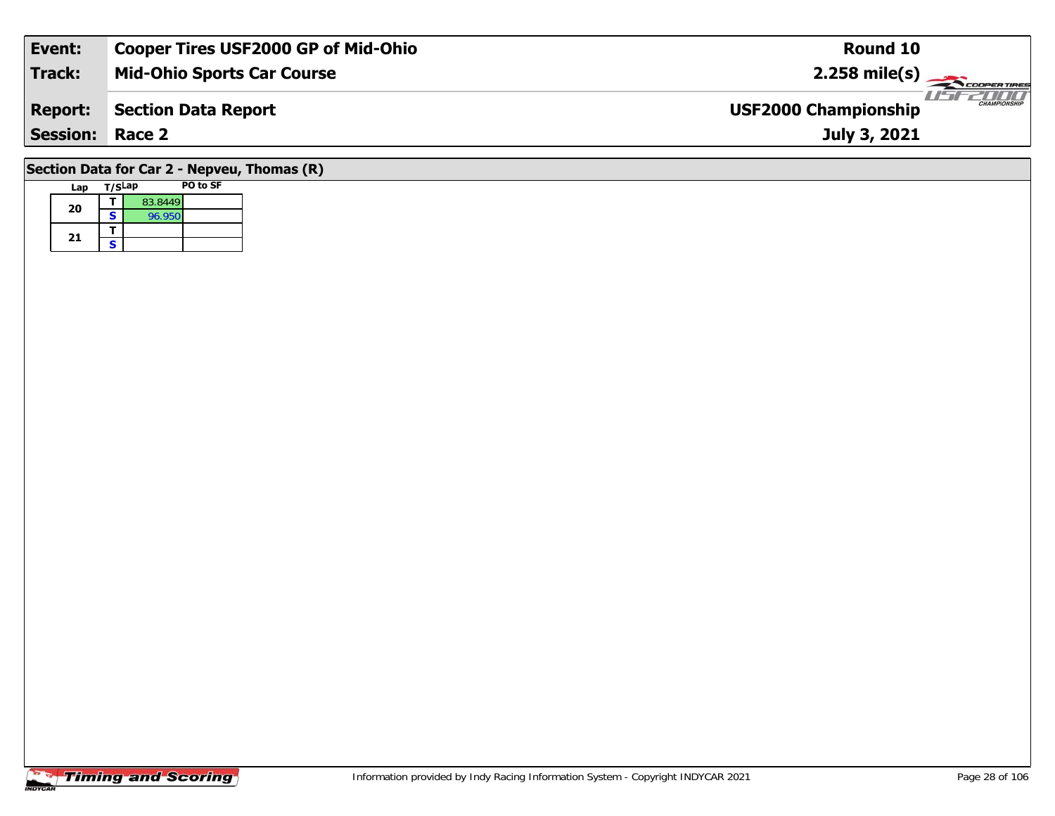| Event:                                               | <b>Cooper Tires USF2000 GP of Mid-Ohio</b> | Round 10                                           |  |  |  |  |  |  |
|------------------------------------------------------|--------------------------------------------|----------------------------------------------------|--|--|--|--|--|--|
| Track:                                               | <b>Mid-Ohio Sports Car Course</b>          | $2.258 \text{ mile(s)}$                            |  |  |  |  |  |  |
| <b>Report:</b>                                       | Section Data Report                        | <b>CHAMPIONSHIP</b><br><b>USF2000 Championship</b> |  |  |  |  |  |  |
| <b>Session: Race 2</b>                               |                                            | July 3, 2021                                       |  |  |  |  |  |  |
| $C$ sation Data for $C_2$ ri $2$ Norman Thomas $(D)$ |                                            |                                                    |  |  |  |  |  |  |

## **Section Data for Car 2 - Nepveu, Thomas (R)**

| Lap | T/SLap |         | PO to SF |
|-----|--------|---------|----------|
| 20  |        | 83.8449 |          |
|     | S      | 96.950  |          |
|     |        |         |          |
| 21  | S      |         |          |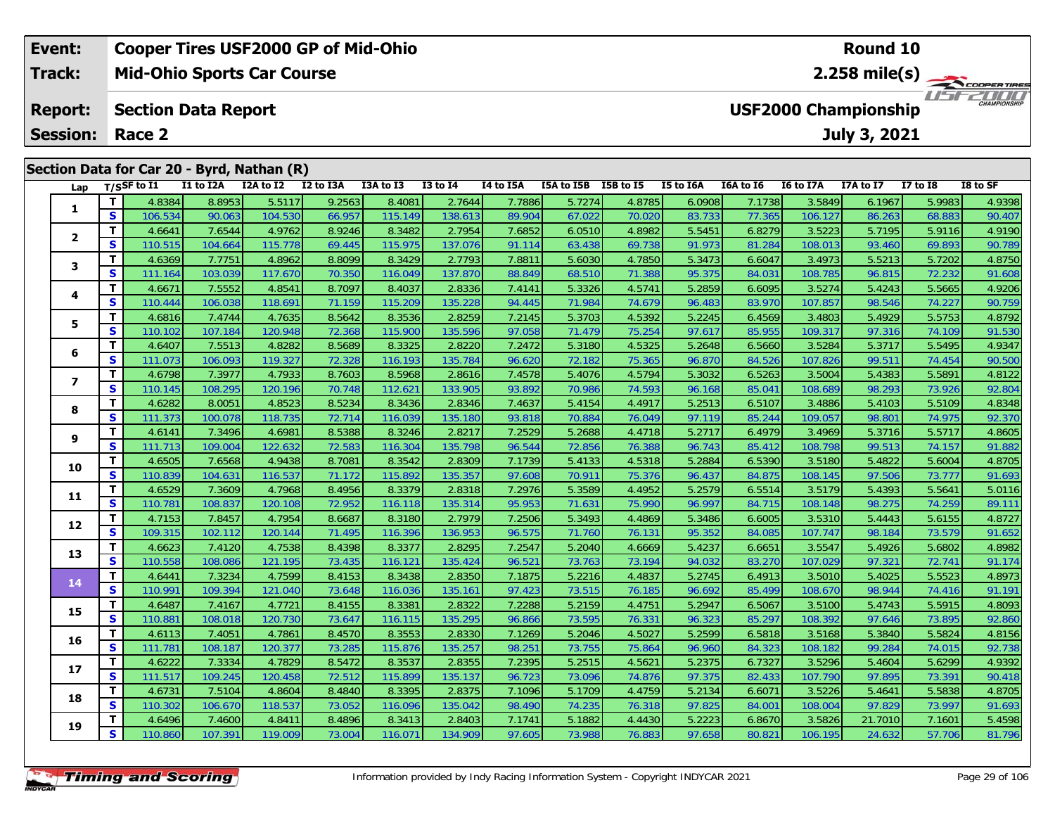| Event:                  |          |                       |                            | <b>Cooper Tires USF2000 GP of Mid-Ohio</b> |           |           |              |                 |            |           |           |           |                  | Round 10                    |              |                      |
|-------------------------|----------|-----------------------|----------------------------|--------------------------------------------|-----------|-----------|--------------|-----------------|------------|-----------|-----------|-----------|------------------|-----------------------------|--------------|----------------------|
| Track:                  |          |                       |                            | <b>Mid-Ohio Sports Car Course</b>          |           |           |              |                 |            |           |           |           |                  | 2.258 mile(s) $-$           |              | COOPERTIRES          |
| <b>Report:</b>          |          |                       | <b>Section Data Report</b> |                                            |           |           |              |                 |            |           |           |           |                  | <b>USF2000 Championship</b> |              | 7000<br>CHAMPIONSHIP |
| <b>Session:</b>         |          | Race 2                |                            |                                            |           |           |              |                 |            |           |           |           |                  | July 3, 2021                |              |                      |
|                         |          |                       |                            | Section Data for Car 20 - Byrd, Nathan (R) |           |           |              |                 |            |           |           |           |                  |                             |              |                      |
| Lap                     |          | $_{\rm T/SS}$ F to I1 | I1 to I2A                  | I2A to I2                                  | I2 to I3A | I3A to I3 | $I3$ to $I4$ | I4 to I5A       | I5A to I5B | I5B to I5 | I5 to I6A | I6A to I6 | <b>I6 to I7A</b> | I7A to I7                   | $I7$ to $I8$ | I8 to SF             |
|                         |          | 4.8384                | 8.8953                     | 5.5117                                     | 9.2563    | 8.4081    | 2.7644       | 7.7886 <b>1</b> | 5.7274     | 4.8785    | 6.0908    | 7.1738    | 3.5849           | 6.1967                      | 5.9983       | 4.9398               |
|                         | <b>S</b> | 106.534               | 90.063                     | 104.530                                    | 66.957    | 115.149   | 138.613      | 89.904          | 67.022     | 70.020    | 83.733    | 77.365    | 106.127          | 86.263                      | 68.883       | 90.407               |
|                         |          | 4.6641                | 7.6544                     | 4.9762                                     | 8.9246    | 8.3482    | 2.7954       | 7.6852          | 6.0510     | 4.8982    | 5.5451    | 6.8279    | 3.5223           | 5.7195                      | 5.9116       | 4.9190               |
| $\overline{\mathbf{2}}$ | S        | 110.515               | 104.664                    | 115,778                                    | 69.445    | 115.975   | 137.076      | 91.114          | 63.438     | 69.738    | 91.973    | 81.284    | 108.013          | 93.460                      | 69.893       | 90.789               |

3 T 4.6369 7.7751 4.8962 8.8099 8.3429 2.7793 7.8811 5.6030 4.7850 5.3473 6.6047 3.4973 5.5213 5.7202 4.8750<br>S 111.164 103.039 117.670 70.350 116.049 137.870 88.849 68.510 71.388 95.375 84.031 108.785 96.815 72.232 91.608

4 T 4.6671 7.5552 4.8541 8.7097 8.4037 2.8336 7.4141 5.3326 4.5741 5.2859 6.6095 3.5274 5.4243 5.5665 4.9206<br>5 110.444 106.038 118.691 71.159 115.209 135.228 94.445 71.984 74.679 96.483 83.970 107.857 98.546 74.227 90.759

5 T 4.6816 7.4744 4.7635 8.5642 8.3536 2.8259 7.2145 5.3703 4.5392 5.2245 6.4569 3.4803 5.4929 5.5753 4.8792<br>5 S 110.102 107.184 120.948 72.368 115.900 135.596 97.058 71.479 75.254 97.617 85.955 109.317 97.316 74.109 91.53

6 T 4.6407 7.5513 4.8282 8.5689 8.3325 2.8220 7.2472 5.3180 4.5325 5.2648 6.5660 3.5284 5.3717 5.5495 4.9347<br>5 S 111.073 106.093 119.327 72.328 116.193 135.784 96.620 72.182 75.365 96.870 84.526 107.826 99.511 74.454 90

7 | T | 4.6798| 7.3977| 4.7933| 8.7603| 8.5968| 2.8616| 7.4578| 5.4076| 4.5794| 5.3032| 6.5263| 3.5004| 5.4383| 5.5891| 4.8122<br>7 | S | 110.145 108.295 120.196 70.748 112.621 133.905 93.892 70.986 74.593 96.168 85.041 108.6

8 T 4.6282 8.0051 4.8523 8.5234 8.3436 2.8346 7.4637 5.4154 4.4917 5.2513 6.5107 3.4886 5.4103 5.5109 4.8348<br>8 S 111.373 100.078 118.735 72.714 116.039 135.180 93.818 70.884 76.049 97.119 85.244 109.057 98.801 74.975 92.37

4.605 11 4.6141 7.3496 4.6981 8.5388 8.3246 2.8217| 7.2529| 5.2688| 4.4718| 5.2717| 6.4979| 3.4969| 5.3716| 5.5717| 4.8605<br>S 111.713| 109.004 122.632| 72.583| 116.304| 135.798| 96.544| 72.856

0 T 4.6505 7.6568 4.9438 8.7081 8.3542 2.8309 7.1739 5.4133 4.5318 5.2884 6.5390 3.5180 5.4822 5.6004 4.8705<br>S 110.839 104.631 116.537 71.172 115.892 135.357 97.608 70.911 75.376 96.437 84.875 108.145 97.506 73.777 91.693

**<sup>T</sup>** 4.6529 7.3609 4.7968 8.4956 8.3379 2.8318 7.2976 5.3589 4.4952 5.2579 6.5514 3.5179 5.4393 5.5641 5.0116 **<sup>S</sup>** 110.781 108.837 120.108 72.952 116.118 135.314 95.953 71.631 75.990 96.997 84.715 108.148 98.275 74.259 89.111

2 T 4.7153 7.8457 4.7954 8.6687 8.3180 2.7979 7.2506 5.3493 4.4869 5.3486 6.6005 3.5310 5.4443 5.6155 4.8727<br>2 S 109.315 102.112 120.144 71.495 116.396 136.953 96.575 71.760 76.131 95.352 84.085 107.747 98.184 73.579 91.65

3 T 4.6623 7.4120 4.7538 8.4398 8.3377 2.8295 7.2547 5.2040 4.6669 5.4237 6.6651 3.5547 5.4926 5.6802 4.8982<br>S 110.558 108.086 121.195 73.435 116.121 135.424 96.521 73.763 73.194 94.032 83.270 107.029 97.321 72.741 91.174

**<sup>T</sup>** 4.6441 7.3234 4.7599 8.4153 8.3438 2.8350 7.1875 5.2216 4.4837 5.2745 6.4913 3.5010 5.4025 5.5523 4.8973 **<sup>S</sup>** 110.991 109.394 121.040 73.648 116.036 135.161 97.423 73.515 76.185 96.692 85.499 108.670 98.944 74.416 91.191

5 T 4.6487 7.4167 4.7721 8.4155 8.3381 2.8322 7.2288 5.2159 4.4751 5.2947 6.5067 3.5100 5.4743 5.5915 4.8093<br>5 S 110.881 108.018 120.730 73.647 116.115 135.295 96.866 73.595 76.331 96.323 85.297 108.392 97.646 73.895 92.86

**<sup>T</sup>** 4.6113 7.4051 4.7861 8.4570 8.3553 2.8330 7.1269 5.2046 4.5027 5.2599 6.5818 3.5168 5.3840 5.5824 4.8156 **<sup>S</sup>** 111.781 108.187 120.377 73.285 115.876 135.257 98.251 73.755 75.864 96.960 84.323 108.182 99.284 74.015 92.738

7 T 4.6222 7.3334 4.7829 8.5472 8.3537 2.8355 7.2395 5.2515 4.5621 5.2375 6.7327 3.5296 5.4604 5.6299 4.9392<br>7 S 111.517 109.245 120.458 72.512 115.899 135.137 96.723 73.096 74.876 97.375 82.433 107.790 97.895 73.391 90.41

8 T 4.6731 7.5104 4.8604 8.4840 8.3395 2.8375 7.1096 5.1709 4.4759 5.2134 6.6071 3.5226 5.4641 5.5838 4.8705<br>S 110.302 106.670 118.537 73.052 116.096 135.042 98.490 74.235 76.318 97.825 84.001 108.004 97.829 73.997 91.693

**<sup>T</sup>** 4.6496 7.4600 4.8411 8.4896 8.3413 2.8403 7.1741 5.1882 4.4430 5.2223 6.8670 3.5826 21.7010 7.1601 5.4598 **<sup>S</sup>** 110.860 107.391 119.009 73.004 116.071 134.909 97.605 73.988 76.883 97.658 80.821 106.195 24.632 57.706 81.796

|  | <b>Timing and Scoring</b> |  |
|--|---------------------------|--|
|  |                           |  |

**3**

**4**

**5**

**6**

**7**

**8**

**9**

**10**

**11**

**12**

**13**

**14**

**15**

**16**

**17**

**18**

**19**

90.789

90.759

92.804

91.882

91.191

90.418

91.693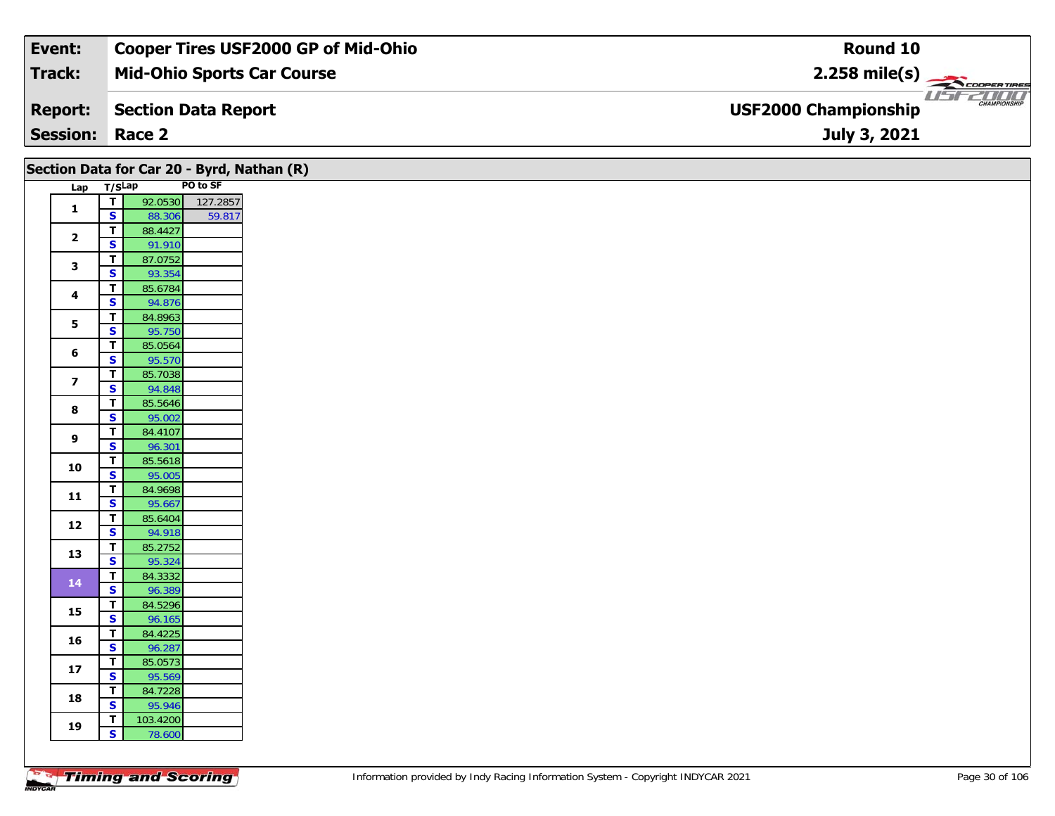| Event:                 | Cooper Tires USF2000 GP of Mid-Ohio | Round 10                                           |
|------------------------|-------------------------------------|----------------------------------------------------|
| Track:                 | <b>Mid-Ohio Sports Car Course</b>   | $2.258$ mile(s)                                    |
| <b>Report:</b>         | Section Data Report                 | <b>CHAMPIONSHIP</b><br><b>USF2000 Championship</b> |
| <b>Session: Race 2</b> |                                     | July 3, 2021                                       |

|                         |                                        | Section Data for Car 20 - Byrd, Nathan (R) |  |
|-------------------------|----------------------------------------|--------------------------------------------|--|
|                         | Lap T/SLap                             | PO to SF                                   |  |
| $\mathbf{1}$            | $\overline{\mathbf{T}}$                | 92.0530<br>127.2857                        |  |
|                         | $\overline{\mathbf{s}}$                | 88.306<br>59.817                           |  |
| $\overline{\mathbf{2}}$ | $\mathbf T$                            | 88.4427                                    |  |
|                         | S                                      | 91.910                                     |  |
| $\mathbf{3}$            | $\mathbf T$                            | 87.0752                                    |  |
|                         | $\overline{\mathbf{s}}$                | 93.354                                     |  |
| 4                       | $\mathbf T$<br>S                       | 85.6784<br>94.876                          |  |
|                         | T                                      | 84.8963                                    |  |
| $\mathbf{5}$            | $\overline{\mathbf{s}}$                | 95.750                                     |  |
|                         | T                                      | 85.0564                                    |  |
| 6                       | $\mathbf{s}$                           | 95.570                                     |  |
|                         | $\mathbf T$                            | 85.7038                                    |  |
| $\overline{\mathbf{z}}$ | $\overline{\mathbf{s}}$                | 94.848                                     |  |
|                         | T                                      | 85.5646                                    |  |
| 8                       | S                                      | 95.002                                     |  |
| 9                       | T                                      | 84.4107                                    |  |
|                         | $\mathbf{s}$                           | 96.301                                     |  |
| 10                      | $\mathbf T$                            | 85.5618                                    |  |
|                         | $\overline{\mathbf{s}}$                | 95.005                                     |  |
| 11                      | T<br>$\overline{\mathbf{s}}$           | 84.9698                                    |  |
|                         | T                                      | 95.667<br>85.6404                          |  |
| 12                      | $\mathbf{s}$                           | 94.918                                     |  |
|                         | $\overline{\mathbf{T}}$                | 85.2752                                    |  |
| 13                      | $\overline{\mathbf{s}}$                | 95.324                                     |  |
|                         | T                                      | 84.3332                                    |  |
| 14                      | $\overline{\mathbf{s}}$                | 96.389                                     |  |
|                         | T                                      | 84.5296                                    |  |
| 15                      | $\overline{\mathbf{s}}$                | 96.165                                     |  |
| 16                      | $\mathbf T$                            | 84.4225                                    |  |
|                         | $\overline{\mathbf{s}}$                | 96.287                                     |  |
| $17$                    | T                                      | 85.0573                                    |  |
|                         | S                                      | 95.569                                     |  |
| 18                      | T                                      | 84.7228                                    |  |
|                         | $\mathbf{s}$                           | 95.946                                     |  |
| 19                      | $\mathbf T$<br>$\overline{\mathbf{s}}$ | 103.4200                                   |  |
|                         |                                        | 78.600                                     |  |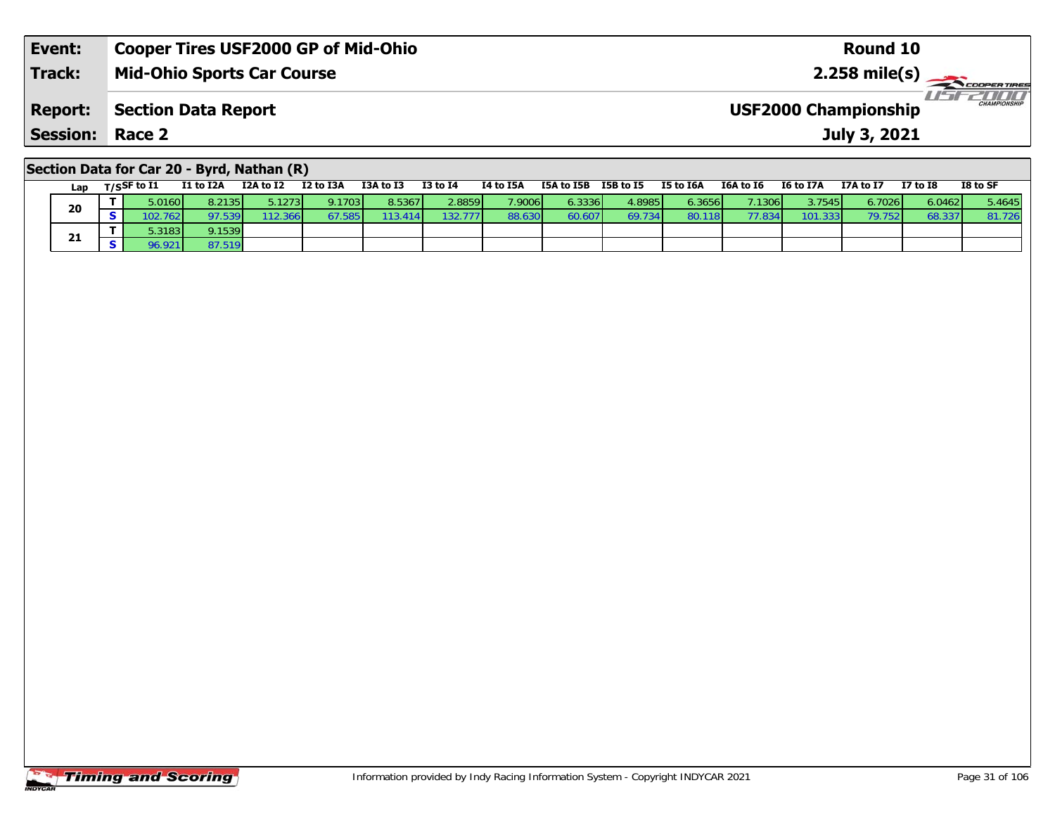| Event:                 | <b>Cooper Tires USF2000 GP of Mid-Ohio</b> | Round 10                                     |
|------------------------|--------------------------------------------|----------------------------------------------|
| <b>Track:</b>          | <b>Mid-Ohio Sports Car Course</b>          | $2.258$ mile(s) $\rightarrow$<br>COOPERTIRES |
| <b>Report:</b>         | Section Data Report                        | CHAMPIONSHIP<br><b>USF2000 Championship</b>  |
| <b>Session: Race 2</b> |                                            | July 3, 2021                                 |
|                        |                                            |                                              |

# **Section Data for Car 20 - Byrd, Nathan (R)**

| Lap | T/SSF to I1 | I1 to I2A | I2A to I2       | I2 to I3A | I3A to I3 | <b>I3 to I4</b> | I4 to I5A       | I5A to I5B | I5B to I5 | I5 to I6A | I6A to I6 | <b>I6 to I7A</b> | I7A to I7 | <b>I7 to I8</b> | I8 to SF |
|-----|-------------|-----------|-----------------|-----------|-----------|-----------------|-----------------|------------|-----------|-----------|-----------|------------------|-----------|-----------------|----------|
| 20  | 0.0160      | 8.2135    | 5.1273 <b>I</b> | 9.1703    | 8.5367    | 2.8859          | 7.9006 <b>1</b> | 6.33361    | 4.8985    | 6.3656    | 1306      | 3.7545 <b>1</b>  | 6.7026    | 6.0462 l        | 5.4645   |
|     | .7621       | 97.539    | 12.366          |           | 3.414     | 132.777         | 88.630          | 60.6071    | 69.734    | 80.118    |           | 101.333 <b>1</b> | 79.752    | 68.33           | 81.726   |
| 21  | 0.3183      | 9.1539    |                 |           |           |                 |                 |            |           |           |           |                  |           |                 |          |
|     | 96.921      | 87.519    |                 |           |           |                 |                 |            |           |           |           |                  |           |                 |          |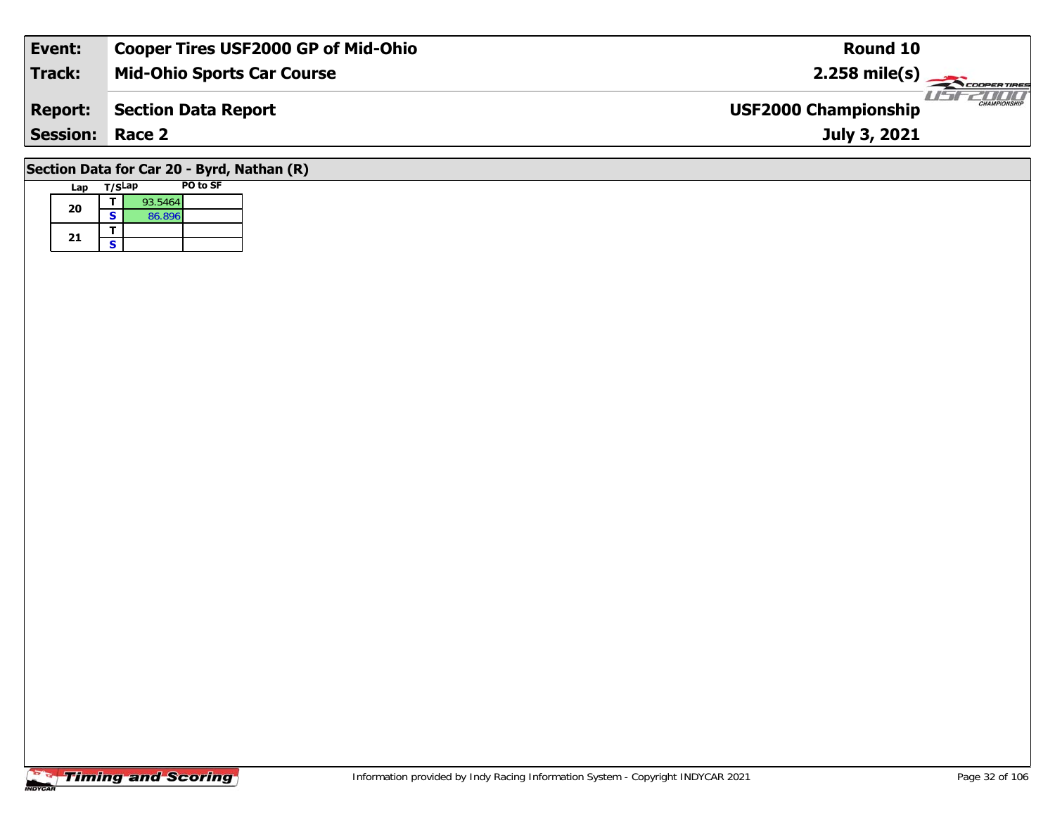| Event:                 | <b>Cooper Tires USF2000 GP of Mid-Ohio</b> | Round 10                                           |
|------------------------|--------------------------------------------|----------------------------------------------------|
| <b>Track:</b>          | <b>Mid-Ohio Sports Car Course</b>          | $2.258$ mile(s)                                    |
| <b>Report:</b>         | Section Data Report                        | <b>CHAMPIONSHIP</b><br><b>USF2000 Championship</b> |
| <b>Session: Race 2</b> |                                            | July 3, 2021                                       |
|                        | Section Data for Car 20 - Byrd, Nathan (R) |                                                    |

## **Timing and Scoring**

**Lap T/SLap PO to SF** 

**a**  $\begin{array}{|c|c|c|}\n\hline\n\textbf{S} & \textbf{93.5464} \\
\hline\n\textbf{S} & \textbf{86.896}\n\hline\n\end{array}$ 

**20**

21  $\frac{1}{s}$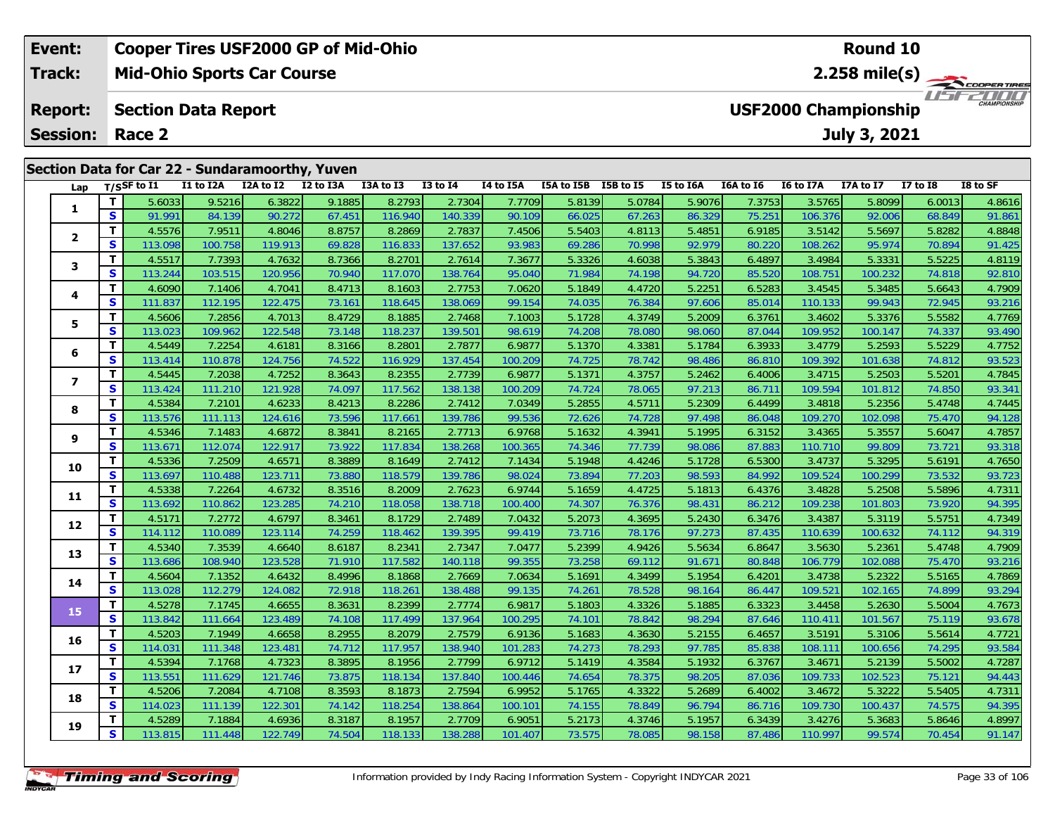| Event:         |                 |                                                 |                                   |           | <b>Cooper Tires USF2000 GP of Mid-Ohio</b> |           |              |           |                      |        |           |           |                  | <b>Round 10</b>             |                 |                      |
|----------------|-----------------|-------------------------------------------------|-----------------------------------|-----------|--------------------------------------------|-----------|--------------|-----------|----------------------|--------|-----------|-----------|------------------|-----------------------------|-----------------|----------------------|
| <b>Track:</b>  |                 |                                                 | <b>Mid-Ohio Sports Car Course</b> |           |                                            |           |              |           |                      |        |           |           |                  |                             |                 | $2.258$ mile(s)      |
| <b>Report:</b> |                 |                                                 | <b>Section Data Report</b>        |           |                                            |           |              |           |                      |        |           |           |                  | <b>USF2000 Championship</b> |                 | 2000<br>CHAMPIONSHIP |
|                | <b>Session:</b> | Race 2                                          |                                   |           |                                            |           |              |           |                      |        |           |           |                  | July 3, 2021                |                 |                      |
|                |                 | Section Data for Car 22 - Sundaramoorthy, Yuven |                                   |           |                                            |           |              |           |                      |        |           |           |                  |                             |                 |                      |
|                | Lap             | T/SSF to I1                                     | I1 to I2A                         | I2A to I2 | I2 to I3A                                  | I3A to I3 | $I3$ to $I4$ | I4 to I5A | ISA to ISB ISB to IS |        | I5 to I6A | I6A to I6 | <b>I6 to I7A</b> | I7A to I7                   | <b>I7 to I8</b> | I8 to SF             |
|                |                 | 5.6033                                          | 9.5216                            | 6.3822    | 9.1885                                     | 8.27931   | 2.7304       | 7.77091   | 5.8139               | 5.0784 | 5.9076    | 7.37531   | 3.5765           | 5.8099                      | 6.0013          | 4.8616               |

| Lap            |              | 1/25 LO 11 | <b>IT TO TAW</b> | IZA LO IZ | 17 IO 198 | כז מז אכז | T2 IO 14 | <b>14 MD TOW</b> | <b>ISA to ISD</b> | 19 <b>D</b> to 19 | TO TO TOW | TOW TO TO | <b>TO TO TAM</b> | 17A LO 17 | <b>T\ fO TO</b> | TO TO 2L |
|----------------|--------------|------------|------------------|-----------|-----------|-----------|----------|------------------|-------------------|-------------------|-----------|-----------|------------------|-----------|-----------------|----------|
|                | т            | 5.6033     | 9.5216           | 6.3822    | 9.1885    | 8.2793    | 2.7304   | 7.7709           | 5.8139            | 5.0784            | 5.9076    | 7.3753    | 3.5765           | 5.8099    | 6.0013          | 4.8616   |
| 1              | S            | 91.991     | 84.139           | 90.272    | 67.451    | 116.940   | 140.339  | 90.109           | 66.025            | 67.263            | 86.329    | 75.251    | 106.376          | 92.006    | 68.849          | 91.861   |
| $\mathbf{2}$   | т            | 4.5576     | 7.9511           | 4.8046    | 8.8757    | 8.2869    | 2.7837   | 7.4506           | 5.5403            | 4.8113            | 5.4851    | 6.9185    | 3.5142           | 5.5697    | 5.8282          | 4.8848   |
|                | S            | 113.098    | 100.758          | 119.913   | 69.828    | 116.833   | 137.652  | 93.983           | 69.286            | 70.998            | 92.979    | 80.220    | 108.262          | 95.974    | 70.894          | 91.425   |
| 3              | T.           | 4.5517     | 7.7393           | 4.7632    | 8.7366    | 8.2701    | 2.7614   | 7.3677           | 5.3326            | 4.6038            | 5.3843    | 6.4897    | 3.4984           | 5.3331    | 5.5225          | 4.8119   |
|                | S            | 113.244    | 103.515          | 120.956   | 70.940    | 117.070   | 138.764  | 95.040           | 71.984            | 74.198            | 94.720    | 85.520    | 108.751          | 100.232   | 74.818          | 92.810   |
| 4              | T            | 4.6090     | 7.1406           | 4.7041    | 8.4713    | 8.1603    | 2.7753   | 7.0620           | 5.1849            | 4.4720            | 5.2251    | 6.5283    | 3.4545           | 5.3485    | 5.6643          | 4.7909   |
|                | $\mathbf{s}$ | 111.837    | 112.195          | 122.475   | 73.161    | 118.645   | 138.069  | 99.154           | 74.035            | 76.384            | 97.606    | 85.014    | 110.133          | 99.943    | 72.945          | 93.216   |
| 5              | T            | 4.5606     | 7.2856           | 4.7013    | 8.4729    | 8.1885    | 2.7468   | 7.1003           | 5.1728            | 4.3749            | 5.2009    | 6.3761    | 3.4602           | 5.3376    | 5.5582          | 4.7769   |
|                | S            | 113.023    | 109.962          | 122.548   | 73.148    | 118.237   | 139.501  | 98.619           | 74.208            | 78.080            | 98.060    | 87.044    | 109.952          | 100.147   | 74.337          | 93.490   |
| 6              | T            | 4.5449     | 7.2254           | 4.6181    | 8.3166    | 8.2801    | 2.7877   | 6.9877           | 5.1370            | 4.3381            | 5.1784    | 6.3933    | 3.4779           | 5.2593    | 5.5229          | 4.7752   |
|                | S.           | 113.414    | 110.878          | 124.756   | 74.522    | 116.929   | 137.454  | 100.209          | 74.725            | 78.742            | 98.486    | 86.810    | 109.392          | 101.638   | 74.812          | 93.523   |
| $\overline{ }$ | T.           | 4.5445     | 7.2038           | 4.7252    | 8.3643    | 8.2355    | 2.7739   | 6.9877           | 5.1371            | 4.3757            | 5.2462    | 6.4006    | 3.4715           | 5.2503    | 5.5201          | 4.7845   |
|                | S            | 113.424    | 111.210          | 121.928   | 74.097    | 117.562   | 138.138  | 100.209          | 74.724            | 78.065            | 97.213    | 86.711    | 109.594          | 101.812   | 74.850          | 93.341   |
| 8              | T            | 4.5384     | 7.2101           | 4.6233    | 8.4213    | 8.2286    | 2.7412   | 7.0349           | 5.2855            | 4.5711            | 5.2309    | 6.4499    | 3.4818           | 5.2356    | 5.4748          | 4.7445   |
|                | S            | 113.576    | 111.113          | 124.616   | 73.596    | 117.661   | 139.786  | 99.536           | 72.626            | 74.728            | 97.498    | 86.048    | 109.270          | 102.098   | 75.470          | 94.128   |
| 9              | T.           | 4.5346     | 7.1483           | 4.6872    | 8.3841    | 8.2165    | 2.7713   | 6.9768           | 5.1632            | 4.3941            | 5.1995    | 6.3152    | 3.4365           | 5.3557    | 5.6047          | 4.7857   |
|                | S            | 113.671    | 112.074          | 122.917   | 73.922    | 117.834   | 138.268  | 100.365          | 74.346            | 77.739            | 98.086    | 87.883    | 110.710          | 99.809    | 73.721          | 93.318   |
| 10             | T.           | 4.5336     | 7.2509           | 4.6571    | 8.3889    | 8.1649    | 2.7412   | 7.1434           | 5.1948            | 4.4246            | 5.1728    | 6.5300    | 3.4737           | 5.3295    | 5.6191          | 4.7650   |
|                | S            | 113.697    | 110.488          | 123.711   | 73.880    | 118.579   | 139.786  | 98.024           | 73.894            | 77.203            | 98.593    | 84.992    | 109.524          | 100.299   | 73.532          | 93.723   |
| 11             | T            | 4.5338     | 7.2264           | 4.6732    | 8.3516    | 8.2009    | 2.7623   | 6.9744           | 5.1659            | 4.4725            | 5.1813    | 6.4376    | 3.4828           | 5.2508    | 5.5896          | 4.7311   |
|                | S            | 113.692    | 110.862          | 123.285   | 74.210    | 118.058   | 138.718  | 100.400          | 74.307            | 76.376            | 98.431    | 86.212    | 109.238          | 101.803   | 73.920          | 94.395   |
| 12             | T.           | 4.5171     | 7.2772           | 4.6797    | 8.3461    | 8.1729    | 2.7489   | 7.0432           | 5.2073            | 4.3695            | 5.2430    | 6.3476    | 3.4387           | 5.3119    | 5.5751          | 4.7349   |
|                | S            | 114.112    | 110.089          | 123.114   | 74.259    | 118.462   | 139.395  | 99.419           | 73.716            | 78.176            | 97.273    | 87.435    | 110.639          | 100.632   | 74.112          | 94.319   |
| 13             | T.           | 4.5340     | 7.3539           | 4.6640    | 8.6187    | 8.2341    | 2.7347   | 7.0477           | 5.2399            | 4.9426            | 5.5634    | 6.8647    | 3.5630           | 5.2361    | 5.4748          | 4.7909   |
|                | S            | 113.686    | 108.940          | 123.528   | 71.910    | 117.582   | 140.118  | 99.355           | 73.258            | 69.112            | 91.671    | 80.848    | 106.779          | 102.088   | 75.470          | 93.216   |
| 14             | T            | 4.5604     | 7.1352           | 4.6432    | 8.4996    | 8.1868    | 2.7669   | 7.0634           | 5.1691            | 4.3499            | 5.1954    | 6.4201    | 3.4738           | 5.2322    | 5.5165          | 4.7869   |
|                | $\mathbf{s}$ | 113.028    | 112.279          | 124.082   | 72.918    | 118.261   | 138.488  | 99.135           | 74.261            | 78.528            | 98.164    | 86.447    | 109.521          | 102.165   | 74.899          | 93.294   |
| 15             | T.           | 4.5278     | 7.1745           | 4.6655    | 8.3631    | 8.2399    | 2.7774   | 6.9817           | 5.1803            | 4.3326            | 5.1885    | 6.3323    | 3.4458           | 5.2630    | 5.5004          | 4.7673   |
|                | S            | 113.842    | 111.664          | 123.489   | 74.108    | 117.499   | 137.964  | 100.295          | 74.101            | 78.842            | 98.294    | 87.646    | 110.411          | 101.567   | 75.119          | 93.678   |
| 16             | T.           | 4.5203     | 7.1949           | 4.6658    | 8.2955    | 8.2079    | 2.7579   | 6.9136           | 5.1683            | 4.3630            | 5.2155    | 6.4657    | 3.5191           | 5.3106    | 5.5614          | 4.7721   |
|                | S            | 114.031    | 111.348          | 123.481   | 74.712    | 117.957   | 138.940  | 101.283          | 74.273            | 78.293            | 97.785    | 85.838    | 108.111          | 100.656   | 74.295          | 93.584   |
| 17             | T.           | 4.5394     | 7.1768           | 4.7323    | 8.3895    | 8.1956    | 2.7799   | 6.9712           | 5.1419            | 4.3584            | 5.1932    | 6.3767    | 3.4671           | 5.2139    | 5.5002          | 4.7287   |
|                | S            | 113.551    | 111.629          | 121.746   | 73.875    | 118.134   | 137.840  | 100.446          | 74.654            | 78.375            | 98.205    | 87.036    | 109.733          | 102.523   | 75.121          | 94.443   |
| 18             | T.           | 4.5206     | 7.2084           | 4.7108    | 8.3593    | 8.1873    | 2.7594   | 6.9952           | 5.1765            | 4.3322            | 5.2689    | 6.4002    | 3.4672           | 5.3222    | 5.5405          | 4.7311   |
|                | S            | 114.023    | 111.139          | 122.301   | 74.142    | 118.254   | 138.864  | 100.101          | 74.155            | 78.849            | 96.794    | 86.716    | 109.730          | 100.437   | 74.575          | 94.395   |
| 19             | T.           | 4.5289     | 7.1884           | 4.6936    | 8.3187    | 8.1957    | 2.7709   | 6.9051           | 5.2173            | 4.3746            | 5.1957    | 6.3439    | 3.4276           | 5.3683    | 5.8646          | 4.8997   |
|                | S            | 113.815    | 111.448          | 122.749   | 74.504    | 118.133   | 138.288  | 101.407          | 73.575            | 78.085            | 98.158    | 87.486    | 110.997          | 99.574    | 70.454          | 91.147   |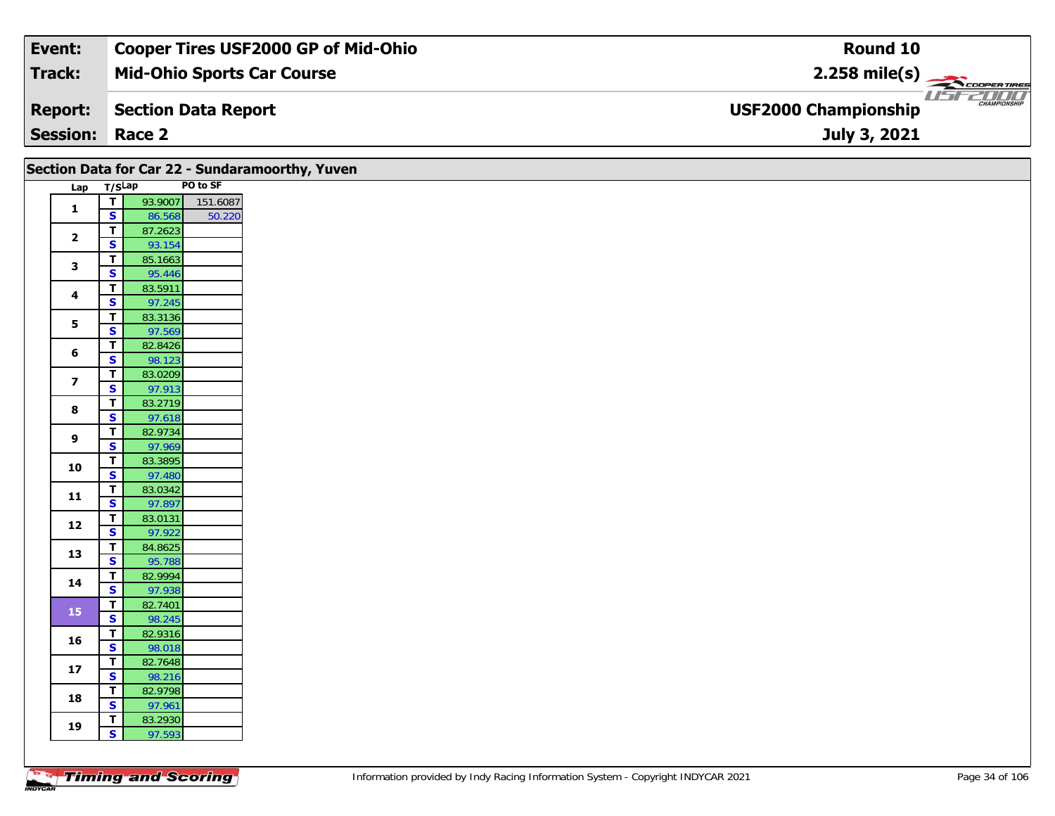| Event:          | <b>Cooper Tires USF2000 GP of Mid-Ohio</b> | Round 10                                           |
|-----------------|--------------------------------------------|----------------------------------------------------|
| Track:          | <b>Mid-Ohio Sports Car Course</b>          | $2.258$ mile(s)                                    |
| <b>Report:</b>  | Section Data Report                        | <b>CHAMPIONSHIP</b><br><b>USF2000 Championship</b> |
| <b>Session:</b> | Race 2                                     | July 3, 2021                                       |

|                |                              |                   |          | Section Data for Car 22 - Sundaramoorthy, Yuven |  |
|----------------|------------------------------|-------------------|----------|-------------------------------------------------|--|
| Lap            | T/SLap                       |                   | PO to SF |                                                 |  |
| 1              | т                            | 93.9007           | 151.6087 |                                                 |  |
|                | S                            | 86.568            | 50.220   |                                                 |  |
| $\mathbf{2}$   | T                            | 87.2623           |          |                                                 |  |
|                | S                            | 93.154            |          |                                                 |  |
| 3              | T                            | 85.1663           |          |                                                 |  |
|                | $\overline{\mathbf{s}}$      | 95.446            |          |                                                 |  |
| 4              | T                            | 83.5911           |          |                                                 |  |
|                | S                            | 97.245            |          |                                                 |  |
| 5              | $\overline{\mathsf{r}}$      | 83.3136           |          |                                                 |  |
|                | $\overline{\mathbf{s}}$      | 97.569            |          |                                                 |  |
| 6              | T                            | 82.8426           |          |                                                 |  |
|                | S                            | 98.123            |          |                                                 |  |
| $\overline{ }$ | T                            | 83.0209           |          |                                                 |  |
|                | S                            | 97.913            |          |                                                 |  |
| 8              | T                            | 83.2719           |          |                                                 |  |
|                | S                            | 97.618            |          |                                                 |  |
| 9              | T                            | 82.9734           |          |                                                 |  |
|                | S                            | 97.969            |          |                                                 |  |
| 10             | T                            | 83.3895           |          |                                                 |  |
|                | $\overline{\mathbf{s}}$      | 97.480            |          |                                                 |  |
| 11             | Т                            | 83.0342           |          |                                                 |  |
|                | S<br>$\overline{\mathsf{r}}$ | 97.897            |          |                                                 |  |
| 12             |                              | 83.0131           |          |                                                 |  |
|                | S                            | 97.922            |          |                                                 |  |
| 13             | T<br>$\overline{\mathbf{s}}$ | 84.8625           |          |                                                 |  |
|                | T                            | 95.788<br>82.9994 |          |                                                 |  |
| 14             | S                            | 97.938            |          |                                                 |  |
|                | T                            | 82.7401           |          |                                                 |  |
| 15             | $\overline{\mathbf{s}}$      | 98.245            |          |                                                 |  |
|                | $\overline{\mathsf{r}}$      | 82.9316           |          |                                                 |  |
| 16             | S                            | 98.018            |          |                                                 |  |
|                | T                            | 82.7648           |          |                                                 |  |
| 17             | S                            | 98.216            |          |                                                 |  |
|                | T                            | 82.9798           |          |                                                 |  |
| 18             | S                            | 97.961            |          |                                                 |  |
|                | Τ                            | 83.2930           |          |                                                 |  |
| 19             | S                            | 97.593            |          |                                                 |  |
|                |                              |                   |          |                                                 |  |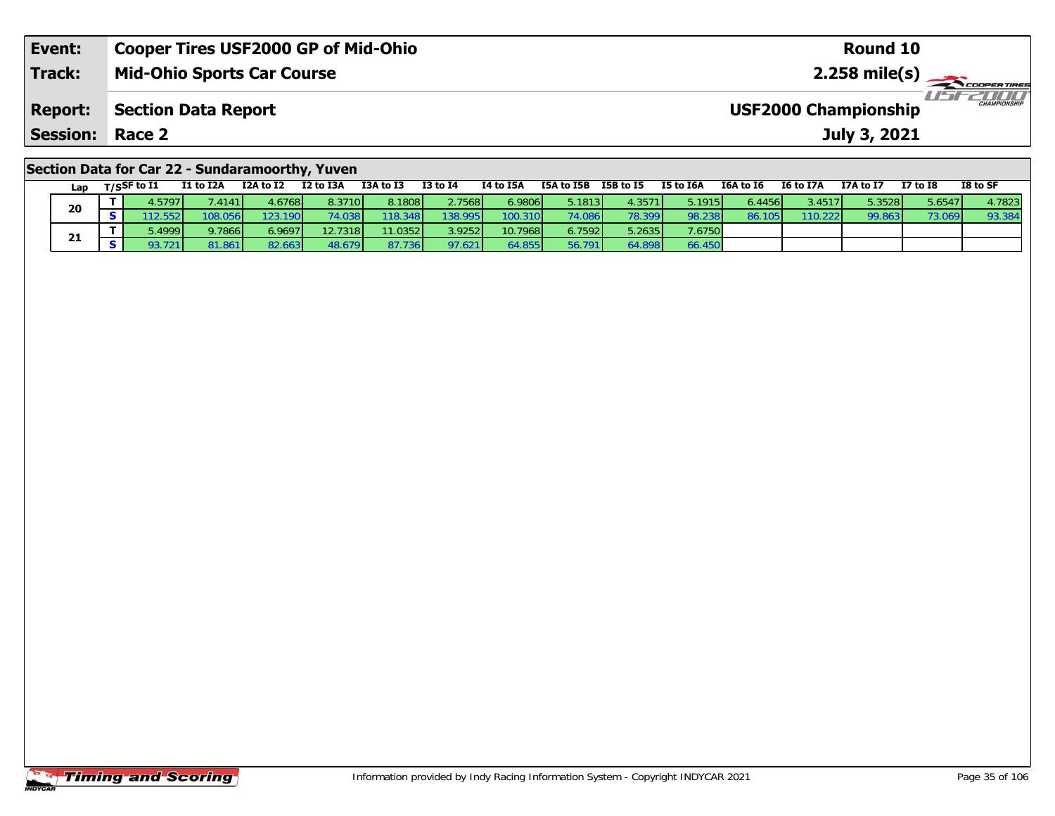| Event:                                          | <b>Cooper Tires USF2000 GP of Mid-Ohio</b> | Round 10                                                |  |  |  |  |  |
|-------------------------------------------------|--------------------------------------------|---------------------------------------------------------|--|--|--|--|--|
| Track:                                          | <b>Mid-Ohio Sports Car Course</b>          |                                                         |  |  |  |  |  |
| <b>Report:</b>                                  | Section Data Report                        | <b>LIST CHAMPIONSHIP</b><br><b>USF2000 Championship</b> |  |  |  |  |  |
| <b>Session: Race 2</b>                          |                                            | July 3, 2021                                            |  |  |  |  |  |
| Section Data for Car 22 - Sundaramoorthy, Yuven |                                            |                                                         |  |  |  |  |  |

| <u>seecivii sucu iyi yui ee</u> |     |  |             |           |           |           |           |          |           |                 |           |           |           |                 |           |                 |          |
|---------------------------------|-----|--|-------------|-----------|-----------|-----------|-----------|----------|-----------|-----------------|-----------|-----------|-----------|-----------------|-----------|-----------------|----------|
|                                 | Lan |  | T/SSF to I1 | I1 to I2A | I2A to I2 | I2 to I3A | I3A to I3 | I3 to I4 | I4 to I5A | I5A to I5B      | I5B to I5 | I5 to I6A | I6A to I6 | I6 to I7A       | I7A to I7 | <b>I7 to I8</b> | I8 to SF |
|                                 | 20  |  | 4.5797'     | .41411    | 4.67681   | 8.3710    | 8.1808    | 2.7568   | 6.9806    | 5.1813 <b>I</b> | 4.3571    | 5.1915    | 6.4456    | 3.4517 <b>1</b> | 5.3528    | 5.6547          | 4.7823   |
|                                 |     |  |             | 108.056   | 123.190   | 74.038    | 118.348   | 138.995  | 100.310   | 74.086          | 78.399    | 98.238    | 86.105    | 110.222         | 99.863    | 73.069          | 93.384   |
|                                 | 21  |  | 5.4999      | 9.7866    | 6.9697    | 12.7318   | 11.0352   | 3.9252   | 10.7968   | 6.7592          | 5.2635    | 7.6750    |           |                 |           |                 |          |
|                                 |     |  | 93.721      | 81.861 l  | 82.663    | 48.679    | 87.736    | 97.621   | 64.855    | 56.791          | 64.898    | 66.450    |           |                 |           |                 |          |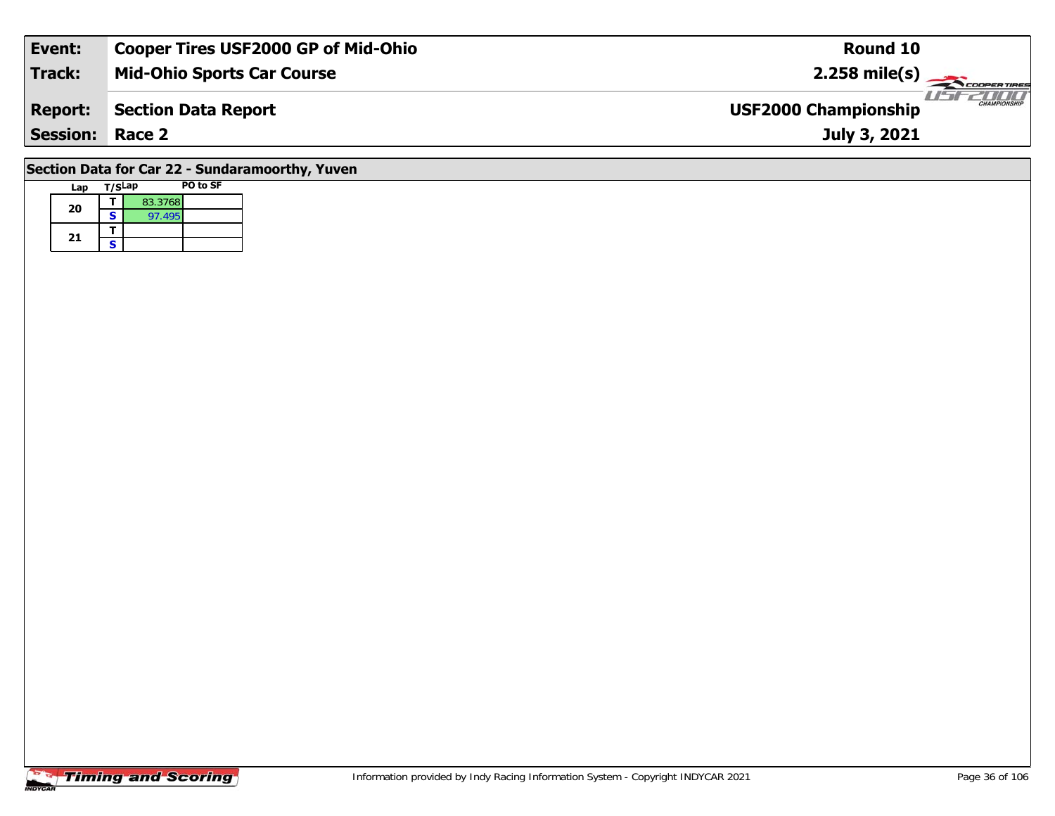| Event:                                          | <b>Cooper Tires USF2000 GP of Mid-Ohio</b>           | Round 10                                           |  |  |  |  |  |
|-------------------------------------------------|------------------------------------------------------|----------------------------------------------------|--|--|--|--|--|
| <b>Track:</b>                                   | <b>Mid-Ohio Sports Car Course</b><br>$2.258$ mile(s) |                                                    |  |  |  |  |  |
| <b>Report:</b>                                  | Section Data Report                                  | <b>CHAMPIONSHIP</b><br><b>USF2000 Championship</b> |  |  |  |  |  |
| <b>Session: Race 2</b>                          |                                                      | July 3, 2021                                       |  |  |  |  |  |
| Section Data for Car 22 - Sundaramoorthy, Yuven |                                                      |                                                    |  |  |  |  |  |

# **Lap T/SLap PO to SF 20a**  $\begin{array}{|c|c|c|}\n\hline\n\textbf{S} & \textbf{83.3768} \\
\hline\n\textbf{S} & \textbf{97.495}\n\hline\n\end{array}$ 21  $\frac{1}{s}$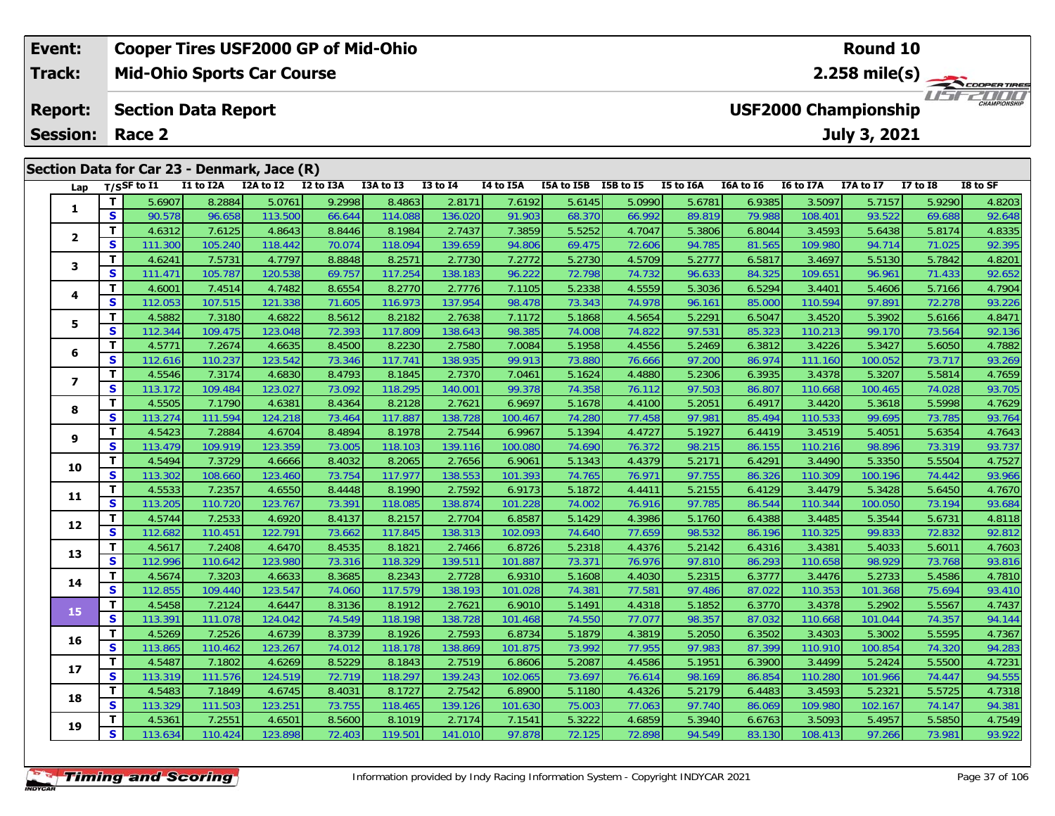### **Event: Cooper Tires USF2000 GP of Mid-Ohio Round 102.258 mile(s) Mid-Ohio Sports Car Course Track:** THE COOPER TIRES **Report: Section Data Report USF2000 Championship July 3, 2021 Session: Race 2 Section Data for Car 23 - Denmark, Jace (R) Lap T/SSF to I1 I1 to I2A I2A to I2 I2 to I3A I3A to I3 I3 to I4 I4 to I5A I5A to I5B I5B to I5 I5 to I6A I6A to I6 I6 to I7A I7A to I7 I7 to I8 I8 to SF 1**

| T.<br>5.6907<br>8.2884<br>9.2998<br>8.4863<br>5.6145<br>5.0990<br>3.5097<br>5.9290<br>5.0761<br>2.817'<br>7.6192<br>5.6781<br>6.9385<br>5.7157<br>4.8203<br>1<br>S<br>92.648<br>90.578<br>96.658<br>114.088<br>136.020<br>91.903<br>68.370<br>66.992<br>89.819<br>79.988<br>108.401<br>93.522<br>113.500<br>66.644<br>69.688<br>T.<br>8.8446<br>7.3859<br>5.5252<br>3.4593<br>4.8335<br>4.6312<br>7.6125<br>4.8643<br>8.1984<br>2.7437<br>4.7047<br>5.3806<br>6.8044<br>5.6438<br>5.8174<br>$\mathbf{2}$<br>$\mathbf{s}$<br>92.395<br>111.300<br>105.240<br>118.442<br>70.074<br>118.094<br>139.659<br>94.806<br>69.475<br>72.606<br>94.785<br>81.565<br>109.980<br>94.714<br>71.025<br>T.<br>8.8848<br>4.6241<br>7.5731<br>4.7797<br>8.2571<br>2.7730<br>7.2772<br>5.2730<br>4.5709<br>5.2777<br>6.5817<br>3.4697<br>5.5130<br>5.7842<br>4.8201<br>3<br>S<br>111.471<br>69.757<br>117.254<br>96.222<br>72.798<br>74.732<br>84.325<br>109.651<br>92.652<br>105.787<br>120.538<br>138.183<br>96.633<br>96.961<br>71.433<br>T<br>8.6554<br>4.5559<br>4.6001<br>7.4514<br>4.7482<br>8.2770<br>2.7776<br>7.1105<br>5.2338<br>6.5294<br>3.4401<br>5.4606<br>5.7166<br>4.7904<br>5.3036<br>4<br>S<br>112.053<br>107.515<br>71.605<br>116.973<br>137.954<br>73.343<br>74.978<br>110.594<br>93.226<br>121.338<br>98.478<br>96.161<br>85.000<br>97.891<br>72.278<br>T.<br>4.5882<br>7.3180<br>8.5612<br>8.2182<br>5.1868<br>4.5654<br>5.2291<br>6.5047<br>3.4520<br>5.3902<br>5.6166<br>4.8471<br>4.6822<br>2.7638<br>7.1172<br>5<br>S<br>72.393<br>92.136<br>112.344<br>109.475<br>123.048<br>117.809<br>138.643<br>98.385<br>74.008<br>74.822<br>97.531<br>85.323<br>110.213<br>99.170<br>73.564<br>T.<br>4.5771<br>7.2674<br>8.4500<br>4.7882<br>4.6635<br>8.2230<br>2.7580<br>7.0084<br>5.1958<br>4.4556<br>5.2469<br>6.3812<br>3.4226<br>5.3427<br>5.6050<br>6<br>S<br>112.616<br>110.237<br>73.346<br>117.741<br>73.880<br>111.160<br>93.269<br>123.542<br>138.935<br>99.913<br>76.666<br>97.200<br>86.974<br>100.052<br>73.717<br>T.<br>4.5546<br>8.4793<br>4.7659<br>7.3174<br>8.1845<br>7.0461<br>5.1624<br>6.3935<br>3.4378<br>5.5814<br>4.6830<br>2.7370<br>4.4880<br>5.2306<br>5.3207<br>$\overline{ }$<br>S<br>123.027<br>73.092<br>118.295<br>99.378<br>74.358<br>76.112<br>97.503<br>86.807<br>110.668<br>93.705<br>113.172<br>109.484<br>140.001<br>100.465<br>74.028<br>T<br>4.5505<br>8.4364<br>8.2128<br>6.9697<br>5.1678<br>6.4917<br>3.4420<br>5.5998<br>4.7629<br>7.1790<br>4.6381<br>2.7621<br>4.4100<br>5.2051<br>5.3618<br>8<br>S<br>77.458<br>113.274<br>73.464<br>117.887<br>138.728<br>74.280<br>97.981<br>85.494<br>110.533<br>99.695<br>93.764<br>111.594<br>124.218<br>100.467<br>73.785<br>T<br>4.5423<br>8.4894<br>7.2884<br>4.6704<br>8.1978<br>2.7544<br>6.9967<br>5.1394<br>5.1927<br>6.4419<br>3.4519<br>5.6354<br>4.7643<br>4.4727<br>5.4051<br>9<br>S<br>113.479<br>109.919<br>73.005<br>118.103<br>139.116<br>74.690<br>76.372<br>98.215<br>110.216<br>98.896<br>73.319<br>93.737<br>123.359<br>100.080<br>86.155<br>T<br>7.3729<br>4.7527<br>4.5494<br>8.4032<br>8.2065<br>2.7656<br>5.1343<br>4.4379<br>6.4291<br>3.4490<br>5.3350<br>5.5504<br>4.6666<br>6.9061<br>5.2171<br>10<br>S<br>117.977<br>138.553<br>93.966<br>113.302<br>108.660<br>73.754<br>74.765<br>76.971<br>97.755<br>86.326<br>110.309<br>100.196<br>123.460<br>101.393<br>74.442<br>T.<br>4.5533<br>7.2357<br>4.6550<br>8.4448<br>8.1990<br>2.7592<br>6.9173<br>5.1872<br>5.2155<br>6.4129<br>3.4479<br>5.3428<br>4.7670<br>4.4411<br>5.6450<br>11<br>S<br>113.205<br>110.720<br>118.085<br>86.544<br>110.344<br>93.684<br>123.767<br>73.391<br>138.874<br>101.228<br>74.002<br>76.916<br>97.785<br>100.050<br>73.194<br>T<br>4.5744<br>7.2533<br>4.6920<br>8.4137<br>8.2157<br>2.7704<br>6.8587<br>5.1429<br>4.3986<br>5.1760<br>6.4388<br>3.4485<br>5.3544<br>5.6731<br>4.8118<br>12<br>S<br>117.845<br>74.640<br>77.659<br>99.833<br>92.812<br>112.682<br>110.451<br>122.791<br>73.662<br>138.313<br>102.093<br>98.532<br>86.196<br>110.325<br>72.832<br>T.<br>4.5617<br>8.4535<br>7.2408<br>4.6470<br>8.1821<br>2.7466<br>6.8726<br>5.2318<br>4.4376<br>5.2142<br>6.4316<br>3.4381<br>5.4033<br>5.6011<br>4.7603<br>13<br>$\mathbf{s}$<br>112.996<br>110.642<br>73.316<br>118.329<br>139.511<br>73.371<br>110.658<br>93.816<br>123.980<br>101.887<br>76.976<br>97.810<br>86.293<br>98.929<br>73.768<br>T<br>4.5674<br>7.3203<br>8.3685<br>8.2343<br>2.7728<br>5.1608<br>5.2315<br>3.4476<br>5.2733<br>5.4586<br>4.7810<br>4.6633<br>6.9310<br>4.4030<br>6.3777<br>14<br>S<br>112.855<br>109.440<br>117.579<br>74.381<br>77.581<br>93.410<br>123.547<br>74.060<br>138.193<br>101.028<br>97.486<br>87.022<br>110.353<br>101.368<br>75.694<br>4.7437<br>T.<br>4.5458<br>7.2124<br>8.3136<br>8.1912<br>2.7621<br>5.1491<br>6.3770<br>3.4378<br>5.5567<br>4.6447<br>6.9010<br>4.4318<br>5.1852<br>5.2902<br>15<br>S<br>113.391<br>111.078<br>74.549<br>74.550<br>77.077<br>94.144<br>124.042<br>118.198<br>138.728<br>101.468<br>98.357<br>87.032<br>110.668<br>101.044<br>74.357<br>T<br>4.5269<br>8.3739<br>5.1879<br>4.7367<br>7.2526<br>4.6739<br>8.1926<br>2.7593<br>6.8734<br>4.3819<br>5.2050<br>6.3502<br>3.4303<br>5.3002<br>5.5595<br>16<br>S<br>113.865<br>74.012<br>118.178<br>73.992<br>77.955<br>97.983<br>87.399<br>110.910<br>100.854<br>94.283<br>110.462<br>123.267<br>138.869<br>101.875<br>74.320<br>T<br>4.5487<br>8.5229<br>4.7231<br>7.1802<br>4.6269<br>8.1843<br>2.7519<br>6.8606<br>5.2087<br>4.4586<br>5.1951<br>6.3900<br>3.4499<br>5.2424<br>5.5500<br>17 <sup>2</sup><br>S<br>72.719<br>73.697<br>113.319<br>111.576<br>118.297<br>139.243<br>76.614<br>98.169<br>86.854<br>110.280<br>94.555<br>124.519<br>102.065<br>101.966<br>74.447<br>T.<br>4.5483<br>8.4031<br>8.1727<br>7.1849<br>4.6745<br>2.7542<br>5.1180<br>4.4326<br>5.2179<br>6.4483<br>3.4593<br>5.2321<br>5.5725<br>4.7318<br>6.8900<br>18<br>S<br>113.329<br>73.755<br>118.465<br>139.126<br>109.980<br>102.167<br>94.381<br>111.503<br>123.251<br>101.630<br>75.003<br>77.063<br>97.740<br>86.069<br>74.147<br>T.<br>4.5361<br>7.2551<br>8.5600<br>2.7174<br>5.3222<br>4.7549<br>4.6501<br>8.1019<br>7.1541<br>4.6859<br>5.3940<br>6.6763<br>3.5093<br>5.4957<br>5.5850<br>19<br>S<br>110.424<br>119.501<br>72.898<br>108.413<br>93.922<br>123.898<br>72.403<br>141.010<br>97.878<br>94.549<br>83.130<br>97.266<br>73.981 | Lap | T/SSF to I1 | I1 to I2A | I2A to I2 | I2 to I3A | I3A to I3 | <b>I3 to I4</b> | I4 to I5A | I5A to I5B I5B to I5 | I5 to I6A | I6A to I6 | I6 to I7A | I7A to I7 | <b>I7 to I8</b> | I8 to SF |
|------------------------------------------------------------------------------------------------------------------------------------------------------------------------------------------------------------------------------------------------------------------------------------------------------------------------------------------------------------------------------------------------------------------------------------------------------------------------------------------------------------------------------------------------------------------------------------------------------------------------------------------------------------------------------------------------------------------------------------------------------------------------------------------------------------------------------------------------------------------------------------------------------------------------------------------------------------------------------------------------------------------------------------------------------------------------------------------------------------------------------------------------------------------------------------------------------------------------------------------------------------------------------------------------------------------------------------------------------------------------------------------------------------------------------------------------------------------------------------------------------------------------------------------------------------------------------------------------------------------------------------------------------------------------------------------------------------------------------------------------------------------------------------------------------------------------------------------------------------------------------------------------------------------------------------------------------------------------------------------------------------------------------------------------------------------------------------------------------------------------------------------------------------------------------------------------------------------------------------------------------------------------------------------------------------------------------------------------------------------------------------------------------------------------------------------------------------------------------------------------------------------------------------------------------------------------------------------------------------------------------------------------------------------------------------------------------------------------------------------------------------------------------------------------------------------------------------------------------------------------------------------------------------------------------------------------------------------------------------------------------------------------------------------------------------------------------------------------------------------------------------------------------------------------------------------------------------------------------------------------------------------------------------------------------------------------------------------------------------------------------------------------------------------------------------------------------------------------------------------------------------------------------------------------------------------------------------------------------------------------------------------------------------------------------------------------------------------------------------------------------------------------------------------------------------------------------------------------------------------------------------------------------------------------------------------------------------------------------------------------------------------------------------------------------------------------------------------------------------------------------------------------------------------------------------------------------------------------------------------------------------------------------------------------------------------------------------------------------------------------------------------------------------------------------------------------------------------------------------------------------------------------------------------------------------------------------------------------------------------------------------------------------------------------------------------------------------------------------------------------------------------------------------------------------------------------------------------------------------------------------------------------------------------------------------------------------------------------------------------------------------------------------------------------------------------------------------------------------------------------------------------------------------------------------------------------------------------------------------------------------------------------------------------------------------------------------------------------------------------------------------------------------------------------------------------------------------------------------------------------------------------------------------------------------------------------------------------------------------------------------------------------------------------------------------------------------------------------------------------------------------------------------------------------------------------------------------------------------------------------------------------------------------------------------------------------------------------------------------------------------------------------------------------------------------------------------------------------------------------------------------------------------------------------------------------------------------------------------------------------------------------------------------------------------------------------------------------------------------------------------------------------------------------------------|-----|-------------|-----------|-----------|-----------|-----------|-----------------|-----------|----------------------|-----------|-----------|-----------|-----------|-----------------|----------|
|                                                                                                                                                                                                                                                                                                                                                                                                                                                                                                                                                                                                                                                                                                                                                                                                                                                                                                                                                                                                                                                                                                                                                                                                                                                                                                                                                                                                                                                                                                                                                                                                                                                                                                                                                                                                                                                                                                                                                                                                                                                                                                                                                                                                                                                                                                                                                                                                                                                                                                                                                                                                                                                                                                                                                                                                                                                                                                                                                                                                                                                                                                                                                                                                                                                                                                                                                                                                                                                                                                                                                                                                                                                                                                                                                                                                                                                                                                                                                                                                                                                                                                                                                                                                                                                                                                                                                                                                                                                                                                                                                                                                                                                                                                                                                                                                                                                                                                                                                                                                                                                                                                                                                                                                                                                                                                                                                                                                                                                                                                                                                                                                                                                                                                                                                                                                                                                                                                                                                                                                                                                                                                                                                                                                                                                                                                                                                                                                                              |     |             |           |           |           |           |                 |           |                      |           |           |           |           |                 |          |
|                                                                                                                                                                                                                                                                                                                                                                                                                                                                                                                                                                                                                                                                                                                                                                                                                                                                                                                                                                                                                                                                                                                                                                                                                                                                                                                                                                                                                                                                                                                                                                                                                                                                                                                                                                                                                                                                                                                                                                                                                                                                                                                                                                                                                                                                                                                                                                                                                                                                                                                                                                                                                                                                                                                                                                                                                                                                                                                                                                                                                                                                                                                                                                                                                                                                                                                                                                                                                                                                                                                                                                                                                                                                                                                                                                                                                                                                                                                                                                                                                                                                                                                                                                                                                                                                                                                                                                                                                                                                                                                                                                                                                                                                                                                                                                                                                                                                                                                                                                                                                                                                                                                                                                                                                                                                                                                                                                                                                                                                                                                                                                                                                                                                                                                                                                                                                                                                                                                                                                                                                                                                                                                                                                                                                                                                                                                                                                                                                              |     |             |           |           |           |           |                 |           |                      |           |           |           |           |                 |          |
|                                                                                                                                                                                                                                                                                                                                                                                                                                                                                                                                                                                                                                                                                                                                                                                                                                                                                                                                                                                                                                                                                                                                                                                                                                                                                                                                                                                                                                                                                                                                                                                                                                                                                                                                                                                                                                                                                                                                                                                                                                                                                                                                                                                                                                                                                                                                                                                                                                                                                                                                                                                                                                                                                                                                                                                                                                                                                                                                                                                                                                                                                                                                                                                                                                                                                                                                                                                                                                                                                                                                                                                                                                                                                                                                                                                                                                                                                                                                                                                                                                                                                                                                                                                                                                                                                                                                                                                                                                                                                                                                                                                                                                                                                                                                                                                                                                                                                                                                                                                                                                                                                                                                                                                                                                                                                                                                                                                                                                                                                                                                                                                                                                                                                                                                                                                                                                                                                                                                                                                                                                                                                                                                                                                                                                                                                                                                                                                                                              |     |             |           |           |           |           |                 |           |                      |           |           |           |           |                 |          |
|                                                                                                                                                                                                                                                                                                                                                                                                                                                                                                                                                                                                                                                                                                                                                                                                                                                                                                                                                                                                                                                                                                                                                                                                                                                                                                                                                                                                                                                                                                                                                                                                                                                                                                                                                                                                                                                                                                                                                                                                                                                                                                                                                                                                                                                                                                                                                                                                                                                                                                                                                                                                                                                                                                                                                                                                                                                                                                                                                                                                                                                                                                                                                                                                                                                                                                                                                                                                                                                                                                                                                                                                                                                                                                                                                                                                                                                                                                                                                                                                                                                                                                                                                                                                                                                                                                                                                                                                                                                                                                                                                                                                                                                                                                                                                                                                                                                                                                                                                                                                                                                                                                                                                                                                                                                                                                                                                                                                                                                                                                                                                                                                                                                                                                                                                                                                                                                                                                                                                                                                                                                                                                                                                                                                                                                                                                                                                                                                                              |     |             |           |           |           |           |                 |           |                      |           |           |           |           |                 |          |
|                                                                                                                                                                                                                                                                                                                                                                                                                                                                                                                                                                                                                                                                                                                                                                                                                                                                                                                                                                                                                                                                                                                                                                                                                                                                                                                                                                                                                                                                                                                                                                                                                                                                                                                                                                                                                                                                                                                                                                                                                                                                                                                                                                                                                                                                                                                                                                                                                                                                                                                                                                                                                                                                                                                                                                                                                                                                                                                                                                                                                                                                                                                                                                                                                                                                                                                                                                                                                                                                                                                                                                                                                                                                                                                                                                                                                                                                                                                                                                                                                                                                                                                                                                                                                                                                                                                                                                                                                                                                                                                                                                                                                                                                                                                                                                                                                                                                                                                                                                                                                                                                                                                                                                                                                                                                                                                                                                                                                                                                                                                                                                                                                                                                                                                                                                                                                                                                                                                                                                                                                                                                                                                                                                                                                                                                                                                                                                                                                              |     |             |           |           |           |           |                 |           |                      |           |           |           |           |                 |          |
|                                                                                                                                                                                                                                                                                                                                                                                                                                                                                                                                                                                                                                                                                                                                                                                                                                                                                                                                                                                                                                                                                                                                                                                                                                                                                                                                                                                                                                                                                                                                                                                                                                                                                                                                                                                                                                                                                                                                                                                                                                                                                                                                                                                                                                                                                                                                                                                                                                                                                                                                                                                                                                                                                                                                                                                                                                                                                                                                                                                                                                                                                                                                                                                                                                                                                                                                                                                                                                                                                                                                                                                                                                                                                                                                                                                                                                                                                                                                                                                                                                                                                                                                                                                                                                                                                                                                                                                                                                                                                                                                                                                                                                                                                                                                                                                                                                                                                                                                                                                                                                                                                                                                                                                                                                                                                                                                                                                                                                                                                                                                                                                                                                                                                                                                                                                                                                                                                                                                                                                                                                                                                                                                                                                                                                                                                                                                                                                                                              |     |             |           |           |           |           |                 |           |                      |           |           |           |           |                 |          |
|                                                                                                                                                                                                                                                                                                                                                                                                                                                                                                                                                                                                                                                                                                                                                                                                                                                                                                                                                                                                                                                                                                                                                                                                                                                                                                                                                                                                                                                                                                                                                                                                                                                                                                                                                                                                                                                                                                                                                                                                                                                                                                                                                                                                                                                                                                                                                                                                                                                                                                                                                                                                                                                                                                                                                                                                                                                                                                                                                                                                                                                                                                                                                                                                                                                                                                                                                                                                                                                                                                                                                                                                                                                                                                                                                                                                                                                                                                                                                                                                                                                                                                                                                                                                                                                                                                                                                                                                                                                                                                                                                                                                                                                                                                                                                                                                                                                                                                                                                                                                                                                                                                                                                                                                                                                                                                                                                                                                                                                                                                                                                                                                                                                                                                                                                                                                                                                                                                                                                                                                                                                                                                                                                                                                                                                                                                                                                                                                                              |     |             |           |           |           |           |                 |           |                      |           |           |           |           |                 |          |
|                                                                                                                                                                                                                                                                                                                                                                                                                                                                                                                                                                                                                                                                                                                                                                                                                                                                                                                                                                                                                                                                                                                                                                                                                                                                                                                                                                                                                                                                                                                                                                                                                                                                                                                                                                                                                                                                                                                                                                                                                                                                                                                                                                                                                                                                                                                                                                                                                                                                                                                                                                                                                                                                                                                                                                                                                                                                                                                                                                                                                                                                                                                                                                                                                                                                                                                                                                                                                                                                                                                                                                                                                                                                                                                                                                                                                                                                                                                                                                                                                                                                                                                                                                                                                                                                                                                                                                                                                                                                                                                                                                                                                                                                                                                                                                                                                                                                                                                                                                                                                                                                                                                                                                                                                                                                                                                                                                                                                                                                                                                                                                                                                                                                                                                                                                                                                                                                                                                                                                                                                                                                                                                                                                                                                                                                                                                                                                                                                              |     |             |           |           |           |           |                 |           |                      |           |           |           |           |                 |          |
|                                                                                                                                                                                                                                                                                                                                                                                                                                                                                                                                                                                                                                                                                                                                                                                                                                                                                                                                                                                                                                                                                                                                                                                                                                                                                                                                                                                                                                                                                                                                                                                                                                                                                                                                                                                                                                                                                                                                                                                                                                                                                                                                                                                                                                                                                                                                                                                                                                                                                                                                                                                                                                                                                                                                                                                                                                                                                                                                                                                                                                                                                                                                                                                                                                                                                                                                                                                                                                                                                                                                                                                                                                                                                                                                                                                                                                                                                                                                                                                                                                                                                                                                                                                                                                                                                                                                                                                                                                                                                                                                                                                                                                                                                                                                                                                                                                                                                                                                                                                                                                                                                                                                                                                                                                                                                                                                                                                                                                                                                                                                                                                                                                                                                                                                                                                                                                                                                                                                                                                                                                                                                                                                                                                                                                                                                                                                                                                                                              |     |             |           |           |           |           |                 |           |                      |           |           |           |           |                 |          |
|                                                                                                                                                                                                                                                                                                                                                                                                                                                                                                                                                                                                                                                                                                                                                                                                                                                                                                                                                                                                                                                                                                                                                                                                                                                                                                                                                                                                                                                                                                                                                                                                                                                                                                                                                                                                                                                                                                                                                                                                                                                                                                                                                                                                                                                                                                                                                                                                                                                                                                                                                                                                                                                                                                                                                                                                                                                                                                                                                                                                                                                                                                                                                                                                                                                                                                                                                                                                                                                                                                                                                                                                                                                                                                                                                                                                                                                                                                                                                                                                                                                                                                                                                                                                                                                                                                                                                                                                                                                                                                                                                                                                                                                                                                                                                                                                                                                                                                                                                                                                                                                                                                                                                                                                                                                                                                                                                                                                                                                                                                                                                                                                                                                                                                                                                                                                                                                                                                                                                                                                                                                                                                                                                                                                                                                                                                                                                                                                                              |     |             |           |           |           |           |                 |           |                      |           |           |           |           |                 |          |
|                                                                                                                                                                                                                                                                                                                                                                                                                                                                                                                                                                                                                                                                                                                                                                                                                                                                                                                                                                                                                                                                                                                                                                                                                                                                                                                                                                                                                                                                                                                                                                                                                                                                                                                                                                                                                                                                                                                                                                                                                                                                                                                                                                                                                                                                                                                                                                                                                                                                                                                                                                                                                                                                                                                                                                                                                                                                                                                                                                                                                                                                                                                                                                                                                                                                                                                                                                                                                                                                                                                                                                                                                                                                                                                                                                                                                                                                                                                                                                                                                                                                                                                                                                                                                                                                                                                                                                                                                                                                                                                                                                                                                                                                                                                                                                                                                                                                                                                                                                                                                                                                                                                                                                                                                                                                                                                                                                                                                                                                                                                                                                                                                                                                                                                                                                                                                                                                                                                                                                                                                                                                                                                                                                                                                                                                                                                                                                                                                              |     |             |           |           |           |           |                 |           |                      |           |           |           |           |                 |          |
|                                                                                                                                                                                                                                                                                                                                                                                                                                                                                                                                                                                                                                                                                                                                                                                                                                                                                                                                                                                                                                                                                                                                                                                                                                                                                                                                                                                                                                                                                                                                                                                                                                                                                                                                                                                                                                                                                                                                                                                                                                                                                                                                                                                                                                                                                                                                                                                                                                                                                                                                                                                                                                                                                                                                                                                                                                                                                                                                                                                                                                                                                                                                                                                                                                                                                                                                                                                                                                                                                                                                                                                                                                                                                                                                                                                                                                                                                                                                                                                                                                                                                                                                                                                                                                                                                                                                                                                                                                                                                                                                                                                                                                                                                                                                                                                                                                                                                                                                                                                                                                                                                                                                                                                                                                                                                                                                                                                                                                                                                                                                                                                                                                                                                                                                                                                                                                                                                                                                                                                                                                                                                                                                                                                                                                                                                                                                                                                                                              |     |             |           |           |           |           |                 |           |                      |           |           |           |           |                 |          |
|                                                                                                                                                                                                                                                                                                                                                                                                                                                                                                                                                                                                                                                                                                                                                                                                                                                                                                                                                                                                                                                                                                                                                                                                                                                                                                                                                                                                                                                                                                                                                                                                                                                                                                                                                                                                                                                                                                                                                                                                                                                                                                                                                                                                                                                                                                                                                                                                                                                                                                                                                                                                                                                                                                                                                                                                                                                                                                                                                                                                                                                                                                                                                                                                                                                                                                                                                                                                                                                                                                                                                                                                                                                                                                                                                                                                                                                                                                                                                                                                                                                                                                                                                                                                                                                                                                                                                                                                                                                                                                                                                                                                                                                                                                                                                                                                                                                                                                                                                                                                                                                                                                                                                                                                                                                                                                                                                                                                                                                                                                                                                                                                                                                                                                                                                                                                                                                                                                                                                                                                                                                                                                                                                                                                                                                                                                                                                                                                                              |     |             |           |           |           |           |                 |           |                      |           |           |           |           |                 |          |
|                                                                                                                                                                                                                                                                                                                                                                                                                                                                                                                                                                                                                                                                                                                                                                                                                                                                                                                                                                                                                                                                                                                                                                                                                                                                                                                                                                                                                                                                                                                                                                                                                                                                                                                                                                                                                                                                                                                                                                                                                                                                                                                                                                                                                                                                                                                                                                                                                                                                                                                                                                                                                                                                                                                                                                                                                                                                                                                                                                                                                                                                                                                                                                                                                                                                                                                                                                                                                                                                                                                                                                                                                                                                                                                                                                                                                                                                                                                                                                                                                                                                                                                                                                                                                                                                                                                                                                                                                                                                                                                                                                                                                                                                                                                                                                                                                                                                                                                                                                                                                                                                                                                                                                                                                                                                                                                                                                                                                                                                                                                                                                                                                                                                                                                                                                                                                                                                                                                                                                                                                                                                                                                                                                                                                                                                                                                                                                                                                              |     |             |           |           |           |           |                 |           |                      |           |           |           |           |                 |          |
|                                                                                                                                                                                                                                                                                                                                                                                                                                                                                                                                                                                                                                                                                                                                                                                                                                                                                                                                                                                                                                                                                                                                                                                                                                                                                                                                                                                                                                                                                                                                                                                                                                                                                                                                                                                                                                                                                                                                                                                                                                                                                                                                                                                                                                                                                                                                                                                                                                                                                                                                                                                                                                                                                                                                                                                                                                                                                                                                                                                                                                                                                                                                                                                                                                                                                                                                                                                                                                                                                                                                                                                                                                                                                                                                                                                                                                                                                                                                                                                                                                                                                                                                                                                                                                                                                                                                                                                                                                                                                                                                                                                                                                                                                                                                                                                                                                                                                                                                                                                                                                                                                                                                                                                                                                                                                                                                                                                                                                                                                                                                                                                                                                                                                                                                                                                                                                                                                                                                                                                                                                                                                                                                                                                                                                                                                                                                                                                                                              |     |             |           |           |           |           |                 |           |                      |           |           |           |           |                 |          |
|                                                                                                                                                                                                                                                                                                                                                                                                                                                                                                                                                                                                                                                                                                                                                                                                                                                                                                                                                                                                                                                                                                                                                                                                                                                                                                                                                                                                                                                                                                                                                                                                                                                                                                                                                                                                                                                                                                                                                                                                                                                                                                                                                                                                                                                                                                                                                                                                                                                                                                                                                                                                                                                                                                                                                                                                                                                                                                                                                                                                                                                                                                                                                                                                                                                                                                                                                                                                                                                                                                                                                                                                                                                                                                                                                                                                                                                                                                                                                                                                                                                                                                                                                                                                                                                                                                                                                                                                                                                                                                                                                                                                                                                                                                                                                                                                                                                                                                                                                                                                                                                                                                                                                                                                                                                                                                                                                                                                                                                                                                                                                                                                                                                                                                                                                                                                                                                                                                                                                                                                                                                                                                                                                                                                                                                                                                                                                                                                                              |     |             |           |           |           |           |                 |           |                      |           |           |           |           |                 |          |
|                                                                                                                                                                                                                                                                                                                                                                                                                                                                                                                                                                                                                                                                                                                                                                                                                                                                                                                                                                                                                                                                                                                                                                                                                                                                                                                                                                                                                                                                                                                                                                                                                                                                                                                                                                                                                                                                                                                                                                                                                                                                                                                                                                                                                                                                                                                                                                                                                                                                                                                                                                                                                                                                                                                                                                                                                                                                                                                                                                                                                                                                                                                                                                                                                                                                                                                                                                                                                                                                                                                                                                                                                                                                                                                                                                                                                                                                                                                                                                                                                                                                                                                                                                                                                                                                                                                                                                                                                                                                                                                                                                                                                                                                                                                                                                                                                                                                                                                                                                                                                                                                                                                                                                                                                                                                                                                                                                                                                                                                                                                                                                                                                                                                                                                                                                                                                                                                                                                                                                                                                                                                                                                                                                                                                                                                                                                                                                                                                              |     |             |           |           |           |           |                 |           |                      |           |           |           |           |                 |          |
|                                                                                                                                                                                                                                                                                                                                                                                                                                                                                                                                                                                                                                                                                                                                                                                                                                                                                                                                                                                                                                                                                                                                                                                                                                                                                                                                                                                                                                                                                                                                                                                                                                                                                                                                                                                                                                                                                                                                                                                                                                                                                                                                                                                                                                                                                                                                                                                                                                                                                                                                                                                                                                                                                                                                                                                                                                                                                                                                                                                                                                                                                                                                                                                                                                                                                                                                                                                                                                                                                                                                                                                                                                                                                                                                                                                                                                                                                                                                                                                                                                                                                                                                                                                                                                                                                                                                                                                                                                                                                                                                                                                                                                                                                                                                                                                                                                                                                                                                                                                                                                                                                                                                                                                                                                                                                                                                                                                                                                                                                                                                                                                                                                                                                                                                                                                                                                                                                                                                                                                                                                                                                                                                                                                                                                                                                                                                                                                                                              |     |             |           |           |           |           |                 |           |                      |           |           |           |           |                 |          |
|                                                                                                                                                                                                                                                                                                                                                                                                                                                                                                                                                                                                                                                                                                                                                                                                                                                                                                                                                                                                                                                                                                                                                                                                                                                                                                                                                                                                                                                                                                                                                                                                                                                                                                                                                                                                                                                                                                                                                                                                                                                                                                                                                                                                                                                                                                                                                                                                                                                                                                                                                                                                                                                                                                                                                                                                                                                                                                                                                                                                                                                                                                                                                                                                                                                                                                                                                                                                                                                                                                                                                                                                                                                                                                                                                                                                                                                                                                                                                                                                                                                                                                                                                                                                                                                                                                                                                                                                                                                                                                                                                                                                                                                                                                                                                                                                                                                                                                                                                                                                                                                                                                                                                                                                                                                                                                                                                                                                                                                                                                                                                                                                                                                                                                                                                                                                                                                                                                                                                                                                                                                                                                                                                                                                                                                                                                                                                                                                                              |     |             |           |           |           |           |                 |           |                      |           |           |           |           |                 |          |
|                                                                                                                                                                                                                                                                                                                                                                                                                                                                                                                                                                                                                                                                                                                                                                                                                                                                                                                                                                                                                                                                                                                                                                                                                                                                                                                                                                                                                                                                                                                                                                                                                                                                                                                                                                                                                                                                                                                                                                                                                                                                                                                                                                                                                                                                                                                                                                                                                                                                                                                                                                                                                                                                                                                                                                                                                                                                                                                                                                                                                                                                                                                                                                                                                                                                                                                                                                                                                                                                                                                                                                                                                                                                                                                                                                                                                                                                                                                                                                                                                                                                                                                                                                                                                                                                                                                                                                                                                                                                                                                                                                                                                                                                                                                                                                                                                                                                                                                                                                                                                                                                                                                                                                                                                                                                                                                                                                                                                                                                                                                                                                                                                                                                                                                                                                                                                                                                                                                                                                                                                                                                                                                                                                                                                                                                                                                                                                                                                              |     |             |           |           |           |           |                 |           |                      |           |           |           |           |                 |          |
|                                                                                                                                                                                                                                                                                                                                                                                                                                                                                                                                                                                                                                                                                                                                                                                                                                                                                                                                                                                                                                                                                                                                                                                                                                                                                                                                                                                                                                                                                                                                                                                                                                                                                                                                                                                                                                                                                                                                                                                                                                                                                                                                                                                                                                                                                                                                                                                                                                                                                                                                                                                                                                                                                                                                                                                                                                                                                                                                                                                                                                                                                                                                                                                                                                                                                                                                                                                                                                                                                                                                                                                                                                                                                                                                                                                                                                                                                                                                                                                                                                                                                                                                                                                                                                                                                                                                                                                                                                                                                                                                                                                                                                                                                                                                                                                                                                                                                                                                                                                                                                                                                                                                                                                                                                                                                                                                                                                                                                                                                                                                                                                                                                                                                                                                                                                                                                                                                                                                                                                                                                                                                                                                                                                                                                                                                                                                                                                                                              |     |             |           |           |           |           |                 |           |                      |           |           |           |           |                 |          |
|                                                                                                                                                                                                                                                                                                                                                                                                                                                                                                                                                                                                                                                                                                                                                                                                                                                                                                                                                                                                                                                                                                                                                                                                                                                                                                                                                                                                                                                                                                                                                                                                                                                                                                                                                                                                                                                                                                                                                                                                                                                                                                                                                                                                                                                                                                                                                                                                                                                                                                                                                                                                                                                                                                                                                                                                                                                                                                                                                                                                                                                                                                                                                                                                                                                                                                                                                                                                                                                                                                                                                                                                                                                                                                                                                                                                                                                                                                                                                                                                                                                                                                                                                                                                                                                                                                                                                                                                                                                                                                                                                                                                                                                                                                                                                                                                                                                                                                                                                                                                                                                                                                                                                                                                                                                                                                                                                                                                                                                                                                                                                                                                                                                                                                                                                                                                                                                                                                                                                                                                                                                                                                                                                                                                                                                                                                                                                                                                                              |     |             |           |           |           |           |                 |           |                      |           |           |           |           |                 |          |
|                                                                                                                                                                                                                                                                                                                                                                                                                                                                                                                                                                                                                                                                                                                                                                                                                                                                                                                                                                                                                                                                                                                                                                                                                                                                                                                                                                                                                                                                                                                                                                                                                                                                                                                                                                                                                                                                                                                                                                                                                                                                                                                                                                                                                                                                                                                                                                                                                                                                                                                                                                                                                                                                                                                                                                                                                                                                                                                                                                                                                                                                                                                                                                                                                                                                                                                                                                                                                                                                                                                                                                                                                                                                                                                                                                                                                                                                                                                                                                                                                                                                                                                                                                                                                                                                                                                                                                                                                                                                                                                                                                                                                                                                                                                                                                                                                                                                                                                                                                                                                                                                                                                                                                                                                                                                                                                                                                                                                                                                                                                                                                                                                                                                                                                                                                                                                                                                                                                                                                                                                                                                                                                                                                                                                                                                                                                                                                                                                              |     |             |           |           |           |           |                 |           |                      |           |           |           |           |                 |          |
|                                                                                                                                                                                                                                                                                                                                                                                                                                                                                                                                                                                                                                                                                                                                                                                                                                                                                                                                                                                                                                                                                                                                                                                                                                                                                                                                                                                                                                                                                                                                                                                                                                                                                                                                                                                                                                                                                                                                                                                                                                                                                                                                                                                                                                                                                                                                                                                                                                                                                                                                                                                                                                                                                                                                                                                                                                                                                                                                                                                                                                                                                                                                                                                                                                                                                                                                                                                                                                                                                                                                                                                                                                                                                                                                                                                                                                                                                                                                                                                                                                                                                                                                                                                                                                                                                                                                                                                                                                                                                                                                                                                                                                                                                                                                                                                                                                                                                                                                                                                                                                                                                                                                                                                                                                                                                                                                                                                                                                                                                                                                                                                                                                                                                                                                                                                                                                                                                                                                                                                                                                                                                                                                                                                                                                                                                                                                                                                                                              |     |             |           |           |           |           |                 |           |                      |           |           |           |           |                 |          |
|                                                                                                                                                                                                                                                                                                                                                                                                                                                                                                                                                                                                                                                                                                                                                                                                                                                                                                                                                                                                                                                                                                                                                                                                                                                                                                                                                                                                                                                                                                                                                                                                                                                                                                                                                                                                                                                                                                                                                                                                                                                                                                                                                                                                                                                                                                                                                                                                                                                                                                                                                                                                                                                                                                                                                                                                                                                                                                                                                                                                                                                                                                                                                                                                                                                                                                                                                                                                                                                                                                                                                                                                                                                                                                                                                                                                                                                                                                                                                                                                                                                                                                                                                                                                                                                                                                                                                                                                                                                                                                                                                                                                                                                                                                                                                                                                                                                                                                                                                                                                                                                                                                                                                                                                                                                                                                                                                                                                                                                                                                                                                                                                                                                                                                                                                                                                                                                                                                                                                                                                                                                                                                                                                                                                                                                                                                                                                                                                                              |     |             |           |           |           |           |                 |           |                      |           |           |           |           |                 |          |
|                                                                                                                                                                                                                                                                                                                                                                                                                                                                                                                                                                                                                                                                                                                                                                                                                                                                                                                                                                                                                                                                                                                                                                                                                                                                                                                                                                                                                                                                                                                                                                                                                                                                                                                                                                                                                                                                                                                                                                                                                                                                                                                                                                                                                                                                                                                                                                                                                                                                                                                                                                                                                                                                                                                                                                                                                                                                                                                                                                                                                                                                                                                                                                                                                                                                                                                                                                                                                                                                                                                                                                                                                                                                                                                                                                                                                                                                                                                                                                                                                                                                                                                                                                                                                                                                                                                                                                                                                                                                                                                                                                                                                                                                                                                                                                                                                                                                                                                                                                                                                                                                                                                                                                                                                                                                                                                                                                                                                                                                                                                                                                                                                                                                                                                                                                                                                                                                                                                                                                                                                                                                                                                                                                                                                                                                                                                                                                                                                              |     |             |           |           |           |           |                 |           |                      |           |           |           |           |                 |          |
|                                                                                                                                                                                                                                                                                                                                                                                                                                                                                                                                                                                                                                                                                                                                                                                                                                                                                                                                                                                                                                                                                                                                                                                                                                                                                                                                                                                                                                                                                                                                                                                                                                                                                                                                                                                                                                                                                                                                                                                                                                                                                                                                                                                                                                                                                                                                                                                                                                                                                                                                                                                                                                                                                                                                                                                                                                                                                                                                                                                                                                                                                                                                                                                                                                                                                                                                                                                                                                                                                                                                                                                                                                                                                                                                                                                                                                                                                                                                                                                                                                                                                                                                                                                                                                                                                                                                                                                                                                                                                                                                                                                                                                                                                                                                                                                                                                                                                                                                                                                                                                                                                                                                                                                                                                                                                                                                                                                                                                                                                                                                                                                                                                                                                                                                                                                                                                                                                                                                                                                                                                                                                                                                                                                                                                                                                                                                                                                                                              |     |             |           |           |           |           |                 |           |                      |           |           |           |           |                 |          |
|                                                                                                                                                                                                                                                                                                                                                                                                                                                                                                                                                                                                                                                                                                                                                                                                                                                                                                                                                                                                                                                                                                                                                                                                                                                                                                                                                                                                                                                                                                                                                                                                                                                                                                                                                                                                                                                                                                                                                                                                                                                                                                                                                                                                                                                                                                                                                                                                                                                                                                                                                                                                                                                                                                                                                                                                                                                                                                                                                                                                                                                                                                                                                                                                                                                                                                                                                                                                                                                                                                                                                                                                                                                                                                                                                                                                                                                                                                                                                                                                                                                                                                                                                                                                                                                                                                                                                                                                                                                                                                                                                                                                                                                                                                                                                                                                                                                                                                                                                                                                                                                                                                                                                                                                                                                                                                                                                                                                                                                                                                                                                                                                                                                                                                                                                                                                                                                                                                                                                                                                                                                                                                                                                                                                                                                                                                                                                                                                                              |     |             |           |           |           |           |                 |           |                      |           |           |           |           |                 |          |
|                                                                                                                                                                                                                                                                                                                                                                                                                                                                                                                                                                                                                                                                                                                                                                                                                                                                                                                                                                                                                                                                                                                                                                                                                                                                                                                                                                                                                                                                                                                                                                                                                                                                                                                                                                                                                                                                                                                                                                                                                                                                                                                                                                                                                                                                                                                                                                                                                                                                                                                                                                                                                                                                                                                                                                                                                                                                                                                                                                                                                                                                                                                                                                                                                                                                                                                                                                                                                                                                                                                                                                                                                                                                                                                                                                                                                                                                                                                                                                                                                                                                                                                                                                                                                                                                                                                                                                                                                                                                                                                                                                                                                                                                                                                                                                                                                                                                                                                                                                                                                                                                                                                                                                                                                                                                                                                                                                                                                                                                                                                                                                                                                                                                                                                                                                                                                                                                                                                                                                                                                                                                                                                                                                                                                                                                                                                                                                                                                              |     |             |           |           |           |           |                 |           |                      |           |           |           |           |                 |          |
|                                                                                                                                                                                                                                                                                                                                                                                                                                                                                                                                                                                                                                                                                                                                                                                                                                                                                                                                                                                                                                                                                                                                                                                                                                                                                                                                                                                                                                                                                                                                                                                                                                                                                                                                                                                                                                                                                                                                                                                                                                                                                                                                                                                                                                                                                                                                                                                                                                                                                                                                                                                                                                                                                                                                                                                                                                                                                                                                                                                                                                                                                                                                                                                                                                                                                                                                                                                                                                                                                                                                                                                                                                                                                                                                                                                                                                                                                                                                                                                                                                                                                                                                                                                                                                                                                                                                                                                                                                                                                                                                                                                                                                                                                                                                                                                                                                                                                                                                                                                                                                                                                                                                                                                                                                                                                                                                                                                                                                                                                                                                                                                                                                                                                                                                                                                                                                                                                                                                                                                                                                                                                                                                                                                                                                                                                                                                                                                                                              |     |             |           |           |           |           |                 |           |                      |           |           |           |           |                 |          |
|                                                                                                                                                                                                                                                                                                                                                                                                                                                                                                                                                                                                                                                                                                                                                                                                                                                                                                                                                                                                                                                                                                                                                                                                                                                                                                                                                                                                                                                                                                                                                                                                                                                                                                                                                                                                                                                                                                                                                                                                                                                                                                                                                                                                                                                                                                                                                                                                                                                                                                                                                                                                                                                                                                                                                                                                                                                                                                                                                                                                                                                                                                                                                                                                                                                                                                                                                                                                                                                                                                                                                                                                                                                                                                                                                                                                                                                                                                                                                                                                                                                                                                                                                                                                                                                                                                                                                                                                                                                                                                                                                                                                                                                                                                                                                                                                                                                                                                                                                                                                                                                                                                                                                                                                                                                                                                                                                                                                                                                                                                                                                                                                                                                                                                                                                                                                                                                                                                                                                                                                                                                                                                                                                                                                                                                                                                                                                                                                                              |     |             |           |           |           |           |                 |           |                      |           |           |           |           |                 |          |
|                                                                                                                                                                                                                                                                                                                                                                                                                                                                                                                                                                                                                                                                                                                                                                                                                                                                                                                                                                                                                                                                                                                                                                                                                                                                                                                                                                                                                                                                                                                                                                                                                                                                                                                                                                                                                                                                                                                                                                                                                                                                                                                                                                                                                                                                                                                                                                                                                                                                                                                                                                                                                                                                                                                                                                                                                                                                                                                                                                                                                                                                                                                                                                                                                                                                                                                                                                                                                                                                                                                                                                                                                                                                                                                                                                                                                                                                                                                                                                                                                                                                                                                                                                                                                                                                                                                                                                                                                                                                                                                                                                                                                                                                                                                                                                                                                                                                                                                                                                                                                                                                                                                                                                                                                                                                                                                                                                                                                                                                                                                                                                                                                                                                                                                                                                                                                                                                                                                                                                                                                                                                                                                                                                                                                                                                                                                                                                                                                              |     |             |           |           |           |           |                 |           |                      |           |           |           |           |                 |          |
|                                                                                                                                                                                                                                                                                                                                                                                                                                                                                                                                                                                                                                                                                                                                                                                                                                                                                                                                                                                                                                                                                                                                                                                                                                                                                                                                                                                                                                                                                                                                                                                                                                                                                                                                                                                                                                                                                                                                                                                                                                                                                                                                                                                                                                                                                                                                                                                                                                                                                                                                                                                                                                                                                                                                                                                                                                                                                                                                                                                                                                                                                                                                                                                                                                                                                                                                                                                                                                                                                                                                                                                                                                                                                                                                                                                                                                                                                                                                                                                                                                                                                                                                                                                                                                                                                                                                                                                                                                                                                                                                                                                                                                                                                                                                                                                                                                                                                                                                                                                                                                                                                                                                                                                                                                                                                                                                                                                                                                                                                                                                                                                                                                                                                                                                                                                                                                                                                                                                                                                                                                                                                                                                                                                                                                                                                                                                                                                                                              |     |             |           |           |           |           |                 |           |                      |           |           |           |           |                 |          |
|                                                                                                                                                                                                                                                                                                                                                                                                                                                                                                                                                                                                                                                                                                                                                                                                                                                                                                                                                                                                                                                                                                                                                                                                                                                                                                                                                                                                                                                                                                                                                                                                                                                                                                                                                                                                                                                                                                                                                                                                                                                                                                                                                                                                                                                                                                                                                                                                                                                                                                                                                                                                                                                                                                                                                                                                                                                                                                                                                                                                                                                                                                                                                                                                                                                                                                                                                                                                                                                                                                                                                                                                                                                                                                                                                                                                                                                                                                                                                                                                                                                                                                                                                                                                                                                                                                                                                                                                                                                                                                                                                                                                                                                                                                                                                                                                                                                                                                                                                                                                                                                                                                                                                                                                                                                                                                                                                                                                                                                                                                                                                                                                                                                                                                                                                                                                                                                                                                                                                                                                                                                                                                                                                                                                                                                                                                                                                                                                                              |     |             |           |           |           |           |                 |           |                      |           |           |           |           |                 |          |
|                                                                                                                                                                                                                                                                                                                                                                                                                                                                                                                                                                                                                                                                                                                                                                                                                                                                                                                                                                                                                                                                                                                                                                                                                                                                                                                                                                                                                                                                                                                                                                                                                                                                                                                                                                                                                                                                                                                                                                                                                                                                                                                                                                                                                                                                                                                                                                                                                                                                                                                                                                                                                                                                                                                                                                                                                                                                                                                                                                                                                                                                                                                                                                                                                                                                                                                                                                                                                                                                                                                                                                                                                                                                                                                                                                                                                                                                                                                                                                                                                                                                                                                                                                                                                                                                                                                                                                                                                                                                                                                                                                                                                                                                                                                                                                                                                                                                                                                                                                                                                                                                                                                                                                                                                                                                                                                                                                                                                                                                                                                                                                                                                                                                                                                                                                                                                                                                                                                                                                                                                                                                                                                                                                                                                                                                                                                                                                                                                              |     |             |           |           |           |           |                 |           |                      |           |           |           |           |                 |          |
|                                                                                                                                                                                                                                                                                                                                                                                                                                                                                                                                                                                                                                                                                                                                                                                                                                                                                                                                                                                                                                                                                                                                                                                                                                                                                                                                                                                                                                                                                                                                                                                                                                                                                                                                                                                                                                                                                                                                                                                                                                                                                                                                                                                                                                                                                                                                                                                                                                                                                                                                                                                                                                                                                                                                                                                                                                                                                                                                                                                                                                                                                                                                                                                                                                                                                                                                                                                                                                                                                                                                                                                                                                                                                                                                                                                                                                                                                                                                                                                                                                                                                                                                                                                                                                                                                                                                                                                                                                                                                                                                                                                                                                                                                                                                                                                                                                                                                                                                                                                                                                                                                                                                                                                                                                                                                                                                                                                                                                                                                                                                                                                                                                                                                                                                                                                                                                                                                                                                                                                                                                                                                                                                                                                                                                                                                                                                                                                                                              |     |             |           |           |           |           |                 |           |                      |           |           |           |           |                 |          |
|                                                                                                                                                                                                                                                                                                                                                                                                                                                                                                                                                                                                                                                                                                                                                                                                                                                                                                                                                                                                                                                                                                                                                                                                                                                                                                                                                                                                                                                                                                                                                                                                                                                                                                                                                                                                                                                                                                                                                                                                                                                                                                                                                                                                                                                                                                                                                                                                                                                                                                                                                                                                                                                                                                                                                                                                                                                                                                                                                                                                                                                                                                                                                                                                                                                                                                                                                                                                                                                                                                                                                                                                                                                                                                                                                                                                                                                                                                                                                                                                                                                                                                                                                                                                                                                                                                                                                                                                                                                                                                                                                                                                                                                                                                                                                                                                                                                                                                                                                                                                                                                                                                                                                                                                                                                                                                                                                                                                                                                                                                                                                                                                                                                                                                                                                                                                                                                                                                                                                                                                                                                                                                                                                                                                                                                                                                                                                                                                                              |     |             |           |           |           |           |                 |           |                      |           |           |           |           |                 |          |
|                                                                                                                                                                                                                                                                                                                                                                                                                                                                                                                                                                                                                                                                                                                                                                                                                                                                                                                                                                                                                                                                                                                                                                                                                                                                                                                                                                                                                                                                                                                                                                                                                                                                                                                                                                                                                                                                                                                                                                                                                                                                                                                                                                                                                                                                                                                                                                                                                                                                                                                                                                                                                                                                                                                                                                                                                                                                                                                                                                                                                                                                                                                                                                                                                                                                                                                                                                                                                                                                                                                                                                                                                                                                                                                                                                                                                                                                                                                                                                                                                                                                                                                                                                                                                                                                                                                                                                                                                                                                                                                                                                                                                                                                                                                                                                                                                                                                                                                                                                                                                                                                                                                                                                                                                                                                                                                                                                                                                                                                                                                                                                                                                                                                                                                                                                                                                                                                                                                                                                                                                                                                                                                                                                                                                                                                                                                                                                                                                              |     | 113.634     |           |           |           |           |                 |           | 72.125               |           |           |           |           |                 |          |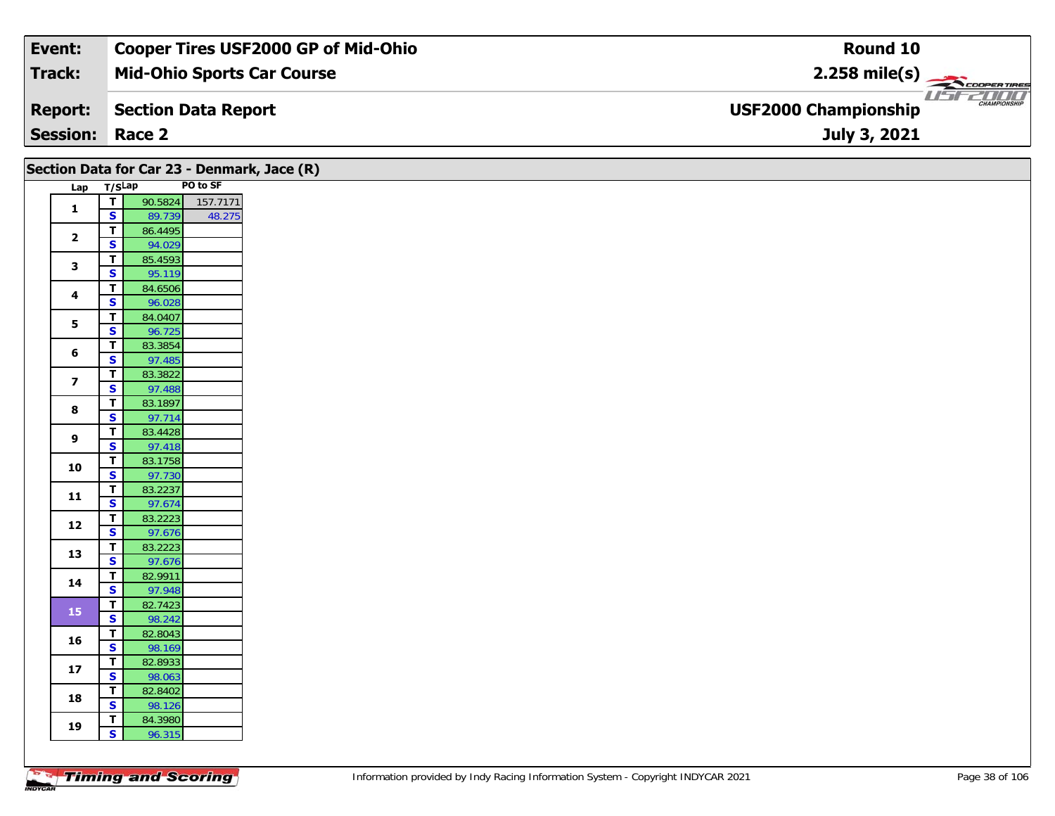| Event:                 | Cooper Tires USF2000 GP of Mid-Ohio | Round 10                                           |
|------------------------|-------------------------------------|----------------------------------------------------|
| Track:                 | <b>Mid-Ohio Sports Car Course</b>   | $2.258$ mile(s)                                    |
| <b>Report:</b>         | Section Data Report                 | <b>CHAMPIONSHIP</b><br><b>USF2000 Championship</b> |
| <b>Session: Race 2</b> |                                     | July 3, 2021                                       |

|                         |                                           |                   | Section Data for Car 23 - Denmark, Jace (R) |
|-------------------------|-------------------------------------------|-------------------|---------------------------------------------|
|                         | Lap T/SLap                                |                   | PO to SF                                    |
| $\mathbf{1}$            | $\overline{\mathbf{r}}$                   |                   | 90.5824 157.7171                            |
|                         | $\mathbf{s}$                              | 89.739            | 48.275                                      |
| $\overline{\mathbf{2}}$ | $\overline{\mathbf{r}}$                   | 86.4495           |                                             |
|                         | $\overline{\mathbf{s}}$                   | 94.029            |                                             |
| 3                       | $\overline{1}$<br>$\overline{\mathbf{s}}$ | 85.4593<br>95.119 |                                             |
|                         | $\mathbf T$                               | 84.6506           |                                             |
| 4                       | $\mathbf{s}$                              | 96.028            |                                             |
|                         | $\overline{\mathsf{r}}$                   | 84.0407           |                                             |
| $\overline{\mathbf{5}}$ | $\overline{\mathbf{s}}$                   | 96.725            |                                             |
| $\bf 6$                 | $\mathbf T$                               | 83.3854           |                                             |
|                         | $\mathbf{s}$                              | 97.485            |                                             |
| $\overline{\mathbf{z}}$ | $\mathbf T$                               | 83.3822           |                                             |
|                         | $\mathbf{s}$                              | 97.488            |                                             |
| 8                       | $\mathbf T$                               | 83.1897           |                                             |
|                         | $\overline{\mathbf{s}}$                   | 97.714            |                                             |
| 9                       | $\mathbf T$<br>$\overline{\mathbf{s}}$    | 83.4428<br>97.418 |                                             |
|                         | $\mathbf T$                               | 83.1758           |                                             |
| 10                      | $\overline{\mathbf{s}}$                   | 97.730            |                                             |
|                         | $\overline{\mathbf{T}}$                   | 83.2237           |                                             |
| $11$                    | S                                         | 97.674            |                                             |
|                         | $\overline{t}$                            | 83.2223           |                                             |
| 12                      | $\overline{\mathbf{s}}$                   | 97.676            |                                             |
| 13                      | $\mathbf T$                               | 83.2223           |                                             |
|                         | $\overline{\mathbf{s}}$                   | 97.676            |                                             |
| 14                      | $\overline{t}$                            | 82.9911           |                                             |
|                         | $\overline{\mathbf{s}}$                   | 97.948            |                                             |
| 15                      | $\mathbf{T}$<br>$\overline{\mathbf{s}}$   | 82.7423<br>98.242 |                                             |
|                         | $\mathbf T$                               | 82.8043           |                                             |
| 16                      | $\overline{\mathbf{s}}$                   | 98.169            |                                             |
|                         | $\overline{t}$                            | 82.8933           |                                             |
| 17                      | S                                         | 98.063            |                                             |
|                         | $\overline{1}$                            | 82.8402           |                                             |
| 18                      | $\overline{\mathbf{s}}$                   | 98.126            |                                             |
| 19                      | T                                         | 84.3980           |                                             |
|                         | $\mathbf{s}$                              | 96.315            |                                             |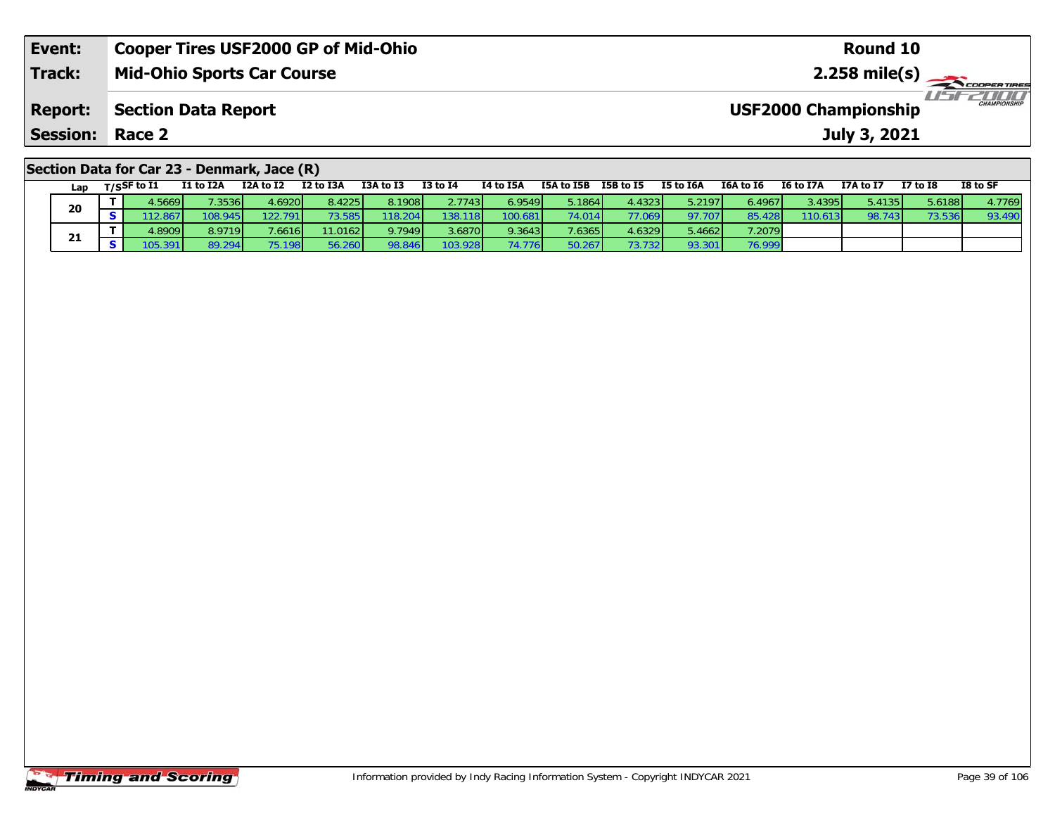| Event:                                      | <b>Cooper Tires USF2000 GP of Mid-Ohio</b> | Round 10                                    |  |  |  |  |  |  |  |  |  |
|---------------------------------------------|--------------------------------------------|---------------------------------------------|--|--|--|--|--|--|--|--|--|
| <b>Track:</b>                               | <b>Mid-Ohio Sports Car Course</b>          | $2.258$ mile(s)                             |  |  |  |  |  |  |  |  |  |
| <b>Report:</b>                              | Section Data Report                        | CHAMPIONSHIP<br><b>USF2000 Championship</b> |  |  |  |  |  |  |  |  |  |
| <b>Session:</b>                             | Race 2                                     | July 3, 2021                                |  |  |  |  |  |  |  |  |  |
| Section Data for Car 23 - Denmark, Jace (R) |                                            |                                             |  |  |  |  |  |  |  |  |  |

| Lap |                | T/SSF to I1 | <b>I1 to I2A</b> | I2A to I2 | I2 to I3A | I3A to I3 | <b>I3 to I4</b> | I4 to I5A | I5A to I5B | I5B to I5 | I5 to I6A | I6A to I6 | <b>I6 to I7A</b> | I7A to I7 | <b>I7 to I8</b> | I8 to SF |
|-----|----------------|-------------|------------------|-----------|-----------|-----------|-----------------|-----------|------------|-----------|-----------|-----------|------------------|-----------|-----------------|----------|
| 20  |                | 4.5669      | 7.3536           | 4.6920    | 8.4225    | 8.1908    | 2.7743          | 6.9549    | 5.1864     | 4.4323    | 5.2197    | 6.4967    | 3.4395           | 5.4135    | 5.6188          | 4.7769   |
|     | S I            | 12.867      | 108.945          | 122.791   | 73.585    | 118.204   | 138.118         | 100.681   | 74.014     | 77.069    | 97.707    | 85.428    | 110.613          | 98.743    | 73.536          | 93.490   |
|     |                | 4.8909      | 8.9719           | 7.6616    | 11.0162   | 9.7949    | 3.6870          | 9.3643    | 7.6365     | 4.6329    | 5.4662    | 7.2079    |                  |           |                 |          |
| 21  | S <sub>1</sub> | 105.391     | 89.294           | 75.198    | 56.260    | 98.846    | 103.928         | 74.776    | 50.267     | 73.732    | 93.301    | 76.999    |                  |           |                 |          |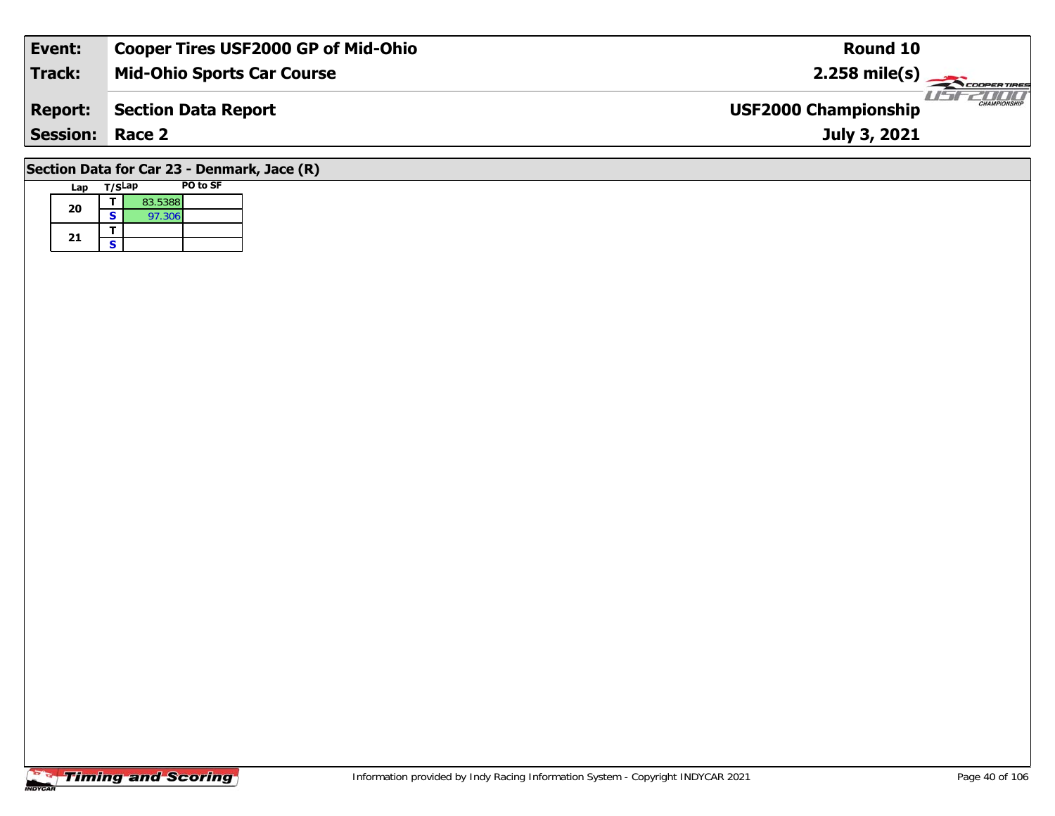| Event:                 | <b>Cooper Tires USF2000 GP of Mid-Ohio</b> | <b>Round 10</b>                                    |
|------------------------|--------------------------------------------|----------------------------------------------------|
| Track:                 | <b>Mid-Ohio Sports Car Course</b>          | $2.258 \text{ mile(s)}$                            |
| <b>Report:</b>         | <b>Section Data Report</b>                 | <b>CHAMPIONSHIP</b><br><b>USF2000 Championship</b> |
| <b>Session: Race 2</b> |                                            | July 3, 2021                                       |
| .                      | $\sqrt{2}$<br>-- -                         |                                                    |

## **Section Data for Car 23 - Denmark, Jace (R)**

| Lap | T/SLap |         | PO to SF |
|-----|--------|---------|----------|
| 20  |        | 83.5388 |          |
|     | S      | 97.306  |          |
| 21  |        |         |          |
|     | ς      |         |          |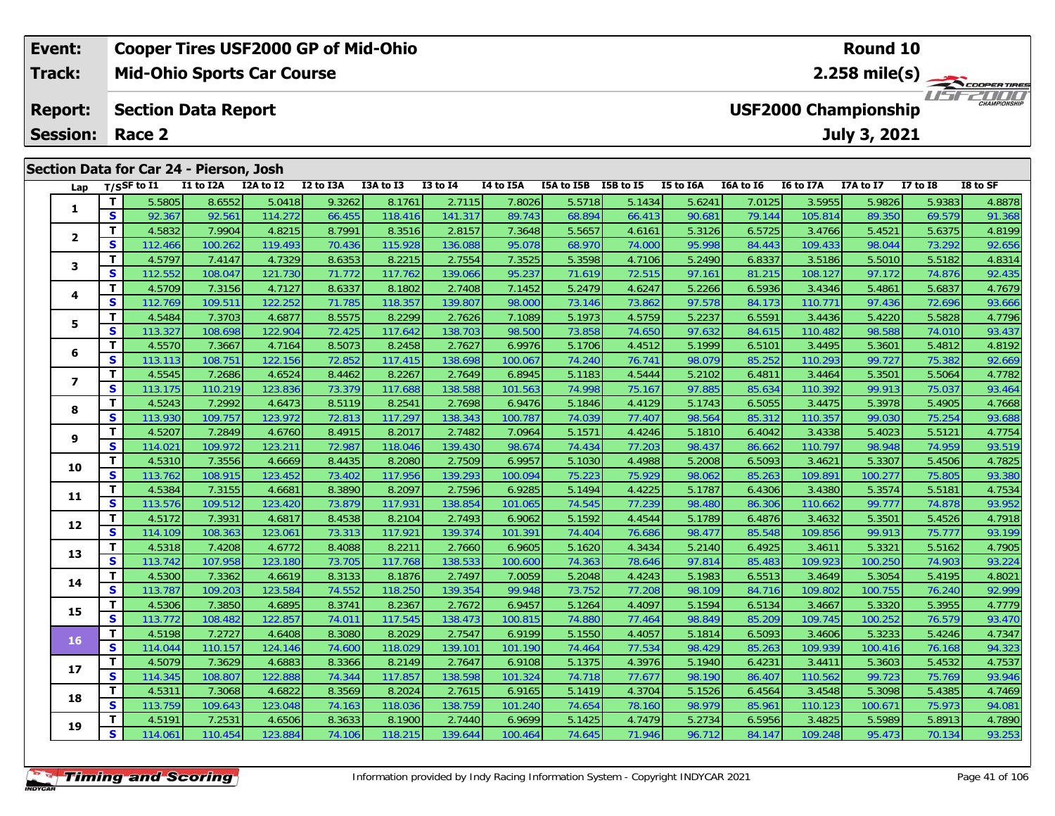### **Event: Cooper Tires USF2000 GP of Mid-Ohio Round 102.258 mile(s) Mid-Ohio Sports Car Course Track:** THE COOPER TIRES **USF2000 Championship Report: Section Data Report July 3, 2021 Session: Race 2 Section Data for Car 24 - Pierson, Josh Lap T/SSF to I1 I1 to I2A I2A to I2 I2 to I3A I3A to I3 I3 to I4 I4 to I5A I5A to I5B I5B to I5 I5 to I6A I6A to I6 I6 to I7A I7A to I7 I7 to I8 I8 to SF**

| Lap            |              | $T/S$ SF to I1 | I1 to I2A | I2A to I2 | I2 to I3A | I3A to I3 | <b>I3 to I4</b> | I4 to I5A | I5A to I5B I5B to I5 |        | I5 to I6A | I6A to I6 | I6 to I7A | I7A to I7 | <b>I7 to I8</b> | I8 to SF |
|----------------|--------------|----------------|-----------|-----------|-----------|-----------|-----------------|-----------|----------------------|--------|-----------|-----------|-----------|-----------|-----------------|----------|
| 1              | T            | 5.5805         | 8.6552    | 5.0418    | 9.3262    | 8.1761    | 2.7115          | 7.8026    | 5.5718               | 5.1434 | 5.6241    | 7.0125    | 3.5955    | 5.9826    | 5.9383          | 4.8878   |
|                | $\mathbf{s}$ | 92.367         | 92.561    | 114.272   | 66.455    | 118.416   | 141.317         | 89.743    | 68.894               | 66.413 | 90.681    | 79.144    | 105.814   | 89.350    | 69.579          | 91.368   |
| $\mathbf{2}$   | T            | 4.5832         | 7.9904    | 4.8215    | 8.7991    | 8.3516    | 2.8157          | 7.3648    | 5.5657               | 4.6161 | 5.3126    | 6.5725    | 3.4766    | 5.4521    | 5.6375          | 4.8199   |
|                | $\mathbf{s}$ | 112.466        | 100.262   | 119.493   | 70.436    | 115.928   | 136.088         | 95.078    | 68.970               | 74.000 | 95.998    | 84.443    | 109.433   | 98.044    | 73.292          | 92.656   |
| 3              | T.           | 4.5797         | 7.4147    | 4.7329    | 8.6353    | 8.2215    | 2.7554          | 7.3525    | 5.3598               | 4.7106 | 5.2490    | 6.8337    | 3.5186    | 5.5010    | 5.5182          | 4.8314   |
|                | $\mathbf{s}$ | 112.552        | 108.047   | 121.730   | 71.772    | 117.762   | 139.066         | 95.237    | 71.619               | 72.515 | 97.161    | 81.215    | 108.127   | 97.172    | 74.876          | 92.435   |
| 4              | Т            | 4.5709         | 7.3156    | 4.7127    | 8.6337    | 8.1802    | 2.7408          | 7.1452    | 5.2479               | 4.6247 | 5.2266    | 6.5936    | 3.4346    | 5.4861    | 5.6837          | 4.7679   |
|                | S            | 112.769        | 109.511   | 122.252   | 71.785    | 118.357   | 139.807         | 98.000    | 73.146               | 73.862 | 97.578    | 84.173    | 110.771   | 97.436    | 72.696          | 93.666   |
| 5              | Т            | 4.5484         | 7.3703    | 4.6877    | 8.5575    | 8.2299    | 2.7626          | 7.1089    | 5.1973               | 4.5759 | 5.2237    | 6.5591    | 3.4436    | 5.4220    | 5.5828          | 4.7796   |
|                | S            | 113.327        | 108.698   | 122.904   | 72.425    | 117.642   | 138.703         | 98.500    | 73.858               | 74.650 | 97.632    | 84.615    | 110.482   | 98.588    | 74.010          | 93.437   |
| 6              | $\mathbf{T}$ | 4.5570         | 7.3667    | 4.7164    | 8.5073    | 8.2458    | 2.7627          | 6.9976    | 5.1706               | 4.4512 | 5.1999    | 6.5101    | 3.4495    | 5.3601    | 5.4812          | 4.8192   |
|                | S            | 113.113        | 108.751   | 122.156   | 72.852    | 117.415   | 138.698         | 100.067   | 74.240               | 76.741 | 98.079    | 85.252    | 110.293   | 99.727    | 75.382          | 92.669   |
| $\overline{ }$ | T            | 4.5545         | 7.2686    | 4.6524    | 8.4462    | 8.2267    | 2.7649          | 6.8945    | 5.1183               | 4.5444 | 5.2102    | 6.4811    | 3.4464    | 5.3501    | 5.5064          | 4.7782   |
|                | S            | 113.175        | 110.219   | 123.836   | 73.379    | 117.688   | 138.588         | 101.563   | 74.998               | 75.167 | 97.885    | 85.634    | 110.392   | 99.913    | 75.037          | 93.464   |
| 8              | T            | 4.5243         | 7.2992    | 4.6473    | 8.5119    | 8.2541    | 2.7698          | 6.9476    | 5.1846               | 4.4129 | 5.1743    | 6.5055    | 3.4475    | 5.3978    | 5.4905          | 4.7668   |
|                | $\mathbf{s}$ | 113.930        | 109.757   | 123.972   | 72.813    | 117.297   | 138.343         | 100.787   | 74.039               | 77.407 | 98.564    | 85.312    | 110.357   | 99.030    | 75.254          | 93.688   |
| 9              | Т            | 4.5207         | 7.2849    | 4.6760    | 8.4915    | 8.2017    | 2.7482          | 7.0964    | 5.1571               | 4.4246 | 5.1810    | 6.4042    | 3.4338    | 5.4023    | 5.5121          | 4.7754   |
|                | S            | 114.021        | 109.972   | 123.211   | 72.987    | 118.046   | 139.430         | 98.674    | 74.434               | 77.203 | 98.437    | 86.662    | 110.797   | 98.948    | 74.959          | 93.519   |
| 10             | T            | 4.5310         | 7.3556    | 4.6669    | 8.4435    | 8.2080    | 2.7509          | 6.9957    | 5.1030               | 4.4988 | 5.2008    | 6.5093    | 3.4621    | 5.3307    | 5.4506          | 4.7825   |
|                | S            | 113.762        | 108.915   | 123.452   | 73.402    | 117.956   | 139.293         | 100.094   | 75.223               | 75.929 | 98.062    | 85.263    | 109.891   | 100.277   | 75.805          | 93.380   |
| 11             | Т            | 4.5384         | 7.3155    | 4.6681    | 8.3890    | 8.2097    | 2.7596          | 6.9285    | 5.1494               | 4.4225 | 5.1787    | 6.4306    | 3.4380    | 5.3574    | 5.5181          | 4.7534   |
|                | S            | 113.576        | 109.512   | 123.420   | 73.879    | 117.931   | 138.854         | 101.065   | 74.545               | 77.239 | 98.480    | 86.306    | 110.662   | 99.777    | 74.878          | 93.952   |
| 12             | Т            | 4.5172         | 7.3931    | 4.6817    | 8.4538    | 8.2104    | 2.7493          | 6.9062    | 5.1592               | 4.4544 | 5.1789    | 6.4876    | 3.4632    | 5.3501    | 5.4526          | 4.7918   |
|                | $\mathbf{s}$ | 114.109        | 108.363   | 123.061   | 73.313    | 117.921   | 139.374         | 101.391   | 74.404               | 76.686 | 98.477    | 85.548    | 109.856   | 99.913    | 75.777          | 93.199   |
| 13             | T.           | 4.5318         | 7.4208    | 4.6772    | 8.4088    | 8.2211    | 2.7660          | 6.9605    | 5.1620               | 4.3434 | 5.2140    | 6.4925    | 3.4611    | 5.3321    | 5.5162          | 4.7905   |
|                | S            | 113.742        | 107.958   | 123.180   | 73.705    | 117.768   | 138.533         | 100.600   | 74.363               | 78.646 | 97.814    | 85.483    | 109.923   | 100.250   | 74.903          | 93.224   |
| 14             | T.           | 4.5300         | 7.3362    | 4.6619    | 8.3133    | 8.1876    | 2.7497          | 7.0059    | 5.2048               | 4.4243 | 5.1983    | 6.5513    | 3.4649    | 5.3054    | 5.4195          | 4.8021   |
|                | S            | 113.787        | 109.203   | 123.584   | 74.552    | 118.250   | 139.354         | 99.948    | 73.752               | 77.208 | 98.109    | 84.716    | 109.802   | 100.755   | 76.240          | 92.999   |
| 15             | T            | 4.5306         | 7.3850    | 4.6895    | 8.3741    | 8.2367    | 2.7672          | 6.9457    | 5.1264               | 4.4097 | 5.1594    | 6.5134    | 3.4667    | 5.3320    | 5.3955          | 4.7779   |
|                | $\mathbf{s}$ | 113.772        | 108.482   | 122.857   | 74.011    | 117.545   | 138.473         | 100.815   | 74.880               | 77.464 | 98.849    | 85.209    | 109.745   | 100.252   | 76.579          | 93.470   |
| 16             | T            | 4.5198         | 7.2727    | 4.6408    | 8.3080    | 8.2029    | 2.7547          | 6.9199    | 5.1550               | 4.4057 | 5.1814    | 6.5093    | 3.4606    | 5.3233    | 5.4246          | 4.7347   |
|                | S            | 114.044        | 110.157   | 124.146   | 74.600    | 118.029   | 139.101         | 101.190   | 74.464               | 77.534 | 98.429    | 85.263    | 109.939   | 100.416   | 76.168          | 94.323   |
| 17             | T            | 4.5079         | 7.3629    | 4.6883    | 8.3366    | 8.2149    | 2.7647          | 6.9108    | 5.1375               | 4.3976 | 5.1940    | 6.4231    | 3.4411    | 5.3603    | 5.4532          | 4.7537   |
|                | $\mathbf{s}$ | 114.345        | 108.807   | 122.888   | 74.344    | 117.857   | 138.598         | 101.324   | 74.718               | 77.677 | 98.190    | 86.407    | 110.562   | 99.723    | 75.769          | 93.946   |
| 18             | T.           | 4.5311         | 7.3068    | 4.6822    | 8.3569    | 8.2024    | 2.7615          | 6.9165    | 5.1419               | 4.3704 | 5.1526    | 6.4564    | 3.4548    | 5.3098    | 5.4385          | 4.7469   |
|                | S            | 113.759        | 109.643   | 123.048   | 74.163    | 118.036   | 138.759         | 101.240   | 74.654               | 78.160 | 98.979    | 85.961    | 110.123   | 100.671   | 75.973          | 94.081   |
| 19             | T            | 4.5191         | 7.2531    | 4.6506    | 8.3633    | 8.1900    | 2.7440          | 6.9699    | 5.1425               | 4.7479 | 5.2734    | 6.5956    | 3.4825    | 5.5989    | 5.8913          | 4.7890   |
|                | $\mathbf{s}$ | 114.061        | 110.454   | 123.884   | 74.106    | 118.215   | 139.644         | 100.464   | 74.645               | 71.946 | 96.712    | 84.147    | 109.248   | 95.473    | 70.134          | 93.253   |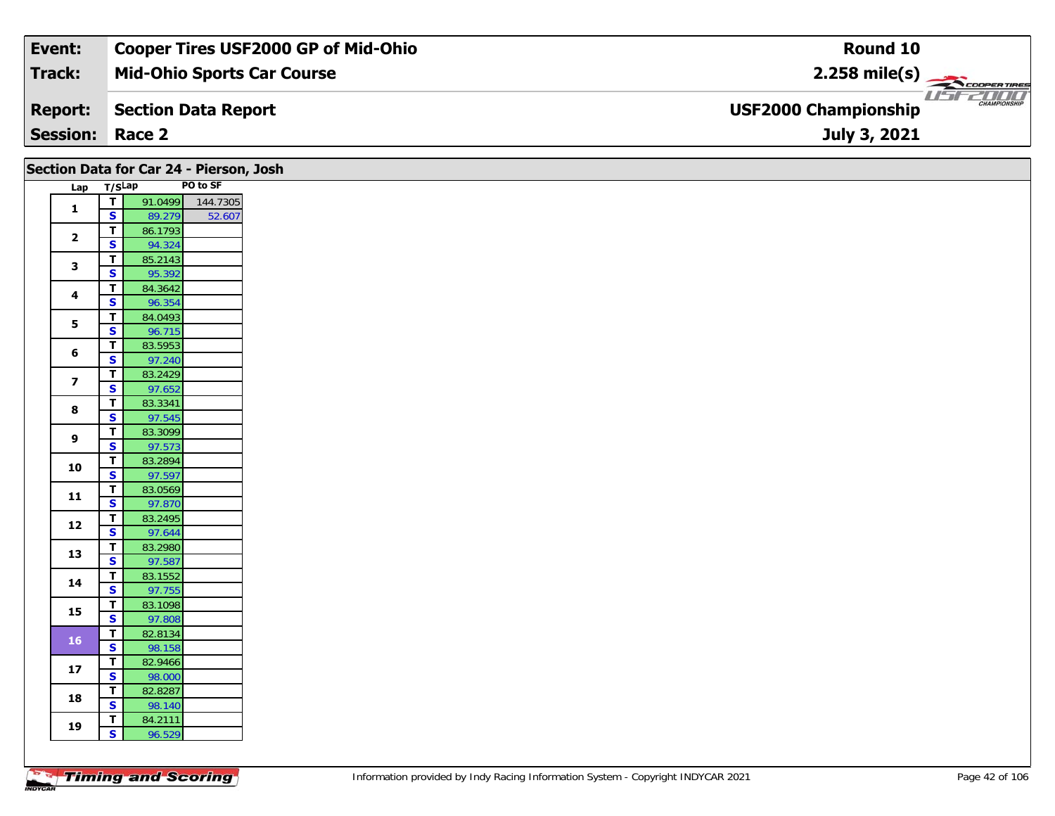| Event:                 | <b>Cooper Tires USF2000 GP of Mid-Ohio</b> | Round 10                                           |
|------------------------|--------------------------------------------|----------------------------------------------------|
| Track:                 | <b>Mid-Ohio Sports Car Course</b>          | $2.258$ mile(s)                                    |
| <b>Report:</b>         | Section Data Report                        | <b>CHAMPIONSHIP</b><br><b>USF2000 Championship</b> |
| <b>Session: Race 2</b> |                                            | July 3, 2021                                       |

| Lap T/SLap<br>91.0499<br>$\overline{I}$<br>144.7305<br>$\mathbf{1}$<br>$\mathsf{s}$<br>52.607<br>89.279<br>$\mathbf T$<br>86.1793<br>$\overline{\mathbf{2}}$<br>$\mathsf{s}$<br>94.324<br>$\overline{\mathbf{T}}$<br>85.2143<br>$\mathbf{3}$<br>$\overline{\mathbf{s}}$<br>95.392<br>$\mathbf T$<br>84.3642<br>4<br>$\mathbf{s}$<br>96.354<br>$\overline{\mathbf{T}}$<br>84.0493<br>5<br>$\overline{\mathbf{s}}$<br>96.715<br>$\mathbf{T}$<br>83.5953<br>6<br>$\overline{\mathbf{s}}$<br>97.240<br>$\overline{\mathbf{r}}$<br>83.2429<br>$\overline{\mathbf{z}}$<br>$\overline{\mathbf{s}}$<br>97.652<br>$\overline{\mathbf{T}}$<br>83.3341<br>8<br>$\overline{\mathbf{s}}$<br>97.545<br>$\mathbf T$<br>83.3099<br>9<br>$\overline{\mathbf{s}}$<br>97.573<br>83.2894<br>T<br>10<br>$\overline{\mathbf{s}}$<br>97.597<br>$\mathbf T$<br>83.0569<br>$\mathbf{11}$<br>$\overline{\mathbf{s}}$<br>97.870<br>$\overline{\mathbf{T}}$<br>83.2495<br>12<br>$\mathbf{s}$<br>97.644<br>$\mathbf T$<br>83.2980<br>13<br>$\overline{\mathbf{s}}$<br>97.587<br>83.1552<br>$\overline{\mathbf{r}}$<br>14<br>S<br>97.755<br>83.1098<br>$\mathbf T$<br>15<br>$\overline{\mathbf{s}}$<br>97.808<br>$\mathbf T$<br>82.8134<br><b>16</b><br>$\mathbf{s}$<br>98.158<br>$\overline{t}$<br>82.9466<br>17<br>$\overline{\mathbf{s}}$<br>98.000<br>82.8287<br>$\mathbf{T}$<br>18<br>$\mathbf{s}$<br>98.140<br>$\mathbf T$<br>84.2111<br>19<br>$\mathbf{s}$<br>96.529 |  | Section Data for Car 24 - Pierson, Josh |  |
|-----------------------------------------------------------------------------------------------------------------------------------------------------------------------------------------------------------------------------------------------------------------------------------------------------------------------------------------------------------------------------------------------------------------------------------------------------------------------------------------------------------------------------------------------------------------------------------------------------------------------------------------------------------------------------------------------------------------------------------------------------------------------------------------------------------------------------------------------------------------------------------------------------------------------------------------------------------------------------------------------------------------------------------------------------------------------------------------------------------------------------------------------------------------------------------------------------------------------------------------------------------------------------------------------------------------------------------------------------------------------------------------------------------------------------------------------|--|-----------------------------------------|--|
|                                                                                                                                                                                                                                                                                                                                                                                                                                                                                                                                                                                                                                                                                                                                                                                                                                                                                                                                                                                                                                                                                                                                                                                                                                                                                                                                                                                                                                               |  | PO to SF                                |  |
|                                                                                                                                                                                                                                                                                                                                                                                                                                                                                                                                                                                                                                                                                                                                                                                                                                                                                                                                                                                                                                                                                                                                                                                                                                                                                                                                                                                                                                               |  |                                         |  |
|                                                                                                                                                                                                                                                                                                                                                                                                                                                                                                                                                                                                                                                                                                                                                                                                                                                                                                                                                                                                                                                                                                                                                                                                                                                                                                                                                                                                                                               |  |                                         |  |
|                                                                                                                                                                                                                                                                                                                                                                                                                                                                                                                                                                                                                                                                                                                                                                                                                                                                                                                                                                                                                                                                                                                                                                                                                                                                                                                                                                                                                                               |  |                                         |  |
|                                                                                                                                                                                                                                                                                                                                                                                                                                                                                                                                                                                                                                                                                                                                                                                                                                                                                                                                                                                                                                                                                                                                                                                                                                                                                                                                                                                                                                               |  |                                         |  |
|                                                                                                                                                                                                                                                                                                                                                                                                                                                                                                                                                                                                                                                                                                                                                                                                                                                                                                                                                                                                                                                                                                                                                                                                                                                                                                                                                                                                                                               |  |                                         |  |
|                                                                                                                                                                                                                                                                                                                                                                                                                                                                                                                                                                                                                                                                                                                                                                                                                                                                                                                                                                                                                                                                                                                                                                                                                                                                                                                                                                                                                                               |  |                                         |  |
|                                                                                                                                                                                                                                                                                                                                                                                                                                                                                                                                                                                                                                                                                                                                                                                                                                                                                                                                                                                                                                                                                                                                                                                                                                                                                                                                                                                                                                               |  |                                         |  |
|                                                                                                                                                                                                                                                                                                                                                                                                                                                                                                                                                                                                                                                                                                                                                                                                                                                                                                                                                                                                                                                                                                                                                                                                                                                                                                                                                                                                                                               |  |                                         |  |
|                                                                                                                                                                                                                                                                                                                                                                                                                                                                                                                                                                                                                                                                                                                                                                                                                                                                                                                                                                                                                                                                                                                                                                                                                                                                                                                                                                                                                                               |  |                                         |  |
|                                                                                                                                                                                                                                                                                                                                                                                                                                                                                                                                                                                                                                                                                                                                                                                                                                                                                                                                                                                                                                                                                                                                                                                                                                                                                                                                                                                                                                               |  |                                         |  |
|                                                                                                                                                                                                                                                                                                                                                                                                                                                                                                                                                                                                                                                                                                                                                                                                                                                                                                                                                                                                                                                                                                                                                                                                                                                                                                                                                                                                                                               |  |                                         |  |
|                                                                                                                                                                                                                                                                                                                                                                                                                                                                                                                                                                                                                                                                                                                                                                                                                                                                                                                                                                                                                                                                                                                                                                                                                                                                                                                                                                                                                                               |  |                                         |  |
|                                                                                                                                                                                                                                                                                                                                                                                                                                                                                                                                                                                                                                                                                                                                                                                                                                                                                                                                                                                                                                                                                                                                                                                                                                                                                                                                                                                                                                               |  |                                         |  |
|                                                                                                                                                                                                                                                                                                                                                                                                                                                                                                                                                                                                                                                                                                                                                                                                                                                                                                                                                                                                                                                                                                                                                                                                                                                                                                                                                                                                                                               |  |                                         |  |
|                                                                                                                                                                                                                                                                                                                                                                                                                                                                                                                                                                                                                                                                                                                                                                                                                                                                                                                                                                                                                                                                                                                                                                                                                                                                                                                                                                                                                                               |  |                                         |  |
|                                                                                                                                                                                                                                                                                                                                                                                                                                                                                                                                                                                                                                                                                                                                                                                                                                                                                                                                                                                                                                                                                                                                                                                                                                                                                                                                                                                                                                               |  |                                         |  |
|                                                                                                                                                                                                                                                                                                                                                                                                                                                                                                                                                                                                                                                                                                                                                                                                                                                                                                                                                                                                                                                                                                                                                                                                                                                                                                                                                                                                                                               |  |                                         |  |
|                                                                                                                                                                                                                                                                                                                                                                                                                                                                                                                                                                                                                                                                                                                                                                                                                                                                                                                                                                                                                                                                                                                                                                                                                                                                                                                                                                                                                                               |  |                                         |  |
|                                                                                                                                                                                                                                                                                                                                                                                                                                                                                                                                                                                                                                                                                                                                                                                                                                                                                                                                                                                                                                                                                                                                                                                                                                                                                                                                                                                                                                               |  |                                         |  |
|                                                                                                                                                                                                                                                                                                                                                                                                                                                                                                                                                                                                                                                                                                                                                                                                                                                                                                                                                                                                                                                                                                                                                                                                                                                                                                                                                                                                                                               |  |                                         |  |
|                                                                                                                                                                                                                                                                                                                                                                                                                                                                                                                                                                                                                                                                                                                                                                                                                                                                                                                                                                                                                                                                                                                                                                                                                                                                                                                                                                                                                                               |  |                                         |  |
|                                                                                                                                                                                                                                                                                                                                                                                                                                                                                                                                                                                                                                                                                                                                                                                                                                                                                                                                                                                                                                                                                                                                                                                                                                                                                                                                                                                                                                               |  |                                         |  |
|                                                                                                                                                                                                                                                                                                                                                                                                                                                                                                                                                                                                                                                                                                                                                                                                                                                                                                                                                                                                                                                                                                                                                                                                                                                                                                                                                                                                                                               |  |                                         |  |
|                                                                                                                                                                                                                                                                                                                                                                                                                                                                                                                                                                                                                                                                                                                                                                                                                                                                                                                                                                                                                                                                                                                                                                                                                                                                                                                                                                                                                                               |  |                                         |  |
|                                                                                                                                                                                                                                                                                                                                                                                                                                                                                                                                                                                                                                                                                                                                                                                                                                                                                                                                                                                                                                                                                                                                                                                                                                                                                                                                                                                                                                               |  |                                         |  |
|                                                                                                                                                                                                                                                                                                                                                                                                                                                                                                                                                                                                                                                                                                                                                                                                                                                                                                                                                                                                                                                                                                                                                                                                                                                                                                                                                                                                                                               |  |                                         |  |
|                                                                                                                                                                                                                                                                                                                                                                                                                                                                                                                                                                                                                                                                                                                                                                                                                                                                                                                                                                                                                                                                                                                                                                                                                                                                                                                                                                                                                                               |  |                                         |  |
|                                                                                                                                                                                                                                                                                                                                                                                                                                                                                                                                                                                                                                                                                                                                                                                                                                                                                                                                                                                                                                                                                                                                                                                                                                                                                                                                                                                                                                               |  |                                         |  |
|                                                                                                                                                                                                                                                                                                                                                                                                                                                                                                                                                                                                                                                                                                                                                                                                                                                                                                                                                                                                                                                                                                                                                                                                                                                                                                                                                                                                                                               |  |                                         |  |
|                                                                                                                                                                                                                                                                                                                                                                                                                                                                                                                                                                                                                                                                                                                                                                                                                                                                                                                                                                                                                                                                                                                                                                                                                                                                                                                                                                                                                                               |  |                                         |  |
|                                                                                                                                                                                                                                                                                                                                                                                                                                                                                                                                                                                                                                                                                                                                                                                                                                                                                                                                                                                                                                                                                                                                                                                                                                                                                                                                                                                                                                               |  |                                         |  |
|                                                                                                                                                                                                                                                                                                                                                                                                                                                                                                                                                                                                                                                                                                                                                                                                                                                                                                                                                                                                                                                                                                                                                                                                                                                                                                                                                                                                                                               |  |                                         |  |
|                                                                                                                                                                                                                                                                                                                                                                                                                                                                                                                                                                                                                                                                                                                                                                                                                                                                                                                                                                                                                                                                                                                                                                                                                                                                                                                                                                                                                                               |  |                                         |  |
|                                                                                                                                                                                                                                                                                                                                                                                                                                                                                                                                                                                                                                                                                                                                                                                                                                                                                                                                                                                                                                                                                                                                                                                                                                                                                                                                                                                                                                               |  |                                         |  |
|                                                                                                                                                                                                                                                                                                                                                                                                                                                                                                                                                                                                                                                                                                                                                                                                                                                                                                                                                                                                                                                                                                                                                                                                                                                                                                                                                                                                                                               |  |                                         |  |
|                                                                                                                                                                                                                                                                                                                                                                                                                                                                                                                                                                                                                                                                                                                                                                                                                                                                                                                                                                                                                                                                                                                                                                                                                                                                                                                                                                                                                                               |  |                                         |  |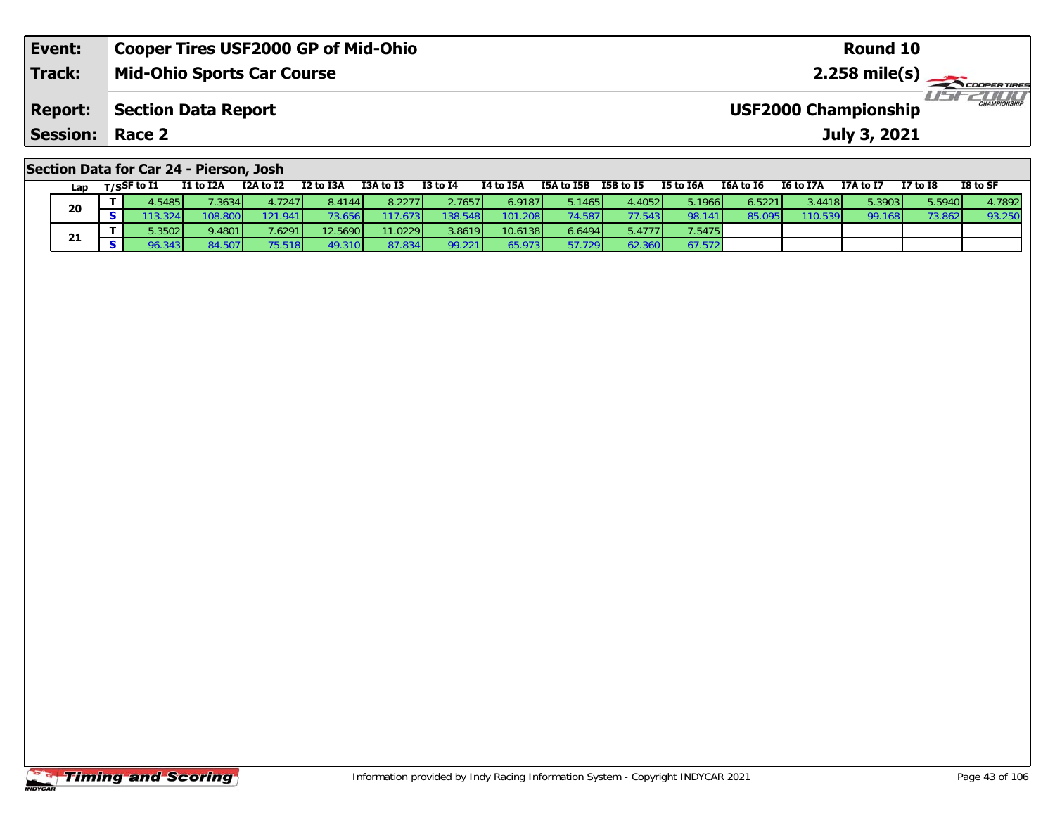| Event:                 | <b>Cooper Tires USF2000 GP of Mid-Ohio</b> | Round 10                                           |
|------------------------|--------------------------------------------|----------------------------------------------------|
| <b>Track:</b>          | <b>Mid-Ohio Sports Car Course</b>          |                                                    |
| <b>Report:</b>         | Section Data Report                        | <b>CHAMPIONSHIP</b><br><b>USF2000 Championship</b> |
| <b>Session: Race 2</b> |                                            | July 3, 2021                                       |
|                        | Section Data for Car 24 - Pierson, Josh    |                                                    |

|    | Lap    | T/SSF to I1     | I1 to I2A | I2A to I2 | I2 to I3A | I3A to I3 | <b>I3 to I4</b> | I4 to I5A | I5A to I5B | I5B to I5 | I5 to I6A | I6A to I6 | I6 to I7A | I7A to I7               | <b>I7 to I8</b>    | I8 to SF |
|----|--------|-----------------|-----------|-----------|-----------|-----------|-----------------|-----------|------------|-----------|-----------|-----------|-----------|-------------------------|--------------------|----------|
|    | 20     | 1.5485          | 7.3634    | 4.7247    | 8.4144    | 8.2277    | 2.7657          | 6.9187    | 5.1465 l   | 4.4052    | 5.1966l   | 6.5221    | 3.4418    | $5.3903$ $\blacksquare$ | 5.5940 <b>l</b>    | 4.7892   |
|    |        |                 | 108.800   | 121.941   | 3.656     | 117.673   | 138.548         | 101.      | 74.587     | 77.543    | 98.141    | 85.095    | 110.539   | 99.168                  | 73.86 <sup>2</sup> | 93.250   |
|    |        | 5.3502 <b>l</b> | 9.4801    | 7.6291    | 12.5690   | 11.0229   | 3.8619          | 10.6138   | 6.6494     | 5.4777    | 7.5475    |           |           |                         |                    |          |
| 21 | 96.343 | 84.507          |           |           | 87.834    | 99.221    | 65.973          | .729'     | 62.360     | 67.572    |           |           |           |                         |                    |          |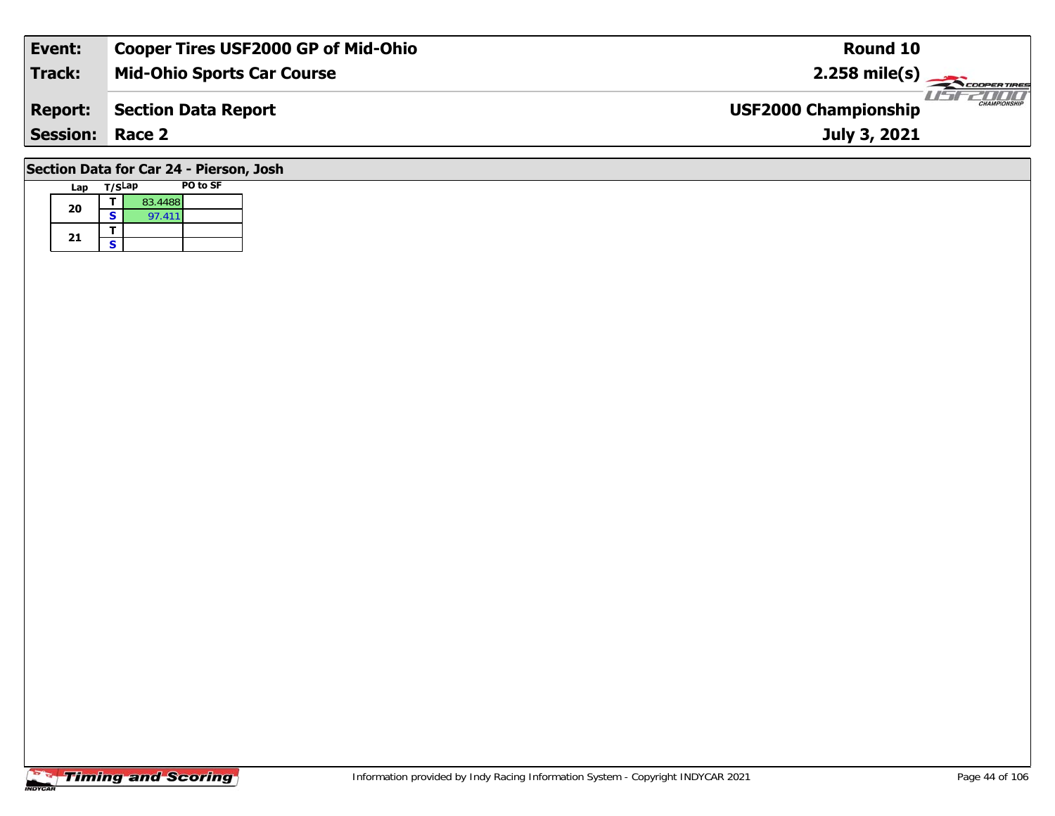| Event:                                  | <b>Cooper Tires USF2000 GP of Mid-Ohio</b> | Round 10                                           |  |  |  |  |  |  |  |  |
|-----------------------------------------|--------------------------------------------|----------------------------------------------------|--|--|--|--|--|--|--|--|
| Track:                                  | <b>Mid-Ohio Sports Car Course</b>          | $2.258$ mile(s)                                    |  |  |  |  |  |  |  |  |
| <b>Report:</b>                          | <b>Section Data Report</b>                 | <b>CHAMPIONSHIP</b><br><b>USF2000 Championship</b> |  |  |  |  |  |  |  |  |
| <b>Session: Race 2</b>                  |                                            | July 3, 2021                                       |  |  |  |  |  |  |  |  |
| Section Data for Car 24 - Pierson, Josh |                                            |                                                    |  |  |  |  |  |  |  |  |

# **Lap T/SLap PO to SF**  Ξ

|    |   | 83.4488 |  |
|----|---|---------|--|
| 20 | S | 97.411  |  |
|    |   |         |  |
| 21 | c |         |  |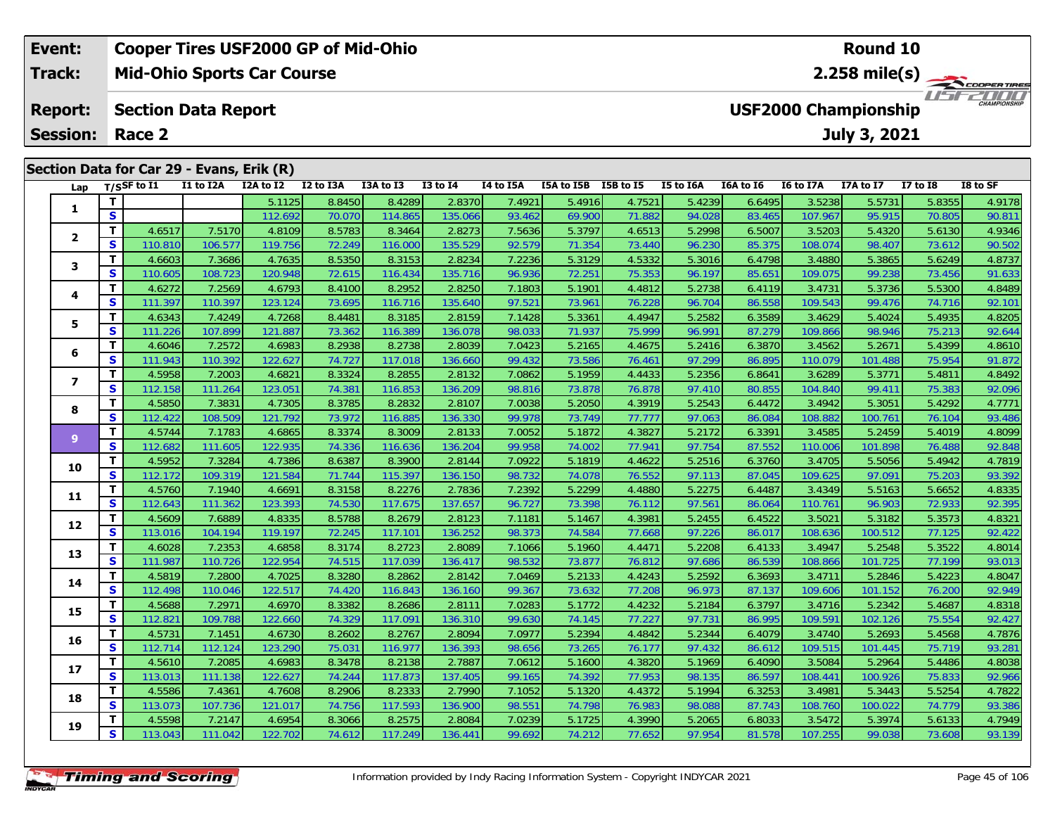### **Event: Cooper Tires USF2000 GP of Mid-Ohio Round 10Mid-Ohio Sports Car Course 2.258 mile(s) Track:***ISERINI* **Report: Section Data Report USF2000 Championship July 3, 2021 Session: Race 2 Section Data for Car 29 - Evans, Erik (R) Lap T/SSF to I1 I1 to I2A I2A to I2 I2 to I3A I3A to I3 I3 to I4 I4 to I5A I5A to I5B I5B to I5 I5 to I6A I6A to I6 I6 to I7A I7A to I7 I7 to I8 I8 to SF <sup>T</sup>** 5.1125 8.8450 8.4289 2.8370 7.4921 5.4916 4.7521 5.4239 6.6495 3.5238 5.5731 5.8355 4.9178 **<sup>S</sup>** 112.692 70.070 114.865 135.066 93.462 69.900 71.882 94.028 83.465 107.967 95.915 70.805 90.811**12**

| 1                       | T.           |         |         | 5.1125  | 8.8450 | 8.4289  | 2.8370  | 7.4921 | 5.4916 | 4.7521 | 5.4239 | 6.6495 | 3.5238  | 5.5731  | 5.8355 | 4.9178 |
|-------------------------|--------------|---------|---------|---------|--------|---------|---------|--------|--------|--------|--------|--------|---------|---------|--------|--------|
|                         | S            |         |         | 112.692 | 70.070 | 114.865 | 135.066 | 93.462 | 69.900 | 71.882 | 94.028 | 83.465 | 107.967 | 95.915  | 70.805 | 90.811 |
| $\mathbf{2}$            | Т            | 4.6517  | 7.5170  | 4.8109  | 8.5783 | 8.3464  | 2.8273  | 7.5636 | 5.3797 | 4.6513 | 5.2998 | 6.5007 | 3.5203  | 5.4320  | 5.6130 | 4.9346 |
|                         | $\mathbf{s}$ | 110.810 | 106.577 | 119.756 | 72.249 | 116.000 | 135.529 | 92.579 | 71.354 | 73.440 | 96.230 | 85.375 | 108.074 | 98.407  | 73.612 | 90.502 |
| 3                       | т            | 4.6603  | 7.3686  | 4.7635  | 8.5350 | 8.3153  | 2.8234  | 7.2236 | 5.3129 | 4.5332 | 5.3016 | 6.4798 | 3.4880  | 5.3865  | 5.6249 | 4.8737 |
|                         | S            | 110.605 | 108.723 | 120.948 | 72.615 | 116.434 | 135.716 | 96.936 | 72.251 | 75.353 | 96.197 | 85.651 | 109.075 | 99.238  | 73.456 | 91.633 |
| 4                       | т            | 4.6272  | 7.2569  | 4.6793  | 8.4100 | 8.2952  | 2.8250  | 7.1803 | 5.1901 | 4.4812 | 5.2738 | 6.4119 | 3.4731  | 5.3736  | 5.5300 | 4.8489 |
|                         | S            | 111.397 | 110.397 | 123.124 | 73.695 | 116.716 | 135.640 | 97.521 | 73.961 | 76.228 | 96.704 | 86.558 | 109.543 | 99.476  | 74.716 | 92.101 |
| 5                       | т            | 4.6343  | 7.4249  | 4.7268  | 8.4481 | 8.3185  | 2.8159  | 7.1428 | 5.3361 | 4.4947 | 5.2582 | 6.3589 | 3.4629  | 5.4024  | 5.4935 | 4.8205 |
|                         | S            | 111.226 | 107.899 | 121.887 | 73.362 | 116.389 | 136.078 | 98.033 | 71.937 | 75.999 | 96.991 | 87.279 | 109.866 | 98.946  | 75.213 | 92.644 |
| 6                       | т            | 4.6046  | 7.2572  | 4.6983  | 8.2938 | 8.2738  | 2.8039  | 7.0423 | 5.2165 | 4.4675 | 5.2416 | 6.3870 | 3.4562  | 5.2671  | 5.4399 | 4.8610 |
|                         | S            | 111.943 | 110.392 | 122.627 | 74.727 | 117.018 | 136.660 | 99.432 | 73.586 | 76.461 | 97.299 | 86.895 | 110.079 | 101.488 | 75.954 | 91.872 |
| $\overline{\mathbf{z}}$ | т            | 4.5958  | 7.2003  | 4.6821  | 8.3324 | 8.2855  | 2.8132  | 7.0862 | 5.1959 | 4.4433 | 5.2356 | 6.8641 | 3.6289  | 5.3771  | 5.4811 | 4.8492 |
|                         | S            | 112.158 | 111.264 | 123.051 | 74.381 | 116.853 | 136.209 | 98.816 | 73.878 | 76.878 | 97.410 | 80.855 | 104.840 | 99.411  | 75.383 | 92.096 |
| 8                       | т            | 4.5850  | 7.3831  | 4.7305  | 8.3785 | 8.2832  | 2.8107  | 7.0038 | 5.2050 | 4.3919 | 5.2543 | 6.4472 | 3.4942  | 5.3051  | 5.4292 | 4.7771 |
|                         | S            | 112.422 | 108.509 | 121.792 | 73.972 | 116.885 | 136.330 | 99.978 | 73.749 | 77.777 | 97.063 | 86.084 | 108.882 | 100.761 | 76.104 | 93.486 |
| $\mathbf{9}$            | $\mathbf{T}$ | 4.5744  | 7.1783  | 4.6865  | 8.3374 | 8.3009  | 2.8133  | 7.0052 | 5.1872 | 4.3827 | 5.2172 | 6.3391 | 3.4585  | 5.2459  | 5.4019 | 4.8099 |
|                         | S            | 112.682 | 111.605 | 122.935 | 74.336 | 116.636 | 136.204 | 99.958 | 74.002 | 77.941 | 97.754 | 87.552 | 110.006 | 101.898 | 76.488 | 92.848 |
| 10                      | т            | 4.5952  | 7.3284  | 4.7386  | 8.6387 | 8.3900  | 2.8144  | 7.0922 | 5.1819 | 4.4622 | 5.2516 | 6.3760 | 3.4705  | 5.5056  | 5.4942 | 4.7819 |
|                         | S            | 112.172 | 109.319 | 121.584 | 71.744 | 115.397 | 136.150 | 98.732 | 74.078 | 76.552 | 97.113 | 87.045 | 109.625 | 97.091  | 75.203 | 93.392 |
| 11                      | T            | 4.5760  | 7.1940  | 4.6691  | 8.3158 | 8.2276  | 2.7836  | 7.2392 | 5.2299 | 4.4880 | 5.2275 | 6.4487 | 3.4349  | 5.5163  | 5.6652 | 4.8335 |
|                         | $\mathbf{s}$ | 112.643 | 111.362 | 123.393 | 74.530 | 117.675 | 137.657 | 96.727 | 73.398 | 76.112 | 97.561 | 86.064 | 110.761 | 96.903  | 72.933 | 92.395 |
| 12                      | т            | 4.5609  | 7.6889  | 4.8335  | 8.5788 | 8.2679  | 2.8123  | 7.1181 | 5.1467 | 4.3981 | 5.2455 | 6.4522 | 3.5021  | 5.3182  | 5.3573 | 4.8321 |
|                         | S            | 113.016 | 104.194 | 119.197 | 72.245 | 117.101 | 136.252 | 98.373 | 74.584 | 77.668 | 97.226 | 86.017 | 108.636 | 100.512 | 77.125 | 92.422 |
| 13                      | T            | 4.6028  | 7.2353  | 4.6858  | 8.3174 | 8.2723  | 2.8089  | 7.1066 | 5.1960 | 4.4471 | 5.2208 | 6.4133 | 3.4947  | 5.2548  | 5.3522 | 4.8014 |
|                         | S            | 111.987 | 110.726 | 122.954 | 74.515 | 117.039 | 136.417 | 98.532 | 73.877 | 76.812 | 97.686 | 86.539 | 108.866 | 101.725 | 77.199 | 93.013 |
| 14                      | т            | 4.5819  | 7.2800  | 4.7025  | 8.3280 | 8.2862  | 2.8142  | 7.0469 | 5.2133 | 4.4243 | 5.2592 | 6.3693 | 3.4711  | 5.2846  | 5.4223 | 4.8047 |
|                         | S            | 112.498 | 110.046 | 122.517 | 74.420 | 116.843 | 136.160 | 99.367 | 73.632 | 77.208 | 96.973 | 87.137 | 109.606 | 101.152 | 76.200 | 92.949 |
| 15                      | т            | 4.5688  | 7.2971  | 4.6970  | 8.3382 | 8.2686  | 2.8111  | 7.0283 | 5.1772 | 4.4232 | 5.2184 | 6.3797 | 3.4716  | 5.2342  | 5.4687 | 4.8318 |
|                         | S            | 112.821 | 109.788 | 122.660 | 74.329 | 117.091 | 136.310 | 99.630 | 74.145 | 77.227 | 97.731 | 86.995 | 109.591 | 102.126 | 75.554 | 92.427 |
| 16                      | т            | 4.5731  | 7.1451  | 4.6730  | 8.2602 | 8.2767  | 2.8094  | 7.0977 | 5.2394 | 4.4842 | 5.2344 | 6.4079 | 3.4740  | 5.2693  | 5.4568 | 4.7876 |
|                         | S            | 112.714 | 112.124 | 123.290 | 75.031 | 116.977 | 136.393 | 98.656 | 73.265 | 76.177 | 97.432 | 86.612 | 109.515 | 101.445 | 75.719 | 93.281 |
| 17                      | т            | 4.5610  | 7.2085  | 4.6983  | 8.3478 | 8.2138  | 2.7887  | 7.0612 | 5.1600 | 4.3820 | 5.1969 | 6.4090 | 3.5084  | 5.2964  | 5.4486 | 4.8038 |
|                         | S            | 113.013 | 111.138 | 122.627 | 74.244 | 117.873 | 137.405 | 99.165 | 74.392 | 77.953 | 98.135 | 86.597 | 108.441 | 100.926 | 75.833 | 92.966 |
| 18                      | т            | 4.5586  | 7.4361  | 4.7608  | 8.2906 | 8.2333  | 2.7990  | 7.1052 | 5.1320 | 4.4372 | 5.1994 | 6.3253 | 3.4981  | 5.3443  | 5.5254 | 4.7822 |
|                         | $\mathbf{s}$ | 113.073 | 107.736 | 121.017 | 74.756 | 117.593 | 136.900 | 98.551 | 74.798 | 76.983 | 98.088 | 87.743 | 108.760 | 100.022 | 74.779 | 93.386 |
|                         | т            | 4.5598  | 7.2147  | 4.6954  | 8.3066 | 8.2575  | 2.8084  | 7.0239 | 5.1725 | 4.3990 | 5.2065 | 6.8033 | 3.5472  | 5.3974  | 5.6133 | 4.7949 |
| 19                      | S            | 113.043 | 111.042 | 122.702 | 74.612 | 117.249 | 136.441 | 99.692 | 74.212 | 77.652 | 97.954 | 81.578 | 107.255 | 99.038  | 73.608 | 93.139 |
|                         |              |         |         |         |        |         |         |        |        |        |        |        |         |         |        |        |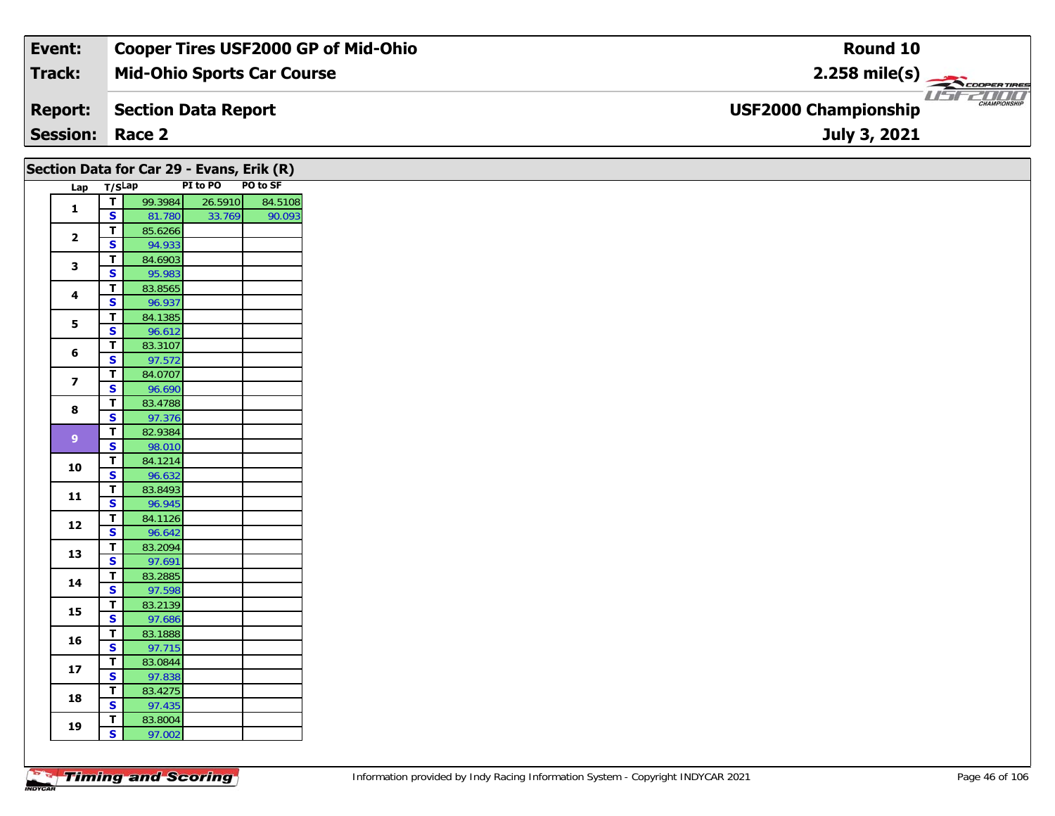| Event:                 | <b>Cooper Tires USF2000 GP of Mid-Ohio</b> | Round 10                                           |
|------------------------|--------------------------------------------|----------------------------------------------------|
| Track:                 | <b>Mid-Ohio Sports Car Course</b>          | $2.258$ mile(s)                                    |
| <b>Report:</b>         | Section Data Report                        | <b>CHAMPIONSHIP</b><br><b>USF2000 Championship</b> |
| <b>Session: Race 2</b> |                                            | July 3, 2021                                       |

|                         | Section Data for Car 29 - Evans, Erik (R)<br>PO to SF<br>PI to PO<br>Lap T/SLap |                   |         |                   |  |  |  |  |
|-------------------------|---------------------------------------------------------------------------------|-------------------|---------|-------------------|--|--|--|--|
|                         |                                                                                 |                   |         |                   |  |  |  |  |
| $\mathbf{1}$            | $\overline{I}$<br>$\mathbf{s}$                                                  | 99.3984           | 26.5910 | 84.5108<br>90.093 |  |  |  |  |
|                         |                                                                                 | 81.780            | 33.769  |                   |  |  |  |  |
| $\mathbf{2}$            | $\overline{1}$<br>$\mathbf{s}$                                                  | 85.6266<br>94.933 |         |                   |  |  |  |  |
|                         | $\mathbf T$                                                                     | 84.6903           |         |                   |  |  |  |  |
| 3                       | $\mathbf{s}$                                                                    | 95.983            |         |                   |  |  |  |  |
|                         | T                                                                               | 83.8565           |         |                   |  |  |  |  |
| $\overline{\mathbf{4}}$ | $\mathbf{s}$                                                                    | 96.937            |         |                   |  |  |  |  |
|                         | $\overline{\mathbf{r}}$                                                         | 84.1385           |         |                   |  |  |  |  |
| 5                       | $\overline{\mathbf{s}}$                                                         | 96.612            |         |                   |  |  |  |  |
|                         | $\mathbf T$                                                                     | 83.3107           |         |                   |  |  |  |  |
| 6                       | $\overline{\mathbf{s}}$                                                         | 97.572            |         |                   |  |  |  |  |
| $\overline{\mathbf{z}}$ | $\mathbf{T}$                                                                    | 84.0707           |         |                   |  |  |  |  |
|                         | $\mathbf{s}$                                                                    | 96.690            |         |                   |  |  |  |  |
| 8                       | $\mathbf T$                                                                     | 83.4788           |         |                   |  |  |  |  |
|                         | $\overline{\mathbf{s}}$                                                         | 97.376            |         |                   |  |  |  |  |
| $9$                     | T                                                                               | 82.9384           |         |                   |  |  |  |  |
|                         | $\overline{\mathbf{s}}$                                                         | 98.010            |         |                   |  |  |  |  |
| 10                      | $\mathbf T$                                                                     | 84.1214           |         |                   |  |  |  |  |
|                         | $\overline{\mathbf{s}}$                                                         | 96.632            |         |                   |  |  |  |  |
| $\mathbf{11}$           | $\mathbf{T}$                                                                    | 83.8493           |         |                   |  |  |  |  |
|                         | $\mathbf{s}$                                                                    | 96.945            |         |                   |  |  |  |  |
| 12                      | $\mathbf T$<br>$\mathbf{s}$                                                     | 84.1126<br>96.642 |         |                   |  |  |  |  |
|                         | $\mathbf T$                                                                     | 83.2094           |         |                   |  |  |  |  |
| 13                      | $\overline{\mathbf{s}}$                                                         | 97.691            |         |                   |  |  |  |  |
|                         | $\mathbf T$                                                                     | 83.2885           |         |                   |  |  |  |  |
| 14                      | S                                                                               | 97.598            |         |                   |  |  |  |  |
|                         | $\mathbf T$                                                                     | 83.2139           |         |                   |  |  |  |  |
| 15                      | $\overline{\mathbf{s}}$                                                         | 97.686            |         |                   |  |  |  |  |
|                         | T                                                                               | 83.1888           |         |                   |  |  |  |  |
| 16                      | $\mathbf{s}$                                                                    | 97.715            |         |                   |  |  |  |  |
|                         | $\mathbf{T}$                                                                    | 83.0844           |         |                   |  |  |  |  |
| 17                      | S                                                                               | 97.838            |         |                   |  |  |  |  |
| 18                      | T                                                                               | 83.4275           |         |                   |  |  |  |  |
|                         | $\overline{\mathbf{s}}$                                                         | 97.435            |         |                   |  |  |  |  |
| 19                      | T.<br>$\overline{\mathbf{s}}$                                                   | 83.8004<br>97.002 |         |                   |  |  |  |  |
|                         |                                                                                 |                   |         |                   |  |  |  |  |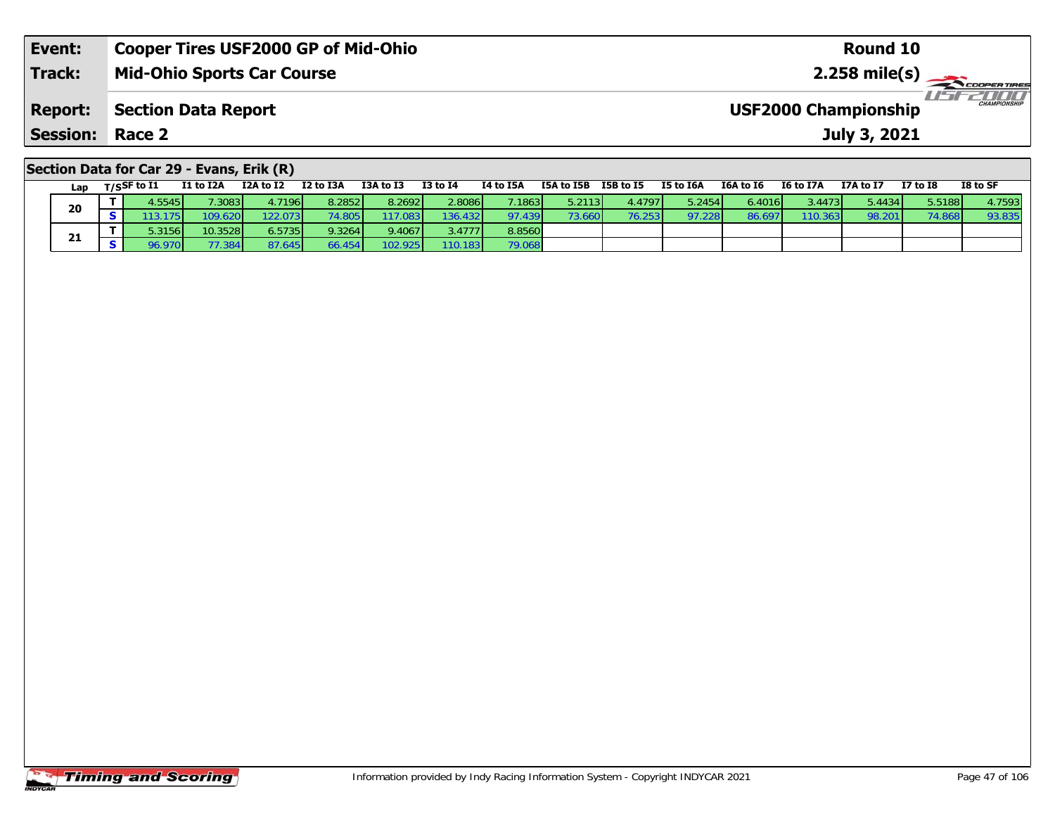| Event:                                    | <b>Cooper Tires USF2000 GP of Mid-Ohio</b> | Round 10                                    |  |  |  |  |  |  |  |  |
|-------------------------------------------|--------------------------------------------|---------------------------------------------|--|--|--|--|--|--|--|--|
| <b>Track:</b>                             | <b>Mid-Ohio Sports Car Course</b>          |                                             |  |  |  |  |  |  |  |  |
| <b>Report:</b>                            | <b>Section Data Report</b>                 | CHAMPIONSHIP<br><b>USF2000 Championship</b> |  |  |  |  |  |  |  |  |
| <b>Session: Race 2</b>                    |                                            | July 3, 2021                                |  |  |  |  |  |  |  |  |
| Section Data for Car 29 - Evans, Erik (R) |                                            |                                             |  |  |  |  |  |  |  |  |

#### Lap T/S<sup>SF</sup> to I1 I1 to I2A I2A to I2 I2 to I3A I3A to I3 I3 to I4 I4 to I5A I5A to I5B I5B to I5 I5 to I6A I6A to I6 I6 to I7A I7A to I7 I7 to I8 I8 to SF **20**0 T 4.5545 7.3083 4.7196 8.2852 8.2692 2.8086 7.1863 5.2113 4.4797 5.2454 6.4016 3.4473 5.4434 5.5188 4.7593<br>S 113.175 109.620 122.073 74.805 117.083 136.432 97.439 73.660 76.253 97.228 86.697 110.363 98.201 74.868 93.835 93.835 **21 <sup>T</sup>** 5.3156 10.3528 6.5735 9.3264 9.4067 3.4777 8.8560 **<sup>S</sup>** 96.970 77.384 87.645 66.454 102.925 110.183 79.06879.068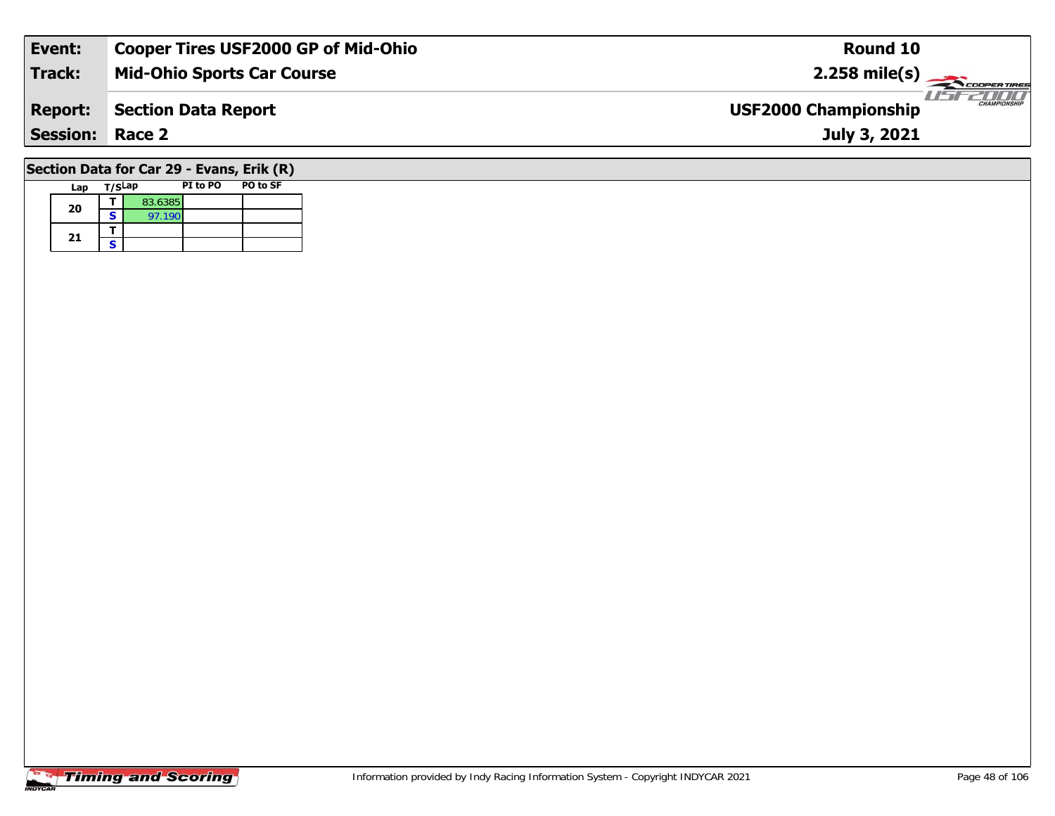| Event:          | <b>Cooper Tires USF2000 GP of Mid-Ohio</b> | Round 10                                           |
|-----------------|--------------------------------------------|----------------------------------------------------|
| Track:          | <b>Mid-Ohio Sports Car Course</b>          | $2.258 \text{ mile(s)}$                            |
| <b>Report:</b>  | Section Data Report                        | <b>CHAMPIONSHIP</b><br><b>USF2000 Championship</b> |
| <b>Session:</b> | Race 2                                     | July 3, 2021                                       |
|                 |                                            |                                                    |

# **Section Data for Car 29 - Evans, Erik (R)**

| Lap | T/SLap |         | PI to PO | PO to SF |
|-----|--------|---------|----------|----------|
| 20  |        | 83.6385 |          |          |
|     |        | 97.190  |          |          |
|     |        |         |          |          |
| 21  |        |         |          |          |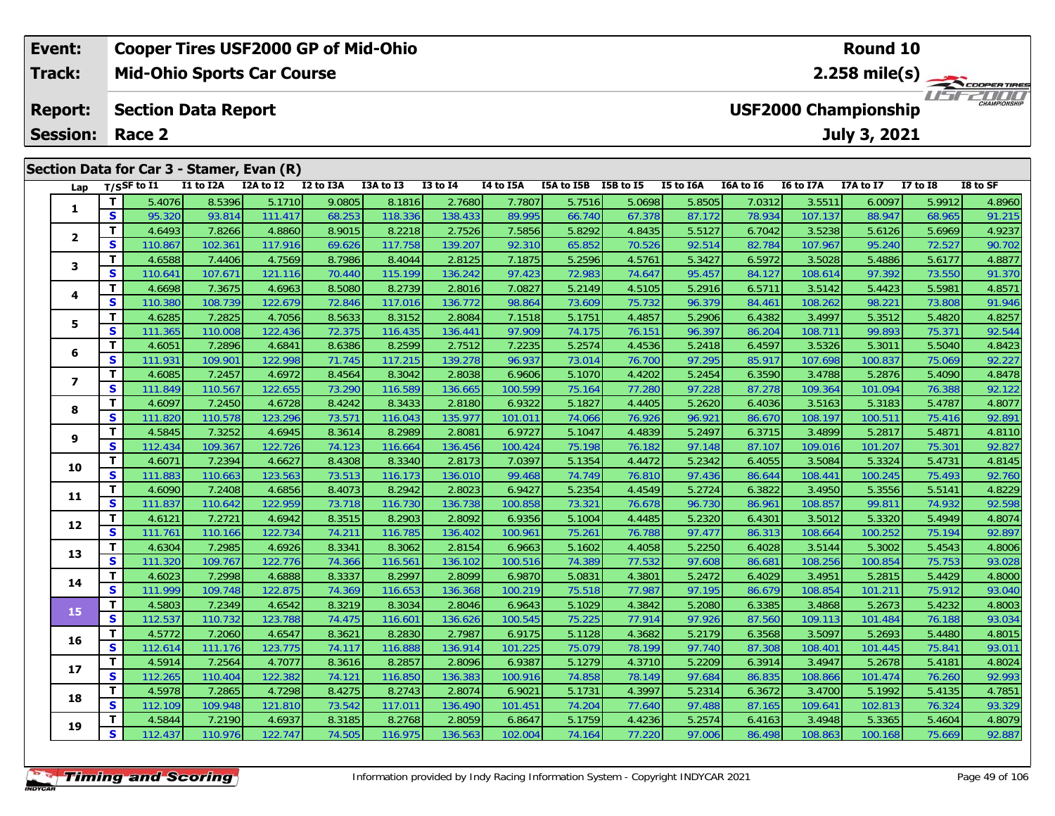|  | Event:          | <b>Cooper Tires USF2000 GP of Mid-Ohio</b><br>Round 10 |                                                           |                                           |           |           |           |                 |           |            |           |           |                         |           |                     |              |          |  |
|--|-----------------|--------------------------------------------------------|-----------------------------------------------------------|-------------------------------------------|-----------|-----------|-----------|-----------------|-----------|------------|-----------|-----------|-------------------------|-----------|---------------------|--------------|----------|--|
|  | <b>Track:</b>   |                                                        | <b>Mid-Ohio Sports Car Course</b>                         |                                           |           |           |           |                 |           |            |           |           | $2.258 \text{ mile(s)}$ |           |                     |              |          |  |
|  | <b>Report:</b>  |                                                        | <b>USF2000 Championship</b><br><b>Section Data Report</b> |                                           |           |           |           |                 |           |            |           |           |                         |           | <b>CHAMPIONSHIP</b> |              |          |  |
|  | <b>Session:</b> |                                                        | Race 2                                                    |                                           |           |           |           |                 |           |            |           |           |                         |           | July 3, 2021        |              |          |  |
|  |                 |                                                        |                                                           | Section Data for Car 3 - Stamer, Evan (R) |           |           |           |                 |           |            |           |           |                         |           |                     |              |          |  |
|  | Lap             |                                                        | T/SSF to $I1$                                             | I1 to I2A                                 | I2A to I2 | I2 to I3A | I3A to I3 | <b>I3 to I4</b> | I4 to I5A | I5A to I5B | I5B to I5 | I5 to I6A | I6A to I6               | I6 to I7A | <b>I7A to I7</b>    | $I7$ to $I8$ | I8 to SF |  |
|  |                 |                                                        | 5.4076                                                    | 8.5396                                    | 5.1710    | 9.0805    | 8.1816    | 2.7680          | 7.7807    | 5.7516     | 5.0698    | 5.8505    | 7.0312                  | 3.5511    | 6.0097              | 5.9912       | 4.8960   |  |
|  |                 | S.                                                     | 95.320                                                    | 93.814                                    | 111.417   | 68.253    | 118.336   | 138.433         | 89.995    | 66.740     | 67.378    | 87.172    | 78.934                  | 107.137   | 88.947              | 68.965       | 91.215   |  |
|  |                 |                                                        | 4.6493                                                    | 7.8266                                    | 4.8860    | 8.9015    | 8.2218    | 2.7526          | 7.5856    | 5.8292     | 4.8435    | 5.5127    | 6.7042                  | 3.5238    | 5.6126              | 5.6969       | 4.9237   |  |
|  |                 | S.                                                     | 110.867                                                   | 102.361                                   | 117.916   | 69.626    | 117.758   | 139.207         | 92.310    | 65.852     | 70.526    | 92.514    | 82.784                  | 107.967   | 95.240              | 72.527       | 90.702   |  |
|  |                 |                                                        | 4.6588                                                    | 7.4406                                    | 4.7569    | 8.7986    | 8.4044    | 2.8125          | 7.1875    | 5.2596     | 4.5761    | 5.3427    | 6.5972                  | 3.5028    | 5.4886              | 5.6177       | 4.8877   |  |
|  |                 |                                                        |                                                           |                                           |           |           |           |                 |           |            |           |           |                         |           |                     |              |          |  |

| 2                       | T.           | 4.6493  | 7.8266  | 4.8860  | 8.9015 | 8.2218  | 2.7526  | 7.5856  | 5.8292 | 4.8435 | 5.5127 | 6.7042 | 3.5238  | 5.6126  | 5.6969 | 4.9237 |
|-------------------------|--------------|---------|---------|---------|--------|---------|---------|---------|--------|--------|--------|--------|---------|---------|--------|--------|
|                         | S            | 110.867 | 102.361 | 117.916 | 69.626 | 117.758 | 139.207 | 92.310  | 65.852 | 70.526 | 92.514 | 82.784 | 107.967 | 95.240  | 72.527 | 90.702 |
|                         | T            | 4.6588  | 7.4406  | 4.7569  | 8.7986 | 8.4044  | 2.8125  | 7.1875  | 5.2596 | 4.5761 | 5.3427 | 6.5972 | 3.5028  | 5.4886  | 5.6177 | 4.8877 |
| 3                       | S            | 110.641 | 107.671 | 121.116 | 70.440 | 115.199 | 136.242 | 97.423  | 72.983 | 74.647 | 95.457 | 84.127 | 108.614 | 97.392  | 73.550 | 91.370 |
|                         | T            | 4.6698  | 7.3675  | 4.6963  | 8.5080 | 8.2739  | 2.8016  | 7.0827  | 5.2149 | 4.5105 | 5.2916 | 6.5711 | 3.5142  | 5.4423  | 5.5981 | 4.8571 |
| 4                       | S            | 110.380 | 108.739 | 122.679 | 72.846 | 117.016 | 136.772 | 98.864  | 73.609 | 75.732 | 96.379 | 84.461 | 108.262 | 98.221  | 73.808 | 91.946 |
|                         | T            | 4.6285  | 7.2825  | 4.7056  | 8.5633 | 8.3152  | 2.8084  | 7.1518  | 5.1751 | 4.4857 | 5.2906 | 6.4382 | 3.4997  | 5.3512  | 5.4820 | 4.8257 |
| 5.                      | S            | 111.365 | 110.008 | 122.436 | 72.375 | 116.435 | 136.441 | 97.909  | 74.175 | 76.151 | 96.397 | 86.204 | 108.711 | 99.893  | 75.371 | 92.544 |
|                         | T            | 4.6051  | 7.2896  | 4.6841  | 8.6386 | 8.2599  | 2.7512  | 7.2235  | 5.2574 | 4.4536 | 5.2418 | 6.4597 | 3.5326  | 5.3011  | 5.5040 | 4.8423 |
| 6                       | S            | 111.931 | 109.901 | 122.998 | 71.745 | 117.215 | 139.278 | 96.937  | 73.014 | 76.700 | 97.295 | 85.917 | 107.698 | 100.837 | 75.069 | 92.227 |
| $\overline{\mathbf{z}}$ | T            | 4.6085  | 7.2457  | 4.6972  | 8.4564 | 8.3042  | 2.8038  | 6.9606  | 5.1070 | 4.4202 | 5.2454 | 6.3590 | 3.4788  | 5.2876  | 5.4090 | 4.8478 |
|                         | S            | 111.849 | 110.567 | 122.655 | 73.290 | 116.589 | 136.665 | 100.599 | 75.164 | 77.280 | 97.228 | 87.278 | 109.364 | 101.094 | 76.388 | 92.122 |
| 8                       | T            | 4.6097  | 7.2450  | 4.6728  | 8.4242 | 8.3433  | 2.8180  | 6.9322  | 5.1827 | 4.4405 | 5.2620 | 6.4036 | 3.5163  | 5.3183  | 5.4787 | 4.8077 |
|                         | S            | 111.820 | 110.578 | 123.296 | 73.571 | 116.043 | 135.977 | 101.011 | 74.066 | 76.926 | 96.921 | 86.670 | 108.197 | 100.511 | 75.416 | 92.891 |
| 9                       | T            | 4.5845  | 7.3252  | 4.6945  | 8.3614 | 8.2989  | 2.8081  | 6.9727  | 5.1047 | 4.4839 | 5.2497 | 6.3715 | 3.4899  | 5.2817  | 5.4871 | 4.8110 |
|                         | S            | 112.434 | 109.367 | 122.726 | 74.123 | 116.664 | 136.456 | 100.424 | 75.198 | 76.182 | 97.148 | 87.107 | 109.016 | 101.207 | 75.301 | 92.827 |
| 10                      | T.           | 4.6071  | 7.2394  | 4.6627  | 8.4308 | 8.3340  | 2.8173  | 7.0397  | 5.1354 | 4.4472 | 5.2342 | 6.4055 | 3.5084  | 5.3324  | 5.4731 | 4.8145 |
|                         | $\mathbf{s}$ | 111.883 | 110.663 | 123.563 | 73.513 | 116.173 | 136.010 | 99.468  | 74.749 | 76.810 | 97.436 | 86.644 | 108.441 | 100.245 | 75.493 | 92.760 |
| 11                      | T            | 4.6090  | 7.2408  | 4.6856  | 8.4073 | 8.2942  | 2.8023  | 6.9427  | 5.2354 | 4.4549 | 5.2724 | 6.3822 | 3.4950  | 5.3556  | 5.5141 | 4.8229 |
|                         | S            | 111.837 | 110.642 | 122.959 | 73.718 | 116.730 | 136.738 | 100.858 | 73.321 | 76.678 | 96.730 | 86.961 | 108.857 | 99.811  | 74.932 | 92.598 |
| 12                      | T.           | 4.6121  | 7.2721  | 4.6942  | 8.3515 | 8.2903  | 2.8092  | 6.9356  | 5.1004 | 4.4485 | 5.2320 | 6.4301 | 3.5012  | 5.3320  | 5.4949 | 4.8074 |
|                         | S            | 111.761 | 110.166 | 122.734 | 74.211 | 116.785 | 136.402 | 100.961 | 75.261 | 76.788 | 97.477 | 86.313 | 108.664 | 100.252 | 75.194 | 92.897 |
| 13                      | T            | 4.6304  | 7.2985  | 4.6926  | 8.3341 | 8.3062  | 2.8154  | 6.9663  | 5.1602 | 4.4058 | 5.2250 | 6.4028 | 3.5144  | 5.3002  | 5.4543 | 4.8006 |
|                         | S            | 111.320 | 109.767 | 122.776 | 74.366 | 116.561 | 136.102 | 100.516 | 74.389 | 77.532 | 97.608 | 86.681 | 108.256 | 100.854 | 75.753 | 93.028 |
| 14                      | T            | 4.6023  | 7.2998  | 4.6888  | 8.3337 | 8.2997  | 2.8099  | 6.9870  | 5.0831 | 4.3801 | 5.2472 | 6.4029 | 3.4951  | 5.2815  | 5.4429 | 4.8000 |
|                         | S            | 111.999 | 109.748 | 122.875 | 74.369 | 116.653 | 136.368 | 100.219 | 75.518 | 77.987 | 97.195 | 86.679 | 108.854 | 101.211 | 75.912 | 93.040 |
| 15                      | T            | 4.5803  | 7.2349  | 4.6542  | 8.3219 | 8.3034  | 2.8046  | 6.9643  | 5.1029 | 4.3842 | 5.2080 | 6.3385 | 3.4868  | 5.2673  | 5.4232 | 4.8003 |
|                         | S            | 112.537 | 110.732 | 123.788 | 74.475 | 116.601 | 136.626 | 100.545 | 75.225 | 77.914 | 97.926 | 87.560 | 109.113 | 101.484 | 76.188 | 93.034 |
| 16                      | T            | 4.5772  | 7.2060  | 4.6547  | 8.3621 | 8.2830  | 2.7987  | 6.9175  | 5.1128 | 4.3682 | 5.2179 | 6.3568 | 3.5097  | 5.2693  | 5.4480 | 4.8015 |
|                         | S            | 112.614 | 111.176 | 123.775 | 74.117 | 116.888 | 136.914 | 101.225 | 75.079 | 78.199 | 97.740 | 87.308 | 108.401 | 101.445 | 75.841 | 93.011 |
| 17                      | T.           | 4.5914  | 7.2564  | 4.7077  | 8.3616 | 8.2857  | 2.8096  | 6.9387  | 5.1279 | 4.3710 | 5.2209 | 6.3914 | 3.4947  | 5.2678  | 5.4181 | 4.8024 |
|                         | $\mathbf{s}$ | 112.265 | 110.404 | 122.382 | 74.12' | 116.850 | 136.383 | 100.916 | 74.858 | 78.149 | 97.684 | 86.835 | 108.866 | 101.474 | 76.260 | 92.993 |
| 18                      | T            | 4.5978  | 7.2865  | 4.7298  | 8.4275 | 8.2743  | 2.8074  | 6.9021  | 5.1731 | 4.3997 | 5.2314 | 6.3672 | 3.4700  | 5.1992  | 5.4135 | 4.7851 |
|                         | S            | 112.109 | 109.948 | 121.810 | 73.542 | 117.011 | 136.490 | 101.451 | 74.204 | 77.640 | 97.488 | 87.165 | 109.641 | 102.813 | 76.324 | 93.329 |
| 19                      | T.           | 4.5844  | 7.2190  | 4.6937  | 8.3185 | 8.2768  | 2.8059  | 6.8647  | 5.1759 | 4.4236 | 5.2574 | 6.4163 | 3.4948  | 5.3365  | 5.4604 | 4.8079 |
|                         | S.           | 112.437 | 110.976 | 122.747 | 74.505 | 116.975 | 136.563 | 102.004 | 74.164 | 77.220 | 97.006 | 86.498 | 108.863 | 100.168 | 75.669 | 92.887 |
|                         |              |         |         |         |        |         |         |         |        |        |        |        |         |         |        |        |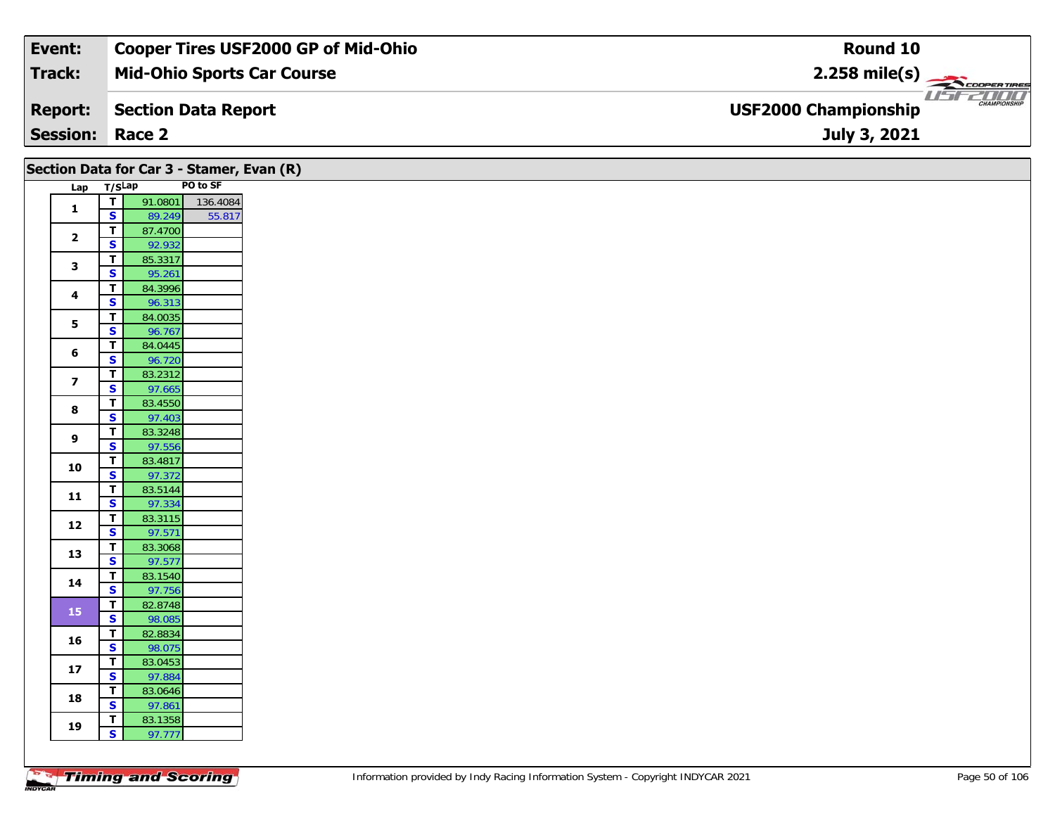| Event:                 | <b>Cooper Tires USF2000 GP of Mid-Ohio</b> | Round 10                                           |
|------------------------|--------------------------------------------|----------------------------------------------------|
| Track:                 | <b>Mid-Ohio Sports Car Course</b>          | $2.258$ mile(s)                                    |
| <b>Report:</b>         | Section Data Report                        | <b>CHAMPIONSHIP</b><br><b>USF2000 Championship</b> |
| <b>Session: Race 2</b> |                                            | July 3, 2021                                       |

|                         |                                        |                   |          | Section Data for Car 3 - Stamer, Evan (R) |
|-------------------------|----------------------------------------|-------------------|----------|-------------------------------------------|
| Lap T/SLap              |                                        |                   | PO to SF |                                           |
| $\mathbf{1}$            | $\overline{\mathbf{r}}$                | 91.0801           | 136.4084 |                                           |
|                         | $\overline{\mathbf{s}}$                | 89.249            | 55.817   |                                           |
| $\overline{\mathbf{2}}$ | $\mathbf T$                            | 87.4700           |          |                                           |
|                         | $\mathbf{s}$                           | 92.932            |          |                                           |
| 3                       | $\mathbf T$                            | 85.3317           |          |                                           |
|                         | $\overline{\mathbf{s}}$                | 95.261            |          |                                           |
| 4                       | T                                      | 84.3996           |          |                                           |
|                         | S                                      | 96.313            |          |                                           |
| 5                       | T                                      | 84.0035           |          |                                           |
|                         | $\overline{\mathbf{s}}$<br>$\mathbf T$ | 96.767<br>84.0445 |          |                                           |
| 6                       | $\mathbf{s}$                           | 96.720            |          |                                           |
|                         | $\mathbf T$                            | 83.2312           |          |                                           |
| $\overline{\mathbf{z}}$ | $\mathbf{s}$                           | 97.665            |          |                                           |
|                         | $\mathbf T$                            | 83.4550           |          |                                           |
| 8                       | $\mathbf{s}$                           | 97.403            |          |                                           |
|                         | $\mathbf T$                            | 83.3248           |          |                                           |
| 9                       | $\overline{\mathbf{s}}$                | 97.556            |          |                                           |
| 10                      | $\mathbf T$                            | 83.4817           |          |                                           |
|                         | $\overline{\mathbf{s}}$                | 97.372            |          |                                           |
| 11                      | T                                      | 83.5144           |          |                                           |
|                         | $\overline{\mathbf{s}}$                | 97.334            |          |                                           |
| 12                      | $\mathbf T$                            | 83.3115           |          |                                           |
|                         | $\mathbf{s}$                           | 97.571            |          |                                           |
| 13                      | T<br>$\overline{\mathbf{s}}$           | 83.3068<br>97.577 |          |                                           |
|                         | T                                      | 83.1540           |          |                                           |
| 14                      | $\overline{\mathbf{s}}$                | 97.756            |          |                                           |
|                         | $\overline{\mathbf{I}}$                | 82.8748           |          |                                           |
| 15                      | $\overline{\mathbf{s}}$                | 98.085            |          |                                           |
|                         | $\mathbf T$                            | 82.8834           |          |                                           |
| 16                      | $\mathbf{s}$                           | 98.075            |          |                                           |
| $17$                    | T                                      | 83.0453           |          |                                           |
|                         | S                                      | 97.884            |          |                                           |
| 18                      | T.                                     | 83.0646           |          |                                           |
|                         | $\mathbf{s}$                           | 97.861            |          |                                           |
| 19                      | T                                      | 83.1358           |          |                                           |
|                         | $\overline{\mathbf{s}}$                | 97.777            |          |                                           |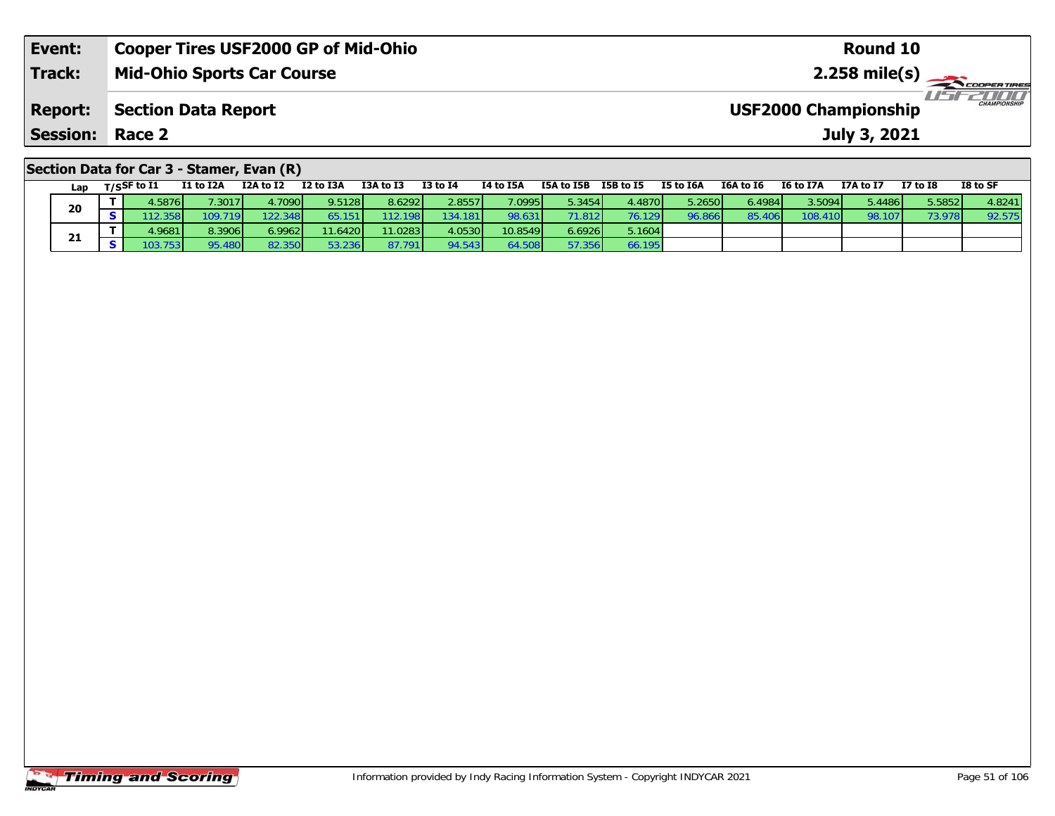| Event:                                    | <b>Cooper Tires USF2000 GP of Mid-Ohio</b> | Round 10                                    |  |  |  |  |  |  |  |  |  |  |
|-------------------------------------------|--------------------------------------------|---------------------------------------------|--|--|--|--|--|--|--|--|--|--|
| <b>Track:</b>                             | <b>Mid-Ohio Sports Car Course</b>          |                                             |  |  |  |  |  |  |  |  |  |  |
| <b>Report:</b>                            | <b>Section Data Report</b>                 | CHAMPIONSHIP<br><b>USF2000 Championship</b> |  |  |  |  |  |  |  |  |  |  |
| <b>Session: Race 2</b>                    |                                            | July 3, 2021                                |  |  |  |  |  |  |  |  |  |  |
| Section Data for Car 3 - Stamer, Evan (R) |                                            |                                             |  |  |  |  |  |  |  |  |  |  |

| Lap | $T/S$ SF to $I1$ | I1 to I2A | I2A to I2 | I2 to I3A        | I3A to I3 | <b>I3 to I4</b> | I4 to I5A | I5A to I5B | I5B to I5       | I5 to I6A | I6A to I6 | I6 to I7A     | I7A to I7 | <b>I7 to I8</b> | I8 to SF |
|-----|------------------|-----------|-----------|------------------|-----------|-----------------|-----------|------------|-----------------|-----------|-----------|---------------|-----------|-----------------|----------|
| 20  | 4.5876 <b>I</b>  | .3017     | 4.7090    | 9.5128           | 8.6292    | 2.8557          | 7.0995    | 5.3454     | 4.4870 <b>I</b> | 5.2650    | 6.4984    | 3.5094        | 5.4486    | 5.5852          | 4.8241   |
|     |                  | 109.719   | 22.348    |                  | 12.198    | 134.181         | 98.631    | 71.812 L   | 76.129 <b>1</b> | 96.866    | 85.4      | 108.4<br>10 I | 98.107    | 73.97           | 92.57.   |
|     | 4.9681           | 8.3906    | 6.9962    | 11.6420          | 11.0283   | 4.0530          | 10.8549   | 5.6926     | 5.1604          |           |           |               |           |                 |          |
| 21  |                  |           | 82.35     | 236 <sub>1</sub> | 87.791    | 94.543          | 54.508    |            | 6.195           |           |           |               |           |                 |          |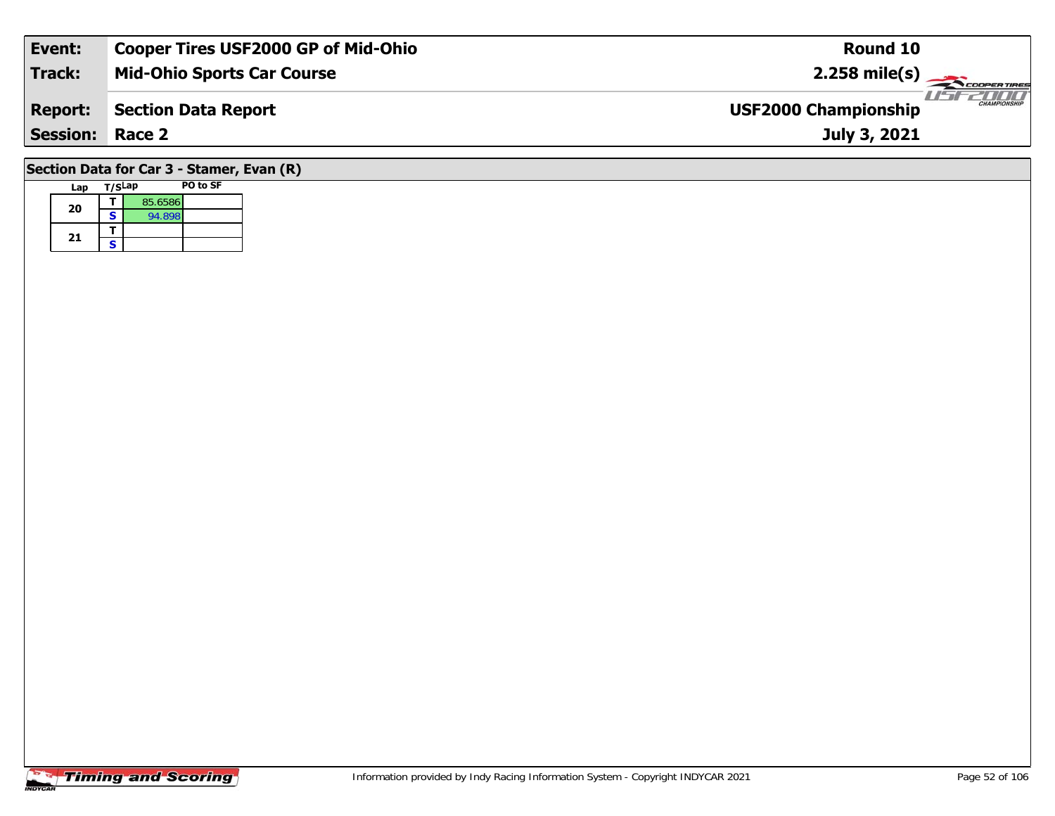| Event:                                    | <b>Cooper Tires USF2000 GP of Mid-Ohio</b> | Round 10                                           |  |  |  |  |  |  |  |  |  |  |
|-------------------------------------------|--------------------------------------------|----------------------------------------------------|--|--|--|--|--|--|--|--|--|--|
| <b>Track:</b>                             | <b>Mid-Ohio Sports Car Course</b>          | $2.258$ mile(s)                                    |  |  |  |  |  |  |  |  |  |  |
| <b>Report:</b>                            | Section Data Report                        | <b>CHAMPIONSHIP</b><br><b>USF2000 Championship</b> |  |  |  |  |  |  |  |  |  |  |
| <b>Session: Race 2</b>                    |                                            | July 3, 2021                                       |  |  |  |  |  |  |  |  |  |  |
| Section Data for Car 3 - Stamer, Evan (R) |                                            |                                                    |  |  |  |  |  |  |  |  |  |  |

## **Timing and Scoring**

**Lap T/SLap PO to SF** 

**d**  $\overline{5}$  85.6586<br>**S** 94.898

**20**

21  $\frac{1}{s}$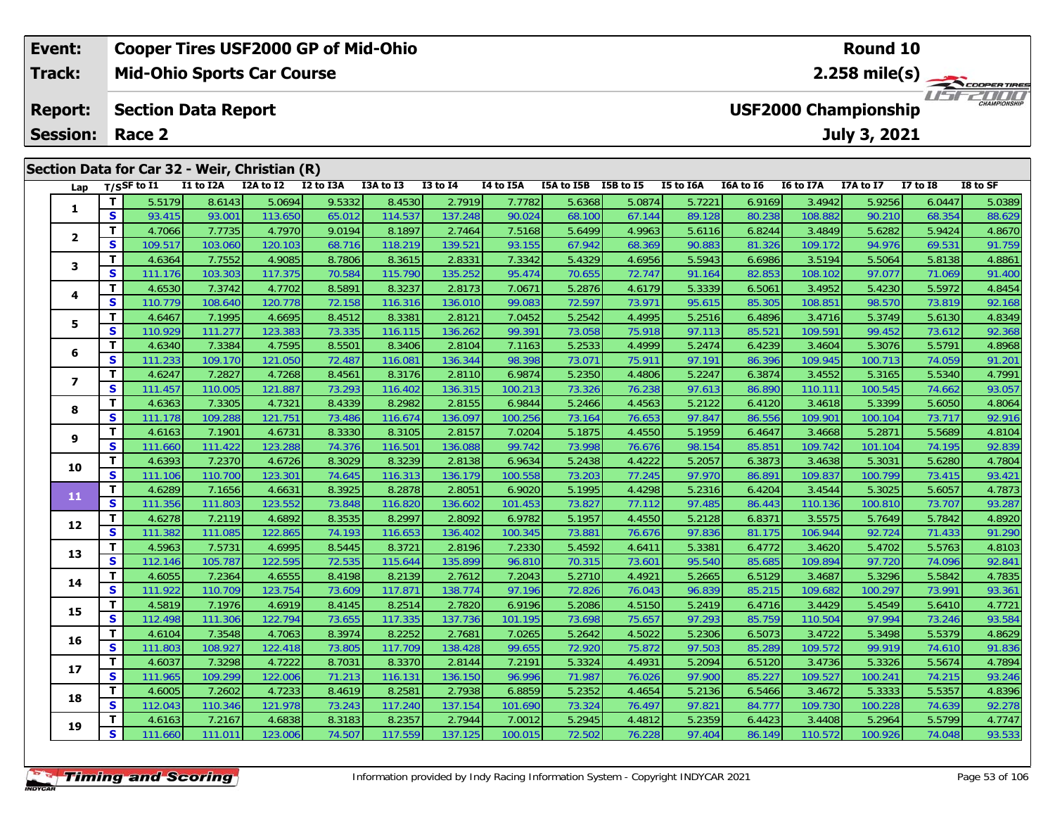| Event:                                   |    |                       |                            | <b>Cooper Tires USF2000 GP of Mid-Ohio</b>    |           |           |              |           | <b>Round 10</b> |           |           |           |                             |                     |          |                             |
|------------------------------------------|----|-----------------------|----------------------------|-----------------------------------------------|-----------|-----------|--------------|-----------|-----------------|-----------|-----------|-----------|-----------------------------|---------------------|----------|-----------------------------|
| Track:                                   |    |                       |                            | <b>Mid-Ohio Sports Car Course</b>             |           |           |              |           |                 |           |           |           |                             | 2.258 mile(s) $-$   |          | COOPERTIRES                 |
| <b>Report:</b><br><b>Session: Race 2</b> |    |                       | <b>Section Data Report</b> |                                               |           |           |              |           |                 |           |           |           | <b>USF2000 Championship</b> | <b>July 3, 2021</b> |          | 2000<br><b>CHAMPIONSHIP</b> |
|                                          |    |                       |                            | Section Data for Car 32 - Weir, Christian (R) |           |           |              |           |                 |           |           |           |                             |                     |          |                             |
| Lap                                      |    | $_{\rm T/SS}$ F to I1 | I1 to I2A                  | I2A to I2                                     | I2 to I3A | I3A to I3 | $I3$ to $I4$ | I4 to I5A | I5A to I5B      | I5B to I5 | I5 to I6A | I6A to I6 | I6 to I7A                   | I7A to I7           | I7 to I8 | I8 to SF                    |
|                                          |    | 5.5179                | 8.6143                     | 5.0694                                        | 9.5332    | 8.4530    | 2.7919       | 7.7782    | 5.6368          | 5.0874    | 5.7221    | 6.9169    | 3.4942                      | 5.9256              | 6.0447   | 5.0389                      |
| л.                                       | S. | 93.415                | 93.001                     | 113.650                                       | 65.012    | 114.537   | 137.248      | 90.024    | 68.100L         | 67.144    | 89.128    | 80.238L   | 108.882                     | 90.210              | 68.354   | 88.629                      |

| Lap                      |                         | 1/5 <sup>3</sup> to 11 | 11 W 12A | LZA LU LZ | <b>IZ WIJA</b> | 198 to 19 | +ו טו כו | 14 W 13A | 15A W 13B | 19 <b>D</b> to 19 | <b>19 TO TOW</b> | TOW TO TO       | 10 to 17A | 17A W 17 | 17 M TO | ιο ιυ эι |
|--------------------------|-------------------------|------------------------|----------|-----------|----------------|-----------|----------|----------|-----------|-------------------|------------------|-----------------|-----------|----------|---------|----------|
|                          | $\mathbf T$             | 5.5179                 | 8.6143   | 5.0694    | 9.5332         | 8.4530    | 2.7919   | 7.7782   | 5.6368    | 5.0874            | 5.7221           | 6.9169          | 3.4942    | 5.9256   | 6.0447  | 5.0389   |
| 1                        | S                       | 93.415                 | 93.001   | 113.650   | 65.012         | 114.537   | 137.248  | 90.024   | 68.100    | 67.144            | 89.128           | 80.238          | 108.882   | 90.210   | 68.354  | 88.629   |
|                          | $\mathbf{T}$            | 4.7066                 | 7.7735   | 4.7970    | 9.0194         | 8.1897    | 2.7464   | 7.5168   | 5.6499    | 4.9963            | 5.6116           | 6.8244          | 3.4849    | 5.6282   | 5.9424  | 4.8670   |
| $\mathbf{2}$             | $\mathbf{s}$            | 109.517                | 103.060  | 120.103   | 68.716         | 118.219   | 139.521  | 93.155   | 67.942    | 68.369            | 90.883           | 81.326          | 109.172   | 94.976   | 69.531  | 91.759   |
| 3                        | $\mathbf T$             | 4.6364                 | 7.7552   | 4.9085    | 8.7806         | 8.3615    | 2.8331   | 7.3342   | 5.4329    | 4.6956            | 5.5943           | 6.6986          | 3.5194    | 5.5064   | 5.8138  | 4.8861   |
|                          | S                       | 111.176                | 103.303  | 117.375   | 70.584         | 115.790   | 135.252  | 95.474   | 70.655    | 72.747            | 91.164           | 82.853          | 108.102   | 97.077   | 71.069  | 91.400   |
| 4                        | $\mathbf T$             | 4.6530                 | 7.3742   | 4.7702    | 8.5891         | 8.3237    | 2.8173   | 7.0671   | 5.2876    | 4.6179            | 5.3339           | 6.506           | 3.4952    | 5.4230   | 5.5972  | 4.8454   |
|                          | $\mathbf{s}$            | 110.779                | 108.640  | 120.778   | 72.158         | 116.316   | 136.010  | 99.083   | 72.597    | 73.971            | 95.615           | 85.305          | 108.851   | 98.570   | 73.819  | 92.168   |
| 5                        | $\mathbf T$             | 4.6467                 | 7.1995   | 4.6695    | 8.4512         | 8.3381    | 2.8121   | 7.0452   | 5.2542    | 4.4995            | 5.2516           | 6.4896          | 3.4716    | 5.3749   | 5.6130  | 4.8349   |
|                          | $\mathbf{s}$            | 110.929                | 111.277  | 123.383   | 73.335         | 116.115   | 136.262  | 99.391   | 73.058    | 75.918            | 97.113           | $85.52^{\circ}$ | 109.591   | 99.452   | 73.612  | 92.368   |
| 6                        | $\mathbf{T}$            | 4.6340                 | 7.3384   | 4.7595    | 8.5501         | 8.3406    | 2.8104   | 7.1163   | 5.2533    | 4.4999            | 5.2474           | 6.4239          | 3.4604    | 5.3076   | 5.5791  | 4.8968   |
|                          | $\mathbf{s}$            | 111.233                | 109.170  | 121.050   | 72.487         | 116.081   | 136.344  | 98.398   | 73.071    | 75.911            | 97.191           | 86.396          | 109.945   | 100.713  | 74.059  | 91.201   |
| $\overline{\phantom{a}}$ | Т                       | 4.6247                 | 7.2827   | 4.7268    | 8.4561         | 8.3176    | 2.8110   | 6.9874   | 5.2350    | 4.4806            | 5.2247           | 6.3874          | 3.4552    | 5.3165   | 5.5340  | 4.7991   |
|                          | S                       | 111.457                | 110.005  | 121.887   | 73.293         | 116.402   | 136.315  | 100.213  | 73.326    | 76.238            | 97.613           | 86.890          | 110.111   | 100.545  | 74.662  | 93.057   |
| 8                        | $\mathbf T$             | 4.6363                 | 7.3305   | 4.7321    | 8.4339         | 8.2982    | 2.8155   | 6.9844   | 5.2466    | 4.4563            | 5.2122           | 6.4120          | 3.4618    | 5.3399   | 5.6050  | 4.8064   |
|                          | S                       | 111.178                | 109.288  | 121.751   | 73.486         | 116.674   | 136.097  | 100.256  | 73.164    | 76.653            | 97.847           | 86.556          | 109.901   | 100.104  | 73.717  | 92.916   |
| 9                        | Т                       | 4.6163                 | 7.1901   | 4.6731    | 8.3330         | 8.3105    | 2.8157   | 7.0204   | 5.1875    | 4.4550            | 5.1959           | 6.4647          | 3.4668    | 5.2871   | 5.5689  | 4.8104   |
|                          | S                       | 111.660                | 111.422  | 123.288   | 74.376         | 116.501   | 136.088  | 99.742   | 73.998    | 76.676            | 98.154           | 85.85           | 109.742   | 101.104  | 74.195  | 92.839   |
| 10                       | $\mathbf{T}$            | 4.6393                 | 7.2370   | 4.6726    | 8.3029         | 8.3239    | 2.8138   | 6.9634   | 5.2438    | 4.4222            | 5.2057           | 6.3873          | 3.4638    | 5.3031   | 5.6280  | 4.7804   |
|                          | S                       | 111.106                | 110.700  | 123.301   | 74.645         | 116.313   | 136.179  | 100.558  | 73.203    | 77.245            | 97.970           | 86.891          | 109.837   | 100.799  | 73.415  | 93.421   |
| 11                       | Т                       | 4.6289                 | 7.1656   | 4.6631    | 8.3925         | 8.2878    | 2.8051   | 6.9020   | 5.1995    | 4.4298            | 5.2316           | 6.4204          | 3.4544    | 5.3025   | 5.6057  | 4.7873   |
|                          | S                       | 111.356                | 111.803  | 123.552   | 73.848         | 116.820   | 136.602  | 101.453  | 73.827    | 77.112            | 97.485           | 86.443          | 110.136   | 100.810  | 73.707  | 93.287   |
| 12                       | $\mathbf T$             | 4.6278                 | 7.2119   | 4.6892    | 8.3535         | 8.2997    | 2.8092   | 6.9782   | 5.1957    | 4.4550            | 5.2128           | 6.837           | 3.5575    | 5.7649   | 5.7842  | 4.8920   |
|                          | S                       | 111.382                | 111.085  | 122.865   | 74.193         | 116.653   | 136.402  | 100.345  | 73.881    | 76.676            | 97.836           | 81.175          | 106.944   | 92.724   | 71.433  | 91.290   |
| 13                       | Т                       | 4.5963                 | 7.5731   | 4.6995    | 8.5445         | 8.3721    | 2.8196   | 7.2330   | 5.4592    | 4.6411            | 5.3381           | 6.4772          | 3.4620    | 5.4702   | 5.5763  | 4.8103   |
|                          | $\mathbf{s}$            | 112.146                | 105.787  | 122.595   | 72.535         | 115.644   | 135.899  | 96.810   | 70.315    | 73.601            | 95.540           | 85.685          | 109.894   | 97.720   | 74.096  | 92.841   |
| 14                       | $\mathbf T$             | 4.6055                 | 7.2364   | 4.6555    | 8.4198         | 8.2139    | 2.7612   | 7.2043   | 5.2710    | 4.4921            | 5.2665           | 6.5129          | 3.4687    | 5.3296   | 5.5842  | 4.7835   |
|                          | S                       | 111.922                | 110.709  | 123.754   | 73.609         | 117.871   | 138.774  | 97.196   | 72.826    | 76.043            | 96.839           | 85.215          | 109.682   | 100.297  | 73.991  | 93.361   |
| 15                       | T                       | 4.5819                 | 7.1976   | 4.6919    | 8.4145         | 8.2514    | 2.7820   | 6.9196   | 5.2086    | 4.5150            | 5.2419           | 6.4716          | 3.4429    | 5.4549   | 5.6410  | 4.7721   |
|                          | $\mathbf{s}$            | 112.498                | 111.306  | 122.794   | 73.655         | 117.335   | 137.736  | 101.195  | 73.698    | 75.657            | 97.293           | 85.759          | 110.504   | 97.994   | 73.246  | 93.584   |
| 16                       | $\mathbf{T}$            | 4.6104                 | 7.3548   | 4.7063    | 8.3974         | 8.2252    | 2.7681   | 7.0265   | 5.2642    | 4.5022            | 5.2306           | 6.5073          | 3.4722    | 5.3498   | 5.5379  | 4.8629   |
|                          | $\mathbf{s}$            | 111.803                | 108.927  | 122.418   | 73.805         | 117.709   | 138.428  | 99.655   | 72.920    | 75.872            | 97.503           | 85.289          | 109.572   | 99.919   | 74.610  | 91.836   |
| 17                       | $\mathbf T$             | 4.6037                 | 7.3298   | 4.7222    | 8.7031         | 8.3370    | 2.8144   | 7.2191   | 5.3324    | 4.4931            | 5.2094           | 6.5120          | 3.4736    | 5.3326   | 5.5674  | 4.7894   |
|                          | $\mathbf{s}$            | 111.965                | 109.299  | 122.006   | 71.213         | 116.131   | 136.150  | 96.996   | 71.987    | 76.026            | 97.900           | 85.227          | 109.527   | 100.241  | 74.215  | 93.246   |
| 18                       | Т                       | 4.6005                 | 7.2602   | 4.7233    | 8.4619         | 8.2581    | 2.7938   | 6.8859   | 5.2352    | 4.4654            | 5.2136           | 6.5466          | 3.4672    | 5.3333   | 5.5357  | 4.8396   |
|                          | S                       | 112.043                | 110.346  | 121.978   | 73.243         | 117.240   | 137.154  | 101.690  | 73.324    | 76.497            | 97.821           | 84.777          | 109.730   | 100.228  | 74.639  | 92.278   |
| 19                       | T                       | 4.6163                 | 7.2167   | 4.6838    | 8.3183         | 8.2357    | 2.7944   | 7.0012   | 5.2945    | 4.4812            | 5.2359           | 6.4423          | 3.4408    | 5.2964   | 5.5799  | 4.7747   |
|                          | $\overline{\mathbf{s}}$ | 111.660                | 111.011  | 123.006   | 74.507         | 117.559   | 137.125  | 100.015  | 72.502    | 76.228            | 97.404           | 86.149          | 110.572   | 100.926  | 74.048  | 93.533   |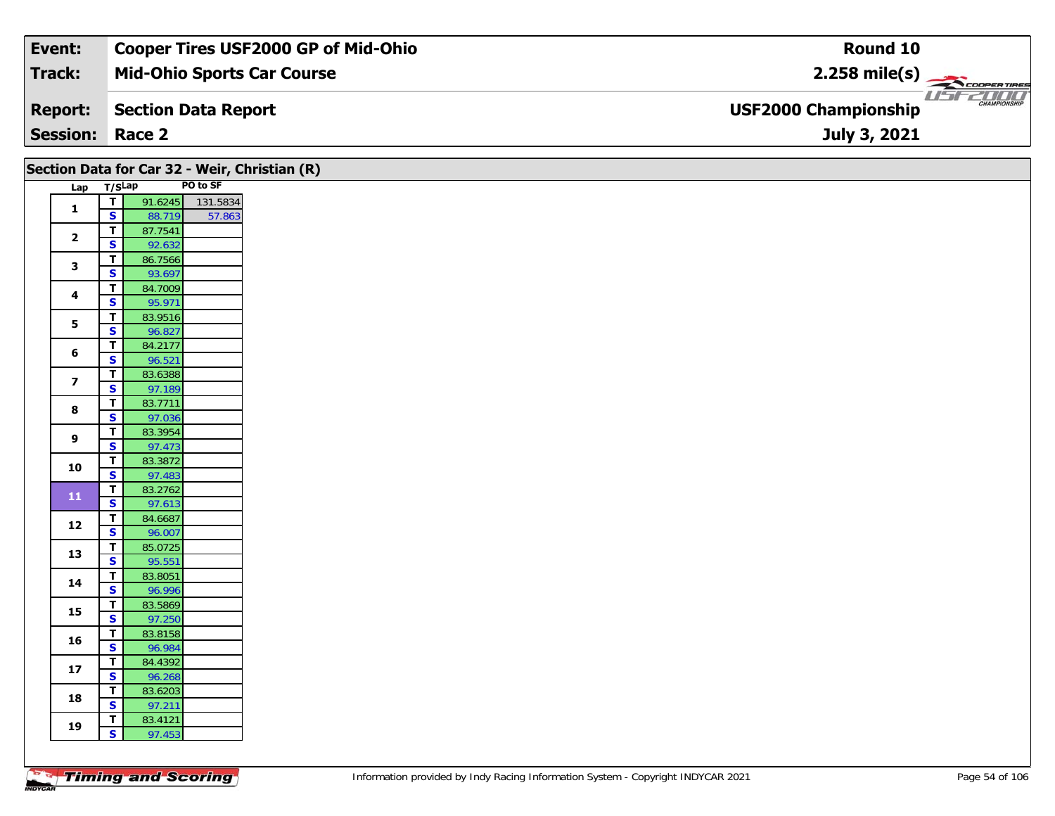| Event:                 | <b>Cooper Tires USF2000 GP of Mid-Ohio</b> | Round 10                                                       |
|------------------------|--------------------------------------------|----------------------------------------------------------------|
| Track:                 | <b>Mid-Ohio Sports Car Course</b>          | $2.258$ mile(s)                                                |
| <b>Report:</b>         | Section Data Report                        | USFZDOO'<br><b>CHAMPIONSHIP</b><br><b>USF2000 Championship</b> |
| <b>Session: Race 2</b> |                                            | July 3, 2021                                                   |

|                         |                              |                   |          | Section Data for Car 32 - Weir, Christian (R) |  |  |  |  |  |
|-------------------------|------------------------------|-------------------|----------|-----------------------------------------------|--|--|--|--|--|
| Lap                     | T/SLap                       |                   | PO to SF |                                               |  |  |  |  |  |
| $\mathbf{1}$            | $\overline{I}$               | 91.6245           | 131.5834 |                                               |  |  |  |  |  |
|                         | $\mathsf{s}$                 | 88.719            | 57.863   |                                               |  |  |  |  |  |
| $\mathbf{2}$            | $\blacksquare$               | 87.7541           |          |                                               |  |  |  |  |  |
|                         | $\overline{\mathbf{s}}$      | 92.632            |          |                                               |  |  |  |  |  |
| $\mathbf{3}$            | T.                           | 86.7566           |          |                                               |  |  |  |  |  |
|                         | $\overline{\mathbf{s}}$      | 93.697            |          |                                               |  |  |  |  |  |
| $\overline{\mathbf{4}}$ | $\overline{I}$               | 84.7009           |          |                                               |  |  |  |  |  |
|                         | $\mathbf{s}$                 | 95.971            |          |                                               |  |  |  |  |  |
| $5\phantom{a}$          | T.                           | 83.9516           |          |                                               |  |  |  |  |  |
|                         | $\overline{\mathbf{s}}$      | 96.827            |          |                                               |  |  |  |  |  |
| 6                       | T                            | 84.2177           |          |                                               |  |  |  |  |  |
|                         | $\mathsf{s}$                 | 96.521            |          |                                               |  |  |  |  |  |
| $\overline{\mathbf{z}}$ | T.                           | 83.6388           |          |                                               |  |  |  |  |  |
|                         | $\overline{\mathbf{s}}$      | 97.189            |          |                                               |  |  |  |  |  |
| $\bf8$                  | $\overline{T}$               | 83.7711           |          |                                               |  |  |  |  |  |
|                         | $\overline{\mathbf{s}}$      | 97.036            |          |                                               |  |  |  |  |  |
| $\boldsymbol{9}$        | $\mathbf{T}$<br>$\mathbf{s}$ | 83.3954<br>97.473 |          |                                               |  |  |  |  |  |
|                         | $\overline{\mathsf{T}}$      |                   |          |                                               |  |  |  |  |  |
| 10                      | $\overline{\mathbf{s}}$      | 83.3872<br>97.483 |          |                                               |  |  |  |  |  |
|                         | T                            | 83.2762           |          |                                               |  |  |  |  |  |
| ${\bf 11}$              | $\mathbf{s}$                 | 97.613            |          |                                               |  |  |  |  |  |
|                         | T.                           | 84.6687           |          |                                               |  |  |  |  |  |
| 12                      | $\mathbf{s}$                 | 96.007            |          |                                               |  |  |  |  |  |
|                         | $\vert T \vert$              | 85.0725           |          |                                               |  |  |  |  |  |
| 13                      | $\overline{\mathbf{s}}$      | 95.551            |          |                                               |  |  |  |  |  |
|                         | T.                           | 83.8051           |          |                                               |  |  |  |  |  |
| 14                      | $\mathbf{s}$                 | 96.996            |          |                                               |  |  |  |  |  |
|                         | $\mathbf{T}$                 | 83.5869           |          |                                               |  |  |  |  |  |
| 15                      | $\overline{\mathbf{s}}$      | 97.250            |          |                                               |  |  |  |  |  |
|                         | T.                           | 83.8158           |          |                                               |  |  |  |  |  |
| 16                      | $\mathsf{s}$                 | 96.984            |          |                                               |  |  |  |  |  |
|                         | $\overline{1}$               | 84.4392           |          |                                               |  |  |  |  |  |
| 17                      | $\overline{\mathbf{s}}$      | 96.268            |          |                                               |  |  |  |  |  |
| 18                      | $\mathbf{T}$                 | 83.6203           |          |                                               |  |  |  |  |  |
|                         | $\overline{\mathbf{s}}$      | 97.211            |          |                                               |  |  |  |  |  |
| 19                      | T.                           | 83.4121           |          |                                               |  |  |  |  |  |
|                         | $\mathsf{s}$                 | 97.453            |          |                                               |  |  |  |  |  |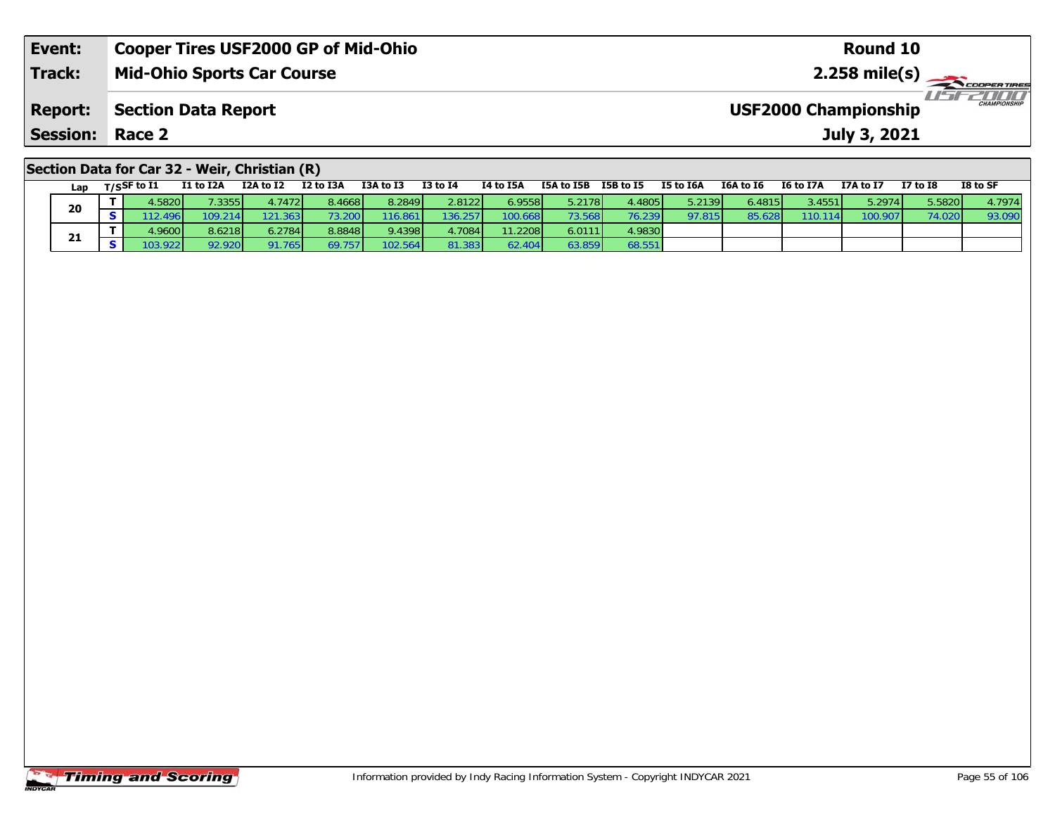| Event:                 | <b>Cooper Tires USF2000 GP of Mid-Ohio</b>    | Round 10                                                |
|------------------------|-----------------------------------------------|---------------------------------------------------------|
| <b>Track:</b>          | <b>Mid-Ohio Sports Car Course</b>             |                                                         |
| <b>Report:</b>         | Section Data Report                           | <b>LIST CHAMPIONSHIP</b><br><b>USF2000 Championship</b> |
| <b>Session: Race 2</b> |                                               | July 3, 2021                                            |
|                        | Section Data for Car 32 - Weir, Christian (R) |                                                         |

| Lap | T/SSF to I1 | I1 to I2A | I2A to I2 | I2 to I3A | I3A to I3 | <b>I3 to I4</b> | I4 to I5A | I5A to I5B | I5B to I5 | I5 to I6A | I6A to I6       | <b>I6 to I7A</b> | I7A to I7 | I7 to I8 | I8 to SF |
|-----|-------------|-----------|-----------|-----------|-----------|-----------------|-----------|------------|-----------|-----------|-----------------|------------------|-----------|----------|----------|
| 20  | 4.5820      | 7.3355    | 4.7472    | 8.4668    | 8.2849    | 2.8122          | 6.9558    | 5.2178     | 1.4805 L  | 5.2139    | 6.4815 <b>I</b> | 3.4551           | 5.2974    | 5.5820   | 4.7974   |
|     |             | 109.214   | 121.363   |           | 116.861   | 136.257         | 100.668   |            | 76.239    | 97.815    | 95.626          | 110.1141         | 100.907   | 74.020   | 93.09    |
|     | 4.9600      | 8.6218    | 6.2784    | 8.8848    | 9.4398    | 4.7084          | 11.2208   | 6.0111     | 4.9830    |           |                 |                  |           |          |          |
| 21  | 03.922      | 92.920    | 91.765    | 69.7571   | 102.564   | 81.383          | 62.40'    | 63.859     | 68.551    |           |                 |                  |           |          |          |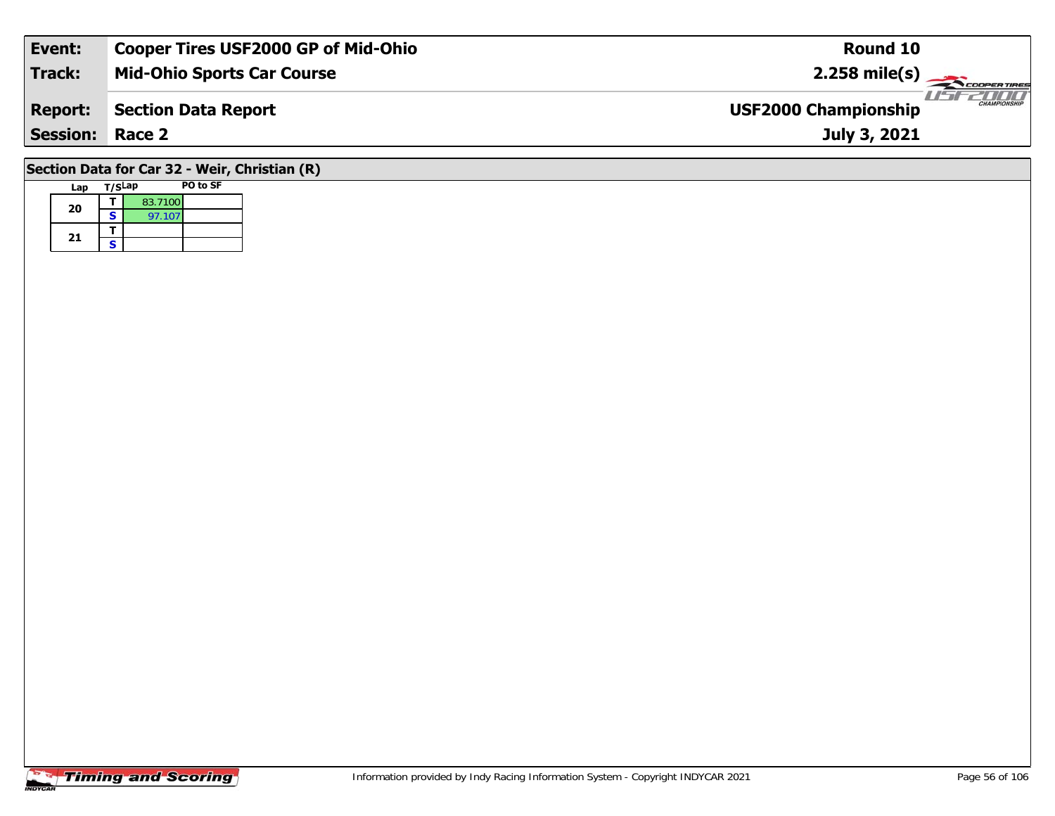| Event:                 | <b>Cooper Tires USF2000 GP of Mid-Ohio</b> | Round 10                                           |
|------------------------|--------------------------------------------|----------------------------------------------------|
| Track:                 | <b>Mid-Ohio Sports Car Course</b>          | $2.258 \text{ mile(s)}$                            |
| <b>Report:</b>         | <b>Section Data Report</b>                 | <b>CHAMPIONSHIP</b><br><b>USF2000 Championship</b> |
| <b>Session: Race 2</b> |                                            | July 3, 2021                                       |
|                        |                                            |                                                    |

## **Section Data for Car 32 - Weir, Christian (R)**

| Lap | T/SLap |         | PO to SF |
|-----|--------|---------|----------|
| 20  |        | 83.7100 |          |
|     | S      | 97.107  |          |
| 21  |        |         |          |
|     | S      |         |          |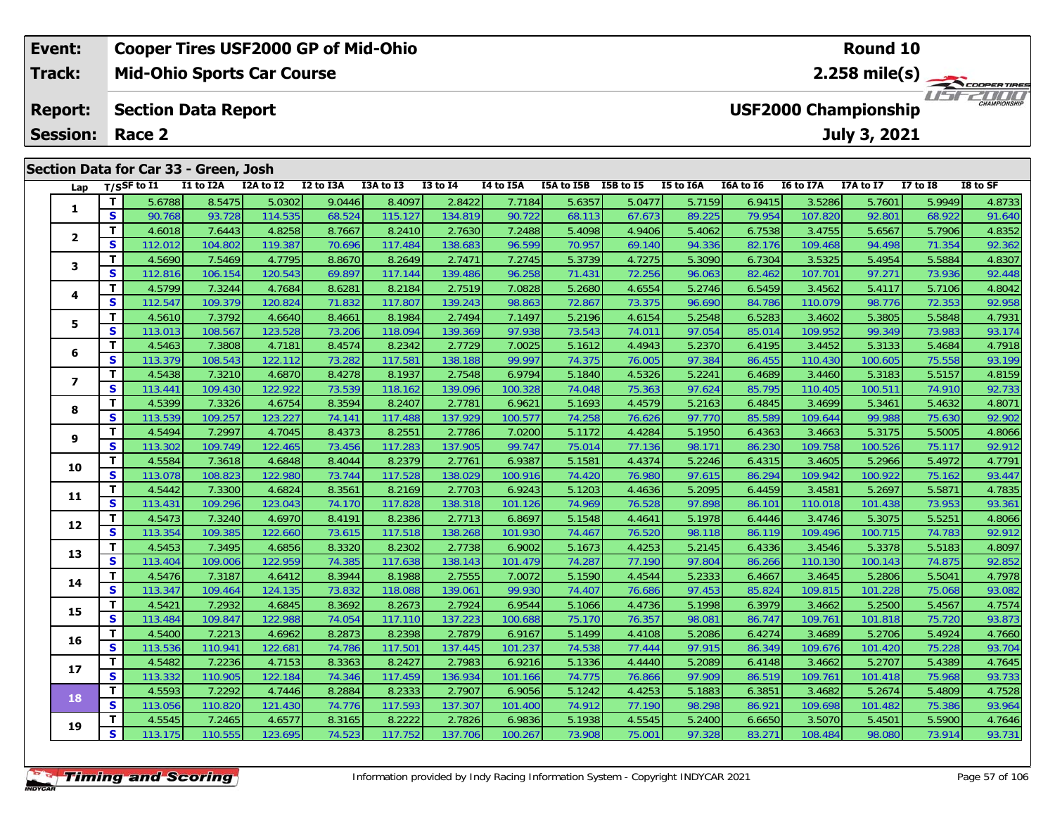#### **Event: Cooper Tires USF2000 GP of Mid-Ohio Round 102.258 mile(s) Mid-Ohio Sports Car Course Track:** THE COOPER TIRES **Report: Section Data Report USF2000 Championship July 3, 2021 Session: Race 2 Section Data for Car 33 - Green, Josh Lap T/SSF to I1 I1 to I2A I2A to I2 I2 to I3A I3A to I3 I3 to I4 I4 to I5A I5A to I5B I5B to I5 I5 to I6A I6A to I6 I6 to I7A I7A to I7 I7 to I8 I8 to SF 1**

| Lap            |    | T/SSF to I1 | I1 to I2A | I2A to I2 | I2 to I3A | I3A to I3 | <b>I3 to I4</b> | I4 to I5A | I5A to I5B I5B to I5 |        | I5 to I6A | I6A to I6 | I6 to I7A | I7A to I7 | <b>I7 to I8</b> | I8 to SF |
|----------------|----|-------------|-----------|-----------|-----------|-----------|-----------------|-----------|----------------------|--------|-----------|-----------|-----------|-----------|-----------------|----------|
| 1              | T. | 5.6788      | 8.5475    | 5.0302    | 9.0446    | 8.4097    | 2.8422          | 7.7184    | 5.6357               | 5.0477 | 5.7159    | 6.9415    | 3.5286    | 5.7601    | 5.9949          | 4.8733   |
|                | S. | 90.768      | 93.728    | 114.535   | 68.524    | 115.127   | 134.819         | 90.722    | 68.113               | 67.673 | 89.225    | 79.954    | 107.820   | 92.801    | 68.922          | 91.640   |
| $\overline{2}$ | T. | 4.6018      | 7.6443    | 4.8258    | 8.7667    | 8.2410    | 2.7630          | 7.2488    | 5.4098               | 4.9406 | 5.4062    | 6.7538    | 3.4755    | 5.6567    | 5.7906          | 4.8352   |
|                | S  | 112.012     | 104.802   | 119.387   | 70.696    | 117.484   | 138.683         | 96.599    | 70.957               | 69.140 | 94.336    | 82.176    | 109.468   | 94.498    | 71.354          | 92.362   |
| 3              | T. | 4.5690      | 7.5469    | 4.7795    | 8.8670    | 8.2649    | 2.7471          | 7.2745    | 5.3739               | 4.7275 | 5.3090    | 6.7304    | 3.5325    | 5.4954    | 5.5884          | 4.8307   |
|                | S  | 112.816     | 106.154   | 120.543   | 69.897    | 117.144   | 139.486         | 96.258    | 71.431               | 72.256 | 96.063    | 82.462    | 107.701   | 97.271    | 73.936          | 92.448   |
| 4              | T. | 4.5799      | 7.3244    | 4.7684    | 8.6281    | 8.2184    | 2.7519          | 7.0828    | 5.2680               | 4.6554 | 5.2746    | 6.5459    | 3.4562    | 5.4117    | 5.7106          | 4.8042   |
|                | S  | 112.547     | 109.379   | 120.824   | 71.832    | 117.807   | 139.243         | 98.863    | 72.867               | 73.375 | 96.690    | 84.786    | 110.079   | 98.776    | 72.353          | 92.958   |
| 5              | T. | 4.5610      | 7.3792    | 4.6640    | 8.4661    | 8.1984    | 2.7494          | 7.1497    | 5.2196               | 4.6154 | 5.2548    | 6.5283    | 3.4602    | 5.3805    | 5.5848          | 4.7931   |
|                | S  | 113.013     | 108.567   | 123.528   | 73.206    | 118.094   | 139.369         | 97.938    | 73.543               | 74.01' | 97.054    | 85.014    | 109.952   | 99.349    | 73.983          | 93.174   |
| 6              | T. | 4.5463      | 7.3808    | 4.7181    | 8.4574    | 8.2342    | 2.7729          | 7.0025    | 5.1612               | 4.4943 | 5.2370    | 6.4195    | 3.4452    | 5.3133    | 5.4684          | 4.7918   |
|                | S  | 113.379     | 108.543   | 122.112   | 73.282    | 117.581   | 138.188         | 99.997    | 74.375               | 76.005 | 97.384    | 86.455    | 110.430   | 100.605   | 75.558          | 93.199   |
| $\overline{ }$ | T. | 4.5438      | 7.3210    | 4.6870    | 8.4278    | 8.1937    | 2.7548          | 6.9794    | 5.1840               | 4.5326 | 5.2241    | 6.4689    | 3.4460    | 5.3183    | 5.5157          | 4.8159   |
|                | S  | 113.441     | 109.430   | 122.922   | 73.539    | 118.162   | 139.096         | 100.328   | 74.048               | 75.363 | 97.624    | 85.795    | 110.405   | 100.511   | 74.910          | 92.733   |
| 8              | T. | 4.5399      | 7.3326    | 4.6754    | 8.3594    | 8.2407    | 2.7781          | 6.9621    | 5.1693               | 4.4579 | 5.2163    | 6.4845    | 3.4699    | 5.3461    | 5.4632          | 4.8071   |
|                | S. | 113.539     | 109.257   | 123.227   | 74.141    | 117.488   | 137.929         | 100.577   | 74.258               | 76.626 | 97.770    | 85.589    | 109.644   | 99.988    | 75.630          | 92.902   |
| 9              | T. | 4.5494      | 7.2997    | 4.7045    | 8.4373    | 8.2551    | 2.7786          | 7.0200    | 5.1172               | 4.4284 | 5.1950    | 6.4363    | 3.4663    | 5.3175    | 5.5005          | 4.8066   |
|                | S. | 113.302     | 109.749   | 122.465   | 73.456    | 117.283   | 137.905         | 99.747    | 75.014               | 77.136 | 98.171    | 86.230    | 109.758   | 100.526   | 75.117          | 92.912   |
| 10             | T. | 4.5584      | 7.3618    | 4.6848    | 8.4044    | 8.2379    | 2.7761          | 6.9387    | 5.1581               | 4.4374 | 5.2246    | 6.4315    | 3.4605    | 5.2966    | 5.4972          | 4.7791   |
|                | S  | 113.078     | 108.823   | 122.980   | 73.744    | 117.528   | 138.029         | 100.916   | 74.420               | 76.980 | 97.615    | 86.294    | 109.942   | 100.922   | 75.162          | 93.447   |
| 11             | T. | 4.5442      | 7.3300    | 4.6824    | 8.3561    | 8.2169    | 2.7703          | 6.9243    | 5.1203               | 4.4636 | 5.2095    | 6.4459    | 3.4581    | 5.2697    | 5.5871          | 4.7835   |
|                | S  | 113.431     | 109.296   | 123.043   | 74.170    | 117.828   | 138.318         | 101.126   | 74.969               | 76.528 | 97.898    | 86.101    | 110.018   | 101.438   | 73.953          | 93.361   |
| 12             | T. | 4.5473      | 7.3240    | 4.6970    | 8.4191    | 8.2386    | 2.7713          | 6.8697    | 5.1548               | 4.4641 | 5.1978    | 6.4446    | 3.4746    | 5.3075    | 5.5251          | 4.8066   |
|                | S  | 113.354     | 109.385   | 122.660   | 73.615    | 117.518   | 138.268         | 101.930   | 74.467               | 76.520 | 98.118    | 86.119    | 109.496   | 100.715   | 74.783          | 92.912   |
| 13             | T. | 4.5453      | 7.3495    | 4.6856    | 8.3320    | 8.2302    | 2.7738          | 6.9002    | 5.1673               | 4.4253 | 5.2145    | 6.4336    | 3.4546    | 5.3378    | 5.5183          | 4.8097   |
|                | S  | 113.404     | 109.006   | 122.959   | 74.385    | 117.638   | 138.143         | 101.479   | 74.287               | 77.190 | 97.804    | 86.266    | 110.130   | 100.143   | 74.875          | 92.852   |
| 14             | T. | 4.5476      | 7.3187    | 4.6412    | 8.3944    | 8.1988    | 2.7555          | 7.0072    | 5.1590               | 4.4544 | 5.2333    | 6.4667    | 3.4645    | 5.2806    | 5.5041          | 4.7978   |
|                | S  | 113.347     | 109.464   | 124.135   | 73.832    | 118.088   | 139.061         | 99.930    | 74.407               | 76.686 | 97.453    | 85.824    | 109.815   | 101.228   | 75.068          | 93.082   |
| 15             | T. | 4.5421      | 7.2932    | 4.6845    | 8.3692    | 8.2673    | 2.7924          | 6.9544    | 5.1066               | 4.4736 | 5.1998    | 6.3979    | 3.4662    | 5.2500    | 5.4567          | 4.7574   |
|                | S  | 113.484     | 109.847   | 122.988   | 74.054    | 117.110   | 137.223         | 100.688   | 75.170               | 76.357 | 98.081    | 86.747    | 109.761   | 101.818   | 75.720          | 93.873   |
| 16             | T. | 4.5400      | 7.2213    | 4.6962    | 8.2873    | 8.2398    | 2.7879          | 6.9167    | 5.1499               | 4.4108 | 5.2086    | 6.4274    | 3.4689    | 5.2706    | 5.4924          | 4.7660   |
|                | S  | 113.536     | 110.941   | 122.681   | 74.786    | 117.501   | 137.445         | 101.237   | 74.538               | 77.444 | 97.915    | 86.349    | 109.676   | 101.420   | 75.228          | 93.704   |
| 17             | T. | 4.5482      | 7.2236    | 4.7153    | 8.3363    | 8.2427    | 2.7983          | 6.9216    | 5.1336               | 4.4440 | 5.2089    | 6.4148    | 3.4662    | 5.2707    | 5.4389          | 4.7645   |
|                | S. | 113.332     | 110.905   | 122.184   | 74.346    | 117.459   | 136.934         | 101.166   | 74.775               | 76.866 | 97.909    | 86.519    | 109.761   | 101.418   | 75.968          | 93.733   |
| 18             | T  | 4.5593      | 7.2292    | 4.7446    | 8.2884    | 8.2333    | 2.7907          | 6.9056    | 5.1242               | 4.4253 | 5.1883    | 6.3851    | 3.4682    | 5.2674    | 5.4809          | 4.7528   |
|                | S  | 113.056     | 110.820   | 121.430   | 74.776    | 117.593   | 137.307         | 101.400   | 74.912               | 77.190 | 98.298    | 86.921    | 109.698   | 101.482   | 75.386          | 93.964   |
| 19             | T. | 4.5545      | 7.2465    | 4.6577    | 8.3165    | 8.2222    | 2.7826          | 6.9836    | 5.1938               | 4.5545 | 5.2400    | 6.6650    | 3.5070    | 5.4501    | 5.5900          | 4.7646   |
|                | S. | 113.175     | 110.555   | 123.695   | 74.523    | 117.752   | 137.706         | 100.267   | 73.908               | 75.00  | 97.328    | 83.271    | 108.484   | 98.080    | 73.914          | 93.731   |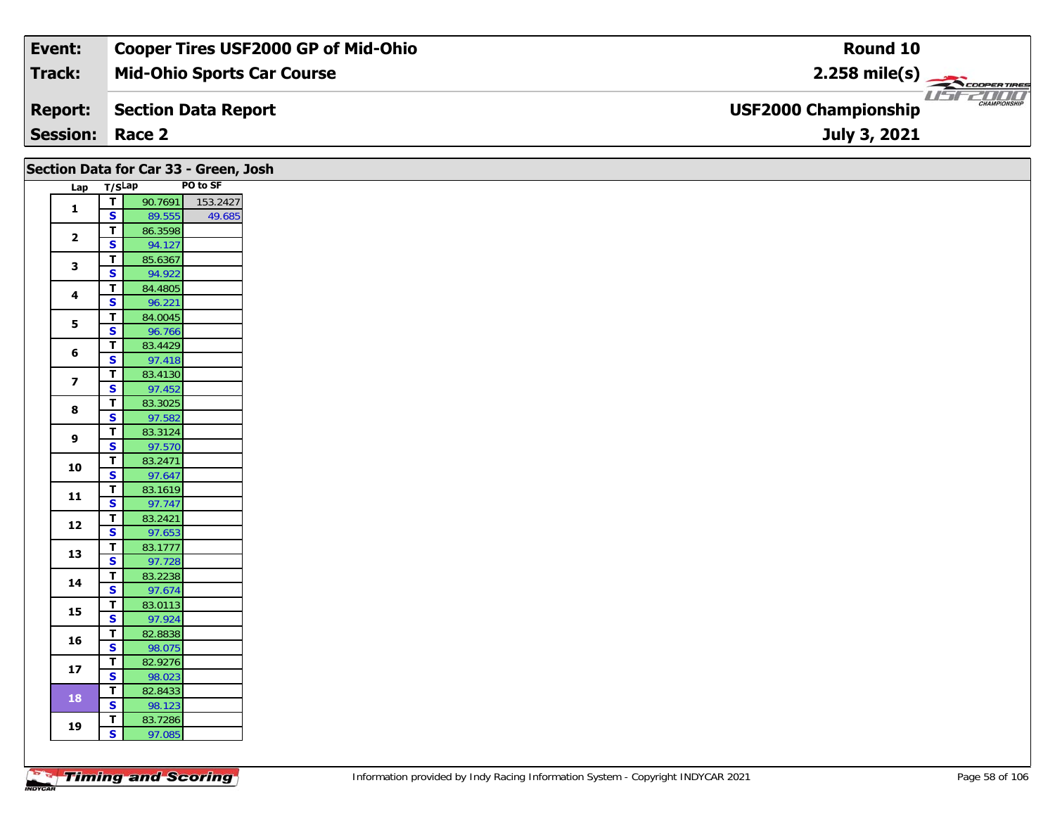| Event:                 | <b>Cooper Tires USF2000 GP of Mid-Ohio</b> | Round 10                                           |
|------------------------|--------------------------------------------|----------------------------------------------------|
| Track:                 | <b>Mid-Ohio Sports Car Course</b>          |                                                    |
| <b>Report:</b>         | Section Data Report                        | <b>CHAMPIONSHIP</b><br><b>USF2000 Championship</b> |
| <b>Session: Race 2</b> |                                            | July 3, 2021                                       |

|                         | Section Data for Car 33 - Green, Josh        |          |  |
|-------------------------|----------------------------------------------|----------|--|
|                         | Lap T/SLap                                   | PO to SF |  |
|                         | 90.7691<br>$\overline{1}$                    | 153.2427 |  |
| $\mathbf{1}$            | $\mathbf{s}$<br>89.555                       | 49.685   |  |
|                         | $\overline{\mathbf{T}}$<br>86.3598           |          |  |
| $\overline{\mathbf{2}}$ | $\overline{\mathbf{s}}$<br>94.127            |          |  |
|                         | 85.6367<br>$\mathbf T$                       |          |  |
| $\mathbf{3}$            | $\mathbf{s}$<br>94.922                       |          |  |
|                         | $\mathbf T$<br>84.4805                       |          |  |
| 4                       | $\mathbf{s}$<br>96.221                       |          |  |
| 5                       | $\overline{\mathbf{T}}$<br>84.0045           |          |  |
|                         | $\overline{\mathbf{s}}$<br>96.766            |          |  |
| 6                       | 83.4429<br>$\mathbf T$                       |          |  |
|                         | $\overline{\mathbf{s}}$<br>97.418            |          |  |
| $\overline{\mathbf{z}}$ | 83.4130<br>T                                 |          |  |
|                         | $\overline{\mathbf{s}}$<br>97.452            |          |  |
| 8                       | $\overline{\mathbf{T}}$<br>83.3025           |          |  |
|                         | $\overline{\mathbf{s}}$<br>97.582            |          |  |
| 9                       | 83.3124<br>$\mathbf{T}$                      |          |  |
|                         | $\overline{\mathbf{s}}$<br>97.570            |          |  |
| 10                      | 83.2471<br>T<br>$\overline{\mathbf{s}}$      |          |  |
|                         | 97.647<br>$\overline{\mathbf{T}}$<br>83.1619 |          |  |
| $11$                    | S<br>97.747                                  |          |  |
|                         | 83.2421<br>$\mathbf T$                       |          |  |
| $12$                    | $\overline{\mathbf{s}}$<br>97.653            |          |  |
|                         | 83.1777<br>$\mathbf{T}$                      |          |  |
| 13                      | $\overline{\mathbf{s}}$<br>97.728            |          |  |
|                         | $\overline{\mathsf{r}}$<br>83.2238           |          |  |
| 14                      | $\mathbf{s}$<br>97.674                       |          |  |
|                         | $\mathbf T$<br>83.0113                       |          |  |
| 15                      | $\overline{\mathbf{s}}$<br>97.924            |          |  |
| 16                      | 82.8838<br>T                                 |          |  |
|                         | $\overline{\mathbf{s}}$<br>98.075            |          |  |
| 17                      | $\overline{\mathsf{r}}$<br>82.9276           |          |  |
|                         | $\overline{\mathbf{s}}$<br>98.023            |          |  |
| 18                      | $\overline{\mathbf{T}}$<br>82.8433           |          |  |
|                         | $\mathbf{s}$<br>98.123                       |          |  |
| 19                      | 83.7286<br>$\mathbf{T}$                      |          |  |
|                         | $\mathbf{s}$<br>97.085                       |          |  |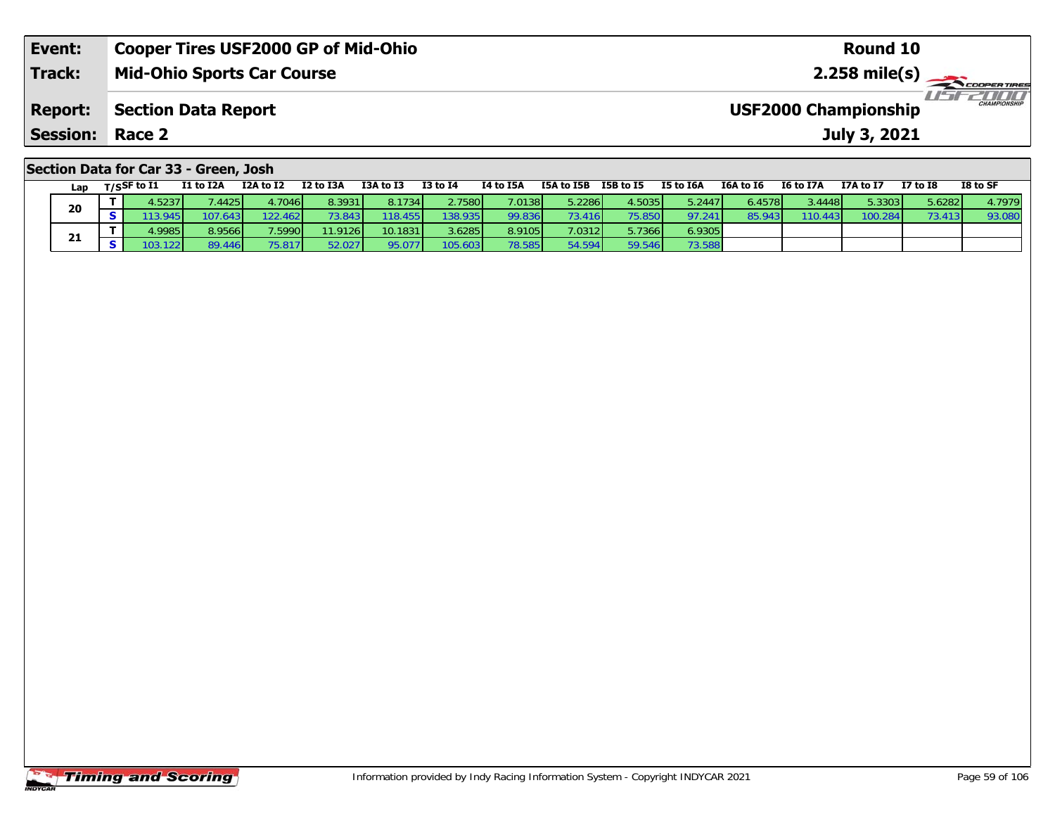| Event:                                | <b>Cooper Tires USF2000 GP of Mid-Ohio</b> | Round 10                                           |  |  |  |  |  |  |  |
|---------------------------------------|--------------------------------------------|----------------------------------------------------|--|--|--|--|--|--|--|
| <b>Track:</b>                         | <b>Mid-Ohio Sports Car Course</b>          |                                                    |  |  |  |  |  |  |  |
| <b>Report:</b>                        | Section Data Report                        | <b>CHAMPIONSHIP</b><br><b>USF2000 Championship</b> |  |  |  |  |  |  |  |
| <b>Session: Race 2</b>                |                                            | July 3, 2021                                       |  |  |  |  |  |  |  |
| Section Data for Car 33 - Green, Josh |                                            |                                                    |  |  |  |  |  |  |  |

|    | Lap | $T/S$ SF to $I1$ | I1 to I2A | I2A to I2 | I2 to I3A | I3A to I3 | <b>I3 to I4</b> | I4 to I5A | I5A to I5B | I5B to I5 | I5 to I6A | I6A to I6 | I6 to I7A | I7A to I7 | <b>I7 to I8</b> | I8 to SF |
|----|-----|------------------|-----------|-----------|-----------|-----------|-----------------|-----------|------------|-----------|-----------|-----------|-----------|-----------|-----------------|----------|
| 20 |     | 1.5237           | .4425     | 4.7046    | 8.3931    | 8.1734    | 2.7580          | 7.0138    | 5.2286     | 4.5035    | 5.2447    | 6.4578    | 3.4448    | 5.3303    | 5.6282          | 4.7979   |
|    |     | 13.945           | 107.643   | 122.462   | 3.843     | 118.455   | 138.935         | 99.836    | 73.416     | 75.850    | 97.241    | 85.943    | 110.443   | 100.284   | 73.413          | 93.080   |
|    | 21  | 1.9985           | 8.9566    | 7.5990    | 11.9126   | 10.1831   | 3.6285          | 8.9105    | 7.0312     | 5.7366    | 6.9305    |           |           |           |                 |          |
|    |     | 103.122          | 89.446    | 75.817    | 52.027    | 95.077    | 105.603         | 78.585    | 54.594     | 59.546    | 73.588    |           |           |           |                 |          |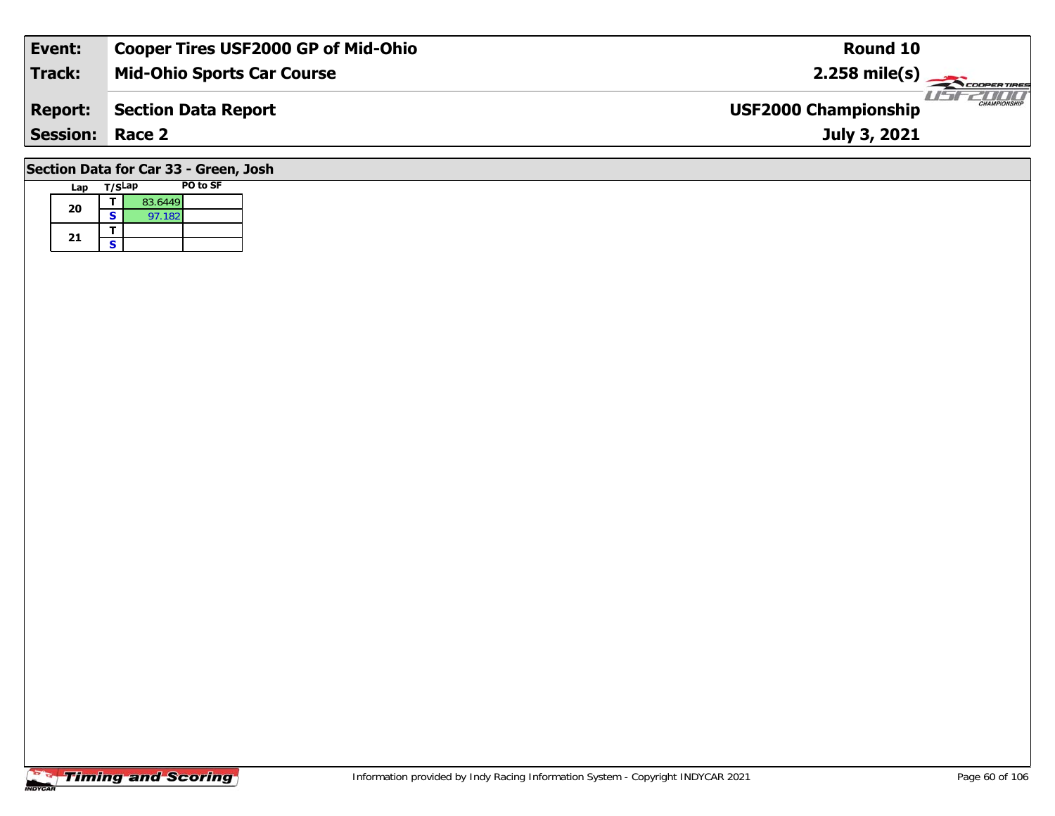| Event:                                | <b>Cooper Tires USF2000 GP of Mid-Ohio</b> | Round 10                                           |  |  |  |  |  |  |  |  |
|---------------------------------------|--------------------------------------------|----------------------------------------------------|--|--|--|--|--|--|--|--|
| <b>Track:</b>                         | <b>Mid-Ohio Sports Car Course</b>          | $2.258$ mile(s)                                    |  |  |  |  |  |  |  |  |
| <b>Report:</b>                        | <b>Section Data Report</b>                 | <b>CHAMPIONSHIP</b><br><b>USF2000 Championship</b> |  |  |  |  |  |  |  |  |
| <b>Session:</b>                       | Race 2                                     | July 3, 2021                                       |  |  |  |  |  |  |  |  |
| Section Data for Car 33 - Green, Josh |                                            |                                                    |  |  |  |  |  |  |  |  |

|  | Lap | T/SLap |         | PO to SF |
|--|-----|--------|---------|----------|
|  | 20  |        | 83.6449 |          |
|  |     | S      | 97.182  |          |
|  | 21  |        |         |          |
|  |     | S      |         |          |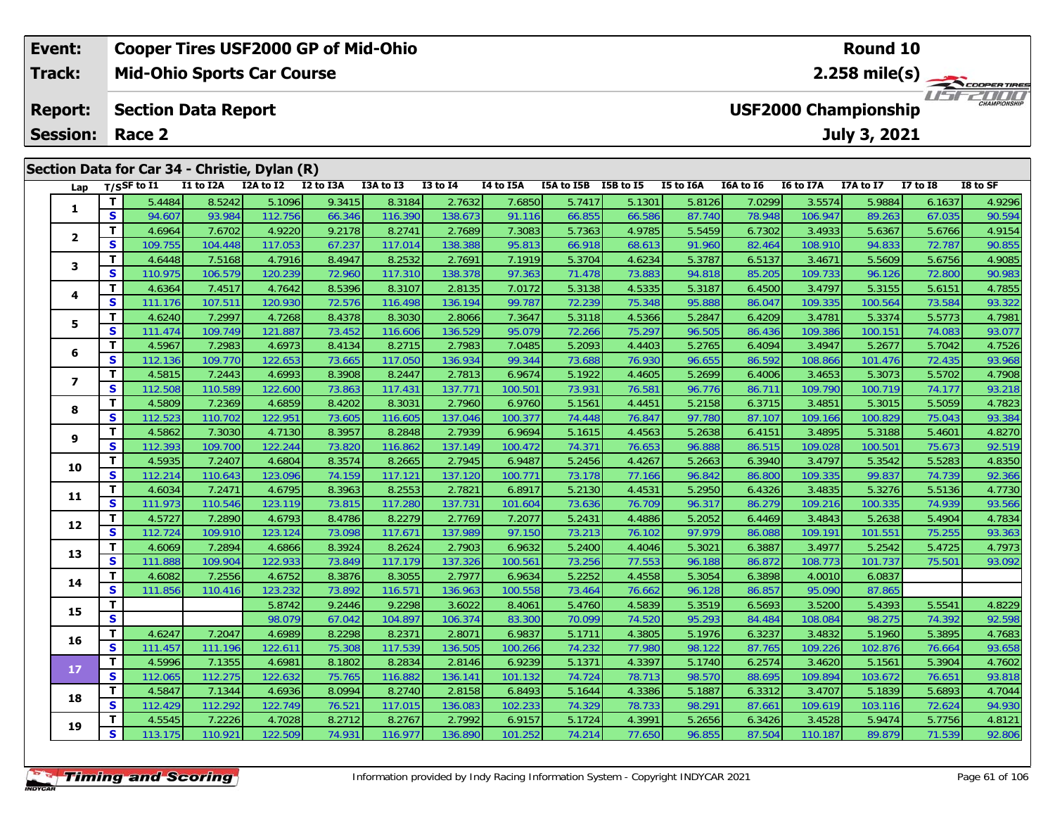|                | Event:                                        |          |                |                            | <b>Cooper Tires USF2000 GP of Mid-Ohio</b> |           |           |                                                    |                         |            |           |           | <b>Round 10</b> |           |              |              |          |
|----------------|-----------------------------------------------|----------|----------------|----------------------------|--------------------------------------------|-----------|-----------|----------------------------------------------------|-------------------------|------------|-----------|-----------|-----------------|-----------|--------------|--------------|----------|
|                | Track:                                        |          |                |                            | <b>Mid-Ohio Sports Car Course</b>          |           |           |                                                    | $2.258 \text{ mile(s)}$ |            |           |           |                 |           |              |              |          |
| <b>Report:</b> |                                               |          |                | <b>Section Data Report</b> |                                            |           |           | <b>CHAMPIONSHIP</b><br><b>USF2000 Championship</b> |                         |            |           |           |                 |           |              |              |          |
|                | <b>Session:</b>                               |          | Race 2         |                            |                                            |           |           |                                                    |                         |            |           |           |                 |           | July 3, 2021 |              |          |
|                | Section Data for Car 34 - Christie, Dylan (R) |          |                |                            |                                            |           |           |                                                    |                         |            |           |           |                 |           |              |              |          |
|                | Lap                                           |          | $T/S$ SF to I1 | I1 to I2A                  | I2A to I2                                  | I2 to I3A | I3A to I3 | $I3$ to $I4$                                       | I4 to I5A               | I5A to I5B | I5B to I5 | I5 to I6A | I6A to I6       | I6 to I7A | I7A to I7    | $I7$ to $I8$ | I8 to SF |
|                |                                               |          | 5.4484         | 8.5242                     | 5.1096                                     | 9.3415    | 8.3184    | 2.7632                                             | 7.6850                  | 5.7417     | 5.1301    | 5.8126    | 7.0299          | 3.5574    | 5.9884       | 6.1637       | 4.9296   |
|                |                                               | <b>S</b> | 94.607         | 93.984                     | 112.756                                    | 66.346    | 116.390   | 138.673                                            | 91.116                  | 66.855     | 66.586    | 87.740    | 78.948          | 106.947   | 89.263       | 67.035       | 90.594   |
|                |                                               |          | 4.6964         | 7.6702                     | 4.9220                                     | 9.2178    | 8.2741    | 2.7689                                             | 7.3083                  | 5.7363     | 4.9785    | 5.5459    | 6.7302          | 3.4933    | 5.6367       | 5.6766       | 4.9154   |
|                | $\overline{\mathbf{2}}$                       | S        | 109.755        | 104,448                    | 117.053                                    | 67.237    | 117.014   | 138.388                                            | 95.813                  | 66.918     | 68.613    | 91.960    | 82.464          | 108.910   | 94.833       | 72.787       | 90.855   |

3 T 4.6448 7.5168 4.7916 8.4947 8.2532 2.7691 7.1919 5.3704 4.6234 5.3787 6.5137 3.4671 5.5609 5.6756 4.9085<br>S S 110.975 106.579 120.239 72.960 117.310 138.378 97.363 71.478 73.883 94.818 85.205 109.733 96.126 72.800 90.98

4 T 4.6364 7.4517 4.7642 8.5396 8.3107 2.8135 7.0172 5.3138 4.5335 5.3187 6.4500 3.4797 5.3155 5.6151 4.7855<br>S 111.176 107.511 120.930 72.576 116.498 136.194 99.787 72.239 75.348 95.888 86.047 109.335 100.564 73.584 93.322

5 T 4.6240 7.2997 4.7268 8.4378 8.3030 2.8066 7.3647 5.3118 4.5366 5.2847 6.4209 3.4781 5.3374 5.5773 4.7981<br>5 S 111.474 109.749 121.887 73.452 116.606 136.529 95.079 72.266 75.297 96.505 86.436 109.386 100.151 74.083 93.0

6 T 4.5967 7.2983 4.6973 8.4134 8.2715 2.7983 7.0485 5.2093 4.4403 5.2765 6.4094 3.4947 5.2677 5.7042 4.7526<br>5 S 112.136 109.770 122.653 73.665 117.050 136.934 99.344 73.688 76.930 96.655 86.592 108.866 101.476 72.435 93.9

7 | T | 4.5815 | 7.2443 | 4.6993 | 8.3908 | 8.2447 | 2.7813 | 6.9674 | 5.1922 | 4.4605 | 5.2699 | 6.4006 | 3.4653 | 5.3073 | 5.5702 | 4.7908 |<br>7 | S | 112.508 | 110.589 | 122.600 | 73.863 | 117.431 | 137.771 | 100.501 | 73

8 T 4.5809 7.2369 4.6859 8.4202 8.3031 2.7960 6.9760 5.1561 4.4451 5.2158 6.3715 3.4851 5.3015 5.5059 4.7823<br>8 S 112.523 110.702 122.951 73.605 116.605 137.046 100.377 74.448 76.847 97.780 87.107 109.166 100.829 75.043 93.

<mark>11</mark> 4.5862 7.3030 4.7130 8.3957 8.2848 2.7939 6.9694 5.1615 4.4563 5.2638 6.4151 3.4895 5.3188 5.4601 4.8270 و<br>S 112.393 109.700 122.244 73.820 116.862 137.149 100.472 74.371 76.653 96.888 86.515 109.028 100.501 75.673 9

0 T 4.5935 7.2407 4.6804 8.3574 8.2665 2.7945 6.9487 5.2456 4.4267 5.2663 6.3940 3.4797 5.3542 5.5283 4.8350<br>S 112.214 110.643 123.096 74.159 117.121 137.120 100.771 73.178 77.166 96.842 86.800 109.335 99.837 74.739 92.366

**<sup>T</sup>** 4.6034 7.2471 4.6795 8.3963 8.2553 2.7821 6.8917 5.2130 4.4531 5.2950 6.4326 3.4835 5.3276 5.5136 4.7730 **<sup>S</sup>** 111.973 110.546 123.119 73.815 117.280 137.731 101.604 73.636 76.709 96.317 86.279 109.216 100.335 74.939 93.566

2 T 4.5727 7.2890 4.6793 8.4786 8.2279 2.7769 7.2077 5.2431 4.4886 5.2052 6.4469 3.4843 5.2638 5.4904 4.7834<br>2 S 112.724 109.910 123.124 73.098 117.671 137.989 97.150 73.213 76.102 97.979 86.088 109.191 101.551 75.255 93.3

3 T 4.6069 7.2894 4.6866 8.3924 8.2624 2.7903 6.9632 5.2400 4.4046 5.3021 6.3887 3.4977 5.2542 5.4725 4.7973<br>S 111.888 109.904 122.933 73.849 117.179 137.326 100.561 73.256 77.553 96.188 86.872 108.773 101.737 75.501 93.09

**<sup>T</sup>** 5.8742 9.2446 9.2298 3.6022 8.4061 5.4760 4.5839 5.3519 6.5693 3.5200 5.4393 5.5541 4.8229 **<sup>S</sup>** 98.079 67.042 104.897 106.374 83.300 70.099 74.520 95.293 84.484 108.084 98.275 74.392 92.598

**<sup>T</sup>** 4.6247 7.2047 4.6989 8.2298 8.2371 2.8071 6.9837 5.1711 4.3805 5.1976 6.3237 3.4832 5.1960 5.3895 4.7683 **<sup>S</sup>** 111.457 111.196 122.611 75.308 117.539 136.505 100.266 74.232 77.980 98.122 87.765 109.226 102.876 76.664 93.658

7 T 4.5996 7.1355 4.6981 8.1802 8.2834 2.8146 6.9239 5.1371 4.3397 5.1740 6.2574 3.4620 5.1561 5.3904 4.7602<br>7 S 112.065 112.275 122.632 75.765 116.882 136.141 101.132 74.724 78.713 98.570 88.695 109.894 103.672 76.651 93.

8 T 4.5847 7.1344 4.6936 8.0994 8.2740 2.8158 6.8493 5.1644 4.3386 5.1887 6.3312 3.4707 5.1839 5.6893 4.7044<br>S 112.429 112.292 122.749 76.521 117.015 136.083 102.233 74.329 78.733 98.291 87.661 109.619 103.116 72.624 94.93

**<sup>T</sup>** 4.5545 7.2226 4.7028 8.2712 8.2767 2.7992 6.9157 5.1724 4.3991 5.2656 6.3426 3.4528 5.9474 5.7756 4.8121 **<sup>S</sup>** 113.175 110.921 122.509 74.931 116.977 136.890 101.252 74.214 77.650 96.855 87.504 110.187 89.879 71.539 92.806

**<sup>T</sup>** 4.6082 7.2556 4.6752 8.3876 8.3055 2.7977 6.9634 5.2252 4.4558 5.3054 6.3898 4.0010 6.0837 **<sup>S</sup>** 111.856 110.416 123.232 73.892 116.571 136.963 100.558 73.464 76.662 96.128 86.857 95.090 87.865

**Timing and Scoring** 

**3**

**4**

**5**

**6**

**7**

**8**

**9**

**10**

**11**

**12**

**13**

**14**

**15**

**16**

**17**

**18**

**19**

93.32

93.218

92.519

93.092

93.818

92.806

87.865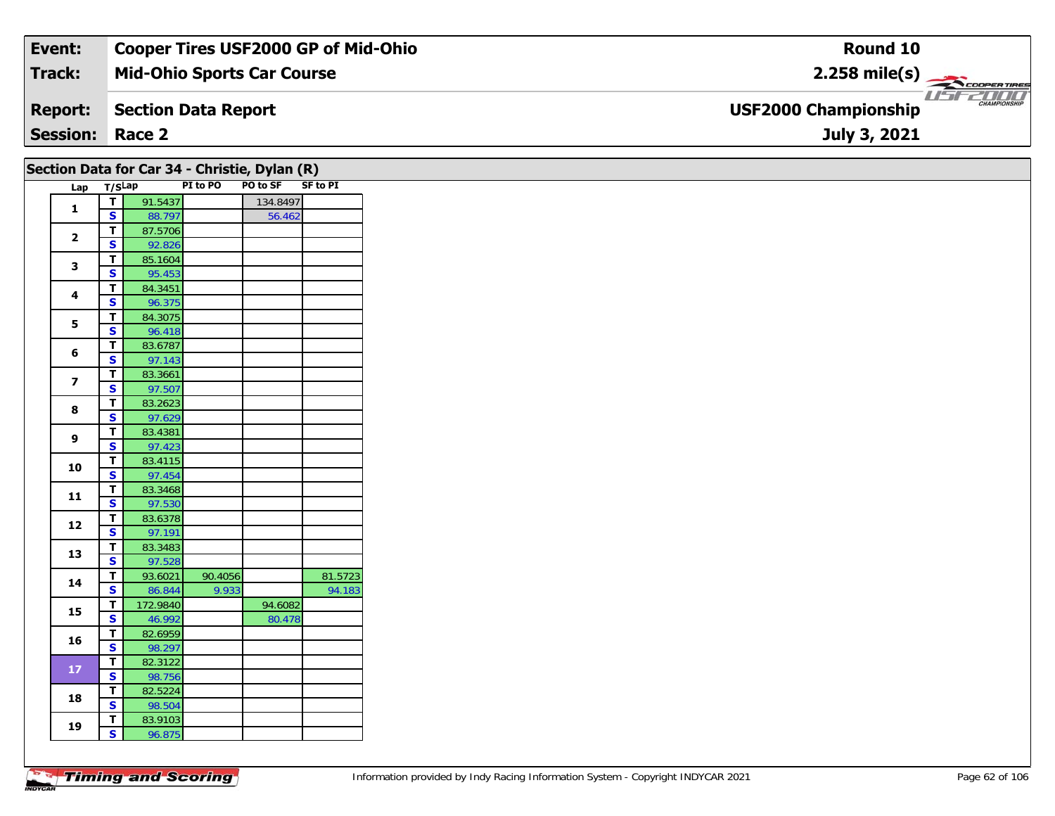| Event:                 | <b>Cooper Tires USF2000 GP of Mid-Ohio</b> | Round 10                                                   |
|------------------------|--------------------------------------------|------------------------------------------------------------|
| <b>Track:</b>          | <b>Mid-Ohio Sports Car Course</b>          | $2.258$ mile(s)                                            |
| <b>Report:</b>         | Section Data Report                        | $-1$<br><b>CHAMPIONSHIP</b><br><b>USF2000 Championship</b> |
| <b>Session: Race 2</b> |                                            | July 3, 2021                                               |

|                         |                                                    | Section Data for Car 34 - Christie, Dylan (R) |          |          |          |  |  |  |  |  |  |  |
|-------------------------|----------------------------------------------------|-----------------------------------------------|----------|----------|----------|--|--|--|--|--|--|--|
| Lap T/SLap              |                                                    |                                               | PI to PO | PO to SF | SF to PI |  |  |  |  |  |  |  |
| $\mathbf{1}$            | $\overline{t}$                                     | 91.5437                                       |          | 134.8497 |          |  |  |  |  |  |  |  |
|                         | $\overline{\mathbf{s}}$                            | 88.797                                        |          | 56.462   |          |  |  |  |  |  |  |  |
| $\mathbf{2}$            | $\overline{t}$                                     | 87.5706                                       |          |          |          |  |  |  |  |  |  |  |
|                         | $\overline{\mathbf{s}}$                            | 92.826                                        |          |          |          |  |  |  |  |  |  |  |
| $\mathbf{3}$            | $\overline{\mathbf{T}}$<br>$\overline{\mathbf{s}}$ | 85.1604<br>95.453                             |          |          |          |  |  |  |  |  |  |  |
|                         | $\mathbf{T}$                                       | 84.3451                                       |          |          |          |  |  |  |  |  |  |  |
| 4                       | $\overline{\mathbf{s}}$                            | 96.375                                        |          |          |          |  |  |  |  |  |  |  |
|                         | T                                                  | 84.3075                                       |          |          |          |  |  |  |  |  |  |  |
| 5                       | $\overline{\mathbf{s}}$                            | 96.418                                        |          |          |          |  |  |  |  |  |  |  |
|                         | T                                                  | 83.6787                                       |          |          |          |  |  |  |  |  |  |  |
| 6                       | $\overline{\mathbf{s}}$                            | 97.143                                        |          |          |          |  |  |  |  |  |  |  |
|                         | $\overline{t}$                                     | 83.3661                                       |          |          |          |  |  |  |  |  |  |  |
| $\overline{\mathbf{z}}$ | $\mathbf{s}$                                       | 97.507                                        |          |          |          |  |  |  |  |  |  |  |
| 8                       | $\overline{\mathbf{T}}$                            | 83.2623                                       |          |          |          |  |  |  |  |  |  |  |
|                         | $\overline{\mathbf{s}}$                            | 97.629                                        |          |          |          |  |  |  |  |  |  |  |
| $\overline{9}$          | $\mathbf{T}$                                       | 83.4381                                       |          |          |          |  |  |  |  |  |  |  |
|                         | $\overline{\mathbf{s}}$                            | 97.423                                        |          |          |          |  |  |  |  |  |  |  |
| 10                      | $\overline{\mathsf{T}}$                            | 83.4115                                       |          |          |          |  |  |  |  |  |  |  |
|                         | $\overline{\mathbf{s}}$                            | 97.454                                        |          |          |          |  |  |  |  |  |  |  |
| 11                      | $\mathbf T$                                        | 83.3468                                       |          |          |          |  |  |  |  |  |  |  |
|                         | $\mathbf{s}$                                       | 97.530                                        |          |          |          |  |  |  |  |  |  |  |
| 12                      | T<br>$\overline{\mathbf{s}}$                       | 83.6378<br>97.191                             |          |          |          |  |  |  |  |  |  |  |
|                         | $\overline{\mathsf{T}}$                            |                                               |          |          |          |  |  |  |  |  |  |  |
| 13                      | $\overline{\mathbf{s}}$                            | 83.3483<br>97.528                             |          |          |          |  |  |  |  |  |  |  |
|                         | $\overline{t}$                                     | 93.6021                                       | 90.4056  |          | 81.5723  |  |  |  |  |  |  |  |
| 14                      | S                                                  | 86.844                                        | 9.933    |          | 94.183   |  |  |  |  |  |  |  |
|                         | T                                                  | 172.9840                                      |          | 94.6082  |          |  |  |  |  |  |  |  |
| 15                      | $\overline{\mathbf{s}}$                            | 46.992                                        |          | 80.478   |          |  |  |  |  |  |  |  |
|                         | T                                                  | 82.6959                                       |          |          |          |  |  |  |  |  |  |  |
| 16                      | $\mathbf{s}$                                       | 98.297                                        |          |          |          |  |  |  |  |  |  |  |
|                         | $\overline{t}$                                     | 82.3122                                       |          |          |          |  |  |  |  |  |  |  |
| $17$                    | $\mathbf{s}$                                       | 98.756                                        |          |          |          |  |  |  |  |  |  |  |
| 18                      | $\mathbf T$                                        | 82.5224                                       |          |          |          |  |  |  |  |  |  |  |
|                         | $\overline{\mathbf{s}}$                            | 98.504                                        |          |          |          |  |  |  |  |  |  |  |
| 19                      | $\mathbf{T}$                                       | 83.9103                                       |          |          |          |  |  |  |  |  |  |  |
|                         | $\mathbf{s}$                                       | 96.875                                        |          |          |          |  |  |  |  |  |  |  |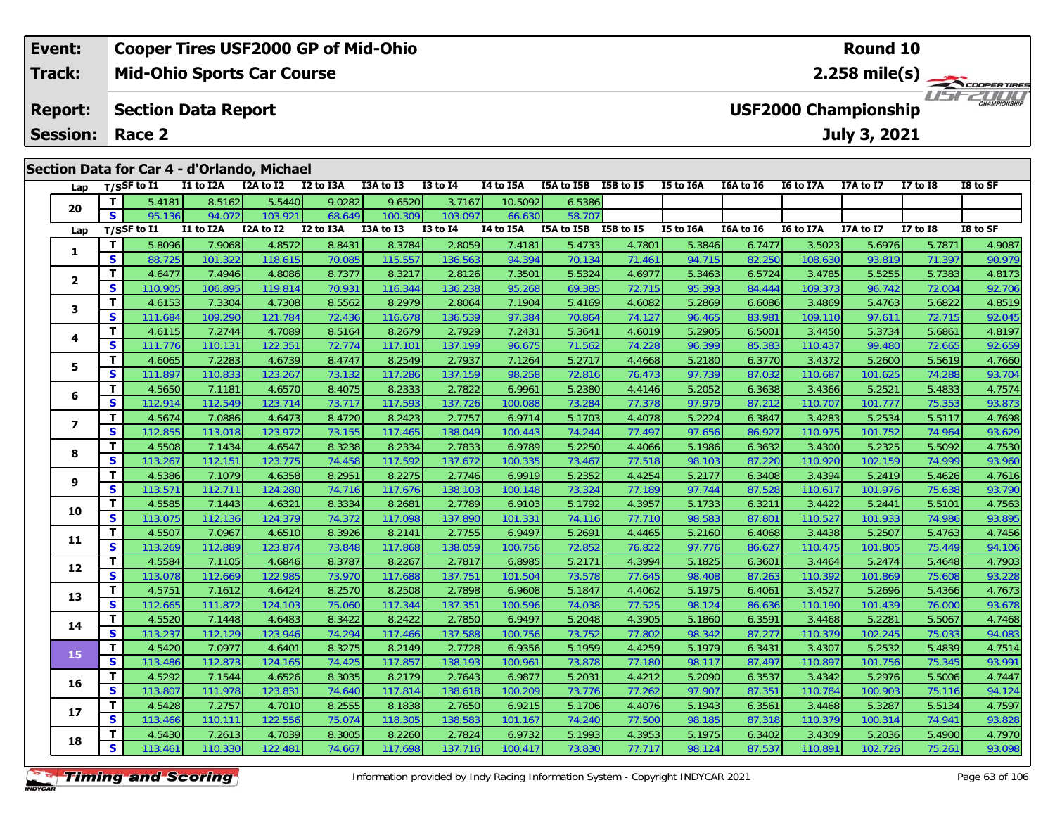#### **Event: Cooper Tires USF2000 GP of Mid-Ohio Round 102.258 mile(s) Mid-Ohio Sports Car Course Track:** THE COOPER TIRES **Report: Section Data Report USF2000 Championship July 3, 2021 Session: Race 2**

| Section Data for Car 4 - d'Orlando, Michael |  |  |
|---------------------------------------------|--|--|
|---------------------------------------------|--|--|

| Lap                      |              | $T/S$ SF to $I1$ | I1 to I2A | -,<br>I2A to I2 | I2 to I3A | I3A to I3 | <b>I3 to I4</b> | I4 to I5A | I5A to I5B I5B to I5 |        | I5 to I6A | I6A to I6 | I6 to I7A        | I7A to I7 | <b>I7 to I8</b> | I8 to SF |
|--------------------------|--------------|------------------|-----------|-----------------|-----------|-----------|-----------------|-----------|----------------------|--------|-----------|-----------|------------------|-----------|-----------------|----------|
|                          | T.           | 5.4181           | 8.5162    | 5.5440          | 9.0282    | 9.6520    | 3.7167          | 10.5092   | 6.5386               |        |           |           |                  |           |                 |          |
| 20                       | S            | 95.136           | 94.072    | 103.921         | 68.649    | 100.309   | 103.097         | 66.630    | 58.707               |        |           |           |                  |           |                 |          |
| Lap                      |              | T/SSF to I1      | I1 to I2A | I2A to I2       | I2 to I3A | I3A to I3 | <b>I3 to I4</b> | I4 to I5A | I5A to I5B I5B to I5 |        | I5 to I6A | I6A to I6 | <b>I6 to I7A</b> | I7A to I7 | <b>I7 to 18</b> | I8 to SF |
| 1                        | T            | 5.8096           | 7.9068    | 4.8572          | 8.8431    | 8.3784    | 2.8059          | 7.4181    | 5.4733               | 4.7801 | 5.3846    | 6.7477    | 3.5023           | 5.6976    | 5.7871          | 4.9087   |
|                          | $\mathbf{s}$ | 88.725           | 101.322   | 118.615         | 70.085    | 115.557   | 136.563         | 94.394    | 70.134               | 71.461 | 94.715    | 82.250    | 108.630          | 93.819    | 71.397          | 90.979   |
| $\overline{\mathbf{2}}$  | T            | 4.6477           | 7.4946    | 4.8086          | 8.7377    | 8.3217    | 2.8126          | 7.3501    | 5.5324               | 4.6977 | 5.3463    | 6.5724    | 3.4785           | 5.5255    | 5.7383          | 4.8173   |
|                          | S            | 110.905          | 106.895   | 119.814         | 70.931    | 116.344   | 136.238         | 95.268    | 69.385               | 72.715 | 95.393    | 84.444    | 109.373          | 96.742    | 72.004          | 92.706   |
| 3                        | т            | 4.6153           | 7.3304    | 4.7308          | 8.5562    | 8.2979    | 2.8064          | 7.1904    | 5.4169               | 4.6082 | 5.2869    | 6.6086    | 3.4869           | 5.4763    | 5.6822          | 4.8519   |
|                          | $\mathbf{s}$ | 111.684          | 109.290   | 121.784         | 72.436    | 116.678   | 136.539         | 97.384    | 70.864               | 74.127 | 96.465    | 83.981    | 109.110          | 97.611    | 72.715          | 92.045   |
| 4                        | T            | 4.6115           | 7.2744    | 4.7089          | 8.5164    | 8.2679    | 2.7929          | 7.2431    | 5.3641               | 4.6019 | 5.2905    | 6.5001    | 3.4450           | 5.3734    | 5.6861          | 4.8197   |
|                          | S            | 111.776          | 110.13'   | 122.351         | 72.774    | 117.101   | 137.199         | 96.675    | 71.562               | 74.228 | 96.399    | 85.383    | 110.437          | 99.480    | 72.665          | 92.659   |
| 5                        | т            | 4.6065           | 7.2283    | 4.6739          | 8.4747    | 8.2549    | 2.7937          | 7.1264    | 5.2717               | 4.4668 | 5.2180    | 6.3770    | 3.4372           | 5.2600    | 5.5619          | 4.7660   |
|                          | $\mathbf{s}$ | 111.897          | 110.833   | 123.267         | 73.132    | 117.286   | 137.159         | 98.258    | 72.816               | 76.473 | 97.739    | 87.032    | 110.687          | 101.625   | 74.288          | 93.704   |
| 6                        | T            | 4.5650           | 7.118'    | 4.6570          | 8.4075    | 8.2333    | 2.7822          | 6.9961    | 5.2380               | 4.4146 | 5.2052    | 6.3638    | 3.4366           | 5.2521    | 5.4833          | 4.7574   |
|                          | S            | 112.914          | 112.549   | 123.714         | 73.717    | 117.593   | 137.726         | 100.088   | 73.284               | 77.378 | 97.979    | 87.212    | 110.707          | 101.777   | 75.353          | 93.873   |
| $\overline{\phantom{a}}$ | т            | 4.5674           | 7.0886    | 4.6473          | 8.4720    | 8.2423    | 2.7757          | 6.9714    | 5.1703               | 4.4078 | 5.2224    | 6.3847    | 3.4283           | 5.2534    | 5.5117          | 4.7698   |
|                          | $\mathbf{s}$ | 112.855          | 113.018   | 123.972         | 73.155    | 117.465   | 138.049         | 100.443   | 74.244               | 77.497 | 97.656    | 86.927    | 110.975          | 101.752   | 74.964          | 93.629   |
| 8                        | т            | 4.5508           | 7.1434    | 4.6547          | 8.3238    | 8.2334    | 2.7833          | 6.9789    | 5.2250               | 4.4066 | 5.1986    | 6.3632    | 3.4300           | 5.2325    | 5.5092          | 4.7530   |
|                          | $\mathbf{s}$ | 113.267          | 112.151   | 123.775         | 74.458    | 117.592   | 137.672         | 100.335   | 73.467               | 77.518 | 98.103    | 87.220    | 110.920          | 102.159   | 74.999          | 93.960   |
| 9                        | т            | 4.5386           | 7.1079    | 4.6358          | 8.2951    | 8.2275    | 2.7746          | 6.9919    | 5.2352               | 4.4254 | 5.2177    | 6.3408    | 3.4394           | 5.2419    | 5.4626          | 4.7616   |
|                          | S            | 113.571          | 112.71'   | 124.280         | 74.716    | 117.676   | 138.103         | 100.148   | 73.324               | 77.189 | 97.744    | 87.528    | 110.617          | 101.976   | 75.638          | 93.790   |
| 10                       | T            | 4.5585           | 7.1443    | 4.6321          | 8.3334    | 8.2681    | 2.7789          | 6.9103    | 5.1792               | 4.3957 | 5.1733    | 6.3211    | 3.4422           | 5.2441    | 5.5101          | 4.7563   |
|                          | $\mathbf{s}$ | 113.075          | 112.136   | 124.379         | 74.372    | 117.098   | 137.890         | 101.331   | 74.116               | 77.710 | 98.583    | 87.801    | 110.527          | 101.933   | 74.986          | 93.895   |
| 11                       | т            | 4.5507           | 7.0967    | 4.6510          | 8.3926    | 8.2141    | 2.7755          | 6.9497    | 5.2691               | 4.4465 | 5.2160    | 6.4068    | 3.4438           | 5.2507    | 5.4763          | 4.7456   |
|                          | S            | 113.269          | 112.889   | 123.874         | 73.848    | 117.868   | 138.059         | 100.756   | 72.852               | 76.822 | 97.776    | 86.627    | 110.475          | 101.805   | 75.449          | 94.106   |
| 12                       | т            | 4.5584           | 7.1105    | 4.6846          | 8.3787    | 8.2267    | 2.7817          | 6.8985    | 5.2171               | 4.3994 | 5.1825    | 6.3601    | 3.4464           | 5.2474    | 5.4648          | 4.7903   |
|                          | $\mathbf{s}$ | 113.078          | 112.669   | 122.985         | 73.970    | 117.688   | 137.751         | 101.504   | 73.578               | 77.645 | 98.408    | 87.263    | 110.392          | 101.869   | 75.608          | 93.228   |
| 13                       | т            | 4.5751           | 7.1612    | 4.6424          | 8.2570    | 8.2508    | 2.7898          | 6.9608    | 5.1847               | 4.4062 | 5.1975    | 6.4061    | 3.4527           | 5.2696    | 5.4366          | 4.7673   |
|                          | S            | 112.665          | 111.872   | 124.103         | 75.060    | 117.344   | 137.351         | 100.596   | 74.038               | 77.525 | 98.124    | 86.636    | 110.190          | 101.439   | 76.000          | 93.678   |
| 14                       | T            | 4.5520           | 7.1448    | 4.6483          | 8.3422    | 8.2422    | 2.7850          | 6.9497    | 5.2048               | 4.3905 | 5.1860    | 6.3591    | 3.4468           | 5.2281    | 5.5067          | 4.7468   |
|                          | $\mathbf{s}$ | 113.237          | 112.129   | 123.946         | 74.294    | 117.466   | 137.588         | 100.756   | 73.752               | 77.802 | 98.342    | 87.277    | 110.379          | 102.245   | 75.033          | 94.083   |
| 15                       | т            | 4.5420           | 7.0977    | 4.6401          | 8.3275    | 8.2149    | 2.7728          | 6.9356    | 5.1959               | 4.4259 | 5.1979    | 6.3431    | 3.4307           | 5.2532    | 5.4839          | 4.7514   |
|                          | S            | 113.486          | 112.873   | 124.165         | 74.425    | 117.857   | 138.193         | 100.961   | 73.878               | 77.180 | 98.117    | 87.497    | 110.897          | 101.756   | 75.345          | 93.991   |
| 16                       | т            | 4.5292           | 7.1544    | 4.6526          | 8.3035    | 8.2179    | 2.7643          | 6.9877    | 5.2031               | 4.4212 | 5.2090    | 6.3537    | 3.4342           | 5.2976    | 5.5006          | 4.7447   |
|                          | $\mathbf{s}$ | 113.807          | 111.978   | 123.831         | 74.640    | 117.814   | 138.618         | 100.209   | 73.776               | 77.262 | 97.907    | 87.351    | 110.784          | 100.903   | 75.116          | 94.124   |
| 17                       | T            | 4.5428           | 7.2757    | 4.7010          | 8.2555    | 8.1838    | 2.7650          | 6.9215    | 5.1706               | 4.4076 | 5.1943    | 6.3561    | 3.4468           | 5.3287    | 5.5134          | 4.7597   |
|                          | S            | 113.466          | 110.11'   | 122.556         | 75.074    | 118.305   | 138.583         | 101.167   | 74.240               | 77.500 | 98.185    | 87.318    | 110.379          | 100.314   | 74.941          | 93.828   |
| 18                       | т            | 4.5430           | 7.2613    | 4.7039          | 8.3005    | 8.2260    | 2.7824          | 6.9732    | 5.1993               | 4.3953 | 5.1975    | 6.3402    | 3.4309           | 5.2036    | 5.4900          | 4.7970   |
|                          | S            | 113.461          | 110.330   | 122.481         | 74.667    | 117.698   | 137.716         | 100.417   | 73.830               | 77.717 | 98.124    | 87.537    | 110.891          | 102.726   | 75.261          | 93.098   |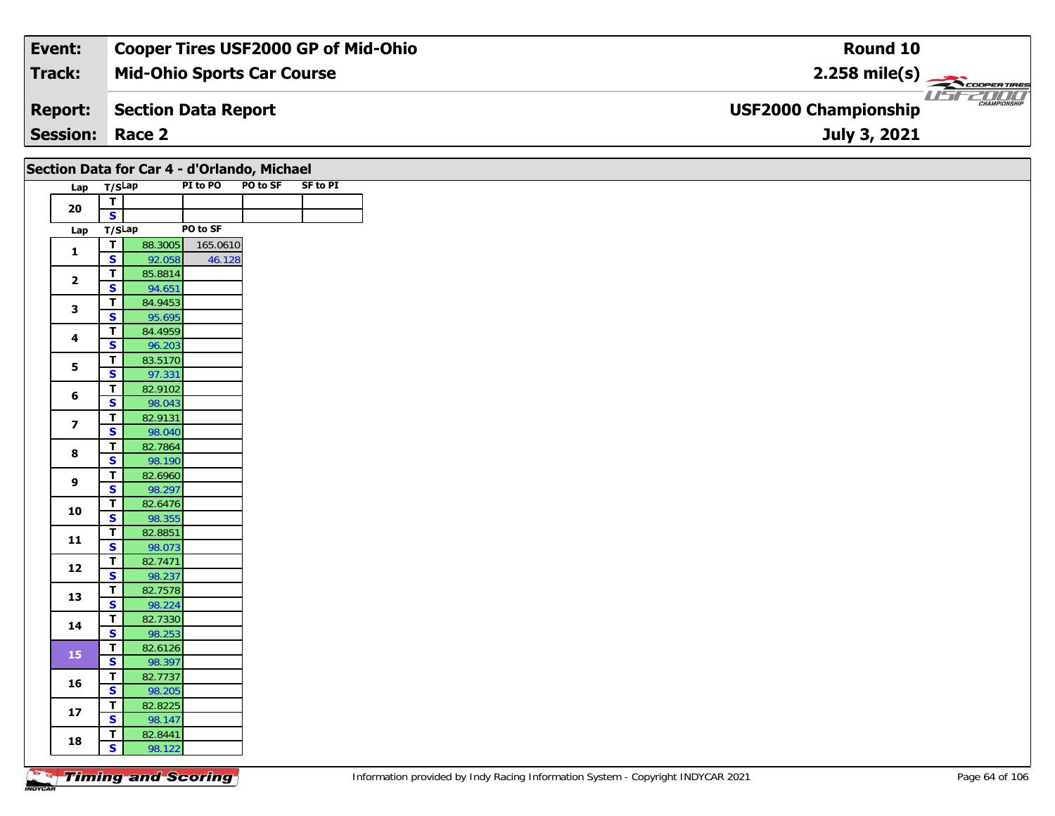#### **Event: Cooper Tires USF2000 GP of Mid-Ohio Round 102.258 mile(s) Mid-Ohio Sports Car Course Track:** COOPER TIRES USF2000 **Section Data Report Report: USF2000 Championship July 3, 2021 Session: Race 2**

## **Section Data for Car 4 - d'Orlando, Michael**

| Lap | T/SLap |         | PI to PO | PO to SF | <b>SF to PI</b> |
|-----|--------|---------|----------|----------|-----------------|
| 20  | Τ      |         |          |          |                 |
|     | S      |         |          |          |                 |
| Lap | T/SLap |         | PO to SF |          |                 |
| 1   | Τ      | 88.3005 | 165.0610 |          |                 |
|     | S      | 92.058  | 46.128   |          |                 |
| 2   | т      | 85.8814 |          |          |                 |
|     | S      | 94.651  |          |          |                 |
| 3   | т      | 84.9453 |          |          |                 |
|     | S      | 95.695  |          |          |                 |
| 4   | T      | 84.4959 |          |          |                 |
|     | S      | 96.203  |          |          |                 |
| 5   | T.     | 83.5170 |          |          |                 |
|     | S      | 97.331  |          |          |                 |
| 6   | т      | 82.9102 |          |          |                 |
|     | S      | 98.043  |          |          |                 |
| 7   | т      | 82.9131 |          |          |                 |
|     | S      | 98.040  |          |          |                 |
| 8   | Т      | 82.7864 |          |          |                 |
|     | S      | 98.190  |          |          |                 |
| 9   | т      | 82.6960 |          |          |                 |
|     | S      | 98.297  |          |          |                 |
| 10  | т      | 82.6476 |          |          |                 |
|     | S      | 98.355  |          |          |                 |
| 11  | т      | 82.8851 |          |          |                 |
|     | S      | 98.073  |          |          |                 |
| 12  | Τ      | 82.7471 |          |          |                 |
|     | S      | 98.237  |          |          |                 |
| 13  | т      | 82.7578 |          |          |                 |
|     | S      | 98.224  |          |          |                 |
| 14  | т      | 82.7330 |          |          |                 |
|     | S      | 98.253  |          |          |                 |
| 15  | т      | 82.6126 |          |          |                 |
|     | S      | 98.397  |          |          |                 |
| 16  | т      | 82.7737 |          |          |                 |
|     | S      | 98.205  |          |          |                 |
| 17  | т      | 82.8225 |          |          |                 |
|     | S      | 98.147  |          |          |                 |
| 18  | т      | 82.8441 |          |          |                 |
|     | S      | 98.122  |          |          |                 |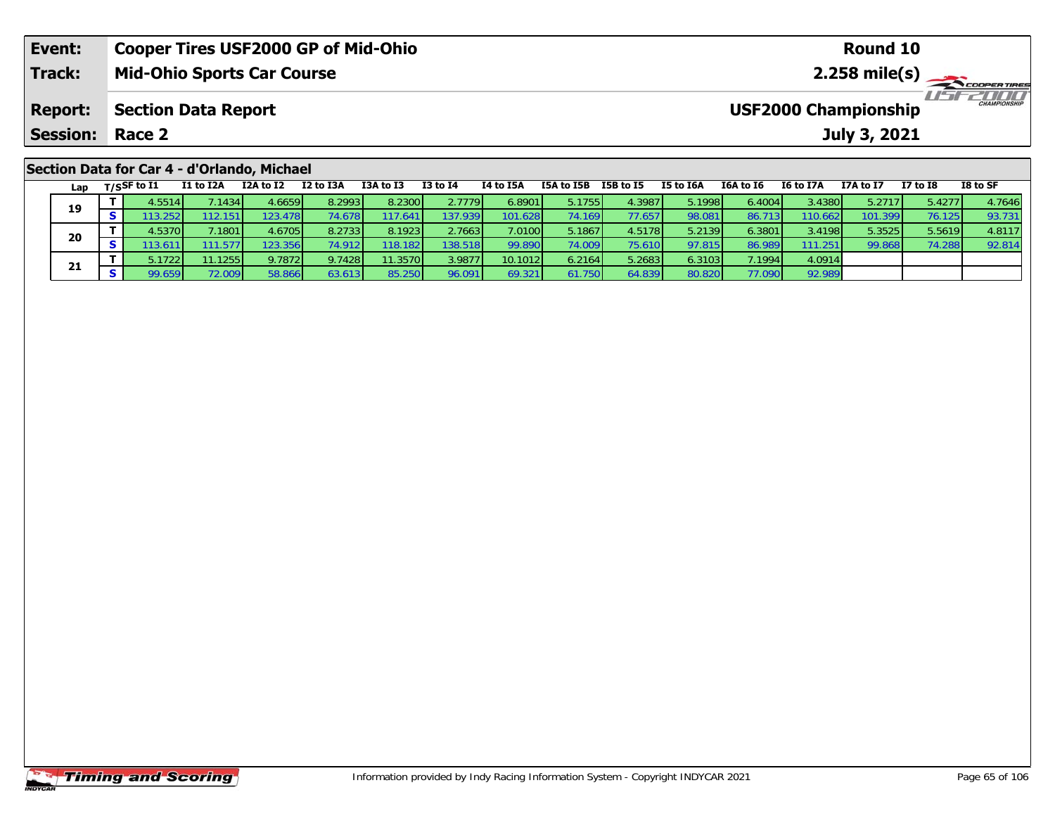| Event:                                      | <b>Cooper Tires USF2000 GP of Mid-Ohio</b> | Round 10                                           |  |  |  |  |  |  |
|---------------------------------------------|--------------------------------------------|----------------------------------------------------|--|--|--|--|--|--|
| Track:                                      | <b>Mid-Ohio Sports Car Course</b>          | $2.258$ mile(s)                                    |  |  |  |  |  |  |
| <b>Report:</b>                              | <b>Section Data Report</b>                 | <b>CHAMPIONSHIP</b><br><b>USF2000 Championship</b> |  |  |  |  |  |  |
| <b>Session:</b>                             | Race 2                                     | July 3, 2021                                       |  |  |  |  |  |  |
| Section Data for Car 4 - d'Orlando, Michael |                                            |                                                    |  |  |  |  |  |  |

| Lap | T/SSF to I1     | I1 to I2A        | I2A to I2       | I2 to I3A       | I3A to I3        | <b>I3 to I4</b> | I4 to I5A | I5A to I5B | I5B to I5 | I5 to I6A | I6A to I6 | I6 to I7A | I7A to I7 | <b>I7 to I8</b> | I8 to SF |
|-----|-----------------|------------------|-----------------|-----------------|------------------|-----------------|-----------|------------|-----------|-----------|-----------|-----------|-----------|-----------------|----------|
|     | 4.5514          | .1434            | 4.6659 <b>l</b> | 8.2993 l        | 8.2300           | 2.7779          | 6.8901    | 5.1755     | 4.3987    | 5.1998    | 6.4004    | 3.43801   | 5.2717    | 5.4277          | 4.7646   |
| 19  |                 | 112.151          | 123.478         | 74.678 I        | 17.641           | 137.939         | 101.6281  | 74.169 I   | 77.657    | 98.081    | 86.713    | 110.662   | 101.399   | 76.125          | 93.731   |
| 20  | 1.5370 <b>I</b> | .1801            | 4.6705          | 8.2733          | 8.1923           | 2.7663          | 7.0100    | 5.1867     | 4.5178    | 5.2139    | 6.3801    | 3.4198    | 5.3525    | 5.5619          | 4.8117   |
|     | 13.61           | 11.577.          | 23.356          |                 | 118.182 <b>1</b> | 138.518         | 99.890    | 74.0091    | 75.610    | 97.815    | 86.989    | 111.251   | 99.868    | 74.288          | 92.814   |
| 21  | 5.1722          | 11.1255 <b> </b> | 9.7872          | 9.7428          | 1.3570           | 3.9877          | 10.1012   | 6.2164     | 5.2683    | 6.3103    | 7.19941   | 4.0914    |           |                 |          |
|     |                 | 2.009            | 58.866          | 63.613 <b>1</b> | 85.250           | 96.091          | 69.321    | 7501       | 64.839    | 80.820    | 77.090 l  | 92.989    |           |                 |          |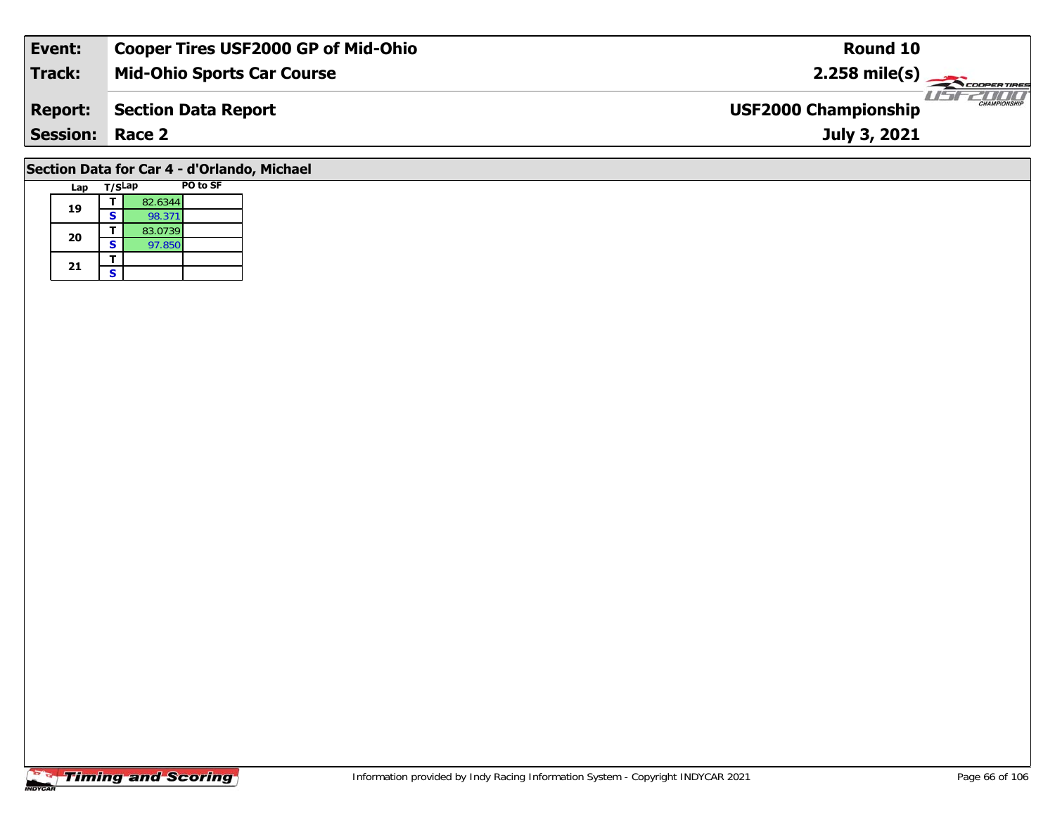| Event:                 | <b>Cooper Tires USF2000 GP of Mid-Ohio</b> | Round 10                                           |
|------------------------|--------------------------------------------|----------------------------------------------------|
| Track:                 | <b>Mid-Ohio Sports Car Course</b>          | $2.258 \text{ mile(s)}$                            |
| <b>Report:</b>         | Section Data Report                        | <b>CHAMPIONSHIP</b><br><b>USF2000 Championship</b> |
| <b>Session: Race 2</b> |                                            | July 3, 2021                                       |
|                        |                                            |                                                    |

# **Section Data for Car 4 - d'Orlando, Michael**

|  | Lap | T/SLap |         | PO to SF |
|--|-----|--------|---------|----------|
|  | 19  |        | 82.6344 |          |
|  |     | s      | 98.371  |          |
|  | 20  |        | 83.0739 |          |
|  |     | s      | 97.850  |          |
|  | 21  |        |         |          |
|  |     | S      |         |          |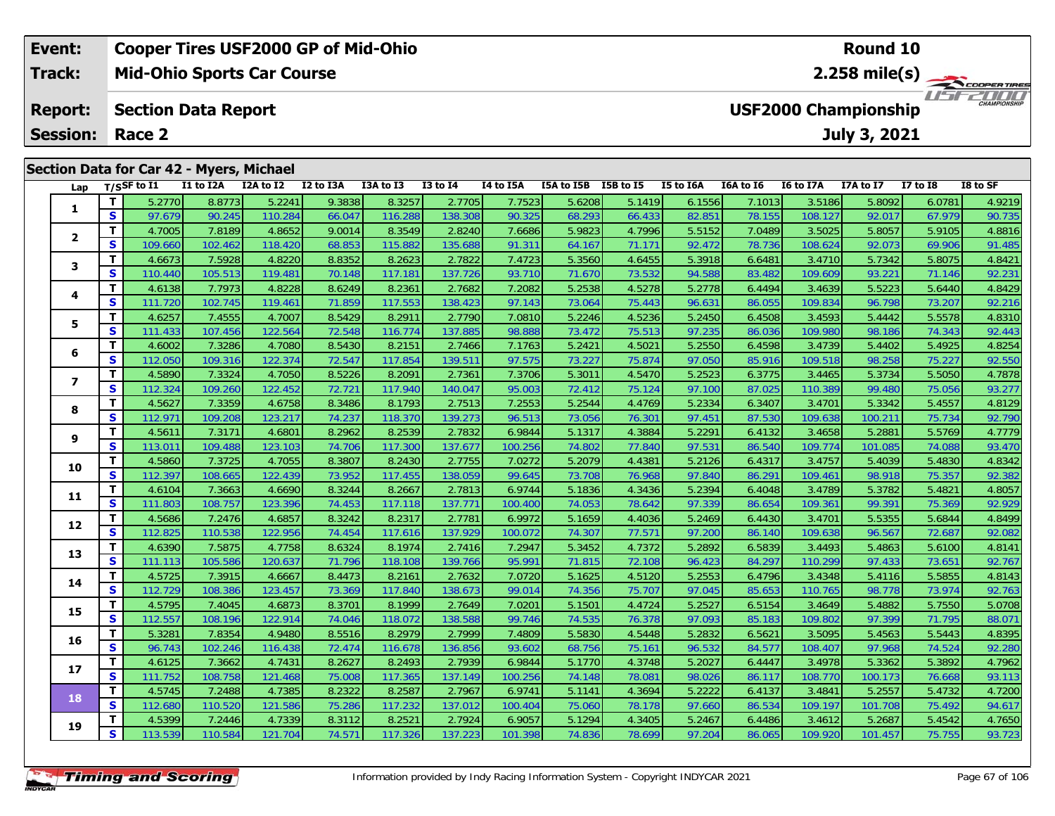| Event:                                                                      |                       | <b>Cooper Tires USF2000 GP of Mid-Ohio</b> |           |           |           |              |                  | <b>Round 10</b>      |  |           |                             |                  |              |            |          |  |
|-----------------------------------------------------------------------------|-----------------------|--------------------------------------------|-----------|-----------|-----------|--------------|------------------|----------------------|--|-----------|-----------------------------|------------------|--------------|------------|----------|--|
| <b>Track:</b>                                                               |                       | <b>Mid-Ohio Sports Car Course</b>          |           |           |           |              |                  |                      |  |           | $2.258$ mile(s)             |                  |              |            |          |  |
| <b>USF2000 Championship</b><br><b>Section Data Report</b><br><b>Report:</b> |                       |                                            |           |           |           |              |                  |                      |  |           | 2000<br><b>CHAMPIONSHIP</b> |                  |              |            |          |  |
| <b>Session:</b>                                                             | Race 2                |                                            |           |           |           |              |                  |                      |  |           |                             |                  | July 3, 2021 |            |          |  |
|                                                                             |                       |                                            |           |           |           |              |                  |                      |  |           |                             |                  |              |            |          |  |
| <b>Section Data for Car 42 - Myers, Michael</b>                             |                       |                                            |           |           |           |              |                  |                      |  |           |                             |                  |              |            |          |  |
| Lap                                                                         | $_{\rm T/SS}$ F to I1 | <b>I1 to I2A</b>                           | I2A to I2 | I2 to I3A | I3A to I3 | $I3$ to $I4$ | <b>I4 to I5A</b> | I5A to I5B I5B to I5 |  | I5 to I6A | I6A to I6                   | <b>I6 to I7A</b> | I7A to I7    | I7 to $I8$ | I8 to SF |  |

| Lap                      |              | T/SSF to 11 | 11 to 12A | <b>IZA to IZ</b> | 12 to 13A       | 13A to 13 | 13 to 14 | 14 to 15A | <b>15A to 15B</b> | <b>19R to 19</b> | 15 to 16A | <b>10A to 10</b> | 16 to 1/A | 1/A to 1/ | <b>17 to 18</b> | IS to SF |
|--------------------------|--------------|-------------|-----------|------------------|-----------------|-----------|----------|-----------|-------------------|------------------|-----------|------------------|-----------|-----------|-----------------|----------|
|                          | T.           | 5.2770      | 8.8773    | 5.2241           | 9.3838          | 8.3257    | 2.7705   | 7.7523    | 5.6208            | 5.1419           | 6.1556    | 7.1013           | 3.5186    | 5.8092    | 6.0781          | 4.9219   |
| 1                        | S            | 97.679      | 90.245    | 110.284          | 66.047          | 116.288   | 138.308  | 90.325    | 68.293            | 66.433           | 82.851    | 78.155           | 108.127   | 92.017    | 67.979          | 90.735   |
|                          | т            | 4.7005      | 7.8189    | 4.8652           | 9.0014          | 8.3549    | 2.8240   | 7.6686    | 5.9823            | 4.7996           | 5.5152    | 7.0489           | 3.5025    | 5.8057    | 5.9105          | 4.8816   |
| $\overline{2}$           | S            | 109.660     | 102.462   | 118.420          | 68.853          | 115.882   | 135.688  | 91.311    | 64.167            | 71.171           | 92.472    | 78.736           | 108.624   | 92.073    | 69.906          | 91.485   |
| 3                        | т            | 4.6673      | 7.5928    | 4.8220           | 8.8352          | 8.2623    | 2.7822   | 7.4723    | 5.3560            | 4.6455           | 5.3918    | 6.6481           | 3.4710    | 5.7342    | 5.8075          | 4.8421   |
|                          | $\mathbf{s}$ | 110.440     | 105.513   | 119.481          | 70.148          | 117.181   | 137.726  | 93.710    | 71.670            | 73.532           | 94.588    | 83.482           | 109.609   | 93.221    | 71.146          | 92.231   |
|                          | T            | 4.6138      | 7.7973    | 4.8228           | 8.6249          | 8.2361    | 2.7682   | 7.2082    | 5.2538            | 4.5278           | 5.2778    | 6.4494           | 3.4639    | 5.5223    | 5.6440          | 4.8429   |
| 4                        | $\mathbf s$  | 111.720     | 102.745   | 119.461          | 71.859          | 117.553   | 138.423  | 97.143    | 73.064            | 75.443           | 96.631    | 86.055           | 109.834   | 96.798    | 73.207          | 92.216   |
| 5                        | Т            | 4.6257      | 7.4555    | 4.7007           | 8.5429          | 8.2911    | 2.7790   | 7.0810    | 5.2246            | 4.5236           | 5.2450    | 6.4508           | 3.4593    | 5.4442    | 5.5578          | 4.8310   |
|                          | S            | 111.433     | 107.456   | 122.564          | 72.548          | 116.774   | 137.885  | 98.888    | 73.472            | 75.513           | 97.235    | 86.036           | 109.980   | 98.186    | 74.343          | 92.443   |
| 6                        | т            | 4.6002      | 7.3286    | 4.7080           | 8.5430          | 8.2151    | 2.7466   | 7.1763    | 5.2421            | 4.5021           | 5.2550    | 6.4598           | 3.4739    | 5.4402    | 5.4925          | 4.8254   |
|                          | S            | 112.050     | 109.316   | 122.374          | 72.547          | 117.854   | 139.511  | 97.575    | 73.227            | 75.874           | 97.050    | 85.916           | 109.518   | 98.258    | 75.227          | 92.550   |
| $\overline{\phantom{a}}$ | т            | 4.5890      | 7.3324    | 4.7050           | 8.5226          | 8.2091    | 2.7361   | 7.3706    | 5.3011            | 4.5470           | 5.2523    | 6.3775           | 3.4465    | 5.3734    | 5.5050          | 4.7878   |
|                          | S            | 112.324     | 109.260   | 122.452          | $72.72^{\circ}$ | 117.940   | 140.047  | 95.003    | 72.412            | 75.124           | 97.100    | 87.025           | 110.389   | 99.480    | 75.056          | 93.277   |
| 8                        | т            | 4.5627      | 7.3359    | 4.6758           | 8.3486          | 8.1793    | 2.7513   | 7.2553    | 5.2544            | 4.4769           | 5.2334    | 6.3407           | 3.4701    | 5.3342    | 5.4557          | 4.8129   |
|                          | S            | 112.971     | 109.208   | 123.217          | 74.237          | 118.370   | 139.273  | 96.513    | 73.056            | 76.301           | 97.451    | 87.530           | 109.638   | 100.211   | 75.734          | 92.790   |
| 9                        | т            | 4.5611      | 7.3171    | 4.6801           | 8.2962          | 8.2539    | 2.7832   | 6.9844    | 5.1317            | 4.3884           | 5.2291    | 6.4132           | 3.4658    | 5.2881    | 5.5769          | 4.7779   |
|                          | S            | 113.011     | 109.488   | 123.103          | 74.706          | 117.300   | 137.677  | 100.256   | 74.802            | 77.840           | 97.531    | 86.540           | 109.774   | 101.085   | 74.088          | 93.470   |
| 10                       | т            | 4.5860      | 7.3725    | 4.7055           | 8.3807          | 8.2430    | 2.7755   | 7.0272    | 5.2079            | 4.4381           | 5.2126    | 6.4317           | 3.4757    | 5.4039    | 5.4830          | 4.8342   |
|                          | $\mathbf{s}$ | 112.397     | 108.665   | 122.439          | 73.952          | 117.455   | 138.059  | 99.645    | 73.708            | 76.968           | 97.840    | 86.291           | 109.461   | 98.918    | 75.357          | 92.382   |
| 11                       | T.           | 4.6104      | 7.3663    | 4.6690           | 8.3244          | 8.2667    | 2.7813   | 6.9744    | 5.1836            | 4.3436           | 5.2394    | 6.4048           | 3.4789    | 5.3782    | 5.4821          | 4.8057   |
|                          | $\mathbf{s}$ | 111.803     | 108.757   | 123.396          | 74.453          | 117.118   | 137.771  | 100.400   | 74.053            | 78.642           | 97.339    | 86.654           | 109.361   | 99.391    | 75.369          | 92.929   |
| 12                       | Т            | 4.5686      | 7.2476    | 4.6857           | 8.3242          | 8.2317    | 2.7781   | 6.9972    | 5.1659            | 4.4036           | 5.2469    | 6.4430           | 3.4701    | 5.5355    | 5.6844          | 4.8499   |
|                          | S            | 112.825     | 110.538   | 122.956          | 74.454          | 117.616   | 137.929  | 100.072   | 74.307            | 77.571           | 97.200    | 86.140           | 109.638   | 96.567    | 72.687          | 92.082   |
| 13                       | т            | 4.6390      | 7.5875    | 4.7758           | 8.6324          | 8.1974    | 2.7416   | 7.2947    | 5.3452            | 4.7372           | 5.2892    | 6.5839           | 3.4493    | 5.4863    | 5.6100          | 4.8141   |
|                          | S            | 111.113     | 105.586   | 120.637          | 71.796          | 118.108   | 139.766  | 95.991    | 71.815            | 72.108           | 96.423    | 84.297           | 110.299   | 97.433    | 73.651          | 92.767   |
| 14                       | т            | 4.5725      | 7.3915    | 4.6667           | 8.4473          | 8.2161    | 2.7632   | 7.0720    | 5.1625            | 4.5120           | 5.2553    | 6.4796           | 3.4348    | 5.4116    | 5.5855          | 4.8143   |
|                          | $\mathbf{s}$ | 112.729     | 108.386   | 123.457          | 73.369          | 117.840   | 138.673  | 99.014    | 74.356            | 75.707           | 97.045    | 85.653           | 110.765   | 98.778    | 73.974          | 92.763   |
| 15                       | т            | 4.5795      | 7.4045    | 4.6873           | 8.3701          | 8.1999    | 2.7649   | 7.0201    | 5.1501            | 4.4724           | 5.2527    | 6.5154           | 3.4649    | 5.4882    | 5.7550          | 5.0708   |
|                          | S            | 112.557     | 108.196   | 122.914          | 74.046          | 118.072   | 138.588  | 99.746    | 74.535            | 76.378           | 97.093    | 85.183           | 109.802   | 97.399    | 71.795          | 88.071   |
| 16                       | т            | 5.3281      | 7.8354    | 4.9480           | 8.5516          | 8.2979    | 2.7999   | 7.4809    | 5.5830            | 4.5448           | 5.2832    | 6.5621           | 3.5095    | 5.4563    | 5.5443          | 4.8395   |
|                          | S            | 96.743      | 102.246   | 116.438          | 72.474          | 116.678   | 136.856  | 93.602    | 68.756            | 75.161           | 96.532    | 84.577           | 108.407   | 97.968    | 74.524          | 92.280   |
| 17                       | т            | 4.6125      | 7.3662    | 4.7431           | 8.2627          | 8.2493    | 2.7939   | 6.9844    | 5.1770            | 4.3748           | 5.2027    | 6.4447           | 3.4978    | 5.3362    | 5.3892          | 4.7962   |
|                          | $\mathbf{s}$ | 111.752     | 108.758   | 121.468          | 75.008          | 117.365   | 137.149  | 100.256   | 74.148            | 78.081           | 98.026    | 86.117           | 108.770   | 100.173   | 76.668          | 93.113   |
| 18                       | т            | 4.5745      | 7.2488    | 4.7385           | 8.2322          | 8.2587    | 2.7967   | 6.9741    | 5.1141            | 4.3694           | 5.2222    | 6.4137           | 3.4841    | 5.2557    | 5.4732          | 4.7200   |
|                          | S            | 112.680     | 110.520   | 121.586          | 75.286          | 117.232   | 137.012  | 100.404   | 75.060            | 78.178           | 97.660    | 86.534           | 109.197   | 101.708   | 75.492          | 94.617   |
| 19                       | т            | 4.5399      | 7.2446    | 4.7339           | 8.3112          | 8.2521    | 2.7924   | 6.9057    | 5.1294            | 4.3405           | 5.2467    | 6.4486           | 3.4612    | 5.2687    | 5.4542          | 4.7650   |
|                          | S            | 113.539     | 110.584   | 121.704          | 74.571          | 117.326   | 137.223  | 101.398   | 74.836            | 78.699           | 97.204    | 86.065           | 109.920   | 101.457   | 75.755          | 93.723   |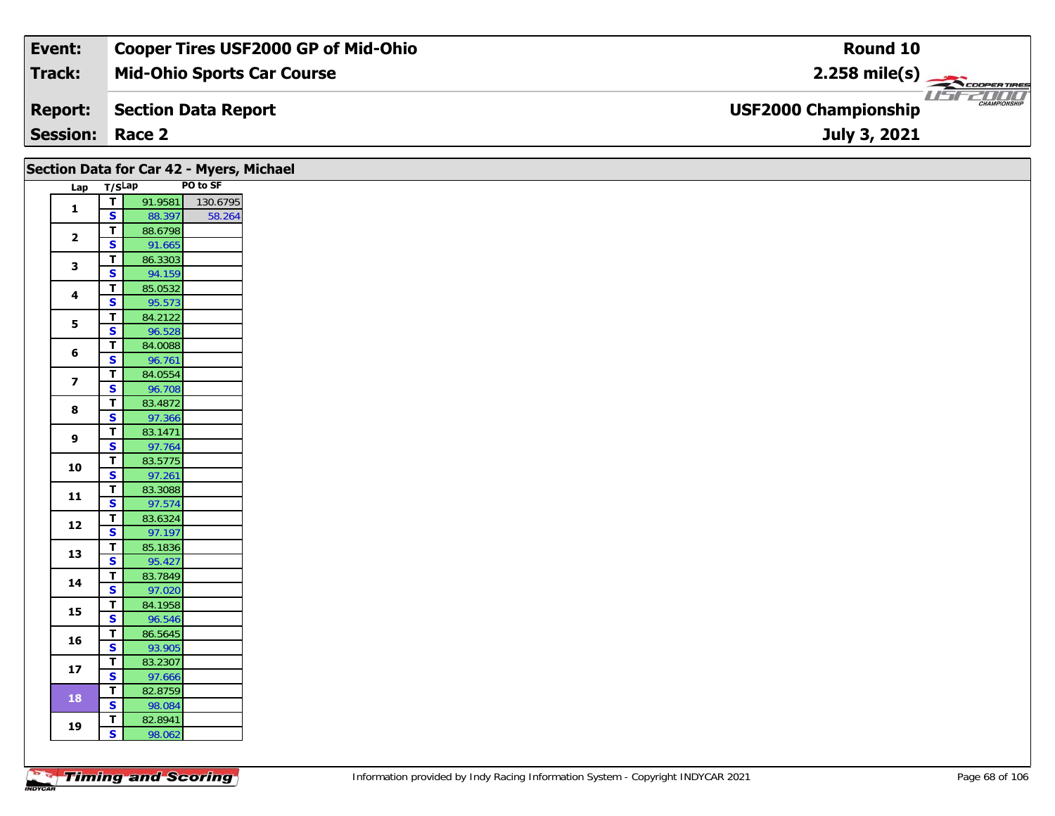| Event:                 | <b>Cooper Tires USF2000 GP of Mid-Ohio</b> | Round 10                                           |
|------------------------|--------------------------------------------|----------------------------------------------------|
| Track:                 | <b>Mid-Ohio Sports Car Course</b>          | $2.258$ mile(s)                                    |
| <b>Report:</b>         | Section Data Report                        | <b>CHAMPIONSHIP</b><br><b>USF2000 Championship</b> |
| <b>Session: Race 2</b> |                                            | July 3, 2021                                       |

|                         |                                         | Section Data for Car 42 - Myers, Michael |          |
|-------------------------|-----------------------------------------|------------------------------------------|----------|
| Lap T/SLap              |                                         |                                          | PO to SF |
|                         | $\mathbf{T}$                            | 91.9581                                  | 130.6795 |
| $\mathbf{1}$            | $\mathbf{s}$                            | 88.397                                   | 58.264   |
| $\mathbf{2}$            | $\mathbf T$                             | 88.6798                                  |          |
|                         | $\mathbf{s}$                            | 91.665                                   |          |
| 3                       | T                                       | 86.3303                                  |          |
|                         | $\overline{\mathbf{s}}$                 | 94.159                                   |          |
| $\overline{\mathbf{4}}$ | $\mathbf T$                             | 85.0532                                  |          |
|                         | $\overline{\mathbf{s}}$                 | 95.573                                   |          |
| 5                       | T.                                      | 84.2122                                  |          |
|                         | $\overline{\mathbf{s}}$                 | 96.528                                   |          |
| 6                       | $\mathbf T$<br>S                        | 84.0088                                  |          |
|                         | T                                       | 96.761<br>84.0554                        |          |
| $\overline{\mathbf{z}}$ | $\overline{\mathbf{s}}$                 | 96.708                                   |          |
|                         | $\mathbf{T}$                            | 83.4872                                  |          |
| 8                       | $\mathbf{s}$                            | 97.366                                   |          |
|                         | T.                                      | 83.1471                                  |          |
| 9                       | $\overline{\mathbf{s}}$                 | 97.764                                   |          |
|                         | $\mathbf T$                             | 83.5775                                  |          |
| 10                      | $\overline{\mathbf{s}}$                 | 97.261                                   |          |
|                         | T                                       | 83.3088                                  |          |
| 11                      | $\overline{\mathbf{s}}$                 | 97.574                                   |          |
|                         | $\mathbf{T}$                            | 83.6324                                  |          |
| 12                      | $\overline{\mathbf{s}}$                 | 97.197                                   |          |
| 13                      | T                                       | 85.1836                                  |          |
|                         | $\overline{\mathbf{s}}$                 | 95.427                                   |          |
| 14                      | $\mathbf{T}$                            | 83.7849                                  |          |
|                         | $\overline{\mathbf{s}}$                 | 97.020                                   |          |
| 15                      | T                                       | 84.1958                                  |          |
|                         | $\overline{\mathbf{s}}$                 | 96.546                                   |          |
| 16                      | $\mathbf{T}$                            | 86.5645                                  |          |
|                         | $\overline{\mathbf{s}}$                 | 93.905                                   |          |
| 17                      | T<br>$\overline{\mathbf{s}}$            | 83.2307                                  |          |
|                         |                                         | 97.666                                   |          |
| <b>18</b>               | $\mathbf{T}$<br>$\overline{\mathbf{s}}$ | 82.8759<br>98.084                        |          |
|                         | T                                       | 82.8941                                  |          |
| 19                      | $\overline{\mathbf{s}}$                 | 98.062                                   |          |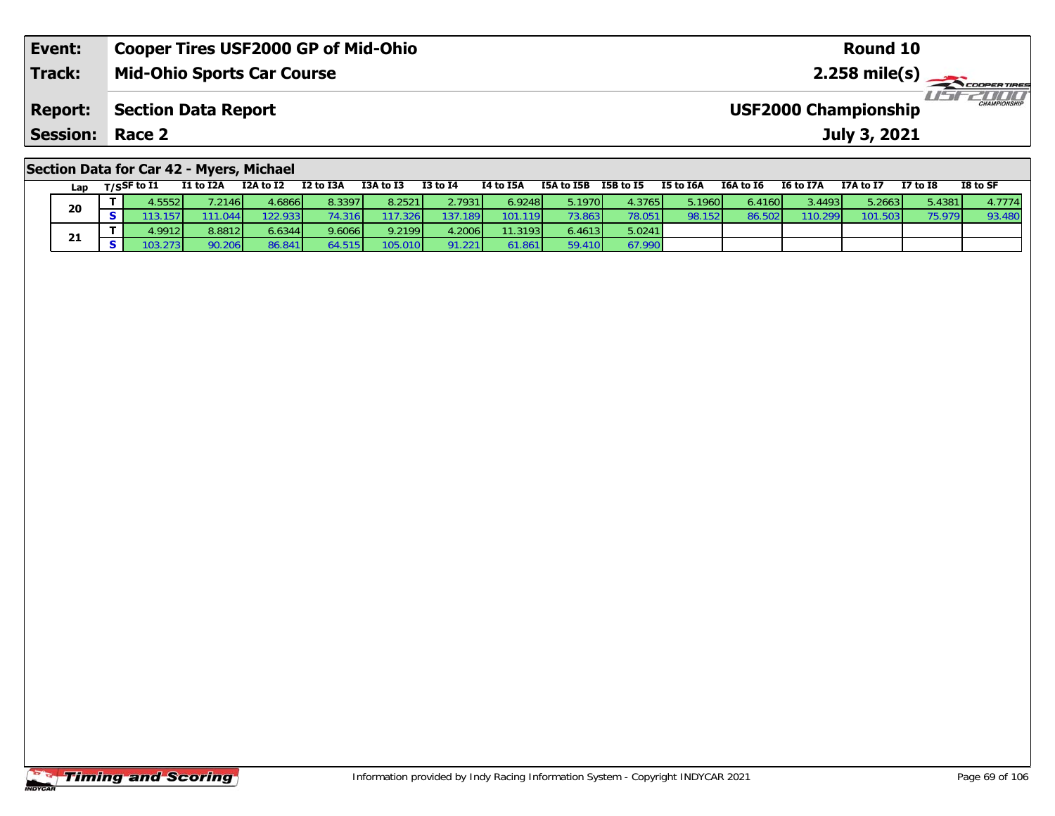| Event:                                   | <b>Cooper Tires USF2000 GP of Mid-Ohio</b> | Round 10                                           |  |  |  |  |  |  |  |
|------------------------------------------|--------------------------------------------|----------------------------------------------------|--|--|--|--|--|--|--|
| <b>Track:</b>                            | <b>Mid-Ohio Sports Car Course</b>          |                                                    |  |  |  |  |  |  |  |
| <b>Report:</b>                           | Section Data Report                        | <b>CHAMPIONSHIP</b><br><b>USF2000 Championship</b> |  |  |  |  |  |  |  |
| <b>Session: Race 2</b>                   |                                            | July 3, 2021                                       |  |  |  |  |  |  |  |
| Section Data for Car 42 - Myers, Michael |                                            |                                                    |  |  |  |  |  |  |  |

| Lap | T/SSF to I1     | <b>I1 to I2A</b> | I2A to I2 | I2 to I3A               | I3A to I3 | <b>I3 to I4</b> | I4 to I5A | I5A to I5B      | I5B to I5 | I5 to I6A | I6A to I6 | I6 to I7A | I7A to I7 | <b>I7 to I8</b> | I8 to SF |
|-----|-----------------|------------------|-----------|-------------------------|-----------|-----------------|-----------|-----------------|-----------|-----------|-----------|-----------|-----------|-----------------|----------|
| 20  | 4.5552          | .2146            | 4.6866    | 8.3397                  | 8.2521    | 2.7931          | 6.9248    | 5.1970          | 4.3765    | 5.1960    | 6.4160    | 3.4493    | 5.2663    | 5.4381          | 4.7774   |
|     |                 |                  | 22.933    | 3161،،                  | .326      | 137.189         | 101.119   | 73.863          | 78.051    | 98.152    | 86.502    | 110.299   | 101.503   | 75.979          | 93.480   |
|     | 4.9912 <b>1</b> | 9.8812           | 6.6344    | 9.6066 <b>1</b>         | 9.2199    | 4.2006          | 11.3193   | 6.4613          | 5.0241    |           |           |           |           |                 |          |
| 21  |                 | 0.206            | 86.841    | $54.515$ $\blacksquare$ | 105.010   | 91.221          | 61.861    | 50 <sub>1</sub> | 67.990    |           |           |           |           |                 |          |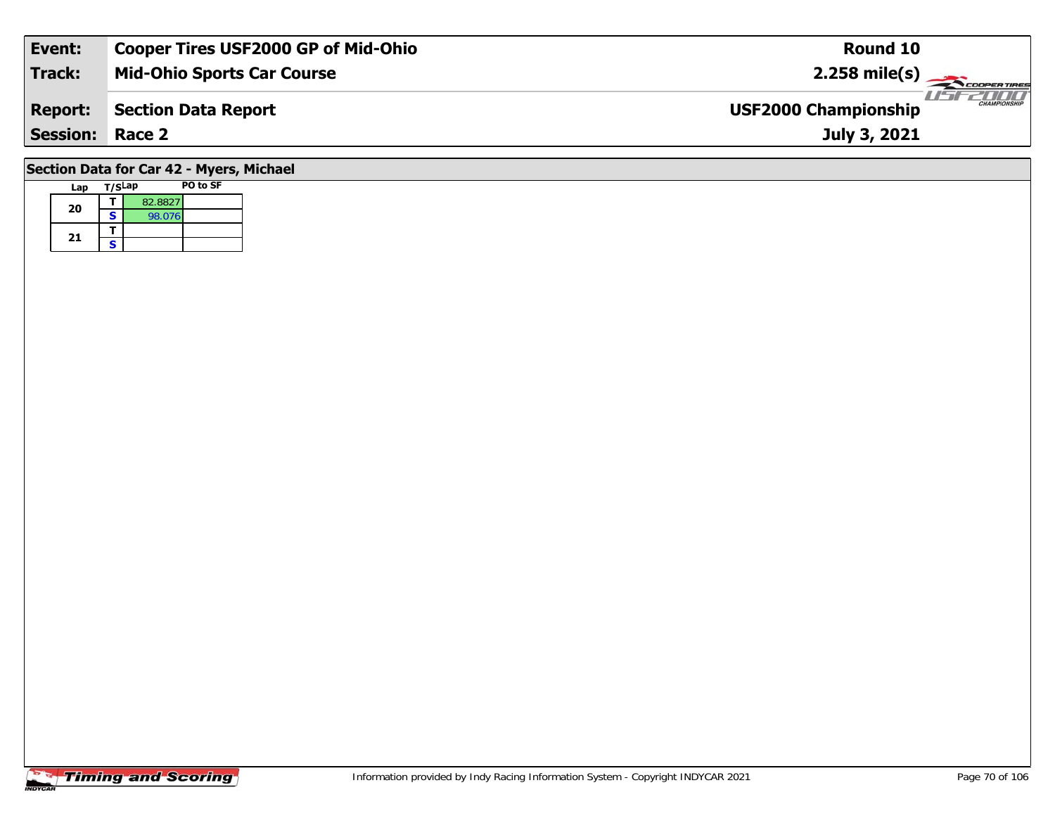| Event:          | <b>Cooper Tires USF2000 GP of Mid-Ohio</b> | Round 10                                           |
|-----------------|--------------------------------------------|----------------------------------------------------|
| <b>Track:</b>   | <b>Mid-Ohio Sports Car Course</b>          | $2.258 \text{ mile(s)}$                            |
| <b>Report:</b>  | Section Data Report                        | <b>CHAMPIONSHIP</b><br><b>USF2000 Championship</b> |
| <b>Session:</b> | Race 2                                     | July 3, 2021                                       |
|                 | .                                          |                                                    |

## **Section Data for Car 42 - Myers, Michael**

| Lap | T/SLap |         | PO to SF |
|-----|--------|---------|----------|
| 20  |        | 82.8827 |          |
|     | S      | 98.076  |          |
|     |        |         |          |
| 21  | ς      |         |          |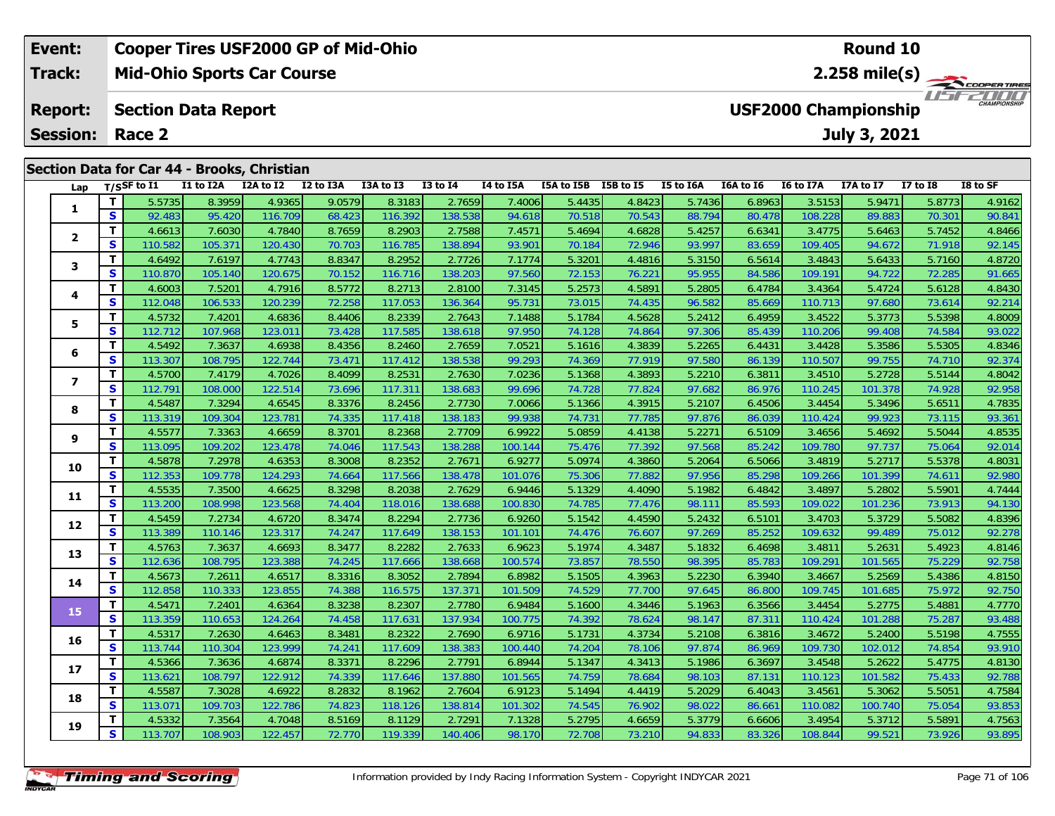| Event:          | <b>Cooper Tires USF2000 GP of Mid-Ohio</b>  |  |                             |  |  |  | <b>Round 10</b> |  |  |                                        |  |              |  |  |  |  |
|-----------------|---------------------------------------------|--|-----------------------------|--|--|--|-----------------|--|--|----------------------------------------|--|--------------|--|--|--|--|
| <b>Track:</b>   | <b>Mid-Ohio Sports Car Course</b>           |  |                             |  |  |  |                 |  |  | $2.258$ mile(s)                        |  |              |  |  |  |  |
| <b>Report:</b>  | <b>Section Data Report</b>                  |  | <b>USF2000 Championship</b> |  |  |  |                 |  |  | <b>TITTITTI</b><br><b>CHAMPIONSHIP</b> |  |              |  |  |  |  |
| <b>Session:</b> | Race 2                                      |  |                             |  |  |  |                 |  |  |                                        |  | July 3, 2021 |  |  |  |  |
|                 |                                             |  |                             |  |  |  |                 |  |  |                                        |  |              |  |  |  |  |
|                 |                                             |  |                             |  |  |  |                 |  |  |                                        |  |              |  |  |  |  |
|                 | Section Data for Car 44 - Brooks, Christian |  |                             |  |  |  |                 |  |  |                                        |  |              |  |  |  |  |
|                 |                                             |  |                             |  |  |  |                 |  |  |                                        |  |              |  |  |  |  |

| Lap            |              | T/SSF to 11 | <b>II TO LZA</b> | <b>IZA TO IZ</b> | <b>IZ TO ISA</b> | <b>LJA TO LJ</b> | 13 TO 14 | 14 TO 15A | <b>15A TO 15B</b> | 12R 10 12 | <b>15 TO TPA</b> | <b>TOA TO TO</b> | 10 TO 1/A | 1/A to 1/ | <b>17 10 18</b> | 18 TO SF |
|----------------|--------------|-------------|------------------|------------------|------------------|------------------|----------|-----------|-------------------|-----------|------------------|------------------|-----------|-----------|-----------------|----------|
| 1              | T.           | 5.5735      | 8.3959           | 4.9365           | 9.0579           | 8.3183           | 2.7659   | 7.4006    | 5.4435            | 4.8423    | 5.7436           | 6.8963           | 3.5153    | 5.9471    | 5.8773          | 4.9162   |
|                | S            | 92.483      | 95.420           | 116.709          | 68.423           | 116.392          | 138.538  | 94.618    | 70.518            | 70.543    | 88.794           | 80.478           | 108.228   | 89.883    | 70.301          | 90.841   |
| $\overline{2}$ | T            | 4.6613      | 7.6030           | 4.7840           | 8.7659           | 8.2903           | 2.7588   | 7.4571    | 5.4694            | 4.6828    | 5.4257           | 6.6341           | 3.4775    | 5.6463    | 5.7452          | 4.8466   |
|                | S            | 110.582     | 105.371          | 120.430          | 70.703           | 116.785          | 138.894  | 93.901    | 70.184            | 72.946    | 93.997           | 83.659           | 109.405   | 94.672    | 71.918          | 92.145   |
|                | $\mathbf{T}$ | 4.6492      | 7.6197           | 4.7743           | 8.8347           | 8.2952           | 2.7726   | 7.1774    | 5.3201            | 4.4816    | 5.3150           | 6.5614           | 3.4843    | 5.6433    | 5.7160          | 4.8720   |
| 3              | S            | 110.870     | 105.140          | 120.675          | 70.152           | 116.716          | 138.203  | 97.560    | 72.153            | 76.221    | 95.955           | 84.586           | 109.191   | 94.722    | 72.285          | 91.665   |
|                | T            | 4.6003      | 7.5201           | 4.7916           | 8.5772           | 8.2713           | 2.8100   | 7.3145    | 5.2573            | 4.5891    | 5.2805           | 6.4784           | 3.4364    | 5.4724    | 5.6128          | 4.8430   |
| 4              | S            | 112.048     | 106.533          | 120.239          | 72.258           | 117.053          | 136.364  | 95.731    | 73.015            | 74.435    | 96.582           | 85.669           | 110.713   | 97.680    | 73.614          | 92.214   |
| 5              | T            | 4.5732      | 7.4201           | 4.6836           | 8.4406           | 8.2339           | 2.7643   | 7.1488    | 5.1784            | 4.5628    | 5.2412           | 6.4959           | 3.4522    | 5.3773    | 5.5398          | 4.8009   |
|                | S            | 112.712     | 107.968          | 123.011          | 73.428           | 117.585          | 138.618  | 97.950    | 74.128            | 74.864    | 97.306           | 85.439           | 110.206   | 99.408    | 74.584          | 93.022   |
| 6              | $\mathbf T$  | 4.5492      | 7.3637           | 4.6938           | 8.4356           | 8.2460           | 2.7659   | 7.0521    | 5.1616            | 4.3839    | 5.2265           | 6.4431           | 3.4428    | 5.3586    | 5.5305          | 4.8346   |
|                | $\mathbf{s}$ | 113.307     | 108.795          | 122.744          | 73.471           | 117.412          | 138.538  | 99.293    | 74.369            | 77.919    | 97.580           | 86.139           | 110.507   | 99.755    | 74.710          | 92.374   |
|                | Т            | 4.5700      | 7.4179           | 4.7026           | 8.4099           | 8.2531           | 2.7630   | 7.0236    | 5.1368            | 4.3893    | 5.2210           | 6.3811           | 3.4510    | 5.2728    | 5.5144          | 4.8042   |
| 7              | $\mathbf{s}$ | 112.791     | 108.000          | 122.514          | 73.696           | 117.311          | 138.683  | 99.696    | 74.728            | 77.824    | 97.682           | 86.976           | 110.245   | 101.378   | 74.928          | 92.958   |
| 8              | Т            | 4.5487      | 7.3294           | 4.6545           | 8.3376           | 8.2456           | 2.7730   | 7.0066    | 5.1366            | 4.3915    | 5.2107           | 6.4506           | 3.4454    | 5.3496    | 5.6511          | 4.7835   |
|                | S            | 113.319     | 109.304          | 123.781          | 74.335           | 117.418          | 138.183  | 99.938    | 74.731            | 77.785    | 97.876           | 86.039           | 110.424   | 99.923    | 73.115          | 93.361   |
| 9              | T            | 4.5577      | 7.3363           | 4.6659           | 8.3701           | 8.2368           | 2.7709   | 6.9922    | 5.0859            | 4.4138    | 5.2271           | 6.5109           | 3.4656    | 5.4692    | 5.5044          | 4.8535   |
|                | S            | 113.095     | 109.202          | 123.478          | 74.046           | 117.543          | 138.288  | 100.144   | 75.476            | 77.392    | 97.568           | 85.242           | 109.780   | 97.737    | 75.064          | 92.014   |
| 10             | T            | 4.5878      | 7.2978           | 4.6353           | 8.3008           | 8.2352           | 2.7671   | 6.9277    | 5.0974            | 4.3860    | 5.2064           | 6.5066           | 3.4819    | 5.2717    | 5.5378          | 4.8031   |
|                | S            | 112.353     | 109.778          | 124.293          | 74.664           | 117.566          | 138.478  | 101.076   | 75.306            | 77.882    | 97.956           | 85.298           | 109.266   | 101.399   | 74.611          | 92.980   |
| 11             | T            | 4.5535      | 7.3500           | 4.6625           | 8.3298           | 8.2038           | 2.7629   | 6.9446    | 5.1329            | 4.4090    | 5.1982           | 6.4842           | 3.4897    | 5.2802    | 5.5901          | 4.7444   |
|                | $\mathbf{s}$ | 113.200     | 108.998          | 123.568          | 74.404           | 118.016          | 138.688  | 100.830   | 74.785            | 77.476    | 98.111           | 85.593           | 109.022   | 101.236   | 73.913          | 94.130   |
| 12             | T            | 4.5459      | 7.2734           | 4.6720           | 8.3474           | 8.2294           | 2.7736   | 6.9260    | 5.1542            | 4.4590    | 5.2432           | 6.5101           | 3.4703    | 5.3729    | 5.5082          | 4.8396   |
|                | S            | 113.389     | 110.146          | 123.317          | 74.247           | 117.649          | 138.153  | 101.101   | 74.476            | 76.607    | 97.269           | 85.252           | 109.632   | 99.489    | 75.012          | 92.278   |
| 13             | T            | 4.5763      | 7.3637           | 4.6693           | 8.3477           | 8.2282           | 2.7633   | 6.9623    | 5.1974            | 4.3487    | 5.1832           | 6.4698           | 3.4811    | 5.2631    | 5.4923          | 4.8146   |
|                | S            | 112.636     | 108.795          | 123.388          | 74.245           | 117.666          | 138.668  | 100.574   | 73.857            | 78.550    | 98.395           | 85.783           | 109.291   | 101.565   | 75.229          | 92.758   |
| 14             | т            | 4.5673      | 7.2611           | 4.6517           | 8.3316           | 8.3052           | 2.7894   | 6.8982    | 5.1505            | 4.3963    | 5.2230           | 6.3940           | 3.4667    | 5.2569    | 5.4386          | 4.8150   |
|                | S            | 112.858     | 110.333          | 123.855          | 74.388           | 116.575          | 137.371  | 101.509   | 74.529            | 77.700    | 97.645           | 86.800           | 109.745   | 101.685   | 75.972          | 92.750   |
| 15             | T            | 4.5471      | 7.2401           | 4.6364           | 8.3238           | 8.2307           | 2.7780   | 6.9484    | 5.1600            | 4.3446    | 5.1963           | 6.3566           | 3.4454    | 5.2775    | 5.4881          | 4.7770   |
|                | $\mathbf{s}$ | 113.359     | 110.653          | 124.264          | 74.458           | 117.631          | 137.934  | 100.775   | 74.392            | 78.624    | 98.147           | 87.311           | 110.424   | 101.288   | 75.287          | 93.488   |
| 16             | T            | 4.5317      | 7.2630           | 4.6463           | 8.3481           | 8.2322           | 2.7690   | 6.9716    | 5.1731            | 4.3734    | 5.2108           | 6.3816           | 3.4672    | 5.2400    | 5.5198          | 4.7555   |
|                | S            | 113.744     | 110.304          | 123.999          | 74.241           | 117.609          | 138.383  | 100.440   | 74.204            | 78.106    | 97.874           | 86.969           | 109.730   | 102.012   | 74.854          | 93.910   |
| 17             | Т            | 4.5366      | 7.3636           | 4.6874           | 8.3371           | 8.2296           | 2.7791   | 6.8944    | 5.1347            | 4.3413    | 5.1986           | 6.3697           | 3.4548    | 5.2622    | 5.4775          | 4.8130   |
|                | S            | 113.621     | 108.797          | 122.912          | 74.339           | 117.646          | 137.880  | 101.565   | 74.759            | 78.684    | 98.103           | 87.131           | 110.123   | 101.582   | 75.433          | 92.788   |
| 18             | $\mathbf T$  | 4.5587      | 7.3028           | 4.6922           | 8.2832           | 8.1962           | 2.7604   | 6.9123    | 5.1494            | 4.4419    | 5.2029           | 6.4043           | 3.4561    | 5.3062    | 5.5051          | 4.7584   |
|                | $\mathbf{s}$ | 113.071     | 109.703          | 122.786          | 74.823           | 118.126          | 138.814  | 101.302   | 74.545            | 76.902    | 98.022           | 86.661           | 110.082   | 100.740   | 75.054          | 93.853   |
| 19             | $\mathbf T$  | 4.5332      | 7.3564           | 4.7048           | 8.5169           | 8.1129           | 2.7291   | 7.1328    | 5.2795            | 4.6659    | 5.3779           | 6.6606           | 3.4954    | 5.3712    | 5.5891          | 4.7563   |
|                | S            | 113.707     | 108.903          | 122.457          | 72.770           | 119.339          | 140.406  | 98.170    | 72.708            | 73.210    | 94.833           | 83.326           | 108.844   | 99.521    | 73.926          | 93.895   |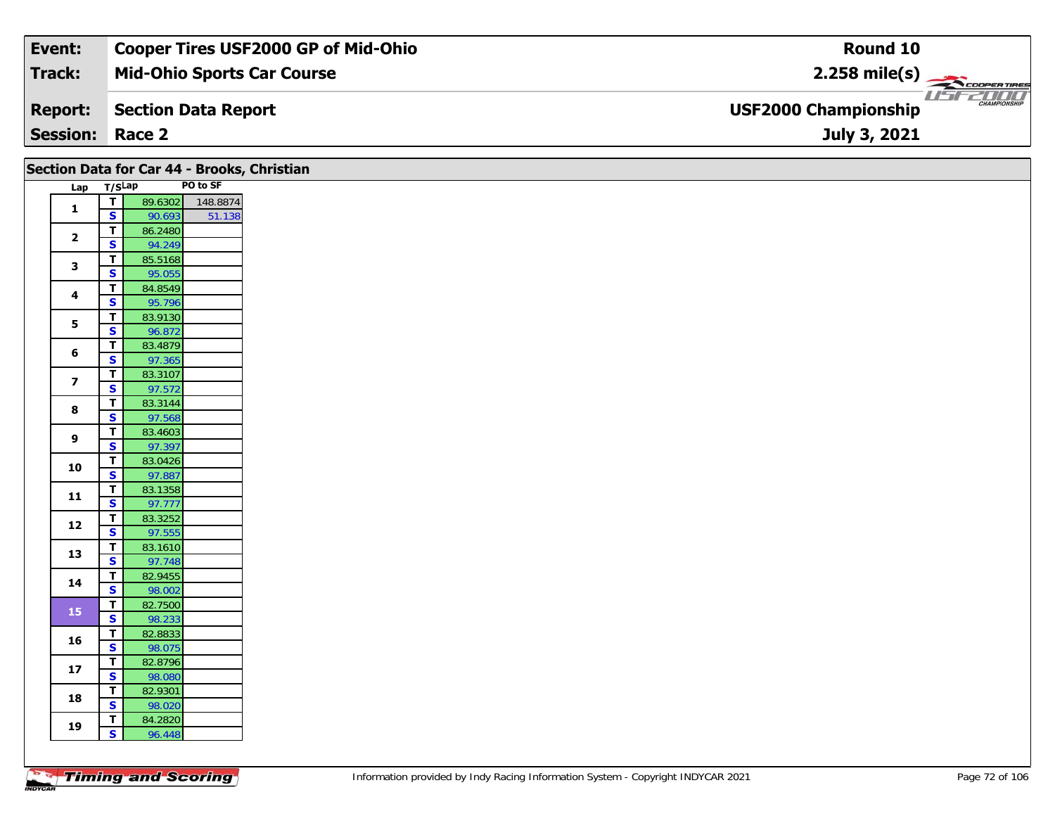| Event:                 | Cooper Tires USF2000 GP of Mid-Ohio | Round 10                                           |
|------------------------|-------------------------------------|----------------------------------------------------|
| Track:                 | <b>Mid-Ohio Sports Car Course</b>   | $2.258$ mile(s)                                    |
| <b>Report:</b>         | Section Data Report                 | <b>CHAMPIONSHIP</b><br><b>USF2000 Championship</b> |
| <b>Session: Race 2</b> |                                     | July 3, 2021                                       |

|  |                         |                         |                   |          | Section Data for Car 44 - Brooks, Christian |
|--|-------------------------|-------------------------|-------------------|----------|---------------------------------------------|
|  | Lap T/SLap              |                         |                   | PO to SF |                                             |
|  |                         | $\blacksquare$          | 89.6302           | 148.8874 |                                             |
|  | $\mathbf{1}$            | $\overline{\mathbf{s}}$ | 90.693            | 51.138   |                                             |
|  |                         | $\overline{1}$          | 86.2480           |          |                                             |
|  | $\overline{\mathbf{2}}$ | $\overline{\mathbf{s}}$ | 94.249            |          |                                             |
|  | $\mathbf{3}$            | $\mathbf{T}$            | 85.5168           |          |                                             |
|  |                         | $\overline{\mathbf{s}}$ | 95.055            |          |                                             |
|  | 4                       | $\overline{t}$          | 84.8549           |          |                                             |
|  |                         | $\overline{\mathbf{s}}$ | 95.796            |          |                                             |
|  | $5\phantom{a}$          | $\overline{t}$          | 83.9130           |          |                                             |
|  |                         | $\overline{\mathbf{s}}$ | 96.872            |          |                                             |
|  | 6                       | $\mathbf T$             | 83.4879           |          |                                             |
|  |                         | $\overline{\mathbf{s}}$ | 97.365            |          |                                             |
|  | $\overline{\mathbf{z}}$ | $\overline{\mathsf{r}}$ | 83.3107           |          |                                             |
|  |                         | S                       | 97.572            |          |                                             |
|  | 8                       | $\overline{\mathbf{T}}$ | 83.3144           |          |                                             |
|  |                         | $\overline{\mathbf{s}}$ | 97.568            |          |                                             |
|  | 9                       | $\overline{1}$<br>S     | 83.4603<br>97.397 |          |                                             |
|  |                         | $\mathbf T$             | 83.0426           |          |                                             |
|  | 10                      | $\overline{\mathbf{s}}$ | 97.887            |          |                                             |
|  |                         | $\mathbf T$             | 83.1358           |          |                                             |
|  | 11                      | $\overline{\mathbf{s}}$ | 97.777            |          |                                             |
|  |                         | $\mathbf T$             | 83.3252           |          |                                             |
|  | 12                      | $\overline{\mathbf{s}}$ | 97.555            |          |                                             |
|  |                         | $\overline{\mathbf{T}}$ | 83.1610           |          |                                             |
|  | 13                      | $\overline{\mathbf{s}}$ | 97.748            |          |                                             |
|  |                         | $\overline{\mathsf{T}}$ | 82.9455           |          |                                             |
|  | 14                      | $\overline{\mathbf{s}}$ | 98.002            |          |                                             |
|  |                         | $\mathbf{T}$            | 82.7500           |          |                                             |
|  | 15                      | $\overline{\mathbf{s}}$ | 98.233            |          |                                             |
|  | 16                      | $\mathbf{T}$            | 82.8833           |          |                                             |
|  |                         | $\overline{\mathbf{s}}$ | 98.075            |          |                                             |
|  | 17                      | $\overline{1}$          | 82.8796           |          |                                             |
|  |                         | $\overline{\mathbf{s}}$ | 98.080            |          |                                             |
|  | 18                      | $\mathbf{T}$            | 82.9301           |          |                                             |
|  |                         | $\overline{\mathbf{s}}$ | 98.020            |          |                                             |
|  | 19                      | $\mathbf{T}$            | 84.2820           |          |                                             |
|  |                         | $\mathbf{s}$            | 96.448            |          |                                             |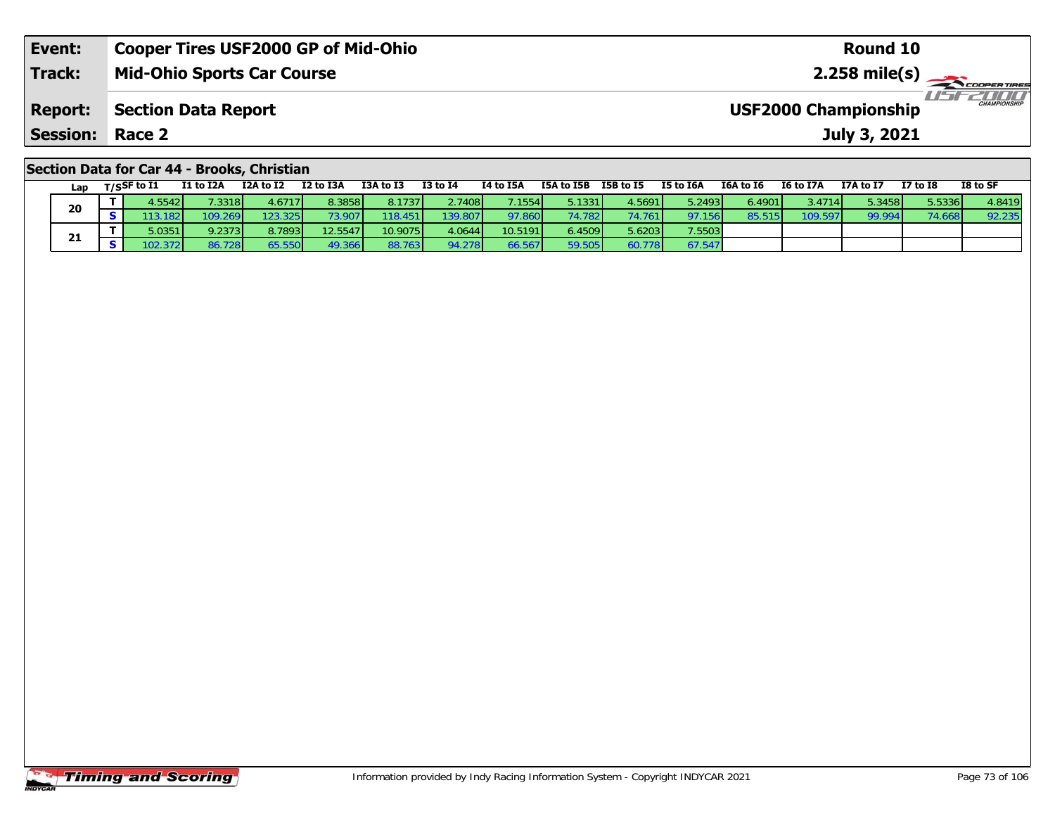| Event:                                      | <b>Cooper Tires USF2000 GP of Mid-Ohio</b> | Round 10                                           |  |  |  |  |  |  |  |  |  |
|---------------------------------------------|--------------------------------------------|----------------------------------------------------|--|--|--|--|--|--|--|--|--|
| <b>Track:</b>                               | <b>Mid-Ohio Sports Car Course</b>          |                                                    |  |  |  |  |  |  |  |  |  |
| <b>Report:</b>                              | <b>Section Data Report</b>                 | <b>CHAMPIONSHIP</b><br><b>USF2000 Championship</b> |  |  |  |  |  |  |  |  |  |
| Session:                                    | Race 2                                     | July 3, 2021                                       |  |  |  |  |  |  |  |  |  |
| Section Data for Car 44 - Brooks, Christian |                                            |                                                    |  |  |  |  |  |  |  |  |  |

| Lap | $T/S$ SF to I1 |         | I1 to I2A       | I2A to I2 | I2 to I3A | I3A to I3 | $I3$ to $I4$ | I4 to I5A | I5A to I5B | I5B to I5 | I5 to I6A      | I6A to I6 | <b>I6 to I7A</b> | I7A to I7 | I7 to I8 | I8 to SF |
|-----|----------------|---------|-----------------|-----------|-----------|-----------|--------------|-----------|------------|-----------|----------------|-----------|------------------|-----------|----------|----------|
| 20  |                | 4.5542  | 7.3318 <b>1</b> | 4.6717    | 8.3858    | 8.1737    | 2.7408       | 7.1554    | 5.1331     | 4.5691    | 5.2493         | 6.4901    | 3.4714 L         | 5.34581   | 5.5336   | 1.8419   |
|     |                | .3.182  | 109.269         | 123.325   | 73.907    | 118.451   | 139.8071     | 97.860    | 74.782     | 74.761    | <u>ን7.1561</u> | 85.5      | '09.597          | 99.994    | 74.668   | 92.235   |
|     |                | 5.0351  | 9.2373          | 8.7893    | 12.5547   | 10.9075   | 4.0644       | 10.5191   | 6.4509     | 5.6203    | 7.5503         |           |                  |           |          |          |
| 21  |                | '02.372 | .728 I          | 65.550    | 49.366    | 88.763    | 94.278       | 66.567    | 59.505     | 60.778    | 67.547         |           |                  |           |          |          |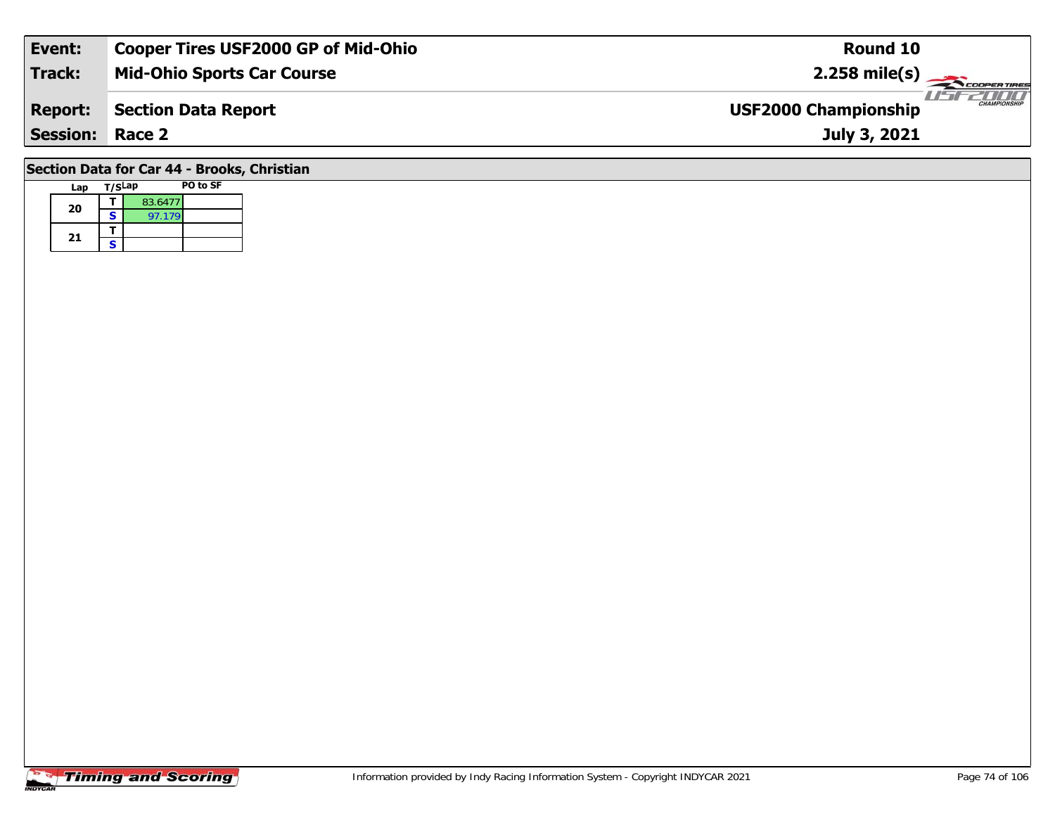| Event:          | <b>Cooper Tires USF2000 GP of Mid-Ohio</b> | Round 10                                           |
|-----------------|--------------------------------------------|----------------------------------------------------|
| <b>Track:</b>   | <b>Mid-Ohio Sports Car Course</b>          | $2.258 \text{ mile(s)}$                            |
| <b>Report:</b>  | Section Data Report                        | <b>CHAMPIONSHIP</b><br><b>USF2000 Championship</b> |
| <b>Session:</b> | Race 2                                     | July 3, 2021                                       |
|                 | .                                          |                                                    |

### **Section Data for Car 44 - Brooks, Christian**

| Lap | T/SLap |         | PO to SF |
|-----|--------|---------|----------|
| 20  |        | 83.6477 |          |
|     | S      | 97.179  |          |
| 21  |        |         |          |
|     | ς      |         |          |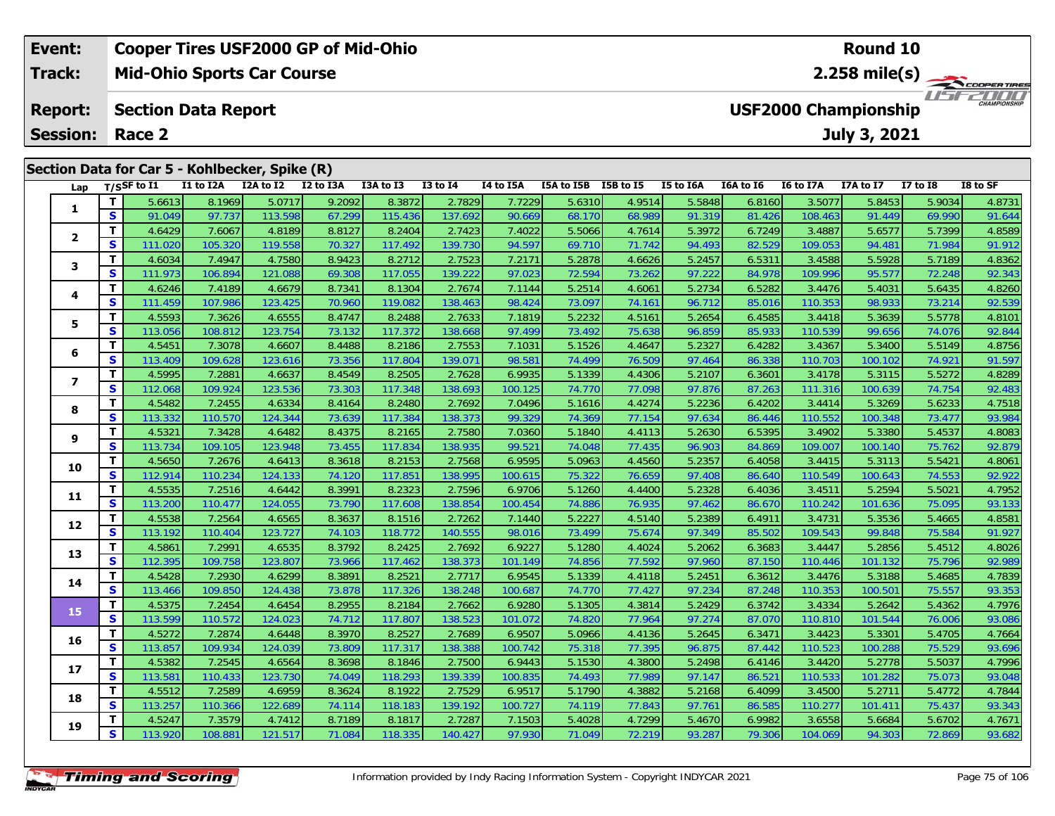| Event:                                                                 |          |                |           | <b>Cooper Tires USF2000 GP of Mid-Ohio</b> |           |           |              |           | Round 10   |                                             |           |           |           |           |                 |                     |  |
|------------------------------------------------------------------------|----------|----------------|-----------|--------------------------------------------|-----------|-----------|--------------|-----------|------------|---------------------------------------------|-----------|-----------|-----------|-----------|-----------------|---------------------|--|
| <b>Track:</b><br><b>Mid-Ohio Sports Car Course</b>                     |          |                |           |                                            |           |           |              |           |            | $2.258$ mile(s)<br>COOPERTIRES              |           |           |           |           |                 |                     |  |
| <b>Report:</b><br><b>Section Data Report</b><br><b>Session: Race 2</b> |          |                |           |                                            |           |           |              |           |            | <b>USF2000 Championship</b><br>July 3, 2021 |           |           |           |           |                 | <b>CHAMPIONSHIP</b> |  |
| Section Data for Car 5 - Kohlbecker, Spike (R)                         |          |                |           |                                            |           |           |              |           |            |                                             |           |           |           |           |                 |                     |  |
| Lap                                                                    |          | $T/S$ SF to I1 | I1 to I2A | I2A to I2                                  | I2 to I3A | I3A to I3 | $I3$ to $I4$ | I4 to I5A | I5A to I5B | I5B to I5                                   | I5 to I6A | I6A to I6 | I6 to I7A | I7A to I7 | <b>I7 to I8</b> | I8 to SF            |  |
|                                                                        |          | 5.6613         | 8.1969    | 5.0717                                     | 9.2092    | 8.3872    | 2.7829       | 7.72291   | 5.6310     | 4.9514                                      | 5.5848    | 6.8160    | 3.5077    | 5.8453    | 5.9034          | 4.8731              |  |
|                                                                        | <b>S</b> | 91.049         | 97.737    | 113.598                                    | 67.299    | 115.436   | 137.692      | 90.669    | 68.170     | 68.989                                      | 91.319    | 81.426    | 108.463   | 91.449    | 69.990          | 91.644              |  |
|                                                                        |          | 4.6429         | 7.6067    | 4.8189                                     | 8.8127    | 8.2404    | 2.7423       | 7.4022    | 5.5066     | 4.7614                                      | 5.3972    | 6.7249    | 3.4887    | 5.6577    | 5.7399          | 4.8589              |  |

|                  |          | 4.6429  | 7.6067  | 4.8189  | 8.8127 | 8.2404  | 2.7423  | 7.4022  | 5.5066 | 4.7614 | 5.3972 | 6.7249 | 3.4887  | 5.6577  | 5.7399 | 4.8589 |
|------------------|----------|---------|---------|---------|--------|---------|---------|---------|--------|--------|--------|--------|---------|---------|--------|--------|
| 2                | S        | 111.020 | 105.320 | 119.558 | 70.327 | 117.492 | 139.730 | 94.597  | 69.710 | 71.742 | 94.493 | 82.529 | 109.053 | 94.481  | 71.984 | 91.912 |
| 3                | T.       | 4.6034  | 7.4947  | 4.7580  | 8.9423 | 8.2712  | 2.7523  | 7.2171  | 5.2878 | 4.6626 | 5.2457 | 6.5311 | 3.4588  | 5.5928  | 5.7189 | 4.8362 |
|                  | <b>S</b> | 111.973 | 106.894 | 121.088 | 69.308 | 117.055 | 139.222 | 97.023  | 72.594 | 73.262 | 97.222 | 84.978 | 109.996 | 95.577  | 72.248 | 92.343 |
| 4                | т        | 4.6246  | 7.4189  | 4.6679  | 8.7341 | 8.1304  | 2.7674  | 7.1144  | 5.2514 | 4.6061 | 5.2734 | 6.5282 | 3.4476  | 5.4031  | 5.6435 | 4.8260 |
|                  | S        | 111.459 | 107.986 | 123.425 | 70.960 | 119.082 | 138.463 | 98.424  | 73.097 | 74.161 | 96.712 | 85.016 | 110.353 | 98.933  | 73.214 | 92.539 |
| 5                | т        | 4.5593  | 7.3626  | 4.6555  | 8.4747 | 8.2488  | 2.7633  | 7.1819  | 5.2232 | 4.5161 | 5.2654 | 6.4585 | 3.4418  | 5.3639  | 5.5778 | 4.8101 |
|                  | S        | 113.056 | 108.812 | 123.754 | 73.132 | 117.372 | 138.668 | 97.499  | 73.492 | 75.638 | 96.859 | 85.933 | 110.539 | 99.656  | 74.076 | 92.844 |
| 6                | т        | 4.5451  | 7.3078  | 4.6607  | 8.4488 | 8.2186  | 2.7553  | 7.1031  | 5.1526 | 4.4647 | 5.2327 | 6.4282 | 3.4367  | 5.3400  | 5.5149 | 4.8756 |
|                  | S        | 113.409 | 109.628 | 123.616 | 73.356 | 117.804 | 139.071 | 98.581  | 74.499 | 76.509 | 97.464 | 86.338 | 110.703 | 100.102 | 74.921 | 91.597 |
| $\boldsymbol{7}$ | т        | 4.5995  | 7.2881  | 4.6637  | 8.4549 | 8.2505  | 2.7628  | 6.9935  | 5.1339 | 4.4306 | 5.2107 | 6.3601 | 3.4178  | 5.3115  | 5.5272 | 4.8289 |
|                  | S        | 112.068 | 109.924 | 123.536 | 73.303 | 117.348 | 138.693 | 100.125 | 74.770 | 77.098 | 97.876 | 87.263 | 111.316 | 100.639 | 74.754 | 92.483 |
| 8                | т        | 4.5482  | 7.2455  | 4.6334  | 8.4164 | 8.2480  | 2.7692  | 7.0496  | 5.1616 | 4.4274 | 5.2236 | 6.4202 | 3.4414  | 5.3269  | 5.6233 | 4.7518 |
|                  | S        | 113.332 | 110.570 | 124.344 | 73.639 | 117.384 | 138.373 | 99.329  | 74.369 | 77.154 | 97.634 | 86.446 | 110.552 | 100.348 | 73.477 | 93.984 |
| 9                | т        | 4.5321  | 7.3428  | 4.6482  | 8.4375 | 8.2165  | 2.7580  | 7.0360  | 5.1840 | 4.4113 | 5.2630 | 6.5395 | 3.4902  | 5.3380  | 5.4537 | 4.8083 |
|                  | S        | 113.734 | 109.105 | 123.948 | 73.455 | 117.834 | 138.935 | 99.521  | 74.048 | 77.435 | 96.903 | 84.869 | 109.007 | 100.140 | 75.762 | 92.879 |
| 10               | т        | 4.5650  | 7.2676  | 4.6413  | 8.3618 | 8.2153  | 2.7568  | 6.9595  | 5.0963 | 4.4560 | 5.2357 | 6.4058 | 3.4415  | 5.3113  | 5.5421 | 4.8061 |
|                  | S        | 112.914 | 110.234 | 124.133 | 74.120 | 117.851 | 138.995 | 100.615 | 75.322 | 76.659 | 97.408 | 86.640 | 110.549 | 100.643 | 74.553 | 92.922 |
| 11               | т        | 4.5535  | 7.2516  | 4.6442  | 8.3991 | 8.2323  | 2.7596  | 6.9706  | 5.1260 | 4.4400 | 5.2328 | 6.4036 | 3.4511  | 5.2594  | 5.5021 | 4.7952 |
|                  | S        | 113.200 | 110.477 | 124.055 | 73.790 | 117.608 | 138.854 | 100.454 | 74.886 | 76.935 | 97.462 | 86.670 | 110.242 | 101.636 | 75.095 | 93.133 |
| 12               | т        | 4.5538  | 7.2564  | 4.6565  | 8.3637 | 8.1516  | 2.7262  | 7.1440  | 5.2227 | 4.5140 | 5.2389 | 6.4911 | 3.4731  | 5.3536  | 5.4665 | 4.8581 |
|                  | S        | 113.192 | 110.404 | 123.727 | 74.103 | 118.772 | 140.555 | 98.016  | 73.499 | 75.674 | 97.349 | 85.502 | 109.543 | 99.848  | 75.584 | 91.927 |
| 13               | т        | 4.5861  | 7.2991  | 4.6535  | 8.3792 | 8.2425  | 2.7692  | 6.9227  | 5.1280 | 4.4024 | 5.2062 | 6.3683 | 3.4447  | 5.2856  | 5.4512 | 4.8026 |
|                  | S        | 112.395 | 109.758 | 123.807 | 73.966 | 117.462 | 138.373 | 101.149 | 74.856 | 77.592 | 97.960 | 87.150 | 110.446 | 101.132 | 75.796 | 92.989 |
| 14               | т        | 4.5428  | 7.2930  | 4.6299  | 8.3891 | 8.2521  | 2.7717  | 6.9545  | 5.1339 | 4.4118 | 5.2451 | 6.3612 | 3.4476  | 5.3188  | 5.4685 | 4.7839 |
|                  | S        | 113.466 | 109.850 | 124.438 | 73.878 | 117.326 | 138.248 | 100.687 | 74.770 | 77.427 | 97.234 | 87.248 | 110.353 | 100.501 | 75.557 | 93.353 |
| 15               | T.       | 4.5375  | 7.2454  | 4.6454  | 8.2955 | 8.2184  | 2.7662  | 6.9280  | 5.1305 | 4.3814 | 5.2429 | 6.3742 | 3.4334  | 5.2642  | 5.4362 | 4.7976 |
|                  | S        | 113.599 | 110.572 | 124.023 | 74.712 | 117.807 | 138.523 | 101.072 | 74.820 | 77.964 | 97.274 | 87.070 | 110.810 | 101.544 | 76.006 | 93.086 |
| 16               | т        | 4.5272  | 7.2874  | 4.6448  | 8.3970 | 8.2527  | 2.7689  | 6.9507  | 5.0966 | 4.4136 | 5.2645 | 6.3471 | 3.4423  | 5.3301  | 5.4705 | 4.7664 |
|                  | S        | 113.857 | 109.934 | 124.039 | 73.809 | 117.317 | 138.388 | 100.742 | 75.318 | 77.395 | 96.875 | 87.442 | 110.523 | 100.288 | 75.529 | 93.696 |
| 17               | T.       | 4.5382  | 7.2545  | 4.6564  | 8.3698 | 8.1846  | 2.7500  | 6.9443  | 5.1530 | 4.3800 | 5.2498 | 6.4146 | 3.4420  | 5.2778  | 5.5037 | 4.7996 |
|                  | S        | 113.581 | 110.433 | 123.730 | 74.049 | 118.293 | 139.339 | 100.835 | 74.493 | 77.989 | 97.147 | 86.521 | 110.533 | 101.282 | 75.073 | 93.048 |
| 18               | т        | 4.5512  | 7.2589  | 4.6959  | 8.3624 | 8.1922  | 2.7529  | 6.9517  | 5.1790 | 4.3882 | 5.2168 | 6.4099 | 3.4500  | 5.2711  | 5.4772 | 4.7844 |
|                  | S        | 113.257 | 110.366 | 122.689 | 74.114 | 118.183 | 139.192 | 100.727 | 74.119 | 77.843 | 97.761 | 86.585 | 110.277 | 101.411 | 75.437 | 93.343 |
| 19               | т        | 4.5247  | 7.3579  | 4.7412  | 8.7189 | 8.1817  | 2.7287  | 7.1503  | 5.4028 | 4.7299 | 5.4670 | 6.9982 | 3.6558  | 5.6684  | 5.6702 | 4.7671 |
|                  | <b>S</b> | 113.920 | 108.881 | 121.517 | 71.084 | 118.335 | 140.427 | 97.930  | 71.049 | 72.219 | 93.287 | 79.306 | 104.069 | 94.303  | 72.869 | 93.682 |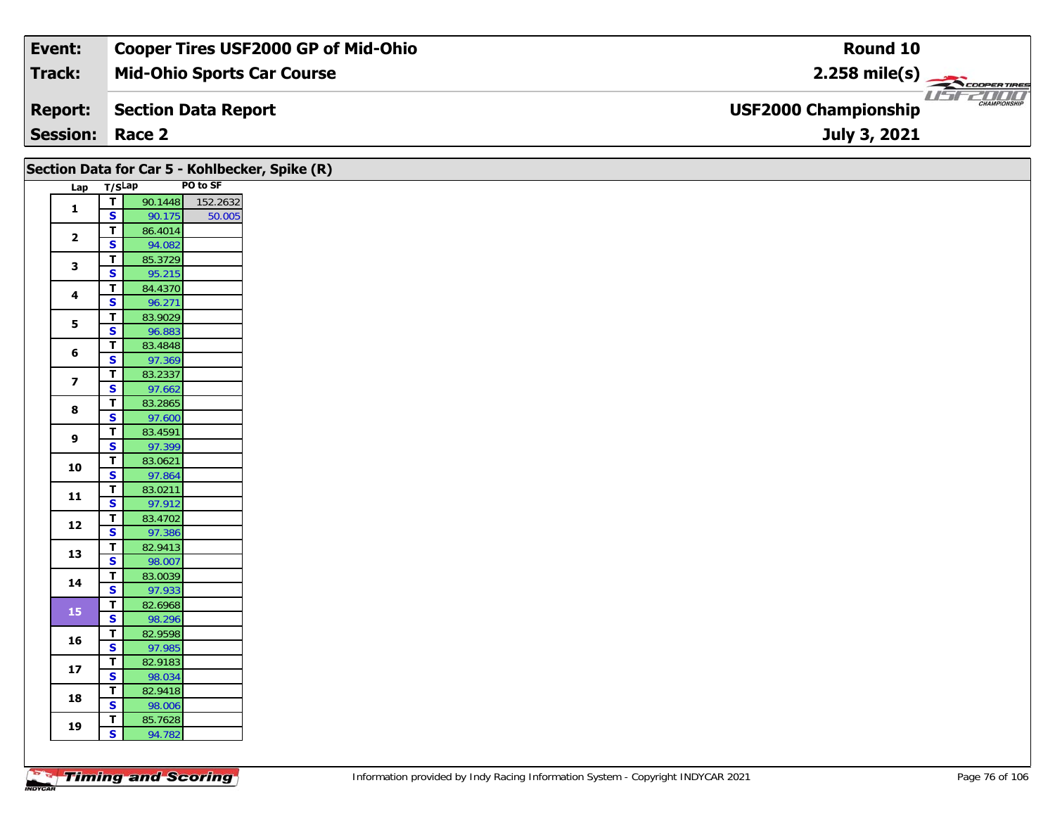| Event:                 | <b>Cooper Tires USF2000 GP of Mid-Ohio</b> | Round 10                                                       |
|------------------------|--------------------------------------------|----------------------------------------------------------------|
| Track:                 | <b>Mid-Ohio Sports Car Course</b>          | $2.258$ mile(s)                                                |
| <b>Report:</b>         | Section Data Report                        | USF2000*<br><b>CHAMPIONSHIP</b><br><b>USF2000 Championship</b> |
| <b>Session: Race 2</b> |                                            | July 3, 2021                                                   |

|                         |                                                    | Section Data for Car 5 - Kohlbecker, Spike (R) |          |
|-------------------------|----------------------------------------------------|------------------------------------------------|----------|
| Lap T/SLap              |                                                    |                                                | PO to SF |
| $\mathbf{1}$            | $\overline{\mathbf{r}}$                            | 90.1448                                        | 152.2632 |
|                         | $\overline{\mathbf{s}}$                            | 90.175                                         | 50.005   |
| $\overline{\mathbf{2}}$ | $\overline{\mathbf{r}}$                            | 86.4014                                        |          |
|                         | $\overline{\mathbf{s}}$                            | 94.082                                         |          |
| $\mathbf{3}$            | $\overline{\mathbf{T}}$<br>$\overline{\mathbf{s}}$ | 85.3729<br>95.215                              |          |
|                         | $\overline{t}$                                     | 84.4370                                        |          |
| $\overline{\mathbf{4}}$ | $\overline{\mathbf{s}}$                            | 96.271                                         |          |
|                         | T                                                  | 83.9029                                        |          |
| $\overline{\mathbf{5}}$ | $\overline{\mathbf{s}}$                            | 96.883                                         |          |
| 6                       | $\overline{\mathbf{r}}$                            | 83.4848                                        |          |
|                         | $\overline{\mathbf{s}}$                            | 97.369                                         |          |
| $\overline{\mathbf{z}}$ | $\overline{\mathsf{r}}$                            | 83.2337                                        |          |
|                         | $\overline{\mathbf{s}}$                            | 97.662                                         |          |
| 8                       | $\overline{\mathbf{T}}$                            | 83.2865                                        |          |
|                         | $\overline{\mathbf{s}}$                            | 97.600                                         |          |
| 9                       | $\overline{\mathbf{T}}$<br>$\mathbf{s}$            | 83.4591<br>97.399                              |          |
|                         | $\overline{t}$                                     | 83.0621                                        |          |
| 10                      | $\overline{\mathbf{s}}$                            | 97.864                                         |          |
|                         | $\mathbf T$                                        | 83.0211                                        |          |
| $11$                    | $\mathbf{s}$                                       | 97.912                                         |          |
|                         | $\mathbf T$                                        | 83.4702                                        |          |
| 12                      | $\overline{\mathbf{s}}$                            | 97.386                                         |          |
| 13                      | $\overline{\mathbf{T}}$                            | 82.9413                                        |          |
|                         | $\mathbf{s}$                                       | 98.007                                         |          |
| 14                      | $\overline{\mathbf{T}}$                            | 83.0039                                        |          |
|                         | $\overline{\mathbf{s}}$                            | 97.933                                         |          |
| 15                      | $\overline{\mathbf{r}}$                            | 82.6968                                        |          |
|                         | $\overline{\mathbf{s}}$                            | 98.296                                         |          |
| 16                      | $\mathbf T$<br>$\overline{\mathbf{s}}$             | 82.9598<br>97.985                              |          |
|                         | $\mathbf T$                                        | 82.9183                                        |          |
| $17\,$                  | $\overline{\mathbf{s}}$                            | 98.034                                         |          |
|                         | $\overline{\mathbf{T}}$                            | 82.9418                                        |          |
| 18                      | $\overline{\mathbf{s}}$                            | 98.006                                         |          |
|                         | $\overline{\mathbf{r}}$                            | 85.7628                                        |          |
| 19                      | $\overline{\mathbf{s}}$                            | 94.782                                         |          |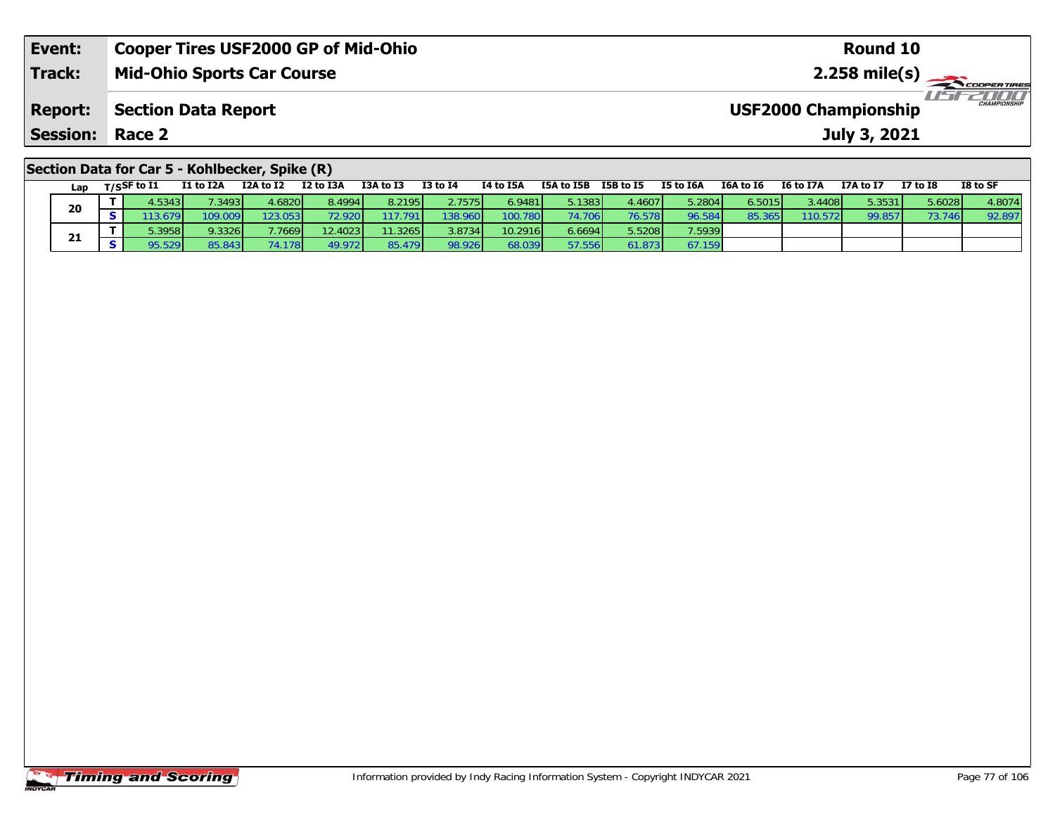| Event:                                         | <b>Cooper Tires USF2000 GP of Mid-Ohio</b> | Round 10                                           |  |  |  |  |  |  |  |  |  |
|------------------------------------------------|--------------------------------------------|----------------------------------------------------|--|--|--|--|--|--|--|--|--|
| Track:                                         | <b>Mid-Ohio Sports Car Course</b>          |                                                    |  |  |  |  |  |  |  |  |  |
| <b>Report:</b>                                 | <b>Section Data Report</b>                 | <b>CHAMPIONSHIP</b><br><b>USF2000 Championship</b> |  |  |  |  |  |  |  |  |  |
| <b>Session: Race 2</b>                         |                                            | July 3, 2021                                       |  |  |  |  |  |  |  |  |  |
| Section Data for Car 5 - Kohlbecker, Spike (R) |                                            |                                                    |  |  |  |  |  |  |  |  |  |

| Lap | $T/S$ SF to I1 | I1 to I2A | I2A to I2       | I2 to I3A | I3A to I3 | <b>I3 to I4</b> | I4 to I5A | I5A to I5B | I5B to I5 | I5 to I6A | I6A to I6 | I6 to I7A | I7A to I7 | <b>I7 to I8</b> | I8 to SF |
|-----|----------------|-----------|-----------------|-----------|-----------|-----------------|-----------|------------|-----------|-----------|-----------|-----------|-----------|-----------------|----------|
| 20  | 4.5343         | 1.3493    | 4.6820          | 8.4994    | 8.2195    | 2.7575          | 6.9481    | 5.1383     | 4.4607    | 5.2804    | 6.5015    | 3.4408    | 5.3531    | 5.6028          | 4.8074   |
|     |                | 109.009   | 123.053         | 72.920    | 17.791    | 138.960         | 100.780   | 74.706     | 76.578    | 96.584    | 85.365    | 110.572   | 99.857    | 73.746          | 92.897   |
|     | 5.3958         | 9.3326    | 7.7669          | 12.4023   | 11.3265   | 3.8734          | 10.2916   | 6.6694     | 5.5208    | 7.5939    |           |           |           |                 |          |
| 21  | 95.529         | 85.843    | 74.178 <b>1</b> | 49.972    | 85.479    | 98.926          | 68.039    | 57.556     | 61.873    | 67.159    |           |           |           |                 |          |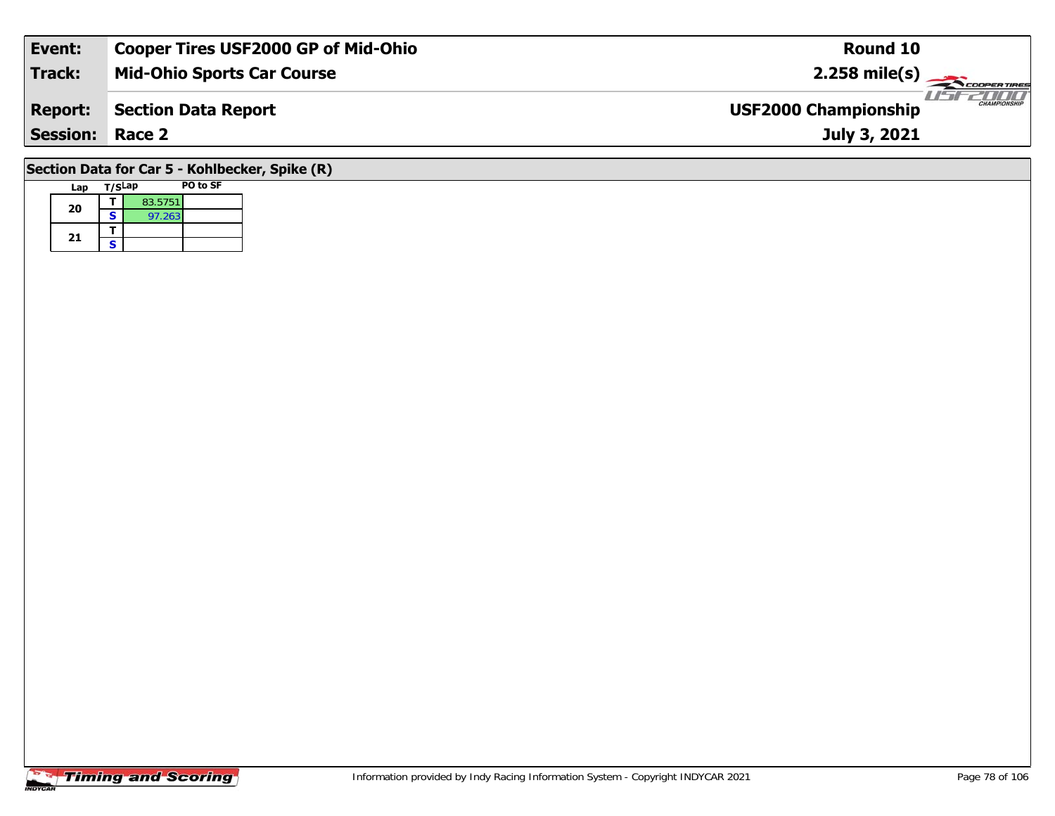| Event:                                         | <b>Cooper Tires USF2000 GP of Mid-Ohio</b> | <b>Round 10</b>                                    |  |  |  |  |  |  |  |  |  |
|------------------------------------------------|--------------------------------------------|----------------------------------------------------|--|--|--|--|--|--|--|--|--|
| <b>Track:</b>                                  | <b>Mid-Ohio Sports Car Course</b>          | $2.258$ mile(s)                                    |  |  |  |  |  |  |  |  |  |
| <b>Report:</b>                                 | Section Data Report                        | <b>CHAMPIONSHIP</b><br><b>USF2000 Championship</b> |  |  |  |  |  |  |  |  |  |
| <b>Session: Race 2</b>                         |                                            | July 3, 2021                                       |  |  |  |  |  |  |  |  |  |
| Section Data for Car 5 - Kohlbecker, Spike (R) |                                            |                                                    |  |  |  |  |  |  |  |  |  |

# **Lap T/SLap PO to SF 20d**  $\overline{\textbf{S}}$  83.5751 21  $\frac{1}{s}$

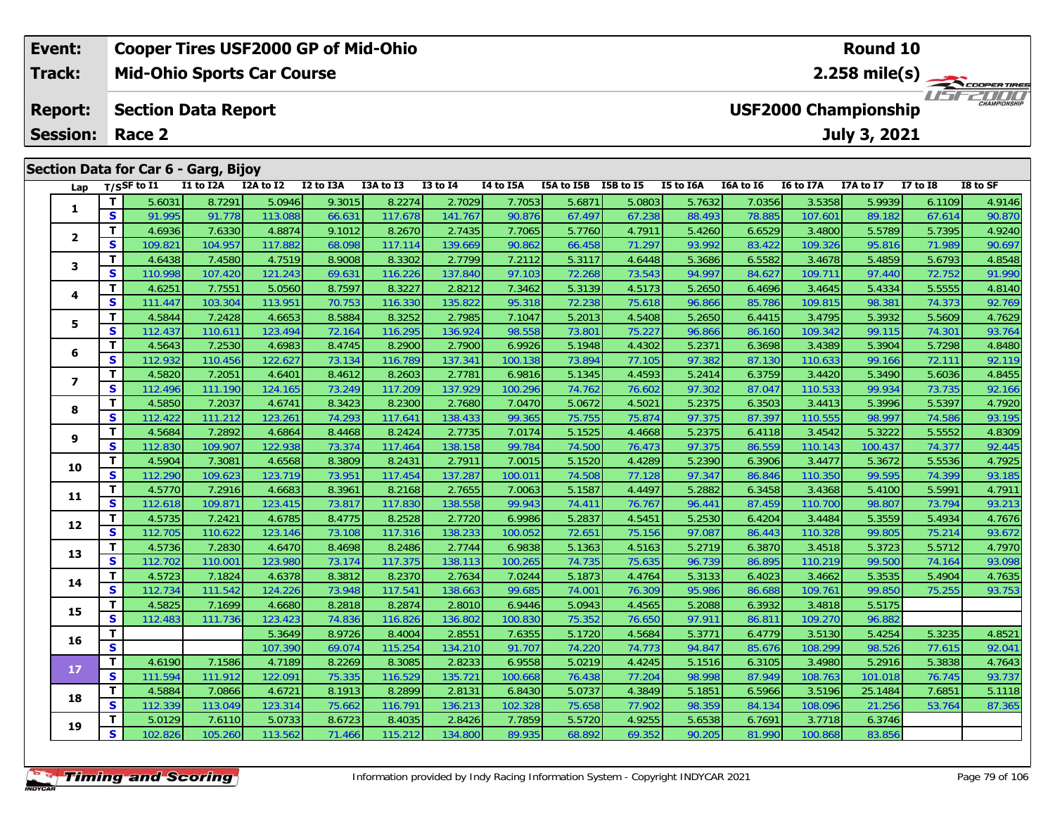#### **Event: Cooper Tires USF2000 GP of Mid-Ohio Round 10Track:Mid-Ohio Sports Car Course 2.258 mile(s)** 1151521111 **Report: Section Data Report USF2000 Championship Session:July 3, 2021 Race 2Section Data for Car 6 - Garg, Bijoy Lap T/SSF to I1 I1 to I2A I2A to I2 I2 to I3A I3A to I3 I3 to I4 I4 to I5A I5A to I5B I5B to I5 I5 to I6A I6A to I6 I6 to I7A I7A to I7 I7 to I8 I8 to SF**  1 | T | 5.6031 | 8.7291 | 5.0946 | 9.3015 | 8.2274 | 2.7029 | 7.7053 | 5.6871 | 5.0803 | 5.7632 | 7.0356 | 3.5358 | 5.9939 | 6.1109 | 4.9146<br>1 | S | 91.995 | 91.778 | 113.088 | 66.631 | 117.678 | 141.767 | 90.876 | 67.497 **1**2 T 4.6936 7.6330 4.8874 9.1012 8.2670 2.7435 7.7065 5.7760 4.7911 5.4260 6.6529 3.4800 5.5789 5.7395 4.9240<br>2 S 109.821 104.957 117.882 68.098 117.114 139.669 90.862 66.458 71.297 93.992 83.422 109.326 95.816 71.989 90.69

3 T 4.6438 7.4580 4.7519 8.9008 8.3302 2.7799 7.2112 5.3117 4.6448 5.3686 6.5582 3.4678 5.4859 5.6793 4.8548<br>S 110.998 107.420 121.243 69.631 116.226 137.840 97.103 72.268 73.543 94.997 84.627 109.711 97.440 72.752 91.990

4 T 4.6251 7.7551 5.0560 8.7597 8.3227 2.8212 7.3462 5.3139 4.5173 5.2650 6.4696 3.4645 5.4334 5.5555 4.8140<br>5 111.447 103.304 113.951 70.753 116.330 135.822 95.318 72.238 75.618 96.866 85.786 109.815 98.381 74.373 92.769

5 T 4.5844 7.2428 4.6653 8.5884 8.3252 2.7985 7.1047 5.2013 4.5408 5.2650 6.4415 3.4795 5.3932 5.5609 4.7629<br>5 S 112.437 110.611 123.494 72.164 116.295 136.924 98.558 73.801 75.227 96.866 86.160 109.342 99.115 74.301 93.76

|                         | Т.                      | 4.5643  | 7.2530  | 4.6983  | 8.4745 | 8.2900  | 2.7900  | 6.9926  | 5.1948 | 4.4302 | 5.2371 | 6.3698 | 3.4389  | 5.3904  | 5.7298 | 4.8480 |
|-------------------------|-------------------------|---------|---------|---------|--------|---------|---------|---------|--------|--------|--------|--------|---------|---------|--------|--------|
| 6                       | S                       | 112.932 | 110.456 | 122.627 | 73.134 | 116.789 | 137.341 | 100.138 | 73.894 | 77.105 | 97.382 | 87.130 | 110.633 | 99.166  | 72.111 | 92.119 |
| $\overline{\mathbf{z}}$ | T.                      | 4.5820  | 7.2051  | 4.6401  | 8.4612 | 8.2603  | 2.7781  | 6.9816  | 5.1345 | 4.4593 | 5.2414 | 6.3759 | 3.4420  | 5.3490  | 5.6036 | 4.8455 |
|                         | S                       | 112.496 | 111.190 | 124.165 | 73.249 | 117.209 | 137.929 | 100.296 | 74.762 | 76.602 | 97.302 | 87.047 | 110.533 | 99.934  | 73.735 | 92.166 |
| 8                       | T.                      | 4.5850  | 7.2037  | 4.6741  | 8.3423 | 8.2300  | 2.7680  | 7.0470  | 5.0672 | 4.5021 | 5.2375 | 6.3503 | 3.4413  | 5.3996  | 5.5397 | 4.7920 |
|                         | S                       | 112.422 | 111.212 | 123.261 | 74.293 | 117.641 | 138.433 | 99.365  | 75.755 | 75.874 | 97.375 | 87.397 | 110.555 | 98.997  | 74.586 | 93.195 |
| 9                       | T.                      | 4.5684  | 7.2892  | 4.6864  | 8.4468 | 8.2424  | 2.7735  | 7.0174  | 5.1525 | 4.4668 | 5.2375 | 6.4118 | 3.4542  | 5.3222  | 5.5552 | 4.8309 |
|                         | S                       | 112.830 | 109.907 | 122.938 | 73.374 | 117.464 | 138.158 | 99.784  | 74.500 | 76.473 | 97.375 | 86.559 | 110.143 | 100.437 | 74.377 | 92.445 |
| 10                      | T.                      | 4.5904  | 7.3081  | 4.6568  | 8.3809 | 8.2431  | 2.7911  | 7.0015  | 5.1520 | 4.4289 | 5.2390 | 6.3906 | 3.4477  | 5.3672  | 5.5536 | 4.7925 |
|                         | S                       | 112.290 | 109.623 | 123.719 | 73.951 | 117.454 | 137.287 | 100.011 | 74.508 | 77.128 | 97.347 | 86.846 | 110.350 | 99.595  | 74.399 | 93.185 |
| 11                      | T.                      | 4.5770  | 7.2916  | 4.6683  | 8.3961 | 8.2168  | 2.7655  | 7.0063  | 5.1587 | 4.4497 | 5.2882 | 6.3458 | 3.4368  | 5.4100  | 5.5991 | 4.7911 |
|                         | S                       | 112.618 | 109.871 | 123.415 | 73.817 | 117.830 | 138.558 | 99.943  | 74.411 | 76.767 | 96.441 | 87.459 | 110.700 | 98.807  | 73.794 | 93.213 |
| 12                      | T.                      | 4.5735  | 7.2421  | 4.6785  | 8.4775 | 8.2528  | 2.7720  | 6.9986  | 5.2837 | 4.5451 | 5.2530 | 6.4204 | 3.4484  | 5.3559  | 5.4934 | 4.7676 |
|                         | S                       | 112.705 | 110.622 | 123.146 | 73.108 | 117.316 | 138.233 | 100.052 | 72.651 | 75.156 | 97.087 | 86.443 | 110.328 | 99.805  | 75.214 | 93.672 |
| 13                      | T.                      | 4.5736  | 7.2830  | 4.6470  | 8.4698 | 8.2486  | 2.7744  | 6.9838  | 5.1363 | 4.5163 | 5.2719 | 6.3870 | 3.4518  | 5.3723  | 5.5712 | 4.7970 |
|                         | S                       | 112.702 | 110.001 | 123.980 | 73.174 | 117.375 | 138.113 | 100.265 | 74.735 | 75.635 | 96.739 | 86.895 | 110.219 | 99.500  | 74.164 | 93.098 |
| 14                      | Τ.                      | 4.5723  | 7.1824  | 4.6378  | 8.3812 | 8.2370  | 2.7634  | 7.0244  | 5.1873 | 4.4764 | 5.3133 | 6.4023 | 3.4662  | 5.3535  | 5.4904 | 4.7635 |
|                         | S                       | 112.734 | 111.542 | 124.226 | 73.948 | 117.541 | 138.663 | 99.685  | 74.001 | 76.309 | 95.986 | 86.688 | 109.761 | 99.850  | 75.255 | 93.753 |
| 15                      | Τ.                      | 4.5825  | 7.1699  | 4.6680  | 8.2818 | 8.2874  | 2.8010  | 6.9446  | 5.0943 | 4.4565 | 5.2088 | 6.3932 | 3.4818  | 5.5175  |        |        |
|                         | S                       | 112.483 | 111.736 | 123.423 | 74.836 | 116.826 | 136.802 | 100.830 | 75.352 | 76.650 | 97.911 | 86.811 | 109.270 | 96.882  |        |        |
| 16                      | T.                      |         |         | 5.3649  | 8.9726 | 8.4004  | 2.8551  | 7.6355  | 5.1720 | 4.5684 | 5.3771 | 6.4779 | 3.5130  | 5.4254  | 5.3235 | 4.8521 |
|                         | $\overline{\mathbf{s}}$ |         |         | 107.390 | 69.074 | 115.254 | 134.210 | 91.707  | 74.220 | 74.773 | 94.847 | 85.676 | 108.299 | 98.526  | 77.615 | 92.041 |
| 17                      | T.                      | 4.6190  | 7.1586  | 4.7189  | 8.2269 | 8.3085  | 2.8233  | 6.9558  | 5.0219 | 4.4245 | 5.1516 | 6.3105 | 3.4980  | 5.2916  | 5.3838 | 4.7643 |
|                         | S                       | 111.594 | 111.912 | 122.091 | 75.335 | 116.529 | 135.721 | 100.668 | 76.438 | 77.204 | 98.998 | 87.949 | 108.763 | 101.018 | 76.745 | 93.737 |
| 18                      | T.                      | 4.5884  | 7.0866  | 4.6721  | 8.1913 | 8.2899  | 2.8131  | 6.8430  | 5.0737 | 4.3849 | 5.1851 | 6.5966 | 3.5196  | 25.1484 | 7.6851 | 5.1118 |
|                         | S                       | 112.339 | 113.049 | 123.314 | 75.662 | 116.791 | 136.213 | 102.328 | 75.658 | 77.902 | 98.359 | 84.134 | 108.096 | 21.256  | 53.764 | 87.365 |
| 19                      | т                       | 5.0129  | 7.6110  | 5.0733  | 8.6723 | 8.4035  | 2.8426  | 7.7859  | 5.5720 | 4.9255 | 5.6538 | 6.7691 | 3.7718  | 6.3746  |        |        |
|                         | S                       | 102.826 | 105.260 | 113.562 | 71.466 | 115.212 | 134.800 | 89.935  | 68.892 | 69.352 | 90.205 | 81.990 | 100.868 | 83.856  |        |        |
|                         |                         |         |         |         |        |         |         |         |        |        |        |        |         |         |        |        |
|                         |                         |         |         |         |        |         |         |         |        |        |        |        |         |         |        |        |

**2**

**3**

**4**

**5**

92.769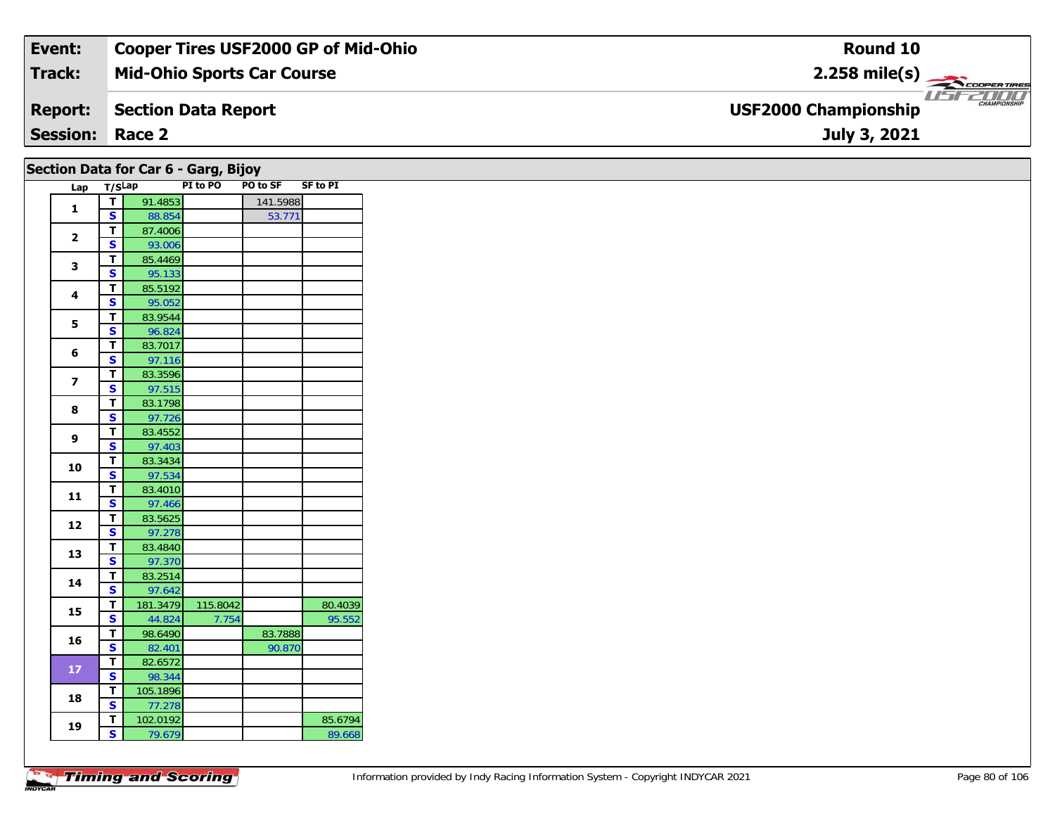| <b>Event:</b>          | <b>Cooper Tires USF2000 GP of Mid-Ohio</b> | Round 10                                             |
|------------------------|--------------------------------------------|------------------------------------------------------|
| Track:                 | <b>Mid-Ohio Sports Car Course</b>          | $2.258$ mile(s) $\frac{1}{\sqrt{256} \cdot 10^{10}}$ |
| <b>Report:</b>         | Section Data Report                        | <b>CHAMPIONSHIP</b><br><b>USF2000 Championship</b>   |
| <b>Session: Race 2</b> |                                            | July 3, 2021                                         |

| Section Data for Car 6 - Garg, Bijoy |  |  |  |  |  |  |  |
|--------------------------------------|--|--|--|--|--|--|--|
|--------------------------------------|--|--|--|--|--|--|--|

| Lap            | T/SLap |          | PI to PO | <b>PO to SF</b> | <b>SF to PI</b> |
|----------------|--------|----------|----------|-----------------|-----------------|
|                | т      | 91.4853  |          | 141.5988        |                 |
| 1              | S      | 88.854   |          | 53.771          |                 |
|                | T      | 87.4006  |          |                 |                 |
| $\overline{2}$ | S      | 93.006   |          |                 |                 |
| 3              | т      | 85.4469  |          |                 |                 |
|                | S      | 95.133   |          |                 |                 |
|                | T      | 85.5192  |          |                 |                 |
| 4              | S      | 95.052   |          |                 |                 |
| 5              | T      | 83.9544  |          |                 |                 |
|                | S      | 96.824   |          |                 |                 |
|                | Т      | 83.7017  |          |                 |                 |
| 6              | S      | 97.116   |          |                 |                 |
|                | Т      | 83.3596  |          |                 |                 |
| $\overline{ }$ | S      | 97.515   |          |                 |                 |
| 8              | T      | 83.1798  |          |                 |                 |
|                | S      | 97.726   |          |                 |                 |
| 9              | т      | 83.4552  |          |                 |                 |
|                | S      | 97.403   |          |                 |                 |
| 10             | T      | 83.3434  |          |                 |                 |
|                | S      | 97.534   |          |                 |                 |
| 11             | T      | 83.4010  |          |                 |                 |
|                | S      | 97.466   |          |                 |                 |
| 12             | Т      | 83.5625  |          |                 |                 |
|                | S      | 97.278   |          |                 |                 |
| 13             | Т      | 83.4840  |          |                 |                 |
|                | S      | 97.370   |          |                 |                 |
| 14             | T      | 83.2514  |          |                 |                 |
|                | S      | 97.642   |          |                 |                 |
| 15             | т      | 181.3479 | 115.8042 |                 | 80.4039         |
|                | S      | 44.824   | 7.754    |                 | 95.552          |
| 16             | T      | 98.6490  |          | 83.7888         |                 |
|                | S      | 82.401   |          | 90.870          |                 |
| 17             | T      | 82.6572  |          |                 |                 |
|                | S      | 98.344   |          |                 |                 |
| 18             | Т      | 105.1896 |          |                 |                 |
|                | S      | 77.278   |          |                 |                 |
| 19             | Т      | 102.0192 |          |                 | 85.6794         |
|                | S.     | 79.679   |          |                 | 89.668          |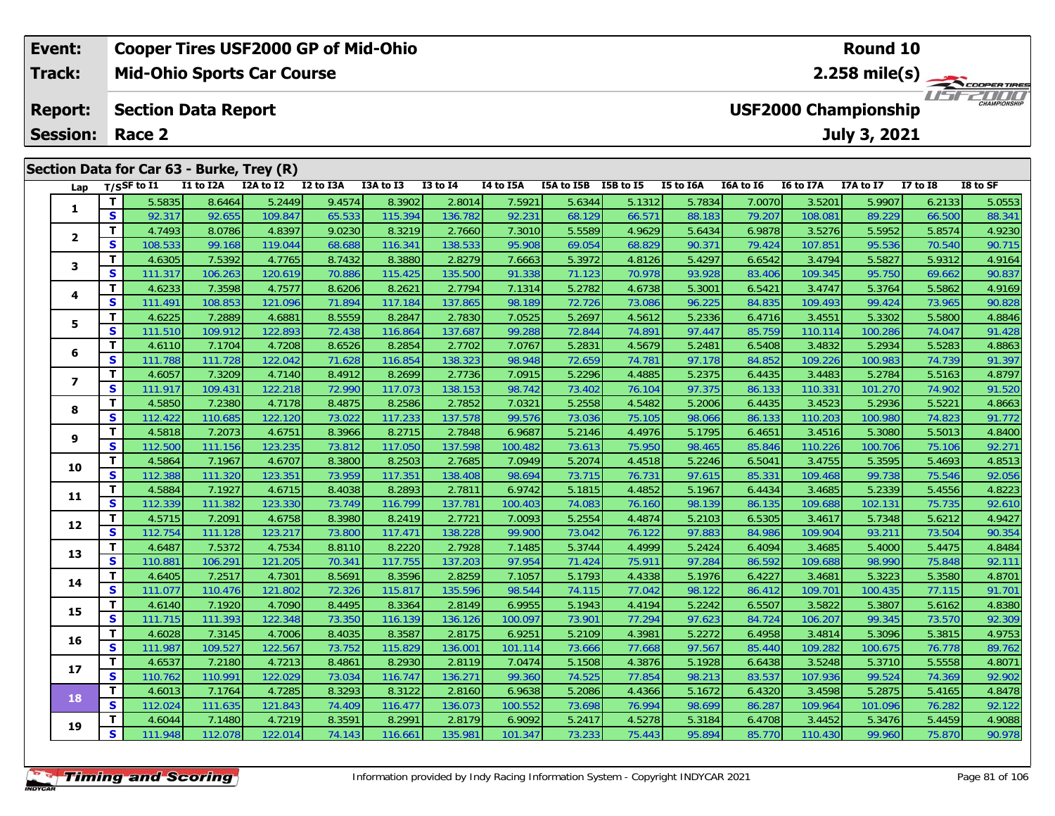### **Event: Cooper Tires USF2000 GP of Mid-Ohio Round 102.258 mile(s) Track:Mid-Ohio Sports Car Course** WSFZOOD, **Report: Section Data Report USF2000 Championship July 3, 2021 Session: Race 2 Section Data for Car 63 - Burke, Trey (R)** Lap T/SSF to I1 I1 to I2A I2A to I2 I2 to I3A I3A to I3 I3 to I4 I4 to I5A I5A to I5B I5B to I5 I5 to I6A I6A to I6 I6 to I7A I7A to I7 I7 to I8 I8 to SF 1 | T | 5.5835 | 8.6464 | 5.2449 | 9.4574 | 8.3902 | 2.8014 | 7.5921 | 5.6344 | 5.1312 | 5.7834 | 7.0070 | 3.5201 | 5.9907 | 6.2133 | 5.0553<br>1 | S | 92.317 | 92.655 | 109.847 | 65.533 | 115.394 | 136.782 | 92.231 | 68.129 **1**2 T 4.7493 8.0786 4.8397 9.0230 8.3219 2.7660 7.3010 5.5589 4.9629 5.6434 6.9878 3.5276 5.5952 5.8574 4.9230<br>2 S 108.533 99.168 119.044 68.688 116.341 138.533 95.908 69.054 68.829 90.371 79.424 107.851 95.536 70.540 90.715 **2**

| 1            | т            | 5.5835  | 8.6464  | 5.2449  | 9.4574 | 8.3902  | 2.8014  | 7.5921  | 5.6344 | 5.1312 | 5.7834 | 7.0070 | 3.5201  | 5.9907  | 6.2133 | 5.0553 |
|--------------|--------------|---------|---------|---------|--------|---------|---------|---------|--------|--------|--------|--------|---------|---------|--------|--------|
|              | S            | 92.317  | 92.655  | 109.847 | 65.533 | 115.394 | 136.782 | 92.231  | 68.129 | 66.571 | 88.183 | 79.207 | 108.081 | 89.229  | 66.500 | 88.341 |
| $\mathbf{2}$ | $\mathbf T$  | 4.7493  | 8.0786  | 4.8397  | 9.0230 | 8.3219  | 2.7660  | 7.3010  | 5.5589 | 4.9629 | 5.6434 | 6.9878 | 3.5276  | 5.5952  | 5.8574 | 4.9230 |
|              | S            | 108.533 | 99.168  | 119.044 | 68.688 | 116.341 | 138.533 | 95.908  | 69.054 | 68.829 | 90.371 | 79.424 | 107.851 | 95.536  | 70.540 | 90.715 |
| 3            | т            | 4.6305  | 7.5392  | 4.7765  | 8.7432 | 8.3880  | 2.8279  | 7.6663  | 5.3972 | 4.8126 | 5.4297 | 6.6542 | 3.4794  | 5.5827  | 5.9312 | 4.9164 |
|              | S            | 111.317 | 106.263 | 120.619 | 70.886 | 115.425 | 135.500 | 91.338  | 71.123 | 70.978 | 93.928 | 83.406 | 109.345 | 95.750  | 69.662 | 90.837 |
| 4            | T            | 4.6233  | 7.3598  | 4.7577  | 8.6206 | 8.2621  | 2.7794  | 7.1314  | 5.2782 | 4.6738 | 5.3001 | 6.5421 | 3.4747  | 5.3764  | 5.5862 | 4.9169 |
|              | S            | 111.491 | 108.853 | 121.096 | 71.894 | 117.184 | 137.865 | 98.189  | 72.726 | 73.086 | 96.225 | 84.835 | 109.493 | 99.424  | 73.965 | 90.828 |
| 5            | T            | 4.6225  | 7.2889  | 4.6881  | 8.5559 | 8.2847  | 2.7830  | 7.0525  | 5.2697 | 4.5612 | 5.2336 | 6.4716 | 3.4551  | 5.3302  | 5.5800 | 4.8846 |
|              | $\mathbf{s}$ | 111.510 | 109.912 | 122.893 | 72.438 | 116.864 | 137.687 | 99.288  | 72.844 | 74.891 | 97.447 | 85.759 | 110.114 | 100.286 | 74.047 | 91.428 |
| 6            | т            | 4.6110  | 7.1704  | 4.7208  | 8.6526 | 8.2854  | 2.7702  | 7.0767  | 5.2831 | 4.5679 | 5.2481 | 6.5408 | 3.4832  | 5.2934  | 5.5283 | 4.8863 |
|              | $\mathbf{s}$ | 111.788 | 111.728 | 122.042 | 71.628 | 116.854 | 138.323 | 98.948  | 72.659 | 74.781 | 97.178 | 84.852 | 109.226 | 100.983 | 74.739 | 91.397 |
| 7            | т            | 4.6057  | 7.3209  | 4.7140  | 8.4912 | 8.2699  | 2.7736  | 7.0915  | 5.2296 | 4.4885 | 5.2375 | 6.4435 | 3.4483  | 5.2784  | 5.5163 | 4.8797 |
|              | S            | 111.917 | 109.431 | 122.218 | 72.990 | 117.073 | 138.153 | 98.742  | 73.402 | 76.104 | 97.375 | 86.133 | 110.331 | 101.270 | 74.902 | 91.520 |
| 8            | T            | 4.5850  | 7.2380  | 4.7178  | 8.4875 | 8.2586  | 2.7852  | 7.0321  | 5.2558 | 4.5482 | 5.2006 | 6.4435 | 3.4523  | 5.2936  | 5.5221 | 4.8663 |
|              | S            | 112.422 | 110.685 | 122.120 | 73.022 | 117.233 | 137.578 | 99.576  | 73.036 | 75.105 | 98.066 | 86.133 | 110.203 | 100.980 | 74.823 | 91.772 |
| 9            | T            | 4.5818  | 7.2073  | 4.6751  | 8.3966 | 8.2715  | 2.7848  | 6.9687  | 5.2146 | 4.4976 | 5.1795 | 6.4651 | 3.4516  | 5.3080  | 5.5013 | 4.8400 |
|              | S            | 112.500 | 111.156 | 123.235 | 73.812 | 117.050 | 137.598 | 100.482 | 73.613 | 75.950 | 98.465 | 85.846 | 110.226 | 100.706 | 75.106 | 92.271 |
| 10           | T            | 4.5864  | 7.1967  | 4.6707  | 8.3800 | 8.2503  | 2.7685  | 7.0949  | 5.2074 | 4.4518 | 5.2246 | 6.5041 | 3.4755  | 5.3595  | 5.4693 | 4.8513 |
|              | S            | 112.388 | 111.320 | 123.351 | 73.959 | 117.351 | 138.408 | 98.694  | 73.715 | 76.731 | 97.615 | 85.331 | 109.468 | 99.738  | 75.546 | 92.056 |
| 11           | T            | 4.5884  | 7.1927  | 4.6715  | 8.4038 | 8.2893  | 2.7811  | 6.9742  | 5.1815 | 4.4852 | 5.1967 | 6.4434 | 3.4685  | 5.2339  | 5.4556 | 4.8223 |
|              | S            | 112.339 | 111.382 | 123.330 | 73.749 | 116.799 | 137.781 | 100.403 | 74.083 | 76.160 | 98.139 | 86.135 | 109.688 | 102.131 | 75.735 | 92.610 |
| 12           | T            | 4.5715  | 7.2091  | 4.6758  | 8.3980 | 8.2419  | 2.7721  | 7.0093  | 5.2554 | 4.4874 | 5.2103 | 6.5305 | 3.4617  | 5.7348  | 5.6212 | 4.9427 |
|              | S            | 112.754 | 111.128 | 123.217 | 73.800 | 117.471 | 138.228 | 99.900  | 73.042 | 76.122 | 97.883 | 84.986 | 109.904 | 93.211  | 73.504 | 90.354 |
| 13           | T            | 4.6487  | 7.5372  | 4.7534  | 8.8110 | 8.2220  | 2.7928  | 7.1485  | 5.3744 | 4.4999 | 5.2424 | 6.4094 | 3.4685  | 5.4000  | 5.4475 | 4.8484 |
|              | S            | 110.881 | 106.291 | 121.205 | 70.341 | 117.755 | 137.203 | 97.954  | 71.424 | 75.911 | 97.284 | 86.592 | 109.688 | 98.990  | 75.848 | 92.111 |
| 14           | $\mathbf T$  | 4.6405  | 7.2517  | 4.7301  | 8.5691 | 8.3596  | 2.8259  | 7.1057  | 5.1793 | 4.4338 | 5.1976 | 6.4227 | 3.4681  | 5.3223  | 5.3580 | 4.8701 |
|              | $\mathbf{s}$ | 111.077 | 110.476 | 121.802 | 72.326 | 115.817 | 135.596 | 98.544  | 74.115 | 77.042 | 98.122 | 86.412 | 109.701 | 100.435 | 77.115 | 91.701 |
| 15           | T            | 4.6140  | 7.1920  | 4.7090  | 8.4495 | 8.3364  | 2.8149  | 6.9955  | 5.1943 | 4.4194 | 5.2242 | 6.5507 | 3.5822  | 5.3807  | 5.6162 | 4.8380 |
|              | $\mathbf{s}$ | 111.715 | 111.393 | 122.348 | 73.350 | 116.139 | 136.126 | 100.097 | 73.901 | 77.294 | 97.623 | 84.724 | 106.207 | 99.345  | 73.570 | 92.309 |
| 16           | T            | 4.6028  | 7.3145  | 4.7006  | 8.4035 | 8.3587  | 2.8175  | 6.9251  | 5.2109 | 4.3981 | 5.2272 | 6.4958 | 3.4814  | 5.3096  | 5.3815 | 4.9753 |
|              | $\mathbf{s}$ | 111.987 | 109.527 | 122.567 | 73.752 | 115.829 | 136.001 | 101.114 | 73.666 | 77.668 | 97.567 | 85.440 | 109.282 | 100.675 | 76.778 | 89.762 |
| 17           | T            | 4.6537  | 7.2180  | 4.7213  | 8.4861 | 8.2930  | 2.8119  | 7.0474  | 5.1508 | 4.3876 | 5.1928 | 6.6438 | 3.5248  | 5.3710  | 5.5558 | 4.8071 |
|              | $\mathbf{s}$ | 110.762 | 110.991 | 122.029 | 73.034 | 116.747 | 136.271 | 99.360  | 74.525 | 77.854 | 98.213 | 83.537 | 107.936 | 99.524  | 74.369 | 92.902 |
| 18           | Т            | 4.6013  | 7.1764  | 4.7285  | 8.3293 | 8.3122  | 2.8160  | 6.9638  | 5.2086 | 4.4366 | 5.1672 | 6.4320 | 3.4598  | 5.2875  | 5.4165 | 4.8478 |
|              | S            | 112.024 | 111.635 | 121.843 | 74.409 | 116.477 | 136.073 | 100.552 | 73.698 | 76.994 | 98.699 | 86.287 | 109.964 | 101.096 | 76.282 | 92.122 |
| 19           | т            | 4.6044  | 7.1480  | 4.7219  | 8.3591 | 8.2991  | 2.8179  | 6.9092  | 5.2417 | 4.5278 | 5.3184 | 6.4708 | 3.4452  | 5.3476  | 5.4459 | 4.9088 |
|              | $\mathbf{s}$ | 111.948 | 112.078 | 122.014 | 74.143 | 116.661 | 135.981 | 101.347 | 73.233 | 75.443 | 95.894 | 85.770 | 110.430 | 99.960  | 75.870 | 90.978 |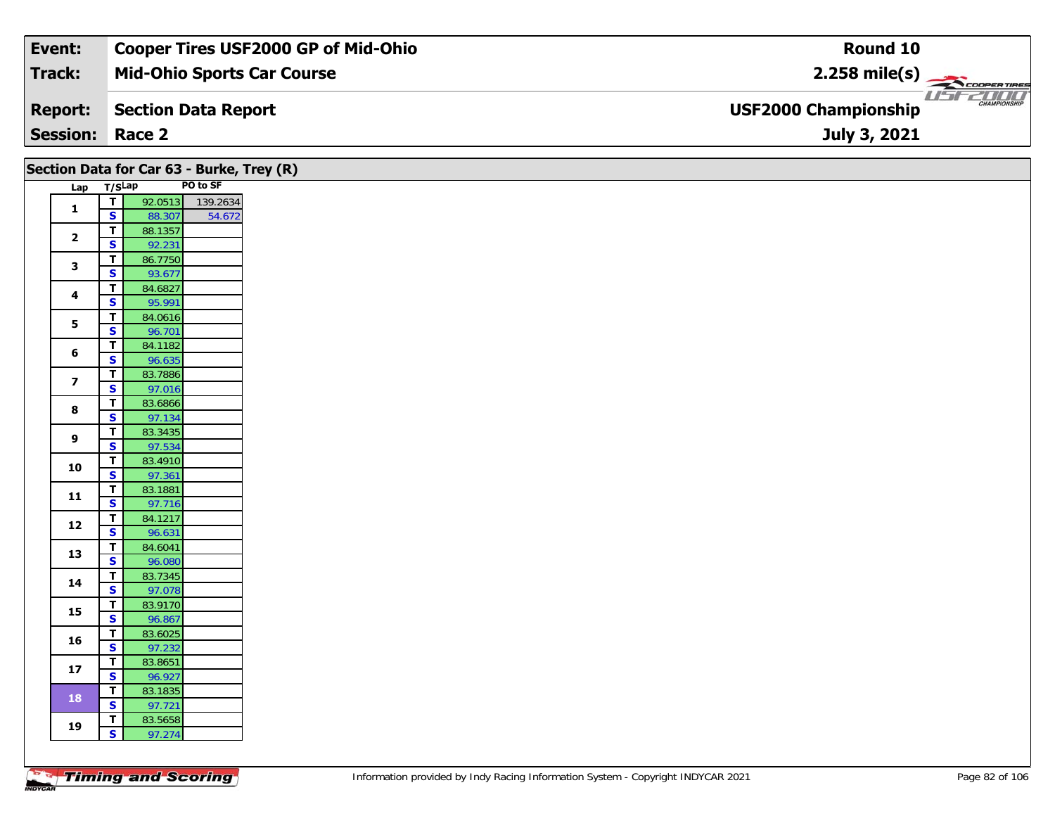| Event:                 | <b>Cooper Tires USF2000 GP of Mid-Ohio</b> | Round 10                                           |
|------------------------|--------------------------------------------|----------------------------------------------------|
| Track:                 | <b>Mid-Ohio Sports Car Course</b>          | $2.258$ mile(s)                                    |
| <b>Report:</b>         | Section Data Report                        | <b>CHAMPIONSHIP</b><br><b>USF2000 Championship</b> |
| <b>Session: Race 2</b> |                                            | July 3, 2021                                       |

| Section Data for Car 63 - Burke, Trey (R) |                                         |                   |          |  |  |  |  |  |  |  |  |  |
|-------------------------------------------|-----------------------------------------|-------------------|----------|--|--|--|--|--|--|--|--|--|
| Lap                                       | T/SLap                                  |                   | PO to SF |  |  |  |  |  |  |  |  |  |
|                                           | $\overline{\mathsf{T}}$                 | 92.0513           | 139.2634 |  |  |  |  |  |  |  |  |  |
| $\mathbf{1}$                              | $\overline{\mathbf{s}}$                 | 88.307            | 54.672   |  |  |  |  |  |  |  |  |  |
|                                           | $\overline{t}$                          | 88.1357           |          |  |  |  |  |  |  |  |  |  |
| $\overline{2}$                            | S                                       | 92.231            |          |  |  |  |  |  |  |  |  |  |
| 3                                         | $\mathbf T$                             | 86.7750           |          |  |  |  |  |  |  |  |  |  |
|                                           | $\mathbf{s}$                            | 93.677            |          |  |  |  |  |  |  |  |  |  |
| $\overline{\mathbf{4}}$                   | $\mathbf T$                             | 84.6827           |          |  |  |  |  |  |  |  |  |  |
|                                           | S                                       | 95.991            |          |  |  |  |  |  |  |  |  |  |
| 5                                         | $\overline{\mathsf{r}}$                 | 84.0616           |          |  |  |  |  |  |  |  |  |  |
|                                           | $\overline{\mathbf{s}}$                 | 96.701            |          |  |  |  |  |  |  |  |  |  |
| 6                                         | T                                       | 84.1182           |          |  |  |  |  |  |  |  |  |  |
|                                           | $\overline{\mathbf{s}}$                 | 96.635            |          |  |  |  |  |  |  |  |  |  |
| $\overline{\mathbf{z}}$                   | $\overline{t}$                          | 83.7886           |          |  |  |  |  |  |  |  |  |  |
|                                           | $\mathbf{s}$                            | 97.016            |          |  |  |  |  |  |  |  |  |  |
| $\bf{8}$                                  | $\overline{\mathbf{T}}$                 | 83.6866           |          |  |  |  |  |  |  |  |  |  |
|                                           | $\mathbf{s}$                            | 97.134            |          |  |  |  |  |  |  |  |  |  |
| $\boldsymbol{9}$                          | $\overline{\mathbf{T}}$<br>$\mathbf{s}$ | 83.3435<br>97.534 |          |  |  |  |  |  |  |  |  |  |
|                                           | $\overline{\mathbf{r}}$                 | 83.4910           |          |  |  |  |  |  |  |  |  |  |
| 10                                        | $\overline{\mathbf{s}}$                 | 97.361            |          |  |  |  |  |  |  |  |  |  |
|                                           | T                                       | 83.1881           |          |  |  |  |  |  |  |  |  |  |
| $11$                                      | $\overline{\mathbf{s}}$                 | 97.716            |          |  |  |  |  |  |  |  |  |  |
|                                           | $\mathbf T$                             | 84.1217           |          |  |  |  |  |  |  |  |  |  |
| 12                                        | $\overline{\mathbf{s}}$                 | 96.631            |          |  |  |  |  |  |  |  |  |  |
|                                           | $\overline{\mathbf{T}}$                 | 84.6041           |          |  |  |  |  |  |  |  |  |  |
| 13                                        | $\mathbf{s}$                            | 96.080            |          |  |  |  |  |  |  |  |  |  |
|                                           | $\overline{\mathbf{T}}$                 | 83.7345           |          |  |  |  |  |  |  |  |  |  |
| 14                                        | $\overline{\mathbf{s}}$                 | 97.078            |          |  |  |  |  |  |  |  |  |  |
|                                           | $\mathbf T$                             | 83.9170           |          |  |  |  |  |  |  |  |  |  |
| 15                                        | $\overline{\mathbf{s}}$                 | 96.867            |          |  |  |  |  |  |  |  |  |  |
|                                           | $\mathbf T$                             | 83.6025           |          |  |  |  |  |  |  |  |  |  |
| 16                                        | S                                       | 97.232            |          |  |  |  |  |  |  |  |  |  |
| $17$                                      | $\overline{t}$                          | 83.8651           |          |  |  |  |  |  |  |  |  |  |
|                                           | $\overline{\mathbf{s}}$                 | 96.927            |          |  |  |  |  |  |  |  |  |  |
|                                           | $\mathbf T$                             | 83.1835           |          |  |  |  |  |  |  |  |  |  |
| 18                                        | $\overline{\mathbf{s}}$                 | 97.721            |          |  |  |  |  |  |  |  |  |  |
| 19                                        | $\mathbf T$                             | 83.5658           |          |  |  |  |  |  |  |  |  |  |
|                                           | $\mathsf{s}$                            | 97.274            |          |  |  |  |  |  |  |  |  |  |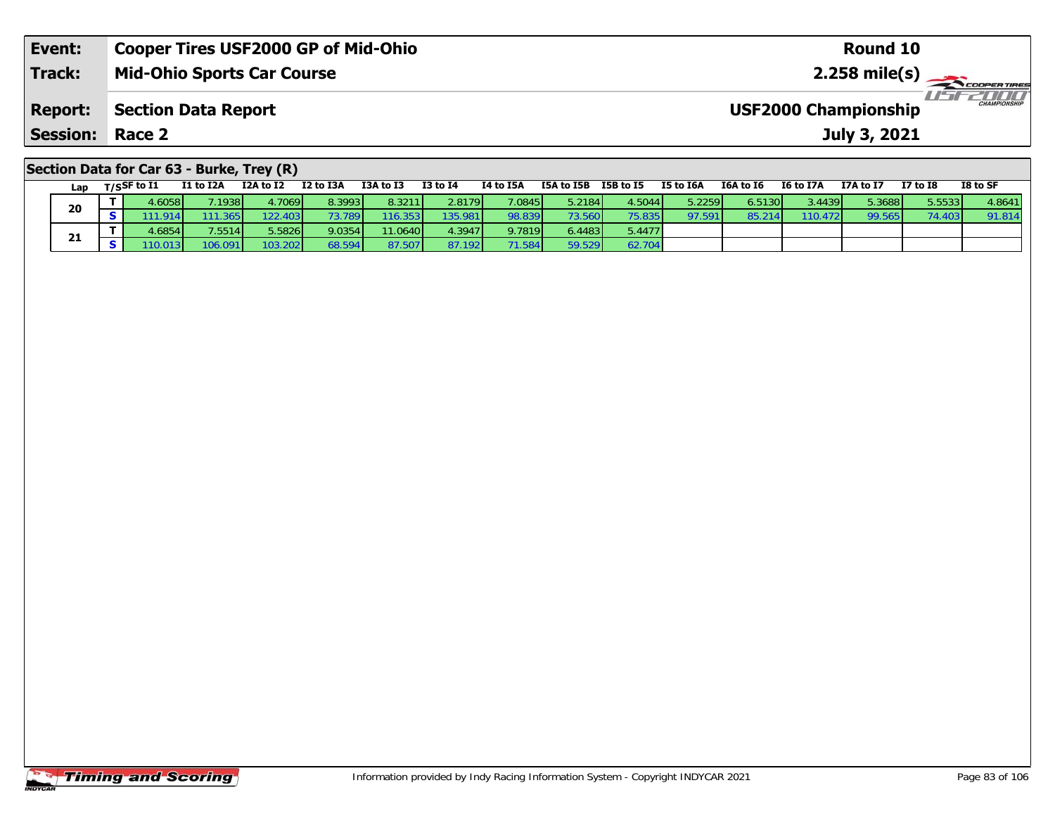| Event:                                    | <b>Cooper Tires USF2000 GP of Mid-Ohio</b> | Round 10                                           |  |  |  |  |  |  |  |
|-------------------------------------------|--------------------------------------------|----------------------------------------------------|--|--|--|--|--|--|--|
| <b>Track:</b>                             | <b>Mid-Ohio Sports Car Course</b>          |                                                    |  |  |  |  |  |  |  |
| <b>Report:</b>                            | Section Data Report                        | <b>CHAMPIONSHIP</b><br><b>USF2000 Championship</b> |  |  |  |  |  |  |  |
| <b>Session: Race 2</b>                    |                                            | July 3, 2021                                       |  |  |  |  |  |  |  |
| Section Data for Car 63 - Burke, Trey (R) |                                            |                                                    |  |  |  |  |  |  |  |

| Lap |                | $T/S$ SF to $I1$ | I1 to I2A | I2A to I2 | I2 to I3A | I3A to I3 | I3 to I4 | I4 to I5A | I5A to I5B | I5B to I5 | I5 to I6A | I6A to I6 | <b>I6 to I7A</b> | I7A to I7 | I7 to I8 | I8 to SF |
|-----|----------------|------------------|-----------|-----------|-----------|-----------|----------|-----------|------------|-----------|-----------|-----------|------------------|-----------|----------|----------|
| 20  |                | 4.6058           | 7.1938    | 4.7069    | 8.3993    | 8.3211    | 2.8179   | 7.0845    | 5.2184     | 4.5044    | 5.2259    | 6.5130    | 3.4439           | 5.3688    | 5.5533   | 4.8641   |
|     | S I            | 11.914           | 111.365   | 122.403   | 73.789    | 116.353   | 135.981  | 98.839    | 73.560     | 75.835    | 97.591    | 85.21     | 110.472          | 99.565    | 74.403   | 91.814   |
|     |                | 4.6854           | 7.5514    | 5.5826    | 9.0354    | 11.0640   | 4.3947   | 9.7819    | 6.4483     | 5.4477    |           |           |                  |           |          |          |
| 21  | S <sub>1</sub> | 110.013          | 106.091   | 103.202   | 68.594    | 87.507    | 87.192   | 71.584    | 59.529     | 62.704    |           |           |                  |           |          |          |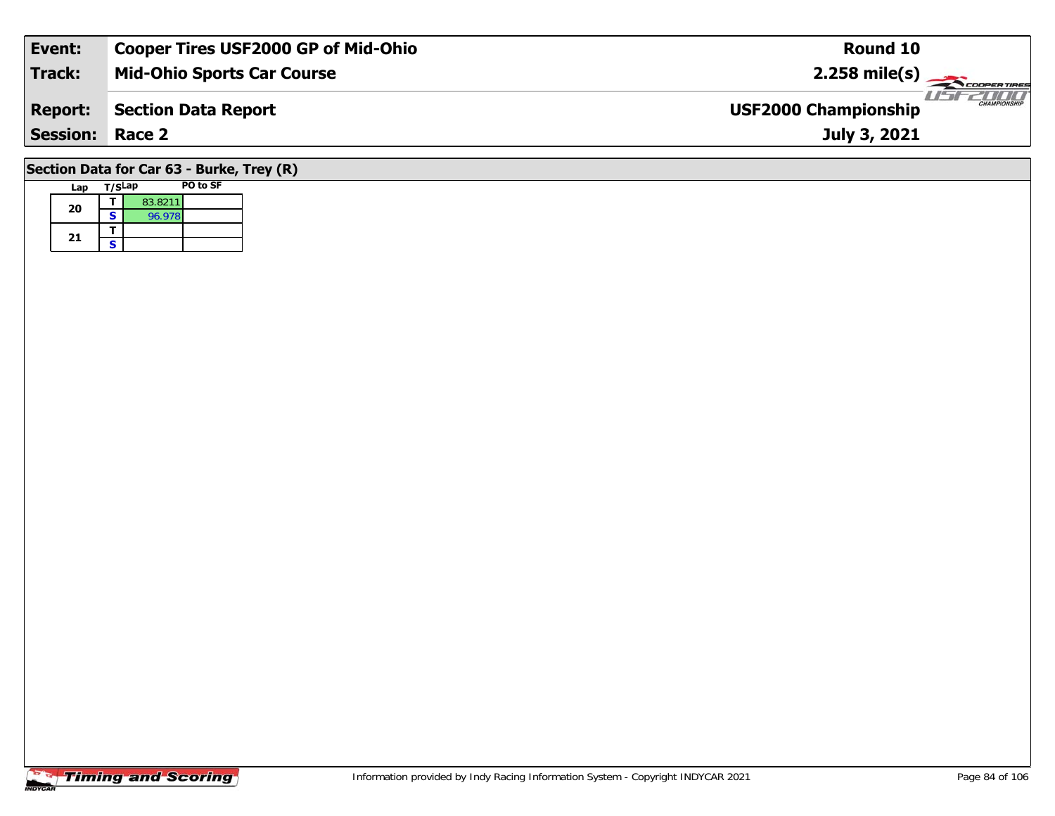| Event:                                    | <b>Cooper Tires USF2000 GP of Mid-Ohio</b> | Round 10                                           |  |  |  |  |  |  |  |
|-------------------------------------------|--------------------------------------------|----------------------------------------------------|--|--|--|--|--|--|--|
| <b>Track:</b>                             | <b>Mid-Ohio Sports Car Course</b>          | $2.258$ mile(s)                                    |  |  |  |  |  |  |  |
| <b>Report:</b>                            | Section Data Report                        | <b>CHAMPIONSHIP</b><br><b>USF2000 Championship</b> |  |  |  |  |  |  |  |
| <b>Session: Race 2</b>                    |                                            | July 3, 2021                                       |  |  |  |  |  |  |  |
| Section Data for Car 63 - Burke, Trey (R) |                                            |                                                    |  |  |  |  |  |  |  |

### **Timing and Scoring**

**Lap T/SLap PO to SF** 

**d**  $\begin{array}{|c|c|c|}\n\hline\n\textbf{S} & \textbf{83.8211} \\
\hline\n\textbf{S} & \textbf{96.978}\n\hline\n\end{array}$ 

**20**

21  $\frac{1}{s}$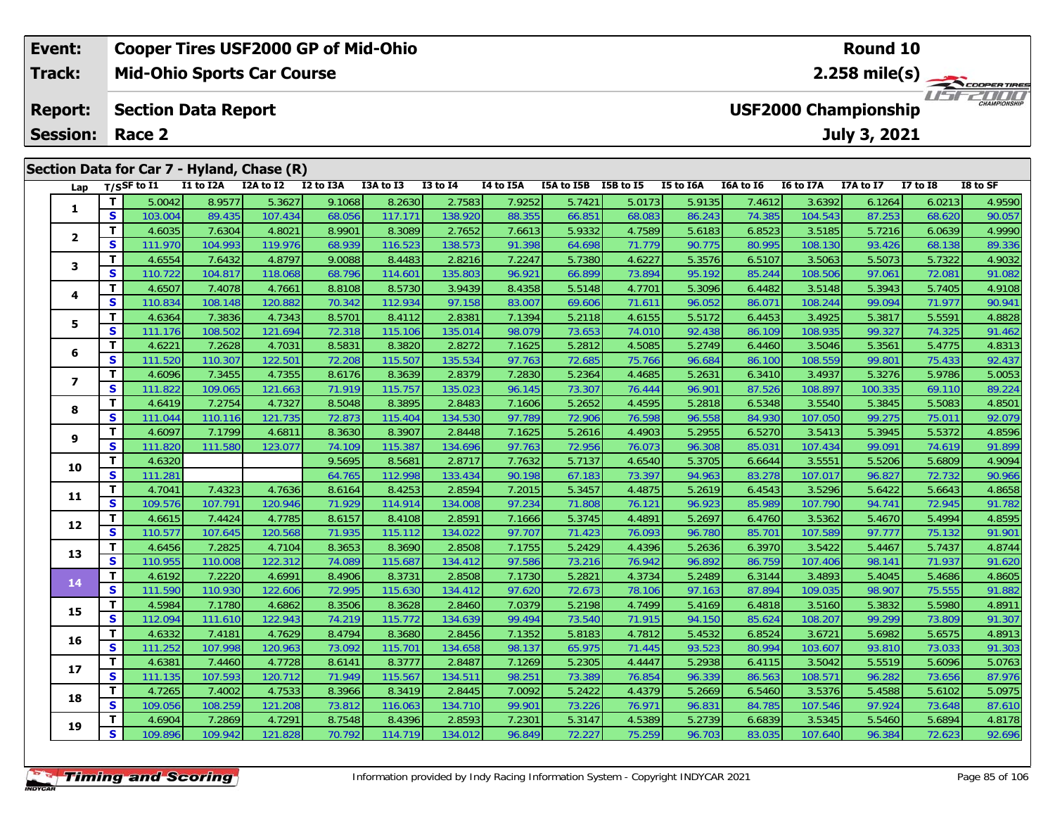| Event:                     |                                                                                     |                  |           | <b>Cooper Tires USF2000 GP of Mid-Ohio</b> |           |           |              |           | Round 10   |                                       |           |                  |                  |           |                      |          |
|----------------------------|-------------------------------------------------------------------------------------|------------------|-----------|--------------------------------------------|-----------|-----------|--------------|-----------|------------|---------------------------------------|-----------|------------------|------------------|-----------|----------------------|----------|
| Track:                     |                                                                                     |                  |           | <b>Mid-Ohio Sports Car Course</b>          |           |           |              |           |            | $2.258$ mile(s)<br><b>COOPERTIRES</b> |           |                  |                  |           |                      |          |
| <b>Report:</b><br>Session: | <b>USF2000 Championship</b><br><b>Section Data Report</b><br>July 3, 2021<br>Race 2 |                  |           |                                            |           |           |              |           |            |                                       |           |                  |                  |           | 2000<br>CHAMPIONSHIP |          |
|                            |                                                                                     |                  |           |                                            |           |           |              |           |            |                                       |           |                  |                  |           |                      |          |
|                            |                                                                                     |                  |           | Section Data for Car 7 - Hyland, Chase (R) |           |           |              |           |            |                                       |           |                  |                  |           |                      |          |
| Lap                        |                                                                                     | $T/S$ SF to I1   | I1 to I2A | I2A to I2                                  | I2 to I3A | I3A to I3 | $I3$ to $I4$ | I4 to I5A | I5A to I5B | I5B to I5                             | I5 to I6A | <b>I6A to 16</b> | <b>I6 to I7A</b> | I7A to I7 | <b>I7 to I8</b>      | I8 to SF |
|                            |                                                                                     | 5.0042           | 8.9577    | 5.3627                                     | 9.1068    | 8.2630    | 2.7583       | 7.9252    | 5.7421     | 5.0173                                | 5.9135    | 7.4612           | 3.6392           | 6.1264    | 6.0213               | 4.9590   |
|                            | S.                                                                                  | 103.004          | 89.435    | 107.434                                    | 68.056    | 117.171   | 138.920      | 88.355    | 66.851     | 68.083                                | 86.243    | 74.385           | 104.543          | 87.253    | 68.620               | 90.057   |
|                            |                                                                                     | 4.6035           | 7.6304    | 4.8021                                     | 8.9901    | 8.3089    | 2.7652       | 7.6613    | 5.9332     | 4.7589                                | 5.6183    | 6.8523           | 3.5185           | 5.7216    | 6.0639               | 4.9990   |
|                            | S                                                                                   | 111.970 <b>1</b> | 104.993   | 119.976                                    | 68.939    | 116.523   | 138.573      | 91.398    | 64.698     | 71.779                                | 90.775    | 80.995           | 108.130          | 93.426    | 68.138               | 89.336   |

|                         | $\mathbf{z}$ | <b>103.004</b> | 89.430  | IU7.434 | <b>00.UDD</b> |         | 138.9ZU | 88.300 | 00.001 | <b>00.003</b> | 80.Z43 | 74.380 | IU4.043 | 87.ZO3  | 00.0ZU | <b>AO.OS</b> |
|-------------------------|--------------|----------------|---------|---------|---------------|---------|---------|--------|--------|---------------|--------|--------|---------|---------|--------|--------------|
| $\mathbf{2}$            | T            | 4.6035         | 7.6304  | 4.8021  | 8.9901        | 8.3089  | 2.7652  | 7.6613 | 5.9332 | 4.7589        | 5.6183 | 6.8523 | 3.5185  | 5.7216  | 6.0639 | 4.9990       |
|                         | S            | 111.970        | 104.993 | 119.976 | 68.939        | 116.523 | 138.573 | 91.398 | 64.698 | 71.779        | 90.775 | 80.995 | 108.130 | 93.426  | 68.138 | 89.336       |
| 3                       | T            | 4.6554         | 7.6432  | 4.8797  | 9.0088        | 8.4483  | 2.8216  | 7.2247 | 5.7380 | 4.6227        | 5.3576 | 6.5107 | 3.5063  | 5.5073  | 5.7322 | 4.9032       |
|                         | S            | 110.722        | 104.817 | 118.068 | 68.796        | 114.601 | 135.803 | 96.921 | 66.899 | 73.894        | 95.192 | 85.244 | 108.506 | 97.061  | 72.081 | 91.082       |
| 4                       | T            | 4.6507         | 7.4078  | 4.7661  | 8.8108        | 8.5730  | 3.9439  | 8.4358 | 5.5148 | 4.7701        | 5.3096 | 6.4482 | 3.5148  | 5.3943  | 5.7405 | 4.9108       |
|                         | S            | 110.834        | 108.148 | 120.882 | 70.342        | 112.934 | 97.158  | 83.007 | 69.606 | 71.611        | 96.052 | 86.071 | 108.244 | 99.094  | 71.977 | 90.941       |
| 5                       | $\mathbf{T}$ | 4.6364         | 7.3836  | 4.7343  | 8.5701        | 8.4112  | 2.8381  | 7.1394 | 5.2118 | 4.6155        | 5.5172 | 6.4453 | 3.4925  | 5.3817  | 5.5591 | 4.8828       |
|                         | S            | 111.176        | 108.502 | 121.694 | 72.318        | 115.106 | 135.014 | 98.079 | 73.653 | 74.010        | 92.438 | 86.109 | 108.935 | 99.327  | 74.325 | 91.462       |
| 6                       | T            | 4.6221         | 7.2628  | 4.7031  | 8.5831        | 8.3820  | 2.8272  | 7.1625 | 5.2812 | 4.5085        | 5.2749 | 6.4460 | 3.5046  | 5.3561  | 5.4775 | 4.8313       |
|                         | S            | 111.520        | 110.307 | 122.501 | 72.208        | 115.507 | 135.534 | 97.763 | 72.685 | 75.766        | 96.684 | 86.100 | 108.559 | 99.801  | 75.433 | 92.437       |
| $\overline{\mathbf{z}}$ | T            | 4.6096         | 7.3455  | 4.7355  | 8.6176        | 8.3639  | 2.8379  | 7.2830 | 5.2364 | 4.4685        | 5.2631 | 6.3410 | 3.4937  | 5.3276  | 5.9786 | 5.0053       |
|                         | S            | 111.822        | 109.065 | 121.663 | 71.919        | 115.757 | 135.023 | 96.145 | 73.307 | 76.444        | 96.901 | 87.526 | 108.897 | 100.335 | 69.110 | 89.224       |
| 8                       | т            | 4.6419         | 7.2754  | 4.7327  | 8.5048        | 8.3895  | 2.8483  | 7.1606 | 5.2652 | 4.4595        | 5.2818 | 6.5348 | 3.5540  | 5.3845  | 5.5083 | 4.8501       |
|                         | S            | 111.044        | 110.116 | 121.735 | 72.873        | 115.404 | 134.530 | 97.789 | 72.906 | 76.598        | 96.558 | 84.930 | 107.050 | 99.275  | 75.011 | 92.079       |
| 9                       | T            | 4.6097         | 7.1799  | 4.6811  | 8.3630        | 8.3907  | 2.8448  | 7.1625 | 5.2616 | 4.4903        | 5.2955 | 6.5270 | 3.5413  | 5.3945  | 5.5372 | 4.8596       |
|                         | S            | 111.820        | 111.580 | 123.077 | 74.109        | 115.387 | 134.696 | 97.763 | 72.956 | 76.073        | 96.308 | 85.031 | 107.434 | 99.091  | 74.619 | 91.899       |
| 10                      | T.           | 4.6320         |         |         | 9.5695        | 8.5681  | 2.8717  | 7.7632 | 5.7137 | 4.6540        | 5.3705 | 6.6644 | 3.5551  | 5.5206  | 5.6809 | 4.9094       |
|                         | S            | 111.281        |         |         | 64.765        | 112.998 | 133.434 | 90.198 | 67.183 | 73.397        | 94.963 | 83.278 | 107.017 | 96.827  | 72.732 | 90.966       |
| 11                      | T            | 4.7041         | 7.4323  | 4.7636  | 8.6164        | 8.4253  | 2.8594  | 7.2015 | 5.3457 | 4.4875        | 5.2619 | 6.4543 | 3.5296  | 5.6422  | 5.6643 | 4.8658       |
|                         | S            | 109.576        | 107.791 | 120.946 | 71.929        | 114.914 | 134.008 | 97.234 | 71.808 | 76.121        | 96.923 | 85.989 | 107.790 | 94.741  | 72.945 | 91.782       |
| 12                      | T            | 4.6615         | 7.4424  | 4.7785  | 8.6157        | 8.4108  | 2.8591  | 7.1666 | 5.3745 | 4.4891        | 5.2697 | 6.4760 | 3.5362  | 5.4670  | 5.4994 | 4.8595       |
|                         | S            | 110.577        | 107.645 | 120.568 | 71.935        | 115.112 | 134.022 | 97.707 | 71.423 | 76.093        | 96.780 | 85.701 | 107.589 | 97.777  | 75.132 | 91.901       |
| 13                      | T.           | 4.6456         | 7.2825  | 4.7104  | 8.3653        | 8.3690  | 2.8508  | 7.1755 | 5.2429 | 4.4396        | 5.2636 | 6.3970 | 3.5422  | 5.4467  | 5.7437 | 4.8744       |
|                         | S            | 110.955        | 110.008 | 122.312 | 74.089        | 115.687 | 134.412 | 97.586 | 73.216 | 76.942        | 96.892 | 86.759 | 107.406 | 98.141  | 71.937 | 91.620       |
| 14                      | T.           | 4.6192         | 7.2220  | 4.6991  | 8.4906        | 8.3731  | 2.8508  | 7.1730 | 5.2821 | 4.3734        | 5.2489 | 6.3144 | 3.4893  | 5.4045  | 5.4686 | 4.8605       |
|                         | S            | 111.590        | 110.930 | 122.606 | 72.995        | 115.630 | 134.412 | 97.620 | 72.673 | 78.106        | 97.163 | 87.894 | 109.035 | 98.907  | 75.555 | 91.882       |
| 15                      | T            | 4.5984         | 7.1780  | 4.6862  | 8.3506        | 8.3628  | 2.8460  | 7.0379 | 5.2198 | 4.7499        | 5.4169 | 6.4818 | 3.5160  | 5.3832  | 5.5980 | 4.8911       |
|                         | S            | 112.094        | 111.610 | 122.943 | 74.219        | 115.772 | 134.639 | 99.494 | 73.540 | 71.915        | 94.150 | 85.624 | 108.207 | 99.299  | 73.809 | 91.307       |
| 16                      | T.           | 4.6332         | 7.4181  | 4.7629  | 8.4794        | 8.3680  | 2.8456  | 7.1352 | 5.8183 | 4.7812        | 5.4532 | 6.8524 | 3.6721  | 5.6982  | 5.6575 | 4.8913       |
|                         | S            | 111.252        | 107.998 | 120.963 | 73.092        | 115.701 | 134.658 | 98.137 | 65.975 | 71.445        | 93.523 | 80.994 | 103.607 | 93.810  | 73.033 | 91.303       |
| 17                      | T.           | 4.6381         | 7.4460  | 4.7728  | 8.6141        | 8.3777  | 2.8487  | 7.1269 | 5.2305 | 4.4447        | 5.2938 | 6.4115 | 3.5042  | 5.5519  | 5.6096 | 5.0763       |
|                         | S            | 111.135        | 107.593 | 120.712 | 71.949        | 115.567 | 134.511 | 98.251 | 73.389 | 76.854        | 96.339 | 86.563 | 108.571 | 96.282  | 73.656 | 87.976       |
| 18                      | T            | 4.7265         | 7.4002  | 4.7533  | 8.3966        | 8.3419  | 2.8445  | 7.0092 | 5.2422 | 4.4379        | 5.2669 | 6.5460 | 3.5376  | 5.4588  | 5.6102 | 5.0975       |
|                         | S            | 109.056        | 108.259 | 121.208 | 73.812        | 116.063 | 134.710 | 99.901 | 73.226 | 76.971        | 96.831 | 84.785 | 107.546 | 97.924  | 73.648 | 87.610       |
| 19                      | Т            | 4.6904         | 7.2869  | 4.7291  | 8.7548        | 8.4396  | 2.8593  | 7.2301 | 5.3147 | 4.5389        | 5.2739 | 6.6839 | 3.5345  | 5.5460  | 5.6894 | 4.8178       |
|                         | S            | 109.896        | 109.942 | 121.828 | 70.792        | 114.719 | 134.012 | 96.849 | 72.227 | 75.259        | 96.703 | 83.035 | 107.640 | 96.384  | 72.623 | 92.696       |
|                         |              |                |         |         |               |         |         |        |        |               |        |        |         |         |        |              |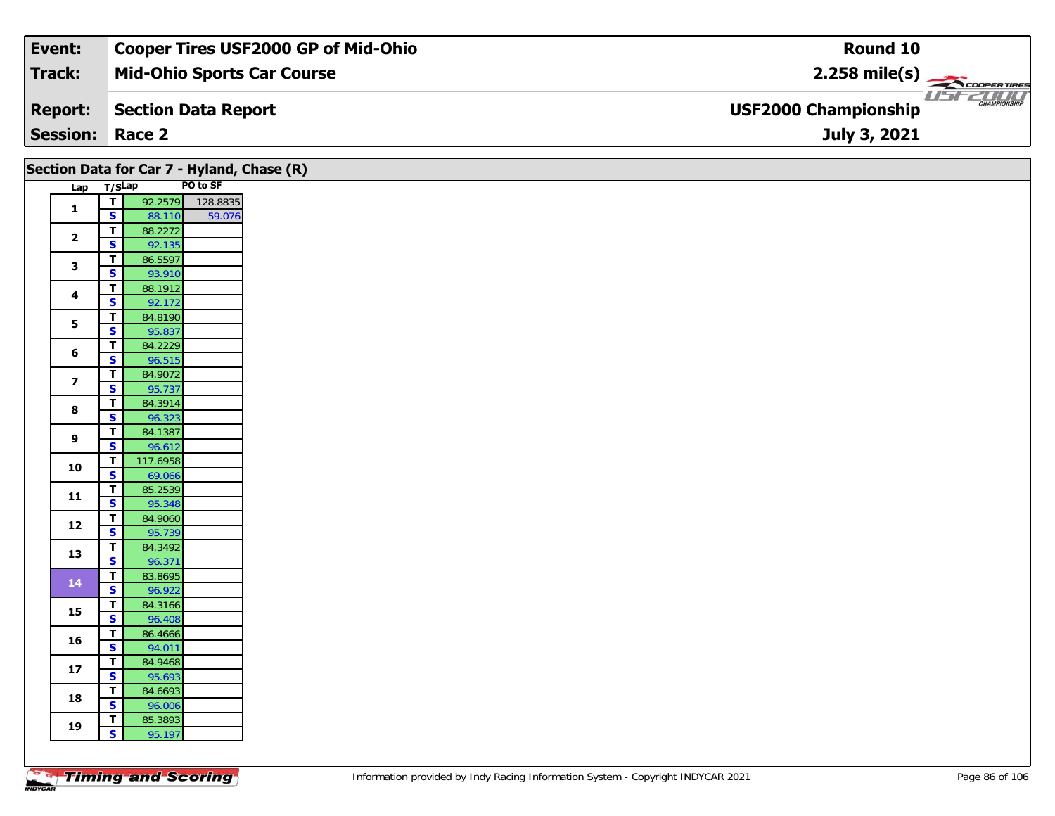| Event:                 | <b>Cooper Tires USF2000 GP of Mid-Ohio</b> | Round 10                                           |
|------------------------|--------------------------------------------|----------------------------------------------------|
| Track:                 | <b>Mid-Ohio Sports Car Course</b>          | $2.258$ mile(s)                                    |
| <b>Report:</b>         | Section Data Report                        | <b>CHAMPIONSHIP</b><br><b>USF2000 Championship</b> |
| <b>Session: Race 2</b> |                                            | July 3, 2021                                       |

|                         |                                        | Section Data for Car 7 - Hyland, Chase (R) |          |
|-------------------------|----------------------------------------|--------------------------------------------|----------|
|                         | Lap T/SLap                             |                                            | PO to SF |
| $\mathbf{1}$            | $\overline{I}$                         | 92.2579 128.8835                           |          |
|                         | $\mathbf{s}$                           | 88.110                                     | 59.076   |
| $\overline{\mathbf{2}}$ | $\mathbf T$<br>$\mathbf{s}$            | 88.2272<br>92.135                          |          |
|                         | $\mathbf T$                            | 86.5597                                    |          |
| 3                       | $\overline{\mathbf{s}}$                | 93.910                                     |          |
|                         | T                                      | 88.1912                                    |          |
| $\overline{\mathbf{4}}$ | $\mathbf{s}$                           | 92.172                                     |          |
| 5                       | $\mathbf T$                            | 84.8190                                    |          |
|                         | S                                      | 95.837                                     |          |
| 6                       | $\mathbf T$                            | 84.2229                                    |          |
|                         | $\mathbf{s}$                           | 96.515                                     |          |
| $\overline{\mathbf{z}}$ | $\mathbf T$<br>S                       | 84.9072<br>95.737                          |          |
|                         | $\mathbf T$                            | 84.3914                                    |          |
| 8                       | $\mathbf{s}$                           | 96.323                                     |          |
|                         | $\mathbf T$                            | 84.1387                                    |          |
| 9                       | $\mathbf{s}$                           | 96.612                                     |          |
|                         | $\mathbf T$                            | 117.6958                                   |          |
| 10                      | $\overline{\mathbf{s}}$                | 69.066                                     |          |
| 11                      | $\mathbf T$                            | 85.2539                                    |          |
|                         | S                                      | 95.348                                     |          |
| 12                      | $\mathbf T$                            | 84.9060                                    |          |
|                         | $\mathbf{s}$                           | 95.739                                     |          |
| 13                      | $\mathbf T$<br>$\overline{\mathbf{s}}$ | 84.3492<br>96.371                          |          |
|                         | $\mathbf T$                            | 83.8695                                    |          |
| 14                      | $\overline{\mathbf{s}}$                | 96.922                                     |          |
|                         | $\mathbf T$                            | 84.3166                                    |          |
| 15                      | $\overline{\mathbf{s}}$                | 96.408                                     |          |
| 16                      | $\mathbf T$                            | 86.4666                                    |          |
|                         | S                                      | 94.011                                     |          |
| 17                      | $\mathbf T$                            | 84.9468                                    |          |
|                         | S                                      | 95.693                                     |          |
| 18                      | $\mathbf T$<br>$\mathbf{s}$            | 84.6693                                    |          |
|                         | T                                      | 96.006<br>85.3893                          |          |
| 19                      | $\overline{\mathbf{s}}$                | 95.197                                     |          |
|                         |                                        |                                            |          |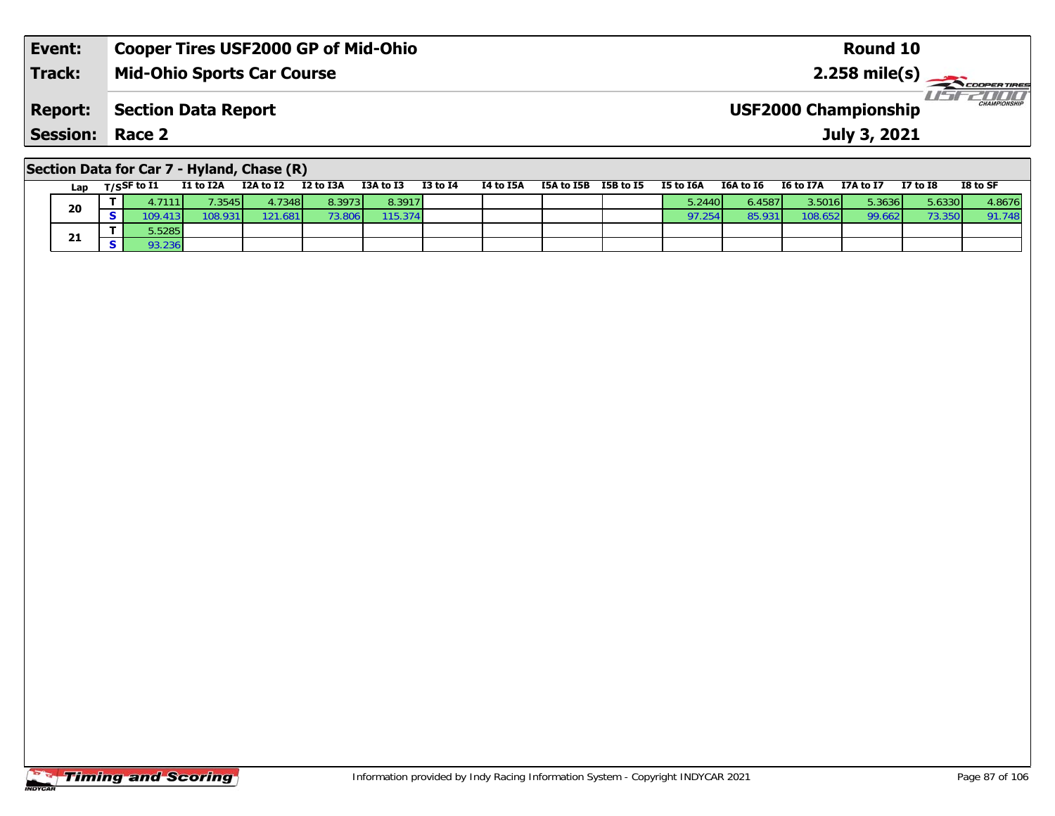| Event:                 | <b>Cooper Tires USF2000 GP of Mid-Ohio</b> | Round 10                                           |
|------------------------|--------------------------------------------|----------------------------------------------------|
| <b>Track:</b>          | <b>Mid-Ohio Sports Car Course</b>          |                                                    |
| <b>Report:</b>         | Section Data Report                        | <b>CHAMPIONSHIP</b><br><b>USF2000 Championship</b> |
| <b>Session: Race 2</b> |                                            | July 3, 2021                                       |
|                        |                                            |                                                    |

# **Section Data for Car 7 - Hyland, Chase (R)**

| Lap | T/SSF to $I1$            | I1 to I2A | I2A to I2       | I2 to I3A | I3A to I3 | <b>I3 to I4</b> | I4 to I5A | I5A to I5B | I5B to I5 | I5 to I6A | I6A to I6 | <b>I6 to I7A</b> | I7A to I7 | $I7$ to $I8$ | I8 to SF |
|-----|--------------------------|-----------|-----------------|-----------|-----------|-----------------|-----------|------------|-----------|-----------|-----------|------------------|-----------|--------------|----------|
| 20  | 1.71111                  | 7.3545    | 4.7348 <b>1</b> | 8.3973    | 8.3917    |                 |           |            |           | 5.2440    | 6.4587    | 3.5016           | 5.3636    | 5.6330       | 4.8676   |
|     | $109.413$ $\blacksquare$ | 108.931   | 121.681         | 3.8061    | 115.374   |                 |           |            |           | 97.254    | 85.93     | 108.652          | 99.662    | 73.350       | 91.748   |
|     | 5.5285                   |           |                 |           |           |                 |           |            |           |           |           |                  |           |              |          |
| 21  | 93.236                   |           |                 |           |           |                 |           |            |           |           |           |                  |           |              |          |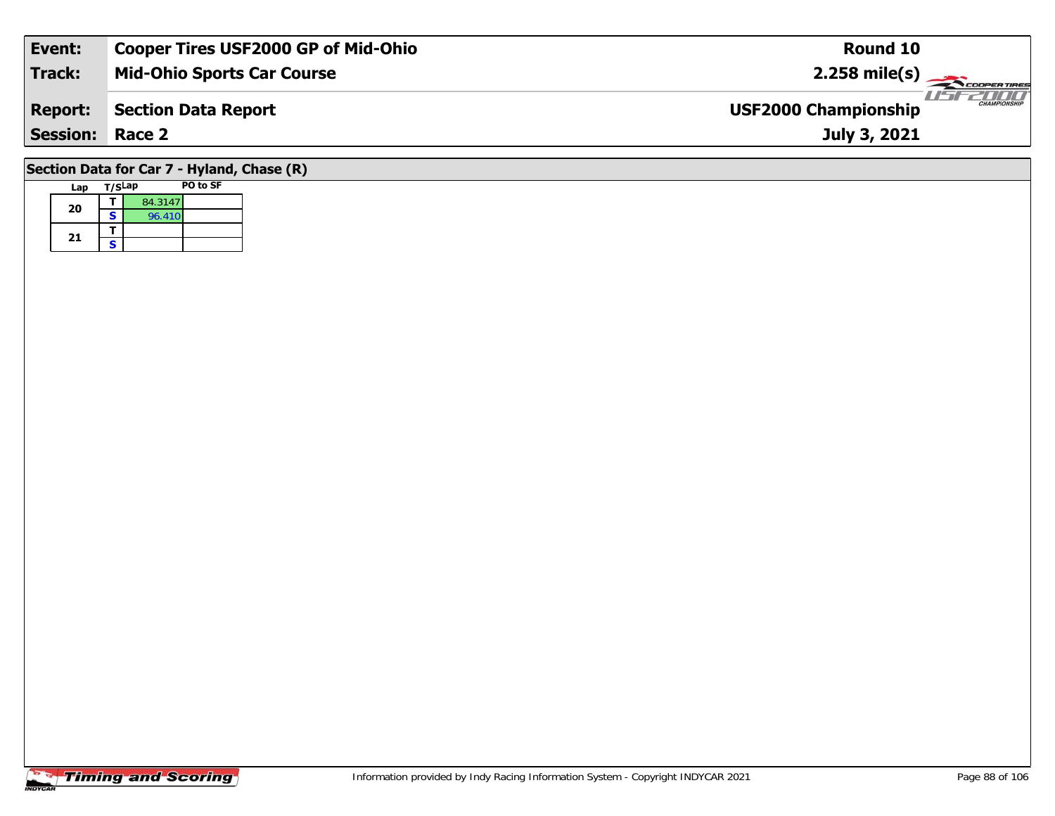| Event:                                     | <b>Cooper Tires USF2000 GP of Mid-Ohio</b> | Round 10                                           |  |  |  |  |  |  |  |
|--------------------------------------------|--------------------------------------------|----------------------------------------------------|--|--|--|--|--|--|--|
| <b>Track:</b>                              | <b>Mid-Ohio Sports Car Course</b>          | $2.258$ mile(s)                                    |  |  |  |  |  |  |  |
| <b>Report:</b>                             | <b>Section Data Report</b>                 | <b>CHAMPIONSHIP</b><br><b>USF2000 Championship</b> |  |  |  |  |  |  |  |
| <b>Session: Race 2</b>                     |                                            | July 3, 2021                                       |  |  |  |  |  |  |  |
| Section Data for Car 7 - Hyland, Chase (R) |                                            |                                                    |  |  |  |  |  |  |  |

# **Timing and Scoring**

**Lap T/SLap PO to SF** 

**a**  $\begin{array}{|c|c|c|}\n\hline\n\textbf{S} & \textbf{84.3147} \\
\hline\n\textbf{S} & \textbf{96.410}\n\hline\n\end{array}$ 

**20**

21  $\frac{1}{s}$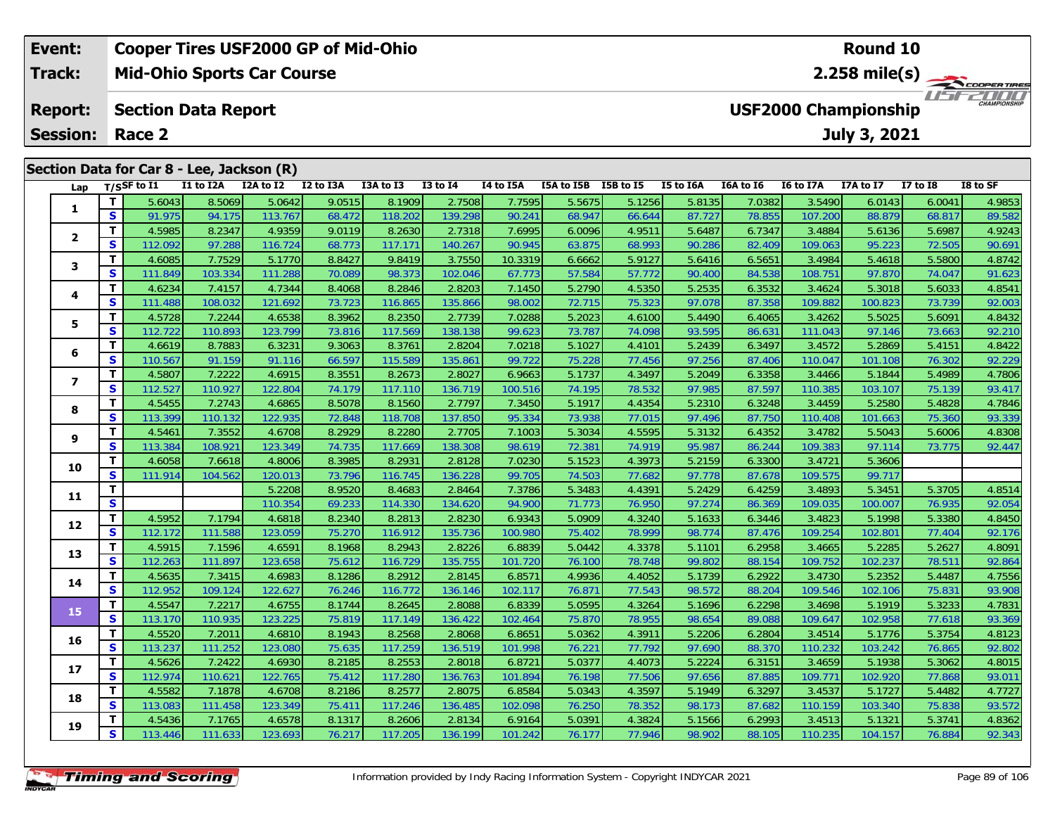| Event:                                                                      |    |                                |           | <b>Cooper Tires USF2000 GP of Mid-Ohio</b> |           |           | Round 10     |           |            |           |           |           |                                         |              |                 |          |  |  |  |  |  |
|-----------------------------------------------------------------------------|----|--------------------------------|-----------|--------------------------------------------|-----------|-----------|--------------|-----------|------------|-----------|-----------|-----------|-----------------------------------------|--------------|-----------------|----------|--|--|--|--|--|
| Track:<br><b>Mid-Ohio Sports Car Course</b>                                 |    |                                |           |                                            |           |           |              |           |            |           |           |           | 2.258 mile(s) $-$<br><b>COOPERTIRES</b> |              |                 |          |  |  |  |  |  |
| <b>USF2000 Championship</b><br><b>Report:</b><br><b>Section Data Report</b> |    |                                |           |                                            |           |           |              |           |            |           |           |           |                                         |              | $\frac{1}{1}$   |          |  |  |  |  |  |
| <b>Session:</b>                                                             |    | Race 2                         |           |                                            |           |           |              |           |            |           |           |           |                                         | July 3, 2021 |                 |          |  |  |  |  |  |
| Section Data for Car 8 - Lee, Jackson (R)                                   |    |                                |           |                                            |           |           |              |           |            |           |           |           |                                         |              |                 |          |  |  |  |  |  |
|                                                                             |    | Lap $T/SSF$ to $\overline{11}$ | I1 to I2A | I2A to I2                                  | I2 to I3A | I3A to I3 | $I3$ to $I4$ | I4 to I5A | I5A to I5B | I5B to I5 | I5 to I6A | I6A to I6 | <b>I6 to I7A</b>                        | I7A to I7    | <b>I7 to I8</b> | I8 to SF |  |  |  |  |  |
|                                                                             |    | 5.6043                         | 8.5069    | 5.0642                                     | 9.0515    | 8.1909    | 2.7508       | 7.7595    | 5.5675     | 5.1256    | 5.8135    | 7.0382    | 3.5490                                  | 6.0143       | 6.0041          | 4.9853   |  |  |  |  |  |
|                                                                             | S. | 91.975                         | 94.175    | 113.767                                    | 68.472    | 118.202   | 139.298      | 90.241    | 68.947     | 66.644    | 87.727    | 78.855    | 107.200                                 | 88.879       | 68.817          | 89.582   |  |  |  |  |  |
|                                                                             |    | 4.5985                         | 8.2347    | 4.9359                                     | 9.0119    | 8.2630    | 2.7318       | 7.6995    | 6.0096     | 4.9511    | 5.6487    | 6.7347    | 3.4884                                  | 5.6136       | 5.6987          | 4.9243   |  |  |  |  |  |
|                                                                             | S. | 112.092                        | 97.288    | 116.724                                    | 68.773    | 117.171   | 140.267      | 90.945    | 63.875     | 68.993    | 90.286    | 82.409    | 109.063                                 | 95.223       | 72.505          | 90.691   |  |  |  |  |  |

3 T 4.6085 7.7529 5.1770 8.8427 9.8419 3.7550 10.3319 6.6662 5.9127 5.6416 6.5651 3.4984 5.4618 5.5800 4.8742<br>S S 111.849 103.334 111.288 70.089 98.373 102.046 67.773 57.584 57.772 90.400 84.538 108.751 97.870 74.047 91.62

4 T 4.6234 7.4157 4.7344 8.4068 8.2846 2.8203 7.1450 5.2790 4.5350 5.2535 6.3532 3.4624 5.3018 5.6033 4.8541<br>S 111.488 108.032 121.692 73.723 116.865 135.866 98.002 72.715 75.323 97.078 87.358 109.882 100.823 73.739 92.003

### **5**5 T 4.5728| 7.2244| 4.6538| 8.3962| 8.2350| 2.7739| 7.0288| 5.2023| 4.6100| 5.4490| 6.4065| 3.4262| 5.5025| 5.6091| 4.8432<br>| S 112.722 110.893| 123.799| 73.816| 117.569| 138.138| 99.623| 73.787| 74.098| 93.595| 86.631| 111 **6**6 T 4.6619 8.7883 6.3231 9.3063 8.3761 2.8204 7.0218 5.1027 4.4101 5.2439 6.3497 3.4572 5.2869 5.4151 4.8422<br>5 S 110.567 91.159 91.116 66.597 115.589 135.861 99.722 75.228 77.456 97.256 87.406 110.047 101.108 76.302 92.229 **7**7 | T | 4.5807| 7.2222| 4.6915| 8.3551| 8.2673| 2.8027| 6.9663| 5.1737| 4.3497| 5.2049| 6.3358| 3.4466| 5.1844| 5.4989| 4.7806<br>7 | S | 112.527| 110.927| 122.804| 74.179| 117.110| 136.719| 100.516| 74.195| 78.532| 97.985| 8 **8**8 T 4.5455 7.2743 4.6865 8.5078 8.1560 2.7797 7.3450 5.1917 4.4354 5.2310 6.3248 3.4459 5.2580 5.4828 4.7846<br>8 S 113.399 110.132 122.935 72.848 118.708 137.850 95.334 73.938 77.015 97.496 87.750 110.408 101.663 75.360 93.3 **9**<mark>11</mark> 4.5461 7.3552 4.6708 8.2929 8.2280 2.7705 7.1003 5.3034 4.5595 5.3132 6.4352 3.4782 5.5043 5.6006 4.8308 و<br>S 113.384 108.921 123.349 74.735 117.669 138.308 98.619 72.381 74.919 95.987 86.244 109.383 97.114 73.775 92. **10 <sup>T</sup>** 4.6058 7.6618 4.8006 8.3985 8.2931 2.8128 7.0230 5.1523 4.3973 5.2159 6.3300 3.4721 5.3606 **<sup>S</sup>** 111.914 104.562 120.013 73.796 116.745 136.228 99.705 74.503 77.682 97.778 87.678 109.575 99.717**11 <sup>T</sup>** 5.2208 8.9520 8.4683 2.8464 7.3786 5.3483 4.4391 5.2429 6.4259 3.4893 5.3451 5.3705 4.8514 **<sup>S</sup>** 110.354 69.233 114.330 134.620 94.900 71.773 76.950 97.274 86.369 109.035 100.007 76.935 92.054**12**2 T 4.5952 7.1794 4.6818 8.2340 8.2813 2.8230 6.9343 5.0909 4.3240 5.1633 6.3446 3.4823 5.1998 5.3380 4.8450 2<br>2 S 112.172 111.588 123.059 75.270 116.912 135.736 100.980 75.402 78.999 98.774 87.476 109.254 102.801 77.404 9 **13**3 T 4.5915 7.1596 4.6591 8.1968 8.2943 2.8226 6.8839 5.0442 4.3378 5.1101 6.2958 3.4665 5.2285 5.2627 4.8091<br>S 112.263 111.897 123.658 75.612 116.729 135.755 101.720 76.100 78.748 99.802 88.154 109.752 102.237 78.511 92.86 **14**4 T 4.5635 7.3415 4.6983 8.1286 8.2912 2.8145 6.8571 4.9936 4.4052 5.1739 6.2922 3.4730 5.2352 5.4487 4.7556<br>S 112.952 109.124 122.627 76.246 116.772 136.146 102.117 76.871 77.543 98.572 88.204 109.546 102.106 75.831 93.90 **15**5 T | 4.5547 7.2217 4.6755 8.1744 8.2645 2.8088 6.8339 5.0595 4.3264 5.1696 6.2298 3.4698 5.1919 5.3233 4.7831<br>5 S 113.170 110.935 123.225 75.819 117.149 136.422 102.464 75.870 78.955 98.654 89.088 109.647 102.958 77.618 9 **16**6 T 4.5520 7.2011 4.6810 8.1943 8.2568 2.8068 6.8651 5.0362 4.3911 5.2206 6.2804 3.4514 5.1776 5.3754 4.8123<br>5 T 5 113.237 111.252 123.080 75.635 117.259 136.519 101.998 76.221 77.792 97.690 88.370 110.232 103.242 76.865 **17**7 T 4.5626 7.2422 4.6930 8.2185 8.2553 2.8018 6.8721 5.0377 4.4073 5.2224 6.3151 3.4659 5.1938 5.3062 4.8015<br>7 S 112,974 110.621 122.765 75.412 117.280 136.763 101.894 76.198 77.506 97.656 87.885 109.771 102.920 77.868 93. **18**8 T 4.5582 7.1878 4.6708 8.2186 8.2577 2.8075 6.8584 5.0343 4.3597 5.1949 6.3297 3.4537 5.1727 5.4482 4.7727<br>S 113.083 111.458 123.349 75.411 117.246 136.485 102.098 76.250 78.352 98.173 87.682 110.159 103.340 75.838 93.57 **19**4.8362 1.1765 1.1765 1.1765 1.177 1.177 1.177 1.177.205 1.1762 1.177 1.177.205 1.177 1.17796 1.177 1.1796 1.17<br>S 113.446 111.633 123.693 76.217 117.205 136.199 101.242 76.177 77.946 98.902 88.105 110.235 104.157 76.884 92

**3**

**4**

92.00

93.417

92.447

92.176

92.864

93.90

93.011

93.572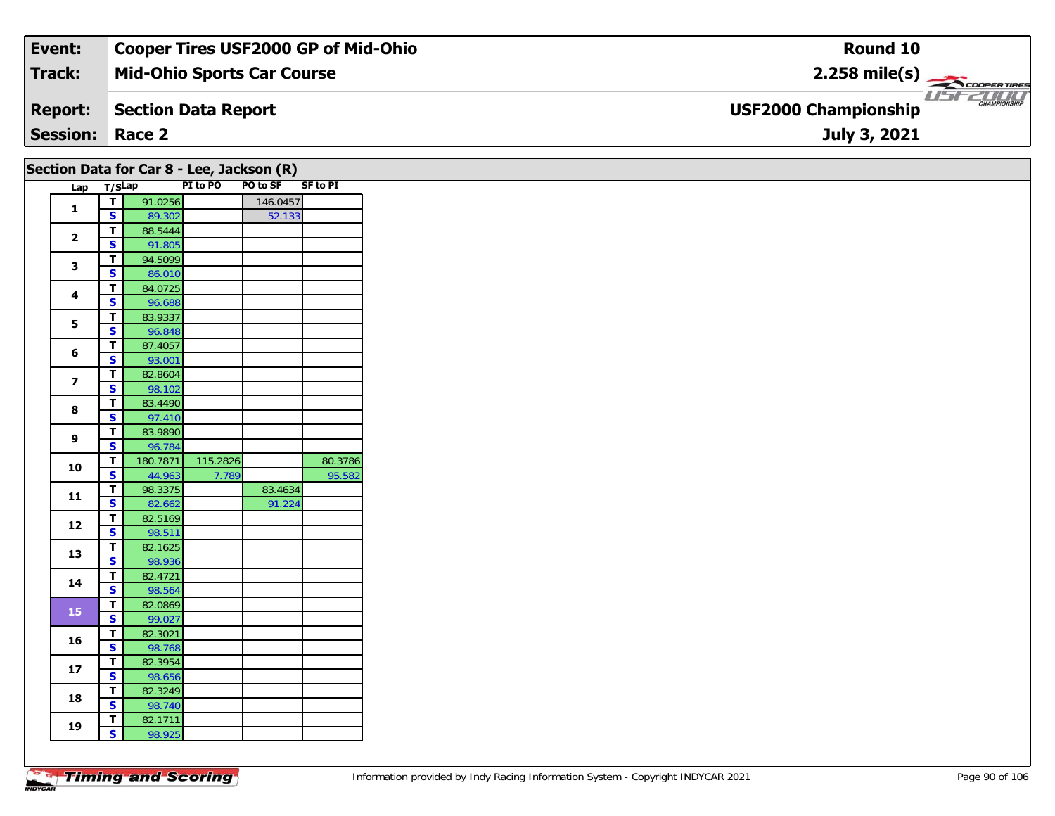| Event:          | <b>Cooper Tires USF2000 GP of Mid-Ohio</b> | Round 10                                                          |
|-----------------|--------------------------------------------|-------------------------------------------------------------------|
| <b>Track:</b>   | <b>Mid-Ohio Sports Car Course</b>          | $2.258$ mile(s)                                                   |
|                 | <b>Report:</b> Section Data Report         | <b>2000</b><br><b>CHAMPIONSHIP</b><br><b>USF2000 Championship</b> |
| <b>Session:</b> | Race 2                                     | July 3, 2021                                                      |

| PO to SF SF to PI<br>PI to PO<br>Lap T/SLap<br>91.0256<br>$\mathbf{T}$<br>146.0457<br>$\mathbf{1}$<br>$\overline{\mathbf{s}}$<br>89.302<br>52.133<br>88.5444<br>T<br>$\mathbf{2}$<br>91.805<br>$\mathbf{s}$<br>94.5099<br>T<br>$\mathbf{3}$<br>$\mathbf{s}$<br>86.010<br>84.0725<br>T<br>4<br><b>S</b><br>96.688<br>T<br>83.9337<br>5<br>$\overline{\mathbf{s}}$<br>96.848<br>87.4057<br>$\mathbf T$<br>6<br>93.001<br>$\mathbf{s}$<br>82.8604<br>T<br>$\overline{\mathbf{z}}$<br>S<br>98.102<br>83.4490<br>T.<br>8<br>$\mathbf{s}$<br>97.410<br>83.9890<br>T<br>9<br>$\mathbf{s}$<br>96.784<br>115.2826<br>180.7871<br>T<br>10<br>$\mathbf{s}$<br>44.963<br>7.789<br>98.3375<br>83.4634<br>T<br>11<br>S<br>82.662<br>91.224<br>T<br>82.5169<br>12<br>$\overline{\mathbf{s}}$<br>98.511<br>82.1625<br>$\mathbf T$<br>13<br>98.936<br><b>S</b><br>82.4721<br>T<br>14<br>$\mathbf{s}$<br>98.564<br>82.0869<br>$\mathbf{T}$<br>15<br>$\overline{\mathbf{s}}$<br>99.027<br>82.3021<br>$\mathbf T$<br>16<br>$\overline{\mathbf{s}}$<br>98.768<br>82.3954<br>T<br>17<br>S<br>98.656<br>82.3249<br>T.<br>18<br>$\mathbf{s}$<br>98.740<br>82.1711<br>T.<br>19 |   |        | Section Data for Car 8 - Lee, Jackson (R) |         |
|-------------------------------------------------------------------------------------------------------------------------------------------------------------------------------------------------------------------------------------------------------------------------------------------------------------------------------------------------------------------------------------------------------------------------------------------------------------------------------------------------------------------------------------------------------------------------------------------------------------------------------------------------------------------------------------------------------------------------------------------------------------------------------------------------------------------------------------------------------------------------------------------------------------------------------------------------------------------------------------------------------------------------------------------------------------------------------------------------------------------------------------------------------|---|--------|-------------------------------------------|---------|
|                                                                                                                                                                                                                                                                                                                                                                                                                                                                                                                                                                                                                                                                                                                                                                                                                                                                                                                                                                                                                                                                                                                                                       |   |        |                                           |         |
|                                                                                                                                                                                                                                                                                                                                                                                                                                                                                                                                                                                                                                                                                                                                                                                                                                                                                                                                                                                                                                                                                                                                                       |   |        |                                           |         |
|                                                                                                                                                                                                                                                                                                                                                                                                                                                                                                                                                                                                                                                                                                                                                                                                                                                                                                                                                                                                                                                                                                                                                       |   |        |                                           |         |
|                                                                                                                                                                                                                                                                                                                                                                                                                                                                                                                                                                                                                                                                                                                                                                                                                                                                                                                                                                                                                                                                                                                                                       |   |        |                                           |         |
|                                                                                                                                                                                                                                                                                                                                                                                                                                                                                                                                                                                                                                                                                                                                                                                                                                                                                                                                                                                                                                                                                                                                                       |   |        |                                           |         |
|                                                                                                                                                                                                                                                                                                                                                                                                                                                                                                                                                                                                                                                                                                                                                                                                                                                                                                                                                                                                                                                                                                                                                       |   |        |                                           |         |
|                                                                                                                                                                                                                                                                                                                                                                                                                                                                                                                                                                                                                                                                                                                                                                                                                                                                                                                                                                                                                                                                                                                                                       |   |        |                                           |         |
|                                                                                                                                                                                                                                                                                                                                                                                                                                                                                                                                                                                                                                                                                                                                                                                                                                                                                                                                                                                                                                                                                                                                                       |   |        |                                           |         |
|                                                                                                                                                                                                                                                                                                                                                                                                                                                                                                                                                                                                                                                                                                                                                                                                                                                                                                                                                                                                                                                                                                                                                       |   |        |                                           |         |
|                                                                                                                                                                                                                                                                                                                                                                                                                                                                                                                                                                                                                                                                                                                                                                                                                                                                                                                                                                                                                                                                                                                                                       |   |        |                                           |         |
|                                                                                                                                                                                                                                                                                                                                                                                                                                                                                                                                                                                                                                                                                                                                                                                                                                                                                                                                                                                                                                                                                                                                                       |   |        |                                           |         |
|                                                                                                                                                                                                                                                                                                                                                                                                                                                                                                                                                                                                                                                                                                                                                                                                                                                                                                                                                                                                                                                                                                                                                       |   |        |                                           |         |
|                                                                                                                                                                                                                                                                                                                                                                                                                                                                                                                                                                                                                                                                                                                                                                                                                                                                                                                                                                                                                                                                                                                                                       |   |        |                                           |         |
|                                                                                                                                                                                                                                                                                                                                                                                                                                                                                                                                                                                                                                                                                                                                                                                                                                                                                                                                                                                                                                                                                                                                                       |   |        |                                           |         |
|                                                                                                                                                                                                                                                                                                                                                                                                                                                                                                                                                                                                                                                                                                                                                                                                                                                                                                                                                                                                                                                                                                                                                       |   |        |                                           |         |
|                                                                                                                                                                                                                                                                                                                                                                                                                                                                                                                                                                                                                                                                                                                                                                                                                                                                                                                                                                                                                                                                                                                                                       |   |        |                                           |         |
|                                                                                                                                                                                                                                                                                                                                                                                                                                                                                                                                                                                                                                                                                                                                                                                                                                                                                                                                                                                                                                                                                                                                                       |   |        |                                           |         |
|                                                                                                                                                                                                                                                                                                                                                                                                                                                                                                                                                                                                                                                                                                                                                                                                                                                                                                                                                                                                                                                                                                                                                       |   |        |                                           |         |
|                                                                                                                                                                                                                                                                                                                                                                                                                                                                                                                                                                                                                                                                                                                                                                                                                                                                                                                                                                                                                                                                                                                                                       |   |        |                                           |         |
|                                                                                                                                                                                                                                                                                                                                                                                                                                                                                                                                                                                                                                                                                                                                                                                                                                                                                                                                                                                                                                                                                                                                                       |   |        |                                           | 80.3786 |
|                                                                                                                                                                                                                                                                                                                                                                                                                                                                                                                                                                                                                                                                                                                                                                                                                                                                                                                                                                                                                                                                                                                                                       |   |        |                                           | 95.582  |
|                                                                                                                                                                                                                                                                                                                                                                                                                                                                                                                                                                                                                                                                                                                                                                                                                                                                                                                                                                                                                                                                                                                                                       |   |        |                                           |         |
|                                                                                                                                                                                                                                                                                                                                                                                                                                                                                                                                                                                                                                                                                                                                                                                                                                                                                                                                                                                                                                                                                                                                                       |   |        |                                           |         |
|                                                                                                                                                                                                                                                                                                                                                                                                                                                                                                                                                                                                                                                                                                                                                                                                                                                                                                                                                                                                                                                                                                                                                       |   |        |                                           |         |
|                                                                                                                                                                                                                                                                                                                                                                                                                                                                                                                                                                                                                                                                                                                                                                                                                                                                                                                                                                                                                                                                                                                                                       |   |        |                                           |         |
|                                                                                                                                                                                                                                                                                                                                                                                                                                                                                                                                                                                                                                                                                                                                                                                                                                                                                                                                                                                                                                                                                                                                                       |   |        |                                           |         |
|                                                                                                                                                                                                                                                                                                                                                                                                                                                                                                                                                                                                                                                                                                                                                                                                                                                                                                                                                                                                                                                                                                                                                       |   |        |                                           |         |
|                                                                                                                                                                                                                                                                                                                                                                                                                                                                                                                                                                                                                                                                                                                                                                                                                                                                                                                                                                                                                                                                                                                                                       |   |        |                                           |         |
|                                                                                                                                                                                                                                                                                                                                                                                                                                                                                                                                                                                                                                                                                                                                                                                                                                                                                                                                                                                                                                                                                                                                                       |   |        |                                           |         |
|                                                                                                                                                                                                                                                                                                                                                                                                                                                                                                                                                                                                                                                                                                                                                                                                                                                                                                                                                                                                                                                                                                                                                       |   |        |                                           |         |
|                                                                                                                                                                                                                                                                                                                                                                                                                                                                                                                                                                                                                                                                                                                                                                                                                                                                                                                                                                                                                                                                                                                                                       |   |        |                                           |         |
|                                                                                                                                                                                                                                                                                                                                                                                                                                                                                                                                                                                                                                                                                                                                                                                                                                                                                                                                                                                                                                                                                                                                                       |   |        |                                           |         |
|                                                                                                                                                                                                                                                                                                                                                                                                                                                                                                                                                                                                                                                                                                                                                                                                                                                                                                                                                                                                                                                                                                                                                       |   |        |                                           |         |
|                                                                                                                                                                                                                                                                                                                                                                                                                                                                                                                                                                                                                                                                                                                                                                                                                                                                                                                                                                                                                                                                                                                                                       |   |        |                                           |         |
|                                                                                                                                                                                                                                                                                                                                                                                                                                                                                                                                                                                                                                                                                                                                                                                                                                                                                                                                                                                                                                                                                                                                                       |   |        |                                           |         |
|                                                                                                                                                                                                                                                                                                                                                                                                                                                                                                                                                                                                                                                                                                                                                                                                                                                                                                                                                                                                                                                                                                                                                       |   |        |                                           |         |
|                                                                                                                                                                                                                                                                                                                                                                                                                                                                                                                                                                                                                                                                                                                                                                                                                                                                                                                                                                                                                                                                                                                                                       |   |        |                                           |         |
|                                                                                                                                                                                                                                                                                                                                                                                                                                                                                                                                                                                                                                                                                                                                                                                                                                                                                                                                                                                                                                                                                                                                                       |   |        |                                           |         |
|                                                                                                                                                                                                                                                                                                                                                                                                                                                                                                                                                                                                                                                                                                                                                                                                                                                                                                                                                                                                                                                                                                                                                       | S | 98.925 |                                           |         |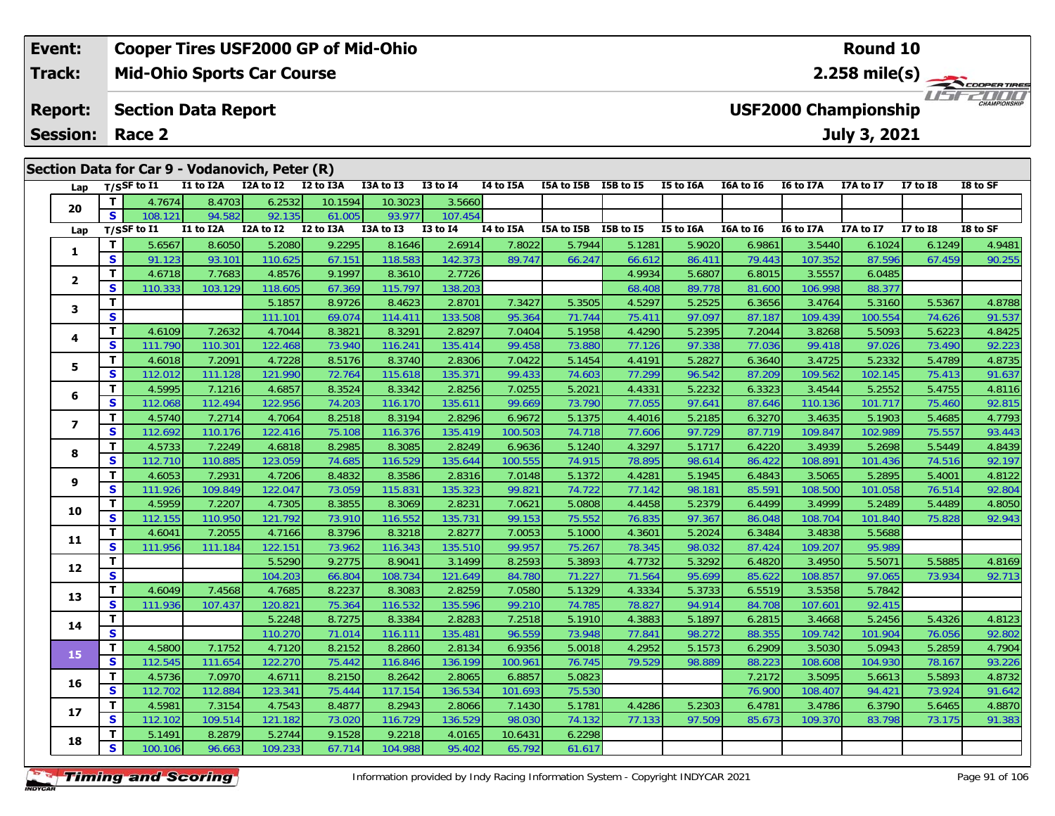# **Cooper Tires USF2000 GP of Mid-Ohio**

**Mid-Ohio Sports Car Course Track:**

#### **Section Data Report Report:**

**Session:Race 2**

**Event:**

### **Lap T/SSF to I1 I1 to I2A I2A to I2 I2 to I3A I3A to I3 I3 to I4 I4 to I5A I5A to I5B I5B to I5 I5 to I6A I6A to I6 I6 to I7A I7A to I7 I7 to I8 I8 to SF 20 <sup>T</sup>** 4.7674 8.4703 6.2532 10.1594 10.3023 3.5660 **<sup>S</sup>** 108.121 94.582 92.135 61.005 93.977 107.454**Lap T/SSF to I1 I1 to I2A I2A to I2 I2 to I3A I3A to I3 I3 to I4 I4 to I5A I5A to I5B I5B to I5 I5 to I6A I6A to I6 I6 to I7A I7A to I7 I7 to I8 I8 to SF 1 <sup>T</sup>** 5.6567 8.6050 5.2080 9.2295 8.1646 2.6914 7.8022 5.7944 5.1281 5.9020 6.9861 3.5440 6.1024 6.1249 4.9481 **<sup>S</sup>** 91.123 93.101 110.625 67.151 118.583 142.373 89.747 66.247 66.612 86.411 79.443 107.352 87.596 67.459 90.255**2 <sup>T</sup>** 4.6718 7.7683 4.8576 9.1997 8.3610 2.7726 4.9934 5.6807 6.8015 3.5557 6.0485 **<sup>S</sup>** 110.333 103.129 118.605 67.369 115.797 138.203 68.408 89.778 81.600 106.998 88.377**3 <sup>T</sup>** 5.1857 8.9726 8.4623 2.8701 7.3427 5.3505 4.5297 5.2525 6.3656 3.4764 5.3160 5.5367 4.8788 **<sup>S</sup>** 111.101 69.074 114.411 133.508 95.364 71.744 75.411 97.097 87.187 109.439 100.554 74.626 91.537**4**4 T 4.6109 7.2632 4.7044 8.3821 8.3291 2.8297 7.0404 5.1958 4.4290 5.2395 7.2044 3.8268 5.5093 5.6223 4.8425<br>S 111.790 110.301 122.468 73.940 116.241 135.414 99.458 73.880 77.126 97.338 77.036 99.418 97.026 73.490 92.223 **5 <sup>T</sup>** 4.6018 7.2091 4.7228 8.5176 8.3740 2.8306 7.0422 5.1454 4.4191 5.2827 6.3640 3.4725 5.2332 5.4789 4.8735 **<sup>S</sup>** 112.012 111.128 121.990 72.764 115.618 135.371 99.433 74.603 77.299 96.542 87.209 109.562 102.145 75.413 91.637**6**6 T 4.5995 7.1216 4.6857 8.3524 8.3342 2.8256 7.0255 5.2021 4.4331 5.2232 6.3323 3.4544 5.2552 5.4755 4.8116<br>5 S 112.068 112.494 122.956 74.203 116.170 135.611 99.669 73.790 77.055 97.641 87.646 110.136 101.717 75.460 92.8 **7**7 | T | 4.5740| 7.2714| 4.7064| 8.2518| 8.3194| 2.8296| 6.9672| 5.1375| 4.4016| 5.2185| 6.3270| 3.4635| 5.1903| 5.4685| 4.7793<br>7 | S | 112.692| 110.176 122.416| 75.108| 116.376| 135.419| 100.503| 74.718| 77.606| 97.729| 87 **8**8 T 4.5733 7.2249 4.6818 8.2985 8.3085 2.8249 6.9636 5.1240 4.3297 5.1717 6.4220 3.4939 5.2698 5.5449 4.8439<br>8 S 112.710 110.885 123.059 74.685 116.529 135.644 100.555 74.915 78.895 98.614 86.422 108.891 101.436 74.516 92. **9**4.8122 | 11 4.6053 | 7.2931 4.7206 | 8.4832 8.3586 | 2.8316 7.0148 | 5.1372 | 4.4281 5.1945 | 6.4843 | 3.5065 <br>S | 111.926 109.849 122.047 73.059 115.831 135.323 | 99.821 74.722 77.142 | 98.181 | 85.591 108.500 101.058 76 **10**0 T 4.5959 7.2207 4.7305 8.3855 8.3069 2.8231 7.0621 5.0808 4.4458 5.2379 6.4499 3.4999 5.2489 5.4489 4.8050<br>S 112.155 110.950 121.792 73.910 116.552 135.731 99.153 75.552 76.835 97.367 86.048 108.704 101.840 75.828 92.943 **11 <sup>T</sup>** 4.6041 7.2055 4.7166 8.3796 8.3218 2.8277 7.0053 5.1000 4.3601 5.2024 6.3484 3.4838 5.5688 **<sup>S</sup>** 111.956 111.184 122.151 73.962 116.343 135.510 99.957 75.267 78.345 98.032 87.424 109.207 95.989**12 <sup>T</sup>** 5.5290 9.2775 8.9041 3.1499 8.2593 5.3893 4.7732 5.3292 6.4820 3.4950 5.5071 5.5885 4.8169 **<sup>S</sup>** 104.203 66.804 108.734 121.649 84.780 71.227 71.564 95.699 85.622 108.857 97.065 73.934 92.713**13 <sup>T</sup>** 4.6049 7.4568 4.7685 8.2237 8.3083 2.8259 7.0580 5.1329 4.3334 5.3733 6.5519 3.5358 5.7842 **<sup>S</sup>** 111.936 107.437 120.821 75.364 116.532 135.596 99.210 74.785 78.827 94.914 84.708 107.601 92.415**14 <sup>T</sup>** 5.2248 8.7275 8.3384 2.8283 7.2518 5.1910 4.3883 5.1897 6.2815 3.4668 5.2456 5.4326 4.8123 **<sup>S</sup>** 110.270 71.014 116.111 135.481 96.559 73.948 77.841 98.272 88.355 109.742 101.904 76.056 92.802**15**5 T 4.5800 7.1752 4.7120 8.2152 8.2860 2.8134 6.9356 5.0018 4.2952 5.1573 6.2909 3.5030 5.0943 5.2859 4.7904<br>5 S 112.545 111.654 122.270 75.442 116.846 136.199 100.961 76.745 79.529 98.889 88.223 108.608 104.930 78.167 93. **16 <sup>T</sup>** 4.5736 7.0970 4.6711 8.2150 8.2642 2.8065 6.8857 5.0823 7.2172 3.5095 5.6613 5.5893 4.8732 **<sup>S</sup>** 112.702 112.884 123.341 75.444 117.154 136.534 101.693 75.530 76.900 108.407 94.421 73.924 91.642**17**7 T 4.5981 7.3154 4.7543 8.4877 8.2943 2.8066 7.1430 5.1781 4.4286 5.2303 6.4781 3.4786 6.3790 5.6465 4.887C<br>7 S 112.102 109.514 121.182 73.020 116.729 136.529 98.030 74.132 77.133 97.509 85.673 109.370 83.798 73.175 91.38 **18 <sup>T</sup>** 5.1491 8.2879 5.2744 9.1528 9.2218 4.0165 10.6431 6.2298 **<sup>S</sup>** 100.106 96.663 109.233 67.714 104.988 95.402 65.792 61.61761.617 **Section Data for Car 9 - Vodanovich, Peter (R)**

### **Timing and Scoring**

# **Round 10**

**2.258 mile(s)**

COOPERTIRES USEZOOO

**USF2000 Championship**

# **July 3, 2021**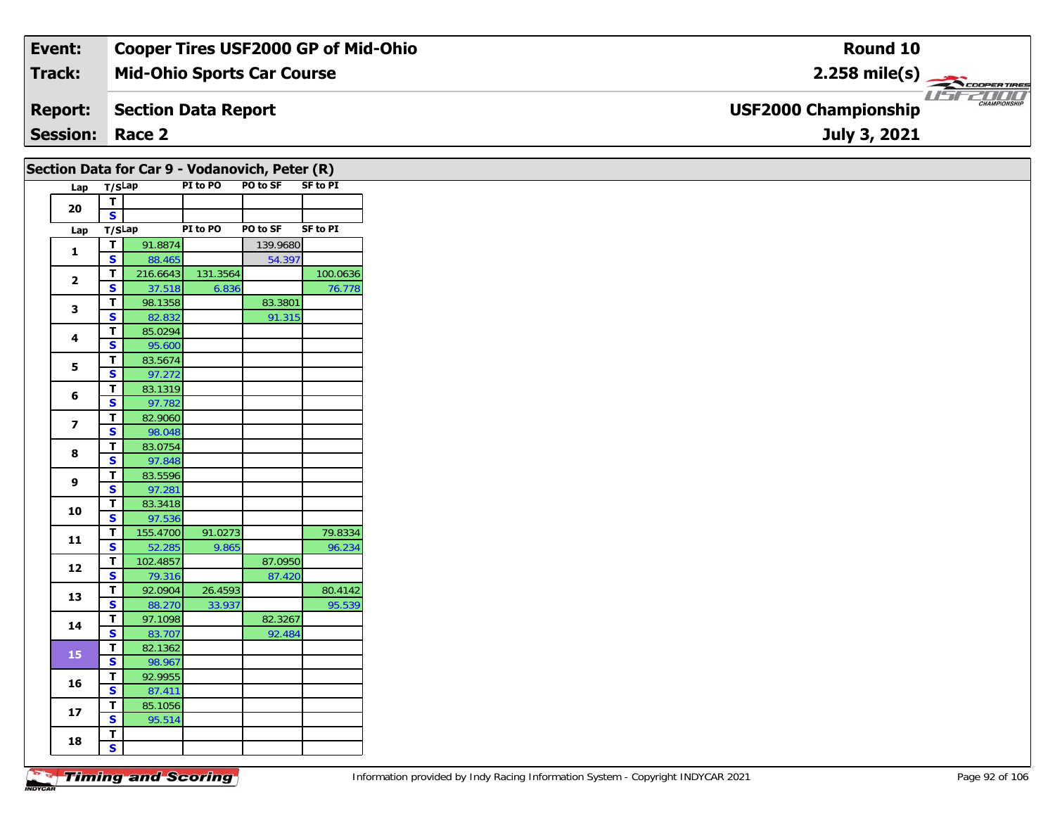| Event:                 | <b>Cooper Tires USF2000 GP of Mid-Ohio</b> | Round 10                                                     |
|------------------------|--------------------------------------------|--------------------------------------------------------------|
| <b>Track:</b>          | <b>Mid-Ohio Sports Car Course</b>          | $2.258$ mile(s)                                              |
|                        | <b>Report:</b> Section Data Report         | 2000 T<br><b>CHAMPIONSHIP</b><br><b>USF2000 Championship</b> |
| <b>Session: Race 2</b> |                                            | July 3, 2021                                                 |

|                         |                                         |                    |                   | Section Data for Car 9 - Vodanovich, Peter (R) |                    |
|-------------------------|-----------------------------------------|--------------------|-------------------|------------------------------------------------|--------------------|
| Lap T/SLap              |                                         |                    | PI to PO          | PO to SF                                       | <b>SF to PI</b>    |
| 20                      | $\overline{\mathbf{r}}$                 |                    |                   |                                                |                    |
|                         | $\mathbf{s}$                            |                    |                   |                                                |                    |
| Lap                     | T/SLap                                  |                    | PI to PO          | PO to SF                                       | <b>SF to PI</b>    |
| $\mathbf{1}$            | $\overline{\mathbf{T}}$                 | 91.8874            |                   | 139.9680                                       |                    |
|                         | $\overline{\mathbf{s}}$                 | 88.465             |                   | 54.397                                         |                    |
| $\overline{2}$          | $\mathbf{T}$<br>$\overline{\mathbf{s}}$ | 216.6643<br>37.518 | 131.3564<br>6.836 |                                                | 100.0636<br>76.778 |
|                         | T.                                      | 98.1358            |                   | 83.3801                                        |                    |
| 3                       | $\overline{\mathbf{s}}$                 | 82.832             |                   | 91.315                                         |                    |
|                         | T.                                      | 85.0294            |                   |                                                |                    |
| $\overline{\mathbf{4}}$ | $\mathbf{s}$                            | 95.600             |                   |                                                |                    |
|                         | T                                       | 83.5674            |                   |                                                |                    |
| 5                       | $\overline{\mathbf{s}}$                 | 97.272             |                   |                                                |                    |
|                         | T.                                      | 83.1319            |                   |                                                |                    |
| 6                       | $\overline{\mathbf{s}}$                 | 97.782             |                   |                                                |                    |
| $\overline{\mathbf{z}}$ | T                                       | 82.9060            |                   |                                                |                    |
|                         | S                                       | 98.048             |                   |                                                |                    |
| 8                       | $\mathbf{T}$                            | 83.0754            |                   |                                                |                    |
|                         | $\overline{\mathbf{s}}$                 | 97.848             |                   |                                                |                    |
| 9                       | T                                       | 83.5596            |                   |                                                |                    |
|                         | $\mathbf{s}$                            | 97.281             |                   |                                                |                    |
| 10                      | T                                       | 83.3418            |                   |                                                |                    |
|                         | S                                       | 97.536             |                   |                                                |                    |
| $11$                    | T.                                      | 155.4700           | 91.0273           |                                                | 79.8334            |
|                         | $\overline{\mathbf{s}}$                 | 52.285             | 9.865             |                                                | 96.234             |
| 12                      | т<br>$\overline{\mathbf{s}}$            | 102.4857<br>79.316 |                   | 87.0950<br>87.420                              |                    |
|                         | T.                                      | 92.0904            | 26.4593           |                                                | 80.4142            |
| 13                      | S                                       | 88.270             | 33.937            |                                                | 95.539             |
|                         | T                                       | 97.1098            |                   | 82.3267                                        |                    |
| 14                      | $\overline{\mathbf{s}}$                 | 83.707             |                   | 92.484                                         |                    |
|                         | T.                                      | 82.1362            |                   |                                                |                    |
| 15                      | S                                       | 98.967             |                   |                                                |                    |
|                         | T                                       | 92.9955            |                   |                                                |                    |
| 16                      | $\overline{\mathbf{s}}$                 | 87.411             |                   |                                                |                    |
| 17                      | T                                       | 85.1056            |                   |                                                |                    |
|                         | S                                       | 95.514             |                   |                                                |                    |
| 18                      | T.                                      |                    |                   |                                                |                    |
|                         | $\overline{\mathbf{s}}$                 |                    |                   |                                                |                    |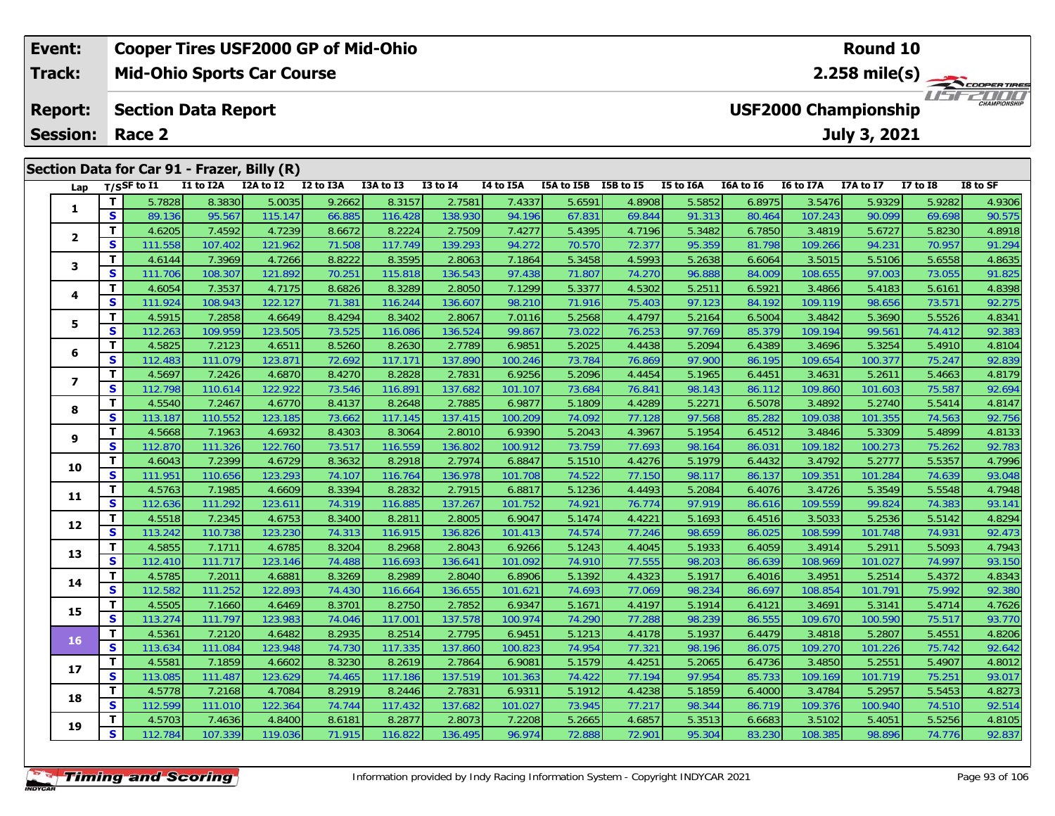| Event:          |                                                           | Cooper Tires USF2000 GP of Mid-Ohio<br>Round 10      |           |                                             |           |           |                 |           |            |           |           |           |           |              |                 |                             |
|-----------------|-----------------------------------------------------------|------------------------------------------------------|-----------|---------------------------------------------|-----------|-----------|-----------------|-----------|------------|-----------|-----------|-----------|-----------|--------------|-----------------|-----------------------------|
| <b>Track:</b>   |                                                           | <b>Mid-Ohio Sports Car Course</b><br>$2.258$ mile(s) |           |                                             |           |           |                 |           |            |           |           |           |           |              |                 | COOPER TIRES                |
| <b>Report:</b>  | <b>USF2000 Championship</b><br><b>Section Data Report</b> |                                                      |           |                                             |           |           |                 |           |            |           |           |           |           |              |                 | 7000<br><b>CHAMPIONSHIP</b> |
| <b>Session:</b> |                                                           | Race 2                                               |           |                                             |           |           |                 |           |            |           |           |           |           | July 3, 2021 |                 |                             |
|                 |                                                           |                                                      |           | Section Data for Car 91 - Frazer, Billy (R) |           |           |                 |           |            |           |           |           |           |              |                 |                             |
| Lap             |                                                           | $T/S$ SF to I1                                       | I1 to I2A | I2A to I2                                   | I2 to I3A | I3A to I3 | <b>I3 to I4</b> | I4 to I5A | I5A to I5B | I5B to I5 | I5 to I6A | I6A to I6 | I6 to I7A | I7A to I7    | <b>I7 to I8</b> | I8 to SF                    |
|                 |                                                           | 5.7828                                               | 8.3830    | 5.0035                                      | 9.2662    | 8.3157    | 2.7581          | 7.4337    | 5.6591     | 4.8908    | 5.5852    | 6.8975    | 3.5476    | 5.9329       | 5.9282          | 4.9306                      |
|                 | s                                                         | 89.136                                               | 95.567    | 115.147                                     | 66.885    | 116.428   | 138.930         | 94.196    | 67.831     | 69.844    | 91.313    | 80.464    | 107.243   | 90.099       | 69.698          | 90.575                      |
|                 |                                                           | 4.6205                                               | 7.4592    | 4.7239                                      | 8.6672    | 8.2224    | 2.7509          | 7.4277    | 5.4395     | 4.7196    | 5.3482    | 6.7850    | 3.4819    | 5.6727       | 5.8230          | 4.8918                      |
|                 | S.                                                        | 111.558                                              | 107.402   | 121.962                                     | 71.508    | 117.749   | 139.293         | 94.272    | 70.570     | 72.377    | 95.359    | 81.798    | 109.266   | 94.231       | 70.957          | 91.294                      |
| 3               |                                                           | 4.6144                                               | 7.3969    | 4.7266                                      | 8.8222    | 8.3595    | 2.8063          | 7.1864    | 5.3458     | 4.5993    | 5.2638    | 6.6064    | 3.5015    | 5.5106       | 5.6558          | 4.8635                      |
|                 | s                                                         | 111.706                                              | 108.307   | 121.892                                     | 70.251    | 115.818   | 136.543         | 97.438    | 71.807     | 74.270    | 96.888    | 84.009    | 108.655   | 97.003       | 73.055          | 91.825                      |
|                 |                                                           | 4.6054                                               | 7.3537    | 4.7175                                      | 8.6826    | 8.3289    | 2.8050          | 7.1299    | 5.3377     | 4.5302    | 5.2511    | 6.5921    | 3.4866    | 5.4183       | 5.6161          | 4.8398                      |

| Lap                     |                         | 1/22L to 11       | TT IO TYW         | LZA LO LZ         | <b>IZ TO TOW</b> | כז מו אכז         | T2 10 T <del>4</del> | 14 to 15A         | 15A to 15B       | 196 to 19        | TO TO TOM        | TOW TO TO        | 10 TO TAM         | 17A TO 17         | <b>T\</b> fo To  | TO TO 2L         |
|-------------------------|-------------------------|-------------------|-------------------|-------------------|------------------|-------------------|----------------------|-------------------|------------------|------------------|------------------|------------------|-------------------|-------------------|------------------|------------------|
|                         | T                       | 5.7828            | 8.3830            | 5.0035            | 9.2662           | 8.3157            | 2.7581               | 7.4337            | 5.6591           | 4.8908           | 5.5852           | 6.8975           | 3.5476            | 5.9329            | 5.9282           | 4.9306           |
| 1                       | S                       | 89.136            | 95.567            | 115.147           | 66.885           | 116.428           | 138.930              | 94.196            | 67.831           | 69.844           | 91.313           | 80.464           | 107.243           | 90.099            | 69.698           | 90.575           |
| $\mathbf{2}$            | T                       | 4.6205            | 7.4592            | 4.7239            | 8.6672           | 8.2224            | 2.7509               | 7.4277            | 5.4395           | 4.7196           | 5.3482           | 6.7850           | 3.4819            | 5.6727            | 5.8230           | 4.8918           |
|                         | $\overline{\mathbf{s}}$ | 111.558           | 107.402           | 121.962           | 71.508           | 117.749           | 139.293              | 94.272            | 70.570           | 72.377           | 95.359           | 81.798           | 109.266           | 94.231            | 70.957           | 91.294           |
| 3                       | T                       | 4.6144            | 7.3969            | 4.7266            | 8.8222           | 8.3595            | 2.8063               | 7.1864            | 5.3458           | 4.5993           | 5.2638           | 6.6064           | 3.5015            | 5.5106            | 5.6558           | 4.8635           |
|                         | S                       | 111.706           | 108.307           | 121.892           | 70.251           | 115.818           | 136.543              | 97.438            | 71.807           | 74.270           | 96.888           | 84.009           | 108.655           | 97.003            | 73.055           | 91.825           |
| 4                       | T                       | 4.6054            | 7.3537            | 4.7175            | 8.6826           | 8.3289            | 2.8050               | 7.1299            | 5.3377           | 4.5302           | 5.2511           | 6.5921           | 3.4866            | 5.4183            | 5.6161           | 4.8398           |
|                         | $\overline{\mathbf{s}}$ | 111.924           | 108.943           | 122.127           | 71.381           | 116.244           | 136.607              | 98.210            | 71.916           | 75.403           | 97.123           | 84.192           | 109.119           | 98.656            | 73.571           | 92.275           |
| 5                       | T                       | 4.5915            | 7.2858            | 4.6649            | 8.4294           | 8.3402            | 2.8067               | 7.0116            | 5.2568           | 4.4797           | 5.2164           | 6.5004           | 3.4842            | 5.3690            | 5.5526           | 4.8341           |
|                         | $\overline{\mathbf{s}}$ | 112.263           | 109.959           | 123.505           | 73.525           | 116.086           | 136.524              | 99.867            | 73.022           | 76.253           | 97.769           | 85.379           | 109.194           | 99.561            | 74.412           | 92.383           |
| 6                       | T                       | 4.5825            | 7.2123            | 4.6511            | 8.5260           | 8.2630            | 2.7789               | 6.9851            | 5.2025           | 4.4438           | 5.2094           | 6.4389           | 3.4696            | 5.3254            | 5.4910           | 4.8104           |
|                         | S                       | 112.483           | 111.079           | 123.871           | 72.692           | 117.171           | 137.890              | 100.246           | 73.784           | 76.869           | 97.900           | 86.195           | 109.654           | 100.377           | 75.247           | 92.839           |
| $\overline{\mathbf{z}}$ | T                       | 4.5697            | 7.2426            | 4.6870            | 8.4270           | 8.2828            | 2.7831               | 6.9256            | 5.2096           | 4.4454           | 5.1965           | 6.4451           | 3.4631            | 5.2611            | 5.4663           | 4.8179           |
|                         | $\mathbf{s}$            | 112.798           | 110.614           | 122.922           | 73.546           | 116.891           | 137.682              | 101.107           | 73.684           | 76.841           | 98.143           | 86.112           | 109.860           | 101.603           | 75.587           | 92.694           |
| 8                       | T                       | 4.5540            | 7.2467            | 4.6770            | 8.4137           | 8.2648            | 2.7885               | 6.9877            | 5.1809           | 4.4289           | 5.2271           | 6.5078           | 3.4892            | 5.2740            | 5.5414           | 4.8147           |
|                         | $\mathbf{s}$            | 113.187           | 110.552           | 123.185           | 73.662           | 117.145           | 137.415              | 100.209           | 74.092           | 77.128           | 97.568           | 85.282           | 109.038           | 101.355           | 74.563           | 92.756           |
| 9                       | T                       | 4.5668            | 7.1963            | 4.6932            | 8.4303           | 8.3064            | 2.8010               | 6.9390            | 5.2043           | 4.3967           | 5.1954           | 6.4512           | 3.4846            | 5.3309            | 5.4899           | 4.8133           |
|                         | S                       | 112.870           | 111.326           | 122.760           | 73.517           | 116.559           | 136.802              | 100.912           | 73.759           | 77.693           | 98.164           | 86.031           | 109.182           | 100.273           | 75.262           | 92.783           |
| 10                      | T                       | 4.6043            | 7.2399            | 4.6729            | 8.3632           | 8.2918            | 2.7974               | 6.8847            | 5.1510           | 4.4276           | 5.1979           | 6.4432           | 3.4792            | 5.2777            | 5.5357           | 4.7996           |
|                         | $\overline{\mathbf{s}}$ | 111.951           | 110.656           | 123.293           | 74.107           | 116.764           | 136.978              | 101.708           | 74.522           | 77.150           | 98.117           | 86.137           | 109.351           | 101.284           | 74.639           | 93.048           |
| 11                      | T                       | 4.5763            | 7.1985            | 4.6609            | 8.3394           | 8.2832            | 2.7915               | 6.8817            | 5.1236           | 4.4493           | 5.2084           | 6.4076           | 3.4726            | 5.3549            | 5.5548           | 4.7948           |
|                         | $\overline{\mathbf{s}}$ | 112.636           | 111.292           | 123.611           | 74.319           | 116.885           | 137.267              | 101.752           | 74.921           | 76.774           | 97.919           | 86.616           | 109.559           | 99.824            | 74.383           | 93.141           |
| 12                      | T                       | 4.5518            | 7.2345            | 4.6753            | 8.3400           | 8.2811            | 2.8005               | 6.9047            | 5.1474           | 4.4221           | 5.1693           | 6.4516           | 3.5033            | 5.2536            | 5.5142           | 4.8294           |
|                         | S                       | 113.242           | 110.738           | 123.230           | 74.313           | 116.915           | 136.826              | 101.413           | 74.574           | 77.246           | 98.659           | 86.025           | 108.599           | 101.748           | 74.931           | 92.473           |
| 13                      | T<br>S                  | 4.5855            | 7.1711            | 4.6785            | 8.3204           | 8.2968            | 2.8043               | 6.9266            | 5.1243           | 4.4045           | 5.1933           | 6.4059           | 3.4914            | 5.2911            | 5.5093           | 4.7943           |
|                         | T                       | 112.410<br>4.5785 | 111.717<br>7.2011 | 123.146<br>4.6881 | 74.488<br>8.3269 | 116.693<br>8.2989 | 136.641<br>2.8040    | 101.092<br>6.8906 | 74.910<br>5.1392 | 77.555<br>4.4323 | 98.203<br>5.1917 | 86.639<br>6.4016 | 108.969<br>3.4951 | 101.027<br>5.2514 | 74.997<br>5.4372 | 93.150<br>4.8343 |
| 14                      | $\overline{\mathbf{s}}$ | 112.582           | 111.252           | 122.893           | 74.430           | 116.664           | 136.655              | 101.621           | 74.693           | 77.069           | 98.234           | 86.697           | 108.854           | 101.791           | 75.992           | 92.380           |
|                         | T.                      | 4.5505            | 7.1660            | 4.6469            | 8.3701           | 8.2750            | 2.7852               | 6.9347            | 5.1671           | 4.4197           | 5.1914           | 6.4121           | 3.4691            | 5.3141            | 5.4714           | 4.7626           |
| 15                      | $\overline{\mathbf{s}}$ | 113.274           | 111.797           | 123.983           | 74.046           | 117.001           | 137.578              | 100.974           | 74.290           | 77.288           | 98.239           | 86.555           | 109.670           | 100.590           | 75.517           | 93.770           |
|                         | $\mathbf T$             | 4.5361            | 7.2120            | 4.6482            | 8.2935           | 8.2514            | 2.7795               | 6.9451            | 5.1213           | 4.4178           | 5.1937           | 6.4479           | 3.4818            | 5.2807            | 5.4551           | 4.8206           |
| 16                      | $\mathbf{s}$            | 113.634           | 111.084           | 123.948           | 74.730           | 117.335           | 137.860              | 100.823           | 74.954           | 77.321           | 98.196           | 86.075           | 109.270           | 101.226           | 75.742           | 92.642           |
|                         | T                       | 4.5581            | 7.1859            | 4.6602            | 8.3230           | 8.2619            | 2.7864               | 6.9081            | 5.1579           | 4.4251           | 5.2065           | 6.4736           | 3.4850            | 5.2551            | 5.4907           | 4.8012           |
| 17                      | $\overline{\mathbf{s}}$ | 113.085           | 111.487           | 123.629           | 74.465           | 117.186           | 137.519              | 101.363           | 74.422           | 77.194           | 97.954           | 85.733           | 109.169           | 101.719           | 75.251           | 93.017           |
|                         | T                       | 4.5778            | 7.2168            | 4.7084            | 8.2919           | 8.2446            | 2.7831               | 6.9311            | 5.1912           | 4.4238           | 5.1859           | 6.4000           | 3.4784            | 5.2957            | 5.5453           | 4.8273           |
| 18                      | S                       | 112.599           | 111.010           | 122.364           | 74.744           | 117.432           | 137.682              | 101.027           | 73.945           | 77.217           | 98.344           | 86.719           | 109.376           | 100.940           | 74.510           | 92.514           |
|                         | T                       | 4.5703            | 7.4636            | 4.8400            | 8.6181           | 8.2877            | 2.8073               | 7.2208            | 5.2665           | 4.6857           | 5.3513           | 6.6683           | 3.5102            | 5.4051            | 5.5256           | 4.8105           |
| 19                      | $\overline{\mathbf{s}}$ | 112.784           | 107.339           | 119.036           | 71.915           | 116.822           | 136.495              | 96.974            | 72.888           | 72.90            | 95.304           | 83.230           | 108.385           | 98.896            | 74.776           | 92.837           |
|                         |                         |                   |                   |                   |                  |                   |                      |                   |                  |                  |                  |                  |                   |                   |                  |                  |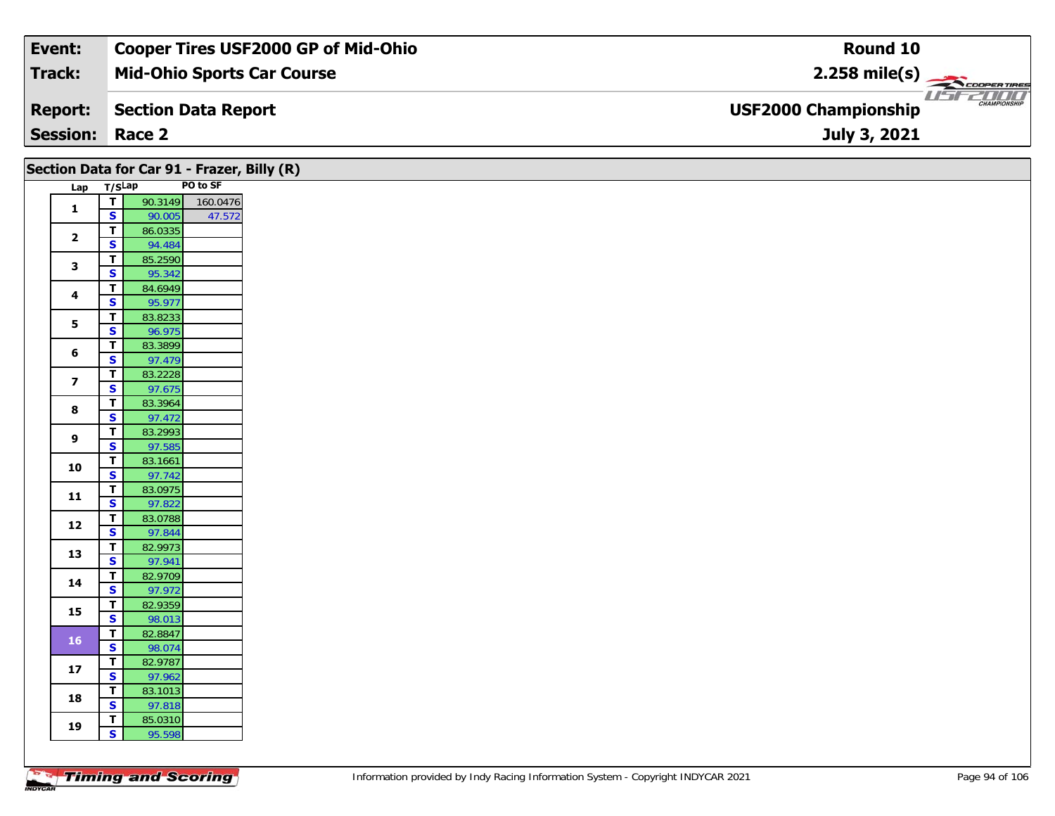| Event:                 | <b>Cooper Tires USF2000 GP of Mid-Ohio</b> | Round 10                                           |
|------------------------|--------------------------------------------|----------------------------------------------------|
| Track:                 | <b>Mid-Ohio Sports Car Course</b>          | $2.258$ mile(s)                                    |
| <b>Report:</b>         | Section Data Report                        | <b>CHAMPIONSHIP</b><br><b>USF2000 Championship</b> |
| <b>Session: Race 2</b> |                                            | July 3, 2021                                       |

| Lap T/SLap<br>$\mathbf{1}$<br>$\overline{\mathbf{2}}$<br>$\mathbf{3}$<br>4<br>5<br>$\bf 6$<br>$\overline{\mathbf{z}}$<br>8<br>9<br>10<br>$11$ | $\overline{t}$<br>$\overline{\mathbf{s}}$<br>$\overline{t}$<br>$\overline{\mathbf{s}}$<br>$\overline{\mathbf{T}}$<br>$\overline{\mathbf{s}}$<br>$\overline{\mathsf{r}}$<br>S<br>T<br>$\overline{\mathbf{s}}$<br>$\mathbf{T}$<br>S<br>T<br>$\overline{\mathbf{s}}$<br>$\overline{\mathbf{T}}$<br>$\mathbf{s}$<br>$\overline{\mathbf{T}}$<br>$\overline{\mathbf{s}}$<br>$\overline{t}$<br>$\overline{\mathbf{s}}$ | 90.3149<br>90.005<br>86.0335<br>94.484<br>85.2590<br>95.342<br>84.6949<br>95.977<br>83.8233<br>96.975<br>83.3899<br>97.479<br>83.2228<br>97.675<br>83.3964<br>97.472<br>83.2993<br>97.585<br>83.1661<br>97.742 | PO to SF<br>160.0476<br>47.572 |
|-----------------------------------------------------------------------------------------------------------------------------------------------|-----------------------------------------------------------------------------------------------------------------------------------------------------------------------------------------------------------------------------------------------------------------------------------------------------------------------------------------------------------------------------------------------------------------|----------------------------------------------------------------------------------------------------------------------------------------------------------------------------------------------------------------|--------------------------------|
|                                                                                                                                               |                                                                                                                                                                                                                                                                                                                                                                                                                 |                                                                                                                                                                                                                |                                |
|                                                                                                                                               |                                                                                                                                                                                                                                                                                                                                                                                                                 |                                                                                                                                                                                                                |                                |
|                                                                                                                                               |                                                                                                                                                                                                                                                                                                                                                                                                                 |                                                                                                                                                                                                                |                                |
|                                                                                                                                               |                                                                                                                                                                                                                                                                                                                                                                                                                 |                                                                                                                                                                                                                |                                |
|                                                                                                                                               |                                                                                                                                                                                                                                                                                                                                                                                                                 |                                                                                                                                                                                                                |                                |
|                                                                                                                                               |                                                                                                                                                                                                                                                                                                                                                                                                                 |                                                                                                                                                                                                                |                                |
|                                                                                                                                               |                                                                                                                                                                                                                                                                                                                                                                                                                 |                                                                                                                                                                                                                |                                |
|                                                                                                                                               |                                                                                                                                                                                                                                                                                                                                                                                                                 |                                                                                                                                                                                                                |                                |
|                                                                                                                                               |                                                                                                                                                                                                                                                                                                                                                                                                                 |                                                                                                                                                                                                                |                                |
|                                                                                                                                               |                                                                                                                                                                                                                                                                                                                                                                                                                 |                                                                                                                                                                                                                |                                |
|                                                                                                                                               |                                                                                                                                                                                                                                                                                                                                                                                                                 |                                                                                                                                                                                                                |                                |
|                                                                                                                                               |                                                                                                                                                                                                                                                                                                                                                                                                                 |                                                                                                                                                                                                                |                                |
|                                                                                                                                               |                                                                                                                                                                                                                                                                                                                                                                                                                 |                                                                                                                                                                                                                |                                |
|                                                                                                                                               |                                                                                                                                                                                                                                                                                                                                                                                                                 |                                                                                                                                                                                                                |                                |
|                                                                                                                                               |                                                                                                                                                                                                                                                                                                                                                                                                                 |                                                                                                                                                                                                                |                                |
|                                                                                                                                               |                                                                                                                                                                                                                                                                                                                                                                                                                 |                                                                                                                                                                                                                |                                |
|                                                                                                                                               |                                                                                                                                                                                                                                                                                                                                                                                                                 |                                                                                                                                                                                                                |                                |
|                                                                                                                                               |                                                                                                                                                                                                                                                                                                                                                                                                                 |                                                                                                                                                                                                                |                                |
|                                                                                                                                               |                                                                                                                                                                                                                                                                                                                                                                                                                 |                                                                                                                                                                                                                |                                |
|                                                                                                                                               | $\mathbf{T}$                                                                                                                                                                                                                                                                                                                                                                                                    | 83.0975                                                                                                                                                                                                        |                                |
|                                                                                                                                               | $\mathbf{s}$                                                                                                                                                                                                                                                                                                                                                                                                    | 97.822                                                                                                                                                                                                         |                                |
| 12                                                                                                                                            | $\mathbf T$                                                                                                                                                                                                                                                                                                                                                                                                     | 83.0788                                                                                                                                                                                                        |                                |
|                                                                                                                                               | S                                                                                                                                                                                                                                                                                                                                                                                                               | 97.844                                                                                                                                                                                                         |                                |
| 13                                                                                                                                            | $\mathbf T$<br>$\overline{\mathbf{s}}$                                                                                                                                                                                                                                                                                                                                                                          | 82.9973                                                                                                                                                                                                        |                                |
|                                                                                                                                               | $\overline{t}$                                                                                                                                                                                                                                                                                                                                                                                                  | 97.941<br>82.9709                                                                                                                                                                                              |                                |
| 14                                                                                                                                            | $\overline{\mathbf{s}}$                                                                                                                                                                                                                                                                                                                                                                                         | 97.972                                                                                                                                                                                                         |                                |
|                                                                                                                                               | $\overline{\mathsf{r}}$                                                                                                                                                                                                                                                                                                                                                                                         | 82.9359                                                                                                                                                                                                        |                                |
| 15                                                                                                                                            | $\overline{\mathbf{s}}$                                                                                                                                                                                                                                                                                                                                                                                         | 98.013                                                                                                                                                                                                         |                                |
| 16 <sup>°</sup>                                                                                                                               | T                                                                                                                                                                                                                                                                                                                                                                                                               | 82.8847                                                                                                                                                                                                        |                                |
|                                                                                                                                               | S                                                                                                                                                                                                                                                                                                                                                                                                               | 98.074                                                                                                                                                                                                         |                                |
| $17$                                                                                                                                          | $\overline{I}$                                                                                                                                                                                                                                                                                                                                                                                                  | 82.9787                                                                                                                                                                                                        |                                |
|                                                                                                                                               | $\overline{\mathbf{s}}$                                                                                                                                                                                                                                                                                                                                                                                         | 97.962                                                                                                                                                                                                         |                                |
| 18                                                                                                                                            | $\mathbf T$                                                                                                                                                                                                                                                                                                                                                                                                     | 83.1013                                                                                                                                                                                                        |                                |
|                                                                                                                                               |                                                                                                                                                                                                                                                                                                                                                                                                                 |                                                                                                                                                                                                                |                                |
|                                                                                                                                               | $\overline{\mathbf{s}}$<br>T                                                                                                                                                                                                                                                                                                                                                                                    | 97.818<br>85.0310                                                                                                                                                                                              |                                |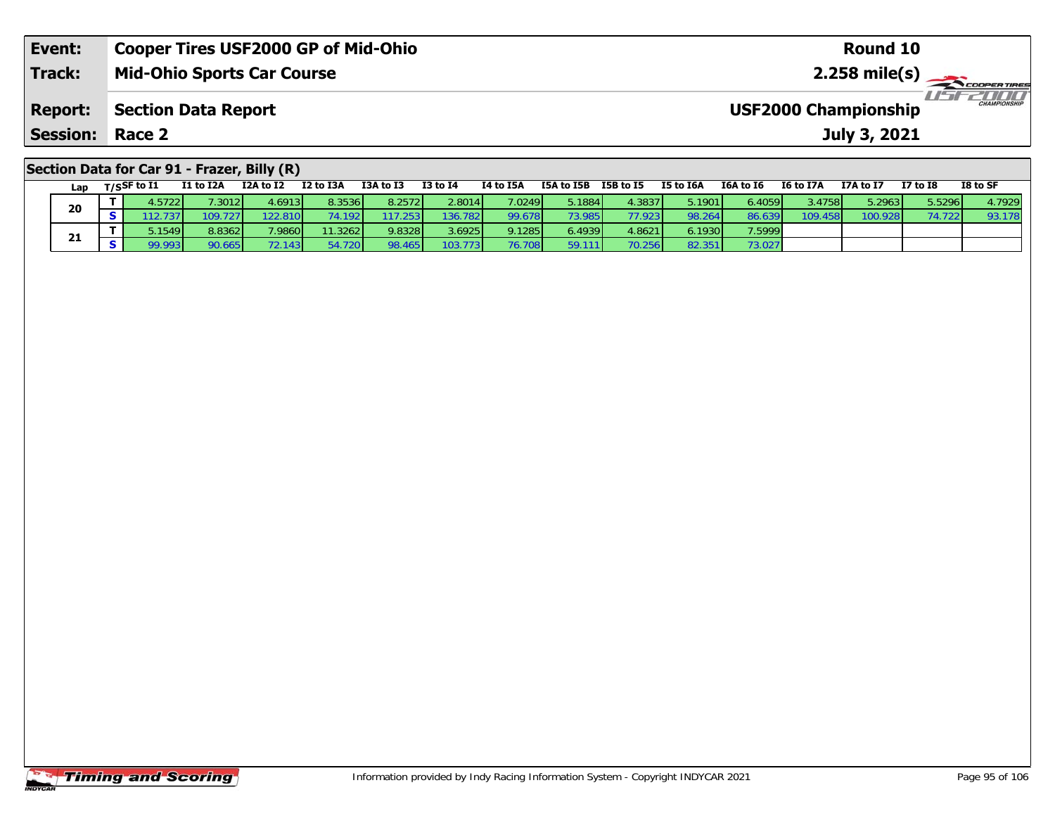| Event:                                      | <b>Cooper Tires USF2000 GP of Mid-Ohio</b> | Round 10                                           |  |  |  |  |  |  |
|---------------------------------------------|--------------------------------------------|----------------------------------------------------|--|--|--|--|--|--|
| <b>Track:</b>                               | <b>Mid-Ohio Sports Car Course</b>          |                                                    |  |  |  |  |  |  |
| <b>Report:</b>                              | <b>Section Data Report</b>                 | <b>CHAMPIONSHIP</b><br><b>USF2000 Championship</b> |  |  |  |  |  |  |
| <b>Session:</b>                             | Race 2                                     | July 3, 2021                                       |  |  |  |  |  |  |
| Section Data for Car 91 - Frazer, Billy (R) |                                            |                                                    |  |  |  |  |  |  |

| Lap | T/SSF to I1 | I1 to I2A | I2A to I2       | I2 to I3A | I3A to I3 | <b>I3 to I4</b> | I4 to I5A       | I5A to I5B | I5B to I5       | I5 to I6A | I6A to I6 | <b>I6 to I7A</b> | I7A to I7       | I7 to I8 | I8 to SF |
|-----|-------------|-----------|-----------------|-----------|-----------|-----------------|-----------------|------------|-----------------|-----------|-----------|------------------|-----------------|----------|----------|
| 20  | .57221      | .3012     | 4.6913 I        | 8.35361   | 8.25721   | 2.8014          | 7.0249 <b>1</b> | 5.1884 l   | 4.38371         | 5.1901    | 6.4059    | 3.4758l          | 5.2963 <b>1</b> | 5.5296   | 4.79291  |
|     |             |           | 22.810          | 1921      |           | 136.782         | 99.678          | 3.9851     | 77.923 <b>N</b> | 98.264    | 86.639    | 109.458          | 100.928         |          | 93.178   |
| 21  | 1549        | 8.8362    | 7.9860 <b> </b> | 11.3262   | 9.8328    | 3.6925          | 9.1285          | 5.4939     | 4.8621          | 6.1930 l  | 7.5999    |                  |                 |          |          |
|     | 99.993 I    |           |                 | 720 I     | 98.465    | 103.773         | 76.708          | 59.        | 70.256          | 82.351    | 73.027    |                  |                 |          |          |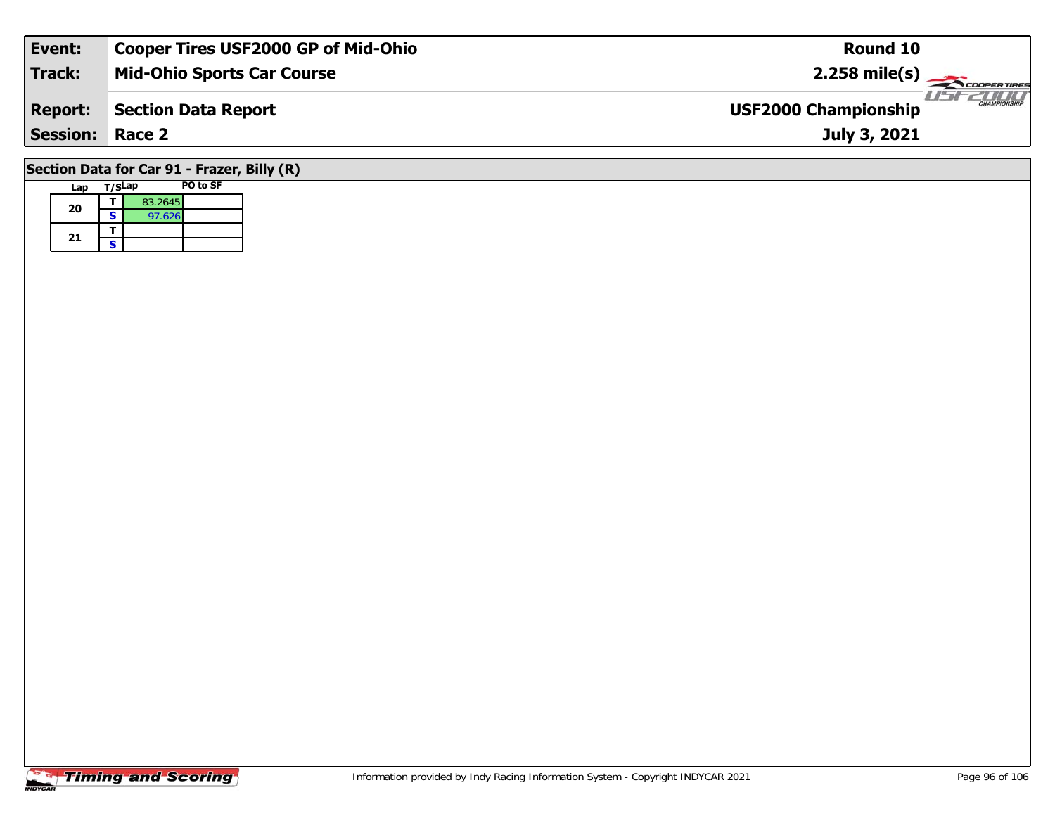| Event:                                         | <b>Cooper Tires USF2000 GP of Mid-Ohio</b> | Round 10                                           |  |  |  |  |  |  |
|------------------------------------------------|--------------------------------------------|----------------------------------------------------|--|--|--|--|--|--|
| Track:                                         | <b>Mid-Ohio Sports Car Course</b>          | $2.258 \text{ mile(s)}$                            |  |  |  |  |  |  |
| Report:                                        | <b>Section Data Report</b>                 | <b>CHAMPIONSHIP</b><br><b>USF2000 Championship</b> |  |  |  |  |  |  |
| <b>Session: Race 2</b>                         |                                            | July 3, 2021                                       |  |  |  |  |  |  |
| $C$ ection Data for Car 01 $C$ ranor Dilly (D) |                                            |                                                    |  |  |  |  |  |  |

### **Section Data for Car 91 - Frazer, Billy (R)**

| Lap | T/SLap |         | <b>PO to SF</b> |
|-----|--------|---------|-----------------|
| 20  |        | 83.2645 |                 |
|     | S      | 97.626  |                 |
|     |        |         |                 |
| 21  | S      |         |                 |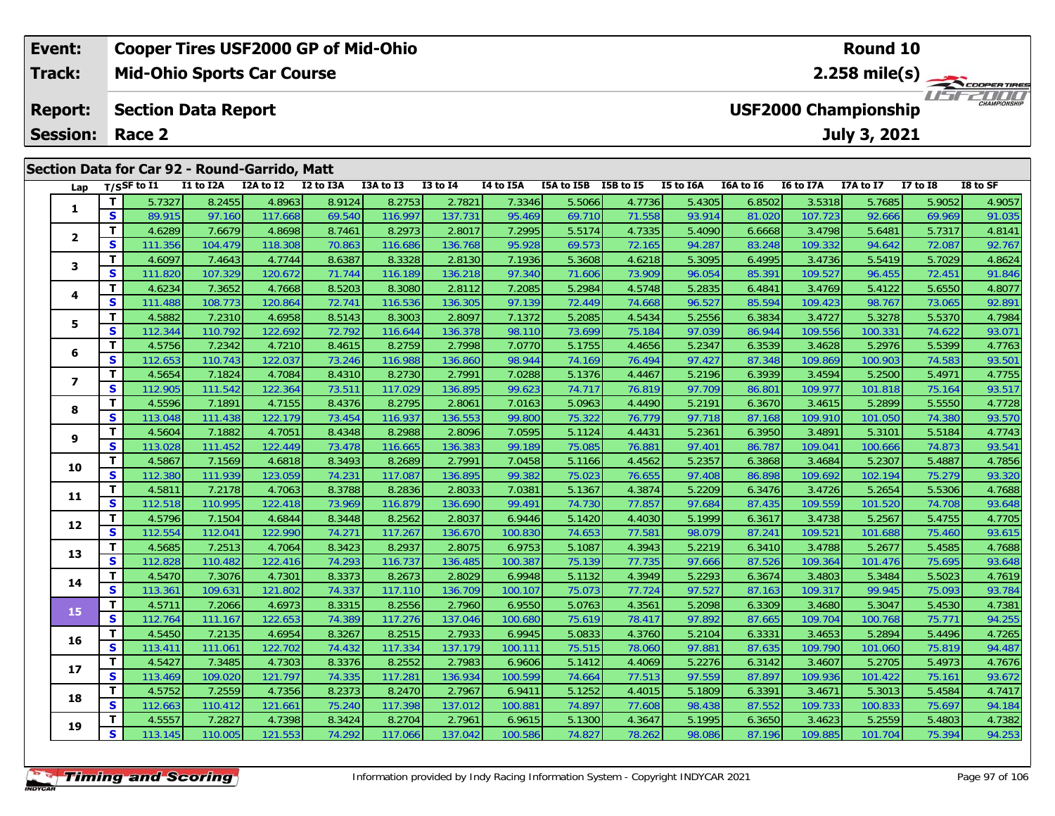| Event:          | <b>Cooper Tires USF2000 GP of Mid-Ohio</b>                                                                                                                                                                                   | <b>Round 10</b>                                                                                                                                                                                                                                                                                                              |  |  |  |  |  |  |  |  |  |
|-----------------|------------------------------------------------------------------------------------------------------------------------------------------------------------------------------------------------------------------------------|------------------------------------------------------------------------------------------------------------------------------------------------------------------------------------------------------------------------------------------------------------------------------------------------------------------------------|--|--|--|--|--|--|--|--|--|
| <b>Track:</b>   | <b>Mid-Ohio Sports Car Course</b>                                                                                                                                                                                            | $2.258$ mile(s) $\overbrace{\hspace{2.5cm}}^{\bullet}$ COOPER TIRE                                                                                                                                                                                                                                                           |  |  |  |  |  |  |  |  |  |
| <b>Report:</b>  | <b>Section Data Report</b>                                                                                                                                                                                                   | <b>CHAMPIONSHIP</b><br><b>USF2000 Championship</b>                                                                                                                                                                                                                                                                           |  |  |  |  |  |  |  |  |  |
| <b>Session:</b> | Race 2                                                                                                                                                                                                                       | <b>July 3, 2021</b>                                                                                                                                                                                                                                                                                                          |  |  |  |  |  |  |  |  |  |
|                 | Section Data for Car 92 - Round-Garrido, Matt                                                                                                                                                                                |                                                                                                                                                                                                                                                                                                                              |  |  |  |  |  |  |  |  |  |
| Lap             | I2A to I2<br>I2 to I3A<br>I1 to I2A<br>I3A to I3<br>T/SSF to I1<br>$I3$ to $I4$<br><b>I4 to I5A</b><br>interesting the least of the lesses of the second service in the service of the service of the service of the<br>- 11 | I5A to I5B<br>I8 to SF<br><b>I5 to I6A</b><br>I6A to I6<br>I6 to I7A<br>I5B to I5<br>I7A to I7<br>I7 to $I8$<br>المستحدث المتساحية<br>and a second contract of the second second and the second second and second the second second and second the s<br>$   -$<br>a masal<br>------<br>$   -$<br>$\sim$ $\sim$ $\sim$ $\sim$ |  |  |  |  |  |  |  |  |  |

| Lap                     |              | 1723r tu 11 | 11 W 12A | <b>IZA WIZ</b> | 12 W 13A | כז מו אכז | 13 W 14 | 14 W 13A | 13A W 13B | 196 M 19 | <b>19 TO TOW</b> | TOW TO TO | 10 to 17A | 17A W 17 | <b>TV TO TO</b> | 10 W JI |
|-------------------------|--------------|-------------|----------|----------------|----------|-----------|---------|----------|-----------|----------|------------------|-----------|-----------|----------|-----------------|---------|
|                         | т            | 5.7327      | 8.2455   | 4.8963         | 8.9124   | 8.2753    | 2.7821  | 7.3346   | 5.5066    | 4.7736   | 5.4305           | 6.8502    | 3.5318    | 5.7685   | 5.9052          | 4.9057  |
| 1                       | S            | 89.915      | 97.160   | 117.668        | 69.540   | 116.997   | 137.731 | 95.469   | 69.710    | 71.558   | 93.914           | 81.020    | 107.723   | 92.666   | 69.969          | 91.035  |
|                         | т            | 4.6289      | 7.6679   | 4.8698         | 8.7461   | 8.2973    | 2.8017  | 7.2995   | 5.5174    | 4.7335   | 5.4090           | 6.6668    | 3.4798    | 5.6481   | 5.7317          | 4.8141  |
| $\overline{\mathbf{2}}$ | S            | 111.356     | 104.479  | 118.308        | 70.863   | 116.686   | 136.768 | 95.928   | 69.573    | 72.165   | 94.287           | 83.248    | 109.332   | 94.642   | 72.087          | 92.767  |
| 3                       | T            | 4.6097      | 7.4643   | 4.7744         | 8.6387   | 8.3328    | 2.8130  | 7.1936   | 5.3608    | 4.6218   | 5.3095           | 6.4995    | 3.4736    | 5.5419   | 5.7029          | 4.8624  |
|                         | S            | 111.820     | 107.329  | 120.672        | 71.744   | 116.189   | 136.218 | 97.340   | 71.606    | 73.909   | 96.054           | 85.391    | 109.527   | 96.455   | 72.451          | 91.846  |
|                         | T            | 4.6234      | 7.3652   | 4.7668         | 8.5203   | 8.3080    | 2.8112  | 7.2085   | 5.2984    | 4.5748   | 5.2835           | 6.4841    | 3.4769    | 5.4122   | 5.6550          | 4.8077  |
| 4                       | S            | 111.488     | 108.773  | 120.864        | 72.741   | 116.536   | 136.305 | 97.139   | 72.449    | 74.668   | 96.527           | 85.594    | 109.423   | 98.767   | 73.065          | 92.891  |
| 5                       | т            | 4.5882      | 7.2310   | 4.6958         | 8.5143   | 8.3003    | 2.8097  | 7.1372   | 5.2085    | 4.5434   | 5.2556           | 6.3834    | 3.4727    | 5.3278   | 5.5370          | 4.7984  |
|                         | S            | 112.344     | 110.792  | 122.692        | 72.792   | 116.644   | 136.378 | 98.110   | 73.699    | 75.184   | 97.039           | 86.944    | 109.556   | 100.331  | 74.622          | 93.071  |
| 6                       | т            | 4.5756      | 7.2342   | 4.7210         | 8.4615   | 8.2759    | 2.7998  | 7.0770   | 5.1755    | 4.4656   | 5.2347           | 6.3539    | 3.4628    | 5.2976   | 5.5399          | 4.7763  |
|                         | S            | 112.653     | 110.743  | 122.037        | 73.246   | 116.988   | 136.860 | 98.944   | 74.169    | 76.494   | 97.427           | 87.348    | 109.869   | 100.903  | 74.583          | 93.501  |
| $\overline{\mathbf{z}}$ | т            | 4.5654      | 7.1824   | 4.7084         | 8.4310   | 8.2730    | 2.7991  | 7.0288   | 5.1376    | 4.4467   | 5.2196           | 6.3939    | 3.4594    | 5.2500   | 5.4971          | 4.7755  |
|                         | S            | 112.905     | 111.542  | 122.364        | 73.511   | 117.029   | 136.895 | 99.623   | 74.717    | 76.819   | 97.709           | 86.801    | 109.977   | 101.818  | 75.164          | 93.517  |
| 8                       | т            | 4.5596      | 7.1891   | 4.7155         | 8.4376   | 8.2795    | 2.8061  | 7.0163   | 5.0963    | 4.4490   | 5.2191           | 6.3670    | 3.4615    | 5.2899   | 5.5550          | 4.7728  |
|                         | S            | 113.048     | 111.438  | 122.179        | 73.454   | 116.937   | 136.553 | 99.800   | 75.322    | 76.779   | 97.718           | 87.168    | 109.910   | 101.050  | 74.380          | 93.570  |
| 9                       | т            | 4.5604      | 7.1882   | 4.7051         | 8.4348   | 8.2988    | 2.8096  | 7.0595   | 5.1124    | 4.4431   | 5.2361           | 6.3950    | 3.4891    | 5.3101   | 5.5184          | 4.7743  |
|                         | S            | 113.028     | 111.452  | 122.449        | 73.478   | 116.665   | 136.383 | 99.189   | 75.085    | 76.881   | 97.401           | 86.787    | 109.041   | 100.666  | 74.873          | 93.541  |
| 10                      | т            | 4.5867      | 7.1569   | 4.6818         | 8.3493   | 8.2689    | 2.7991  | 7.0458   | 5.1166    | 4.4562   | 5.2357           | 6.3868    | 3.4684    | 5.2307   | 5.4887          | 4.7856  |
|                         | $\mathbf{s}$ | 112.380     | 111.939  | 123.059        | 74.231   | 117.087   | 136.895 | 99.382   | 75.023    | 76.655   | 97.408           | 86.898    | 109.692   | 102.194  | 75.279          | 93.320  |
| 11                      | т            | 4.5811      | 7.2178   | 4.7063         | 8.3788   | 8.2836    | 2.8033  | 7.0381   | 5.1367    | 4.3874   | 5.2209           | 6.3476    | 3.4726    | 5.2654   | 5.5306          | 4.7688  |
|                         | $\mathbf{s}$ | 112.518     | 110.995  | 122.418        | 73.969   | 116.879   | 136.690 | 99.491   | 74.730    | 77.857   | 97.684           | 87.435    | 109.559   | 101.520  | 74.708          | 93.648  |
| 12                      | т            | 4.5796      | 7.1504   | 4.6844         | 8.3448   | 8.2562    | 2.8037  | 6.9446   | 5.1420    | 4.4030   | 5.1999           | 6.3617    | 3.4738    | 5.2567   | 5.4755          | 4.7705  |
|                         | S            | 112.554     | 112.041  | 122.990        | 74.271   | 117.267   | 136.670 | 100.830  | 74.653    | 77.581   | 98.079           | 87.241    | 109.521   | 101.688  | 75.460          | 93.615  |
| 13                      | т            | 4.5685      | 7.2513   | 4.7064         | 8.3423   | 8.2937    | 2.8075  | 6.9753   | 5.1087    | 4.3943   | 5.2219           | 6.3410    | 3.4788    | 5.2677   | 5.4585          | 4.7688  |
|                         | S            | 112.828     | 110.482  | 122.416        | 74.293   | 116.737   | 136.485 | 100.387  | 75.139    | 77.735   | 97.666           | 87.526    | 109.364   | 101.476  | 75.695          | 93.648  |
| 14                      | т            | 4.5470      | 7.3076   | 4.7301         | 8.3373   | 8.2673    | 2.8029  | 6.9948   | 5.1132    | 4.3949   | 5.2293           | 6.3674    | 3.4803    | 5.3484   | 5.5023          | 4.7619  |
|                         | $\mathbf{s}$ | 113.361     | 109.631  | 121.802        | 74.337   | 117.110   | 136.709 | 100.107  | 75.073    | 77.724   | 97.527           | 87.163    | 109.317   | 99.945   | 75.093          | 93.784  |
| 15                      | т            | 4.5711      | 7.2066   | 4.6973         | 8.3315   | 8.2556    | 2.7960  | 6.9550   | 5.0763    | 4.3561   | 5.2098           | 6.3309    | 3.4680    | 5.3047   | 5.4530          | 4.7381  |
|                         | S            | 112.764     | 111.167  | 122.653        | 74.389   | 117.276   | 137.046 | 100.680  | 75.619    | 78.417   | 97.892           | 87.665    | 109.704   | 100.768  | 75.771          | 94.255  |
| 16                      | т            | 4.5450      | 7.2135   | 4.6954         | 8.3267   | 8.2515    | 2.7933  | 6.9945   | 5.0833    | 4.3760   | 5.2104           | 6.3331    | 3.4653    | 5.2894   | 5.4496          | 4.7265  |
|                         | S            | 113.41'     | 111.061  | 122.702        | 74.432   | 117.334   | 137.179 | 100.111  | 75.515    | 78.060   | 97.881           | 87.635    | 109.790   | 101.060  | 75.819          | 94.487  |
| 17                      | т            | 4.5427      | 7.3485   | 4.7303         | 8.3376   | 8.2552    | 2.7983  | 6.9606   | 5.1412    | 4.4069   | 5.2276           | 6.3142    | 3.4607    | 5.2705   | 5.4973          | 4.7676  |
|                         | S            | 113.469     | 109.020  | 121.797        | 74.335   | 117.281   | 136.934 | 100.599  | 74.664    | 77.513   | 97.559           | 87.897    | 109.936   | 101.422  | 75.161          | 93.672  |
| 18                      | т            | 4.5752      | 7.2559   | 4.7356         | 8.2373   | 8.2470    | 2.7967  | 6.9411   | 5.1252    | 4.4015   | 5.1809           | 6.3391    | 3.4671    | 5.3013   | 5.4584          | 4.7417  |
|                         | S            | 112.663     | 110.412  | 121.661        | 75.240   | 117.398   | 137.012 | 100.881  | 74.897    | 77.608   | 98.438           | 87.552    | 109.733   | 100.833  | 75.697          | 94.184  |
| 19                      | т            | 4.5557      | 7.2827   | 4.7398         | 8.3424   | 8.2704    | 2.7961  | 6.9615   | 5.1300    | 4.3647   | 5.1995           | 6.3650    | 3.4623    | 5.2559   | 5.4803          | 4.7382  |
|                         | $\mathbf{s}$ | 113.145     | 110.005  | 121.553        | 74.292   | 117.066   | 137.042 | 100.586  | 74.827    | 78.262   | 98.086           | 87.196    | 109.885   | 101.704  | 75.394          | 94.253  |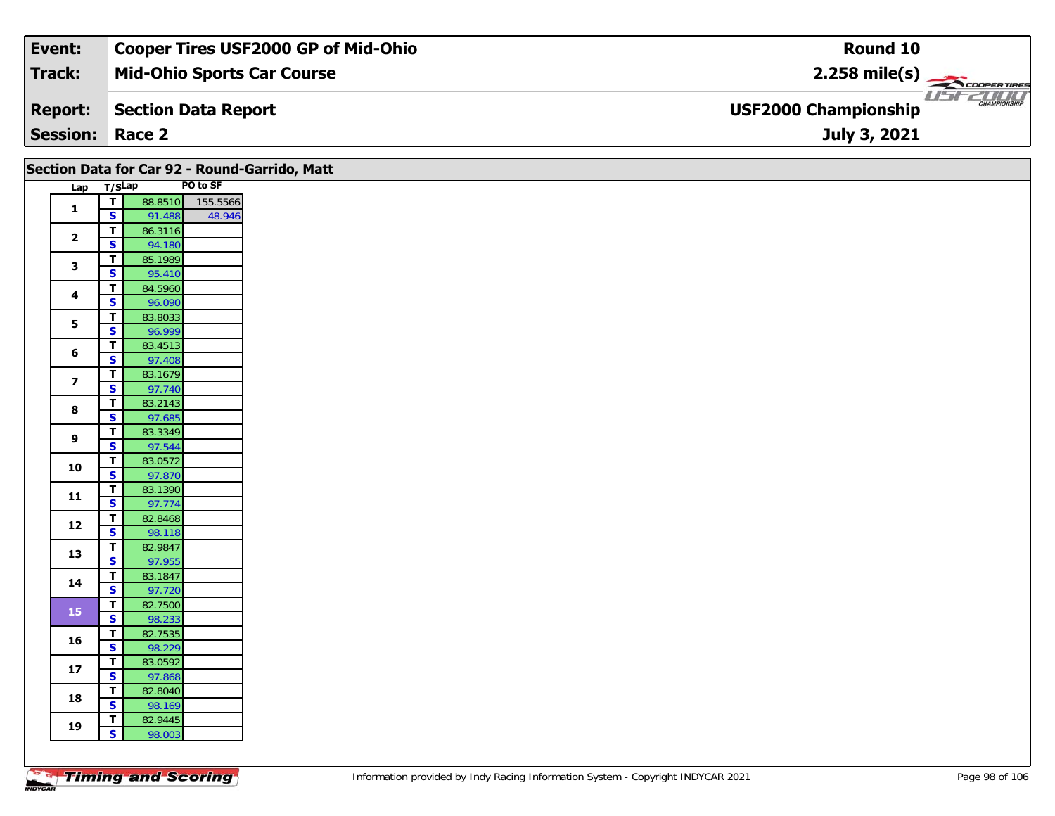| Event:                 | <b>Cooper Tires USF2000 GP of Mid-Ohio</b> | Round 10                                                      |
|------------------------|--------------------------------------------|---------------------------------------------------------------|
| Track:                 | <b>Mid-Ohio Sports Car Course</b>          | $2.258$ mile(s)                                               |
| <b>Report:</b>         | Section Data Report                        | USFZOOO<br><b>CHAMPIONSHIP</b><br><b>USF2000 Championship</b> |
| <b>Session: Race 2</b> |                                            | July 3, 2021                                                  |

| PO to SF<br>Lap T/SLap<br>$\overline{\mathbf{r}}$<br>88.8510<br>155.5566<br>$\mathbf{1}$<br>$\overline{\mathbf{s}}$<br>91.488<br>48.946<br>$\overline{1}$<br>86.3116<br>$\overline{2}$<br>$\mathbf{s}$<br>94.180<br>$\overline{\mathsf{T}}$<br>85.1989<br>$\mathbf{3}$<br>$\overline{\mathbf{s}}$<br>95.410<br>$\overline{\mathsf{r}}$<br>84.5960<br>$\overline{\mathbf{4}}$<br>$\overline{\mathbf{s}}$<br>96.090<br>$\overline{\mathsf{r}}$<br>83.8033<br>5<br>96.999<br>$\overline{\mathbf{s}}$<br>$\mathbf T$<br>83.4513<br>6<br>$\mathbf{s}$<br>97.408<br>$\overline{1}$<br>83.1679<br>$\overline{\mathbf{z}}$<br>$\mathbf{s}$<br>97.740<br>$\mathbf T$<br>83.2143<br>8<br>$\overline{\mathbf{s}}$<br>97.685<br>$\overline{1}$<br>83.3349<br>9<br>$\overline{\mathbf{s}}$<br>97.544<br>$\overline{\mathsf{r}}$<br>83.0572<br>10<br>$\overline{\mathbf{s}}$<br>97.870<br>$\mathbf{T}$<br>83.1390<br>11<br>$\mathbf{s}$<br>97.774<br>$\overline{1}$<br>82.8468<br>12<br>$\overline{\mathbf{s}}$<br>98.118<br>82.9847<br>$\overline{\mathsf{T}}$<br>13<br>$\overline{\mathbf{s}}$<br>97.955<br>$\overline{\mathbf{T}}$<br>83.1847<br>14<br>$\mathbf{s}$<br>97.720<br>$\overline{r}$<br>82.7500<br>15<br>$\overline{\mathbf{s}}$<br>98.233<br>82.7535<br>$\mathbf T$<br>16<br>$\mathbf{s}$<br>98.229<br>T<br>83.0592<br>$17$<br>$\mathbf{s}$<br>97.868<br>$\overline{\mathbf{T}}$<br>82.8040<br>18<br>$\overline{\mathbf{s}}$<br>98.169 | Section Data for Car 92 - Round-Garrido, Matt |             |         |  |  |  |  |  |  |  |
|-----------------------------------------------------------------------------------------------------------------------------------------------------------------------------------------------------------------------------------------------------------------------------------------------------------------------------------------------------------------------------------------------------------------------------------------------------------------------------------------------------------------------------------------------------------------------------------------------------------------------------------------------------------------------------------------------------------------------------------------------------------------------------------------------------------------------------------------------------------------------------------------------------------------------------------------------------------------------------------------------------------------------------------------------------------------------------------------------------------------------------------------------------------------------------------------------------------------------------------------------------------------------------------------------------------------------------------------------------------------------------------------------------------------------------------------|-----------------------------------------------|-------------|---------|--|--|--|--|--|--|--|
|                                                                                                                                                                                                                                                                                                                                                                                                                                                                                                                                                                                                                                                                                                                                                                                                                                                                                                                                                                                                                                                                                                                                                                                                                                                                                                                                                                                                                                         |                                               |             |         |  |  |  |  |  |  |  |
|                                                                                                                                                                                                                                                                                                                                                                                                                                                                                                                                                                                                                                                                                                                                                                                                                                                                                                                                                                                                                                                                                                                                                                                                                                                                                                                                                                                                                                         |                                               |             |         |  |  |  |  |  |  |  |
|                                                                                                                                                                                                                                                                                                                                                                                                                                                                                                                                                                                                                                                                                                                                                                                                                                                                                                                                                                                                                                                                                                                                                                                                                                                                                                                                                                                                                                         |                                               |             |         |  |  |  |  |  |  |  |
|                                                                                                                                                                                                                                                                                                                                                                                                                                                                                                                                                                                                                                                                                                                                                                                                                                                                                                                                                                                                                                                                                                                                                                                                                                                                                                                                                                                                                                         |                                               |             |         |  |  |  |  |  |  |  |
|                                                                                                                                                                                                                                                                                                                                                                                                                                                                                                                                                                                                                                                                                                                                                                                                                                                                                                                                                                                                                                                                                                                                                                                                                                                                                                                                                                                                                                         |                                               |             |         |  |  |  |  |  |  |  |
|                                                                                                                                                                                                                                                                                                                                                                                                                                                                                                                                                                                                                                                                                                                                                                                                                                                                                                                                                                                                                                                                                                                                                                                                                                                                                                                                                                                                                                         |                                               |             |         |  |  |  |  |  |  |  |
|                                                                                                                                                                                                                                                                                                                                                                                                                                                                                                                                                                                                                                                                                                                                                                                                                                                                                                                                                                                                                                                                                                                                                                                                                                                                                                                                                                                                                                         |                                               |             |         |  |  |  |  |  |  |  |
|                                                                                                                                                                                                                                                                                                                                                                                                                                                                                                                                                                                                                                                                                                                                                                                                                                                                                                                                                                                                                                                                                                                                                                                                                                                                                                                                                                                                                                         |                                               |             |         |  |  |  |  |  |  |  |
|                                                                                                                                                                                                                                                                                                                                                                                                                                                                                                                                                                                                                                                                                                                                                                                                                                                                                                                                                                                                                                                                                                                                                                                                                                                                                                                                                                                                                                         |                                               |             |         |  |  |  |  |  |  |  |
|                                                                                                                                                                                                                                                                                                                                                                                                                                                                                                                                                                                                                                                                                                                                                                                                                                                                                                                                                                                                                                                                                                                                                                                                                                                                                                                                                                                                                                         |                                               |             |         |  |  |  |  |  |  |  |
|                                                                                                                                                                                                                                                                                                                                                                                                                                                                                                                                                                                                                                                                                                                                                                                                                                                                                                                                                                                                                                                                                                                                                                                                                                                                                                                                                                                                                                         |                                               |             |         |  |  |  |  |  |  |  |
|                                                                                                                                                                                                                                                                                                                                                                                                                                                                                                                                                                                                                                                                                                                                                                                                                                                                                                                                                                                                                                                                                                                                                                                                                                                                                                                                                                                                                                         |                                               |             |         |  |  |  |  |  |  |  |
|                                                                                                                                                                                                                                                                                                                                                                                                                                                                                                                                                                                                                                                                                                                                                                                                                                                                                                                                                                                                                                                                                                                                                                                                                                                                                                                                                                                                                                         |                                               |             |         |  |  |  |  |  |  |  |
|                                                                                                                                                                                                                                                                                                                                                                                                                                                                                                                                                                                                                                                                                                                                                                                                                                                                                                                                                                                                                                                                                                                                                                                                                                                                                                                                                                                                                                         |                                               |             |         |  |  |  |  |  |  |  |
|                                                                                                                                                                                                                                                                                                                                                                                                                                                                                                                                                                                                                                                                                                                                                                                                                                                                                                                                                                                                                                                                                                                                                                                                                                                                                                                                                                                                                                         |                                               |             |         |  |  |  |  |  |  |  |
|                                                                                                                                                                                                                                                                                                                                                                                                                                                                                                                                                                                                                                                                                                                                                                                                                                                                                                                                                                                                                                                                                                                                                                                                                                                                                                                                                                                                                                         |                                               |             |         |  |  |  |  |  |  |  |
|                                                                                                                                                                                                                                                                                                                                                                                                                                                                                                                                                                                                                                                                                                                                                                                                                                                                                                                                                                                                                                                                                                                                                                                                                                                                                                                                                                                                                                         |                                               |             |         |  |  |  |  |  |  |  |
|                                                                                                                                                                                                                                                                                                                                                                                                                                                                                                                                                                                                                                                                                                                                                                                                                                                                                                                                                                                                                                                                                                                                                                                                                                                                                                                                                                                                                                         |                                               |             |         |  |  |  |  |  |  |  |
|                                                                                                                                                                                                                                                                                                                                                                                                                                                                                                                                                                                                                                                                                                                                                                                                                                                                                                                                                                                                                                                                                                                                                                                                                                                                                                                                                                                                                                         |                                               |             |         |  |  |  |  |  |  |  |
|                                                                                                                                                                                                                                                                                                                                                                                                                                                                                                                                                                                                                                                                                                                                                                                                                                                                                                                                                                                                                                                                                                                                                                                                                                                                                                                                                                                                                                         |                                               |             |         |  |  |  |  |  |  |  |
|                                                                                                                                                                                                                                                                                                                                                                                                                                                                                                                                                                                                                                                                                                                                                                                                                                                                                                                                                                                                                                                                                                                                                                                                                                                                                                                                                                                                                                         |                                               |             |         |  |  |  |  |  |  |  |
|                                                                                                                                                                                                                                                                                                                                                                                                                                                                                                                                                                                                                                                                                                                                                                                                                                                                                                                                                                                                                                                                                                                                                                                                                                                                                                                                                                                                                                         |                                               |             |         |  |  |  |  |  |  |  |
|                                                                                                                                                                                                                                                                                                                                                                                                                                                                                                                                                                                                                                                                                                                                                                                                                                                                                                                                                                                                                                                                                                                                                                                                                                                                                                                                                                                                                                         |                                               |             |         |  |  |  |  |  |  |  |
|                                                                                                                                                                                                                                                                                                                                                                                                                                                                                                                                                                                                                                                                                                                                                                                                                                                                                                                                                                                                                                                                                                                                                                                                                                                                                                                                                                                                                                         |                                               |             |         |  |  |  |  |  |  |  |
|                                                                                                                                                                                                                                                                                                                                                                                                                                                                                                                                                                                                                                                                                                                                                                                                                                                                                                                                                                                                                                                                                                                                                                                                                                                                                                                                                                                                                                         |                                               |             |         |  |  |  |  |  |  |  |
|                                                                                                                                                                                                                                                                                                                                                                                                                                                                                                                                                                                                                                                                                                                                                                                                                                                                                                                                                                                                                                                                                                                                                                                                                                                                                                                                                                                                                                         |                                               |             |         |  |  |  |  |  |  |  |
|                                                                                                                                                                                                                                                                                                                                                                                                                                                                                                                                                                                                                                                                                                                                                                                                                                                                                                                                                                                                                                                                                                                                                                                                                                                                                                                                                                                                                                         |                                               |             |         |  |  |  |  |  |  |  |
|                                                                                                                                                                                                                                                                                                                                                                                                                                                                                                                                                                                                                                                                                                                                                                                                                                                                                                                                                                                                                                                                                                                                                                                                                                                                                                                                                                                                                                         |                                               |             |         |  |  |  |  |  |  |  |
|                                                                                                                                                                                                                                                                                                                                                                                                                                                                                                                                                                                                                                                                                                                                                                                                                                                                                                                                                                                                                                                                                                                                                                                                                                                                                                                                                                                                                                         |                                               |             |         |  |  |  |  |  |  |  |
|                                                                                                                                                                                                                                                                                                                                                                                                                                                                                                                                                                                                                                                                                                                                                                                                                                                                                                                                                                                                                                                                                                                                                                                                                                                                                                                                                                                                                                         |                                               |             |         |  |  |  |  |  |  |  |
|                                                                                                                                                                                                                                                                                                                                                                                                                                                                                                                                                                                                                                                                                                                                                                                                                                                                                                                                                                                                                                                                                                                                                                                                                                                                                                                                                                                                                                         |                                               |             |         |  |  |  |  |  |  |  |
|                                                                                                                                                                                                                                                                                                                                                                                                                                                                                                                                                                                                                                                                                                                                                                                                                                                                                                                                                                                                                                                                                                                                                                                                                                                                                                                                                                                                                                         |                                               |             |         |  |  |  |  |  |  |  |
|                                                                                                                                                                                                                                                                                                                                                                                                                                                                                                                                                                                                                                                                                                                                                                                                                                                                                                                                                                                                                                                                                                                                                                                                                                                                                                                                                                                                                                         |                                               |             |         |  |  |  |  |  |  |  |
|                                                                                                                                                                                                                                                                                                                                                                                                                                                                                                                                                                                                                                                                                                                                                                                                                                                                                                                                                                                                                                                                                                                                                                                                                                                                                                                                                                                                                                         |                                               |             |         |  |  |  |  |  |  |  |
|                                                                                                                                                                                                                                                                                                                                                                                                                                                                                                                                                                                                                                                                                                                                                                                                                                                                                                                                                                                                                                                                                                                                                                                                                                                                                                                                                                                                                                         |                                               |             |         |  |  |  |  |  |  |  |
| 19                                                                                                                                                                                                                                                                                                                                                                                                                                                                                                                                                                                                                                                                                                                                                                                                                                                                                                                                                                                                                                                                                                                                                                                                                                                                                                                                                                                                                                      |                                               | $\mathbf T$ | 82.9445 |  |  |  |  |  |  |  |
| $\mathbf{s}$<br>98.003                                                                                                                                                                                                                                                                                                                                                                                                                                                                                                                                                                                                                                                                                                                                                                                                                                                                                                                                                                                                                                                                                                                                                                                                                                                                                                                                                                                                                  |                                               |             |         |  |  |  |  |  |  |  |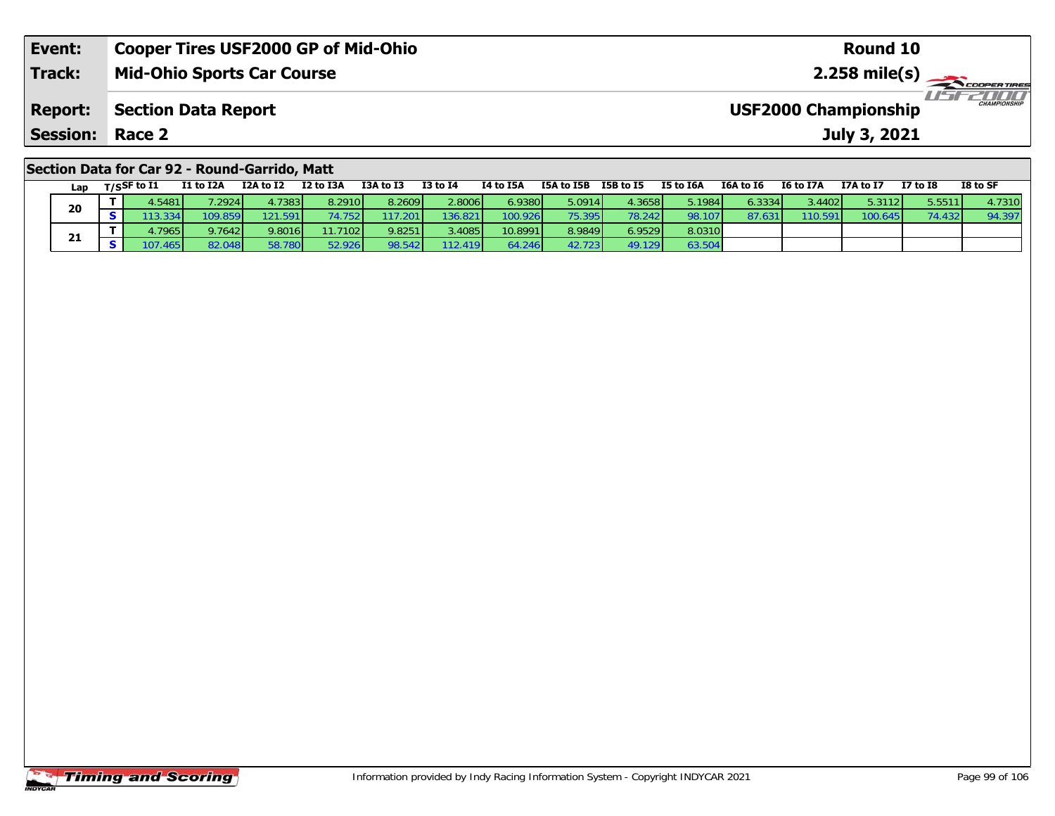| Event:                                        | <b>Cooper Tires USF2000 GP of Mid-Ohio</b> | Round 10                                           |  |  |  |  |  |  |
|-----------------------------------------------|--------------------------------------------|----------------------------------------------------|--|--|--|--|--|--|
| Track:                                        | <b>Mid-Ohio Sports Car Course</b>          |                                                    |  |  |  |  |  |  |
| <b>Report:</b>                                | <b>Section Data Report</b>                 | <b>CHAMPIONSHIP</b><br><b>USF2000 Championship</b> |  |  |  |  |  |  |
| <b>Session: Race 2</b>                        |                                            | July 3, 2021                                       |  |  |  |  |  |  |
| Section Data for Car 92 - Round-Garrido, Matt |                                            |                                                    |  |  |  |  |  |  |

| Lap | T/SSF to I1 | I1 to I2A       | I2A to I2       | I2 to I3A        | I3A to I3 | <b>I3 to I4</b> | I4 to I5A | I5A to I5B | I5B to I5 | I5 to I6A | I6A to I6 | <b>I6 to I7A</b> | I7A to I7 | <b>I7 to I8</b> | I8 to SF |
|-----|-------------|-----------------|-----------------|------------------|-----------|-----------------|-----------|------------|-----------|-----------|-----------|------------------|-----------|-----------------|----------|
| 20  | .5481       | 7.2924          | l.73831         | 8.2910           | 8.2609    | 2.8006          | 6.9380 l  | 5.0914     | 4.3658 l  | 5.1984    | 6.3334    | 3.4402           | 5.3112    | 5.5511          | . 7310 l |
|     |             | 109.859         | 121.591         | 752"             | 17.201    | '36.821         | 00.926    | 75.395 I   | 78.242    | 98.107    | 87.63     | 110.59           | 100.6451  | 74.432          | 94.397   |
| 21  | .79651      | 9.7642          | 9.8016          | 11.7102 <b>1</b> | 9.8251    | 3.4085          | 10.8991   | 8.9849     | 5.9529 L  | 8.0310    |           |                  |           |                 |          |
|     | .4651       | 82.048 <b>I</b> | 58.780 <b>1</b> | 52.926           | 98.542    | 12.419          |           | 42.7231    | 49.129    | 63.504    |           |                  |           |                 |          |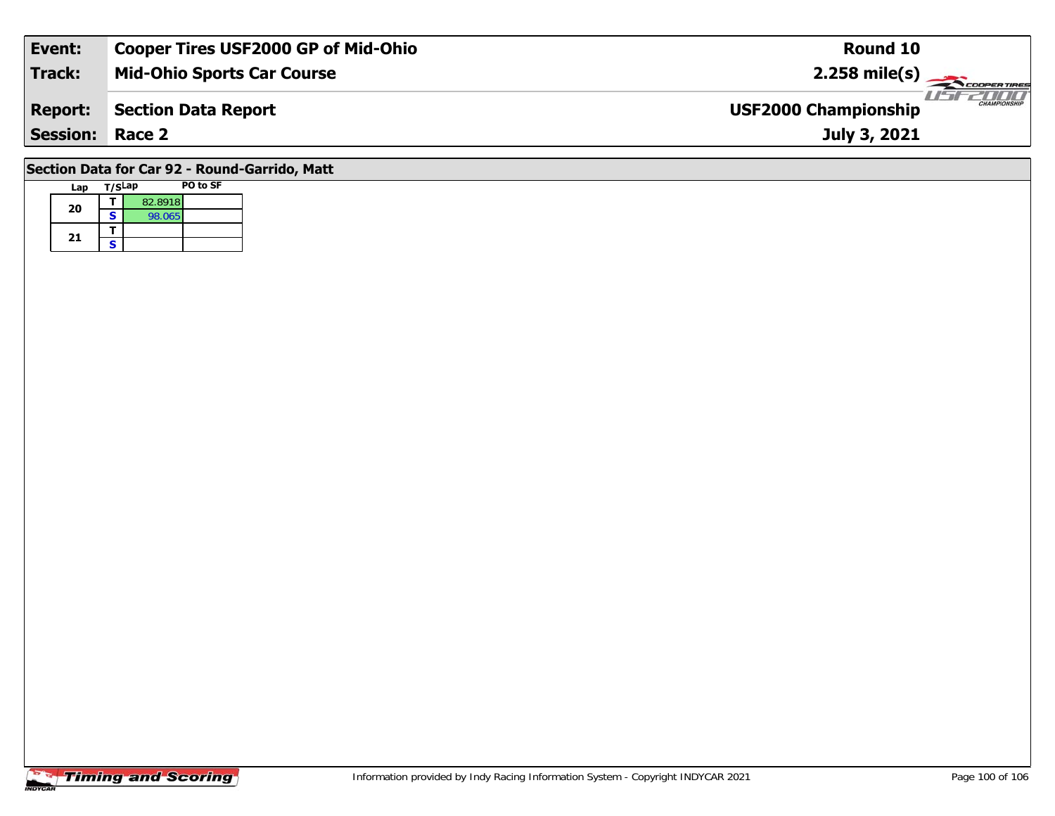| Event:                                        | <b>Cooper Tires USF2000 GP of Mid-Ohio</b> | Round 10                                           |  |  |  |  |  |  |
|-----------------------------------------------|--------------------------------------------|----------------------------------------------------|--|--|--|--|--|--|
| <b>Track:</b>                                 | <b>Mid-Ohio Sports Car Course</b>          | $2.258$ mile(s)                                    |  |  |  |  |  |  |
| <b>Report:</b>                                | Section Data Report                        | <b>CHAMPIONSHIP</b><br><b>USF2000 Championship</b> |  |  |  |  |  |  |
| <b>Session: Race 2</b>                        |                                            | July 3, 2021                                       |  |  |  |  |  |  |
| Section Data for Car 92 - Round-Garrido, Matt |                                            |                                                    |  |  |  |  |  |  |

# **Lap T/SLap PO to SF 20d**  $\overline{\textbf{S}}$  82.8918<br>**S** 98.065 21  $\frac{1}{s}$

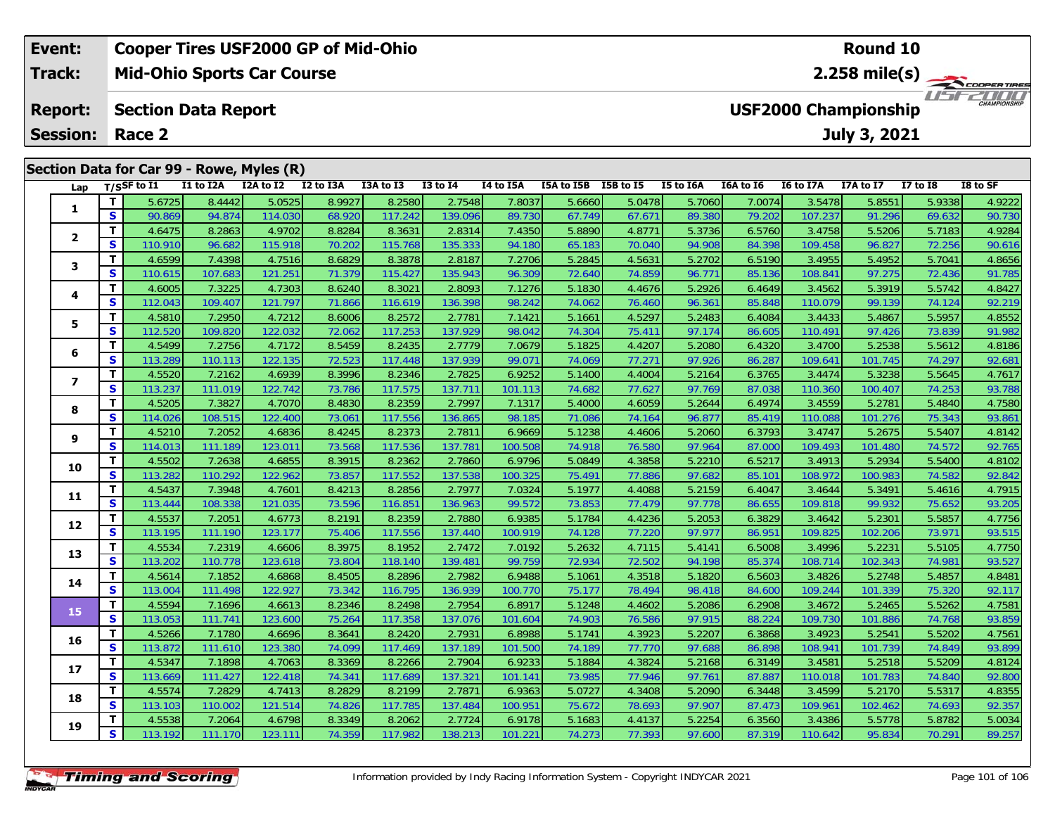|  | Event:<br><b>Cooper Tires USF2000 GP of Mid-Ohio</b> |    |                                                           |           |           |               |           |                 |           |            |               | <b>Round 10</b> |           |                                  |              |              |                     |  |  |
|--|------------------------------------------------------|----|-----------------------------------------------------------|-----------|-----------|---------------|-----------|-----------------|-----------|------------|---------------|-----------------|-----------|----------------------------------|--------------|--------------|---------------------|--|--|
|  | Track:                                               |    | <b>Mid-Ohio Sports Car Course</b>                         |           |           |               |           |                 |           |            |               |                 |           | 2.258 mile(s) $-$<br>COOPERTIRES |              |              |                     |  |  |
|  | <b>Report:</b>                                       |    | <b>USF2000 Championship</b><br><b>Section Data Report</b> |           |           |               |           |                 |           |            |               |                 |           |                                  |              |              | <b>CHAMPIONSHIP</b> |  |  |
|  | <b>Session:</b>                                      |    | Race 2                                                    |           |           |               |           |                 |           |            |               |                 |           |                                  | July 3, 2021 |              |                     |  |  |
|  | Section Data for Car 99 - Rowe, Myles (R)            |    |                                                           |           |           |               |           |                 |           |            |               |                 |           |                                  |              |              |                     |  |  |
|  | Lap                                                  |    | $_{\rm T/SS}$ F to I1                                     | I1 to I2A | I2A to I2 | I2 to I3A     | I3A to I3 | <b>I3 to I4</b> | I4 to I5A | I5A to I5B | I5B to I5     | I5 to I6A       | I6A to I6 | I6 to I7A                        | I7A to I7    | $I7$ to $I8$ | I8 to SF            |  |  |
|  |                                                      |    | 5.6725                                                    | 8.4442    | 5.0525    | 8.9927        | 8.2580    | 2.7548          | 7.8037    | 5.6660     | 5.0478        | 5.7060          | 7.0074    | 3.5478                           | 5.8551       | 5.9338       | 4.9222              |  |  |
|  |                                                      | S. | 90.869                                                    | 94.874    | 114.030   | 68.920        | 117.242   | 139.096         | 89.730    | 67.749     | 67.671        | 89.380          | 79.202    | 107.237                          | 91.296       | 69.632       | 90.730              |  |  |
|  | $\overline{\mathbf{2}}$                              |    | 4.6475                                                    | 8.2863    | 4.9702    | 8.8284        | 8.3631    | 2.8314          | 7.4350    | 5.8890     | 4.8771        | 5.3736          | 6.5760    | 3.4758                           | 5.5206       | 5.7183       | 4.9284              |  |  |
|  |                                                      | S. | 110.910                                                   | 96.682    | 115.918   | 70.202        | 115.768   | 135.333         | 94.180    | 65.183     | 70.040        | 94.908          | 84.398    | 109.458                          | 96.827       | 72.256       | 90.616              |  |  |
|  | 3                                                    |    | 4.6599                                                    | 7.4398    | 4.7516    | 8.6829        | 8.3878    | 2.8187          | 7.2706    | 5.2845     | 4.5631        | 5.2702          | 6.5190    | 3.4955                           | 5.4952       | 5.7041       | 4.8656              |  |  |
|  |                                                      | C. | 110.615                                                   | 107621    | 121251    | <b>71.270</b> | 115.127   | $125012$        | 06, 300   | 72.640     | <b>74 850</b> | <b>Q4 771</b>   | 95126     | 108.841                          | 07.275       | $72.436$     | 01 795              |  |  |

| 1              | T.           | 5.6/25  | 8.4442  | 5.0525  | 8.9927 | 8.2580  | 2.7548  | 7.8037  | 5.6660 | 5.0478 | 5.7060 | 1.0014 | 3.54/8  | 5.8551  | 5.9338 | 4.9222 |
|----------------|--------------|---------|---------|---------|--------|---------|---------|---------|--------|--------|--------|--------|---------|---------|--------|--------|
|                | <b>S</b>     | 90.869  | 94.874  | 114.030 | 68.920 | 117.242 | 139.096 | 89.730  | 67.749 | 67.671 | 89.380 | 79.202 | 107.237 | 91.296  | 69.632 | 90.730 |
|                | $\mathbf{T}$ | 4.6475  | 8.2863  | 4.9702  | 8.8284 | 8.3631  | 2.8314  | 7.4350  | 5.8890 | 4.8771 | 5.3736 | 6.5760 | 3.4758  | 5.5206  | 5.7183 | 4.9284 |
| $\mathbf{2}$   | S            | 110.910 | 96.682  | 115.918 | 70.202 | 115.768 | 135.333 | 94.180  | 65.183 | 70.040 | 94.908 | 84.398 | 109.458 | 96.827  | 72.256 | 90.616 |
|                | $\mathbf{T}$ | 4.6599  | 7.4398  | 4.7516  | 8.6829 | 8.3878  | 2.8187  | 7.2706  | 5.2845 | 4.5631 | 5.2702 | 6.5190 | 3.4955  | 5.4952  | 5.7041 | 4.8656 |
| 3              | S            | 110.615 | 107.683 | 121.251 | 71.379 | 115.427 | 135.943 | 96.309  | 72.640 | 74.859 | 96.771 | 85.136 | 108.841 | 97.275  | 72.436 | 91.785 |
| 4              | T.           | 4.6005  | 7.3225  | 4.7303  | 8.6240 | 8.3021  | 2.8093  | 7.1276  | 5.1830 | 4.4676 | 5.2926 | 6.4649 | 3.4562  | 5.3919  | 5.5742 | 4.8427 |
|                | $\mathbf{s}$ | 112.043 | 109.407 | 121.797 | 71.866 | 116.619 | 136.398 | 98.242  | 74.062 | 76.460 | 96.361 | 85.848 | 110.079 | 99.139  | 74.124 | 92.219 |
| 5              | Т            | 4.5810  | 7.2950  | 4.7212  | 8.6006 | 8.2572  | 2.7781  | 7.1421  | 5.1661 | 4.5297 | 5.2483 | 6.4084 | 3.4433  | 5.4867  | 5.5957 | 4.8552 |
|                | S            | 112.520 | 109.820 | 122.032 | 72.062 | 117.253 | 137.929 | 98.042  | 74.304 | 75.411 | 97.174 | 86.605 | 110.491 | 97.426  | 73.839 | 91.982 |
| 6              | T.           | 4.5499  | 7.2756  | 4.7172  | 8.5459 | 8.2435  | 2.7779  | 7.0679  | 5.1825 | 4.4207 | 5.2080 | 6.4320 | 3.4700  | 5.2538  | 5.5612 | 4.8186 |
|                | <b>S</b>     | 113.289 | 110.113 | 122.135 | 72.523 | 117.448 | 137.939 | 99.071  | 74.069 | 77.271 | 97.926 | 86.287 | 109.641 | 101.745 | 74.297 | 92.681 |
| $\overline{ }$ | T            | 4.5520  | 7.2162  | 4.6939  | 8.3996 | 8.2346  | 2.7825  | 6.9252  | 5.1400 | 4.4004 | 5.2164 | 6.3765 | 3.4474  | 5.3238  | 5.5645 | 4.7617 |
|                | <b>S</b>     | 113.237 | 111.019 | 122.742 | 73.786 | 117.575 | 137.711 | 101.113 | 74.682 | 77.627 | 97.769 | 87.038 | 110.360 | 100.407 | 74.253 | 93.788 |
| 8              | T.           | 4.5205  | 7.3827  | 4.7070  | 8.4830 | 8.2359  | 2.7997  | 7.1317  | 5.4000 | 4.6059 | 5.2644 | 6.4974 | 3.4559  | 5.2781  | 5.4840 | 4.7580 |
|                | S            | 114.026 | 108.515 | 122.400 | 73.061 | 117.556 | 136.865 | 98.185  | 71.086 | 74.164 | 96.877 | 85.419 | 110.088 | 101.276 | 75.343 | 93.861 |
| 9              | T            | 4.5210  | 7.2052  | 4.6836  | 8.4245 | 8.2373  | 2.7811  | 6.9669  | 5.1238 | 4.4606 | 5.2060 | 6.3793 | 3.4747  | 5.2675  | 5.5407 | 4.8142 |
|                | S            | 114.013 | 111.189 | 123.011 | 73.568 | 117.536 | 137.781 | 100.508 | 74.918 | 76.580 | 97.964 | 87.000 | 109.493 | 101.480 | 74.572 | 92.765 |
| 10             | T.           | 4.5502  | 7.2638  | 4.6855  | 8.3915 | 8.2362  | 2.7860  | 6.9796  | 5.0849 | 4.3858 | 5.2210 | 6.5217 | 3.4913  | 5.2934  | 5.5400 | 4.8102 |
|                | S            | 113.282 | 110.292 | 122.962 | 73.857 | 117.552 | 137.538 | 100.325 | 75.491 | 77.886 | 97.682 | 85.101 | 108.972 | 100.983 | 74.582 | 92.842 |
| 11             | T.           | 4.5437  | 7.3948  | 4.7601  | 8.4213 | 8.2856  | 2.7977  | 7.0324  | 5.1977 | 4.4088 | 5.2159 | 6.4047 | 3.4644  | 5.3491  | 5.4616 | 4.7915 |
|                | S            | 113.444 | 108.338 | 121.035 | 73.596 | 116.851 | 136.963 | 99.572  | 73.853 | 77.479 | 97.778 | 86.655 | 109.818 | 99.932  | 75.652 | 93.205 |
| 12             | $\mathbf{T}$ | 4.5537  | 7.2051  | 4.6773  | 8.2191 | 8.2359  | 2.7880  | 6.9385  | 5.1784 | 4.4236 | 5.2053 | 6.3829 | 3.4642  | 5.2301  | 5.5857 | 4.7756 |
|                | <b>S</b>     | 113.195 | 111.190 | 123.177 | 75.406 | 117.556 | 137.440 | 100.919 | 74.128 | 77.220 | 97.977 | 86.951 | 109.825 | 102.206 | 73.971 | 93.515 |
| 13             | T            | 4.5534  | 7.2319  | 4.6606  | 8.3975 | 8.1952  | 2.7472  | 7.0192  | 5.2632 | 4.7115 | 5.4141 | 6.5008 | 3.4996  | 5.2231  | 5.5105 | 4.7750 |
|                | $\mathbf{s}$ | 113.202 | 110.778 | 123.618 | 73.804 | 118.140 | 139.481 | 99.759  | 72.934 | 72.502 | 94.198 | 85.374 | 108.714 | 102.343 | 74.981 | 93.527 |
| 14             | T.           | 4.5614  | 7.1852  | 4.6868  | 8.4505 | 8.2896  | 2.7982  | 6.9488  | 5.1061 | 4.3518 | 5.1820 | 6.5603 | 3.4826  | 5.2748  | 5.4857 | 4.8481 |
|                | <b>S</b>     | 113.004 | 111.498 | 122.927 | 73.342 | 116.795 | 136.939 | 100.770 | 75.177 | 78.494 | 98.418 | 84.600 | 109.244 | 101.339 | 75.320 | 92.117 |
| 15             | T            | 4.5594  | 7.1696  | 4.6613  | 8.2346 | 8.2498  | 2.7954  | 6.8917  | 5.1248 | 4.4602 | 5.2086 | 6.2908 | 3.4672  | 5.2465  | 5.5262 | 4.7581 |
|                | <b>S</b>     | 113.053 | 111.741 | 123.600 | 75.264 | 117.358 | 137.076 | 101.604 | 74.903 | 76.586 | 97.915 | 88.224 | 109.730 | 101.886 | 74.768 | 93.859 |
| 16             | T            | 4.5266  | 7.1780  | 4.6696  | 8.3641 | 8.2420  | 2.7931  | 6.8988  | 5.1741 | 4.3923 | 5.2207 | 6.3868 | 3.4923  | 5.2541  | 5.5202 | 4.7561 |
|                | S            | 113.872 | 111.610 | 123.380 | 74.099 | 117.469 | 137.189 | 101.500 | 74.189 | 77.770 | 97.688 | 86.898 | 108.941 | 101.739 | 74.849 | 93.899 |
| 17             | T.           | 4.5347  | 7.1898  | 4.7063  | 8.3369 | 8.2266  | 2.7904  | 6.9233  | 5.1884 | 4.3824 | 5.2168 | 6.3149 | 3.4581  | 5.2518  | 5.5209 | 4.8124 |
|                | <b>S</b>     | 113.669 | 111.427 | 122.418 | 74.341 | 117.689 | 137.321 | 101.141 | 73.985 | 77.946 | 97.761 | 87.887 | 110.018 | 101.783 | 74.840 | 92.800 |
| 18             | T.           | 4.5574  | 7.2829  | 4.7413  | 8.2829 | 8.2199  | 2.7871  | 6.9363  | 5.0727 | 4.3408 | 5.2090 | 6.3448 | 3.4599  | 5.2170  | 5.5317 | 4.8355 |
|                | $\mathbf{s}$ | 113.103 | 110.002 | 121.514 | 74.826 | 117.785 | 137.484 | 100.951 | 75.672 | 78.693 | 97.907 | 87.473 | 109.961 | 102.462 | 74.693 | 92.357 |
| 19             | T.           | 4.5538  | 7.2064  | 4.6798  | 8.3349 | 8.2062  | 2.7724  | 6.9178  | 5.1683 | 4.4137 | 5.2254 | 6.3560 | 3.4386  | 5.5778  | 5.8782 | 5.0034 |
|                | S            | 113.192 | 111.170 | 123.111 | 74.359 | 117.982 | 138.213 | 101.221 | 74.273 | 77.393 | 97.600 | 87.319 | 110.642 | 95.834  | 70.291 | 89.257 |
|                |              |         |         |         |        |         |         |         |        |        |        |        |         |         |        |        |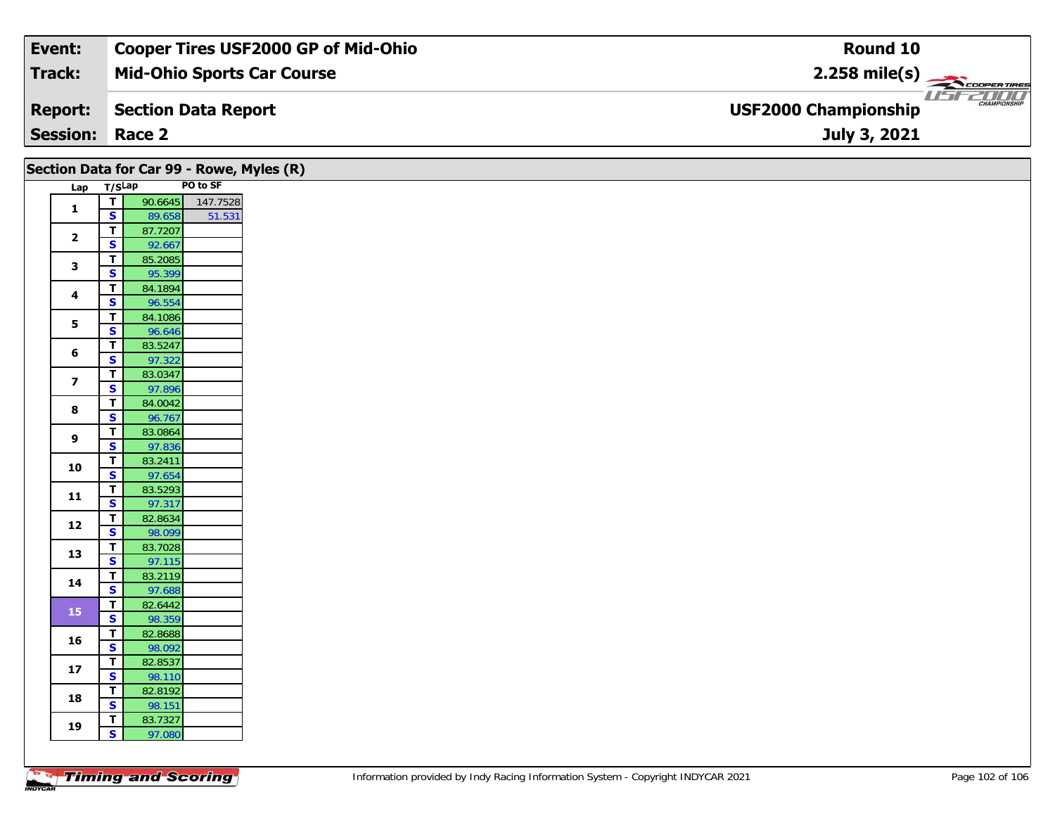| Event:                 | <b>Cooper Tires USF2000 GP of Mid-Ohio</b> | Round 10                                                      |
|------------------------|--------------------------------------------|---------------------------------------------------------------|
| Track:                 | <b>Mid-Ohio Sports Car Course</b>          | $2.258$ mile(s)                                               |
| <b>Report:</b>         | Section Data Report                        | USF2000<br><b>CHAMPIONSHIP</b><br><b>USF2000 Championship</b> |
| <b>Session: Race 2</b> |                                            | July 3, 2021                                                  |

|                         |                                                    | Section Data for Car 99 - Rowe, Myles (R) |          |
|-------------------------|----------------------------------------------------|-------------------------------------------|----------|
|                         | Lap T/SLap                                         |                                           | PO to SF |
| $\mathbf{1}$            | $\overline{1}$                                     | 90.6645                                   | 147.7528 |
|                         | $\mathbf{s}$                                       | 89.658                                    | 51.531   |
| $\mathbf{2}$            | $\overline{\mathbf{r}}$<br>$\mathbf{s}$            | 87.7207<br>92.667                         |          |
|                         | $\overline{r}$                                     | 85.2085                                   |          |
| 3                       | $\overline{\mathbf{s}}$                            | 95.399                                    |          |
|                         | $\mathbf T$                                        | 84.1894                                   |          |
| 4                       | $\mathbf{s}$                                       | 96.554                                    |          |
| 5                       | $\mathbf{T}$                                       | 84.1086                                   |          |
|                         | $\overline{\mathbf{s}}$                            | 96.646                                    |          |
| 6                       | $\overline{\mathbf{r}}$                            | 83.5247                                   |          |
|                         | $\overline{\mathbf{s}}$                            | 97.322                                    |          |
| $\overline{\mathbf{z}}$ | $\overline{\mathbf{r}}$<br>$\overline{\mathbf{s}}$ | 83.0347<br>97.896                         |          |
|                         | $\overline{1}$                                     | 84.0042                                   |          |
| 8                       | $\overline{\mathbf{s}}$                            | 96.767                                    |          |
|                         | $\overline{\mathsf{r}}$                            | 83.0864                                   |          |
| 9                       | $\overline{\mathbf{s}}$                            | 97.836                                    |          |
| 10                      | $\mathbf T$                                        | 83.2411                                   |          |
|                         | $\overline{\mathbf{s}}$                            | 97.654                                    |          |
| $11$                    | $\mathbf{T}$                                       | 83.5293                                   |          |
|                         | $\mathbf{s}$                                       | 97.317                                    |          |
| $12$                    | $\overline{\mathbf{r}}$<br>$\overline{\mathbf{s}}$ | 82.8634                                   |          |
|                         | $\mathbf T$                                        | 98.099<br>83.7028                         |          |
| 13                      | $\overline{\mathbf{s}}$                            | 97.115                                    |          |
|                         | $\overline{\mathbf{r}}$                            | 83.2119                                   |          |
| 14                      | $\overline{\mathbf{s}}$                            | 97.688                                    |          |
| 15                      | $\overline{1}$                                     | 82.6442                                   |          |
|                         | $\overline{\mathbf{s}}$                            | 98.359                                    |          |
| 16                      | $\mathbf T$                                        | 82.8688                                   |          |
|                         | $\mathbf{s}$                                       | 98.092                                    |          |
| 17                      | $\mathbf{T}$<br>$\overline{\mathbf{s}}$            | 82.8537<br>98.110                         |          |
|                         | $\mathbf{T}$                                       | 82.8192                                   |          |
| 18                      | $\overline{\mathbf{s}}$                            | 98.151                                    |          |
|                         | $\mathbf T$                                        | 83.7327                                   |          |
| 19                      | $\mathbf{s}$                                       | 97.080                                    |          |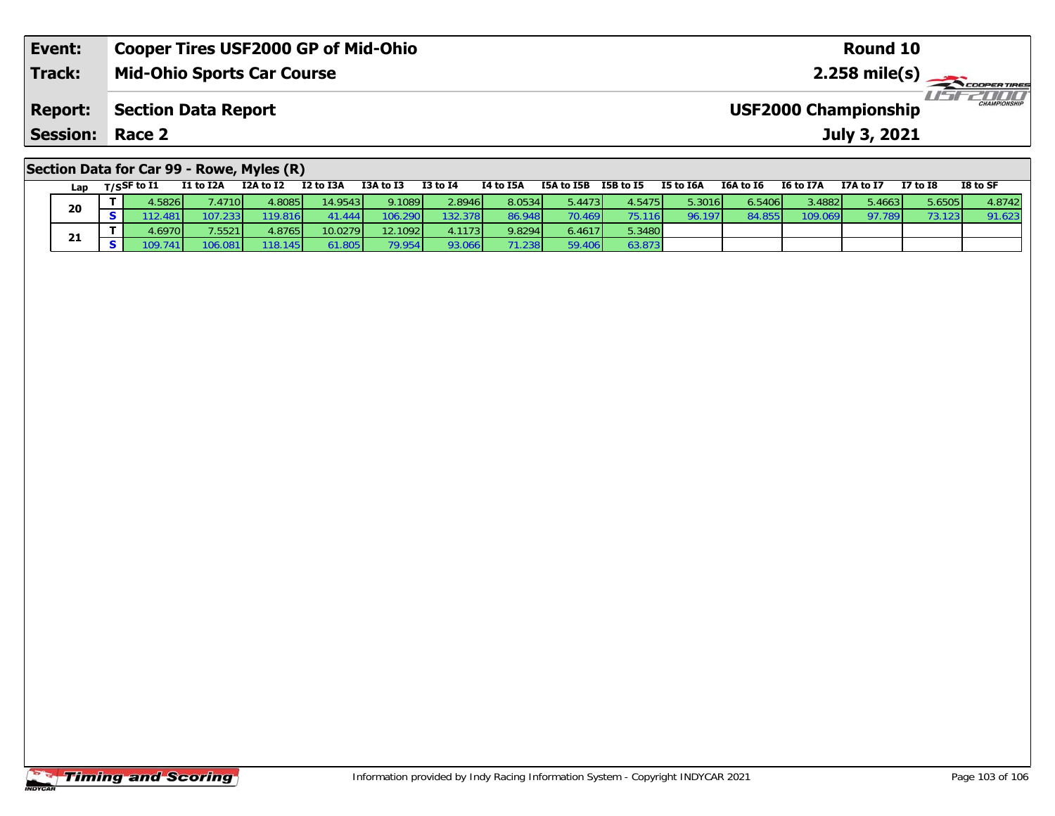| Event:                                    | <b>Cooper Tires USF2000 GP of Mid-Ohio</b> | Round 10                                           |  |  |  |  |  |
|-------------------------------------------|--------------------------------------------|----------------------------------------------------|--|--|--|--|--|
| Track:                                    | <b>Mid-Ohio Sports Car Course</b>          |                                                    |  |  |  |  |  |
| <b>Report:</b>                            | <b>Section Data Report</b>                 | <b>CHAMPIONSHIP</b><br><b>USF2000 Championship</b> |  |  |  |  |  |
| <b>Session: Race 2</b>                    |                                            | July 3, 2021                                       |  |  |  |  |  |
| Section Data for Car 99 - Rowe, Myles (R) |                                            |                                                    |  |  |  |  |  |

| Lap | T/SSF to I1 | I1 to I2A | I2A to I2               | I2 to I3A | I3A to I3 | <b>I3 to I4</b> | I4 to I5A | I5A to I5B | I5B to I5       | I5 to I6A | I6A to I6 | I6 to I7A       | I7A to I7 | $I7$ to $I8$ | I8 to SF |
|-----|-------------|-----------|-------------------------|-----------|-----------|-----------------|-----------|------------|-----------------|-----------|-----------|-----------------|-----------|--------------|----------|
| 20  | 1.5826      | .47101/   | $4.8085$ $\blacksquare$ | 14.9543   | 9.1089    | 2.8946          | 8.0534    | 5.4473     | 1.5475          | 5.3016    | 6.5406 l  | 3.4882 <b>1</b> | 5.46631   | 5.6505       | 4.8742   |
|     | 12.481'     |           | 19.816                  |           | 106.2901  | 132.378         | 86.948    |            | 75.116          | 96.197    |           | 109.069         | 97.789    | 73.123       | 91.62.   |
|     | .69701      | 7.5521    | 4.8765                  | 10.0279   | 12.1092   | 4.11731         | 9.8294    | 6.4617     | 5.3480 <b>l</b> |           |           |                 |           |              |          |
| 21  | 09.7411     | 106.081   | 18.145                  | 61.805    | 79.954    | 93.0661         |           | 59.406     | 53.873          |           |           |                 |           |              |          |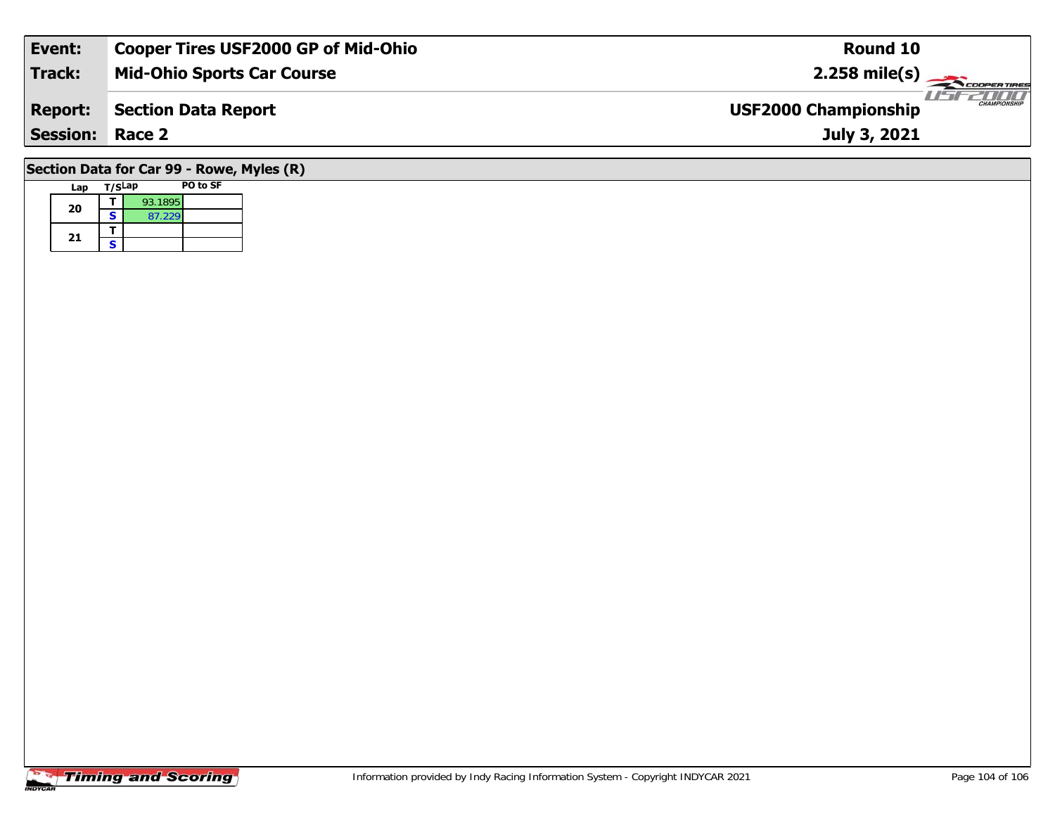| Event:                                    | <b>Cooper Tires USF2000 GP of Mid-Ohio</b> | Round 10                                           |  |  |  |  |  |
|-------------------------------------------|--------------------------------------------|----------------------------------------------------|--|--|--|--|--|
| <b>Track:</b>                             | <b>Mid-Ohio Sports Car Course</b>          | $2.258$ mile(s)                                    |  |  |  |  |  |
| <b>Report:</b>                            | <b>Section Data Report</b>                 | <b>CHAMPIONSHIP</b><br><b>USF2000 Championship</b> |  |  |  |  |  |
| <b>Session: Race 2</b>                    |                                            | July 3, 2021                                       |  |  |  |  |  |
| Section Data for Car 99 - Rowe, Myles (R) |                                            |                                                    |  |  |  |  |  |

# **Timing and Scoring**

Lap T/S<sup>Lap</sup> PO to SF

**d**  $\overline{\textbf{S}}$  93.1895<br>**S** 87.229

**20**

21  $\frac{1}{s}$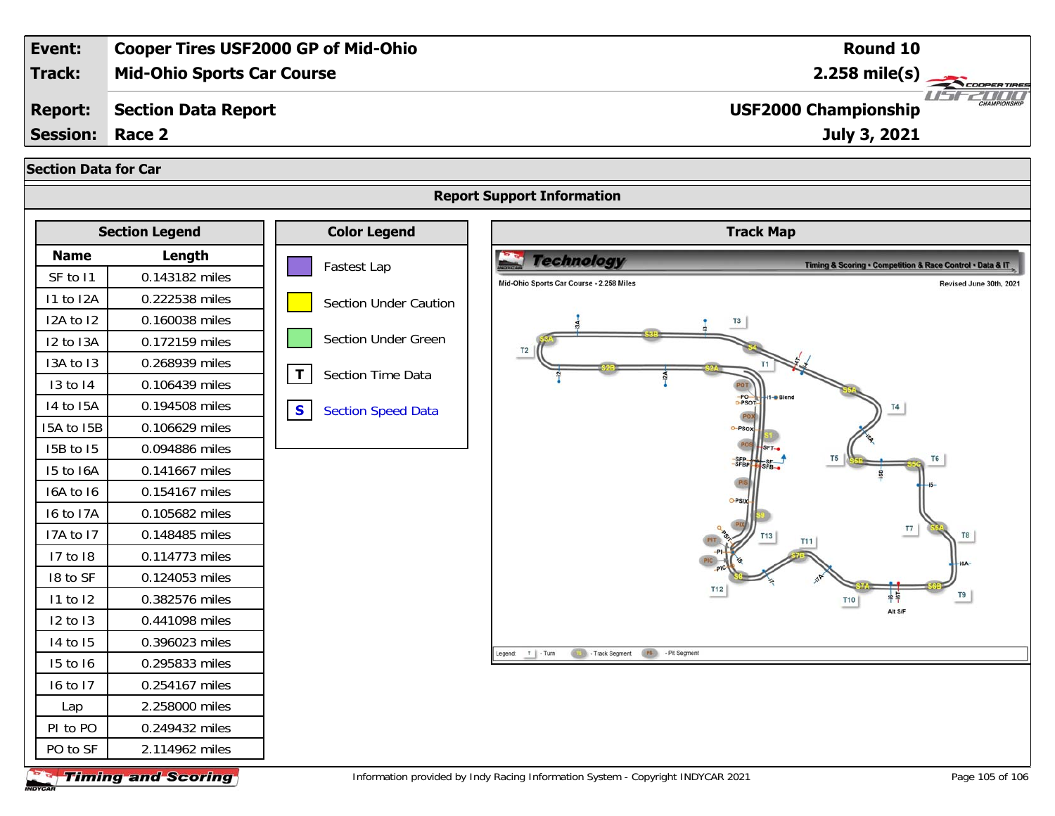